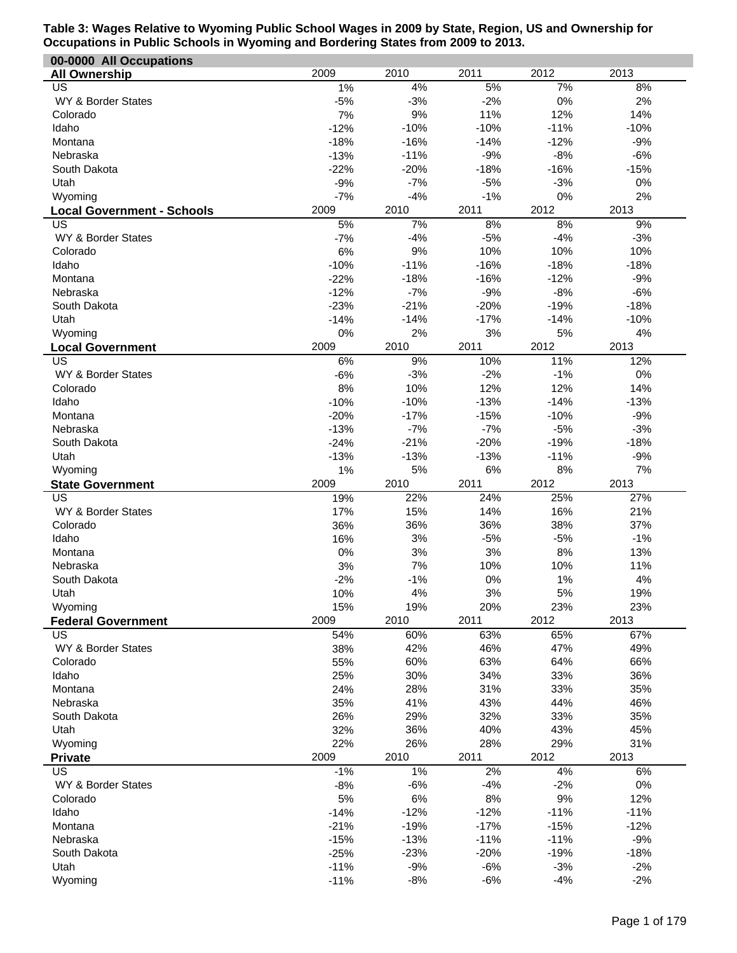| 00-0000 All Occupations           |                  |                |                |                |                |
|-----------------------------------|------------------|----------------|----------------|----------------|----------------|
| <b>All Ownership</b>              | 2009             | 2010           | 2011           | 2012           | 2013           |
| US                                | 1%               | 4%             | 5%             | 7%             | 8%             |
| WY & Border States                | $-5%$            | $-3%$          | $-2%$          | 0%             | 2%             |
| Colorado                          | 7%               | $9%$           | 11%            | 12%            | 14%            |
| Idaho                             | $-12%$           | $-10%$         | $-10%$         | $-11%$         | $-10%$         |
| Montana                           | $-18%$           | $-16%$         | $-14%$         | $-12%$         | $-9%$          |
| Nebraska                          | $-13%$           | $-11%$         | $-9%$          | $-8%$          | $-6%$          |
| South Dakota                      | $-22%$           | $-20%$         | $-18%$         | $-16%$         | $-15%$         |
| Utah                              | $-9%$            | $-7%$          | $-5%$          | $-3%$          | 0%             |
| Wyoming                           | $-7%$            | $-4%$          | $-1%$          | 0%             | 2%             |
| <b>Local Government - Schools</b> | 2009             | 2010           | 2011           | 2012           | 2013           |
| US                                | 5%               | 7%             | 8%             | 8%             | 9%             |
| WY & Border States                | $-7%$            | $-4%$          | $-5%$          | $-4%$          | $-3%$          |
| Colorado                          | 6%               | 9%             | 10%            | 10%            | 10%            |
| Idaho                             | $-10%$           | $-11%$         | $-16%$         | $-18%$         | $-18%$         |
| Montana                           | $-22%$           | $-18%$         | $-16%$         | $-12%$         | $-9%$          |
| Nebraska                          | $-12%$           | $-7%$          | $-9%$          | $-8%$          | $-6%$          |
| South Dakota                      | $-23%$           | $-21%$         | $-20%$         | $-19%$         | $-18%$         |
| Utah                              | $-14%$           | $-14%$         | $-17%$         | $-14%$         | $-10%$         |
| Wyoming                           | 0%               | 2%             | 3%             | 5%             | 4%             |
| <b>Local Government</b>           | 2009             | 2010           | 2011           | 2012           | 2013           |
| US                                | 6%               | 9%             | 10%            | 11%            | 12%            |
| WY & Border States                | $-6%$            | $-3%$          | $-2%$          | $-1%$          | 0%             |
| Colorado                          | 8%               | 10%            | 12%            | 12%            | 14%            |
| Idaho                             | $-10%$           | $-10%$         | $-13%$         | $-14%$         | $-13%$         |
| Montana                           | $-20%$           | $-17%$         | $-15%$         | $-10%$         | $-9%$          |
| Nebraska                          | $-13%$           | $-7%$          | $-7%$          | $-5%$          | $-3%$          |
| South Dakota                      | $-24%$           | $-21%$         | $-20%$         | $-19%$         | $-18%$         |
| Utah                              | $-13%$           | $-13%$         | $-13%$         | $-11%$         | $-9%$          |
| Wyoming                           | 1%               | 5%             | 6%             | 8%             | 7%             |
|                                   |                  |                |                |                |                |
| <b>State Government</b>           | 2009             | 2010           | 2011           | 2012           | 2013           |
| US                                | 19%              | 22%            | 24%            | 25%            | 27%            |
| WY & Border States                | 17%              | 15%            | 14%            | 16%            | 21%            |
| Colorado                          | 36%              | 36%            | 36%            | 38%            | 37%            |
| Idaho                             | 16%              | 3%             | $-5%$          | $-5%$          | $-1%$          |
| Montana                           | $0\%$            | 3%             | 3%             | 8%             | 13%            |
| Nebraska                          | 3%               | 7%             | 10%            | 10%            | 11%            |
| South Dakota                      | $-2%$            | $-1%$          | 0%             | 1%             | 4%             |
| Utah                              | 10%              | 4%             | 3%             | 5%             | 19%            |
| Wyoming                           | 15%              | 19%            | 20%            | 23%            | 23%            |
| <b>Federal Government</b>         | 2009             | 2010           | 2011           | 2012           | 2013           |
| US                                | 54%              | 60%            | 63%            | 65%            | 67%            |
| WY & Border States                | 38%              | 42%            | 46%            | 47%            | 49%            |
| Colorado                          | 55%              | 60%            | 63%            | 64%            | 66%            |
| Idaho                             | 25%              | 30%            | 34%            | 33%            | 36%            |
| Montana                           | 24%              | 28%            | 31%            | 33%            | 35%            |
| Nebraska                          | 35%              | 41%            | 43%            | 44%            | 46%            |
| South Dakota                      | 26%              | 29%            | 32%            | 33%            | 35%            |
| Utah                              | 32%              | 36%            | 40%            | 43%            | 45%            |
| Wyoming                           | 22%              | 26%            | 28%            | 29%            | 31%            |
| <b>Private</b>                    | 2009             | 2010           | 2011           | 2012           | 2013           |
| US                                | $-1%$            | $1\%$          | 2%             | 4%             | 6%             |
| WY & Border States                | $-8%$            | $-6%$          | $-4%$          | $-2%$          | 0%             |
| Colorado                          | 5%               | $6\%$          | 8%             | 9%             | 12%            |
| Idaho                             | $-14%$           | $-12%$         | $-12%$         | $-11%$         | $-11%$         |
| Montana                           | $-21%$           | $-19%$         | $-17%$         | $-15%$         | $-12%$         |
| Nebraska                          | $-15%$           | $-13%$         | $-11%$         | $-11%$         | $-9%$          |
| South Dakota                      | $-25%$           | $-23%$         | $-20%$         | $-19%$         | $-18%$         |
| Utah<br>Wyoming                   | $-11%$<br>$-11%$ | $-9%$<br>$-8%$ | $-6%$<br>$-6%$ | $-3%$<br>$-4%$ | $-2%$<br>$-2%$ |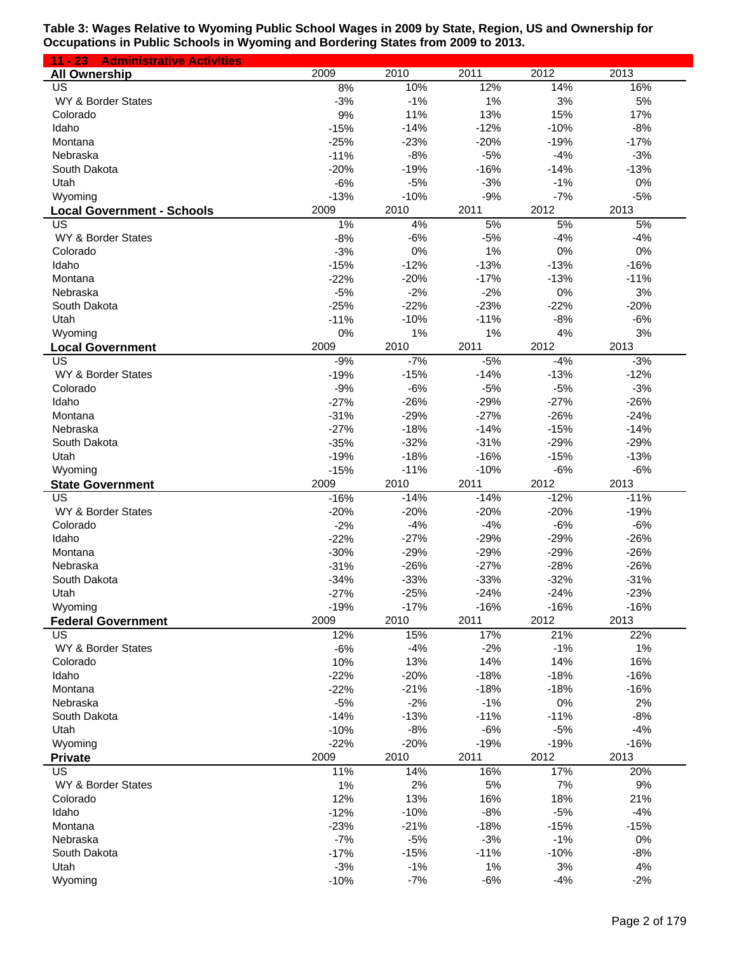| $11 - 23$<br><b>Administrative Activities</b> |                 |                |                |                 |                |
|-----------------------------------------------|-----------------|----------------|----------------|-----------------|----------------|
| <b>All Ownership</b>                          | 2009            | 2010           | 2011           | 2012            | 2013           |
| US                                            | 8%              | 10%            | 12%            | 14%             | 16%            |
| WY & Border States                            | $-3%$           | $-1%$          | 1%             | 3%              | 5%             |
| Colorado                                      | 9%              | 11%            | 13%            | 15%             | 17%            |
| Idaho                                         | $-15%$          | $-14%$         | $-12%$         | $-10%$          | $-8%$          |
| Montana                                       | $-25%$          | $-23%$         | $-20%$         | $-19%$          | $-17%$         |
| Nebraska                                      | $-11%$          | $-8%$          | $-5%$          | $-4%$           | $-3%$          |
| South Dakota                                  | $-20%$          | $-19%$         | $-16%$         | $-14%$          | $-13%$         |
| Utah                                          | $-6%$           | $-5%$          | $-3%$          | $-1%$           | 0%             |
| Wyoming                                       | $-13%$          | $-10%$         | $-9%$          | $-7%$           | $-5%$          |
| <b>Local Government - Schools</b>             | 2009            | 2010           | 2011           | 2012            | 2013           |
| US                                            | 1%              | 4%             | 5%             | 5%              | 5%             |
| WY & Border States                            | $-8%$           | $-6%$          | $-5%$          | $-4%$           | $-4%$          |
| Colorado                                      | $-3%$           | 0%             | 1%             | $0\%$           | 0%             |
| Idaho                                         | $-15%$          | $-12%$         | $-13%$         | $-13%$          | $-16%$         |
| Montana                                       | $-22%$          | $-20%$         | $-17%$         | $-13%$          | $-11%$         |
| Nebraska                                      | $-5%$           | $-2%$          | $-2%$          | 0%              | 3%             |
| South Dakota                                  | $-25%$          | $-22%$         | $-23%$         | $-22%$          | $-20%$         |
| Utah                                          | $-11%$          | $-10%$         | $-11%$         | $-8%$           | $-6%$          |
| Wyoming                                       | 0%              | 1%             | 1%             | 4%              | 3%             |
| <b>Local Government</b>                       | 2009            | 2010           | 2011           | 2012            | 2013           |
| $\overline{US}$                               | $-9%$           | $-7%$          | $-5%$          | $-4%$           | $-3%$          |
| WY & Border States                            | $-19%$          | $-15%$         | $-14%$         | $-13%$          | $-12%$         |
| Colorado                                      | $-9%$           | $-6%$          | $-5%$          | $-5%$           | $-3%$          |
| Idaho                                         | $-27%$          | $-26%$         | $-29%$         | $-27%$          | $-26%$         |
| Montana                                       | $-31%$          | $-29%$         | $-27%$         | $-26%$          | $-24%$         |
| Nebraska                                      | $-27%$          | $-18%$         | $-14%$         | $-15%$          | $-14%$         |
| South Dakota                                  | $-35%$          | $-32%$         | $-31%$         | $-29%$          | $-29%$         |
| Utah                                          | $-19%$          | $-18%$         | $-16%$         | $-15%$          | $-13%$         |
| Wyoming                                       | $-15%$          | $-11%$         | $-10%$         | $-6%$           | $-6%$          |
| <b>State Government</b>                       | 2009            | 2010           | 2011           | 2012            | 2013           |
| US                                            | $-16%$          | $-14%$         | $-14%$         | $-12%$          | $-11%$         |
| WY & Border States                            | $-20%$          | $-20%$         | $-20%$         | $-20%$          | $-19%$         |
| Colorado                                      | $-2%$           | $-4%$          | $-4%$          | $-6%$           | $-6%$          |
| Idaho                                         | $-22%$          | $-27%$         | $-29%$         | $-29%$          | $-26%$         |
| Montana                                       | $-30%$          | $-29%$         | $-29%$         | $-29%$          | $-26%$         |
| Nebraska                                      | $-31%$          | $-26%$         | $-27%$         | $-28%$          | $-26%$         |
| South Dakota                                  | $-34%$          | $-33%$         | $-33%$         | $-32%$          | $-31%$         |
| Utah                                          | $-27%$          | $-25%$         | $-24%$         | $-24%$          | $-23%$         |
| Wyoming                                       | $-19%$          | $-17%$         | $-16%$         | $-16%$          | $-16%$         |
| <b>Federal Government</b>                     | 2009            | 2010           | 2011           | 2012            | 2013           |
| US                                            | 12%             | 15%            | 17%            | 21%             | 22%            |
| WY & Border States                            | $-6%$           | $-4%$          | $-2%$          | $-1%$           | 1%             |
| Colorado                                      | 10%             | 13%            | 14%            | 14%             | 16%            |
| Idaho                                         | $-22%$          | $-20%$         | $-18%$         | $-18%$          | $-16%$         |
| Montana                                       | $-22%$          | $-21%$         | $-18%$         | $-18%$          | $-16%$         |
| Nebraska                                      | $-5%$           | $-2%$          | $-1%$          | $0\%$           | 2%             |
| South Dakota                                  | $-14%$          | $-13%$         | $-11%$         | $-11%$          | $-8%$          |
| Utah                                          | $-10%$          | $-8%$          | $-6%$          | $-5%$<br>$-19%$ | $-4%$          |
| Wyoming                                       | $-22%$<br>2009  | $-20%$<br>2010 | $-19%$<br>2011 | 2012            | $-16%$<br>2013 |
| <b>Private</b><br>US                          | 11%             | 14%            | 16%            | 17%             | 20%            |
| WY & Border States                            |                 | 2%             | 5%             | 7%              | 9%             |
| Colorado                                      | 1%<br>12%       | 13%            | 16%            | 18%             | 21%            |
| Idaho                                         | $-12%$          | $-10%$         | $-8%$          | $-5%$           | $-4%$          |
| Montana                                       |                 | $-21%$         | $-18%$         | $-15%$          | $-15%$         |
| Nebraska                                      | $-23%$<br>$-7%$ | $-5%$          | $-3%$          | $-1%$           | $0\%$          |
| South Dakota                                  | $-17%$          | $-15%$         | $-11%$         | $-10%$          | $-8%$          |
| Utah                                          | $-3%$           | $-1%$          | 1%             | 3%              | 4%             |
|                                               | $-10%$          | $-7%$          | $-6%$          | $-4%$           | $-2%$          |
| Wyoming                                       |                 |                |                |                 |                |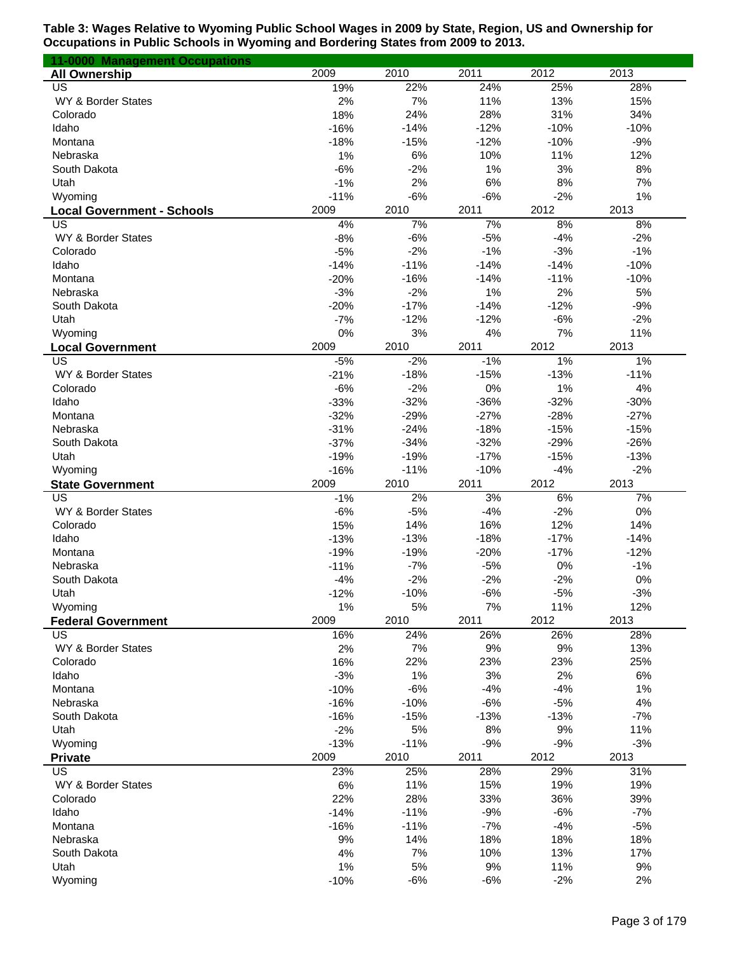| 11-0000 Management Occupations    |        |        |        |        |        |
|-----------------------------------|--------|--------|--------|--------|--------|
| <b>All Ownership</b>              | 2009   | 2010   | 2011   | 2012   | 2013   |
| US                                | 19%    | 22%    | 24%    | 25%    | 28%    |
| WY & Border States                | 2%     | 7%     | 11%    | 13%    | 15%    |
| Colorado                          | 18%    | 24%    | 28%    | 31%    | 34%    |
| Idaho                             | $-16%$ | $-14%$ | $-12%$ | $-10%$ | $-10%$ |
| Montana                           | $-18%$ | $-15%$ | $-12%$ | $-10%$ | $-9%$  |
| Nebraska                          | 1%     | 6%     | 10%    | 11%    | 12%    |
| South Dakota                      | $-6%$  | $-2%$  | 1%     | 3%     | 8%     |
| Utah                              | $-1%$  | 2%     | 6%     | 8%     | 7%     |
| Wyoming                           | $-11%$ | $-6%$  | $-6%$  | $-2%$  | 1%     |
| <b>Local Government - Schools</b> | 2009   | 2010   | 2011   | 2012   | 2013   |
| US                                | 4%     | 7%     | 7%     | 8%     | 8%     |
| WY & Border States                | $-8%$  | $-6%$  | $-5%$  | $-4%$  | $-2%$  |
| Colorado                          | $-5%$  | $-2%$  | $-1%$  | $-3%$  | $-1%$  |
| Idaho                             | $-14%$ | $-11%$ | $-14%$ | $-14%$ | $-10%$ |
| Montana                           | $-20%$ | $-16%$ | $-14%$ | $-11%$ | $-10%$ |
| Nebraska                          | $-3%$  | $-2%$  | 1%     | 2%     | 5%     |
| South Dakota                      | $-20%$ | $-17%$ | $-14%$ | $-12%$ | $-9%$  |
| Utah                              | $-7%$  | $-12%$ | $-12%$ | $-6%$  | $-2%$  |
| Wyoming                           | 0%     | 3%     | 4%     | 7%     | 11%    |
| <b>Local Government</b>           | 2009   | 2010   | 2011   | 2012   | 2013   |
| US                                | $-5%$  | $-2%$  | $-1%$  | 1%     | 1%     |
| WY & Border States                | $-21%$ | $-18%$ | $-15%$ | $-13%$ | $-11%$ |
| Colorado                          | $-6%$  | $-2%$  | 0%     | 1%     | 4%     |
| Idaho                             | $-33%$ | $-32%$ | $-36%$ | $-32%$ | $-30%$ |
| Montana                           | $-32%$ | $-29%$ | $-27%$ | $-28%$ | $-27%$ |
| Nebraska                          | $-31%$ | $-24%$ | $-18%$ | $-15%$ | $-15%$ |
| South Dakota                      | $-37%$ | $-34%$ | $-32%$ | $-29%$ | $-26%$ |
| Utah                              | $-19%$ | $-19%$ | $-17%$ | $-15%$ | $-13%$ |
| Wyoming                           | $-16%$ | $-11%$ | $-10%$ | $-4%$  | $-2%$  |
| <b>State Government</b>           | 2009   | 2010   | 2011   | 2012   | 2013   |
| US                                | $-1%$  | 2%     | 3%     | 6%     | 7%     |
| WY & Border States                | $-6%$  | $-5%$  | $-4%$  | $-2%$  | 0%     |
| Colorado                          | 15%    | 14%    | 16%    | 12%    | 14%    |
| Idaho                             | $-13%$ | $-13%$ | $-18%$ | $-17%$ | $-14%$ |
| Montana                           | $-19%$ | $-19%$ | $-20%$ | $-17%$ | $-12%$ |
| Nebraska                          | $-11%$ | $-7%$  | $-5%$  | 0%     | $-1%$  |
| South Dakota                      | $-4%$  | $-2%$  | $-2%$  | $-2%$  | 0%     |
| Utah                              | $-12%$ | $-10%$ | $-6%$  | $-5%$  | $-3%$  |
| Wyoming                           | 1%     | 5%     | 7%     | 11%    | 12%    |
| <b>Federal Government</b>         | 2009   | 2010   | 2011   | 2012   | 2013   |
| US                                | 16%    | 24%    | 26%    | 26%    | 28%    |
| WY & Border States                | 2%     | 7%     | 9%     | 9%     | 13%    |
| Colorado                          | 16%    | 22%    | 23%    | 23%    | 25%    |
| Idaho                             | $-3%$  | 1%     | 3%     | 2%     | 6%     |
| Montana                           | $-10%$ | $-6%$  | $-4%$  | $-4%$  | 1%     |
| Nebraska                          | $-16%$ | $-10%$ | $-6%$  | $-5%$  | 4%     |
| South Dakota                      | $-16%$ | $-15%$ | $-13%$ | $-13%$ | $-7%$  |
| Utah                              | $-2%$  | 5%     | 8%     | $9%$   | 11%    |
| Wyoming                           | $-13%$ | $-11%$ | $-9%$  | $-9%$  | $-3%$  |
| <b>Private</b>                    | 2009   | 2010   | 2011   | 2012   | 2013   |
| US                                | 23%    | 25%    | 28%    | 29%    | 31%    |
| WY & Border States                | 6%     | 11%    | 15%    | 19%    | 19%    |
| Colorado                          | 22%    | 28%    | 33%    | 36%    | 39%    |
| Idaho                             | $-14%$ | $-11%$ | $-9%$  | $-6%$  | $-7%$  |
| Montana                           | $-16%$ | $-11%$ | $-7%$  | $-4%$  | $-5%$  |
| Nebraska                          | 9%     | 14%    | 18%    | 18%    | 18%    |
| South Dakota                      | 4%     | 7%     | 10%    | 13%    | 17%    |
| Utah                              | 1%     | 5%     | 9%     | 11%    | 9%     |
| Wyoming                           | $-10%$ | $-6%$  | $-6%$  | $-2%$  | 2%     |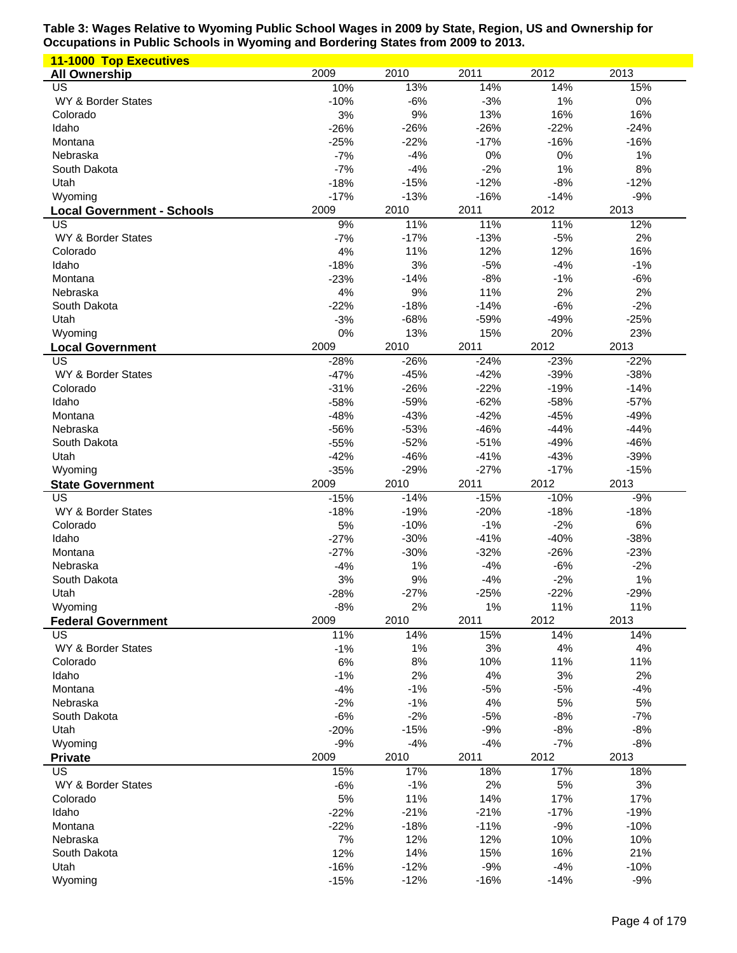| <b>11-1000 Top Executives</b>     |                  |                  |                 |                 |                 |
|-----------------------------------|------------------|------------------|-----------------|-----------------|-----------------|
| <b>All Ownership</b>              | 2009             | 2010             | 2011            | 2012            | 2013            |
| US                                | 10%              | 13%              | 14%             | 14%             | 15%             |
| WY & Border States                | $-10%$           | $-6%$            | $-3%$           | 1%              | 0%              |
| Colorado                          | 3%               | $9%$             | 13%             | 16%             | 16%             |
| Idaho                             | $-26%$           | $-26%$           | $-26%$          | $-22%$          | $-24%$          |
| Montana                           | $-25%$           | $-22%$           | $-17%$          | $-16%$          | $-16%$          |
| Nebraska                          | $-7%$            | $-4%$            | 0%              | 0%              | 1%              |
| South Dakota                      | $-7%$            | $-4%$            | $-2%$           | 1%              | 8%              |
| Utah                              | $-18%$           | $-15%$           | $-12%$          | $-8%$           | $-12%$          |
| Wyoming                           | $-17%$           | $-13%$           | $-16%$          | $-14%$          | $-9%$           |
| <b>Local Government - Schools</b> | 2009             | 2010             | 2011            | 2012            | 2013            |
| US                                | 9%               | 11%              | 11%             | 11%             | 12%             |
| WY & Border States                | $-7%$            | $-17%$           | $-13%$          | $-5%$           | 2%              |
| Colorado                          | 4%               | 11%              | 12%             | 12%             | 16%             |
| Idaho                             | $-18%$           | 3%               | $-5%$           | $-4%$           | $-1%$           |
| Montana                           | $-23%$           | $-14%$           | $-8%$           | $-1%$           | $-6%$           |
| Nebraska                          | 4%               | $9%$             | 11%             | 2%              | 2%              |
| South Dakota                      | $-22%$           | $-18%$           | $-14%$          | $-6%$           | $-2%$           |
| Utah                              | $-3%$            | $-68%$           | $-59%$          | $-49%$          | $-25%$          |
| Wyoming                           | 0%               | 13%              | 15%             | 20%             | 23%             |
| <b>Local Government</b>           | 2009             | 2010             | 2011            | 2012            | 2013            |
| US                                | $-28%$           | $-26%$           | $-24%$          | $-23%$          | $-22%$          |
| WY & Border States                | $-47%$           | $-45%$           | $-42%$          | $-39%$          | $-38%$          |
| Colorado                          | $-31%$           | $-26%$           | $-22%$          | $-19%$          | $-14%$          |
| Idaho                             | $-58%$           | $-59%$           | $-62%$          | $-58%$          | $-57%$          |
| Montana                           | $-48%$           | $-43%$           | $-42%$          | $-45%$          | $-49%$          |
| Nebraska                          | $-56%$           | $-53%$           | $-46%$          | $-44%$          | $-44%$          |
| South Dakota                      | $-55%$           | $-52%$           | $-51%$          | $-49%$          | $-46%$          |
| Utah                              | $-42%$           | $-46%$           | $-41%$          | $-43%$          | $-39%$          |
| Wyoming                           | $-35%$           | $-29%$           | $-27%$          | $-17%$          | $-15%$          |
|                                   |                  |                  |                 |                 |                 |
|                                   |                  |                  |                 |                 |                 |
| <b>State Government</b>           | 2009             | 2010             | 2011            | 2012            | 2013            |
| US                                | $-15%$           | $-14%$           | $-15%$          | $-10%$          | $-9%$           |
| WY & Border States                | $-18%$           | $-19%$           | $-20%$          | $-18%$          | $-18%$          |
| Colorado                          | 5%               | $-10%$           | $-1%$           | $-2%$           | 6%              |
| Idaho                             | $-27%$           | $-30%$           | $-41%$          | $-40%$          | $-38%$          |
| Montana                           | $-27%$           | $-30%$           | $-32%$          | $-26%$          | $-23%$          |
| Nebraska                          | $-4%$            | 1%               | $-4%$           | $-6%$           | $-2%$           |
| South Dakota                      | 3%               | 9%               | $-4%$           | $-2%$           | 1%              |
| Utah                              | $-28%$           | $-27%$           | $-25%$          | $-22%$          | $-29%$          |
| Wyoming                           | $-8%$            | 2%               | 1%              | 11%             | 11%             |
| <b>Federal Government</b>         | 2009             | 2010             | 2011            | 2012            | 2013            |
| US                                | 11%              | 14%              | 15%             | 14%             | 14%             |
| WY & Border States                | $-1%$            | 1%               | 3%              | 4%              | 4%              |
| Colorado                          | $6\%$            | 8%               | 10%             | 11%             | 11%             |
| Idaho                             | $-1%$            | 2%               | 4%              | 3%              | 2%              |
| Montana                           | $-4%$            | $-1%$            | $-5%$           | $-5%$           | $-4%$           |
| Nebraska                          | $-2%$            | $-1%$            | 4%              | 5%              | 5%              |
| South Dakota                      | $-6%$            | $-2%$            | $-5%$           | $-8%$           | $-7%$           |
| Utah                              | $-20%$           | $-15%$           | $-9%$           | $-8%$           | $-8%$           |
| Wyoming                           | $-9%$            | $-4%$            | $-4%$           | $-7%$           | $-8%$           |
| <b>Private</b>                    | 2009             | 2010             | 2011            | 2012            | 2013            |
| US                                | 15%              | 17%              | 18%             | 17%             | 18%             |
| WY & Border States                | $-6%$            | $-1%$            | 2%              | 5%              | $3%$            |
| Colorado                          | 5%               | 11%              | 14%             | 17%             | 17%             |
| Idaho                             | $-22%$           | $-21%$           | $-21%$          | $-17%$          | $-19%$          |
| Montana                           | $-22%$           | $-18%$           | $-11%$          | $-9%$           | $-10%$          |
| Nebraska                          | 7%               | 12%              | 12%             | 10%             | 10%             |
| South Dakota                      | 12%              | 14%              | 15%             | 16%             | 21%             |
| Utah<br>Wyoming                   | $-16%$<br>$-15%$ | $-12%$<br>$-12%$ | $-9%$<br>$-16%$ | $-4%$<br>$-14%$ | $-10%$<br>$-9%$ |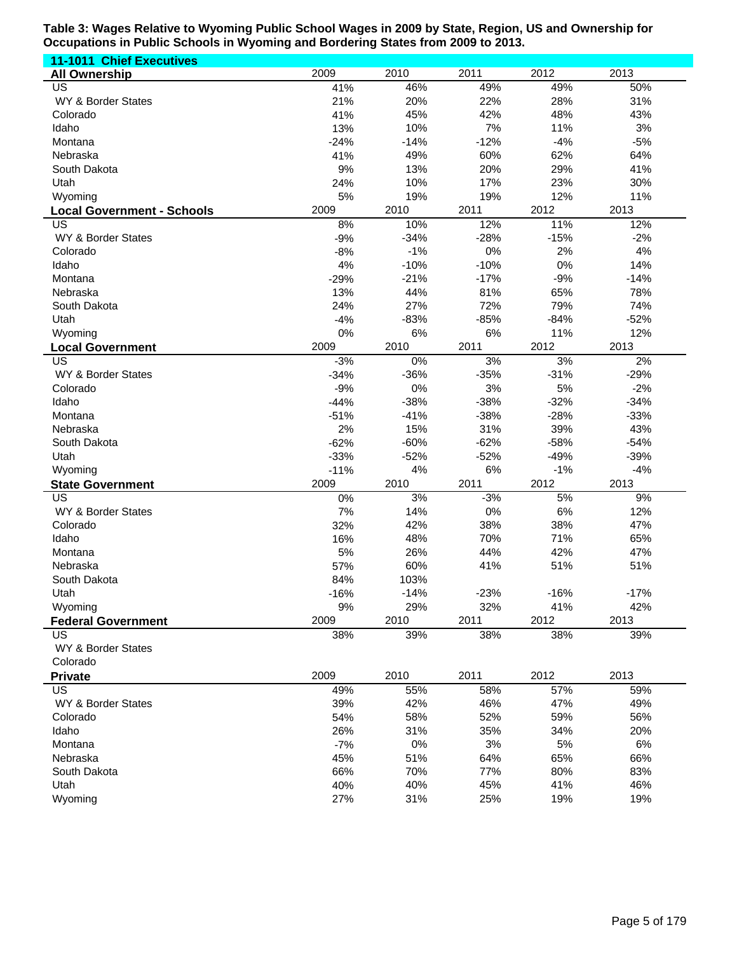| <b>11-1011 Chief Executives</b>    |                |        |            |            |        |
|------------------------------------|----------------|--------|------------|------------|--------|
| <b>All Ownership</b>               | 2009           | 2010   | 2011       | 2012       | 2013   |
| US                                 | 41%            | 46%    | 49%        | 49%        | 50%    |
| WY & Border States                 | 21%            | 20%    | 22%        | 28%        | 31%    |
| Colorado                           | 41%            | 45%    | 42%        | 48%        | 43%    |
| Idaho                              | 13%            | 10%    | 7%         | 11%        | 3%     |
| Montana                            | $-24%$         | $-14%$ | $-12%$     | $-4%$      | $-5%$  |
| Nebraska                           | 41%            | 49%    | 60%        | 62%        | 64%    |
| South Dakota                       | 9%             | 13%    | 20%        | 29%        | 41%    |
| Utah                               | 24%            | 10%    | 17%        | 23%        | 30%    |
| Wyoming                            | 5%             | 19%    | 19%        | 12%        | 11%    |
| <b>Local Government - Schools</b>  | 2009           | 2010   | 2011       | 2012       | 2013   |
| US                                 | 8%             | 10%    | 12%        | 11%        | 12%    |
| WY & Border States                 | $-9%$          | $-34%$ | $-28%$     | $-15%$     | $-2%$  |
| Colorado                           | $-8%$          | $-1%$  | 0%         | 2%         | 4%     |
| Idaho                              | 4%             | $-10%$ | $-10%$     | 0%         | 14%    |
| Montana                            | $-29%$         | $-21%$ | $-17%$     | $-9%$      | $-14%$ |
| Nebraska                           | 13%            | 44%    | 81%        | 65%        | 78%    |
| South Dakota                       | 24%            | 27%    | 72%        | 79%        | 74%    |
| Utah                               | $-4%$          | $-83%$ | $-85%$     | $-84%$     | $-52%$ |
| Wyoming                            | 0%             | 6%     | 6%         | 11%        | 12%    |
| <b>Local Government</b>            | 2009           | 2010   | 2011       | 2012       | 2013   |
| US                                 | $-3%$          | 0%     | 3%         | 3%         | 2%     |
| WY & Border States                 | $-34%$         | $-36%$ | $-35%$     | $-31%$     | $-29%$ |
| Colorado                           | $-9%$          | 0%     | 3%         | 5%         | $-2%$  |
| Idaho                              | $-44%$         | $-38%$ | $-38%$     | $-32%$     | $-34%$ |
| Montana                            | $-51%$         | $-41%$ | $-38%$     | $-28%$     | $-33%$ |
| Nebraska                           | 2%             | 15%    | 31%        | 39%        | 43%    |
| South Dakota                       | $-62%$         | $-60%$ | $-62%$     | $-58%$     | $-54%$ |
| Utah                               | $-33%$         | $-52%$ | $-52%$     | $-49%$     | $-39%$ |
|                                    |                | 4%     | $6\%$      | $-1%$      | $-4%$  |
| Wyoming<br><b>State Government</b> | $-11%$<br>2009 | 2010   | 2011       | 2012       | 2013   |
| US                                 | 0%             | 3%     | $-3%$      | 5%         | 9%     |
| WY & Border States                 | 7%             | 14%    | 0%         | 6%         | 12%    |
|                                    |                |        | 38%        | 38%        |        |
| Colorado                           | 32%            | 42%    |            |            | 47%    |
| Idaho<br>Montana                   | 16%            | 48%    | 70%<br>44% | 71%<br>42% | 65%    |
|                                    | 5%             | 26%    |            |            | 47%    |
| Nebraska                           | 57%            | 60%    | 41%        | 51%        | 51%    |
| South Dakota                       | 84%            | 103%   |            |            |        |
| Utah                               | $-16%$         | $-14%$ | $-23%$     | $-16%$     | $-17%$ |
| Wyoming                            | 9%             | 29%    | 32%        | 41%        | 42%    |
| <b>Federal Government</b>          | 2009           | 2010   | 2011       | 2012       | 2013   |
| US                                 | 38%            | 39%    | 38%        | 38%        | 39%    |
| WY & Border States                 |                |        |            |            |        |
| Colorado                           |                |        |            |            |        |
| <b>Private</b>                     | 2009           | 2010   | 2011       | 2012       | 2013   |
| US                                 | 49%            | 55%    | 58%        | 57%        | 59%    |
| WY & Border States                 | 39%            | 42%    | 46%        | 47%        | 49%    |
| Colorado                           | 54%            | 58%    | 52%        | 59%        | 56%    |
| Idaho                              | 26%            | 31%    | 35%        | 34%        | 20%    |
| Montana                            | $-7%$          | 0%     | 3%         | 5%         | 6%     |
| Nebraska                           | 45%            | 51%    | 64%        | 65%        | 66%    |
| South Dakota                       | 66%            | 70%    | 77%        | 80%        | 83%    |
| Utah                               | 40%            | 40%    | 45%        | 41%        | 46%    |
| Wyoming                            | 27%            | 31%    | 25%        | 19%        | 19%    |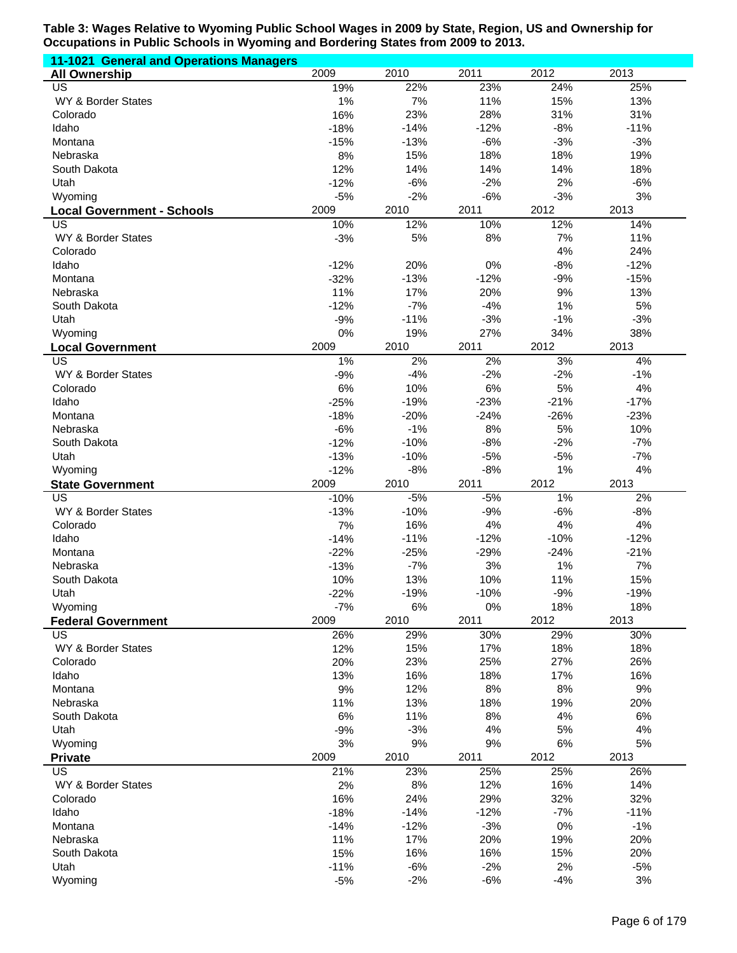| 11-1021 General and Operations Managers |                 |                |                |             |             |
|-----------------------------------------|-----------------|----------------|----------------|-------------|-------------|
| <b>All Ownership</b>                    | 2009            | 2010           | 2011           | 2012        | 2013        |
| US                                      | 19%             | 22%            | 23%            | 24%         | 25%         |
| WY & Border States                      | 1%              | 7%             | 11%            | 15%         | 13%         |
| Colorado                                | 16%             | 23%            | 28%            | 31%         | 31%         |
| Idaho                                   | $-18%$          | $-14%$         | $-12%$         | $-8%$       | $-11%$      |
| Montana                                 | $-15%$          | $-13%$         | $-6%$          | $-3%$       | $-3%$       |
| Nebraska                                | 8%              | 15%            | 18%            | 18%         | 19%         |
| South Dakota                            | 12%             | 14%            | 14%            | 14%         | 18%         |
| Utah                                    | $-12%$<br>$-5%$ | $-6%$<br>$-2%$ | $-2%$<br>$-6%$ | 2%<br>$-3%$ | $-6%$<br>3% |
| Wyoming                                 | 2009            | 2010           | 2011           | 2012        | 2013        |
| <b>Local Government - Schools</b><br>US | 10%             | 12%            | 10%            | 12%         | 14%         |
| WY & Border States                      | $-3%$           | 5%             | 8%             | 7%          | 11%         |
| Colorado                                |                 |                |                | 4%          | 24%         |
| Idaho                                   | $-12%$          | 20%            | 0%             | $-8%$       | $-12%$      |
| Montana                                 | $-32%$          | $-13%$         | $-12%$         | $-9%$       | $-15%$      |
| Nebraska                                | 11%             | 17%            | 20%            | 9%          | 13%         |
| South Dakota                            | $-12%$          | $-7%$          | $-4%$          | 1%          | 5%          |
| Utah                                    | $-9%$           | $-11%$         | $-3%$          | $-1%$       | $-3%$       |
| Wyoming                                 | 0%              | 19%            | 27%            | 34%         | 38%         |
| <b>Local Government</b>                 | 2009            | 2010           | 2011           | 2012        | 2013        |
| $\overline{\mathsf{US}}$                | 1%              | 2%             | 2%             | 3%          | 4%          |
| WY & Border States                      | $-9%$           | $-4%$          | $-2%$          | $-2%$       | $-1%$       |
| Colorado                                | 6%              | 10%            | 6%             | 5%          | 4%          |
| Idaho                                   | $-25%$          | $-19%$         | $-23%$         | $-21%$      | $-17%$      |
| Montana                                 | $-18%$          | $-20%$         | $-24%$         | $-26%$      | $-23%$      |
| Nebraska                                | $-6%$           | $-1%$          | 8%             | 5%          | 10%         |
| South Dakota                            | $-12%$          | $-10%$         | $-8%$          | $-2%$       | $-7%$       |
| Utah                                    | $-13%$          | $-10%$         | $-5%$          | $-5%$       | $-7%$       |
| Wyoming                                 | $-12%$          | $-8%$          | $-8%$          | 1%          | 4%          |
|                                         |                 |                |                |             |             |
| <b>State Government</b>                 | 2009            | 2010           | 2011           | 2012        | 2013        |
| $\overline{US}$                         | $-10%$          | $-5%$          | $-5%$          | 1%          | 2%          |
| WY & Border States                      | $-13%$          | $-10%$         | $-9%$          | $-6%$       | $-8%$       |
| Colorado                                | 7%              | 16%            | 4%             | 4%          | 4%          |
| Idaho                                   | $-14%$          | $-11%$         | $-12%$         | $-10%$      | $-12%$      |
| Montana                                 | $-22%$          | $-25%$         | $-29%$         | $-24%$      | $-21%$      |
| Nebraska                                | $-13%$          | $-7%$          | 3%             | 1%          | 7%          |
| South Dakota                            | 10%             | 13%            | 10%            | 11%         | 15%         |
| Utah                                    | $-22%$          | $-19%$         | $-10%$         | $-9%$       | $-19%$      |
| Wyoming                                 | $-7%$<br>2009   | 6%<br>2010     | 0%<br>2011     | 18%<br>2012 | 18%<br>2013 |
| <b>Federal Government</b><br><b>US</b>  | 26%             | 29%            | 30%            | 29%         | 30%         |
| WY & Border States                      | 12%             | 15%            | 17%            | 18%         | 18%         |
| Colorado                                | 20%             | 23%            | 25%            | 27%         | 26%         |
| Idaho                                   | 13%             | 16%            | 18%            | 17%         | 16%         |
| Montana                                 | 9%              | 12%            | 8%             | $8%$        | 9%          |
| Nebraska                                | 11%             | 13%            | 18%            | 19%         | 20%         |
| South Dakota                            | 6%              | 11%            | 8%             | 4%          | 6%          |
| Utah                                    | $-9%$           | $-3%$          | 4%             | 5%          | 4%          |
| Wyoming                                 | 3%              | 9%             | 9%             | $6\%$       | 5%          |
| <b>Private</b>                          | 2009            | 2010           | 2011           | 2012        | 2013        |
| <b>US</b>                               | 21%             | 23%            | 25%            | 25%         | 26%         |
| WY & Border States                      | 2%              | 8%             | 12%            | 16%         | 14%         |
| Colorado                                | 16%             | 24%            | 29%            | 32%         | 32%         |
| Idaho                                   | $-18%$          | $-14%$         | $-12%$         | $-7%$       | $-11%$      |
| Montana                                 | $-14%$          | $-12%$         | $-3%$          | 0%          | $-1%$       |
| Nebraska                                | 11%             | 17%            | 20%            | 19%         | 20%         |
| South Dakota                            | 15%             | 16%            | 16%            | 15%         | 20%         |
| Utah<br>Wyoming                         | $-11%$<br>$-5%$ | $-6%$<br>$-2%$ | $-2%$<br>$-6%$ | 2%<br>$-4%$ | $-5%$<br>3% |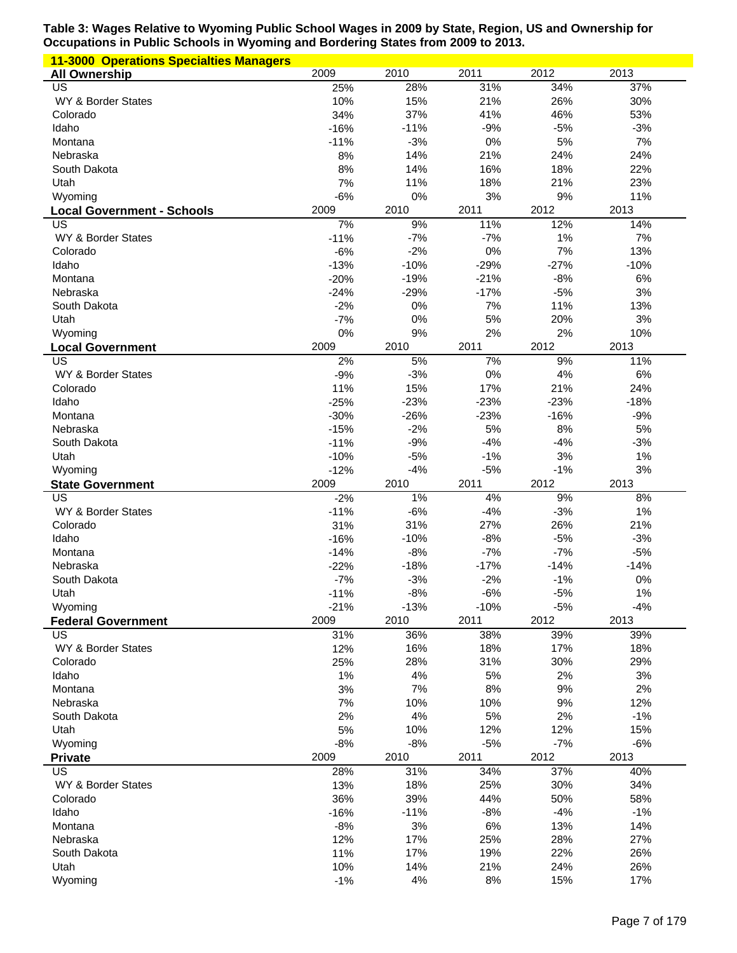| <b>11-3000 Operations Specialties Managers</b> |                  |                  |                  |                  |                 |
|------------------------------------------------|------------------|------------------|------------------|------------------|-----------------|
| <b>All Ownership</b>                           | 2009             | 2010             | 2011             | 2012             | 2013            |
| US                                             | 25%              | 28%              | 31%              | 34%              | 37%             |
| WY & Border States                             | 10%              | 15%              | 21%              | 26%              | 30%             |
| Colorado                                       | 34%              | 37%              | 41%              | 46%              | 53%             |
| Idaho                                          | $-16%$           | $-11%$           | $-9%$            | $-5%$            | $-3%$           |
| Montana                                        | $-11%$           | $-3%$            | 0%               | 5%               | 7%              |
| Nebraska<br>South Dakota                       | 8%<br>8%         | 14%<br>14%       | 21%<br>16%       | 24%<br>18%       | 24%<br>22%      |
| Utah                                           | 7%               | 11%              | 18%              | 21%              | 23%             |
| Wyoming                                        | $-6%$            | 0%               | 3%               | 9%               | 11%             |
| <b>Local Government - Schools</b>              | 2009             | 2010             | 2011             | 2012             | 2013            |
| US                                             | 7%               | 9%               | 11%              | 12%              | 14%             |
| WY & Border States                             | $-11%$           | $-7%$            | $-7%$            | 1%               | 7%              |
| Colorado                                       | $-6%$            | $-2%$            | 0%               | 7%               | 13%             |
| Idaho                                          | $-13%$           | $-10%$           | $-29%$           | $-27%$           | $-10%$          |
| Montana                                        | $-20%$           | $-19%$           | $-21%$           | $-8%$            | 6%              |
| Nebraska                                       | $-24%$           | $-29%$           | $-17%$           | $-5%$            | 3%              |
| South Dakota                                   | $-2%$            | 0%               | 7%               | 11%              | 13%             |
| Utah                                           | $-7%$            | 0%               | 5%               | 20%              | 3%              |
| Wyoming                                        | 0%               | 9%               | 2%               | 2%               | 10%             |
| <b>Local Government</b>                        | 2009             | 2010             | 2011             | 2012             | 2013            |
| US                                             | 2%               | 5%               | 7%               | 9%               | 11%             |
| WY & Border States                             | $-9%$            | $-3%$            | 0%               | 4%               | 6%              |
| Colorado                                       | 11%              | 15%              | 17%              | 21%              | 24%             |
| Idaho<br>Montana                               | $-25%$<br>$-30%$ | $-23%$<br>$-26%$ | $-23%$<br>$-23%$ | $-23%$<br>$-16%$ | $-18%$<br>$-9%$ |
| Nebraska                                       | $-15%$           | $-2%$            | 5%               | 8%               | 5%              |
| South Dakota                                   | $-11%$           | $-9%$            | $-4%$            | $-4%$            | $-3%$           |
| Utah                                           | $-10%$           | $-5%$            | $-1%$            | 3%               | 1%              |
| Wyoming                                        | $-12%$           | $-4%$            | $-5%$            | $-1%$            | 3%              |
| <b>State Government</b>                        | 2009             | 2010             | 2011             | 2012             | 2013            |
| US                                             | $-2%$            | 1%               | 4%               | 9%               | 8%              |
| WY & Border States                             | $-11%$           | $-6%$            | $-4%$            | $-3%$            | 1%              |
| Colorado                                       | 31%              | 31%              | 27%              | 26%              | 21%             |
| Idaho                                          | $-16%$           | $-10%$           | $-8%$            | $-5%$            | $-3%$           |
| Montana                                        | $-14%$           | $-8%$            | $-7%$            | $-7%$            | $-5%$           |
| Nebraska                                       | $-22%$           | $-18%$           | $-17%$           | $-14%$           | $-14%$          |
| South Dakota                                   | $-7%$            | $-3%$            | $-2%$            | $-1%$            | 0%              |
| Utah                                           | $-11%$           | $-8%$<br>$-13%$  | $-6%$            | $-5%$            | $1\%$<br>$-4%$  |
| Wyoming<br><b>Federal Government</b>           | $-21%$<br>2009   | 2010             | $-10%$<br>2011   | $-5%$<br>2012    | 2013            |
| US                                             | 31%              | 36%              | 38%              | 39%              | 39%             |
| WY & Border States                             | 12%              | 16%              | 18%              | 17%              | 18%             |
| Colorado                                       | 25%              | 28%              | 31%              | 30%              | 29%             |
| Idaho                                          | 1%               |                  |                  |                  | 3%              |
| Montana                                        |                  |                  |                  |                  |                 |
|                                                |                  | 4%               | 5%               | 2%<br>9%         |                 |
| Nebraska                                       | 3%<br>7%         | 7%<br>10%        | 8%<br>10%        | 9%               | 2%<br>12%       |
| South Dakota                                   | 2%               | 4%               | 5%               | 2%               | $-1%$           |
| Utah                                           | 5%               | 10%              | 12%              | 12%              | 15%             |
| Wyoming                                        | $-8%$            | $-8%$            | $-5%$            | $-7%$            | $-6%$           |
| <b>Private</b>                                 | 2009             | 2010             | 2011             | 2012             | 2013            |
| US                                             | 28%              | 31%              | 34%              | 37%              | 40%             |
| WY & Border States                             | 13%              | 18%              | 25%              | 30%              | 34%             |
| Colorado                                       | 36%              | 39%              | 44%              | 50%              | 58%             |
| Idaho                                          | $-16%$           | $-11%$           | $-8%$            | $-4%$            | $-1%$           |
| Montana                                        | $-8%$            | 3%               | 6%               | 13%              | 14%             |
| Nebraska                                       | 12%              | 17%              | 25%              | 28%              | 27%             |
| South Dakota                                   | 11%              | 17%              | 19%              | 22%              | 26%             |
| Utah<br>Wyoming                                | 10%<br>$-1%$     | 14%<br>4%        | 21%<br>$8%$      | 24%<br>15%       | 26%<br>17%      |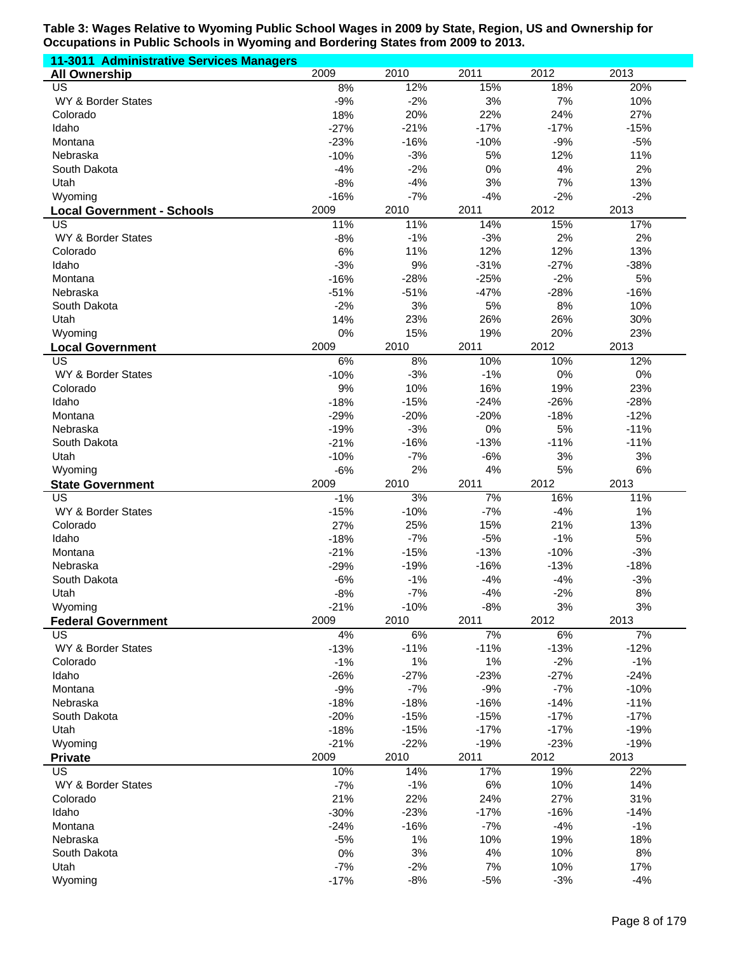| 11-3011 Administrative Services Managers |                  |                 |                 |                 |               |
|------------------------------------------|------------------|-----------------|-----------------|-----------------|---------------|
| <b>All Ownership</b>                     | 2009             | 2010            | 2011            | 2012            | 2013          |
| US                                       | 8%               | 12%             | 15%             | 18%             | 20%           |
| WY & Border States                       | $-9%$            | $-2%$           | 3%              | 7%              | 10%           |
| Colorado                                 | 18%              | 20%             | 22%             | 24%             | 27%           |
| Idaho                                    | $-27%$           | $-21%$          | $-17%$          | $-17%$          | $-15%$        |
| Montana                                  | $-23%$           | $-16%$          | $-10%$          | $-9%$           | $-5%$         |
| Nebraska                                 | $-10%$           | $-3%$           | 5%              | 12%             | 11%           |
| South Dakota                             | $-4%$            | $-2%$<br>$-4%$  | 0%<br>3%        | 4%<br>7%        | 2%<br>13%     |
| Utah<br>Wyoming                          | $-8%$<br>$-16%$  | $-7%$           | $-4%$           | $-2%$           | $-2%$         |
|                                          | 2009             | 2010            | 2011            | 2012            | 2013          |
| <b>Local Government - Schools</b><br>US  | 11%              | 11%             | 14%             | 15%             | 17%           |
| WY & Border States                       | $-8%$            | $-1%$           | $-3%$           | 2%              | 2%            |
| Colorado                                 | 6%               | 11%             | 12%             | 12%             | 13%           |
| Idaho                                    | $-3%$            | 9%              | $-31%$          | $-27%$          | $-38%$        |
| Montana                                  | $-16%$           | $-28%$          | $-25%$          | $-2%$           | 5%            |
| Nebraska                                 | $-51%$           | $-51%$          | $-47%$          | $-28%$          | $-16%$        |
| South Dakota                             | $-2%$            | 3%              | 5%              | 8%              | 10%           |
| Utah                                     | 14%              | 23%             | 26%             | 26%             | 30%           |
| Wyoming                                  | 0%               | 15%             | 19%             | 20%             | 23%           |
| <b>Local Government</b>                  | 2009             | 2010            | 2011            | 2012            | 2013          |
| $\overline{\mathsf{US}}$                 | 6%               | 8%              | 10%             | 10%             | 12%           |
| WY & Border States                       | $-10%$           | $-3%$           | $-1%$           | 0%              | 0%            |
| Colorado                                 | 9%               | 10%             | 16%             | 19%             | 23%           |
| Idaho                                    | $-18%$           | $-15%$          | $-24%$          | $-26%$          | $-28%$        |
| Montana                                  | $-29%$           | $-20%$          | $-20%$          | $-18%$          | $-12%$        |
| Nebraska                                 | $-19%$           | $-3%$           | 0%              | 5%              | $-11%$        |
| South Dakota                             | $-21%$           | $-16%$          | $-13%$          | $-11%$          | $-11%$        |
| Utah<br>Wyoming                          | $-10%$           | $-7%$<br>2%     | $-6%$<br>4%     | 3%<br>5%        | 3%<br>6%      |
|                                          | $-6%$            |                 |                 |                 |               |
|                                          |                  |                 |                 |                 |               |
| <b>State Government</b>                  | 2009             | 2010            | 2011            | 2012            | 2013          |
| US                                       | $-1%$            | 3%              | 7%              | 16%             | 11%           |
| WY & Border States                       | $-15%$           | $-10%$          | $-7%$           | $-4%$           | 1%            |
| Colorado                                 | 27%              | 25%             | 15%             | 21%             | 13%           |
| Idaho<br>Montana                         | $-18%$<br>$-21%$ | $-7%$<br>$-15%$ | $-5%$<br>$-13%$ | $-1%$<br>$-10%$ | 5%<br>$-3%$   |
| Nebraska                                 | $-29%$           | $-19%$          | $-16%$          | $-13%$          | $-18%$        |
| South Dakota                             | $-6%$            | $-1%$           | $-4%$           | $-4%$           | $-3%$         |
| Utah                                     | $-8%$            | $-7%$           | $-4%$           | $-2%$           | $8\%$         |
| Wyoming                                  | $-21%$           | $-10%$          | $-8%$           | 3%              | 3%            |
| <b>Federal Government</b>                | 2009             | 2010            | 2011            | 2012            | 2013          |
| <b>US</b>                                | 4%               | 6%              | 7%              | 6%              | 7%            |
| WY & Border States                       | $-13%$           | $-11%$          | $-11%$          | $-13%$          | $-12%$        |
| Colorado                                 | $-1%$            | 1%              | $1\%$           | $-2%$           | $-1%$         |
| Idaho                                    | $-26%$           | $-27%$          | $-23%$          | $-27%$          | $-24%$        |
| Montana                                  | $-9%$            | $-7%$           | $-9%$           | $-7%$           | $-10%$        |
| Nebraska                                 | $-18%$           | $-18%$          | $-16%$          | $-14%$          | $-11%$        |
| South Dakota                             | $-20%$           | $-15%$          | $-15%$          | $-17%$          | $-17%$        |
| Utah                                     | $-18%$           | $-15%$          | $-17%$          | $-17%$          | $-19%$        |
| Wyoming                                  | $-21%$           | $-22%$          | $-19%$          | $-23%$          | $-19%$        |
| <b>Private</b>                           | 2009             | 2010            | 2011            | 2012            | 2013          |
| <b>US</b>                                | 10%              | 14%             | 17%             | 19%             | 22%           |
| WY & Border States<br>Colorado           | $-7%$            | $-1%$           | 6%              | 10%             | 14%           |
| Idaho                                    | 21%<br>$-30%$    | 22%<br>$-23%$   | 24%<br>$-17%$   | 27%<br>$-16%$   | 31%<br>$-14%$ |
| Montana                                  | $-24%$           | $-16%$          | $-7%$           | $-4%$           | $-1%$         |
| Nebraska                                 | $-5%$            | 1%              | 10%             | 19%             | 18%           |
| South Dakota                             | 0%               | $3%$            | 4%              | 10%             | 8%            |
| Utah                                     | $-7%$            | $-2%$           | 7%              | 10%             | 17%           |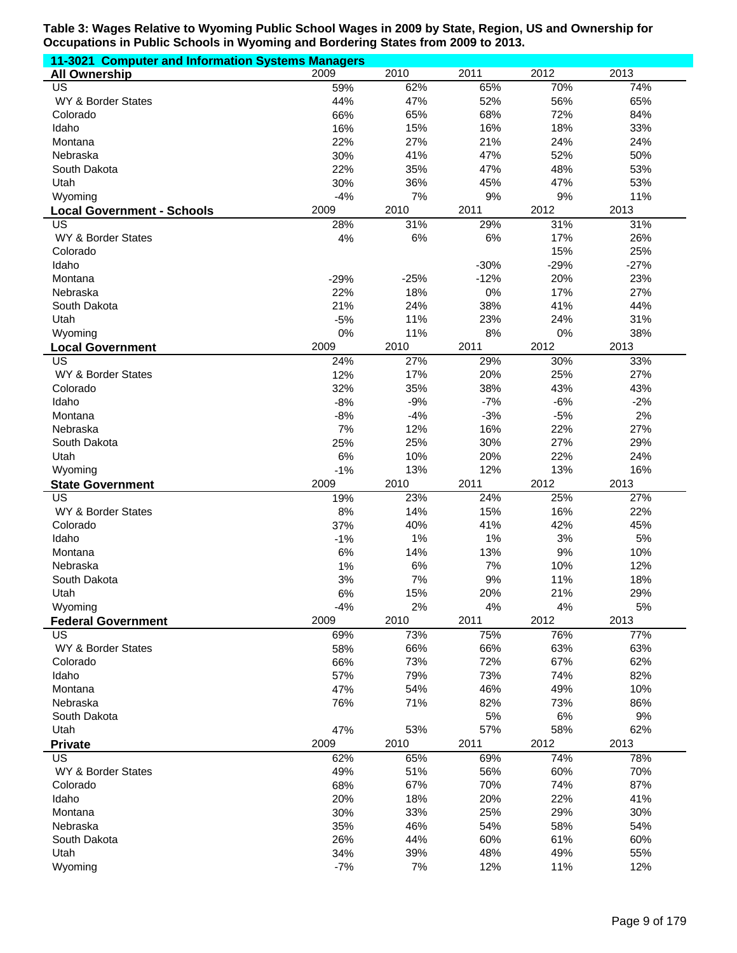| 11-3021 Computer and Information Systems Managers |             |           |           |            |            |
|---------------------------------------------------|-------------|-----------|-----------|------------|------------|
| <b>All Ownership</b>                              | 2009        | 2010      | 2011      | 2012       | 2013       |
| US                                                | 59%         | 62%       | 65%       | 70%        | 74%        |
| WY & Border States                                | 44%         | 47%       | 52%       | 56%        | 65%        |
| Colorado                                          | 66%         | 65%       | 68%       | 72%        | 84%        |
| Idaho                                             | 16%         | 15%       | 16%       | 18%        | 33%        |
| Montana                                           | 22%         | 27%       | 21%       | 24%        | 24%        |
| Nebraska                                          | 30%         | 41%       | 47%       | 52%        | 50%        |
| South Dakota                                      | 22%         | 35%       | 47%       | 48%        | 53%        |
| Utah                                              | 30%         | 36%       | 45%       | 47%        | 53%        |
| Wyoming                                           | $-4%$       | 7%        | 9%        | 9%         | 11%        |
| <b>Local Government - Schools</b>                 | 2009        | 2010      | 2011      | 2012       | 2013       |
| US<br>WY & Border States                          | 28%<br>4%   | 31%<br>6% | 29%<br>6% | 31%<br>17% | 31%<br>26% |
| Colorado                                          |             |           |           | 15%        | 25%        |
| Idaho                                             |             |           | $-30%$    | $-29%$     | $-27%$     |
| Montana                                           | $-29%$      | $-25%$    | $-12%$    | 20%        | 23%        |
| Nebraska                                          | 22%         | 18%       | 0%        | 17%        | 27%        |
| South Dakota                                      | 21%         | 24%       | 38%       | 41%        | 44%        |
| Utah                                              | $-5%$       | 11%       | 23%       | 24%        | 31%        |
| Wyoming                                           | 0%          | 11%       | 8%        | 0%         | 38%        |
| <b>Local Government</b>                           | 2009        | 2010      | 2011      | 2012       | 2013       |
| $\overline{\mathsf{US}}$                          | 24%         | 27%       | 29%       | 30%        | 33%        |
| WY & Border States                                | 12%         | 17%       | 20%       | 25%        | 27%        |
| Colorado                                          | 32%         | 35%       | 38%       | 43%        | 43%        |
| Idaho                                             | $-8%$       | $-9%$     | $-7%$     | $-6%$      | $-2%$      |
| Montana                                           | $-8%$       | $-4%$     | $-3%$     | $-5%$      | 2%         |
| Nebraska                                          | 7%          | 12%       | 16%       | 22%        | 27%        |
| South Dakota                                      | 25%         | 25%       | 30%       | 27%        | 29%        |
| Utah                                              | 6%          | 10%       | 20%       | 22%        | 24%        |
| Wyoming                                           | $-1%$       | 13%       | 12%       | 13%        | 16%        |
| <b>State Government</b>                           | 2009        | 2010      | 2011      | 2012       | 2013       |
| $\overline{US}$                                   | 19%         | 23%       | 24%       | 25%        | 27%        |
| WY & Border States                                | 8%          | 14%       | 15%       | 16%        | 22%        |
| Colorado                                          | 37%         | 40%       | 41%       | 42%        | 45%        |
| Idaho                                             | $-1%$       | 1%        | 1%        | 3%         | 5%         |
| Montana                                           | 6%          | 14%       | 13%       | 9%         | 10%        |
| Nebraska                                          | 1%          | 6%        | 7%        | 10%        | 12%        |
| South Dakota                                      | 3%          | 7%        | 9%        | 11%        | 18%        |
| Utah                                              | 6%<br>$-4%$ | 15%<br>2% | 20%<br>4% | 21%<br>4%  | 29%<br>5%  |
| Wyoming<br><b>Federal Government</b>              | 2009        | 2010      | 2011      | 2012       | 2013       |
| <b>US</b>                                         | 69%         | 73%       | 75%       | 76%        | 77%        |
| WY & Border States                                | 58%         | 66%       | 66%       | 63%        | 63%        |
| Colorado                                          | 66%         | 73%       | 72%       | 67%        | 62%        |
| Idaho                                             | 57%         | 79%       | 73%       | 74%        | 82%        |
| Montana                                           | 47%         | 54%       | 46%       | 49%        | 10%        |
| Nebraska                                          | 76%         | 71%       | 82%       | 73%        | 86%        |
| South Dakota                                      |             |           | 5%        | $6\%$      | 9%         |
| Utah                                              | 47%         | 53%       | 57%       | 58%        | 62%        |
| <b>Private</b>                                    | 2009        | 2010      | 2011      | 2012       | 2013       |
| US                                                | 62%         | 65%       | 69%       | 74%        | 78%        |
| WY & Border States                                | 49%         | 51%       | 56%       | 60%        | 70%        |
| Colorado                                          | 68%         | 67%       | 70%       | 74%        | 87%        |
| Idaho                                             | 20%         | 18%       | 20%       | 22%        | 41%        |
| Montana                                           | 30%         | 33%       | 25%       | 29%        | 30%        |
| Nebraska                                          | 35%         | 46%       | 54%       | 58%        | 54%        |
| South Dakota                                      | 26%         | 44%       | 60%       | 61%        | 60%        |
| Utah                                              | 34%         | 39%       | 48%       | 49%        | 55%        |
| Wyoming                                           | $-7%$       | 7%        | 12%       | 11%        | 12%        |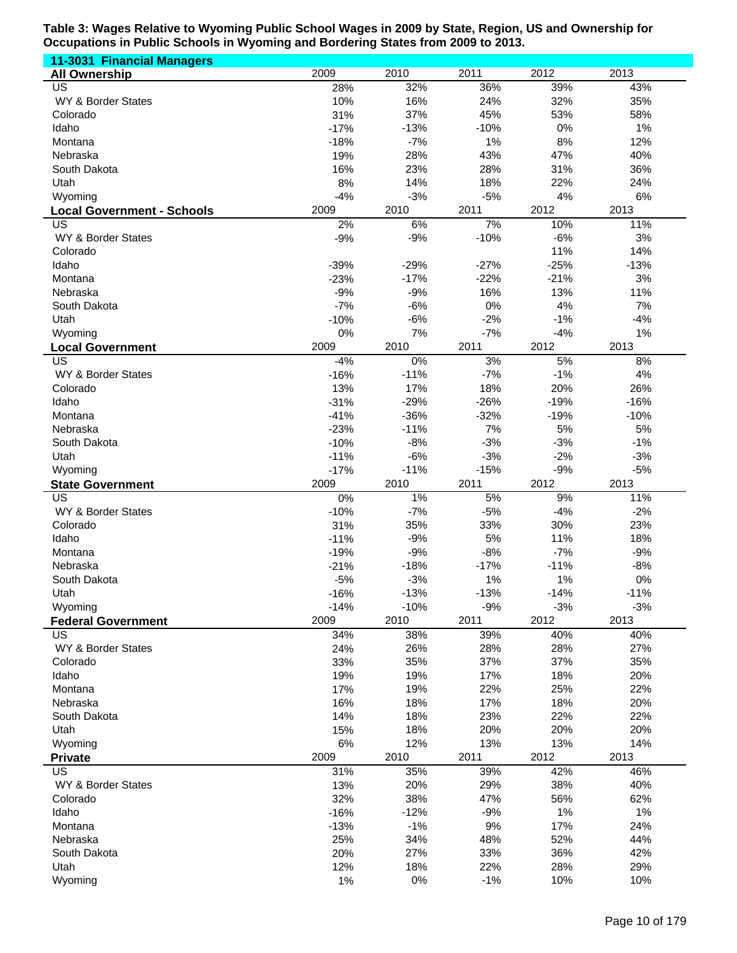| 11-3031 Financial Managers              |               |              |              |              |              |
|-----------------------------------------|---------------|--------------|--------------|--------------|--------------|
| <b>All Ownership</b>                    | 2009          | 2010         | 2011         | 2012         | 2013         |
| US                                      | 28%           | 32%          | 36%          | 39%          | 43%          |
| WY & Border States                      | 10%           | 16%          | 24%          | 32%          | 35%          |
| Colorado                                | 31%           | 37%          | 45%          | 53%          | 58%          |
| Idaho                                   | $-17%$        | $-13%$       | $-10%$       | 0%           | 1%           |
| Montana                                 | $-18%$        | $-7%$        | 1%           | 8%           | 12%          |
| Nebraska                                | 19%           | 28%          | 43%          | 47%          | 40%          |
| South Dakota                            | 16%           | 23%          | 28%          | 31%<br>22%   | 36%          |
| Utah                                    | 8%<br>$-4%$   | 14%<br>$-3%$ | 18%<br>$-5%$ | 4%           | 24%<br>6%    |
| Wyoming                                 | 2009          | 2010         | 2011         | 2012         | 2013         |
| <b>Local Government - Schools</b><br>US | 2%            | 6%           | 7%           | 10%          | 11%          |
| WY & Border States                      | $-9%$         | $-9%$        | $-10%$       | $-6%$        | 3%           |
| Colorado                                |               |              |              | 11%          | 14%          |
| Idaho                                   | $-39%$        | $-29%$       | $-27%$       | $-25%$       | $-13%$       |
| Montana                                 | $-23%$        | $-17%$       | $-22%$       | $-21%$       | 3%           |
| Nebraska                                | $-9%$         | $-9%$        | 16%          | 13%          | 11%          |
| South Dakota                            | $-7%$         | $-6%$        | 0%           | 4%           | 7%           |
| Utah                                    | $-10%$        | $-6%$        | $-2%$        | $-1%$        | $-4%$        |
| Wyoming                                 | 0%            | 7%           | $-7%$        | $-4%$        | 1%           |
| <b>Local Government</b>                 | 2009          | 2010         | 2011         | 2012         | 2013         |
| $\overline{\mathsf{US}}$                | $-4%$         | 0%           | 3%           | 5%           | 8%           |
| WY & Border States                      | $-16%$        | $-11%$       | $-7%$        | $-1%$        | 4%           |
| Colorado                                | 13%           | 17%          | 18%          | 20%          | 26%          |
| Idaho                                   | $-31%$        | $-29%$       | $-26%$       | $-19%$       | $-16%$       |
| Montana                                 | $-41%$        | $-36%$       | $-32%$       | $-19%$       | $-10%$       |
| Nebraska                                | $-23%$        | $-11%$       | 7%           | 5%           | 5%           |
| South Dakota                            | $-10%$        | $-8%$        | $-3%$        | $-3%$        | $-1%$        |
| Utah                                    | $-11%$        | $-6%$        | $-3%$        | $-2%$        | $-3%$        |
| Wyoming                                 | $-17%$        | $-11%$       | $-15%$       | $-9%$        | $-5%$        |
| <b>State Government</b>                 | 2009          | 2010         | 2011         | 2012         | 2013         |
| US<br>WY & Border States                | 0%            | $1\%$        | 5%<br>$-5%$  | 9%           | 11%          |
| Colorado                                | $-10%$<br>31% | $-7%$<br>35% | 33%          | $-4%$<br>30% | $-2%$<br>23% |
| Idaho                                   | $-11%$        | $-9%$        | 5%           | 11%          | 18%          |
| Montana                                 | $-19%$        | $-9%$        | $-8%$        | $-7%$        | $-9%$        |
| Nebraska                                | $-21%$        | $-18%$       | $-17%$       | $-11%$       | $-8%$        |
| South Dakota                            | $-5%$         | $-3%$        | 1%           | 1%           | 0%           |
| Utah                                    | $-16%$        | $-13%$       | $-13%$       | $-14%$       | $-11%$       |
| Wyoming                                 | $-14%$        | $-10%$       | $-9%$        | $-3%$        | $-3%$        |
| <b>Federal Government</b>               | 2009          | 2010         | 2011         | 2012         | 2013         |
| <b>US</b>                               | 34%           | 38%          | 39%          | 40%          | 40%          |
| WY & Border States                      | 24%           | 26%          | 28%          | 28%          | 27%          |
| Colorado                                | 33%           | 35%          | 37%          | 37%          | 35%          |
| Idaho                                   | 19%           | 19%          | 17%          | 18%          | 20%          |
| Montana                                 | 17%           | 19%          | 22%          | 25%          | 22%          |
| Nebraska                                | 16%           | 18%          | 17%          | 18%          | 20%          |
| South Dakota                            | 14%           | 18%          | 23%          | 22%          | 22%          |
| Utah                                    | 15%           | 18%          | 20%          | 20%          | 20%          |
| Wyoming                                 | 6%            | 12%          | 13%          | 13%          | 14%          |
| <b>Private</b>                          | 2009          | 2010         | 2011         | 2012         | 2013         |
| <b>US</b>                               | 31%           | 35%          | 39%          | 42%          | 46%          |
| WY & Border States                      | 13%           | 20%          | 29%          | 38%          | 40%          |
| Colorado                                | 32%           | 38%          | 47%          | 56%          | 62%          |
| Idaho                                   | $-16%$        | $-12%$       | $-9%$        | 1%           | 1%           |
| Montana                                 | $-13%$        | $-1%$        | 9%           | 17%          | 24%          |
| Nebraska                                | 25%           | 34%<br>27%   | 48%          | 52%<br>36%   | 44%<br>42%   |
| South Dakota<br>Utah                    | 20%<br>12%    | 18%          | 33%<br>22%   | 28%          | 29%          |
| Wyoming                                 | 1%            | 0%           | $-1%$        | 10%          | 10%          |
|                                         |               |              |              |              |              |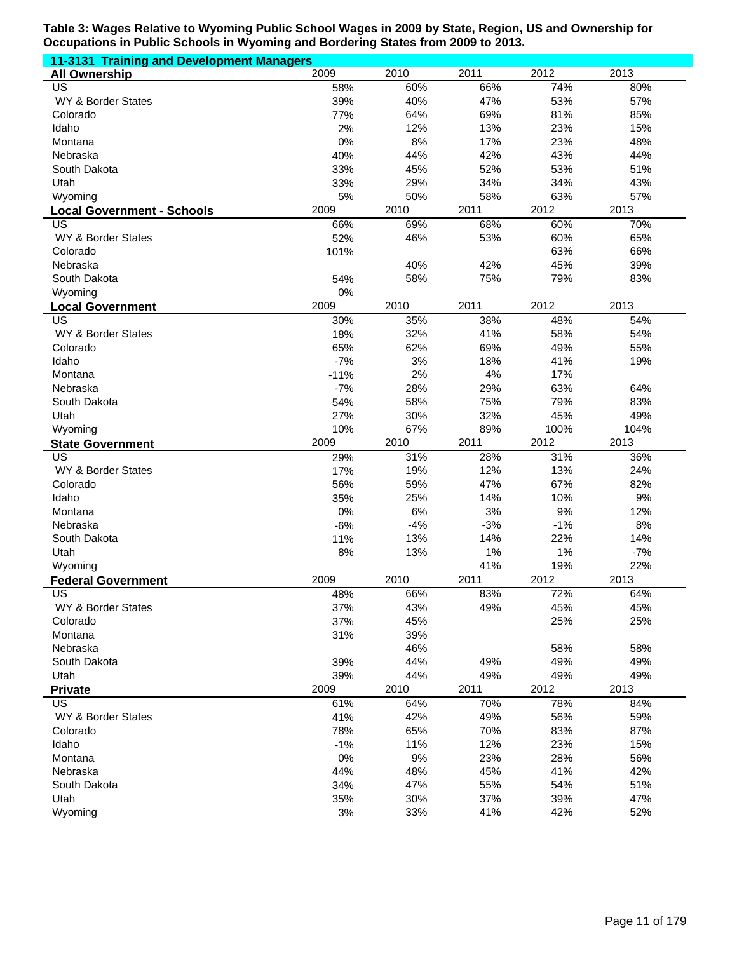| 11-3131 Training and Development Managers |        |       |       |       |       |
|-------------------------------------------|--------|-------|-------|-------|-------|
| <b>All Ownership</b>                      | 2009   | 2010  | 2011  | 2012  | 2013  |
| <b>US</b>                                 | 58%    | 60%   | 66%   | 74%   | 80%   |
| WY & Border States                        | 39%    | 40%   | 47%   | 53%   | 57%   |
| Colorado                                  | 77%    | 64%   | 69%   | 81%   | 85%   |
| Idaho                                     | 2%     | 12%   | 13%   | 23%   | 15%   |
| Montana                                   | 0%     | 8%    | 17%   | 23%   | 48%   |
| Nebraska                                  | 40%    | 44%   | 42%   | 43%   | 44%   |
| South Dakota                              | 33%    | 45%   | 52%   | 53%   | 51%   |
| Utah                                      | 33%    | 29%   | 34%   | 34%   | 43%   |
| Wyoming                                   | 5%     | 50%   | 58%   | 63%   | 57%   |
| <b>Local Government - Schools</b>         | 2009   | 2010  | 2011  | 2012  | 2013  |
| US                                        | 66%    | 69%   | 68%   | 60%   | 70%   |
| WY & Border States                        | 52%    | 46%   | 53%   | 60%   | 65%   |
| Colorado                                  | 101%   |       |       | 63%   | 66%   |
| Nebraska                                  |        | 40%   | 42%   | 45%   | 39%   |
| South Dakota                              | 54%    | 58%   | 75%   | 79%   | 83%   |
| Wyoming                                   | 0%     |       |       |       |       |
| <b>Local Government</b>                   | 2009   | 2010  | 2011  | 2012  | 2013  |
| <b>US</b>                                 | 30%    | 35%   | 38%   | 48%   | 54%   |
| WY & Border States                        | 18%    | 32%   | 41%   | 58%   | 54%   |
| Colorado                                  | 65%    | 62%   | 69%   | 49%   | 55%   |
| Idaho                                     | $-7%$  | 3%    | 18%   | 41%   | 19%   |
| Montana                                   | $-11%$ | 2%    | 4%    | 17%   |       |
| Nebraska                                  | $-7%$  | 28%   | 29%   | 63%   | 64%   |
| South Dakota                              | 54%    | 58%   | 75%   | 79%   | 83%   |
| Utah                                      | 27%    | 30%   | 32%   | 45%   | 49%   |
| Wyoming                                   | 10%    | 67%   | 89%   | 100%  | 104%  |
| <b>State Government</b>                   | 2009   | 2010  | 2011  | 2012  | 2013  |
| US                                        | 29%    | 31%   | 28%   | 31%   | 36%   |
| WY & Border States                        | 17%    | 19%   | 12%   | 13%   | 24%   |
| Colorado                                  | 56%    | 59%   | 47%   | 67%   | 82%   |
| Idaho                                     | 35%    | 25%   | 14%   | 10%   | 9%    |
| Montana                                   | 0%     | 6%    | 3%    | 9%    | 12%   |
| Nebraska                                  | $-6%$  | $-4%$ | $-3%$ | $-1%$ | 8%    |
| South Dakota                              | 11%    | 13%   | 14%   | 22%   | 14%   |
| Utah                                      | 8%     | 13%   | 1%    | 1%    |       |
| Wyoming                                   |        |       |       |       | $-7%$ |
|                                           |        |       | 41%   | 19%   | 22%   |
| <b>Federal Government</b>                 | 2009   | 2010  | 2011  | 2012  | 2013  |
| US                                        | 48%    | 66%   | 83%   | 72%   | 64%   |
| WY & Border States                        | 37%    | 43%   | 49%   | 45%   | 45%   |
| Colorado                                  | 37%    | 45%   |       | 25%   | 25%   |
| Montana                                   | 31%    | 39%   |       |       |       |
| Nebraska                                  |        | 46%   |       | 58%   | 58%   |
| South Dakota                              | 39%    | 44%   | 49%   | 49%   | 49%   |
| Utah                                      | 39%    | 44%   | 49%   | 49%   | 49%   |
| <b>Private</b>                            | 2009   | 2010  | 2011  | 2012  | 2013  |
| US                                        | 61%    | 64%   | 70%   | 78%   | 84%   |
| WY & Border States                        | 41%    | 42%   | 49%   | 56%   | 59%   |
| Colorado                                  | 78%    | 65%   | 70%   | 83%   | 87%   |
| Idaho                                     | $-1%$  | 11%   | 12%   | 23%   | 15%   |
| Montana                                   | $0\%$  | 9%    | 23%   | 28%   | 56%   |
| Nebraska                                  | 44%    | 48%   | 45%   | 41%   | 42%   |
| South Dakota                              | 34%    | 47%   | 55%   | 54%   | 51%   |
| Utah                                      | 35%    | 30%   | 37%   | 39%   | 47%   |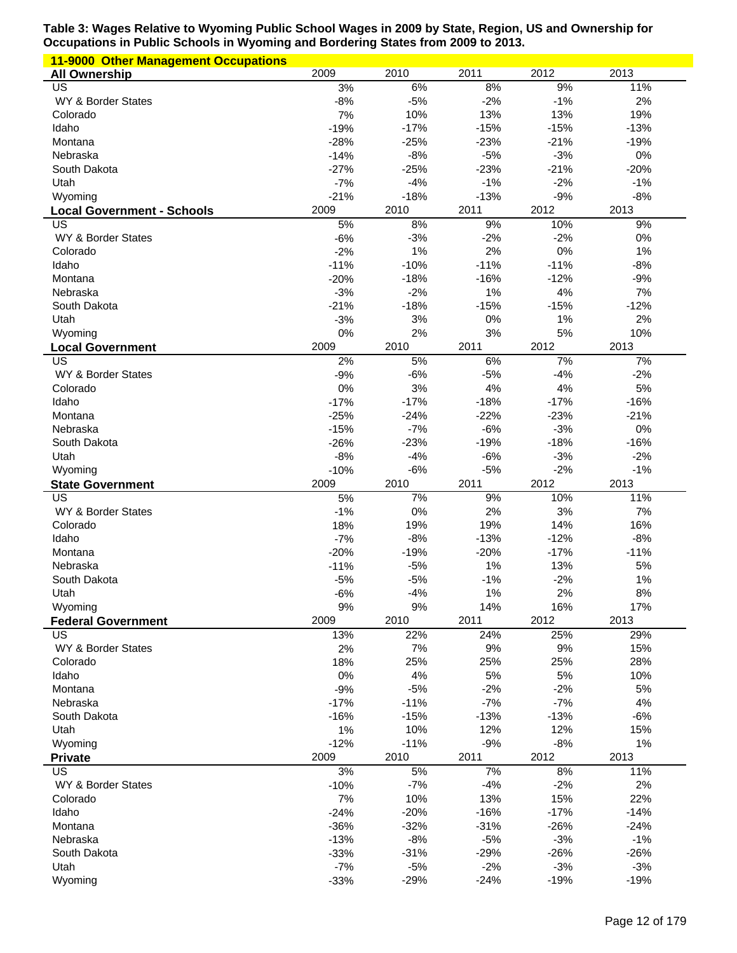| <b>11-9000 Other Management Occupations</b> |                 |                 |                 |                 |                 |
|---------------------------------------------|-----------------|-----------------|-----------------|-----------------|-----------------|
| <b>All Ownership</b>                        | 2009            | 2010            | 2011            | 2012            | 2013            |
| US                                          | 3%              | 6%              | 8%              | 9%              | 11%             |
| WY & Border States                          | $-8%$           | $-5%$           | $-2%$           | $-1%$           | 2%              |
| Colorado                                    | 7%              | 10%             | 13%             | 13%             | 19%             |
| Idaho                                       | $-19%$          | $-17%$          | $-15%$          | $-15%$          | $-13%$          |
| Montana                                     | $-28%$          | $-25%$          | $-23%$          | $-21%$          | $-19%$          |
| Nebraska                                    | $-14%$          | $-8%$           | $-5%$           | $-3%$           | 0%              |
| South Dakota                                | $-27%$          | $-25%$          | $-23%$          | $-21%$          | $-20%$          |
| Utah                                        | $-7%$           | $-4%$           | $-1%$           | $-2%$           | $-1%$           |
| Wyoming                                     | $-21%$          | $-18%$          | $-13%$          | $-9%$           | $-8%$           |
| <b>Local Government - Schools</b><br>US     | 2009<br>5%      | 2010<br>8%      | 2011<br>9%      | 2012<br>10%     | 2013<br>9%      |
| WY & Border States                          | $-6%$           | $-3%$           | $-2%$           | $-2%$           | 0%              |
| Colorado                                    | $-2%$           | 1%              | 2%              | 0%              | 1%              |
| Idaho                                       | $-11%$          | $-10%$          | $-11%$          | $-11%$          | $-8%$           |
| Montana                                     | $-20%$          | $-18%$          | $-16%$          | $-12%$          | $-9%$           |
| Nebraska                                    | $-3%$           | $-2%$           | 1%              | 4%              | 7%              |
| South Dakota                                | $-21%$          | $-18%$          | $-15%$          | $-15%$          | $-12%$          |
| Utah                                        | $-3%$           | 3%              | 0%              | 1%              | 2%              |
| Wyoming                                     | 0%              | 2%              | 3%              | 5%              | 10%             |
| <b>Local Government</b>                     | 2009            | 2010            | 2011            | 2012            | 2013            |
| US                                          | 2%              | 5%              | 6%              | 7%              | 7%              |
| WY & Border States                          | $-9%$           | $-6%$           | $-5%$           | $-4%$           | $-2%$           |
| Colorado                                    | 0%              | 3%              | 4%              | 4%              | 5%              |
| Idaho                                       | $-17%$          | $-17%$          | $-18%$          | $-17%$          | $-16%$          |
| Montana                                     | $-25%$          | $-24%$          | $-22%$          | $-23%$          | $-21%$          |
| Nebraska                                    | $-15%$          | $-7%$           | $-6%$           | $-3%$           | 0%              |
| South Dakota                                | $-26%$          | $-23%$          | $-19%$          | $-18%$          | $-16%$          |
| Utah                                        | $-8%$           | $-4%$           | $-6%$           | $-3%$           | $-2%$           |
| Wyoming                                     | $-10%$          | $-6%$           | $-5%$           | $-2%$           | $-1%$           |
| <b>State Government</b>                     | 2009            | 2010            | 2011            | 2012            | 2013            |
| US                                          | 5%              | 7%<br>0%        | 9%              | 10%<br>3%       | 11%<br>7%       |
|                                             |                 |                 | 2%              |                 |                 |
| WY & Border States                          | $-1%$           |                 |                 |                 |                 |
| Colorado                                    | 18%             | 19%             | 19%             | 14%             | 16%             |
| Idaho                                       | $-7%$           | $-8%$           | $-13%$          | $-12%$          | $-8%$           |
| Montana                                     | $-20%$          | $-19%$          | $-20%$          | $-17%$          | $-11%$          |
| Nebraska                                    | $-11%$          | $-5%$           | 1%              | 13%             | 5%              |
| South Dakota                                | $-5%$           | $-5%$           | $-1%$           | $-2%$           | 1%              |
| Utah                                        | $-6%$           | $-4%$           | 1%              | 2%              | $8\%$           |
| Wyoming                                     | 9%<br>2009      | 9%<br>2010      | 14%<br>2011     | 16%<br>2012     | 17%<br>2013     |
| <b>Federal Government</b><br>US             |                 | 22%             | 24%             | 25%             | 29%             |
| WY & Border States                          | 13%<br>2%       | 7%              | 9%              | 9%              | 15%             |
| Colorado                                    | 18%             | 25%             | 25%             | 25%             | 28%             |
| Idaho                                       | 0%              | 4%              | 5%              | 5%              | 10%             |
| Montana                                     | $-9%$           | $-5%$           | $-2%$           | $-2%$           | 5%              |
| Nebraska                                    | $-17%$          | $-11%$          | $-7%$           | $-7%$           | 4%              |
| South Dakota                                | $-16%$          | $-15%$          | $-13%$          | $-13%$          | $-6%$           |
| Utah                                        | 1%              | 10%             | 12%             | 12%             | 15%             |
| Wyoming                                     | $-12%$          | $-11%$          | $-9%$           | $-8%$           | 1%              |
| <b>Private</b>                              | 2009            | 2010            | 2011            | 2012            | 2013            |
| US                                          | 3%              | 5%              | 7%              | 8%              | 11%             |
| WY & Border States                          | $-10%$          | $-7%$           | $-4%$           | $-2%$           | 2%              |
| Colorado                                    | 7%              | 10%             | 13%             | 15%             | 22%             |
| Idaho                                       | $-24%$          | $-20%$          | $-16%$          | $-17%$          | $-14%$          |
| Montana                                     | $-36%$          | $-32%$          | $-31%$          | $-26%$          | $-24%$          |
| Nebraska                                    | $-13%$          | $-8%$           | $-5%$           | $-3%$           | $-1%$           |
| South Dakota                                | $-33%$          | $-31%$          | $-29%$          | $-26%$          | $-26%$          |
| Utah<br>Wyoming                             | $-7%$<br>$-33%$ | $-5%$<br>$-29%$ | $-2%$<br>$-24%$ | $-3%$<br>$-19%$ | $-3%$<br>$-19%$ |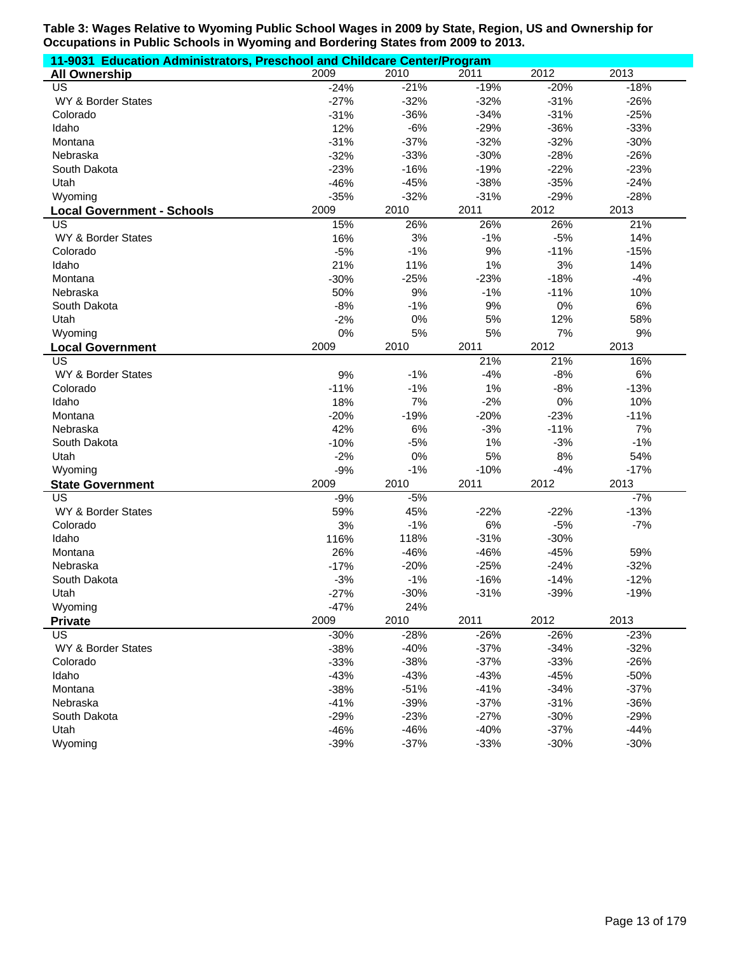| 11-9031 Education Administrators, Preschool and Childcare Center/Program |        |        |        |        |        |  |  |
|--------------------------------------------------------------------------|--------|--------|--------|--------|--------|--|--|
| <b>All Ownership</b>                                                     | 2009   | 2010   | 2011   | 2012   | 2013   |  |  |
| US                                                                       | $-24%$ | $-21%$ | $-19%$ | $-20%$ | $-18%$ |  |  |
| WY & Border States                                                       | $-27%$ | $-32%$ | $-32%$ | $-31%$ | $-26%$ |  |  |
| Colorado                                                                 | $-31%$ | $-36%$ | $-34%$ | $-31%$ | $-25%$ |  |  |
| Idaho                                                                    | 12%    | $-6%$  | $-29%$ | $-36%$ | $-33%$ |  |  |
| Montana                                                                  | $-31%$ | $-37%$ | $-32%$ | $-32%$ | $-30%$ |  |  |
| Nebraska                                                                 | $-32%$ | $-33%$ | $-30%$ | $-28%$ | $-26%$ |  |  |
| South Dakota                                                             | $-23%$ | $-16%$ | $-19%$ | $-22%$ | $-23%$ |  |  |
| Utah                                                                     | $-46%$ | $-45%$ | $-38%$ | $-35%$ | $-24%$ |  |  |
| Wyoming                                                                  | $-35%$ | $-32%$ | $-31%$ | $-29%$ | $-28%$ |  |  |
| <b>Local Government - Schools</b>                                        | 2009   | 2010   | 2011   | 2012   | 2013   |  |  |
| US                                                                       | 15%    | 26%    | 26%    | 26%    | 21%    |  |  |
| WY & Border States                                                       | 16%    | 3%     | $-1%$  | $-5%$  | 14%    |  |  |
| Colorado                                                                 | $-5%$  | $-1%$  | 9%     | $-11%$ | $-15%$ |  |  |
| Idaho                                                                    | 21%    | 11%    | 1%     | 3%     | 14%    |  |  |
| Montana                                                                  | $-30%$ | $-25%$ | $-23%$ | $-18%$ | $-4%$  |  |  |
| Nebraska                                                                 | 50%    | 9%     | $-1%$  | $-11%$ | 10%    |  |  |
| South Dakota                                                             | $-8%$  | $-1%$  | 9%     | $0\%$  | 6%     |  |  |
| Utah                                                                     | $-2%$  | 0%     | 5%     | 12%    | 58%    |  |  |
| Wyoming                                                                  | 0%     | 5%     | 5%     | 7%     | 9%     |  |  |
| <b>Local Government</b>                                                  | 2009   | 2010   | 2011   | 2012   | 2013   |  |  |
| US                                                                       |        |        | 21%    | 21%    | 16%    |  |  |
| WY & Border States                                                       | 9%     | $-1%$  | $-4%$  | $-8%$  | 6%     |  |  |
| Colorado                                                                 | $-11%$ | $-1%$  | 1%     | $-8%$  | $-13%$ |  |  |
| Idaho                                                                    | 18%    | 7%     | $-2%$  | 0%     | 10%    |  |  |
| Montana                                                                  | $-20%$ | $-19%$ | $-20%$ | $-23%$ | $-11%$ |  |  |
| Nebraska                                                                 | 42%    | 6%     | $-3%$  | $-11%$ | 7%     |  |  |
| South Dakota                                                             | $-10%$ | $-5%$  | 1%     | $-3%$  | $-1%$  |  |  |
| Utah                                                                     | $-2%$  | 0%     | 5%     | 8%     | 54%    |  |  |
| Wyoming                                                                  | $-9%$  | $-1%$  | $-10%$ | $-4%$  | $-17%$ |  |  |
| <b>State Government</b>                                                  | 2009   | 2010   | 2011   | 2012   | 2013   |  |  |
| $\overline{US}$                                                          | $-9%$  | $-5%$  |        |        | $-7%$  |  |  |
| WY & Border States                                                       | 59%    | 45%    | $-22%$ | $-22%$ | $-13%$ |  |  |
| Colorado                                                                 | 3%     | $-1%$  | 6%     | $-5%$  | $-7%$  |  |  |
| Idaho                                                                    | 116%   | 118%   | $-31%$ | $-30%$ |        |  |  |
| Montana                                                                  | 26%    | $-46%$ | $-46%$ | $-45%$ | 59%    |  |  |
| Nebraska                                                                 | $-17%$ | $-20%$ | $-25%$ | $-24%$ | $-32%$ |  |  |
| South Dakota                                                             | $-3%$  | $-1%$  | $-16%$ | $-14%$ | $-12%$ |  |  |
| Utah                                                                     | $-27%$ | $-30%$ | $-31%$ | $-39%$ | $-19%$ |  |  |
| Wyoming                                                                  | $-47%$ | 24%    |        |        |        |  |  |
| <b>Private</b>                                                           | 2009   | 2010   | 2011   | 2012   | 2013   |  |  |
| US                                                                       | $-30%$ | $-28%$ | $-26%$ | $-26%$ | $-23%$ |  |  |
| WY & Border States                                                       | $-38%$ | $-40%$ | $-37%$ | $-34%$ | $-32%$ |  |  |
| Colorado                                                                 | $-33%$ | $-38%$ | $-37%$ | $-33%$ | $-26%$ |  |  |
| Idaho                                                                    | $-43%$ | $-43%$ | $-43%$ | $-45%$ | $-50%$ |  |  |
| Montana                                                                  | $-38%$ | $-51%$ | $-41%$ | $-34%$ | $-37%$ |  |  |
| Nebraska                                                                 | $-41%$ | $-39%$ | $-37%$ | $-31%$ | $-36%$ |  |  |
| South Dakota                                                             | $-29%$ | $-23%$ | $-27%$ | $-30%$ | $-29%$ |  |  |
| Utah                                                                     | $-46%$ | $-46%$ | $-40%$ | $-37%$ | $-44%$ |  |  |
| Wyoming                                                                  | $-39%$ | $-37%$ | $-33%$ | $-30%$ | $-30%$ |  |  |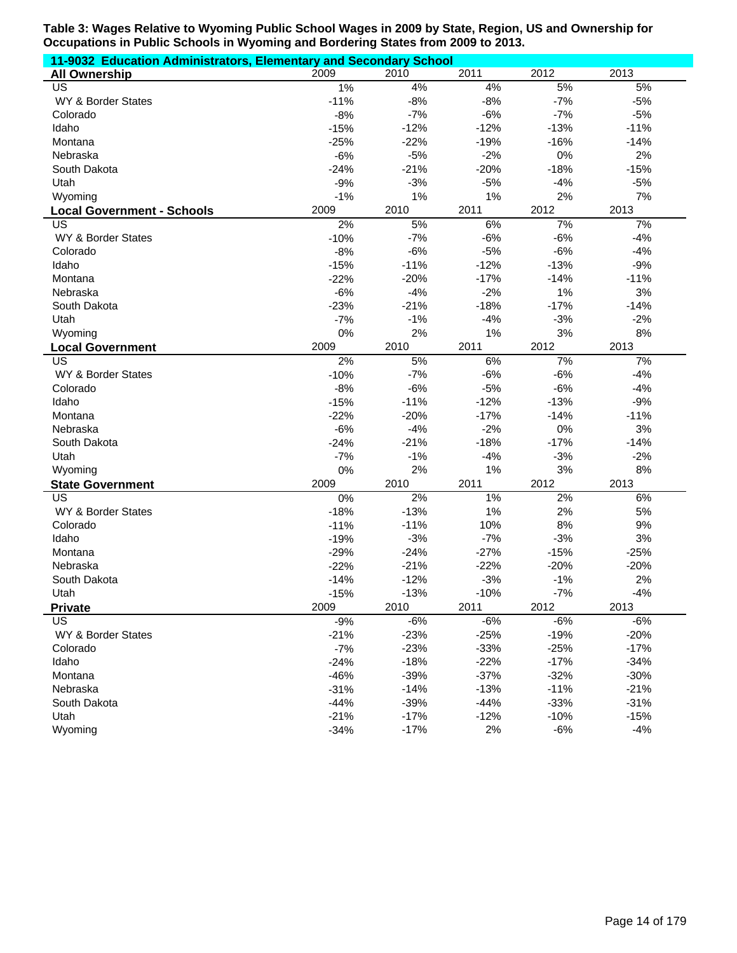| 11-9032 Education Administrators, Elementary and Secondary School |        |        |        |        |        |
|-------------------------------------------------------------------|--------|--------|--------|--------|--------|
| <b>All Ownership</b>                                              | 2009   | 2010   | 2011   | 2012   | 2013   |
| US                                                                | 1%     | 4%     | 4%     | 5%     | 5%     |
| WY & Border States                                                | $-11%$ | $-8%$  | $-8%$  | $-7%$  | $-5%$  |
| Colorado                                                          | $-8%$  | $-7%$  | $-6%$  | $-7%$  | $-5%$  |
| Idaho                                                             | $-15%$ | $-12%$ | $-12%$ | $-13%$ | $-11%$ |
| Montana                                                           | $-25%$ | $-22%$ | $-19%$ | $-16%$ | $-14%$ |
| Nebraska                                                          | $-6%$  | $-5%$  | $-2%$  | 0%     | 2%     |
| South Dakota                                                      | $-24%$ | $-21%$ | $-20%$ | $-18%$ | $-15%$ |
| Utah                                                              | $-9%$  | $-3%$  | $-5%$  | $-4%$  | $-5%$  |
| Wyoming                                                           | $-1%$  | 1%     | 1%     | 2%     | 7%     |
| <b>Local Government - Schools</b>                                 | 2009   | 2010   | 2011   | 2012   | 2013   |
| US                                                                | 2%     | 5%     | 6%     | 7%     | 7%     |
| WY & Border States                                                | $-10%$ | $-7%$  | $-6%$  | $-6%$  | $-4%$  |
| Colorado                                                          | $-8%$  | $-6%$  | $-5%$  | $-6%$  | $-4%$  |
| Idaho                                                             | $-15%$ | $-11%$ | $-12%$ | $-13%$ | $-9%$  |
| Montana                                                           | $-22%$ | $-20%$ | $-17%$ | $-14%$ | $-11%$ |
| Nebraska                                                          | $-6%$  | $-4%$  | $-2%$  | 1%     | 3%     |
| South Dakota                                                      | $-23%$ | $-21%$ | $-18%$ | $-17%$ | $-14%$ |
| Utah                                                              | $-7%$  | $-1%$  | $-4%$  | $-3%$  | $-2%$  |
| Wyoming                                                           | 0%     | 2%     | 1%     | 3%     | 8%     |
| <b>Local Government</b>                                           | 2009   | 2010   | 2011   | 2012   | 2013   |
| US                                                                | 2%     | 5%     | 6%     | 7%     | 7%     |
| WY & Border States                                                | $-10%$ | $-7%$  | $-6%$  | $-6%$  | $-4%$  |
| Colorado                                                          | $-8%$  | $-6%$  | $-5%$  | $-6%$  | $-4%$  |
| Idaho                                                             | $-15%$ | $-11%$ | $-12%$ | $-13%$ | $-9%$  |
| Montana                                                           | $-22%$ | $-20%$ | $-17%$ | $-14%$ | $-11%$ |
| Nebraska                                                          | $-6%$  | $-4%$  | $-2%$  | 0%     | 3%     |
| South Dakota                                                      | $-24%$ | $-21%$ | $-18%$ | $-17%$ | $-14%$ |
| Utah                                                              | $-7%$  | $-1%$  | $-4%$  | $-3%$  | $-2%$  |
| Wyoming                                                           | 0%     | 2%     | 1%     | 3%     | 8%     |
| <b>State Government</b>                                           | 2009   | 2010   | 2011   | 2012   | 2013   |
| $\overline{US}$                                                   | 0%     | 2%     | $1\%$  | 2%     | 6%     |
| WY & Border States                                                | $-18%$ | $-13%$ | 1%     | 2%     | 5%     |
| Colorado                                                          | $-11%$ | $-11%$ | 10%    | 8%     | 9%     |
| Idaho                                                             | $-19%$ | $-3%$  | $-7%$  | $-3%$  | 3%     |
| Montana                                                           | $-29%$ | $-24%$ | $-27%$ | $-15%$ | $-25%$ |
| Nebraska                                                          | $-22%$ | $-21%$ | $-22%$ | $-20%$ | $-20%$ |
| South Dakota                                                      | $-14%$ | $-12%$ | $-3%$  | $-1%$  | 2%     |
| Utah                                                              | $-15%$ | $-13%$ | $-10%$ | $-7%$  | $-4%$  |
| <b>Private</b>                                                    | 2009   | 2010   | 2011   | 2012   | 2013   |
| US                                                                | $-9%$  | $-6%$  | $-6%$  | $-6%$  | $-6%$  |
| WY & Border States                                                | $-21%$ | $-23%$ | $-25%$ | $-19%$ | $-20%$ |
| Colorado                                                          | $-7%$  | $-23%$ | $-33%$ | $-25%$ | $-17%$ |
| Idaho                                                             | $-24%$ | $-18%$ | $-22%$ | $-17%$ | $-34%$ |
| Montana                                                           | $-46%$ | $-39%$ | $-37%$ | $-32%$ | $-30%$ |
| Nebraska                                                          | $-31%$ | $-14%$ | $-13%$ | $-11%$ | $-21%$ |
| South Dakota                                                      | $-44%$ | $-39%$ | $-44%$ | $-33%$ | $-31%$ |
| Utah                                                              | $-21%$ | $-17%$ | $-12%$ | $-10%$ | $-15%$ |
| Wyoming                                                           | $-34%$ | $-17%$ | 2%     | $-6%$  | $-4%$  |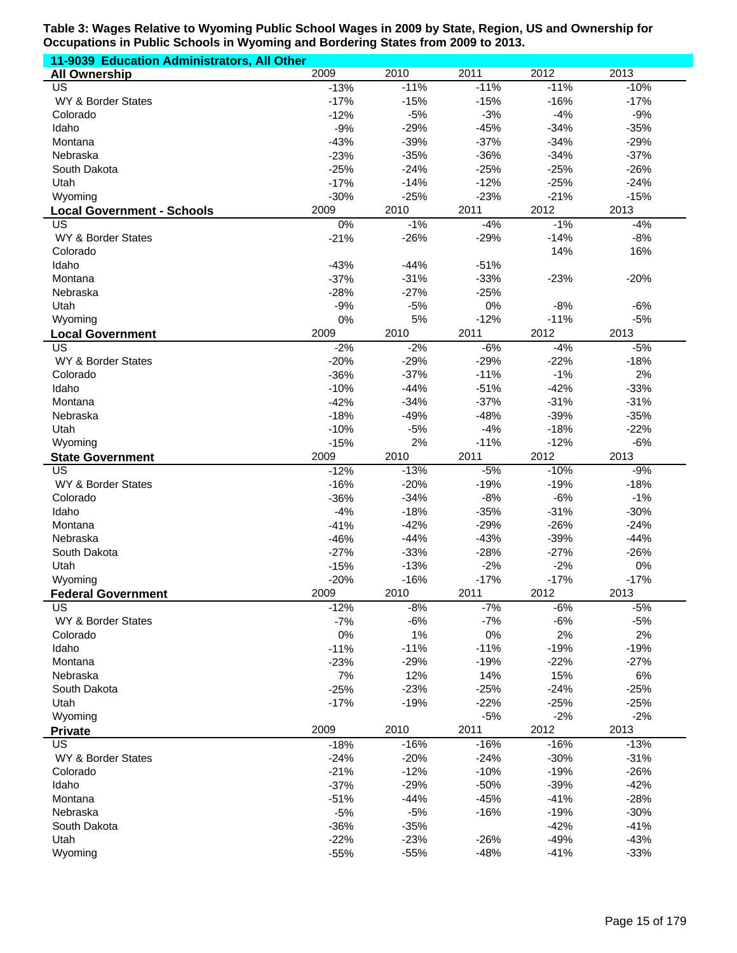| 11-9039 Education Administrators, All Other |        |        |        |        |        |
|---------------------------------------------|--------|--------|--------|--------|--------|
| <b>All Ownership</b>                        | 2009   | 2010   | 2011   | 2012   | 2013   |
| US                                          | $-13%$ | $-11%$ | $-11%$ | $-11%$ | $-10%$ |
| WY & Border States                          | $-17%$ | $-15%$ | $-15%$ | $-16%$ | $-17%$ |
| Colorado                                    | $-12%$ | $-5%$  | $-3%$  | $-4%$  | $-9%$  |
| Idaho                                       | $-9%$  | $-29%$ | $-45%$ | $-34%$ | $-35%$ |
| Montana                                     | $-43%$ | $-39%$ | $-37%$ | $-34%$ | $-29%$ |
| Nebraska                                    | $-23%$ | $-35%$ | $-36%$ | $-34%$ | $-37%$ |
| South Dakota                                | $-25%$ | $-24%$ | $-25%$ | $-25%$ | $-26%$ |
| Utah                                        | $-17%$ | $-14%$ | $-12%$ | $-25%$ | $-24%$ |
| Wyoming                                     | $-30%$ | $-25%$ | $-23%$ | $-21%$ | $-15%$ |
| <b>Local Government - Schools</b>           | 2009   | 2010   | 2011   | 2012   | 2013   |
| US                                          | $0\%$  | $-1%$  | $-4%$  | $-1%$  | $-4%$  |
| WY & Border States                          | $-21%$ | $-26%$ | $-29%$ | $-14%$ | $-8%$  |
| Colorado                                    |        |        |        | 14%    | 16%    |
| Idaho                                       | $-43%$ | $-44%$ | $-51%$ |        |        |
| Montana                                     | $-37%$ | $-31%$ | $-33%$ | $-23%$ | $-20%$ |
| Nebraska                                    | $-28%$ | $-27%$ | $-25%$ |        |        |
| Utah                                        | $-9%$  | $-5%$  | 0%     | $-8%$  | $-6%$  |
| Wyoming                                     | 0%     | 5%     | $-12%$ | $-11%$ | $-5%$  |
| <b>Local Government</b>                     | 2009   | 2010   | 2011   | 2012   | 2013   |
| US                                          | $-2%$  | $-2%$  | $-6%$  | $-4%$  | $-5%$  |
| WY & Border States                          | $-20%$ | $-29%$ | $-29%$ | $-22%$ | $-18%$ |
| Colorado                                    | $-36%$ | $-37%$ | $-11%$ | $-1%$  | 2%     |
| Idaho                                       | $-10%$ | $-44%$ | $-51%$ | $-42%$ | $-33%$ |
| Montana                                     | $-42%$ | $-34%$ | $-37%$ | $-31%$ | $-31%$ |
| Nebraska                                    | $-18%$ | $-49%$ | $-48%$ | $-39%$ | $-35%$ |
| Utah                                        | $-10%$ | $-5%$  | $-4%$  | $-18%$ | $-22%$ |
| Wyoming                                     | $-15%$ | 2%     | $-11%$ | $-12%$ | $-6%$  |
| <b>State Government</b>                     | 2009   | 2010   | 2011   | 2012   | 2013   |
| US                                          | $-12%$ | $-13%$ | $-5%$  | $-10%$ | $-9%$  |
| WY & Border States                          | $-16%$ | $-20%$ | $-19%$ | $-19%$ | $-18%$ |
| Colorado                                    | $-36%$ | $-34%$ | $-8%$  | $-6%$  | $-1%$  |
| Idaho                                       | $-4%$  | $-18%$ | $-35%$ | $-31%$ | $-30%$ |
| Montana                                     | $-41%$ | $-42%$ | $-29%$ | $-26%$ | $-24%$ |
| Nebraska                                    | $-46%$ | $-44%$ | $-43%$ | $-39%$ | $-44%$ |
| South Dakota                                | $-27%$ | $-33%$ | $-28%$ | $-27%$ | $-26%$ |
| Utah                                        | $-15%$ | $-13%$ | $-2%$  | $-2%$  | 0%     |
| Wyoming                                     | $-20%$ | $-16%$ | $-17%$ | $-17%$ | $-17%$ |
| <b>Federal Government</b>                   | 2009   | 2010   | 2011   | 2012   | 2013   |
| US                                          | $-12%$ | $-8%$  | $-7%$  | $-6%$  | $-5%$  |
| WY & Border States                          | $-7%$  | $-6%$  | $-7%$  | $-6%$  | $-5%$  |
| Colorado                                    | 0%     | 1%     | 0%     | 2%     | 2%     |
| Idaho                                       | $-11%$ | $-11%$ | $-11%$ | $-19%$ | $-19%$ |
| Montana                                     | $-23%$ | $-29%$ | $-19%$ | $-22%$ | $-27%$ |
| Nebraska                                    | 7%     | 12%    | 14%    | 15%    | 6%     |
| South Dakota                                | $-25%$ | $-23%$ | $-25%$ | $-24%$ | $-25%$ |
| Utah                                        | $-17%$ | $-19%$ | $-22%$ | $-25%$ | $-25%$ |
| Wyoming                                     | 2009   | 2010   | $-5%$  | $-2%$  | $-2%$  |
| <b>Private</b>                              |        |        | 2011   | 2012   | 2013   |
| US                                          | $-18%$ | $-16%$ | $-16%$ | $-16%$ | $-13%$ |
| WY & Border States                          | $-24%$ | $-20%$ | $-24%$ | $-30%$ | $-31%$ |
| Colorado                                    | $-21%$ | $-12%$ | $-10%$ | $-19%$ | $-26%$ |
| Idaho                                       | $-37%$ | $-29%$ | $-50%$ | $-39%$ | $-42%$ |
| Montana                                     | $-51%$ | $-44%$ | $-45%$ | $-41%$ | $-28%$ |
| Nebraska                                    | $-5%$  | $-5%$  | $-16%$ | $-19%$ | $-30%$ |
| South Dakota                                | $-36%$ | $-35%$ |        | $-42%$ | $-41%$ |
| Utah                                        | $-22%$ | $-23%$ | $-26%$ | $-49%$ | $-43%$ |
| Wyoming                                     | $-55%$ | $-55%$ | $-48%$ | $-41%$ | $-33%$ |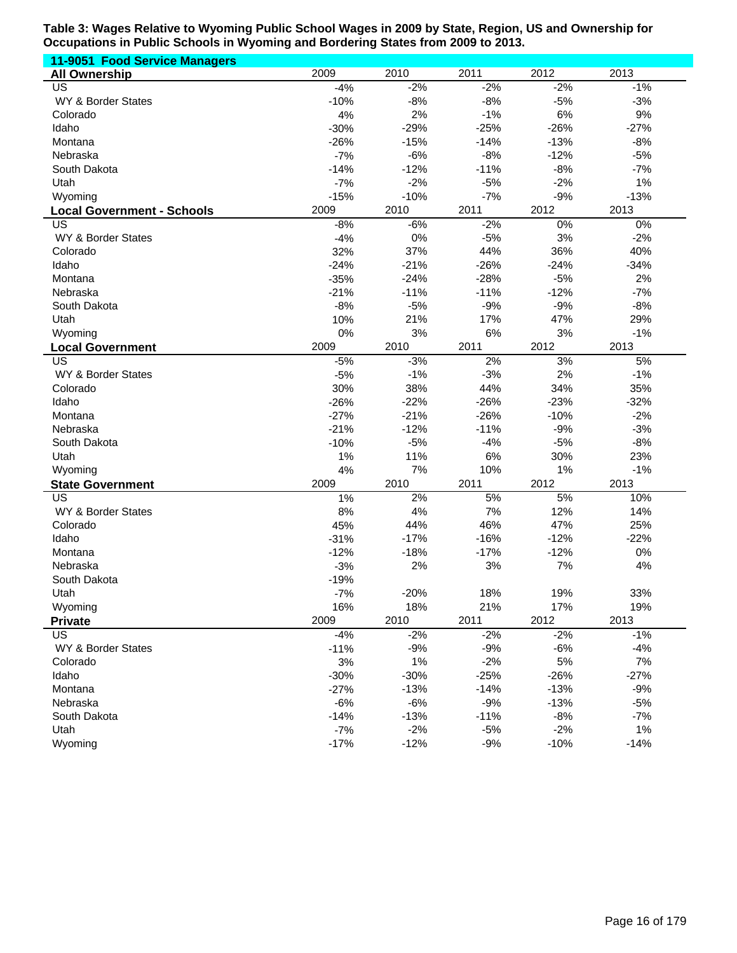| <b>11-9051 Food Service Managers</b> |        |        |        |        |        |
|--------------------------------------|--------|--------|--------|--------|--------|
| <b>All Ownership</b>                 | 2009   | 2010   | 2011   | 2012   | 2013   |
| US                                   | $-4%$  | $-2%$  | $-2%$  | $-2%$  | $-1%$  |
| WY & Border States                   | $-10%$ | $-8%$  | $-8%$  | $-5%$  | $-3%$  |
| Colorado                             | 4%     | 2%     | $-1%$  | 6%     | 9%     |
| Idaho                                | $-30%$ | $-29%$ | $-25%$ | $-26%$ | $-27%$ |
| Montana                              | $-26%$ | $-15%$ | $-14%$ | $-13%$ | $-8%$  |
| Nebraska                             | $-7%$  | $-6%$  | $-8%$  | $-12%$ | $-5%$  |
| South Dakota                         | $-14%$ | $-12%$ | $-11%$ | $-8%$  | $-7%$  |
| Utah                                 | $-7%$  | $-2%$  | $-5%$  | $-2%$  | 1%     |
| Wyoming                              | $-15%$ | $-10%$ | $-7%$  | $-9%$  | $-13%$ |
| <b>Local Government - Schools</b>    | 2009   | 2010   | 2011   | 2012   | 2013   |
| US                                   | $-8%$  | $-6%$  | $-2%$  | 0%     | 0%     |
| WY & Border States                   | $-4%$  | $0\%$  | $-5%$  | 3%     | $-2%$  |
| Colorado                             | 32%    | 37%    | 44%    | 36%    | 40%    |
| Idaho                                | $-24%$ | $-21%$ | $-26%$ | $-24%$ | $-34%$ |
| Montana                              | $-35%$ | $-24%$ | $-28%$ | $-5%$  | 2%     |
| Nebraska                             | $-21%$ | $-11%$ | $-11%$ | $-12%$ | $-7%$  |
| South Dakota                         | $-8%$  | $-5%$  | $-9%$  | $-9%$  | $-8%$  |
| Utah                                 | 10%    | 21%    | 17%    | 47%    | 29%    |
| Wyoming                              | 0%     | 3%     | 6%     | 3%     | $-1%$  |
|                                      | 2009   | 2010   | 2011   | 2012   | 2013   |
| <b>Local Government</b><br>US        | $-5%$  | $-3%$  | 2%     | 3%     | 5%     |
| WY & Border States                   | $-5%$  | $-1%$  | $-3%$  | 2%     | $-1%$  |
|                                      |        |        | 44%    | 34%    | 35%    |
| Colorado                             | 30%    | 38%    |        | $-23%$ |        |
| Idaho                                | $-26%$ | $-22%$ | $-26%$ |        | $-32%$ |
| Montana                              | $-27%$ | $-21%$ | $-26%$ | $-10%$ | $-2%$  |
| Nebraska                             | $-21%$ | $-12%$ | $-11%$ | $-9%$  | $-3%$  |
| South Dakota                         | $-10%$ | $-5%$  | $-4%$  | $-5%$  | $-8%$  |
| Utah                                 | 1%     | 11%    | 6%     | 30%    | 23%    |
| Wyoming                              | 4%     | 7%     | 10%    | 1%     | $-1%$  |
| <b>State Government</b>              | 2009   | 2010   | 2011   | 2012   | 2013   |
| US                                   | 1%     | 2%     | 5%     | 5%     | 10%    |
| WY & Border States                   | 8%     | 4%     | 7%     | 12%    | 14%    |
| Colorado                             | 45%    | 44%    | 46%    | 47%    | 25%    |
| Idaho                                | $-31%$ | $-17%$ | $-16%$ | $-12%$ | $-22%$ |
| Montana                              | $-12%$ | $-18%$ | $-17%$ | $-12%$ | $0\%$  |
| Nebraska                             | $-3%$  | 2%     | 3%     | 7%     | 4%     |
| South Dakota                         | $-19%$ |        |        |        |        |
| Utah                                 | $-7%$  | $-20%$ | 18%    | 19%    | 33%    |
| Wyoming                              | 16%    | 18%    | 21%    | 17%    | 19%    |
| <b>Private</b>                       | 2009   | 2010   | 2011   | 2012   | 2013   |
| US.                                  | $-4%$  | $-2%$  | $-2%$  | $-2%$  | $-1%$  |
| WY & Border States                   | $-11%$ | $-9%$  | $-9%$  | $-6%$  | $-4%$  |
| Colorado                             | 3%     | $1\%$  | $-2%$  | 5%     | 7%     |
| Idaho                                | $-30%$ | $-30%$ | $-25%$ | $-26%$ | $-27%$ |
| Montana                              | $-27%$ | $-13%$ | $-14%$ | $-13%$ | $-9%$  |
| Nebraska                             | $-6%$  | $-6%$  | $-9%$  | $-13%$ | $-5%$  |
| South Dakota                         | $-14%$ | $-13%$ | $-11%$ | $-8%$  | $-7%$  |
| Utah                                 | $-7%$  | $-2%$  | $-5%$  | $-2%$  | 1%     |
| Wyoming                              | $-17%$ | $-12%$ | $-9%$  | $-10%$ | $-14%$ |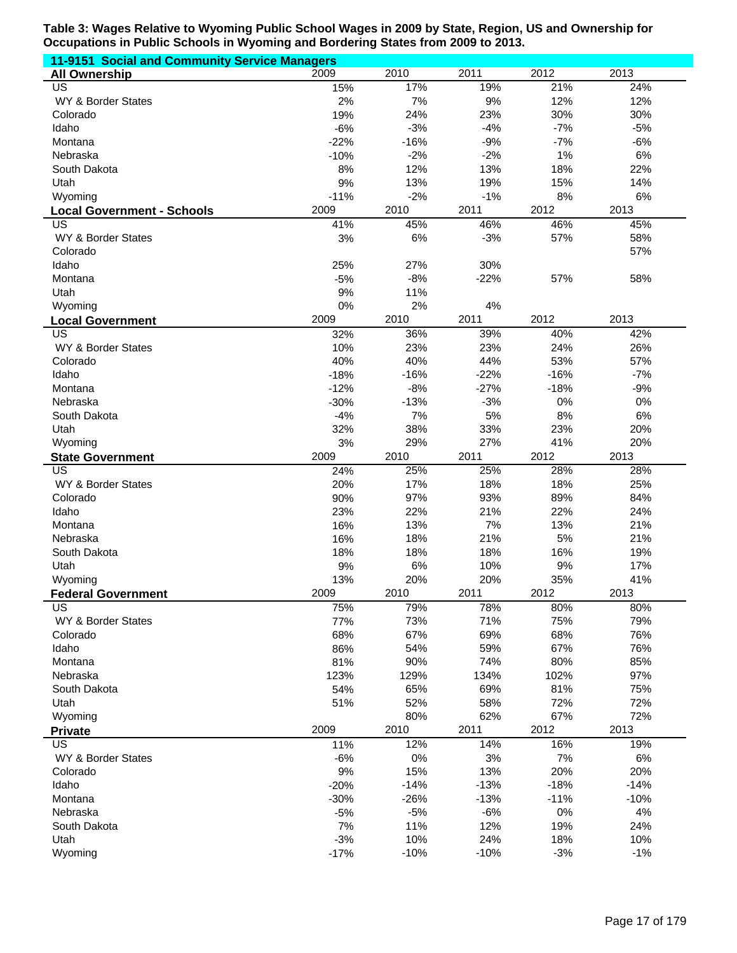| 11-9151 Social and Community Service Managers |        |        |        |        |        |  |  |
|-----------------------------------------------|--------|--------|--------|--------|--------|--|--|
| <b>All Ownership</b>                          | 2009   | 2010   | 2011   | 2012   | 2013   |  |  |
| US                                            | 15%    | 17%    | 19%    | 21%    | 24%    |  |  |
| WY & Border States                            | 2%     | 7%     | 9%     | 12%    | 12%    |  |  |
| Colorado                                      | 19%    | 24%    | 23%    | 30%    | 30%    |  |  |
| Idaho                                         | $-6%$  | $-3%$  | $-4%$  | $-7%$  | $-5%$  |  |  |
| Montana                                       | $-22%$ | $-16%$ | $-9%$  | $-7%$  | $-6%$  |  |  |
| Nebraska                                      | $-10%$ | $-2%$  | $-2%$  | 1%     | 6%     |  |  |
| South Dakota                                  | 8%     | 12%    | 13%    | 18%    | 22%    |  |  |
| Utah                                          | 9%     | 13%    | 19%    | 15%    | 14%    |  |  |
| Wyoming                                       | $-11%$ | $-2%$  | $-1%$  | 8%     | 6%     |  |  |
| <b>Local Government - Schools</b>             | 2009   | 2010   | 2011   | 2012   | 2013   |  |  |
| US                                            | 41%    | 45%    | 46%    | 46%    | 45%    |  |  |
| WY & Border States                            | 3%     | 6%     | $-3%$  | 57%    | 58%    |  |  |
| Colorado                                      |        |        |        |        | 57%    |  |  |
| Idaho                                         | 25%    | 27%    | 30%    |        |        |  |  |
| Montana                                       | $-5%$  | $-8%$  | $-22%$ | 57%    | 58%    |  |  |
| Utah                                          | 9%     | 11%    |        |        |        |  |  |
| Wyoming                                       | 0%     | 2%     | 4%     |        |        |  |  |
|                                               | 2009   | 2010   | 2011   | 2012   | 2013   |  |  |
| <b>Local Government</b><br>US                 | 32%    | 36%    | 39%    | 40%    | 42%    |  |  |
|                                               |        |        |        |        |        |  |  |
| WY & Border States                            | 10%    | 23%    | 23%    | 24%    | 26%    |  |  |
| Colorado                                      | 40%    | 40%    | 44%    | 53%    | 57%    |  |  |
| Idaho                                         | $-18%$ | $-16%$ | $-22%$ | $-16%$ | $-7%$  |  |  |
| Montana                                       | $-12%$ | $-8%$  | $-27%$ | $-18%$ | $-9%$  |  |  |
| Nebraska                                      | $-30%$ | $-13%$ | $-3%$  | 0%     | 0%     |  |  |
| South Dakota                                  | $-4%$  | 7%     | 5%     | 8%     | 6%     |  |  |
| Utah                                          | 32%    | 38%    | 33%    | 23%    | 20%    |  |  |
| Wyoming                                       | 3%     | 29%    | 27%    | 41%    | 20%    |  |  |
| <b>State Government</b>                       | 2009   | 2010   | 2011   | 2012   | 2013   |  |  |
| US                                            | 24%    | 25%    | 25%    | 28%    | 28%    |  |  |
| WY & Border States                            | 20%    | 17%    | 18%    | 18%    | 25%    |  |  |
| Colorado                                      | 90%    | 97%    | 93%    | 89%    | 84%    |  |  |
| Idaho                                         | 23%    | 22%    | 21%    | 22%    | 24%    |  |  |
| Montana                                       | 16%    | 13%    | 7%     | 13%    | 21%    |  |  |
| Nebraska                                      | 16%    | 18%    | 21%    | 5%     | 21%    |  |  |
| South Dakota                                  | 18%    | 18%    | 18%    | 16%    | 19%    |  |  |
| Utah                                          | 9%     | 6%     | 10%    | 9%     | 17%    |  |  |
| Wyoming                                       | 13%    | 20%    | 20%    | 35%    | 41%    |  |  |
| <b>Federal Government</b>                     | 2009   | 2010   | 2011   | 2012   | 2013   |  |  |
| US                                            | 75%    | 79%    | 78%    | 80%    | 80%    |  |  |
| WY & Border States                            | 77%    | 73%    | 71%    | 75%    | 79%    |  |  |
| Colorado                                      | 68%    | 67%    | 69%    | 68%    | 76%    |  |  |
| Idaho                                         | 86%    | 54%    | 59%    | 67%    | 76%    |  |  |
| Montana                                       | 81%    | 90%    | 74%    | 80%    | 85%    |  |  |
| Nebraska                                      | 123%   | 129%   | 134%   | 102%   | 97%    |  |  |
| South Dakota                                  | 54%    | 65%    | 69%    | 81%    | 75%    |  |  |
| Utah                                          | 51%    | 52%    | 58%    | 72%    | 72%    |  |  |
| Wyoming                                       |        | 80%    | 62%    | 67%    | 72%    |  |  |
| <b>Private</b>                                | 2009   | 2010   | 2011   | 2012   | 2013   |  |  |
| US                                            | 11%    | 12%    | 14%    | 16%    | 19%    |  |  |
| WY & Border States                            | $-6%$  | $0\%$  | 3%     | 7%     | 6%     |  |  |
| Colorado                                      | 9%     | 15%    | 13%    | 20%    | 20%    |  |  |
| Idaho                                         | $-20%$ | $-14%$ | $-13%$ | $-18%$ | $-14%$ |  |  |
| Montana                                       | $-30%$ | $-26%$ | $-13%$ | $-11%$ | $-10%$ |  |  |
| Nebraska                                      | $-5%$  | $-5%$  | $-6%$  | 0%     | 4%     |  |  |
| South Dakota                                  | 7%     | 11%    | 12%    | 19%    | 24%    |  |  |
| Utah                                          | $-3%$  | 10%    | 24%    | 18%    | 10%    |  |  |
|                                               |        | $-10%$ |        | $-3%$  | $-1%$  |  |  |
| Wyoming                                       | $-17%$ |        | $-10%$ |        |        |  |  |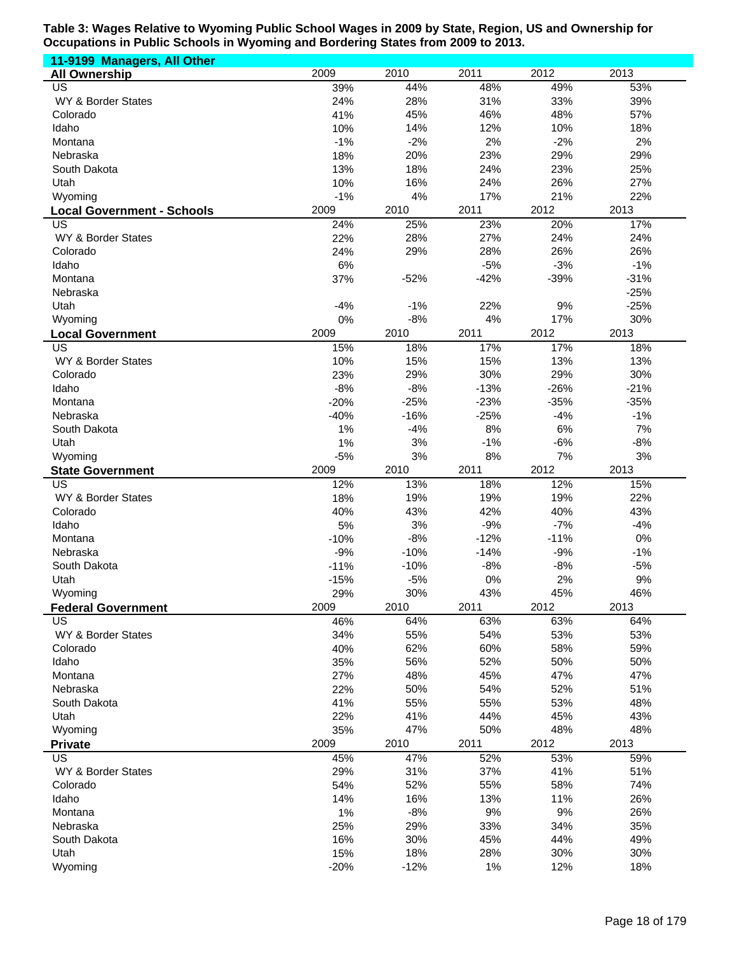| 11-9199 Managers, All Other       |            |              |             |             |            |
|-----------------------------------|------------|--------------|-------------|-------------|------------|
| <b>All Ownership</b>              | 2009       | 2010         | 2011        | 2012        | 2013       |
| <b>US</b>                         | 39%        | 44%          | 48%         | 49%         | 53%        |
| WY & Border States                | 24%        | 28%          | 31%         | 33%         | 39%        |
| Colorado                          | 41%        | 45%          | 46%         | 48%         | 57%        |
| Idaho                             | 10%        | 14%          | 12%         | 10%         | 18%        |
| Montana                           | $-1%$      | $-2%$        | 2%          | $-2%$       | 2%         |
| Nebraska                          | 18%        | 20%          | 23%         | 29%         | 29%        |
| South Dakota                      | 13%        | 18%          | 24%         | 23%         | 25%        |
| Utah                              | 10%        | 16%          | 24%         | 26%         | 27%        |
| Wyoming                           | $-1%$      | 4%           | 17%         | 21%         | 22%        |
| <b>Local Government - Schools</b> | 2009       | 2010         | 2011        | 2012        | 2013       |
| US                                | 24%        | 25%          | 23%         | 20%         | 17%        |
| WY & Border States                | 22%        | 28%          | 27%         | 24%         | 24%        |
| Colorado                          | 24%        | 29%          | 28%         | 26%         | 26%        |
| Idaho                             | 6%         |              | $-5%$       | $-3%$       | $-1%$      |
| Montana                           | 37%        | $-52%$       | $-42%$      | $-39%$      | $-31%$     |
| Nebraska                          |            |              |             |             | $-25%$     |
| Utah                              | $-4%$      | $-1%$        | 22%         | 9%          | $-25%$     |
| Wyoming                           | 0%         | $-8%$        | 4%          | 17%         | 30%        |
| <b>Local Government</b>           | 2009       | 2010         | 2011        | 2012        | 2013       |
| US                                | 15%        | 18%          | 17%         | 17%         | 18%        |
| WY & Border States                | 10%        | 15%          | 15%         | 13%         | 13%        |
| Colorado                          | 23%        | 29%          | 30%         | 29%         | 30%        |
| Idaho                             | $-8%$      | $-8%$        | $-13%$      | $-26%$      | $-21%$     |
| Montana                           | $-20%$     | $-25%$       | $-23%$      | $-35%$      | $-35%$     |
| Nebraska                          | $-40%$     | $-16%$       | $-25%$      | $-4%$       | $-1%$      |
| South Dakota                      | 1%         | $-4%$        | 8%          | 6%          | 7%         |
| Utah                              | 1%         | 3%           | $-1%$       | $-6%$       | $-8%$      |
| Wyoming                           | $-5%$      | 3%           | 8%          | 7%          | 3%         |
| <b>State Government</b>           | 2009       | 2010         | 2011        | 2012        | 2013       |
| $\overline{US}$                   | 12%        | 13%          | 18%         | 12%         | 15%        |
| WY & Border States                | 18%        | 19%          | 19%         | 19%         | 22%        |
| Colorado                          | 40%        | 43%          | 42%         | 40%         | 43%        |
| Idaho                             | 5%         | 3%           | $-9%$       | $-7%$       | $-4%$      |
| Montana                           | $-10%$     | $-8%$        | $-12%$      | $-11%$      | 0%         |
| Nebraska                          | $-9%$      | $-10%$       | $-14%$      | $-9%$       | $-1%$      |
| South Dakota                      | $-11%$     | $-10%$       | $-8%$       | $-8%$       | $-5%$      |
| Utah                              | $-15%$     | $-5%$        | 0%          | 2%          | 9%         |
| Wyoming                           | 29%        | 30%          | 43%         | 45%         | 46%        |
| <b>Federal Government</b>         | 2009       | 2010         | 2011        | 2012        | 2013       |
| US                                | 46%        | 64%          | 63%         | 63%         | 64%        |
| WY & Border States<br>Colorado    | 34%        | 55%          | 54%         | 53%         | 53%        |
|                                   | 40%        | 62%          | 60%         | 58%         | 59%        |
| Idaho                             | 35%        | 56%          | 52%         | 50%         | 50%        |
| Montana                           | 27%<br>22% | 48%          | 45%         | 47%         | 47%        |
| Nebraska                          |            | 50%          | 54%         | 52%<br>53%  | 51%        |
| South Dakota<br>Utah              | 41%        | 55%<br>41%   | 55%<br>44%  | 45%         | 48%<br>43% |
|                                   | 22%<br>35% | 47%          | 50%         | 48%         | 48%        |
| Wyoming                           | 2009       | 2010         | 2011        | 2012        | 2013       |
| <b>Private</b><br>$\overline{US}$ | 45%        | 47%          | 52%         | 53%         | 59%        |
| WY & Border States                | 29%        | 31%          | 37%         | 41%         | 51%        |
| Colorado                          | 54%        | 52%          | 55%         | 58%         | 74%        |
|                                   |            |              |             |             |            |
| Idaho<br>Montana                  | 14%<br>1%  | 16%<br>$-8%$ | 13%<br>$9%$ | 11%<br>$9%$ | 26%<br>26% |
| Nebraska                          | 25%        | 29%          | 33%         | 34%         | 35%        |
| South Dakota                      | 16%        | 30%          | 45%         | 44%         | 49%        |
| Utah                              | 15%        | 18%          | 28%         | 30%         | 30%        |
| Wyoming                           | $-20%$     | $-12%$       | 1%          | 12%         | 18%        |
|                                   |            |              |             |             |            |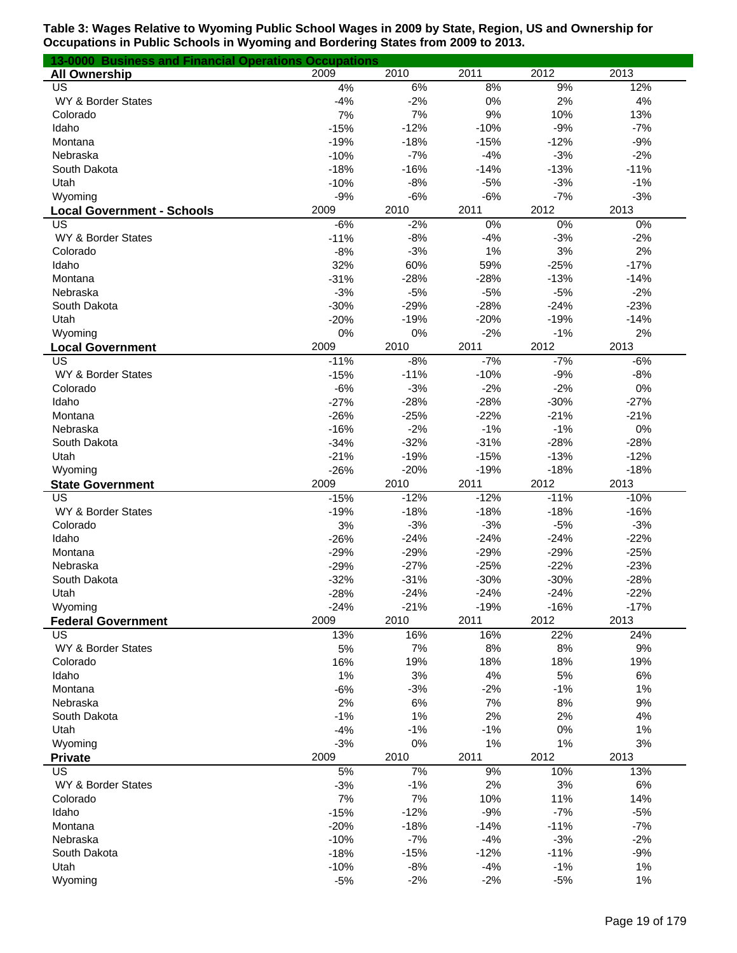| 13-0000 Business and Financial Operations Occupations |        |        |        |        |        |
|-------------------------------------------------------|--------|--------|--------|--------|--------|
| <b>All Ownership</b>                                  | 2009   | 2010   | 2011   | 2012   | 2013   |
| US                                                    | 4%     | 6%     | 8%     | 9%     | 12%    |
| WY & Border States                                    | $-4%$  | $-2%$  | 0%     | 2%     | 4%     |
| Colorado                                              | 7%     | 7%     | 9%     | 10%    | 13%    |
| Idaho                                                 | $-15%$ | $-12%$ | $-10%$ | $-9%$  | $-7%$  |
| Montana                                               | $-19%$ | $-18%$ | $-15%$ | $-12%$ | $-9%$  |
| Nebraska                                              | $-10%$ | $-7%$  | $-4%$  | $-3%$  | $-2%$  |
| South Dakota                                          | $-18%$ | $-16%$ | $-14%$ | $-13%$ | $-11%$ |
| Utah                                                  | $-10%$ | $-8%$  | $-5%$  | $-3%$  | $-1%$  |
| Wyoming                                               | $-9%$  | $-6%$  | $-6%$  | $-7%$  | $-3%$  |
| <b>Local Government - Schools</b>                     | 2009   | 2010   | 2011   | 2012   | 2013   |
| US                                                    | $-6%$  | $-2%$  | 0%     | 0%     | 0%     |
| WY & Border States                                    | $-11%$ | $-8%$  | $-4%$  | $-3%$  | $-2%$  |
| Colorado                                              | $-8%$  | $-3%$  | 1%     | 3%     | 2%     |
| Idaho                                                 | 32%    | 60%    | 59%    | $-25%$ | $-17%$ |
| Montana                                               | $-31%$ | $-28%$ | $-28%$ | $-13%$ | $-14%$ |
| Nebraska                                              | $-3%$  | $-5%$  | $-5%$  | $-5%$  | $-2%$  |
| South Dakota                                          | $-30%$ | $-29%$ | $-28%$ | $-24%$ | $-23%$ |
| Utah                                                  | $-20%$ | $-19%$ | $-20%$ | $-19%$ | $-14%$ |
| Wyoming                                               | 0%     | 0%     | $-2%$  | $-1%$  | 2%     |
| <b>Local Government</b>                               | 2009   | 2010   | 2011   | 2012   | 2013   |
| US                                                    | $-11%$ | $-8%$  | $-7%$  | $-7%$  | $-6%$  |
| WY & Border States                                    | $-15%$ | $-11%$ | $-10%$ | $-9%$  | $-8%$  |
| Colorado                                              | $-6%$  | $-3%$  | $-2%$  | $-2%$  | 0%     |
| Idaho                                                 | $-27%$ | $-28%$ | $-28%$ | $-30%$ | $-27%$ |
| Montana                                               | $-26%$ | $-25%$ | $-22%$ | $-21%$ | $-21%$ |
| Nebraska                                              | $-16%$ | $-2%$  | $-1%$  | $-1%$  | 0%     |
| South Dakota                                          | $-34%$ | $-32%$ | $-31%$ | $-28%$ | $-28%$ |
| Utah                                                  | $-21%$ | $-19%$ | $-15%$ | $-13%$ | $-12%$ |
| Wyoming                                               | $-26%$ | $-20%$ | $-19%$ | $-18%$ | $-18%$ |
| <b>State Government</b>                               | 2009   | 2010   | 2011   | 2012   | 2013   |
| US                                                    | $-15%$ | $-12%$ | $-12%$ | $-11%$ | $-10%$ |
| WY & Border States                                    | $-19%$ | $-18%$ | $-18%$ | $-18%$ | $-16%$ |
| Colorado                                              | 3%     | $-3%$  | $-3%$  | $-5%$  | $-3%$  |
| Idaho                                                 | $-26%$ | $-24%$ | $-24%$ | $-24%$ | $-22%$ |
| Montana                                               | $-29%$ | $-29%$ | $-29%$ | $-29%$ | $-25%$ |
| Nebraska                                              | $-29%$ | $-27%$ | $-25%$ | $-22%$ | $-23%$ |
| South Dakota                                          | $-32%$ | $-31%$ | $-30%$ | $-30%$ | $-28%$ |
| Utah                                                  | $-28%$ | $-24%$ | $-24%$ | $-24%$ | $-22%$ |
| Wyoming                                               | $-24%$ | $-21%$ | $-19%$ | $-16%$ | $-17%$ |
| <b>Federal Government</b>                             | 2009   | 2010   | 2011   | 2012   | 2013   |
| US                                                    | 13%    | 16%    | 16%    | 22%    | 24%    |
| WY & Border States                                    | 5%     | 7%     | 8%     | 8%     | 9%     |
| Colorado                                              | 16%    | 19%    | 18%    | 18%    | 19%    |
| Idaho                                                 | 1%     | 3%     | 4%     | 5%     | 6%     |
| Montana                                               | $-6%$  | $-3%$  | $-2%$  | $-1%$  | 1%     |
| Nebraska                                              | 2%     | $6\%$  | 7%     | 8%     | 9%     |
| South Dakota                                          | $-1%$  | 1%     | 2%     | 2%     | $4\%$  |
| Utah                                                  | $-4%$  | $-1%$  | $-1%$  | 0%     | 1%     |
| Wyoming                                               | $-3%$  | 0%     | 1%     | 1%     | 3%     |
| <b>Private</b>                                        | 2009   | 2010   | 2011   | 2012   | 2013   |
| $\overline{\mathsf{US}}$                              | 5%     | 7%     | 9%     | 10%    | 13%    |
| WY & Border States                                    | $-3%$  | $-1%$  | 2%     | 3%     | 6%     |
| Colorado                                              | 7%     | 7%     | 10%    | 11%    | 14%    |
| Idaho                                                 | $-15%$ | $-12%$ | $-9%$  | $-7%$  | $-5%$  |
| Montana                                               | $-20%$ | $-18%$ | $-14%$ | $-11%$ | $-7%$  |
| Nebraska                                              | $-10%$ | $-7%$  | $-4%$  | $-3%$  | $-2%$  |
| South Dakota                                          | $-18%$ | $-15%$ | $-12%$ | $-11%$ | $-9%$  |
| Utah                                                  | $-10%$ | $-8%$  | $-4%$  | $-1%$  | 1%     |
| Wyoming                                               | $-5%$  | $-2%$  | $-2%$  | $-5%$  | 1%     |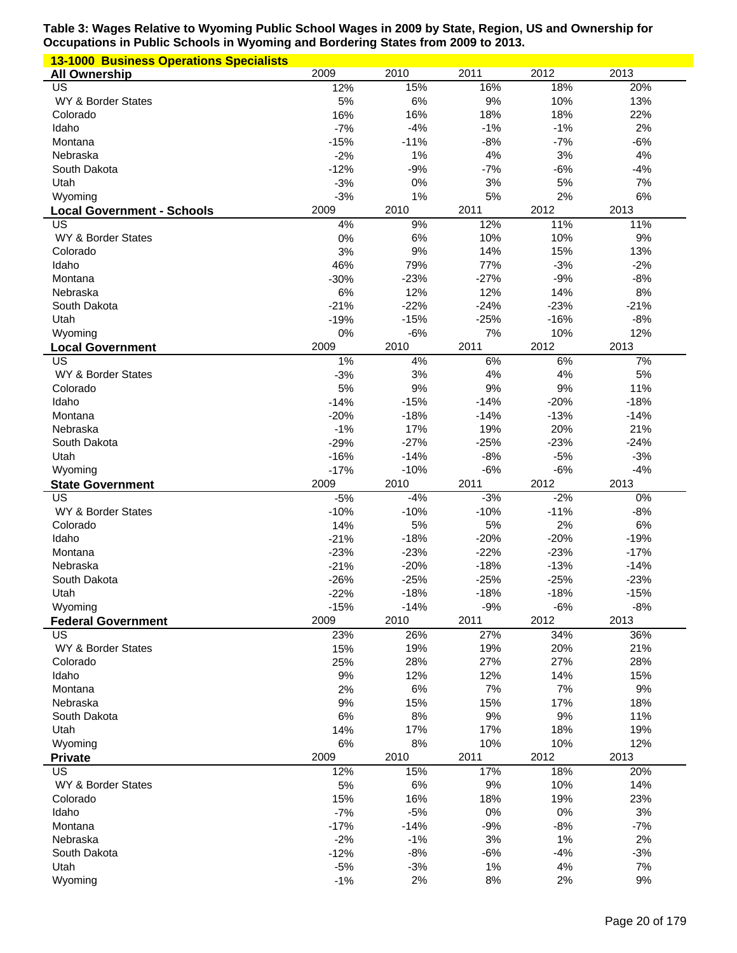| <b>13-1000 Business Operations Specialists</b> |                  |                  |                  |                  |                  |
|------------------------------------------------|------------------|------------------|------------------|------------------|------------------|
| <b>All Ownership</b>                           | 2009             | 2010             | 2011             | 2012             | 2013             |
| US                                             | 12%              | 15%              | 16%              | 18%              | 20%              |
| WY & Border States                             | 5%               | 6%               | 9%               | 10%              | 13%              |
| Colorado                                       | 16%              | 16%              | 18%              | 18%              | 22%              |
| Idaho                                          | $-7%$            | $-4%$            | $-1%$            | $-1%$            | 2%               |
| Montana                                        | $-15%$           | $-11%$           | $-8%$            | $-7%$            | $-6%$            |
| Nebraska                                       | $-2%$            | 1%               | 4%               | 3%               | 4%               |
| South Dakota                                   | $-12%$           | $-9%$            | $-7%$            | $-6%$            | $-4%$<br>7%      |
| Utah                                           | $-3%$<br>$-3%$   | 0%<br>1%         | 3%<br>5%         | 5%<br>2%         | 6%               |
| Wyoming                                        | 2009             | 2010             | 2011             | 2012             | 2013             |
| <b>Local Government - Schools</b><br>US        | 4%               | 9%               | 12%              | 11%              | 11%              |
| WY & Border States                             | 0%               | 6%               | 10%              | 10%              | 9%               |
| Colorado                                       | 3%               | 9%               | 14%              | 15%              | 13%              |
| Idaho                                          | 46%              | 79%              | 77%              | $-3%$            | $-2%$            |
| Montana                                        | $-30%$           | $-23%$           | $-27%$           | $-9%$            | $-8%$            |
| Nebraska                                       | 6%               | 12%              | 12%              | 14%              | 8%               |
| South Dakota                                   | $-21%$           | $-22%$           | $-24%$           | $-23%$           | $-21%$           |
| Utah                                           | $-19%$           | $-15%$           | $-25%$           | $-16%$           | $-8%$            |
| Wyoming                                        | 0%               | $-6%$            | 7%               | 10%              | 12%              |
| <b>Local Government</b>                        | 2009             | 2010             | 2011             | 2012             | 2013             |
| US                                             | 1%               | 4%               | 6%               | 6%               | 7%               |
| WY & Border States                             | $-3%$            | 3%               | 4%               | 4%               | 5%               |
| Colorado                                       | 5%               | 9%               | 9%               | 9%               | 11%              |
| Idaho                                          | $-14%$           | $-15%$           | $-14%$           | $-20%$           | $-18%$           |
| Montana                                        | $-20%$           | $-18%$           | $-14%$           | $-13%$           | $-14%$           |
| Nebraska                                       | $-1%$            | 17%              | 19%              | 20%              | 21%              |
| South Dakota                                   | $-29%$           | $-27%$           | $-25%$           | $-23%$           | $-24%$           |
| Utah                                           | $-16%$           | $-14%$           | $-8%$            | $-5%$            | $-3%$            |
| Wyoming                                        | $-17%$           | $-10%$           | $-6%$            | $-6%$            | $-4%$            |
|                                                |                  |                  |                  |                  |                  |
| <b>State Government</b>                        | 2009             | 2010             | 2011             | 2012             | 2013             |
| US                                             | $-5%$            | $-4%$            | $-3%$            | $-2%$            | $0\%$            |
| WY & Border States                             | $-10%$           | $-10%$           | $-10%$           | $-11%$           | $-8%$            |
| Colorado                                       | 14%              | 5%               | 5%               | 2%               | 6%               |
| Idaho<br>Montana                               | $-21%$           | $-18%$           | $-20%$           | $-20%$           | $-19%$           |
|                                                | $-23%$           | $-23%$           | $-22%$           | $-23%$           | $-17%$           |
| Nebraska<br>South Dakota                       | $-21%$<br>$-26%$ | $-20%$<br>$-25%$ | $-18%$<br>$-25%$ | $-13%$<br>$-25%$ | $-14%$<br>$-23%$ |
| Utah                                           | $-22%$           | $-18%$           | $-18%$           | $-18%$           | $-15%$           |
| Wyoming                                        | $-15%$           | $-14%$           | $-9%$            | $-6%$            | $-8%$            |
| <b>Federal Government</b>                      | 2009             | 2010             | 2011             | 2012             | 2013             |
| US                                             | 23%              | 26%              | 27%              | 34%              | 36%              |
| WY & Border States                             | 15%              | 19%              | 19%              | 20%              | 21%              |
| Colorado                                       | 25%              | 28%              | 27%              | 27%              | 28%              |
| Idaho                                          | 9%               | 12%              | 12%              | 14%              | 15%              |
| Montana                                        | 2%               | 6%               | 7%               | 7%               | 9%               |
| Nebraska                                       | 9%               | 15%              | 15%              | 17%              | 18%              |
| South Dakota                                   | 6%               | 8%               | 9%               | $9%$             | 11%              |
| Utah                                           | 14%              | 17%              | 17%              | 18%              | 19%              |
| Wyoming                                        | 6%               | 8%               | 10%              | 10%              | 12%              |
| <b>Private</b>                                 | 2009             | 2010             | 2011             | 2012             | 2013             |
| US                                             | 12%              | 15%              | 17%              | 18%              | 20%              |
| WY & Border States                             | 5%               | 6%               | 9%               | 10%              | 14%              |
| Colorado                                       | 15%              | 16%              | 18%              | 19%              | 23%              |
| Idaho<br>Montana                               | $-7%$            | $-5%$            | 0%               | 0%               | 3%               |
| Nebraska                                       | $-17%$           | $-14%$<br>$-1%$  | $-9%$<br>3%      | $-8%$<br>1%      | $-7%$<br>2%      |
| South Dakota                                   | $-2%$<br>$-12%$  | $-8%$            | $-6%$            | $-4%$            | $-3%$            |
| Utah                                           | $-5%$            | $-3%$            | 1%               | 4%               | 7%               |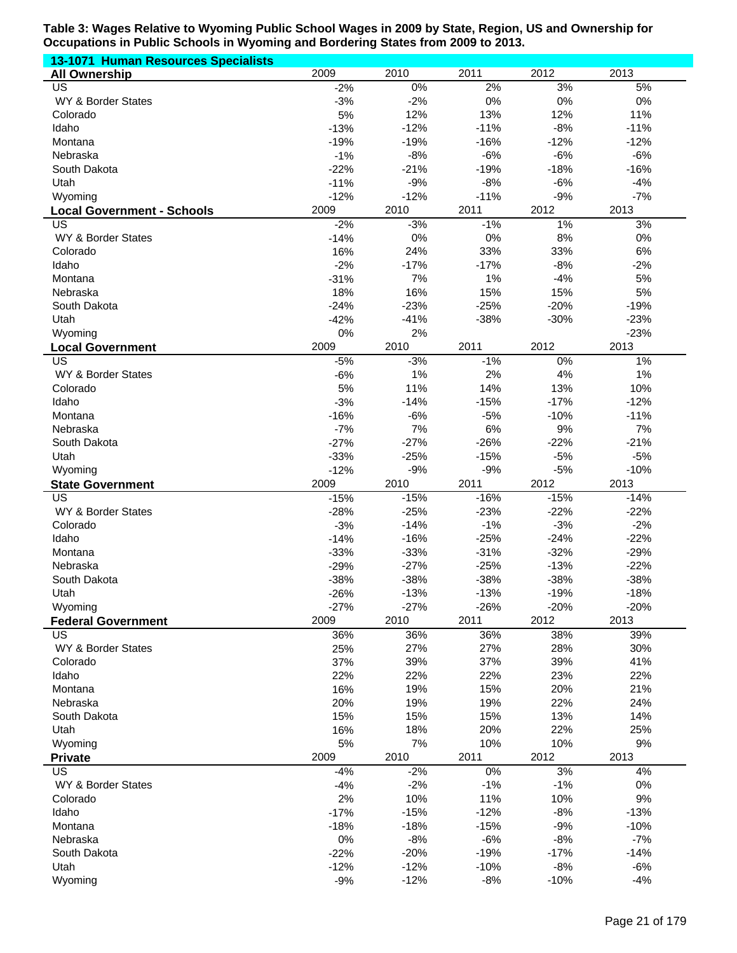| 13-1071 Human Resources Specialists |                  |                 |                 |                 |                 |
|-------------------------------------|------------------|-----------------|-----------------|-----------------|-----------------|
| <b>All Ownership</b>                | 2009             | 2010            | 2011            | 2012            | 2013            |
| US                                  | $-2%$            | $0\%$           | 2%              | 3%              | 5%              |
| WY & Border States                  | $-3%$            | $-2%$           | 0%              | $0\%$           | 0%              |
| Colorado                            | 5%               | 12%             | 13%             | 12%             | 11%             |
| Idaho                               | $-13%$           | $-12%$          | $-11%$          | $-8%$           | $-11%$          |
| Montana                             | $-19%$           | $-19%$<br>$-8%$ | $-16%$          | $-12%$<br>$-6%$ | $-12%$<br>$-6%$ |
| Nebraska<br>South Dakota            | $-1%$<br>$-22%$  | $-21%$          | $-6%$<br>$-19%$ | $-18%$          | $-16%$          |
| Utah                                | $-11%$           | $-9%$           | $-8%$           | $-6%$           | $-4%$           |
| Wyoming                             | $-12%$           | $-12%$          | $-11%$          | $-9%$           | $-7%$           |
| <b>Local Government - Schools</b>   | 2009             | 2010            | 2011            | 2012            | 2013            |
| US                                  | $-2%$            | $-3%$           | $-1%$           | $1\%$           | 3%              |
| WY & Border States                  | $-14%$           | 0%              | 0%              | $8%$            | 0%              |
| Colorado                            | 16%              | 24%             | 33%             | 33%             | 6%              |
| Idaho                               | $-2%$            | $-17%$          | $-17%$          | $-8%$           | $-2%$           |
| Montana                             | $-31%$           | 7%              | 1%              | $-4%$           | 5%              |
| Nebraska                            | 18%              | 16%             | 15%             | 15%             | 5%              |
| South Dakota                        | $-24%$           | $-23%$          | $-25%$          | $-20%$          | $-19%$          |
| Utah                                | $-42%$           | $-41%$          | $-38%$          | $-30%$          | $-23%$          |
| Wyoming                             | 0%               | 2%              |                 |                 | $-23%$          |
| <b>Local Government</b>             | 2009             | 2010            | 2011            | 2012            | 2013            |
| $\overline{\mathsf{US}}$            | $-5%$            | $-3%$           | $-1%$           | $0\%$           | 1%              |
| WY & Border States                  | $-6%$            | 1%              | 2%              | 4%              | 1%              |
| Colorado                            | 5%               | 11%             | 14%             | 13%             | 10%             |
| Idaho                               | $-3%$            | $-14%$          | $-15%$          | $-17%$          | $-12%$          |
| Montana                             | $-16%$           | $-6%$           | $-5%$           | $-10%$          | $-11%$          |
| Nebraska                            | $-7%$            | 7%              | 6%              | 9%              | 7%              |
| South Dakota                        | $-27%$           | $-27%$          | $-26%$          | $-22%$          | $-21%$          |
| Utah<br>Wyoming                     | $-33%$<br>$-12%$ | $-25%$<br>$-9%$ | $-15%$<br>$-9%$ | $-5%$<br>$-5%$  | $-5%$<br>$-10%$ |
| <b>State Government</b>             | 2009             | 2010            | 2011            | 2012            | 2013            |
| $\overline{US}$                     | $-15%$           | $-15%$          | $-16%$          | $-15%$          | $-14%$          |
| WY & Border States                  | $-28%$           | $-25%$          | $-23%$          | $-22%$          | $-22%$          |
| Colorado                            | $-3%$            | $-14%$          | $-1%$           | $-3%$           | $-2%$           |
| Idaho                               | $-14%$           | $-16%$          | $-25%$          | $-24%$          | $-22%$          |
| Montana                             | $-33%$           | $-33%$          | $-31%$          | $-32%$          | $-29%$          |
| Nebraska                            | $-29%$           | $-27%$          | $-25%$          | $-13%$          | $-22%$          |
| South Dakota                        | $-38%$           | $-38%$          | $-38%$          | $-38%$          | $-38%$          |
| Utah                                | $-26%$           | $-13%$          | $-13%$          | $-19%$          | $-18%$          |
| Wyoming                             | $-27%$           | $-27%$          | $-26%$          | $-20%$          | $-20%$          |
| <b>Federal Government</b>           | 2009             | 2010            | 2011            | 2012            | 2013            |
| <b>US</b>                           | 36%              | 36%             | 36%             | 38%             | 39%             |
| WY & Border States                  | 25%              | 27%             | 27%             | 28%             | 30%             |
| Colorado                            | 37%              | 39%             | 37%             | 39%             | 41%             |
| Idaho                               | 22%              | 22%             | 22%             | 23%             | 22%             |
| Montana                             | 16%              | 19%             | 15%             | 20%<br>22%      | 21%             |
| Nebraska<br>South Dakota            | 20%<br>15%       | 19%<br>15%      | 19%<br>15%      | 13%             | 24%<br>14%      |
| Utah                                | 16%              | 18%             | 20%             | 22%             | 25%             |
| Wyoming                             | 5%               | 7%              | 10%             | 10%             | $9%$            |
| <b>Private</b>                      | 2009             | 2010            | 2011            | 2012            | 2013            |
| <b>US</b>                           | $-4%$            | $-2%$           | $0\%$           | 3%              | 4%              |
| WY & Border States                  | $-4%$            | $-2%$           | $-1%$           | $-1%$           | $0\%$           |
| Colorado                            | 2%               | 10%             | 11%             | 10%             | 9%              |
| Idaho                               | $-17%$           | $-15%$          | $-12%$          | $-8%$           | $-13%$          |
| Montana                             | $-18%$           | $-18%$          | $-15%$          | $-9%$           | $-10%$          |
| Nebraska                            | 0%               | $-8%$           | $-6%$           | $-8%$           | $-7%$           |
| South Dakota                        | $-22%$           | $-20%$          | $-19%$          | $-17%$          | $-14%$          |
| Utah                                | $-12%$           | $-12%$          | $-10%$          | $-8%$           | $-6%$           |
| Wyoming                             | $-9%$            | $-12%$          | $-8%$           | $-10%$          | $-4%$           |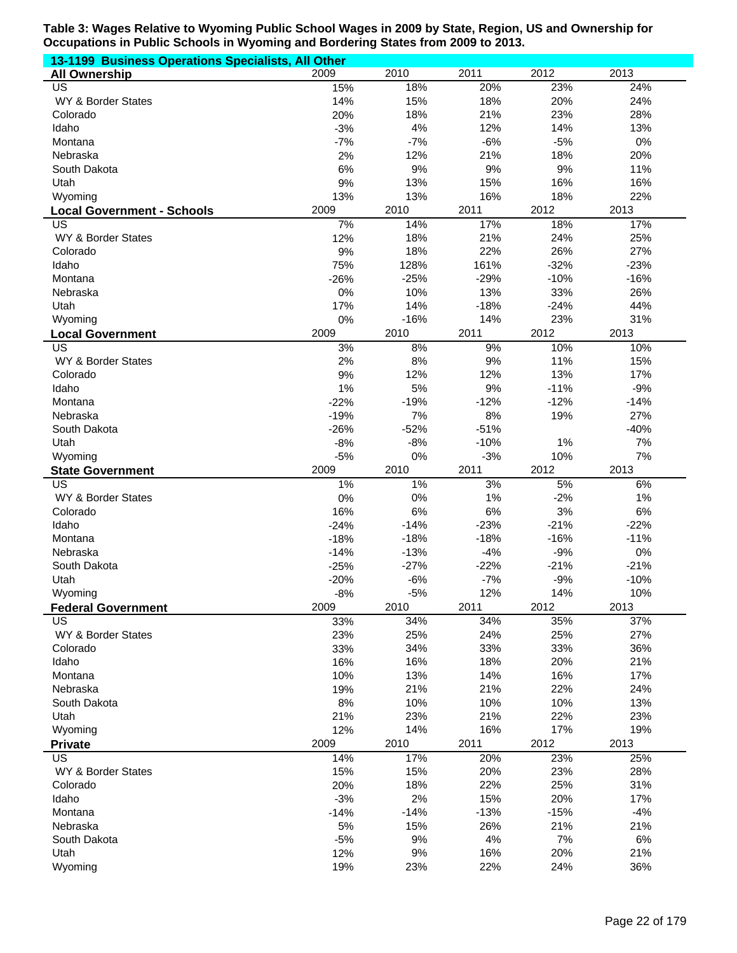| 13-1199 Business Operations Specialists, All Other |        |        |        |        |        |  |  |
|----------------------------------------------------|--------|--------|--------|--------|--------|--|--|
| <b>All Ownership</b>                               | 2009   | 2010   | 2011   | 2012   | 2013   |  |  |
| <b>US</b>                                          | 15%    | 18%    | 20%    | 23%    | 24%    |  |  |
| WY & Border States                                 | 14%    | 15%    | 18%    | 20%    | 24%    |  |  |
| Colorado                                           | 20%    | 18%    | 21%    | 23%    | 28%    |  |  |
| Idaho                                              | $-3%$  | 4%     | 12%    | 14%    | 13%    |  |  |
| Montana                                            | $-7%$  | $-7%$  | $-6%$  | $-5%$  | 0%     |  |  |
| Nebraska                                           | 2%     | 12%    | 21%    | 18%    | 20%    |  |  |
| South Dakota                                       | 6%     | 9%     | 9%     | 9%     | 11%    |  |  |
| Utah                                               | 9%     | 13%    | 15%    | 16%    | 16%    |  |  |
| Wyoming                                            | 13%    | 13%    | 16%    | 18%    | 22%    |  |  |
| <b>Local Government - Schools</b>                  | 2009   | 2010   | 2011   | 2012   | 2013   |  |  |
| US                                                 | 7%     | 14%    | 17%    | 18%    | 17%    |  |  |
| WY & Border States                                 | 12%    | 18%    | 21%    | 24%    | 25%    |  |  |
| Colorado                                           | 9%     | 18%    | 22%    | 26%    | 27%    |  |  |
| Idaho                                              | 75%    | 128%   | 161%   | $-32%$ | $-23%$ |  |  |
| Montana                                            | $-26%$ | $-25%$ | $-29%$ | $-10%$ | $-16%$ |  |  |
| Nebraska                                           | 0%     | 10%    | 13%    | 33%    | 26%    |  |  |
| Utah                                               | 17%    | 14%    | $-18%$ | $-24%$ | 44%    |  |  |
| Wyoming                                            | 0%     | $-16%$ | 14%    | 23%    | 31%    |  |  |
| <b>Local Government</b>                            | 2009   | 2010   | 2011   | 2012   | 2013   |  |  |
| US                                                 | 3%     | 8%     | 9%     | 10%    | 10%    |  |  |
| WY & Border States                                 | 2%     | 8%     | 9%     | 11%    | 15%    |  |  |
| Colorado                                           | 9%     | 12%    | 12%    | 13%    | 17%    |  |  |
| Idaho                                              | 1%     | 5%     | 9%     | $-11%$ | $-9%$  |  |  |
| Montana                                            | $-22%$ | $-19%$ | $-12%$ | $-12%$ | $-14%$ |  |  |
| Nebraska                                           | $-19%$ | 7%     | 8%     | 19%    | 27%    |  |  |
| South Dakota                                       | $-26%$ | $-52%$ | $-51%$ |        | $-40%$ |  |  |
| Utah                                               | $-8%$  | $-8%$  | $-10%$ | 1%     | 7%     |  |  |
| Wyoming                                            | $-5%$  | 0%     | $-3%$  | 10%    | 7%     |  |  |
| <b>State Government</b>                            | 2009   | 2010   | 2011   | 2012   | 2013   |  |  |
| $\overline{US}$                                    | 1%     | $1\%$  | 3%     | 5%     | 6%     |  |  |
| WY & Border States                                 | 0%     | 0%     | 1%     | $-2%$  | 1%     |  |  |
| Colorado                                           | 16%    | 6%     | 6%     | 3%     | 6%     |  |  |
| Idaho                                              | $-24%$ | $-14%$ | $-23%$ | $-21%$ | $-22%$ |  |  |
| Montana                                            | $-18%$ | $-18%$ | $-18%$ | $-16%$ | $-11%$ |  |  |
| Nebraska                                           | $-14%$ | $-13%$ | $-4%$  | $-9%$  | 0%     |  |  |
| South Dakota                                       | $-25%$ | $-27%$ | $-22%$ | $-21%$ | $-21%$ |  |  |
| Utah                                               | $-20%$ | $-6%$  | $-7%$  | $-9%$  | $-10%$ |  |  |
| Wyoming                                            | $-8%$  | $-5%$  | 12%    | 14%    | 10%    |  |  |
| <b>Federal Government</b>                          | 2009   | 2010   | 2011   | 2012   | 2013   |  |  |
| US                                                 | 33%    | 34%    | 34%    | 35%    | 37%    |  |  |
| WY & Border States                                 | 23%    | 25%    | 24%    | 25%    | 27%    |  |  |
| Colorado                                           | 33%    | 34%    | 33%    | 33%    | 36%    |  |  |
| Idaho                                              | 16%    | 16%    | 18%    | 20%    | 21%    |  |  |
| Montana                                            | 10%    | 13%    | 14%    | 16%    | 17%    |  |  |
| Nebraska                                           | 19%    | 21%    | 21%    | 22%    | 24%    |  |  |
| South Dakota                                       | 8%     | 10%    | 10%    | 10%    | 13%    |  |  |
| Utah                                               | 21%    | 23%    | 21%    | 22%    | 23%    |  |  |
| Wyoming                                            | 12%    | 14%    | 16%    | 17%    | 19%    |  |  |
| <b>Private</b>                                     | 2009   | 2010   | 2011   | 2012   | 2013   |  |  |
| $\overline{US}$                                    | 14%    | 17%    | 20%    | 23%    | 25%    |  |  |
| WY & Border States                                 | 15%    | 15%    | 20%    | 23%    | 28%    |  |  |
| Colorado                                           | 20%    | 18%    | 22%    | 25%    | 31%    |  |  |
| Idaho                                              | $-3%$  | 2%     | 15%    | 20%    | 17%    |  |  |
| Montana                                            | $-14%$ | $-14%$ | $-13%$ | $-15%$ | $-4%$  |  |  |
| Nebraska                                           | 5%     | 15%    | 26%    | 21%    | 21%    |  |  |
| South Dakota                                       | $-5%$  | 9%     | 4%     | 7%     | 6%     |  |  |
| Utah                                               | 12%    | 9%     | 16%    | 20%    | 21%    |  |  |
| Wyoming                                            | 19%    | 23%    | 22%    | 24%    | 36%    |  |  |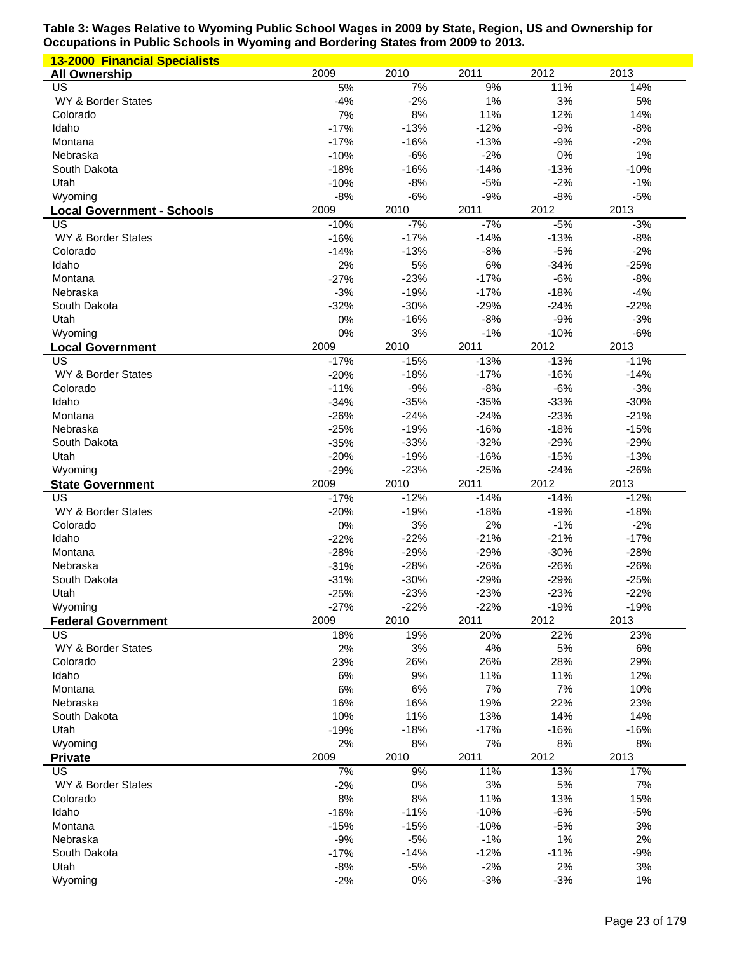| <b>13-2000 Financial Specialists</b> |                |              |                |                 |                 |
|--------------------------------------|----------------|--------------|----------------|-----------------|-----------------|
| <b>All Ownership</b>                 | 2009           | 2010         | 2011           | 2012            | 2013            |
| US                                   | 5%             | 7%           | 9%             | 11%             | 14%             |
| WY & Border States                   | $-4%$          | $-2%$        | 1%             | 3%              | 5%              |
| Colorado                             | 7%             | 8%           | 11%            | 12%             | 14%             |
| Idaho                                | $-17%$         | $-13%$       | $-12%$         | $-9%$           | $-8%$           |
| Montana                              | $-17%$         | $-16%$       | $-13%$         | $-9%$           | $-2%$           |
| Nebraska                             | $-10%$         | $-6%$        | $-2%$          | 0%              | 1%              |
| South Dakota                         | $-18%$         | $-16%$       | $-14%$         | $-13%$          | $-10%$          |
| Utah                                 | $-10%$         | $-8%$        | $-5%$          | $-2%$           | $-1%$           |
| Wyoming                              | $-8%$          | $-6%$        | $-9%$          | $-8%$           | $-5%$           |
| <b>Local Government - Schools</b>    | 2009           | 2010         | 2011           | 2012            | 2013            |
| US                                   | $-10%$         | $-7%$        | $-7%$          | $-5%$           | $-3%$           |
| WY & Border States                   | $-16%$         | $-17%$       | $-14%$         | $-13%$          | $-8%$           |
| Colorado<br>Idaho                    | $-14%$         | $-13%$       | $-8%$<br>6%    | $-5%$<br>$-34%$ | $-2%$           |
| Montana                              | 2%<br>$-27%$   | 5%<br>$-23%$ | $-17%$         | $-6%$           | $-25%$<br>$-8%$ |
| Nebraska                             | $-3%$          | $-19%$       | $-17%$         | $-18%$          | $-4%$           |
| South Dakota                         | $-32%$         | $-30%$       | $-29%$         | $-24%$          | $-22%$          |
| Utah                                 | 0%             | $-16%$       | $-8%$          | $-9%$           | $-3%$           |
| Wyoming                              | 0%             | 3%           | $-1%$          | $-10%$          | $-6%$           |
| <b>Local Government</b>              | 2009           | 2010         | 2011           | 2012            | 2013            |
| US                                   | $-17%$         | $-15%$       | $-13%$         | $-13%$          | $-11%$          |
| WY & Border States                   | $-20%$         | $-18%$       | $-17%$         | $-16%$          | $-14%$          |
| Colorado                             | $-11%$         | $-9%$        | $-8%$          | $-6%$           | $-3%$           |
| Idaho                                | $-34%$         | $-35%$       | $-35%$         | $-33%$          | $-30%$          |
| Montana                              | $-26%$         | $-24%$       | $-24%$         | $-23%$          | $-21%$          |
| Nebraska                             | $-25%$         | $-19%$       | $-16%$         | $-18%$          | $-15%$          |
| South Dakota                         | $-35%$         | $-33%$       | $-32%$         | $-29%$          | $-29%$          |
| Utah                                 | $-20%$         | $-19%$       | $-16%$         | $-15%$          | $-13%$          |
| Wyoming                              | $-29%$         | $-23%$       | $-25%$         | $-24%$          | $-26%$          |
| <b>State Government</b>              | 2009           | 2010         | 2011           | 2012            | 2013            |
| US                                   | $-17%$         | $-12%$       | $-14%$         | $-14%$          | $-12%$          |
| WY & Border States                   | $-20%$         | $-19%$       | $-18%$         | $-19%$          | $-18%$          |
| Colorado                             | 0%             | 3%           | 2%             | $-1%$           | $-2%$           |
|                                      |                |              | $-21%$         |                 |                 |
| Idaho                                | $-22%$         | $-22%$       |                | $-21%$          | $-17%$          |
| Montana                              | $-28%$         | $-29%$       | $-29%$         | $-30%$          | $-28%$          |
| Nebraska                             | $-31%$         | $-28%$       | $-26%$         | $-26%$          | $-26%$          |
| South Dakota                         | $-31%$         | $-30%$       | $-29%$         | $-29%$          | $-25%$          |
| Utah                                 | $-25%$         | $-23%$       | $-23%$         | $-23%$          | $-22%$          |
| Wyoming                              | $-27%$         | $-22%$       | $-22%$         | $-19%$          | $-19%$          |
| <b>Federal Government</b>            | 2009           | 2010         | 2011           | 2012            | 2013            |
| US                                   | 18%            | 19%          | 20%            | 22%             | 23%             |
| WY & Border States                   | 2%             | 3%           | 4%             | 5%              | 6%              |
| Colorado                             | 23%            | 26%          | 26%            | 28%             | 29%             |
| Idaho                                | 6%             | 9%           | 11%            | 11%             | 12%             |
| Montana                              | 6%             | 6%           | 7%             | 7%              | 10%             |
| Nebraska                             | 16%            | 16%          | 19%            | 22%             | 23%             |
| South Dakota                         | 10%            | 11%          | 13%            | 14%             | 14%             |
| Utah                                 | $-19%$         | $-18%$       | $-17%$         | $-16%$          | $-16%$          |
| Wyoming                              | 2%<br>2009     | 8%<br>2010   | 7%<br>2011     | $8%$<br>2012    | 8%<br>2013      |
| <b>Private</b><br>US                 | 7%             | 9%           | 11%            | 13%             | 17%             |
| WY & Border States                   | $-2%$          | 0%           | 3%             | 5%              | 7%              |
| Colorado                             | 8%             | 8%           | 11%            | 13%             | 15%             |
| Idaho                                | $-16%$         | $-11%$       | $-10%$         | $-6%$           | $-5%$           |
| Montana                              | $-15%$         | $-15%$       | $-10%$         | $-5%$           | 3%              |
| Nebraska                             | $-9%$          | $-5%$        | $-1%$          | 1%              | 2%              |
| South Dakota                         | $-17%$         | $-14%$       | $-12%$         | $-11%$          | $-9%$           |
| Utah<br>Wyoming                      | $-8%$<br>$-2%$ | $-5%$<br>0%  | $-2%$<br>$-3%$ | 2%<br>$-3%$     | 3%<br>1%        |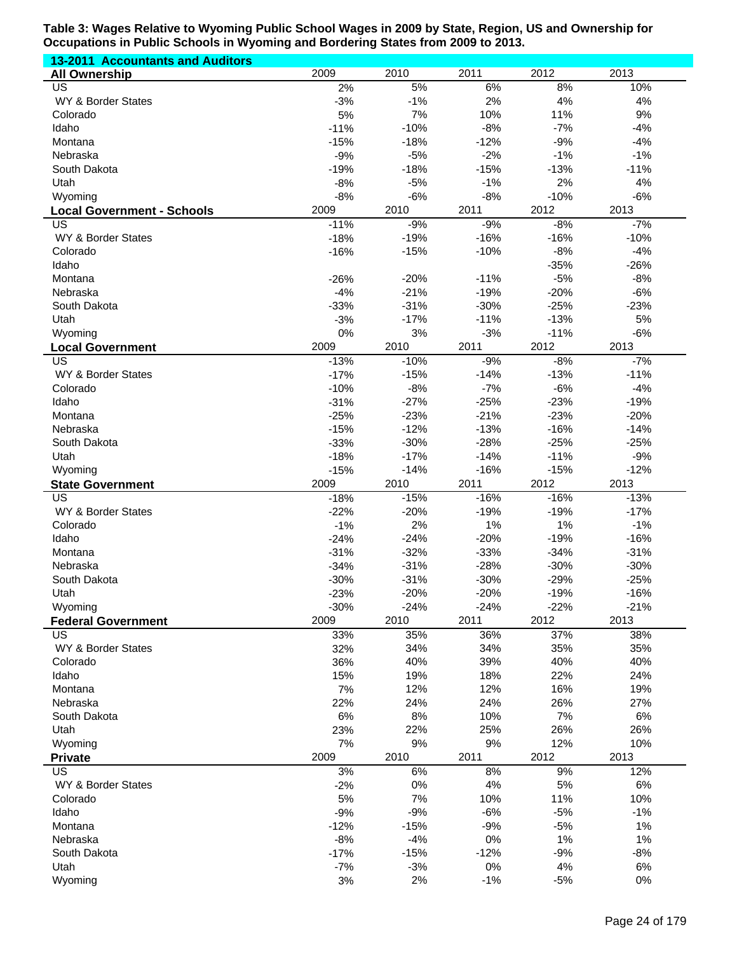| <b>13-2011 Accountants and Auditors</b> |                |                 |                |                |                 |
|-----------------------------------------|----------------|-----------------|----------------|----------------|-----------------|
| <b>All Ownership</b>                    | 2009           | 2010            | 2011           | 2012           | 2013            |
| US                                      | 2%             | 5%              | 6%             | 8%             | 10%             |
| WY & Border States                      | $-3%$          | $-1%$           | 2%             | 4%             | 4%              |
| Colorado                                | 5%             | 7%              | 10%            | 11%            | 9%              |
| Idaho                                   | $-11%$         | $-10%$          | $-8%$          | $-7%$          | $-4%$           |
| Montana                                 | $-15%$         | $-18%$          | $-12%$         | $-9%$          | $-4%$           |
| Nebraska                                | $-9%$          | $-5%$           | $-2%$          | $-1%$          | $-1%$           |
| South Dakota                            | $-19%$         | $-18%$          | $-15%$         | $-13%$         | $-11%$          |
| Utah                                    | $-8%$          | $-5%$           | $-1%$          | 2%             | 4%              |
| Wyoming                                 | $-8%$          | $-6%$           | $-8%$          | $-10%$         | $-6%$           |
| <b>Local Government - Schools</b>       | 2009<br>$-11%$ | 2010            | 2011<br>$-9%$  | 2012<br>$-8%$  | 2013            |
| US<br>WY & Border States                | $-18%$         | $-9%$<br>$-19%$ | $-16%$         | $-16%$         | $-7%$<br>$-10%$ |
| Colorado                                | $-16%$         | $-15%$          | $-10%$         | $-8%$          | $-4%$           |
| Idaho                                   |                |                 |                | $-35%$         | $-26%$          |
| Montana                                 | $-26%$         | $-20%$          | $-11%$         | $-5%$          | $-8%$           |
| Nebraska                                | $-4%$          | $-21%$          | $-19%$         | $-20%$         | $-6%$           |
| South Dakota                            | $-33%$         | $-31%$          | $-30%$         | $-25%$         | $-23%$          |
| Utah                                    | $-3%$          | $-17%$          | $-11%$         | $-13%$         | 5%              |
| Wyoming                                 | 0%             | 3%              | $-3%$          | $-11%$         | $-6%$           |
| <b>Local Government</b>                 | 2009           | 2010            | 2011           | 2012           | 2013            |
| $\overline{US}$                         | $-13%$         | $-10%$          | $-9%$          | $-8%$          | $-7%$           |
| WY & Border States                      | $-17%$         | $-15%$          | $-14%$         | $-13%$         | $-11%$          |
| Colorado                                | $-10%$         | $-8%$           | $-7%$          | $-6%$          | $-4%$           |
| Idaho                                   | $-31%$         | $-27%$          | $-25%$         | $-23%$         | $-19%$          |
| Montana                                 | $-25%$         | $-23%$          | $-21%$         | $-23%$         | $-20%$          |
| Nebraska                                | $-15%$         | $-12%$          | $-13%$         | $-16%$         | $-14%$          |
| South Dakota                            | $-33%$         | $-30%$          | $-28%$         | $-25%$         | $-25%$          |
| Utah                                    | $-18%$         | $-17%$          | $-14%$         | $-11%$         | $-9%$           |
| Wyoming                                 | $-15%$         | $-14%$          | $-16%$         | $-15%$         | $-12%$          |
| <b>State Government</b>                 | 2009           | 2010            | 2011           | 2012           | 2013            |
| $\overline{US}$                         | $-18%$         | $-15%$          | $-16%$         | $-16%$         | $-13%$          |
| WY & Border States                      | $-22%$         | $-20%$          | $-19%$         | $-19%$         | $-17%$          |
| Colorado                                | $-1%$          | 2%              | $1\%$          | 1%             | $-1%$           |
| Idaho                                   | $-24%$         | $-24%$          | $-20%$         | $-19%$         | $-16%$          |
| Montana                                 | $-31%$         | $-32%$          | $-33%$         | $-34%$         | $-31%$          |
| Nebraska                                | $-34%$         | $-31%$          | $-28%$         | $-30%$         | $-30%$          |
| South Dakota                            | $-30%$         | $-31%$          | $-30%$         | $-29%$         | $-25%$          |
| Utah                                    | $-23%$         | $-20%$          | $-20%$         | $-19%$         | $-16%$          |
| Wyoming                                 | $-30%$<br>2009 | $-24%$<br>2010  | $-24%$<br>2011 | $-22%$<br>2012 | $-21%$<br>2013  |
| <b>Federal Government</b><br><b>US</b>  | 33%            | 35%             | 36%            | 37%            | 38%             |
| WY & Border States                      | 32%            | 34%             | 34%            | 35%            | 35%             |
| Colorado                                | 36%            | 40%             | 39%            | 40%            | 40%             |
| Idaho                                   | 15%            | 19%             | 18%            | 22%            | 24%             |
| Montana                                 | 7%             | 12%             | 12%            | 16%            | 19%             |
| Nebraska                                | 22%            | 24%             | 24%            | 26%            | 27%             |
| South Dakota                            | 6%             | 8%              | 10%            | 7%             | 6%              |
| Utah                                    | 23%            | 22%             | 25%            | 26%            | 26%             |
| Wyoming                                 | 7%             | 9%              | 9%             | 12%            | 10%             |
| <b>Private</b>                          | 2009           | 2010            | 2011           | 2012           | 2013            |
| <b>US</b>                               | 3%             | 6%              | 8%             | 9%             | 12%             |
| WY & Border States                      | $-2%$          | 0%              | 4%             | 5%             | 6%              |
| Colorado                                | 5%             | 7%              | 10%            | 11%            | 10%             |
| Idaho                                   | $-9%$          | $-9%$           | $-6%$          | $-5%$          | $-1%$           |
| Montana                                 | $-12%$         | $-15%$          | $-9%$          | $-5%$          | 1%              |
| Nebraska                                | $-8%$          | $-4%$           | 0%             | 1%             | 1%              |
| South Dakota                            | $-17%$         | $-15%$          | $-12%$         | $-9%$          | $-8%$           |
| Utah                                    | $-7%$          | $-3%$           | 0%             | 4%             | 6%              |
| Wyoming                                 | 3%             | 2%              | $-1%$          | $-5%$          | $0\%$           |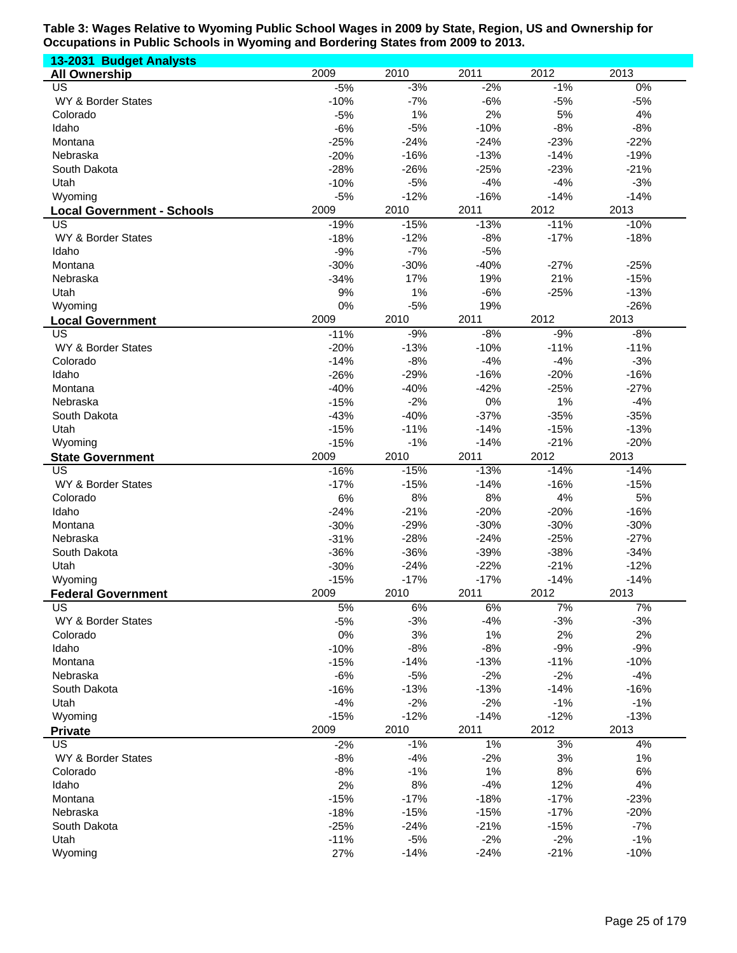| 13-2031 Budget Analysts           |        |        |        |        |        |
|-----------------------------------|--------|--------|--------|--------|--------|
| <b>All Ownership</b>              | 2009   | 2010   | 2011   | 2012   | 2013   |
| $\overline{US}$                   | $-5%$  | $-3%$  | $-2%$  | $-1%$  | $0\%$  |
| <b>WY &amp; Border States</b>     | $-10%$ | $-7%$  | $-6%$  | $-5%$  | $-5%$  |
| Colorado                          | $-5%$  | 1%     | 2%     | 5%     | 4%     |
| Idaho                             | $-6%$  | $-5%$  | $-10%$ | $-8%$  | $-8%$  |
| Montana                           | $-25%$ | $-24%$ | $-24%$ | $-23%$ | $-22%$ |
| Nebraska                          | $-20%$ | $-16%$ | $-13%$ | $-14%$ | $-19%$ |
| South Dakota                      | $-28%$ | $-26%$ | $-25%$ | $-23%$ | $-21%$ |
| Utah                              | $-10%$ | $-5%$  | $-4%$  | $-4%$  | $-3%$  |
|                                   |        |        |        |        |        |
| Wyoming                           | $-5%$  | $-12%$ | $-16%$ | $-14%$ | $-14%$ |
| <b>Local Government - Schools</b> | 2009   | 2010   | 2011   | 2012   | 2013   |
| US                                | $-19%$ | $-15%$ | $-13%$ | $-11%$ | $-10%$ |
| WY & Border States                | $-18%$ | $-12%$ | $-8%$  | $-17%$ | $-18%$ |
| Idaho                             | $-9%$  | $-7%$  | $-5%$  |        |        |
| Montana                           | $-30%$ | $-30%$ | $-40%$ | $-27%$ | $-25%$ |
| Nebraska                          | $-34%$ | 17%    | 19%    | 21%    | $-15%$ |
| Utah                              | 9%     | 1%     | $-6%$  | $-25%$ | $-13%$ |
| Wyoming                           | 0%     | $-5%$  | 19%    |        | $-26%$ |
| <b>Local Government</b>           | 2009   | 2010   | 2011   | 2012   | 2013   |
| <b>US</b>                         | $-11%$ | $-9%$  | $-8%$  | $-9%$  | $-8%$  |
| WY & Border States                | $-20%$ | $-13%$ | $-10%$ | $-11%$ | $-11%$ |
| Colorado                          | $-14%$ | $-8%$  | $-4%$  | $-4%$  | $-3%$  |
| Idaho                             | $-26%$ | $-29%$ | $-16%$ | $-20%$ | $-16%$ |
| Montana                           | $-40%$ | $-40%$ | $-42%$ | $-25%$ | $-27%$ |
|                                   |        |        |        |        |        |
| Nebraska                          | $-15%$ | $-2%$  | 0%     | 1%     | $-4%$  |
| South Dakota                      | $-43%$ | $-40%$ | $-37%$ | $-35%$ | $-35%$ |
| Utah                              | $-15%$ | $-11%$ | $-14%$ | $-15%$ | $-13%$ |
| Wyoming                           | $-15%$ | $-1%$  | $-14%$ | $-21%$ | $-20%$ |
| <b>State Government</b>           | 2009   | 2010   | 2011   | 2012   | 2013   |
| <b>US</b>                         | $-16%$ | $-15%$ | $-13%$ | $-14%$ | $-14%$ |
| WY & Border States                | $-17%$ | $-15%$ | $-14%$ | $-16%$ | $-15%$ |
| Colorado                          | 6%     | 8%     | 8%     | 4%     | 5%     |
| Idaho                             | $-24%$ | $-21%$ | $-20%$ | $-20%$ | $-16%$ |
| Montana                           | $-30%$ | $-29%$ | $-30%$ | $-30%$ | $-30%$ |
| Nebraska                          | $-31%$ | $-28%$ | $-24%$ | $-25%$ | $-27%$ |
| South Dakota                      | $-36%$ | $-36%$ | $-39%$ | $-38%$ | $-34%$ |
| Utah                              | $-30%$ | $-24%$ | $-22%$ | $-21%$ | $-12%$ |
| Wyoming                           | $-15%$ | $-17%$ | $-17%$ | $-14%$ | $-14%$ |
| <b>Federal Government</b>         | 2009   | 2010   | 2011   | 2012   | 2013   |
|                                   |        |        |        |        | 7%     |
| US                                | 5%     | 6%     | 6%     | 7%     |        |
| WY & Border States                | $-5%$  | $-3%$  | $-4%$  | $-3%$  | $-3%$  |
| Colorado                          | 0%     | 3%     | 1%     | 2%     | 2%     |
| Idaho                             | $-10%$ | $-8%$  | $-8%$  | $-9%$  | $-9%$  |
| Montana                           | $-15%$ | $-14%$ | $-13%$ | $-11%$ | $-10%$ |
| Nebraska                          | $-6%$  | $-5%$  | $-2%$  | $-2%$  | $-4%$  |
| South Dakota                      | $-16%$ | $-13%$ | $-13%$ | $-14%$ | $-16%$ |
| Utah                              | $-4%$  | $-2%$  | $-2%$  | $-1%$  | $-1%$  |
| Wyoming                           | $-15%$ | $-12%$ | $-14%$ | $-12%$ | $-13%$ |
| <b>Private</b>                    | 2009   | 2010   | 2011   | 2012   | 2013   |
| <b>US</b>                         | $-2%$  | $-1%$  | $1\%$  | 3%     | 4%     |
| WY & Border States                | $-8%$  | $-4%$  | $-2%$  | 3%     | 1%     |
| Colorado                          | $-8%$  | $-1%$  | 1%     | 8%     | 6%     |
| Idaho                             | 2%     | 8%     | $-4%$  | 12%    | 4%     |
| Montana                           | $-15%$ | $-17%$ | $-18%$ | $-17%$ | $-23%$ |
| Nebraska                          | $-18%$ | $-15%$ | $-15%$ | $-17%$ | $-20%$ |
|                                   |        |        | $-21%$ |        | $-7%$  |
| South Dakota                      | $-25%$ | $-24%$ |        | $-15%$ |        |
| Utah                              | $-11%$ | $-5%$  | $-2%$  | $-2%$  | $-1%$  |
| Wyoming                           | 27%    | $-14%$ | $-24%$ | $-21%$ | $-10%$ |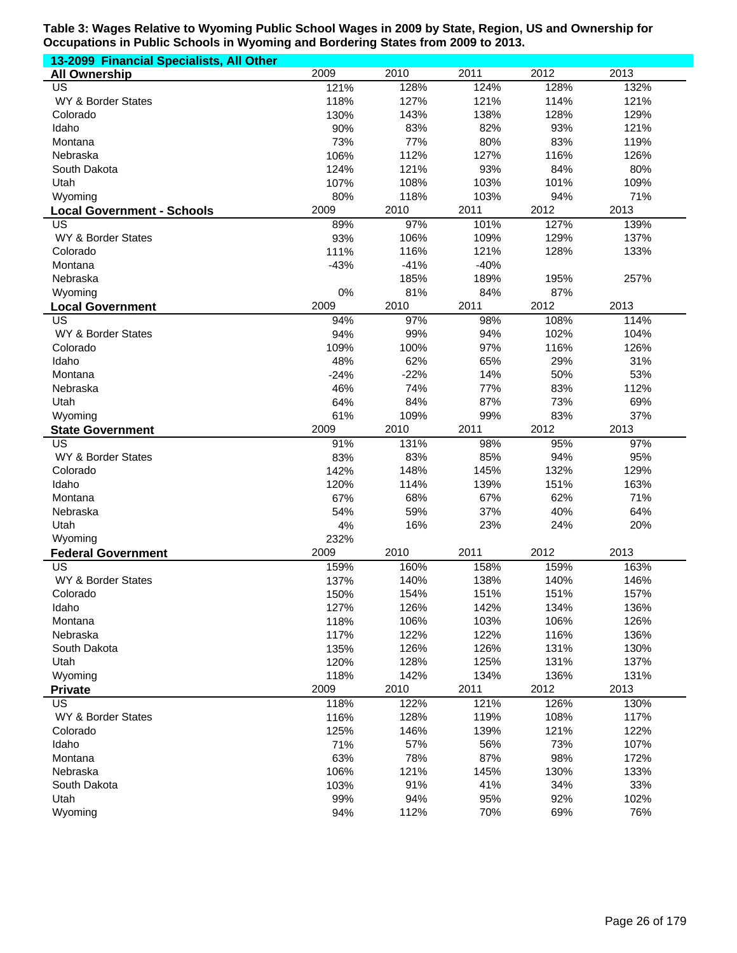| 13-2099 Financial Specialists, All Other |        |        |        |      |      |
|------------------------------------------|--------|--------|--------|------|------|
| <b>All Ownership</b>                     | 2009   | 2010   | 2011   | 2012 | 2013 |
| US                                       | 121%   | 128%   | 124%   | 128% | 132% |
| WY & Border States                       | 118%   | 127%   | 121%   | 114% | 121% |
| Colorado                                 | 130%   | 143%   | 138%   | 128% | 129% |
| Idaho                                    | 90%    | 83%    | 82%    | 93%  | 121% |
| Montana                                  | 73%    | 77%    | 80%    | 83%  | 119% |
| Nebraska                                 | 106%   | 112%   | 127%   | 116% | 126% |
| South Dakota                             | 124%   | 121%   | 93%    | 84%  | 80%  |
| Utah                                     | 107%   | 108%   | 103%   | 101% | 109% |
| Wyoming                                  | 80%    | 118%   | 103%   | 94%  | 71%  |
| <b>Local Government - Schools</b>        | 2009   | 2010   | 2011   | 2012 | 2013 |
| US                                       | 89%    | 97%    | 101%   | 127% | 139% |
| WY & Border States                       | 93%    | 106%   | 109%   | 129% | 137% |
| Colorado                                 | 111%   | 116%   | 121%   | 128% | 133% |
| Montana                                  | $-43%$ | $-41%$ | $-40%$ |      |      |
| Nebraska                                 |        | 185%   | 189%   | 195% | 257% |
| Wyoming                                  | 0%     | 81%    | 84%    | 87%  |      |
| <b>Local Government</b>                  | 2009   | 2010   | 2011   | 2012 | 2013 |
| <b>US</b>                                | 94%    | 97%    | 98%    | 108% | 114% |
| WY & Border States                       | 94%    | 99%    | 94%    | 102% | 104% |
| Colorado                                 | 109%   | 100%   | 97%    | 116% | 126% |
| Idaho                                    | 48%    | 62%    | 65%    | 29%  | 31%  |
| Montana                                  | $-24%$ | $-22%$ | 14%    | 50%  | 53%  |
| Nebraska                                 | 46%    | 74%    | 77%    | 83%  | 112% |
| Utah                                     | 64%    | 84%    | 87%    | 73%  | 69%  |
| Wyoming                                  | 61%    | 109%   | 99%    | 83%  | 37%  |
| <b>State Government</b>                  | 2009   | 2010   | 2011   | 2012 | 2013 |
| US                                       | 91%    | 131%   | 98%    | 95%  | 97%  |
| WY & Border States                       | 83%    | 83%    | 85%    | 94%  | 95%  |
| Colorado                                 | 142%   | 148%   | 145%   | 132% | 129% |
| Idaho                                    | 120%   | 114%   | 139%   | 151% | 163% |
| Montana                                  | 67%    | 68%    | 67%    | 62%  | 71%  |
| Nebraska                                 | 54%    | 59%    | 37%    | 40%  | 64%  |
| Utah                                     | 4%     | 16%    | 23%    | 24%  | 20%  |
| Wyoming                                  | 232%   |        |        |      |      |
| <b>Federal Government</b>                | 2009   | 2010   | 2011   | 2012 | 2013 |
| <b>US</b>                                | 159%   | 160%   | 158%   | 159% | 163% |
| WY & Border States                       | 137%   | 140%   | 138%   | 140% | 146% |
| Colorado                                 | 150%   | 154%   | 151%   | 151% | 157% |
| Idaho                                    | 127%   | 126%   | 142%   | 134% | 136% |
| Montana                                  | 118%   | 106%   | 103%   | 106% | 126% |
| Nebraska                                 | 117%   | 122%   | 122%   | 116% | 136% |
| South Dakota                             | 135%   | 126%   | 126%   | 131% | 130% |
| Utah                                     | 120%   | 128%   | 125%   | 131% | 137% |
| Wyoming                                  | 118%   | 142%   | 134%   | 136% | 131% |
| <b>Private</b>                           | 2009   | 2010   | 2011   | 2012 | 2013 |
| US                                       | 118%   | 122%   | 121%   | 126% | 130% |
| WY & Border States                       | 116%   | 128%   | 119%   | 108% | 117% |
| Colorado                                 | 125%   | 146%   | 139%   | 121% | 122% |
| Idaho                                    | 71%    | 57%    | 56%    | 73%  | 107% |
| Montana                                  | 63%    | 78%    | 87%    | 98%  | 172% |
| Nebraska                                 | 106%   | 121%   | 145%   | 130% | 133% |
| South Dakota                             | 103%   | 91%    | 41%    | 34%  | 33%  |
| Utah                                     | 99%    | 94%    | 95%    | 92%  | 102% |
|                                          |        |        |        |      |      |
| Wyoming                                  | 94%    | 112%   | 70%    | 69%  | 76%  |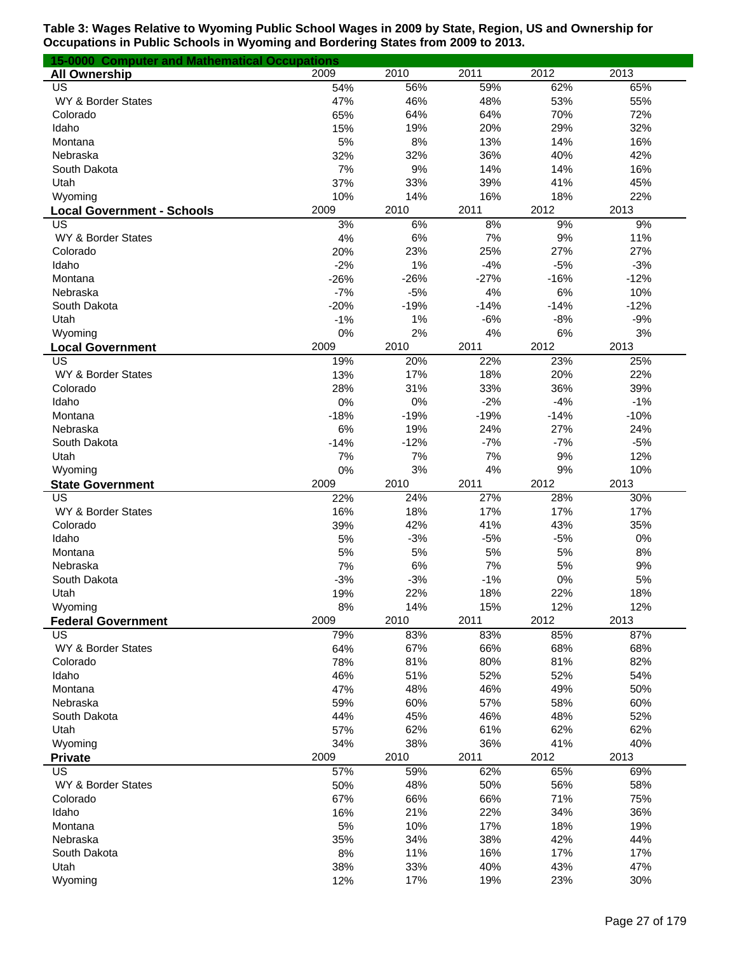| <b>15-0000 Computer and Mathematical Occupations</b> |        |        |        |        |        |
|------------------------------------------------------|--------|--------|--------|--------|--------|
| <b>All Ownership</b>                                 | 2009   | 2010   | 2011   | 2012   | 2013   |
| US                                                   | 54%    | 56%    | 59%    | 62%    | 65%    |
| WY & Border States                                   | 47%    | 46%    | 48%    | 53%    | 55%    |
| Colorado                                             | 65%    | 64%    | 64%    | 70%    | 72%    |
| Idaho                                                | 15%    | 19%    | 20%    | 29%    | 32%    |
| Montana                                              | 5%     | 8%     | 13%    | 14%    | 16%    |
| Nebraska                                             | 32%    | 32%    | 36%    | 40%    | 42%    |
| South Dakota                                         | 7%     | 9%     | 14%    | 14%    | 16%    |
| Utah                                                 | 37%    | 33%    | 39%    | 41%    | 45%    |
| Wyoming                                              | 10%    | 14%    | 16%    | 18%    | 22%    |
| <b>Local Government - Schools</b>                    | 2009   | 2010   | 2011   | 2012   | 2013   |
| US                                                   | 3%     | 6%     | 8%     | 9%     | 9%     |
| WY & Border States                                   | 4%     | 6%     | 7%     | 9%     | 11%    |
| Colorado                                             | 20%    | 23%    | 25%    | 27%    | 27%    |
| Idaho                                                | $-2%$  | 1%     | $-4%$  | $-5%$  | $-3%$  |
| Montana                                              | $-26%$ | $-26%$ | $-27%$ | $-16%$ | $-12%$ |
| Nebraska                                             | $-7%$  | $-5%$  | 4%     | 6%     | 10%    |
| South Dakota                                         | $-20%$ | $-19%$ | $-14%$ | $-14%$ | $-12%$ |
| Utah                                                 | $-1%$  | 1%     | $-6%$  | $-8%$  | $-9%$  |
| Wyoming                                              | 0%     | 2%     | 4%     | 6%     | 3%     |
| <b>Local Government</b>                              | 2009   | 2010   | 2011   | 2012   | 2013   |
| US                                                   | 19%    | 20%    | 22%    | 23%    | 25%    |
| WY & Border States                                   | 13%    | 17%    | 18%    | 20%    | 22%    |
| Colorado                                             | 28%    | 31%    | 33%    | 36%    | 39%    |
| Idaho                                                | 0%     | 0%     | $-2%$  | $-4%$  | $-1%$  |
| Montana                                              | $-18%$ | $-19%$ | $-19%$ | $-14%$ | $-10%$ |
| Nebraska                                             | 6%     | 19%    | 24%    | 27%    | 24%    |
| South Dakota                                         | $-14%$ | $-12%$ | $-7%$  | $-7%$  | $-5%$  |
| Utah                                                 | 7%     | 7%     | 7%     | 9%     | 12%    |
| Wyoming                                              | 0%     | 3%     | 4%     | 9%     | 10%    |
| <b>State Government</b>                              | 2009   | 2010   | 2011   | 2012   | 2013   |
| US                                                   | 22%    | 24%    | 27%    | 28%    | 30%    |
| WY & Border States                                   | 16%    | 18%    | 17%    | 17%    | 17%    |
| Colorado                                             | 39%    | 42%    | 41%    | 43%    | 35%    |
| Idaho                                                | 5%     | $-3%$  | $-5%$  | $-5%$  | 0%     |
| Montana                                              | 5%     | 5%     | 5%     | 5%     | 8%     |
| Nebraska                                             | 7%     | 6%     | 7%     | 5%     | 9%     |
| South Dakota                                         | $-3%$  | $-3%$  | $-1%$  | 0%     | 5%     |
| Utah                                                 | 19%    | 22%    | 18%    | 22%    | 18%    |
| Wyoming                                              | 8%     | 14%    | 15%    | 12%    | 12%    |
| <b>Federal Government</b>                            | 2009   | 2010   | 2011   | 2012   | 2013   |
| US                                                   | 79%    | 83%    | 83%    | 85%    | 87%    |
| WY & Border States                                   | 64%    | 67%    | 66%    | 68%    | 68%    |
| Colorado                                             | 78%    | 81%    | 80%    | 81%    | 82%    |
| Idaho                                                | 46%    | 51%    | 52%    | 52%    | 54%    |
| Montana                                              | 47%    | 48%    | 46%    | 49%    | 50%    |
| Nebraska                                             | 59%    | 60%    | 57%    | 58%    | 60%    |
| South Dakota                                         | 44%    | 45%    | 46%    | 48%    | 52%    |
| Utah                                                 | 57%    | 62%    | 61%    | 62%    | 62%    |
| Wyoming                                              | 34%    | 38%    | 36%    | 41%    | 40%    |
| <b>Private</b>                                       | 2009   | 2010   | 2011   | 2012   | 2013   |
| US                                                   | 57%    | 59%    | 62%    | 65%    | 69%    |
| WY & Border States                                   | 50%    | 48%    | 50%    | 56%    | 58%    |
| Colorado                                             | 67%    | 66%    | 66%    | 71%    | 75%    |
| Idaho                                                | 16%    | 21%    | 22%    | 34%    | 36%    |
| Montana                                              | 5%     | 10%    | 17%    | 18%    | 19%    |
| Nebraska                                             | 35%    | 34%    | 38%    | 42%    | 44%    |
| South Dakota                                         | 8%     | 11%    | 16%    | 17%    | 17%    |
| Utah                                                 | 38%    | 33%    | 40%    | 43%    | 47%    |
| Wyoming                                              | 12%    | 17%    | 19%    | 23%    | 30%    |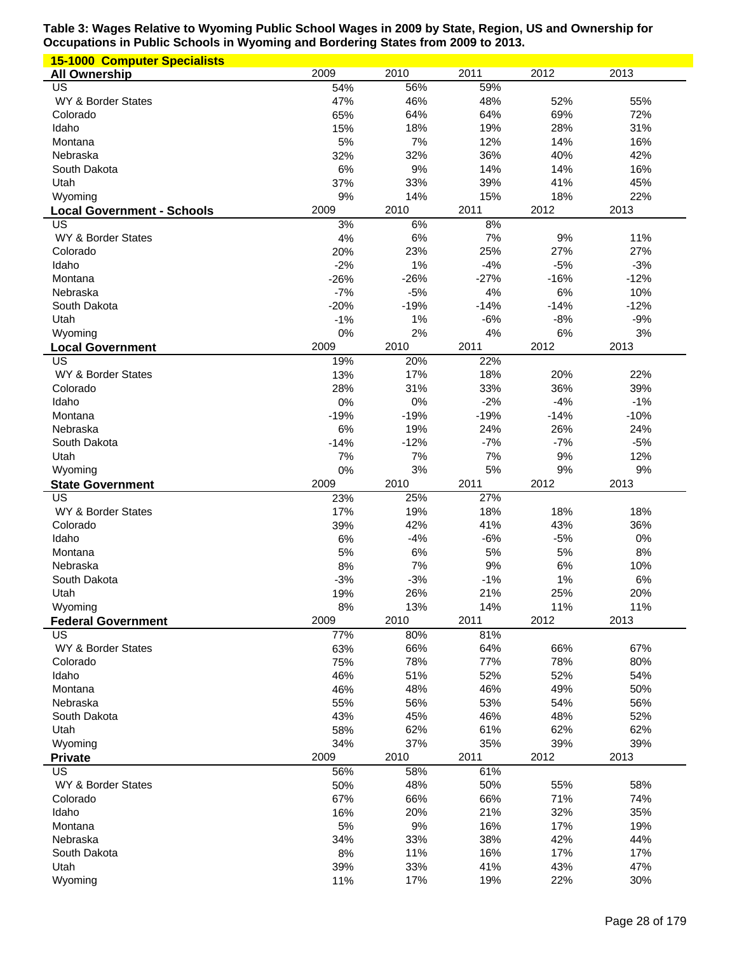| <b>15-1000 Computer Specialists</b>     |            |             |             |             |             |
|-----------------------------------------|------------|-------------|-------------|-------------|-------------|
| <b>All Ownership</b>                    | 2009       | 2010        | 2011        | 2012        | 2013        |
| US                                      | 54%        | 56%         | 59%         |             |             |
| WY & Border States                      | 47%        | 46%         | 48%         | 52%         | 55%         |
| Colorado                                | 65%        | 64%         | 64%         | 69%         | 72%         |
| Idaho                                   | 15%        | 18%         | 19%         | 28%         | 31%         |
| Montana                                 | 5%         | 7%          | 12%         | 14%         | 16%         |
| Nebraska                                | 32%        | 32%         | 36%         | 40%         | 42%         |
| South Dakota                            | 6%         | 9%          | 14%         | 14%         | 16%         |
| Utah                                    | 37%        | 33%         | 39%         | 41%         | 45%         |
| Wyoming                                 | 9%<br>2009 | 14%<br>2010 | 15%<br>2011 | 18%<br>2012 | 22%<br>2013 |
| <b>Local Government - Schools</b><br>US | 3%         | 6%          | 8%          |             |             |
| WY & Border States                      | 4%         | 6%          | 7%          | 9%          | 11%         |
| Colorado                                | 20%        | 23%         | 25%         | 27%         | 27%         |
| Idaho                                   | $-2%$      | 1%          | $-4%$       | $-5%$       | $-3%$       |
| Montana                                 | $-26%$     | $-26%$      | $-27%$      | $-16%$      | $-12%$      |
| Nebraska                                | $-7%$      | $-5%$       | 4%          | 6%          | 10%         |
| South Dakota                            | $-20%$     | $-19%$      | $-14%$      | $-14%$      | $-12%$      |
| Utah                                    | $-1%$      | 1%          | $-6%$       | $-8%$       | $-9%$       |
| Wyoming                                 | 0%         | 2%          | 4%          | 6%          | 3%          |
| <b>Local Government</b>                 | 2009       | 2010        | 2011        | 2012        | 2013        |
| <b>US</b>                               | 19%        | 20%         | 22%         |             |             |
| WY & Border States                      | 13%        | 17%         | 18%         | 20%         | 22%         |
| Colorado                                | 28%        | 31%         | 33%         | 36%         | 39%         |
| Idaho                                   | 0%         | 0%          | $-2%$       | $-4%$       | $-1%$       |
| Montana                                 | $-19%$     | $-19%$      | $-19%$      | $-14%$      | $-10%$      |
| Nebraska                                | 6%         | 19%         | 24%         | 26%         | 24%         |
| South Dakota                            | $-14%$     | $-12%$      | $-7%$       | $-7%$       | $-5%$       |
| Utah                                    | 7%         | 7%          | 7%          | 9%          | 12%         |
| Wyoming                                 | 0%         | 3%          | 5%          | 9%          | 9%          |
|                                         |            |             |             |             |             |
| <b>State Government</b>                 | 2009       | 2010        | 2011        | 2012        | 2013        |
| US                                      | 23%        | 25%         | 27%         |             |             |
| WY & Border States                      | 17%        | 19%         | 18%         | 18%         | 18%         |
| Colorado                                | 39%        | 42%         | 41%         | 43%         | 36%         |
| Idaho<br>Montana                        | 6%         | $-4%$       | $-6%$<br>5% | $-5%$<br>5% | 0%<br>8%    |
| Nebraska                                | 5%<br>8%   | 6%<br>7%    | 9%          | 6%          | 10%         |
| South Dakota                            | $-3%$      | $-3%$       | $-1%$       | 1%          | 6%          |
| Utah                                    | 19%        | 26%         | 21%         | 25%         | 20%         |
| Wyoming                                 | 8%         | 13%         | 14%         | 11%         | 11%         |
| <b>Federal Government</b>               | 2009       | 2010        | 2011        | 2012        | 2013        |
| US                                      | 77%        | 80%         | 81%         |             |             |
| WY & Border States                      | 63%        | 66%         | 64%         | 66%         | 67%         |
| Colorado                                | 75%        | 78%         | 77%         | 78%         | 80%         |
| Idaho                                   | 46%        | 51%         | 52%         | 52%         | 54%         |
| Montana                                 | 46%        | 48%         | 46%         | 49%         | 50%         |
| Nebraska                                | 55%        | 56%         | 53%         | 54%         | 56%         |
| South Dakota                            | 43%        | 45%         | 46%         | 48%         | 52%         |
| Utah                                    | 58%        | 62%         | 61%         | 62%         | 62%         |
| Wyoming                                 | 34%        | 37%         | 35%         | 39%         | 39%         |
| <b>Private</b>                          | 2009       | 2010        | 2011        | 2012        | 2013        |
| <b>US</b>                               | 56%        | 58%         | 61%         |             |             |
| WY & Border States                      | 50%        | 48%         | 50%         | 55%         | 58%         |
| Colorado                                | 67%        | 66%         | 66%         | 71%         | 74%         |
| Idaho<br>Montana                        | 16%        | 20%         | 21%         | 32%         | 35%         |
| Nebraska                                | 5%<br>34%  | 9%<br>33%   | 16%<br>38%  | 17%<br>42%  | 19%<br>44%  |
| South Dakota                            | 8%         | 11%         | 16%         | 17%         | 17%         |
| Utah                                    | 39%        | 33%         | 41%         | 43%         | 47%         |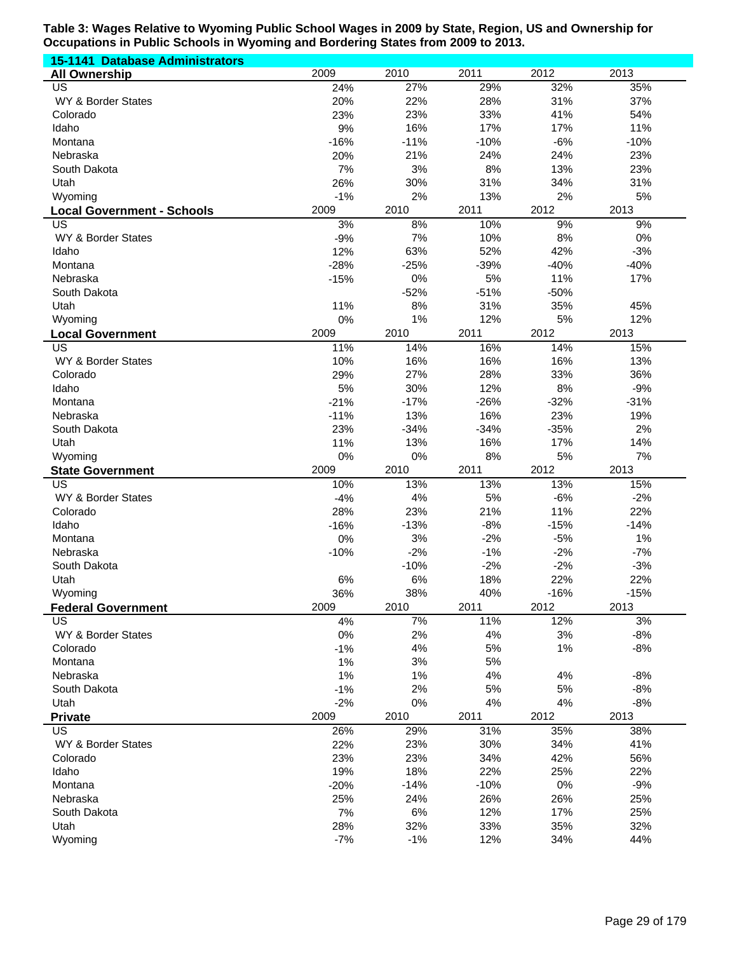| <b>15-1141 Database Administrators</b> |            |            |             |             |            |
|----------------------------------------|------------|------------|-------------|-------------|------------|
| <b>All Ownership</b>                   | 2009       | 2010       | 2011        | 2012        | 2013       |
| US                                     | 24%        | 27%        | 29%         | 32%         | 35%        |
| WY & Border States                     | 20%        | 22%        | 28%         | 31%         | 37%        |
| Colorado                               | 23%        | 23%        | 33%         | 41%         | 54%        |
| Idaho                                  | 9%         | 16%        | 17%         | 17%         | 11%        |
| Montana                                | $-16%$     | $-11%$     | $-10%$      | $-6%$       | $-10%$     |
| Nebraska                               | 20%        | 21%        | 24%         | 24%         | 23%        |
| South Dakota                           | 7%         | 3%         | 8%          | 13%         | 23%        |
| Utah                                   | 26%        | 30%        | 31%         | 34%         | 31%        |
| Wyoming                                | $-1%$      | 2%         | 13%         | 2%          | 5%         |
| <b>Local Government - Schools</b>      | 2009       | 2010       | 2011        | 2012        | 2013       |
| US                                     | 3%         | 8%         | 10%         | 9%          | 9%         |
| WY & Border States                     | $-9%$      | 7%         | 10%         | 8%          | 0%         |
| Idaho                                  | 12%        | 63%        | 52%         | 42%         | $-3%$      |
| Montana                                | $-28%$     | $-25%$     | $-39%$      | $-40%$      | $-40%$     |
| Nebraska                               | $-15%$     | 0%         | 5%          | 11%         | 17%        |
| South Dakota                           |            | $-52%$     | $-51%$      | $-50%$      |            |
| Utah                                   | 11%        | 8%         | 31%         | 35%         | 45%        |
| Wyoming                                | 0%         | 1%         | 12%         | 5%          | 12%        |
| <b>Local Government</b>                | 2009       | 2010       | 2011        | 2012        | 2013       |
| US                                     | 11%        | 14%        | 16%         | 14%         | 15%        |
| WY & Border States                     | 10%        | 16%        | 16%         | 16%         | 13%        |
| Colorado                               | 29%        | 27%        | 28%         | 33%         | 36%        |
| Idaho                                  | 5%         | 30%        | 12%         | 8%          | $-9%$      |
| Montana                                | $-21%$     | $-17%$     | $-26%$      | $-32%$      | $-31%$     |
| Nebraska                               | $-11%$     | 13%        | 16%         | 23%         | 19%        |
| South Dakota                           | 23%        | $-34%$     | $-34%$      | $-35%$      | 2%         |
| Utah                                   | 11%        | 13%        | 16%         | 17%         | 14%        |
| Wyoming                                | 0%         | 0%         | 8%          | 5%          | 7%         |
| <b>State Government</b>                | 2009       | 2010       | 2011        | 2012        | 2013       |
| US                                     | 10%        | 13%        | 13%         | 13%         | 15%        |
| WY & Border States                     | $-4%$      | 4%         | 5%          | $-6%$       | $-2%$      |
| Colorado                               | 28%        | 23%        | 21%         | 11%         | 22%        |
| Idaho                                  | $-16%$     | $-13%$     | $-8%$       | $-15%$      | $-14%$     |
| Montana                                | 0%         | 3%         | $-2%$       | $-5%$       | 1%         |
| Nebraska                               | $-10%$     | $-2%$      | $-1%$       | $-2%$       | $-7%$      |
| South Dakota                           |            | $-10%$     | $-2%$       | $-2%$       | $-3%$      |
| Utah                                   | 6%         | 6%         | 18%         | 22%         | 22%        |
| Wyoming                                | 36%        | 38%        | 40%         | $-16%$      | $-15%$     |
| <b>Federal Government</b>              | 2009       | 2010       | 2011        | 2012        | 2013       |
| US                                     | 4%         | 7%         | 11%         | 12%         | 3%         |
| WY & Border States                     | 0%         | 2%         | 4%          | 3%          | $-8%$      |
| Colorado                               | $-1%$      | 4%         | 5%          | 1%          | $-8%$      |
| Montana                                | 1%         | 3%         | 5%          |             |            |
| Nebraska                               | 1%         | 1%         | 4%          | 4%          | $-8%$      |
| South Dakota                           | $-1%$      | 2%         | 5%          | 5%          | $-8%$      |
| Utah                                   | $-2%$      | 0%         | 4%          | 4%          | $-8%$      |
| <b>Private</b><br>US                   | 2009       | 2010       | 2011<br>31% | 2012<br>35% | 2013       |
|                                        | 26%        | 29%        |             |             | 38%        |
| WY & Border States<br>Colorado         | 22%<br>23% | 23%<br>23% | 30%<br>34%  | 34%<br>42%  | 41%<br>56% |
| Idaho                                  | 19%        | 18%        | 22%         | 25%         | 22%        |
|                                        | $-20%$     | $-14%$     | $-10%$      | $0\%$       | $-9%$      |
| Montana                                |            |            |             |             |            |
| Nebraska                               | 25%        | 24%        | 26%         | 26%         | 25%        |
| South Dakota                           | 7%         | 6%         | 12%         | 17%         | 25%        |
| Utah                                   | 28%        | 32%        | 33%<br>12%  | 35%         | 32%        |
| Wyoming                                | $-7%$      | $-1%$      |             | 34%         | 44%        |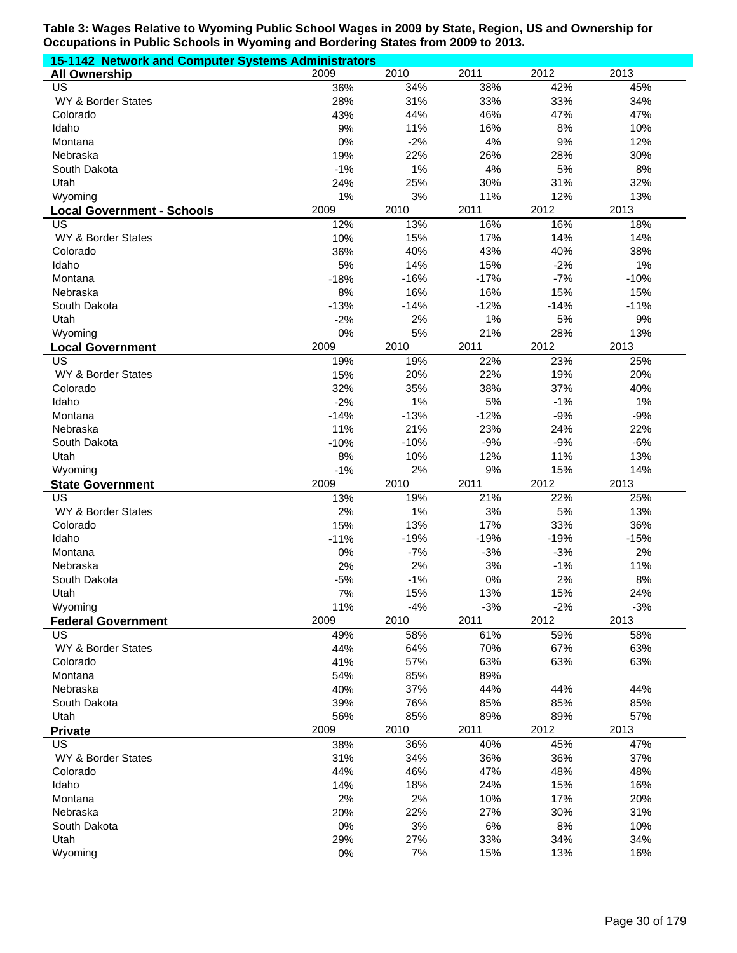| 15-1142 Network and Computer Systems Administrators |        |        |        |        |        |
|-----------------------------------------------------|--------|--------|--------|--------|--------|
| <b>All Ownership</b>                                | 2009   | 2010   | 2011   | 2012   | 2013   |
| US                                                  | 36%    | 34%    | 38%    | 42%    | 45%    |
| WY & Border States                                  | 28%    | 31%    | 33%    | 33%    | 34%    |
| Colorado                                            | 43%    | 44%    | 46%    | 47%    | 47%    |
| Idaho                                               | 9%     | 11%    | 16%    | 8%     | 10%    |
| Montana                                             | 0%     | $-2%$  | 4%     | 9%     | 12%    |
| Nebraska                                            | 19%    | 22%    | 26%    | 28%    | 30%    |
| South Dakota                                        | $-1%$  | 1%     | 4%     | 5%     | 8%     |
| Utah                                                | 24%    | 25%    | 30%    | 31%    | 32%    |
| Wyoming                                             | 1%     | 3%     | 11%    | 12%    | 13%    |
| <b>Local Government - Schools</b>                   | 2009   | 2010   | 2011   | 2012   | 2013   |
| US                                                  | 12%    | 13%    | 16%    | 16%    | 18%    |
| WY & Border States                                  | 10%    | 15%    | 17%    | 14%    | 14%    |
| Colorado                                            | 36%    | 40%    | 43%    | 40%    | 38%    |
| Idaho                                               | 5%     | 14%    | 15%    | $-2%$  | 1%     |
| Montana                                             | $-18%$ | $-16%$ | $-17%$ | $-7%$  | $-10%$ |
| Nebraska                                            | 8%     | 16%    | 16%    | 15%    | 15%    |
| South Dakota                                        | $-13%$ | $-14%$ | $-12%$ | $-14%$ | $-11%$ |
| Utah                                                | $-2%$  | 2%     | 1%     | 5%     | 9%     |
| Wyoming                                             | 0%     | 5%     | 21%    | 28%    | 13%    |
| <b>Local Government</b>                             | 2009   | 2010   | 2011   | 2012   | 2013   |
| $\overline{\mathsf{US}}$                            | 19%    | 19%    | 22%    | 23%    | 25%    |
| WY & Border States                                  | 15%    | 20%    | 22%    | 19%    | 20%    |
| Colorado                                            | 32%    | 35%    | 38%    | 37%    | 40%    |
| Idaho                                               | $-2%$  | 1%     | 5%     | $-1%$  | 1%     |
| Montana                                             | $-14%$ | $-13%$ | $-12%$ | $-9%$  | $-9%$  |
| Nebraska                                            | 11%    | 21%    | 23%    | 24%    | 22%    |
| South Dakota                                        | $-10%$ | $-10%$ | $-9%$  | $-9%$  | $-6%$  |
| Utah                                                | 8%     | 10%    | 12%    | 11%    | 13%    |
| Wyoming                                             | $-1%$  | 2%     | 9%     | 15%    | 14%    |
| <b>State Government</b>                             | 2009   | 2010   | 2011   | 2012   | 2013   |
| $\overline{US}$                                     | 13%    | 19%    | 21%    | 22%    | 25%    |
| WY & Border States                                  | 2%     | 1%     | 3%     | 5%     | 13%    |
| Colorado                                            | 15%    | 13%    | 17%    | 33%    | 36%    |
| Idaho                                               | $-11%$ | $-19%$ | $-19%$ | $-19%$ | $-15%$ |
| Montana                                             | 0%     | $-7%$  | $-3%$  | $-3%$  | 2%     |
| Nebraska                                            | 2%     | 2%     | 3%     | $-1%$  | 11%    |
| South Dakota                                        | $-5%$  | $-1%$  | 0%     | 2%     | 8%     |
| Utah                                                | 7%     | 15%    | 13%    | 15%    | 24%    |
| Wyoming                                             | 11%    | $-4%$  | $-3%$  | $-2%$  | $-3%$  |
| <b>Federal Government</b>                           | 2009   | 2010   | 2011   | 2012   | 2013   |
| <b>US</b>                                           | 49%    | 58%    | 61%    | 59%    | 58%    |
| WY & Border States                                  | 44%    | 64%    | 70%    | 67%    | 63%    |
| Colorado                                            | 41%    | 57%    | 63%    | 63%    | 63%    |
| Montana                                             | 54%    | 85%    | 89%    |        |        |
| Nebraska                                            | 40%    | 37%    | 44%    | 44%    | 44%    |
| South Dakota                                        | 39%    | 76%    | 85%    | 85%    | 85%    |
| Utah                                                | 56%    | 85%    | 89%    | 89%    | 57%    |
| <b>Private</b>                                      | 2009   | 2010   | 2011   | 2012   | 2013   |
| US                                                  | 38%    | 36%    | 40%    | 45%    | 47%    |
| WY & Border States                                  | 31%    | 34%    | 36%    | 36%    | 37%    |
| Colorado                                            | 44%    | 46%    | 47%    | 48%    | 48%    |
| Idaho                                               | 14%    | 18%    | 24%    | 15%    | 16%    |
| Montana                                             | 2%     | 2%     | 10%    | 17%    | 20%    |
| Nebraska                                            | 20%    | 22%    | 27%    | 30%    | 31%    |
| South Dakota                                        | 0%     | 3%     | $6\%$  | 8%     | 10%    |
| Utah                                                | 29%    | 27%    | 33%    | 34%    | 34%    |
| Wyoming                                             | 0%     | 7%     | 15%    | 13%    | 16%    |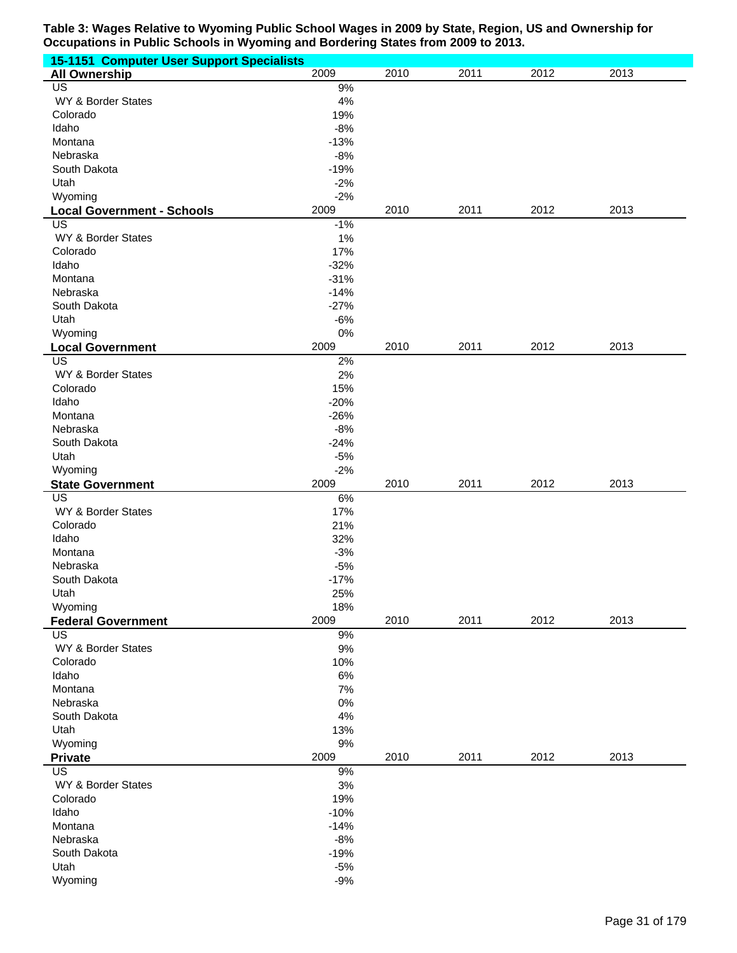| <b>15-1151 Computer User Support Specialists</b> |        |      |      |      |      |
|--------------------------------------------------|--------|------|------|------|------|
| <b>All Ownership</b>                             | 2009   | 2010 | 2011 | 2012 | 2013 |
| $\overline{US}$                                  | 9%     |      |      |      |      |
| WY & Border States                               | 4%     |      |      |      |      |
| Colorado                                         | 19%    |      |      |      |      |
| Idaho                                            | $-8%$  |      |      |      |      |
| Montana                                          | $-13%$ |      |      |      |      |
| Nebraska                                         | $-8%$  |      |      |      |      |
|                                                  |        |      |      |      |      |
| South Dakota                                     | $-19%$ |      |      |      |      |
| Utah                                             | $-2%$  |      |      |      |      |
| Wyoming                                          | $-2%$  |      |      |      |      |
| <b>Local Government - Schools</b>                | 2009   | 2010 | 2011 | 2012 | 2013 |
| US                                               | $-1%$  |      |      |      |      |
| WY & Border States                               | 1%     |      |      |      |      |
| Colorado                                         | 17%    |      |      |      |      |
| Idaho                                            | $-32%$ |      |      |      |      |
| Montana                                          | $-31%$ |      |      |      |      |
| Nebraska                                         | $-14%$ |      |      |      |      |
| South Dakota                                     | $-27%$ |      |      |      |      |
|                                                  |        |      |      |      |      |
| Utah                                             | $-6%$  |      |      |      |      |
| Wyoming                                          | 0%     |      |      |      |      |
| <b>Local Government</b>                          | 2009   | 2010 | 2011 | 2012 | 2013 |
| US                                               | 2%     |      |      |      |      |
| WY & Border States                               | 2%     |      |      |      |      |
| Colorado                                         | 15%    |      |      |      |      |
| Idaho                                            | $-20%$ |      |      |      |      |
| Montana                                          | $-26%$ |      |      |      |      |
| Nebraska                                         | $-8%$  |      |      |      |      |
| South Dakota                                     | $-24%$ |      |      |      |      |
| Utah                                             | $-5%$  |      |      |      |      |
|                                                  |        |      |      |      |      |
| Wyoming                                          | $-2%$  |      |      |      |      |
| <b>State Government</b>                          | 2009   | 2010 | 2011 | 2012 | 2013 |
| US                                               | $6\%$  |      |      |      |      |
| WY & Border States                               | 17%    |      |      |      |      |
| Colorado                                         | 21%    |      |      |      |      |
| Idaho                                            | 32%    |      |      |      |      |
| Montana                                          | $-3%$  |      |      |      |      |
| Nebraska                                         | $-5%$  |      |      |      |      |
| South Dakota                                     | $-17%$ |      |      |      |      |
| Utah                                             | 25%    |      |      |      |      |
| Wyoming                                          | 18%    |      |      |      |      |
| <b>Federal Government</b>                        | 2009   | 2010 | 2011 | 2012 | 2013 |
|                                                  |        |      |      |      |      |
| <b>US</b>                                        | $9\%$  |      |      |      |      |
| WY & Border States                               | $9\%$  |      |      |      |      |
| Colorado                                         | 10%    |      |      |      |      |
| Idaho                                            | $6\%$  |      |      |      |      |
| Montana                                          | 7%     |      |      |      |      |
| Nebraska                                         | $0\%$  |      |      |      |      |
| South Dakota                                     | 4%     |      |      |      |      |
| Utah                                             | 13%    |      |      |      |      |
| Wyoming                                          | $9%$   |      |      |      |      |
| <b>Private</b>                                   | 2009   | 2010 | 2011 | 2012 | 2013 |
| US                                               | $9%$   |      |      |      |      |
| WY & Border States                               | $3%$   |      |      |      |      |
|                                                  |        |      |      |      |      |
| Colorado                                         | 19%    |      |      |      |      |
| Idaho                                            | $-10%$ |      |      |      |      |
| Montana                                          | $-14%$ |      |      |      |      |
| Nebraska                                         | $-8%$  |      |      |      |      |
| South Dakota                                     | $-19%$ |      |      |      |      |
| Utah                                             | $-5%$  |      |      |      |      |
| Wyoming                                          | $-9%$  |      |      |      |      |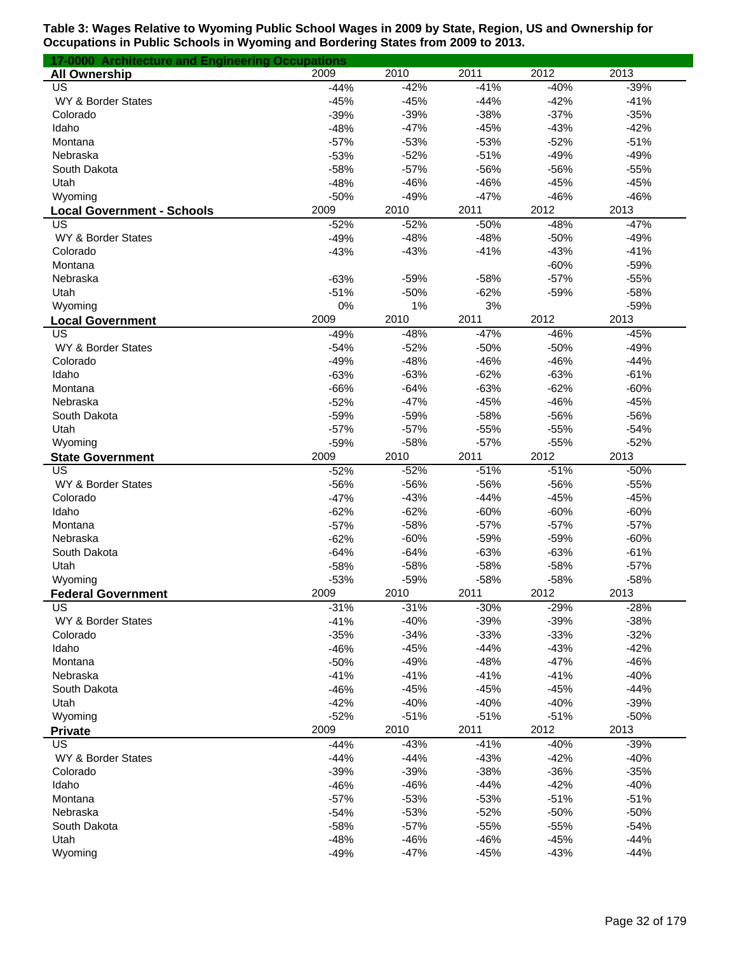| 17-0000 Architecture and Engineering Occupations |        |        |        |        |        |
|--------------------------------------------------|--------|--------|--------|--------|--------|
| <b>All Ownership</b>                             | 2009   | 2010   | 2011   | 2012   | 2013   |
| $\overline{US}$                                  | $-44%$ | $-42%$ | $-41%$ | $-40%$ | $-39%$ |
| WY & Border States                               | $-45%$ | $-45%$ | $-44%$ | $-42%$ | $-41%$ |
| Colorado                                         | $-39%$ | $-39%$ | $-38%$ | $-37%$ | $-35%$ |
| Idaho                                            | $-48%$ | $-47%$ | $-45%$ | $-43%$ | $-42%$ |
| Montana                                          | $-57%$ | $-53%$ | $-53%$ | $-52%$ | $-51%$ |
| Nebraska                                         | $-53%$ | $-52%$ | $-51%$ | $-49%$ | $-49%$ |
| South Dakota                                     | $-58%$ | $-57%$ | -56%   | -56%   | $-55%$ |
| Utah                                             | $-48%$ | $-46%$ | $-46%$ | $-45%$ | $-45%$ |
| Wyoming                                          | $-50%$ | $-49%$ | $-47%$ | $-46%$ | $-46%$ |
| <b>Local Government - Schools</b>                | 2009   | 2010   | 2011   | 2012   | 2013   |
| US                                               | $-52%$ | $-52%$ | $-50%$ | $-48%$ | $-47%$ |
| WY & Border States                               | $-49%$ | $-48%$ | $-48%$ | $-50%$ | $-49%$ |
| Colorado                                         | $-43%$ | $-43%$ | $-41%$ | $-43%$ | $-41%$ |
| Montana                                          |        |        |        | $-60%$ | $-59%$ |
| Nebraska                                         | $-63%$ | $-59%$ | $-58%$ | $-57%$ | $-55%$ |
| Utah                                             | $-51%$ | $-50%$ | $-62%$ | $-59%$ | $-58%$ |
|                                                  |        |        | 3%     |        |        |
| Wyoming                                          | 0%     | 1%     |        |        | $-59%$ |
| <b>Local Government</b>                          | 2009   | 2010   | 2011   | 2012   | 2013   |
| US                                               | $-49%$ | $-48%$ | $-47%$ | $-46%$ | $-45%$ |
| WY & Border States                               | $-54%$ | $-52%$ | $-50%$ | $-50%$ | $-49%$ |
| Colorado                                         | $-49%$ | $-48%$ | $-46%$ | $-46%$ | $-44%$ |
| Idaho                                            | $-63%$ | $-63%$ | $-62%$ | $-63%$ | $-61%$ |
| Montana                                          | $-66%$ | $-64%$ | $-63%$ | $-62%$ | $-60%$ |
| Nebraska                                         | $-52%$ | $-47%$ | $-45%$ | $-46%$ | $-45%$ |
| South Dakota                                     | $-59%$ | $-59%$ | $-58%$ | -56%   | $-56%$ |
| Utah                                             | $-57%$ | $-57%$ | $-55%$ | $-55%$ | $-54%$ |
| Wyoming                                          | $-59%$ | $-58%$ | $-57%$ | $-55%$ | $-52%$ |
| <b>State Government</b>                          | 2009   | 2010   | 2011   | 2012   | 2013   |
| US                                               | $-52%$ | $-52%$ | $-51%$ | $-51%$ | $-50%$ |
| WY & Border States                               | -56%   | -56%   | -56%   | -56%   | $-55%$ |
| Colorado                                         | $-47%$ | $-43%$ | $-44%$ | $-45%$ | $-45%$ |
| Idaho                                            | $-62%$ | $-62%$ | $-60%$ | $-60%$ | $-60%$ |
| Montana                                          | $-57%$ | $-58%$ | $-57%$ | $-57%$ | $-57%$ |
| Nebraska                                         | $-62%$ | $-60%$ | $-59%$ | $-59%$ | $-60%$ |
| South Dakota                                     | $-64%$ | $-64%$ | $-63%$ | $-63%$ | $-61%$ |
| Utah                                             | $-58%$ | $-58%$ | $-58%$ | $-58%$ | $-57%$ |
| Wyoming                                          | $-53%$ | $-59%$ | $-58%$ | $-58%$ | $-58%$ |
| <b>Federal Government</b>                        | 2009   | 2010   | 2011   | 2012   | 2013   |
| US                                               | $-31%$ | $-31%$ | $-30%$ | $-29%$ | $-28%$ |
| WY & Border States                               | $-41%$ | $-40%$ | $-39%$ | $-39%$ | $-38%$ |
| Colorado                                         | $-35%$ | $-34%$ | $-33%$ | $-33%$ | $-32%$ |
| Idaho                                            | $-46%$ | $-45%$ | $-44%$ | $-43%$ | $-42%$ |
| Montana                                          | $-50%$ | $-49%$ | $-48%$ | $-47%$ | $-46%$ |
| Nebraska                                         | $-41%$ | $-41%$ | $-41%$ | $-41%$ | $-40%$ |
| South Dakota                                     | $-46%$ | $-45%$ | $-45%$ | $-45%$ | $-44%$ |
| Utah                                             | $-42%$ | $-40%$ | $-40%$ | $-40%$ | $-39%$ |
| Wyoming                                          | $-52%$ | $-51%$ | $-51%$ | $-51%$ | $-50%$ |
| <b>Private</b>                                   | 2009   | 2010   | 2011   | 2012   | 2013   |
| US                                               | $-44%$ | $-43%$ | $-41%$ | $-40%$ | $-39%$ |
| WY & Border States                               | $-44%$ | $-44%$ | $-43%$ | $-42%$ | $-40%$ |
| Colorado                                         | $-39%$ | $-39%$ | $-38%$ | $-36%$ | $-35%$ |
| Idaho                                            | $-46%$ | $-46%$ | $-44%$ | $-42%$ | $-40%$ |
|                                                  |        |        |        |        |        |
| Montana                                          | $-57%$ | $-53%$ | $-53%$ | $-51%$ | $-51%$ |
| Nebraska                                         | $-54%$ | $-53%$ | $-52%$ | $-50%$ | $-50%$ |
| South Dakota                                     | $-58%$ | $-57%$ | $-55%$ | $-55%$ | $-54%$ |
| Utah                                             | $-48%$ | $-46%$ | $-46%$ | $-45%$ | $-44%$ |
| Wyoming                                          | $-49%$ | $-47%$ | $-45%$ | $-43%$ | $-44%$ |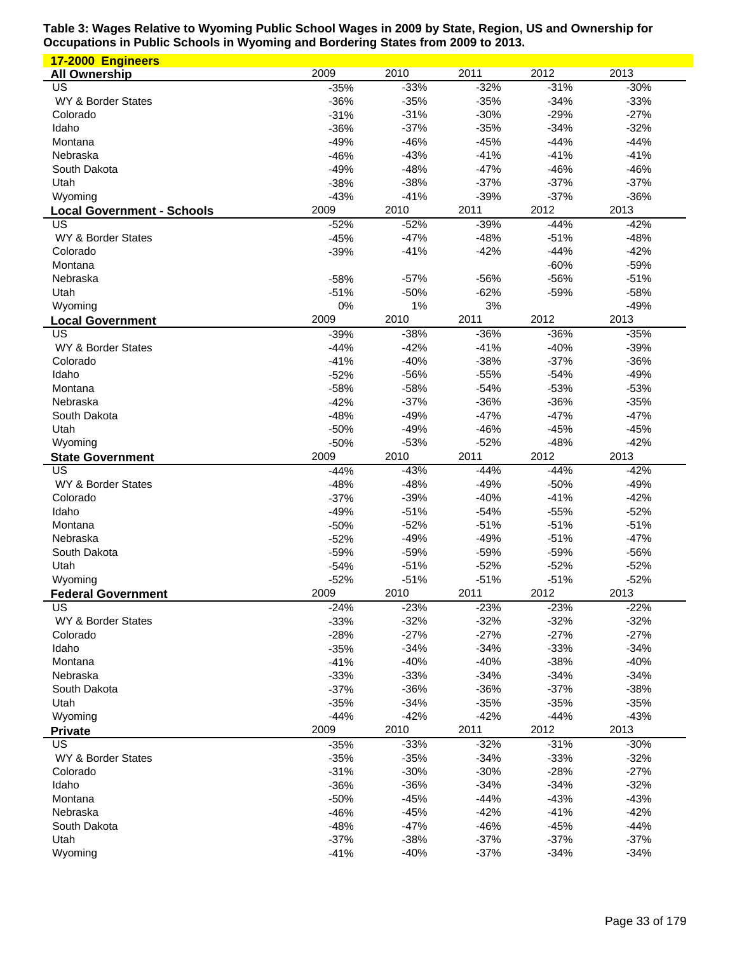| 17-2000 Engineers                 |            |        |        |        |        |
|-----------------------------------|------------|--------|--------|--------|--------|
| <b>All Ownership</b>              | 2009       | 2010   | 2011   | 2012   | 2013   |
| US                                | $-35%$     | $-33%$ | $-32%$ | $-31%$ | $-30%$ |
| WY & Border States                | $-36%$     | $-35%$ | $-35%$ | $-34%$ | $-33%$ |
| Colorado                          | $-31%$     | $-31%$ | $-30%$ | $-29%$ | $-27%$ |
| Idaho                             | $-36%$     | $-37%$ | $-35%$ | $-34%$ | $-32%$ |
| Montana                           | $-49%$     | $-46%$ | $-45%$ | $-44%$ | $-44%$ |
| Nebraska                          | $-46%$     | $-43%$ | $-41%$ | $-41%$ | $-41%$ |
| South Dakota                      | $-49%$     | $-48%$ | $-47%$ | $-46%$ | $-46%$ |
| Utah                              | $-38%$     | $-38%$ | $-37%$ | $-37%$ | $-37%$ |
| Wyoming                           | $-43%$     | $-41%$ | $-39%$ | $-37%$ | $-36%$ |
| <b>Local Government - Schools</b> | 2009       | 2010   | 2011   | 2012   | 2013   |
| US                                | $-52%$     | $-52%$ | $-39%$ | $-44%$ | $-42%$ |
| WY & Border States                | $-45%$     | $-47%$ | $-48%$ | $-51%$ | $-48%$ |
| Colorado                          | $-39%$     | $-41%$ | $-42%$ | $-44%$ | $-42%$ |
| Montana                           |            |        |        | $-60%$ | $-59%$ |
| Nebraska                          | $-58%$     | $-57%$ | -56%   | $-56%$ | $-51%$ |
| Utah                              | $-51%$     | $-50%$ | $-62%$ | $-59%$ | $-58%$ |
| Wyoming                           |            | 1%     | 3%     |        | $-49%$ |
|                                   | 0%<br>2009 | 2010   | 2011   | 2012   | 2013   |
| <b>Local Government</b>           |            |        |        |        |        |
| US                                | $-39%$     | $-38%$ | $-36%$ | $-36%$ | $-35%$ |
| WY & Border States                | $-44%$     | $-42%$ | $-41%$ | $-40%$ | $-39%$ |
| Colorado                          | $-41%$     | $-40%$ | $-38%$ | $-37%$ | $-36%$ |
| Idaho                             | $-52%$     | $-56%$ | $-55%$ | $-54%$ | $-49%$ |
| Montana                           | $-58%$     | $-58%$ | $-54%$ | $-53%$ | $-53%$ |
| Nebraska                          | $-42%$     | $-37%$ | $-36%$ | $-36%$ | $-35%$ |
| South Dakota                      | $-48%$     | $-49%$ | $-47%$ | $-47%$ | $-47%$ |
| Utah                              | $-50%$     | $-49%$ | $-46%$ | $-45%$ | $-45%$ |
| Wyoming                           | $-50%$     | $-53%$ | $-52%$ | $-48%$ | $-42%$ |
| <b>State Government</b>           | 2009       | 2010   | 2011   | 2012   | 2013   |
| US                                | $-44%$     | $-43%$ | $-44%$ | $-44%$ | $-42%$ |
| WY & Border States                | $-48%$     | $-48%$ | $-49%$ | $-50%$ | $-49%$ |
| Colorado                          | $-37%$     | $-39%$ | $-40%$ | $-41%$ | $-42%$ |
| Idaho                             | $-49%$     | $-51%$ | $-54%$ | $-55%$ | $-52%$ |
| Montana                           | $-50%$     | $-52%$ | $-51%$ | $-51%$ | $-51%$ |
| Nebraska                          | $-52%$     | $-49%$ | $-49%$ | $-51%$ | $-47%$ |
| South Dakota                      | $-59%$     | $-59%$ | $-59%$ | $-59%$ | $-56%$ |
| Utah                              | $-54%$     | $-51%$ | $-52%$ | $-52%$ | $-52%$ |
| Wyoming                           | $-52%$     | $-51%$ | $-51%$ | $-51%$ | $-52%$ |
| <b>Federal Government</b>         | 2009       | 2010   | 2011   | 2012   | 2013   |
| US                                | $-24%$     | $-23%$ | $-23%$ | $-23%$ | $-22%$ |
| WY & Border States                | $-33%$     | $-32%$ | $-32%$ | $-32%$ | $-32%$ |
| Colorado                          | $-28%$     | $-27%$ | $-27%$ | $-27%$ | $-27%$ |
| Idaho                             | $-35%$     | $-34%$ | $-34%$ | $-33%$ | $-34%$ |
| Montana                           | $-41%$     | $-40%$ | $-40%$ | $-38%$ | $-40%$ |
| Nebraska                          | $-33%$     | $-33%$ | $-34%$ | $-34%$ | $-34%$ |
| South Dakota                      | $-37%$     | $-36%$ | $-36%$ | $-37%$ | $-38%$ |
| Utah                              | $-35%$     | $-34%$ | $-35%$ | $-35%$ | $-35%$ |
| Wyoming                           | $-44%$     | $-42%$ | $-42%$ | $-44%$ | $-43%$ |
| <b>Private</b>                    | 2009       | 2010   | 2011   | 2012   | 2013   |
| US                                | $-35%$     | $-33%$ | $-32%$ | $-31%$ | $-30%$ |
| WY & Border States                | $-35%$     | $-35%$ | $-34%$ | $-33%$ | $-32%$ |
| Colorado                          | $-31%$     | $-30%$ | $-30%$ | $-28%$ | $-27%$ |
| Idaho                             | $-36%$     | $-36%$ | $-34%$ | $-34%$ | $-32%$ |
| Montana                           | $-50%$     | $-45%$ | $-44%$ | $-43%$ | $-43%$ |
| Nebraska                          | $-46%$     | $-45%$ | $-42%$ | $-41%$ | $-42%$ |
| South Dakota                      | $-48%$     | $-47%$ | $-46%$ | $-45%$ | $-44%$ |
| Utah                              | $-37%$     | $-38%$ | $-37%$ | $-37%$ | $-37%$ |
| Wyoming                           | $-41%$     | $-40%$ | $-37%$ | $-34%$ | $-34%$ |
|                                   |            |        |        |        |        |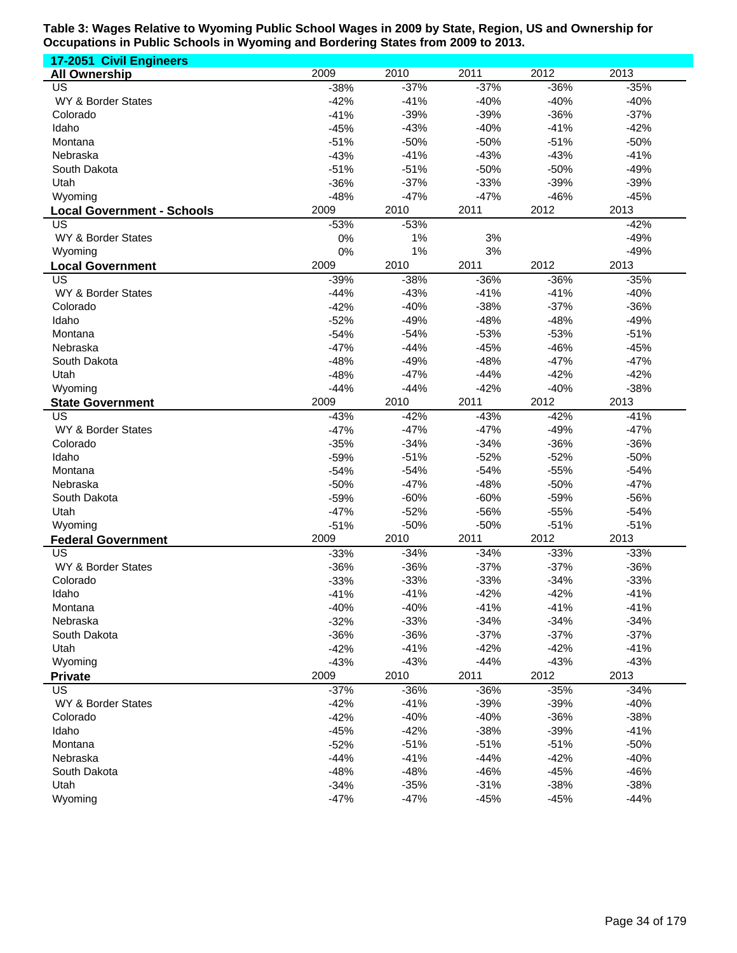| 17-2051 Civil Engineers           |                  |                  |                  |                  |                  |
|-----------------------------------|------------------|------------------|------------------|------------------|------------------|
| <b>All Ownership</b>              | 2009             | 2010             | 2011             | 2012             | 2013             |
| US                                | $-38%$           | $-37%$           | $-37%$           | $-36%$           | $-35%$           |
| WY & Border States                | $-42%$           | $-41%$           | $-40%$           | $-40%$           | $-40%$           |
| Colorado                          | $-41%$           | $-39%$           | $-39%$           | $-36%$           | $-37%$           |
| Idaho                             | $-45%$           | $-43%$           | $-40%$           | $-41%$           | $-42%$           |
| Montana                           | $-51%$           | $-50%$           | $-50%$           | $-51%$           | $-50%$           |
| Nebraska                          | $-43%$           | $-41%$           | $-43%$           | $-43%$           | $-41%$           |
| South Dakota                      | $-51%$           | $-51%$           | $-50%$           | $-50%$           | $-49%$           |
| Utah                              | $-36%$           | $-37%$           | $-33%$           | $-39%$           | $-39%$           |
| Wyoming                           | $-48%$           | $-47%$           | $-47%$           | $-46%$           | $-45%$           |
| <b>Local Government - Schools</b> | 2009             | 2010             | 2011             | 2012             | 2013             |
| US                                | $-53%$           | $-53%$           |                  |                  | $-42%$           |
| WY & Border States                | 0%               | 1%               | 3%               |                  | $-49%$           |
| Wyoming                           | 0%               | 1%               | 3%               |                  | $-49%$           |
| <b>Local Government</b>           | 2009             | 2010             | 2011             | 2012             | 2013             |
| US                                | $-39%$           | $-38%$           | $-36%$           | $-36%$           | $-35%$           |
| WY & Border States                | $-44%$           | $-43%$           | $-41%$           | $-41%$           | $-40%$           |
| Colorado                          | $-42%$           | $-40%$           | $-38%$           | $-37%$           | $-36%$           |
| Idaho                             | $-52%$           | $-49%$           | $-48%$           | $-48%$           | $-49%$           |
| Montana                           | $-54%$           | $-54%$           | $-53%$           | $-53%$           | $-51%$           |
| Nebraska                          | $-47%$           | $-44%$           | $-45%$           | $-46%$           | $-45%$           |
| South Dakota                      | $-48%$           | $-49%$           | $-48%$           | $-47%$           | $-47%$           |
| Utah                              | $-48%$           | $-47%$           | $-44%$           | $-42%$           | $-42%$           |
| Wyoming                           | $-44%$           | $-44%$           | $-42%$           | $-40%$           | $-38%$           |
| <b>State Government</b>           | 2009             | 2010             | 2011             | 2012             | 2013             |
| US                                | $-43%$           | $-42%$           | $-43%$           | $-42%$           | $-41%$           |
| WY & Border States                | $-47%$           | $-47%$           | $-47%$           | $-49%$           | $-47%$           |
| Colorado                          | $-35%$           | $-34%$           | $-34%$           | $-36%$           | $-36%$           |
| Idaho                             | $-59%$           | $-51%$           | $-52%$           | $-52%$           | $-50%$           |
| Montana                           | $-54%$           | $-54%$           | $-54%$           | $-55%$           | $-54%$           |
| Nebraska                          | $-50%$           | $-47%$           | $-48%$           | $-50%$           | $-47%$           |
| South Dakota                      | $-59%$           | $-60%$           | $-60%$           | $-59%$           | $-56%$           |
| Utah                              | $-47%$           | $-52%$           | $-56%$           | $-55%$           | $-54%$           |
| Wyoming                           | $-51%$           | $-50%$           | $-50%$           | $-51%$           | $-51%$           |
| <b>Federal Government</b>         | 2009             | 2010             | 2011             | 2012             | 2013             |
| US                                | $-33%$           | $-34%$           | $-34%$           | $-33%$           | $-33%$           |
| WY & Border States                | $-36%$           | $-36%$           | $-37%$           | $-37%$           | $-36%$           |
| Colorado                          | $-33%$           | $-33%$           | $-33%$           | $-34%$           | $-33%$           |
| Idaho                             | $-41%$           | $-41%$           | $-42%$           | $-42%$           | $-41%$           |
| Montana<br>Nebraska               | $-40%$<br>$-32%$ | $-40%$<br>$-33%$ | $-41%$<br>$-34%$ | $-41%$<br>$-34%$ | $-41%$<br>$-34%$ |
| South Dakota                      | $-36%$           | $-36%$           | $-37%$           | $-37%$           | $-37%$           |
| Utah                              | $-42%$           | $-41%$           | $-42%$           | $-42%$           | $-41%$           |
| Wyoming                           | $-43%$           | $-43%$           | $-44%$           | $-43%$           | $-43%$           |
| <b>Private</b>                    | 2009             | 2010             | 2011             | 2012             | 2013             |
| US                                | $-37%$           | $-36%$           | $-36%$           | $-35%$           | $-34%$           |
|                                   | $-42%$           | $-41%$           | $-39%$           | $-39%$           | $-40%$           |
| WY & Border States<br>Colorado    | $-42%$           | $-40%$           | $-40%$           | $-36%$           | $-38%$           |
| Idaho                             | $-45%$           | $-42%$           | $-38%$           | $-39%$           | $-41%$           |
| Montana                           | $-52%$           | $-51%$           | $-51%$           | $-51%$           | $-50%$           |
| Nebraska                          | $-44%$           | $-41%$           | $-44%$           | $-42%$           | $-40%$           |
| South Dakota                      | $-48%$           | $-48%$           | $-46%$           | $-45%$           | $-46%$           |
| Utah                              | $-34%$           | $-35%$           | $-31%$           | $-38%$           | $-38%$           |
| Wyoming                           | $-47%$           | $-47%$           | $-45%$           | $-45%$           | $-44%$           |
|                                   |                  |                  |                  |                  |                  |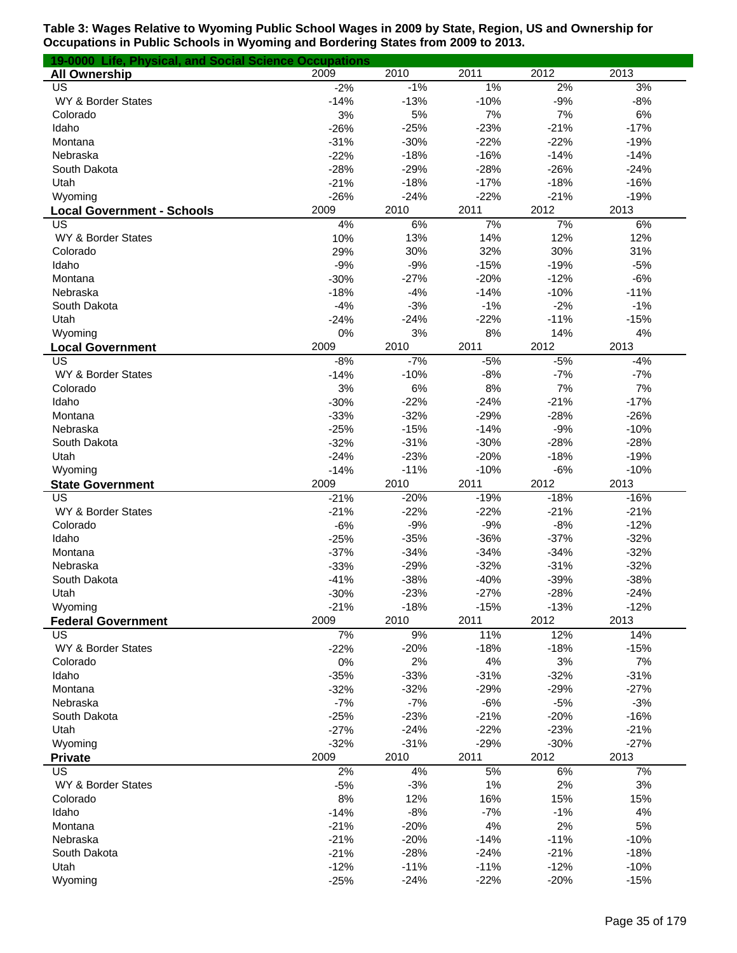| 19-0000 Life, Physical, and Social Science Occupations |                  |                  |                  |                  |                  |
|--------------------------------------------------------|------------------|------------------|------------------|------------------|------------------|
| <b>All Ownership</b>                                   | 2009             | 2010             | 2011             | 2012             | 2013             |
| US                                                     | $-2%$            | $-1%$            | 1%               | 2%               | 3%               |
| WY & Border States                                     | $-14%$           | $-13%$           | $-10%$           | $-9%$            | $-8%$            |
| Colorado                                               | 3%               | 5%               | 7%               | 7%               | 6%               |
| Idaho                                                  | $-26%$           | $-25%$           | $-23%$           | $-21%$           | $-17%$           |
| Montana                                                | $-31%$           | $-30%$           | $-22%$           | $-22%$           | $-19%$           |
| Nebraska                                               | $-22%$           | $-18%$           | $-16%$           | $-14%$           | $-14%$           |
| South Dakota                                           | $-28%$           | $-29%$           | $-28%$           | $-26%$           | $-24%$           |
| Utah                                                   | $-21%$           | $-18%$           | $-17%$           | $-18%$           | $-16%$           |
| Wyoming                                                | $-26%$           | $-24%$           | $-22%$           | $-21%$           | $-19%$           |
| <b>Local Government - Schools</b>                      | 2009             | 2010             | 2011             | 2012             | 2013             |
| US                                                     | 4%<br>10%        | 6%               | 7%               | 7%               | 6%               |
| WY & Border States<br>Colorado                         | 29%              | 13%<br>30%       | 14%<br>32%       | 12%<br>30%       | 12%<br>31%       |
| Idaho                                                  | $-9%$            | $-9%$            | $-15%$           | $-19%$           | $-5%$            |
| Montana                                                | $-30%$           | $-27%$           | $-20%$           | $-12%$           | $-6%$            |
| Nebraska                                               | $-18%$           | $-4%$            | $-14%$           | $-10%$           | $-11%$           |
| South Dakota                                           | $-4%$            | $-3%$            | $-1%$            | $-2%$            | $-1%$            |
| Utah                                                   | $-24%$           | $-24%$           | $-22%$           | $-11%$           | $-15%$           |
| Wyoming                                                | 0%               | 3%               | 8%               | 14%              | 4%               |
| <b>Local Government</b>                                | 2009             | 2010             | 2011             | 2012             | 2013             |
| US                                                     | $-8%$            | $-7%$            | $-5%$            | $-5%$            | $-4%$            |
| WY & Border States                                     | $-14%$           | $-10%$           | $-8%$            | $-7%$            | $-7%$            |
| Colorado                                               | 3%               | 6%               | 8%               | 7%               | 7%               |
| Idaho                                                  | $-30%$           | $-22%$           | $-24%$           | $-21%$           | $-17%$           |
| Montana                                                | $-33%$           | $-32%$           | $-29%$           | $-28%$           | $-26%$           |
| Nebraska                                               | $-25%$           | $-15%$           | $-14%$           | $-9%$            | $-10%$           |
| South Dakota                                           | $-32%$           | $-31%$           | $-30%$           | $-28%$           | $-28%$           |
| Utah                                                   | $-24%$           | $-23%$           | $-20%$           | $-18%$           | $-19%$           |
| Wyoming                                                | $-14%$           | $-11%$           | $-10%$           | $-6%$            | $-10%$           |
| <b>State Government</b>                                | 2009             | 2010             | 2011             | 2012             | 2013             |
| US                                                     | $-21%$           | $-20%$           | $-19%$           | $-18%$           | $-16%$           |
| WY & Border States                                     | $-21%$           | $-22%$           | $-22%$           | $-21%$           | $-21%$           |
| Colorado                                               | $-6%$            | $-9%$            | $-9%$            | $-8%$            | $-12%$           |
| Idaho                                                  | $-25%$           | $-35%$           | $-36%$           | $-37%$           | $-32%$           |
| Montana                                                | $-37%$           | $-34%$           | $-34%$           | $-34%$           | $-32%$           |
| Nebraska                                               | $-33%$           | $-29%$           | $-32%$           | $-31%$           | $-32%$           |
| South Dakota                                           | $-41%$           | $-38%$           | $-40%$           | $-39%$           | $-38%$           |
| Utah                                                   | $-30%$           | $-23%$           | $-27%$           | $-28%$           | $-24%$           |
| Wyoming                                                | $-21%$           | $-18%$           | $-15%$           | $-13%$           | $-12%$           |
| <b>Federal Government</b>                              | 2009             | 2010             | 2011             | 2012             | 2013             |
| US                                                     | 7%               | 9%               | 11%              | 12%              | 14%              |
| WY & Border States                                     | $-22%$           | $-20%$           | $-18%$           | $-18%$           | $-15%$           |
| Colorado                                               | 0%               | 2%               | 4%               | 3%               | 7%               |
| Idaho                                                  | $-35%$           | $-33%$           | $-31%$           | $-32%$           | $-31%$           |
| Montana                                                | $-32%$           | $-32%$           | $-29%$           | $-29%$           | $-27%$           |
| Nebraska                                               | $-7%$            | $-7%$            | $-6%$            | $-5%$            | $-3%$            |
| South Dakota                                           | $-25%$           | $-23%$           | $-21%$           | $-20%$           | $-16%$           |
| Utah<br>Wyoming                                        | $-27%$           | $-24%$<br>$-31%$ | $-22%$<br>$-29%$ | $-23%$<br>$-30%$ | $-21%$<br>$-27%$ |
|                                                        | $-32%$           | 2010             | 2011             |                  |                  |
| <b>Private</b><br>$\overline{\mathsf{US}}$             | 2009<br>2%       | 4%               | 5%               | 2012<br>6%       | 2013<br>7%       |
| WY & Border States                                     |                  | $-3%$            | 1%               | 2%               | 3%               |
| Colorado                                               | $-5%$<br>8%      | 12%              | 16%              | 15%              | 15%              |
| Idaho                                                  |                  | $-8%$            | $-7%$            | $-1%$            | 4%               |
| Montana                                                | $-14%$<br>$-21%$ | $-20%$           | 4%               | 2%               | 5%               |
| Nebraska                                               | $-21%$           | $-20%$           | $-14%$           | $-11%$           | $-10%$           |
| South Dakota                                           | $-21%$           | $-28%$           | $-24%$           | $-21%$           | $-18%$           |
| Utah                                                   | $-12%$           | $-11%$           | $-11%$           | $-12%$           | $-10%$           |
| Wyoming                                                | $-25%$           | $-24%$           | $-22%$           | $-20%$           | $-15%$           |
|                                                        |                  |                  |                  |                  |                  |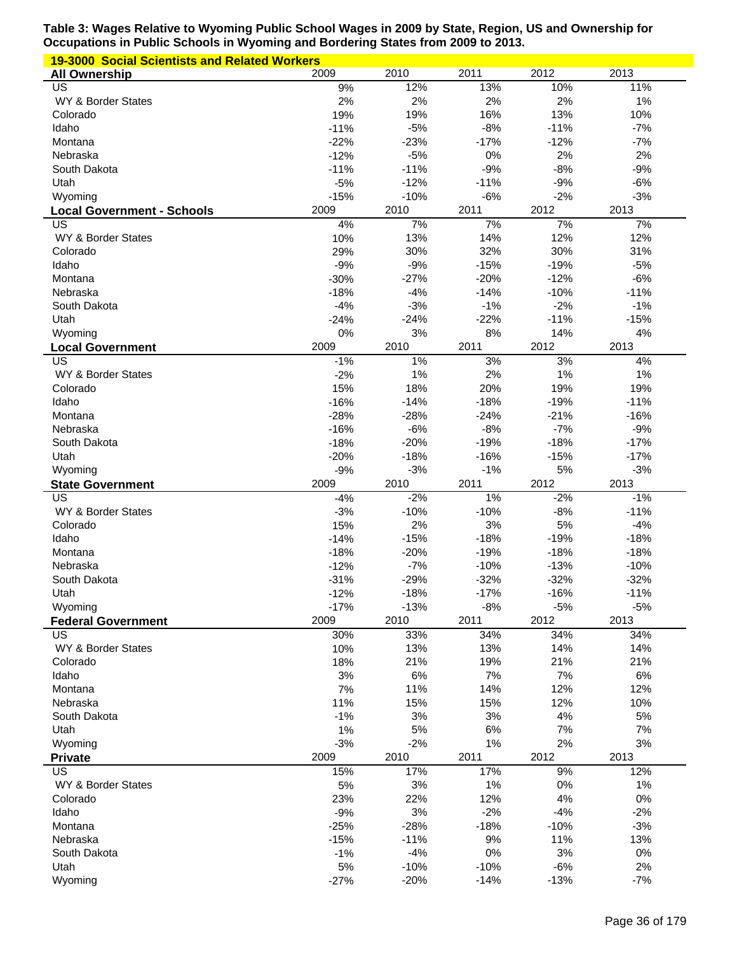| <b>19-3000 Social Scientists and Related Workers</b> |             |                 |           |           |           |
|------------------------------------------------------|-------------|-----------------|-----------|-----------|-----------|
| <b>All Ownership</b>                                 | 2009        | 2010            | 2011      | 2012      | 2013      |
| US                                                   | 9%          | 12%             | 13%       | 10%       | 11%       |
| WY & Border States                                   | 2%          | 2%              | 2%        | 2%        | 1%        |
| Colorado                                             | 19%         | 19%             | 16%       | 13%       | 10%       |
| Idaho                                                | $-11%$      | $-5%$           | $-8%$     | $-11%$    | $-7%$     |
| Montana                                              | $-22%$      | $-23%$          | $-17%$    | $-12%$    | $-7%$     |
| Nebraska                                             | $-12%$      | $-5%$           | 0%        | 2%        | 2%        |
| South Dakota                                         | $-11%$      | $-11%$          | $-9%$     | $-8%$     | $-9%$     |
| Utah                                                 | $-5%$       | $-12%$          | $-11%$    | $-9%$     | $-6%$     |
| Wyoming                                              | $-15%$      | $-10%$          | $-6%$     | $-2%$     | $-3%$     |
| <b>Local Government - Schools</b>                    | 2009        | 2010            | 2011      | 2012      | 2013      |
| US                                                   | 4%<br>10%   | 7%<br>13%       | 7%<br>14% | 7%<br>12% | 7%<br>12% |
| WY & Border States<br>Colorado                       | 29%         | 30%             | 32%       | 30%       | 31%       |
| Idaho                                                | $-9%$       | $-9%$           | $-15%$    | $-19%$    | $-5%$     |
| Montana                                              | $-30%$      | $-27%$          | $-20%$    | $-12%$    | $-6%$     |
| Nebraska                                             | $-18%$      | $-4%$           | $-14%$    | $-10%$    | $-11%$    |
| South Dakota                                         | $-4%$       | $-3%$           | $-1%$     | $-2%$     | $-1%$     |
| Utah                                                 | $-24%$      | $-24%$          | $-22%$    | $-11%$    | $-15%$    |
| Wyoming                                              | 0%          | 3%              | 8%        | 14%       | 4%        |
| <b>Local Government</b>                              | 2009        | 2010            | 2011      | 2012      | 2013      |
| US                                                   | $-1%$       | 1%              | 3%        | 3%        | 4%        |
| WY & Border States                                   | $-2%$       | 1%              | 2%        | 1%        | 1%        |
| Colorado                                             | 15%         | 18%             | 20%       | 19%       | 19%       |
| Idaho                                                | $-16%$      | $-14%$          | $-18%$    | $-19%$    | $-11%$    |
| Montana                                              | $-28%$      | $-28%$          | $-24%$    | $-21%$    | $-16%$    |
| Nebraska                                             | $-16%$      | $-6%$           | $-8%$     | $-7%$     | $-9%$     |
| South Dakota                                         | $-18%$      | $-20%$          | $-19%$    | $-18%$    | $-17%$    |
| Utah                                                 | $-20%$      | $-18%$          | $-16%$    | $-15%$    | $-17%$    |
|                                                      |             |                 |           |           |           |
| Wyoming                                              | $-9%$       | $-3%$           | $-1%$     | 5%        | $-3%$     |
| <b>State Government</b>                              | 2009        | 2010            | 2011      | 2012      | 2013      |
| US                                                   | $-4%$       | $-2%$           | 1%        | $-2%$     | $-1%$     |
| WY & Border States                                   | $-3%$       | $-10%$          | $-10%$    | $-8%$     | $-11%$    |
| Colorado                                             | 15%         | 2%              | 3%        | 5%        | $-4%$     |
| Idaho                                                | $-14%$      | $-15%$          | $-18%$    | $-19%$    | $-18%$    |
| Montana                                              | $-18%$      | $-20%$          | $-19%$    | $-18%$    | $-18%$    |
| Nebraska                                             | $-12%$      | $-7%$           | $-10%$    | $-13%$    | $-10%$    |
| South Dakota                                         | $-31%$      | $-29%$          | $-32%$    | $-32%$    | $-32%$    |
| Utah                                                 | $-12%$      | $-18%$          | $-17%$    | $-16%$    | $-11%$    |
| Wyoming                                              | $-17%$      | $-13%$          | $-8%$     | $-5%$     | $-5%$     |
| <b>Federal Government</b>                            | 2009        | 2010            | 2011      | 2012      | 2013      |
| US                                                   | 30%         | 33%             | 34%       | 34%       | 34%       |
| WY & Border States                                   | 10%         | 13%             | 13%       | 14%       | 14%       |
| Colorado                                             | 18%         | 21%             | 19%       | 21%       | 21%       |
| Idaho                                                | 3%          | 6%              | 7%        | 7%        | 6%        |
| Montana                                              | 7%          | 11%             | 14%       | 12%       | 12%       |
| Nebraska                                             | 11%         | 15%             | 15%       | 12%       | 10%       |
| South Dakota                                         | $-1%$       | 3%              | 3%        | 4%        | 5%        |
| Utah                                                 | 1%          | 5%              | 6%        | 7%        | 7%        |
| Wyoming                                              | $-3%$       | $-2%$           | 1%        | 2%        | 3%        |
| <b>Private</b>                                       | 2009        | 2010            | 2011      | 2012      | 2013      |
| $\overline{\mathsf{US}}$                             | 15%         | 17%             | 17%       | 9%        | 12%       |
| WY & Border States                                   | 5%          | 3%              | 1%        | 0%        | 1%        |
| Colorado                                             | 23%         | 22%             | 12%       | 4%        | 0%        |
| Idaho<br>Montana                                     | $-9%$       | 3%              | $-2%$     | $-4%$     | $-2%$     |
| Nebraska                                             | $-25%$      | $-28%$          | $-18%$    | $-10%$    | $-3%$     |
| South Dakota                                         | $-15%$      | $-11%$<br>$-4%$ | 9%<br>0%  | 11%<br>3% | 13%<br>0% |
| Utah                                                 | $-1%$<br>5% | $-10%$          | $-10%$    | $-6%$     | 2%        |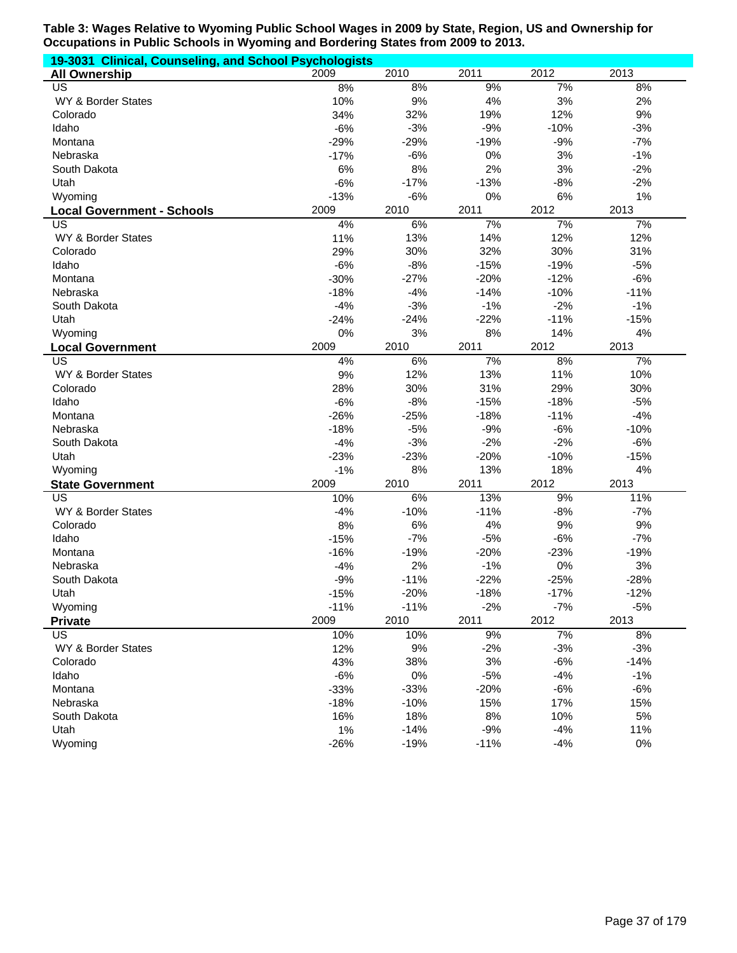| 19-3031 Clinical, Counseling, and School Psychologists |        |        |        |        |        |
|--------------------------------------------------------|--------|--------|--------|--------|--------|
| <b>All Ownership</b>                                   | 2009   | 2010   | 2011   | 2012   | 2013   |
| US                                                     | 8%     | 8%     | 9%     | 7%     | 8%     |
| WY & Border States                                     | 10%    | 9%     | 4%     | 3%     | 2%     |
| Colorado                                               | 34%    | 32%    | 19%    | 12%    | 9%     |
| Idaho                                                  | $-6%$  | $-3%$  | $-9%$  | $-10%$ | $-3%$  |
| Montana                                                | $-29%$ | $-29%$ | $-19%$ | $-9%$  | $-7%$  |
| Nebraska                                               | $-17%$ | $-6%$  | 0%     | 3%     | $-1%$  |
| South Dakota                                           | 6%     | 8%     | 2%     | 3%     | $-2%$  |
| Utah                                                   | $-6%$  | $-17%$ | $-13%$ | $-8%$  | $-2%$  |
| Wyoming                                                | $-13%$ | $-6%$  | 0%     | 6%     | 1%     |
| <b>Local Government - Schools</b>                      | 2009   | 2010   | 2011   | 2012   | 2013   |
| US                                                     | 4%     | 6%     | 7%     | 7%     | 7%     |
| WY & Border States                                     | 11%    | 13%    | 14%    | 12%    | 12%    |
| Colorado                                               | 29%    | 30%    | 32%    | 30%    | 31%    |
| Idaho                                                  | $-6%$  | $-8%$  | $-15%$ | $-19%$ | $-5%$  |
| Montana                                                | $-30%$ | $-27%$ | $-20%$ | $-12%$ | $-6%$  |
| Nebraska                                               | $-18%$ | $-4%$  | $-14%$ | $-10%$ | $-11%$ |
| South Dakota                                           | $-4%$  | $-3%$  | $-1%$  | $-2%$  | $-1%$  |
| Utah                                                   | $-24%$ | $-24%$ | $-22%$ | $-11%$ | $-15%$ |
| Wyoming                                                | 0%     | 3%     | 8%     | 14%    | 4%     |
| <b>Local Government</b>                                | 2009   | 2010   | 2011   | 2012   | 2013   |
| $\overline{\mathsf{US}}$                               | 4%     | 6%     | 7%     | 8%     | 7%     |
| WY & Border States                                     | 9%     | 12%    | 13%    | 11%    | 10%    |
| Colorado                                               | 28%    | 30%    | 31%    | 29%    | 30%    |
| Idaho                                                  | $-6%$  | $-8%$  | $-15%$ | $-18%$ | $-5%$  |
| Montana                                                | $-26%$ | $-25%$ | $-18%$ | $-11%$ | $-4%$  |
| Nebraska                                               | $-18%$ | $-5%$  | $-9%$  | $-6%$  | $-10%$ |
| South Dakota                                           | $-4%$  | $-3%$  | $-2%$  | $-2%$  | $-6%$  |
| Utah                                                   | $-23%$ | $-23%$ | $-20%$ | $-10%$ | $-15%$ |
| Wyoming                                                | $-1%$  | 8%     | 13%    | 18%    | 4%     |
| <b>State Government</b>                                | 2009   | 2010   | 2011   | 2012   | 2013   |
| $\overline{US}$                                        | 10%    | 6%     | 13%    | 9%     | 11%    |
| WY & Border States                                     | $-4%$  | $-10%$ | $-11%$ | $-8%$  | $-7%$  |
| Colorado                                               | 8%     | 6%     | 4%     | 9%     | 9%     |
| Idaho                                                  | $-15%$ | $-7%$  | $-5%$  | $-6%$  | $-7%$  |
| Montana                                                | $-16%$ | $-19%$ | $-20%$ | $-23%$ | $-19%$ |
| Nebraska                                               | $-4%$  | 2%     | $-1%$  | 0%     | 3%     |
| South Dakota                                           | $-9%$  | $-11%$ | $-22%$ | $-25%$ | $-28%$ |
| Utah                                                   | $-15%$ | $-20%$ | $-18%$ | $-17%$ | $-12%$ |
| Wyoming                                                | $-11%$ | $-11%$ | $-2%$  | $-7%$  | $-5%$  |
| <b>Private</b>                                         | 2009   | 2010   | 2011   | 2012   | 2013   |
| US                                                     | 10%    | 10%    | 9%     | 7%     | 8%     |
| WY & Border States                                     | 12%    | 9%     | $-2%$  | $-3%$  | $-3%$  |
| Colorado                                               | 43%    | 38%    | 3%     | $-6%$  | $-14%$ |
| Idaho                                                  | $-6%$  | 0%     | $-5%$  | $-4%$  | $-1%$  |
| Montana                                                | $-33%$ | $-33%$ | $-20%$ | $-6%$  | $-6%$  |
| Nebraska                                               | $-18%$ | $-10%$ | 15%    | 17%    | 15%    |
| South Dakota                                           | 16%    | 18%    | 8%     | 10%    | 5%     |
| Utah                                                   | 1%     | $-14%$ | $-9%$  | $-4%$  | 11%    |
| Wyoming                                                | $-26%$ | $-19%$ | $-11%$ | $-4%$  | $0\%$  |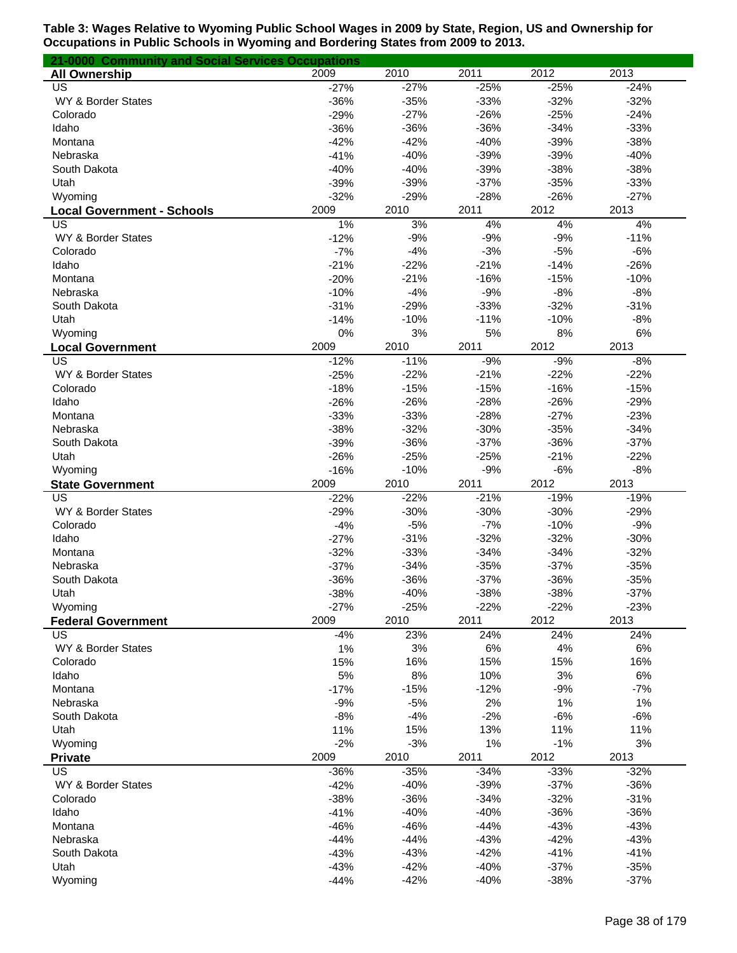| 21-0000 Community and Social Services Occupations |                  |                  |                  |                  |                  |
|---------------------------------------------------|------------------|------------------|------------------|------------------|------------------|
| <b>All Ownership</b>                              | 2009             | 2010             | 2011             | 2012             | 2013             |
| US                                                | $-27%$           | $-27%$           | $-25%$           | $-25%$           | $-24%$           |
| WY & Border States                                | $-36%$           | $-35%$           | $-33%$           | $-32%$           | $-32%$           |
| Colorado                                          | $-29%$           | $-27%$           | $-26%$           | $-25%$           | $-24%$           |
| Idaho                                             | $-36%$           | $-36%$           | $-36%$           | $-34%$           | $-33%$           |
| Montana                                           | $-42%$           | $-42%$           | $-40%$           | $-39%$           | $-38%$           |
| Nebraska                                          | $-41%$           | $-40%$           | $-39%$           | $-39%$           | $-40%$           |
| South Dakota                                      | $-40%$           | $-40%$           | $-39%$           | $-38%$           | $-38%$           |
| Utah                                              | $-39%$           | $-39%$           | $-37%$           | $-35%$           | $-33%$           |
| Wyoming                                           | $-32%$           | $-29%$           | $-28%$           | $-26%$           | $-27%$           |
| <b>Local Government - Schools</b>                 | 2009             | 2010             | 2011             | 2012             | 2013             |
| US                                                | 1%               | 3%               | 4%               | 4%               | 4%               |
| WY & Border States                                | $-12%$           | $-9%$            | $-9%$            | $-9%$            | $-11%$           |
| Colorado                                          | $-7%$            | $-4%$            | $-3%$            | $-5%$            | $-6%$            |
| Idaho                                             | $-21%$           | $-22%$           | $-21%$           | $-14%$           | $-26%$           |
| Montana                                           | $-20%$           | $-21%$           | $-16%$           | $-15%$           | $-10%$           |
| Nebraska                                          | $-10%$           | $-4%$            | $-9%$            | $-8%$            | $-8%$            |
| South Dakota                                      | $-31%$           | $-29%$           | $-33%$           | $-32%$           | $-31%$           |
| Utah                                              | $-14%$           | $-10%$           | $-11%$           | $-10%$           | $-8%$            |
| Wyoming                                           | 0%<br>2009       | 3%               | 5%               | 8%<br>2012       | 6%<br>2013       |
| <b>Local Government</b><br>US                     |                  | 2010<br>$-11%$   | 2011<br>$-9%$    | $-9%$            |                  |
| WY & Border States                                | $-12%$<br>$-25%$ | $-22%$           | $-21%$           | $-22%$           | $-8%$<br>$-22%$  |
| Colorado                                          |                  | $-15%$           | $-15%$           | $-16%$           | $-15%$           |
| Idaho                                             | $-18%$<br>$-26%$ | $-26%$           | $-28%$           | $-26%$           | $-29%$           |
| Montana                                           | $-33%$           | $-33%$           | $-28%$           | $-27%$           | $-23%$           |
| Nebraska                                          | $-38%$           | $-32%$           | $-30%$           | $-35%$           | $-34%$           |
| South Dakota                                      | $-39%$           | $-36%$           | $-37%$           | $-36%$           | $-37%$           |
| Utah                                              | $-26%$           | $-25%$           | $-25%$           | $-21%$           | $-22%$           |
| Wyoming                                           | $-16%$           | $-10%$           | $-9%$            | $-6%$            | $-8%$            |
| <b>State Government</b>                           | 2009             | 2010             | 2011             | 2012             | 2013             |
| US                                                | $-22%$           | $-22%$           | $-21%$           | $-19%$           | $-19%$           |
| WY & Border States                                | $-29%$           | $-30%$           | $-30%$           | $-30%$           | $-29%$           |
| Colorado                                          | $-4%$            | $-5%$            | $-7%$            | $-10%$           | $-9%$            |
| Idaho                                             | $-27%$           | $-31%$           | $-32%$           | $-32%$           | $-30%$           |
| Montana                                           | $-32%$           | $-33%$           | $-34%$           | $-34%$           | $-32%$           |
| Nebraska                                          | $-37%$           | $-34%$           | $-35%$           | $-37%$           | $-35%$           |
| South Dakota                                      | $-36%$           | $-36%$           | $-37%$           | $-36%$           | $-35%$           |
| Utah                                              | $-38%$           | $-40%$           | $-38%$           | $-38%$           | $-37%$           |
| Wyoming                                           | $-27%$           | $-25%$           | $-22%$           | $-22%$           | $-23%$           |
| <b>Federal Government</b>                         | 2009             | 2010             | 2011             | 2012             | 2013             |
| US                                                | $-4%$            | 23%              | 24%              | 24%              | 24%              |
| WY & Border States                                | 1%               | 3%               | 6%               | 4%               | 6%               |
| Colorado                                          | 15%              | 16%              | 15%              | 15%              | 16%              |
| Idaho                                             | 5%               | 8%               | 10%              | 3%               | 6%               |
| Montana                                           | $-17%$           | $-15%$           | $-12%$           | $-9%$            | $-7%$            |
| Nebraska                                          | $-9%$            | $-5%$            | 2%               | 1%               | 1%               |
| South Dakota                                      | $-8%$            | $-4%$            | $-2%$            | $-6%$            | $-6%$            |
| Utah                                              | 11%              | 15%              | 13%              | 11%              | 11%              |
| Wyoming                                           | $-2%$            | $-3%$            | 1%               | $-1%$            | 3%               |
| <b>Private</b>                                    | 2009             | 2010             | 2011             | 2012             | 2013             |
| $\overline{US}$                                   | $-36%$           | $-35%$           | $-34%$           | $-33%$           | $-32%$           |
| WY & Border States                                | $-42%$           | $-40%$           | $-39%$           | $-37%$           | $-36%$           |
| Colorado                                          | $-38%$           | $-36%$           | $-34%$           | $-32%$           | $-31%$           |
| Idaho                                             | $-41%$           | $-40%$           | $-40%$           | $-36%$           | $-36%$           |
| Montana                                           | $-46%$           | $-46%$           | $-44%$           | $-43%$           | $-43%$           |
| Nebraska                                          | $-44%$           | $-44%$           | $-43%$           | $-42%$           | $-43%$           |
| South Dakota<br>Utah                              | $-43%$           | $-43%$<br>$-42%$ | $-42%$           | $-41%$<br>$-37%$ | $-41%$<br>$-35%$ |
|                                                   | $-43%$<br>$-44%$ | $-42%$           | $-40%$<br>$-40%$ | $-38%$           | $-37%$           |
| Wyoming                                           |                  |                  |                  |                  |                  |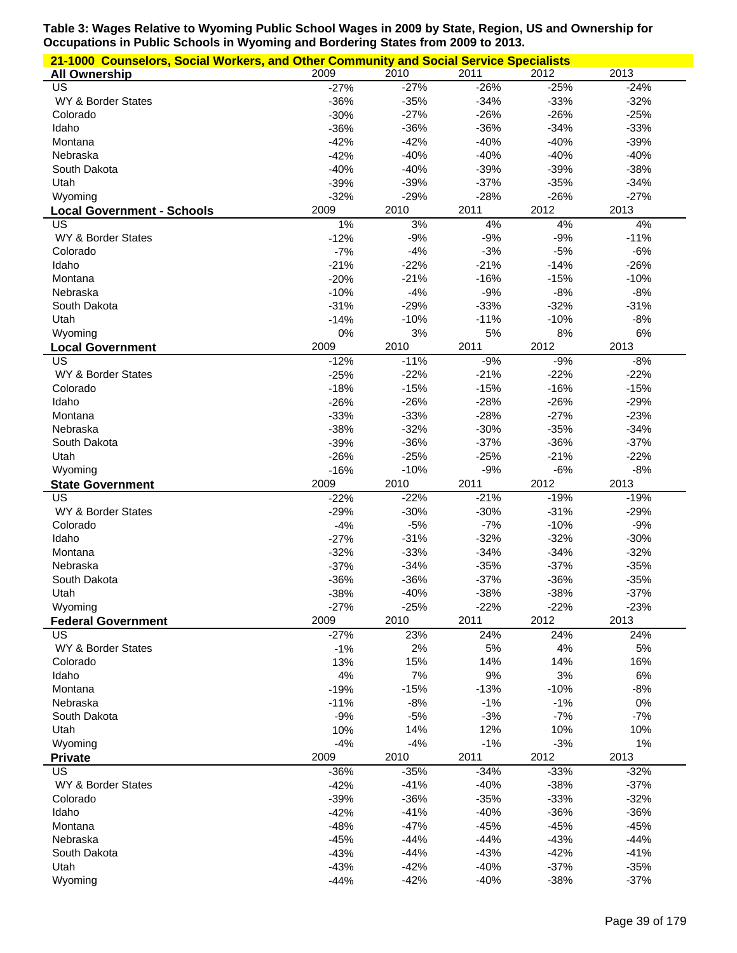|                                         | 21-1000 Counselors, Social Workers, and Other Community and Social Service Specialists |                |               |               |               |  |  |  |
|-----------------------------------------|----------------------------------------------------------------------------------------|----------------|---------------|---------------|---------------|--|--|--|
| <b>All Ownership</b>                    | 2009                                                                                   | 2010           | 2011          | 2012          | 2013          |  |  |  |
| US                                      | $-27%$                                                                                 | $-27%$         | $-26%$        | $-25%$        | $-24%$        |  |  |  |
| WY & Border States                      | $-36%$                                                                                 | $-35%$         | $-34%$        | $-33%$        | $-32%$        |  |  |  |
| Colorado                                | $-30%$                                                                                 | $-27%$         | $-26%$        | $-26%$        | $-25%$        |  |  |  |
| Idaho                                   | $-36%$                                                                                 | $-36%$         | $-36%$        | $-34%$        | $-33%$        |  |  |  |
| Montana                                 | $-42%$                                                                                 | $-42%$         | $-40%$        | $-40%$        | $-39%$        |  |  |  |
| Nebraska                                | $-42%$                                                                                 | $-40%$         | $-40%$        | $-40%$        | $-40%$        |  |  |  |
| South Dakota                            | $-40%$                                                                                 | $-40%$         | $-39%$        | $-39%$        | $-38%$        |  |  |  |
| Utah                                    | $-39%$                                                                                 | $-39%$         | $-37%$        | $-35%$        | $-34%$        |  |  |  |
| Wyoming                                 | $-32%$                                                                                 | $-29%$         | $-28%$        | $-26%$        | $-27%$        |  |  |  |
| <b>Local Government - Schools</b><br>US | 2009<br>1%                                                                             | 2010<br>3%     | 2011<br>4%    | 2012<br>4%    | 2013<br>4%    |  |  |  |
| WY & Border States                      | $-12%$                                                                                 | $-9%$          | $-9%$         | $-9%$         | $-11%$        |  |  |  |
| Colorado                                | $-7%$                                                                                  | $-4%$          | $-3%$         | $-5%$         | $-6%$         |  |  |  |
| Idaho                                   | $-21%$                                                                                 | $-22%$         | $-21%$        | $-14%$        | $-26%$        |  |  |  |
| Montana                                 | $-20%$                                                                                 | $-21%$         | $-16%$        | $-15%$        | $-10%$        |  |  |  |
| Nebraska                                | $-10%$                                                                                 | $-4%$          | $-9%$         | $-8%$         | $-8%$         |  |  |  |
| South Dakota                            | $-31%$                                                                                 | $-29%$         | $-33%$        | $-32%$        | $-31%$        |  |  |  |
| Utah                                    | $-14%$                                                                                 | $-10%$         | $-11%$        | $-10%$        | $-8%$         |  |  |  |
| Wyoming                                 | 0%                                                                                     | 3%             | 5%            | $8%$          | 6%            |  |  |  |
| <b>Local Government</b>                 | 2009                                                                                   | 2010           | 2011          | 2012          | 2013          |  |  |  |
| US                                      | $-12%$                                                                                 | $-11%$         | $-9%$         | $-9%$         | $-8%$         |  |  |  |
| WY & Border States                      | $-25%$                                                                                 | $-22%$         | $-21%$        | $-22%$        | $-22%$        |  |  |  |
| Colorado                                | $-18%$                                                                                 | $-15%$         | $-15%$        | $-16%$        | $-15%$        |  |  |  |
| Idaho                                   | $-26%$                                                                                 | $-26%$         | $-28%$        | $-26%$        | $-29%$        |  |  |  |
| Montana                                 | $-33%$                                                                                 | $-33%$         | $-28%$        | $-27%$        | $-23%$        |  |  |  |
| Nebraska                                | $-38%$                                                                                 | $-32%$         | $-30%$        | $-35%$        | $-34%$        |  |  |  |
| South Dakota                            | $-39%$                                                                                 | $-36%$         | $-37%$        | $-36%$        | $-37%$        |  |  |  |
| Utah                                    | $-26%$                                                                                 | $-25%$         | $-25%$        | $-21%$        | $-22%$        |  |  |  |
| Wyoming                                 | $-16%$<br>2009                                                                         | $-10%$<br>2010 | $-9%$<br>2011 | $-6%$<br>2012 | $-8%$<br>2013 |  |  |  |
| <b>State Government</b><br>US           | $-22%$                                                                                 | $-22%$         | $-21%$        | $-19%$        | $-19%$        |  |  |  |
| WY & Border States                      | $-29%$                                                                                 | $-30%$         | $-30%$        | $-31%$        | $-29%$        |  |  |  |
| Colorado                                | $-4%$                                                                                  | $-5%$          | $-7%$         | $-10%$        | $-9%$         |  |  |  |
| Idaho                                   | $-27%$                                                                                 | $-31%$         | $-32%$        | $-32%$        | $-30%$        |  |  |  |
| Montana                                 | $-32%$                                                                                 | $-33%$         | $-34%$        | $-34%$        | $-32%$        |  |  |  |
| Nebraska                                | $-37%$                                                                                 | $-34%$         | $-35%$        | $-37%$        | $-35%$        |  |  |  |
| South Dakota                            | $-36%$                                                                                 | $-36%$         | $-37%$        | $-36%$        | $-35%$        |  |  |  |
| Utah                                    | $-38%$                                                                                 | $-40%$         | $-38%$        | $-38%$        | $-37%$        |  |  |  |
| Wyoming                                 | $-27%$                                                                                 | $-25%$         | $-22%$        | $-22%$        | $-23%$        |  |  |  |
| <b>Federal Government</b>               | 2009                                                                                   | 2010           | 2011          | 2012          | 2013          |  |  |  |
| US                                      | $-27%$                                                                                 | 23%            | 24%           | 24%           | 24%           |  |  |  |
| WY & Border States                      | $-1%$                                                                                  | 2%             | 5%            | 4%            | 5%            |  |  |  |
| Colorado                                | 13%                                                                                    | 15%            | 14%           | 14%           | 16%           |  |  |  |
| Idaho                                   | 4%                                                                                     | 7%             | 9%            | 3%            | 6%            |  |  |  |
| Montana                                 | $-19%$                                                                                 | $-15%$         | $-13%$        | $-10%$        | $-8%$         |  |  |  |
| Nebraska                                | $-11%$                                                                                 | $-8%$          | $-1%$         | $-1%$         | 0%            |  |  |  |
| South Dakota                            | $-9%$                                                                                  | $-5%$          | $-3%$         | $-7%$         | $-7%$         |  |  |  |
| Utah<br>Wyoming                         | 10%<br>$-4%$                                                                           | 14%<br>$-4%$   | 12%<br>$-1%$  | 10%<br>$-3%$  | 10%<br>$1\%$  |  |  |  |
| <b>Private</b>                          | 2009                                                                                   | 2010           | 2011          | 2012          | 2013          |  |  |  |
| US                                      | -36%                                                                                   | $-35%$         | $-34%$        | $-33%$        | $-32%$        |  |  |  |
| WY & Border States                      | $-42%$                                                                                 | $-41%$         | $-40%$        | $-38%$        | $-37%$        |  |  |  |
| Colorado                                | $-39%$                                                                                 | $-36%$         | $-35%$        | $-33%$        | $-32%$        |  |  |  |
| Idaho                                   | $-42%$                                                                                 | $-41%$         | $-40%$        | $-36%$        | $-36%$        |  |  |  |
| Montana                                 | $-48%$                                                                                 | $-47%$         | $-45%$        | $-45%$        | $-45%$        |  |  |  |
| Nebraska                                | $-45%$                                                                                 | $-44%$         | $-44%$        | $-43%$        | $-44%$        |  |  |  |
| South Dakota                            | $-43%$                                                                                 | $-44%$         | $-43%$        | $-42%$        | $-41%$        |  |  |  |
| Utah                                    | $-43%$                                                                                 | $-42%$         | $-40%$        | $-37%$        | $-35%$        |  |  |  |
| Wyoming                                 | $-44%$                                                                                 | $-42%$         | $-40%$        | $-38%$        | $-37%$        |  |  |  |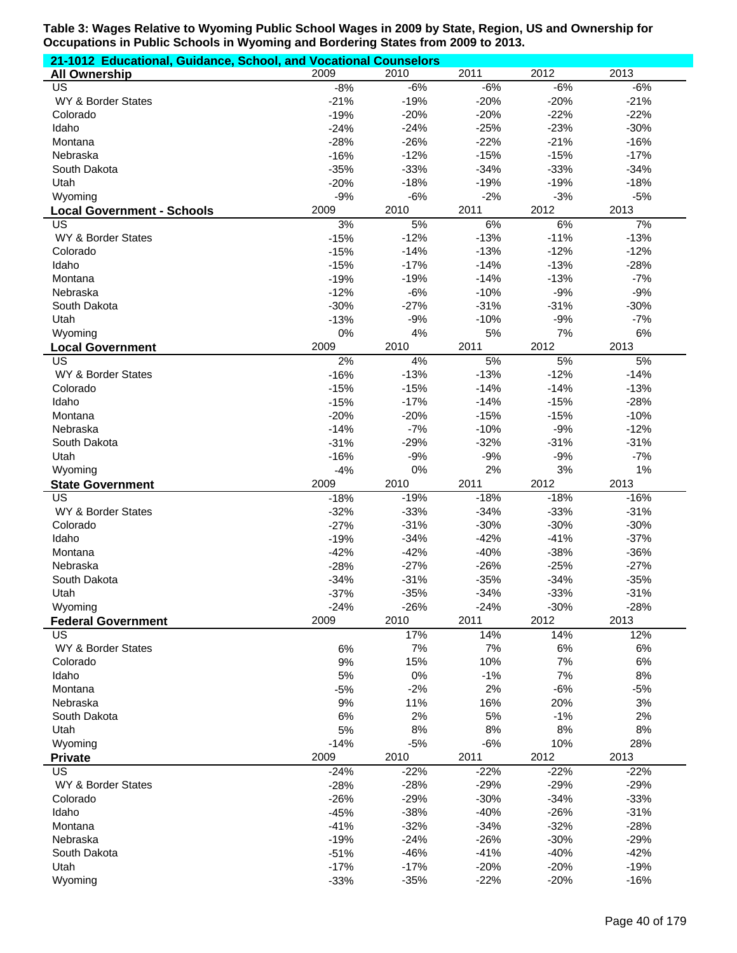| 21-1012 Educational, Guidance, School, and Vocational Counselors |                  |                  |                  |                  |                  |  |  |  |
|------------------------------------------------------------------|------------------|------------------|------------------|------------------|------------------|--|--|--|
| <b>All Ownership</b>                                             | 2009             | 2010             | 2011             | 2012             | 2013             |  |  |  |
| US                                                               | $-8%$            | $-6%$            | $-6%$            | $-6%$            | $-6%$            |  |  |  |
| WY & Border States                                               | $-21%$           | $-19%$           | $-20%$           | $-20%$           | $-21%$           |  |  |  |
| Colorado                                                         | $-19%$           | $-20%$           | $-20%$           | $-22%$           | $-22%$           |  |  |  |
| Idaho                                                            | $-24%$           | $-24%$           | $-25%$           | $-23%$           | $-30%$           |  |  |  |
| Montana                                                          | $-28%$           | $-26%$           | $-22%$           | $-21%$           | $-16%$           |  |  |  |
| Nebraska                                                         | $-16%$           | $-12%$           | $-15%$           | $-15%$           | $-17%$           |  |  |  |
| South Dakota                                                     | $-35%$           | $-33%$           | $-34%$           | $-33%$           | $-34%$           |  |  |  |
| Utah                                                             | $-20%$           | $-18%$           | $-19%$           | $-19%$           | $-18%$           |  |  |  |
| Wyoming                                                          | $-9%$            | $-6%$            | $-2%$            | $-3%$            | $-5%$            |  |  |  |
| <b>Local Government - Schools</b>                                | 2009             | 2010             | 2011             | 2012             | 2013             |  |  |  |
| US                                                               | 3%               | 5%               | 6%               | 6%               | 7%               |  |  |  |
| WY & Border States                                               | $-15%$           | $-12%$           | $-13%$           | $-11%$           | $-13%$           |  |  |  |
| Colorado                                                         | $-15%$           | $-14%$           | $-13%$           | $-12%$           | $-12%$           |  |  |  |
| Idaho                                                            | $-15%$           | $-17%$           | $-14%$           | $-13%$           | $-28%$           |  |  |  |
| Montana                                                          | $-19%$           | $-19%$           | $-14%$           | $-13%$           | $-7%$            |  |  |  |
| Nebraska                                                         | $-12%$           | $-6%$            | $-10%$           | $-9%$            | $-9%$            |  |  |  |
| South Dakota                                                     | $-30%$           | $-27%$           | $-31%$           | $-31%$           | $-30%$           |  |  |  |
| Utah                                                             | $-13%$           | $-9%$            | $-10%$           | $-9%$            | $-7%$            |  |  |  |
| Wyoming                                                          | 0%               | 4%               | 5%               | 7%               | $6\%$            |  |  |  |
| <b>Local Government</b><br>$\overline{\mathsf{US}}$              | 2009             | 2010             | 2011             | 2012<br>5%       | 2013             |  |  |  |
| WY & Border States                                               | 2%               | 4%<br>$-13%$     | 5%<br>$-13%$     | $-12%$           | 5%<br>$-14%$     |  |  |  |
| Colorado                                                         | $-16%$<br>$-15%$ | $-15%$           | $-14%$           | $-14%$           | $-13%$           |  |  |  |
| Idaho                                                            |                  | $-17%$           | $-14%$           | $-15%$           | $-28%$           |  |  |  |
| Montana                                                          | $-15%$<br>$-20%$ | $-20%$           | $-15%$           | $-15%$           | $-10%$           |  |  |  |
| Nebraska                                                         | $-14%$           | $-7%$            | $-10%$           | $-9%$            | $-12%$           |  |  |  |
| South Dakota                                                     | $-31%$           | $-29%$           | $-32%$           | $-31%$           | $-31%$           |  |  |  |
| Utah                                                             | $-16%$           | $-9%$            | $-9%$            | $-9%$            | $-7%$            |  |  |  |
| Wyoming                                                          | $-4%$            | 0%               | 2%               | 3%               | 1%               |  |  |  |
| <b>State Government</b>                                          | 2009             | 2010             | 2011             | 2012             | 2013             |  |  |  |
| $\overline{US}$                                                  | $-18%$           | $-19%$           | $-18%$           | $-18%$           | $-16%$           |  |  |  |
| WY & Border States                                               | $-32%$           | $-33%$           | $-34%$           | $-33%$           | $-31%$           |  |  |  |
| Colorado                                                         | $-27%$           | $-31%$           | $-30%$           | $-30%$           | $-30%$           |  |  |  |
| Idaho                                                            | $-19%$           | $-34%$           | $-42%$           | $-41%$           | $-37%$           |  |  |  |
| Montana                                                          | $-42%$           | $-42%$           | $-40%$           | $-38%$           | $-36%$           |  |  |  |
| Nebraska                                                         | $-28%$           | $-27%$           | $-26%$           | $-25%$           | $-27%$           |  |  |  |
| South Dakota                                                     | $-34%$           | $-31%$           | $-35%$           | $-34%$           | $-35%$           |  |  |  |
| Utah                                                             | $-37%$           | $-35%$           | $-34%$           | $-33%$           | $-31%$           |  |  |  |
| Wyoming                                                          | $-24%$           | $-26%$           | $-24%$           | $-30%$           | $-28%$           |  |  |  |
| <b>Federal Government</b>                                        | 2009             | 2010             | 2011             | 2012             | 2013             |  |  |  |
| <b>US</b>                                                        |                  | 17%              | 14%              | 14%              | 12%              |  |  |  |
| WY & Border States                                               | 6%               | 7%               | 7%               | 6%               | 6%               |  |  |  |
| Colorado                                                         | 9%               | 15%              | 10%              | 7%               | 6%               |  |  |  |
| Idaho                                                            | 5%               | 0%               | $-1%$            | 7%               | 8%               |  |  |  |
| Montana                                                          | $-5%$            | $-2%$            | 2%               | $-6%$            | $-5%$            |  |  |  |
| Nebraska                                                         | 9%               | 11%              | 16%              | 20%              | 3%               |  |  |  |
| South Dakota                                                     | 6%               | 2%               | 5%               | $-1%$            | 2%               |  |  |  |
| Utah                                                             | 5%               | $8%$             | 8%               | $8%$             | 8%               |  |  |  |
| Wyoming                                                          | $-14%$           | $-5%$            | $-6%$            | 10%              | 28%              |  |  |  |
| <b>Private</b>                                                   | 2009             | 2010             | 2011             | 2012             | 2013             |  |  |  |
| <b>US</b>                                                        | $-24%$           | $-22%$<br>$-28%$ | $-22%$           | $-22%$           | $-22%$           |  |  |  |
| WY & Border States                                               |                  |                  | $-29%$           | $-29%$           | $-29%$           |  |  |  |
|                                                                  | $-28%$           |                  |                  |                  |                  |  |  |  |
| Colorado                                                         | $-26%$           | $-29%$           | $-30%$           | $-34%$           | $-33%$           |  |  |  |
| Idaho                                                            | $-45%$           | $-38%$           | $-40%$           | $-26%$           | $-31%$           |  |  |  |
| Montana                                                          | $-41%$           | $-32%$           | $-34%$           | $-32%$           | $-28%$           |  |  |  |
| Nebraska                                                         | $-19%$           | $-24%$           | $-26%$           | $-30%$           | $-29%$           |  |  |  |
| South Dakota                                                     | $-51%$           | $-46%$           | $-41%$           | $-40%$           | $-42%$           |  |  |  |
| Utah<br>Wyoming                                                  | $-17%$<br>$-33%$ | $-17%$<br>$-35%$ | $-20%$<br>$-22%$ | $-20%$<br>$-20%$ | $-19%$<br>$-16%$ |  |  |  |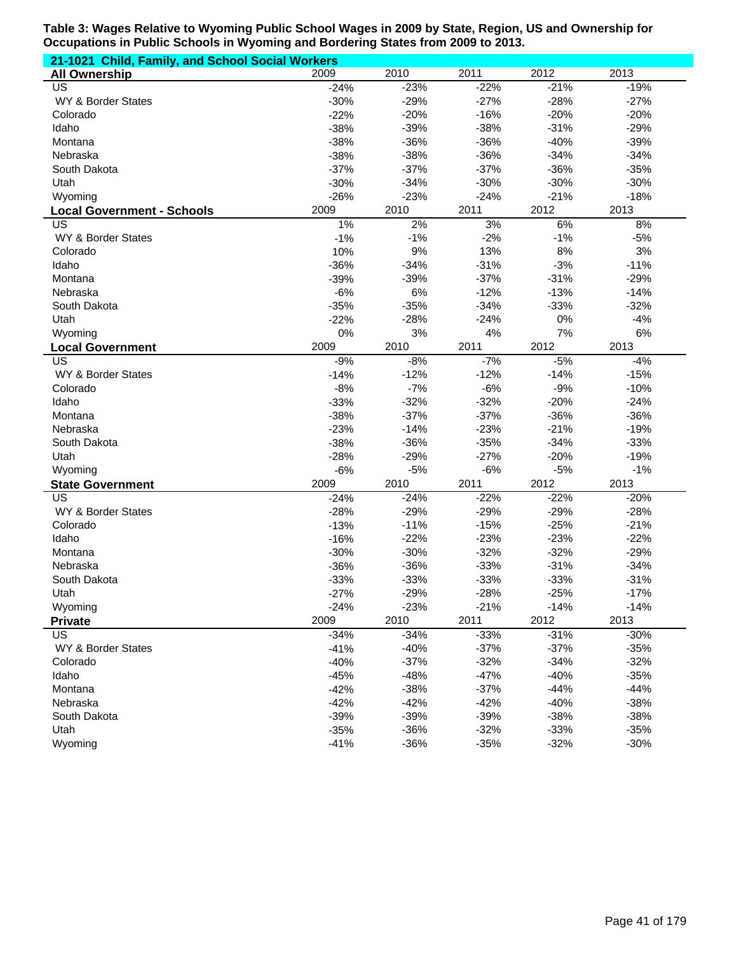|                                   | 21-1021 Child, Family, and School Social Workers |        |        |        |        |  |  |  |  |
|-----------------------------------|--------------------------------------------------|--------|--------|--------|--------|--|--|--|--|
| <b>All Ownership</b>              | 2009                                             | 2010   | 2011   | 2012   | 2013   |  |  |  |  |
| US                                | $-24%$                                           | $-23%$ | $-22%$ | $-21%$ | $-19%$ |  |  |  |  |
| WY & Border States                | $-30%$                                           | $-29%$ | $-27%$ | $-28%$ | $-27%$ |  |  |  |  |
| Colorado                          | $-22%$                                           | $-20%$ | $-16%$ | $-20%$ | $-20%$ |  |  |  |  |
| Idaho                             | $-38%$                                           | $-39%$ | $-38%$ | $-31%$ | $-29%$ |  |  |  |  |
| Montana                           | $-38%$                                           | $-36%$ | $-36%$ | $-40%$ | $-39%$ |  |  |  |  |
| Nebraska                          | $-38%$                                           | $-38%$ | $-36%$ | $-34%$ | $-34%$ |  |  |  |  |
| South Dakota                      | $-37%$                                           | $-37%$ | $-37%$ | $-36%$ | $-35%$ |  |  |  |  |
| Utah                              | $-30%$                                           | $-34%$ | $-30%$ | $-30%$ | $-30%$ |  |  |  |  |
| Wyoming                           | $-26%$                                           | $-23%$ | $-24%$ | $-21%$ | $-18%$ |  |  |  |  |
| <b>Local Government - Schools</b> | 2009                                             | 2010   | 2011   | 2012   | 2013   |  |  |  |  |
| US                                | 1%                                               | 2%     | 3%     | 6%     | 8%     |  |  |  |  |
| WY & Border States                | $-1%$                                            | $-1%$  | $-2%$  | $-1%$  | $-5%$  |  |  |  |  |
| Colorado                          | 10%                                              | 9%     | 13%    | 8%     | 3%     |  |  |  |  |
| Idaho                             | $-36%$                                           | $-34%$ | $-31%$ | $-3%$  | $-11%$ |  |  |  |  |
| Montana                           | $-39%$                                           | $-39%$ | $-37%$ | $-31%$ | $-29%$ |  |  |  |  |
| Nebraska                          | $-6%$                                            | 6%     | $-12%$ | $-13%$ | $-14%$ |  |  |  |  |
| South Dakota                      | $-35%$                                           | $-35%$ | $-34%$ | $-33%$ | $-32%$ |  |  |  |  |
| Utah                              | $-22%$                                           | $-28%$ | $-24%$ | 0%     | $-4%$  |  |  |  |  |
| Wyoming                           | 0%                                               | 3%     | 4%     | 7%     | $6\%$  |  |  |  |  |
| <b>Local Government</b>           | 2009                                             | 2010   | 2011   | 2012   | 2013   |  |  |  |  |
| $\overline{\mathsf{US}}$          | $-9%$                                            | $-8%$  | $-7%$  | $-5%$  | $-4%$  |  |  |  |  |
| WY & Border States                | $-14%$                                           | $-12%$ | $-12%$ | $-14%$ | $-15%$ |  |  |  |  |
| Colorado                          | $-8%$                                            | $-7%$  | $-6%$  | $-9%$  | $-10%$ |  |  |  |  |
| Idaho                             | $-33%$                                           | $-32%$ | $-32%$ | $-20%$ | $-24%$ |  |  |  |  |
| Montana                           | $-38%$                                           | $-37%$ | $-37%$ | $-36%$ | $-36%$ |  |  |  |  |
| Nebraska                          | $-23%$                                           | $-14%$ | $-23%$ | $-21%$ | $-19%$ |  |  |  |  |
| South Dakota                      | $-38%$                                           | $-36%$ | $-35%$ | $-34%$ | $-33%$ |  |  |  |  |
| Utah                              | $-28%$                                           | $-29%$ | $-27%$ | $-20%$ | $-19%$ |  |  |  |  |
| Wyoming                           | $-6%$                                            | $-5%$  | $-6%$  | $-5%$  | $-1%$  |  |  |  |  |
| <b>State Government</b>           | 2009                                             | 2010   | 2011   | 2012   | 2013   |  |  |  |  |
| $\overline{US}$                   | $-24%$                                           | $-24%$ | $-22%$ | $-22%$ | $-20%$ |  |  |  |  |
| WY & Border States                | $-28%$                                           | $-29%$ | $-29%$ | $-29%$ | $-28%$ |  |  |  |  |
| Colorado                          | $-13%$                                           | $-11%$ | $-15%$ | $-25%$ | $-21%$ |  |  |  |  |
| Idaho                             | $-16%$                                           | $-22%$ | $-23%$ | $-23%$ | $-22%$ |  |  |  |  |
| Montana                           | $-30%$                                           | $-30%$ | $-32%$ | $-32%$ | $-29%$ |  |  |  |  |
| Nebraska                          | $-36%$                                           | $-36%$ | $-33%$ | $-31%$ | $-34%$ |  |  |  |  |
| South Dakota                      | $-33%$                                           | $-33%$ | $-33%$ | $-33%$ | $-31%$ |  |  |  |  |
| Utah                              | $-27%$                                           | $-29%$ | $-28%$ | $-25%$ | $-17%$ |  |  |  |  |
| Wyoming                           | $-24%$                                           | $-23%$ | $-21%$ | $-14%$ | $-14%$ |  |  |  |  |
| <b>Private</b>                    | 2009                                             | 2010   | 2011   | 2012   | 2013   |  |  |  |  |
| US                                | $-34%$                                           | $-34%$ | $-33%$ | $-31%$ | $-30%$ |  |  |  |  |
| WY & Border States                | $-41%$                                           | $-40%$ | $-37%$ | $-37%$ | $-35%$ |  |  |  |  |
| Colorado                          | $-40%$                                           | $-37%$ | $-32%$ | $-34%$ | $-32%$ |  |  |  |  |
| Idaho                             | $-45%$                                           | $-48%$ | $-47%$ | $-40%$ | $-35%$ |  |  |  |  |
| Montana                           | $-42%$                                           | $-38%$ | $-37%$ | $-44%$ | $-44%$ |  |  |  |  |
| Nebraska                          | $-42%$                                           | $-42%$ | $-42%$ | $-40%$ | $-38%$ |  |  |  |  |
| South Dakota                      | $-39%$                                           | $-39%$ | $-39%$ | $-38%$ | $-38%$ |  |  |  |  |
| Utah                              | $-35%$                                           | $-36%$ | $-32%$ | $-33%$ | $-35%$ |  |  |  |  |
| Wyoming                           | $-41%$                                           | $-36%$ | $-35%$ | $-32%$ | $-30%$ |  |  |  |  |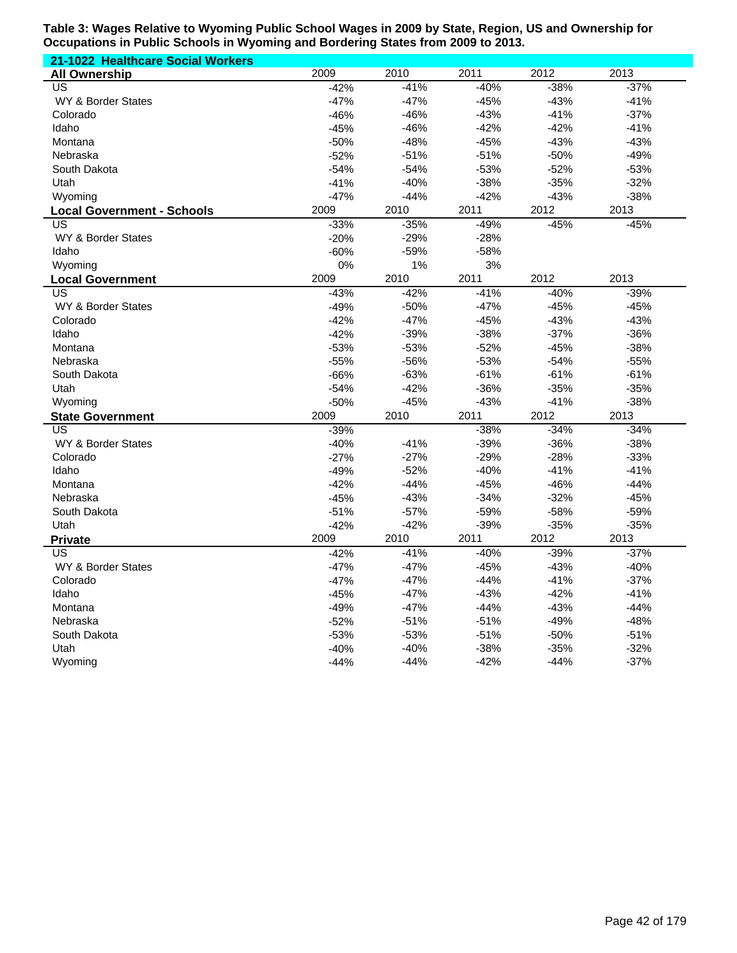| 21-1022 Healthcare Social Workers |        |        |        |        |        |
|-----------------------------------|--------|--------|--------|--------|--------|
| <b>All Ownership</b>              | 2009   | 2010   | 2011   | 2012   | 2013   |
| $\overline{US}$                   | $-42%$ | $-41%$ | $-40%$ | $-38%$ | $-37%$ |
| WY & Border States                | $-47%$ | $-47%$ | $-45%$ | $-43%$ | $-41%$ |
| Colorado                          | $-46%$ | $-46%$ | $-43%$ | $-41%$ | $-37%$ |
| Idaho                             | $-45%$ | $-46%$ | $-42%$ | $-42%$ | $-41%$ |
| Montana                           | $-50%$ | $-48%$ | $-45%$ | $-43%$ | $-43%$ |
| Nebraska                          | $-52%$ | $-51%$ | $-51%$ | $-50%$ | $-49%$ |
| South Dakota                      | $-54%$ | $-54%$ | $-53%$ | $-52%$ | $-53%$ |
| Utah                              | $-41%$ | $-40%$ | $-38%$ | $-35%$ | $-32%$ |
| Wyoming                           | $-47%$ | $-44%$ | $-42%$ | $-43%$ | $-38%$ |
| <b>Local Government - Schools</b> | 2009   | 2010   | 2011   | 2012   | 2013   |
| US                                | $-33%$ | $-35%$ | $-49%$ | $-45%$ | $-45%$ |
| WY & Border States                | $-20%$ | $-29%$ | $-28%$ |        |        |
| Idaho                             | $-60%$ | $-59%$ | $-58%$ |        |        |
| Wyoming                           | 0%     | 1%     | 3%     |        |        |
| <b>Local Government</b>           | 2009   | 2010   | 2011   | 2012   | 2013   |
| US                                | $-43%$ | $-42%$ | $-41%$ | $-40%$ | $-39%$ |
| WY & Border States                | $-49%$ | $-50%$ | $-47%$ | $-45%$ | $-45%$ |
| Colorado                          | $-42%$ | $-47%$ | $-45%$ | $-43%$ | $-43%$ |
| Idaho                             | $-42%$ | $-39%$ | $-38%$ | $-37%$ | $-36%$ |
| Montana                           | $-53%$ | $-53%$ | $-52%$ | $-45%$ | $-38%$ |
| Nebraska                          | $-55%$ | $-56%$ | $-53%$ | $-54%$ | $-55%$ |
| South Dakota                      | $-66%$ | $-63%$ | $-61%$ | $-61%$ | $-61%$ |
| Utah                              | $-54%$ | $-42%$ | $-36%$ | $-35%$ | $-35%$ |
| Wyoming                           | $-50%$ | $-45%$ | $-43%$ | $-41%$ | $-38%$ |
| <b>State Government</b>           | 2009   | 2010   | 2011   | 2012   | 2013   |
| US                                | $-39%$ |        | $-38%$ | $-34%$ | $-34%$ |
| WY & Border States                | $-40%$ | $-41%$ | $-39%$ | $-36%$ | $-38%$ |
| Colorado                          | $-27%$ | $-27%$ | $-29%$ | $-28%$ | $-33%$ |
| Idaho                             | $-49%$ | $-52%$ | $-40%$ | $-41%$ | $-41%$ |
| Montana                           | $-42%$ | $-44%$ | $-45%$ | $-46%$ | $-44%$ |
| Nebraska                          | $-45%$ | $-43%$ | $-34%$ | $-32%$ | $-45%$ |
| South Dakota                      | $-51%$ | $-57%$ | $-59%$ | $-58%$ | $-59%$ |
| Utah                              | $-42%$ | $-42%$ | $-39%$ | $-35%$ | $-35%$ |
| <b>Private</b>                    | 2009   | 2010   | 2011   | 2012   | 2013   |
| US                                | $-42%$ | $-41%$ | $-40%$ | $-39%$ | $-37%$ |
| WY & Border States                | $-47%$ | $-47%$ | $-45%$ | $-43%$ | $-40%$ |
| Colorado                          | $-47%$ | $-47%$ | $-44%$ | $-41%$ | $-37%$ |
| Idaho                             | $-45%$ | $-47%$ | $-43%$ | $-42%$ | $-41%$ |
| Montana                           | $-49%$ | $-47%$ | $-44%$ | $-43%$ | $-44%$ |
| Nebraska                          | $-52%$ | $-51%$ | $-51%$ | $-49%$ | $-48%$ |
| South Dakota                      | $-53%$ | $-53%$ | $-51%$ | $-50%$ | $-51%$ |
| Utah                              | $-40%$ | $-40%$ | $-38%$ | $-35%$ | $-32%$ |
| Wyoming                           | $-44%$ | $-44%$ | $-42%$ | $-44%$ | $-37%$ |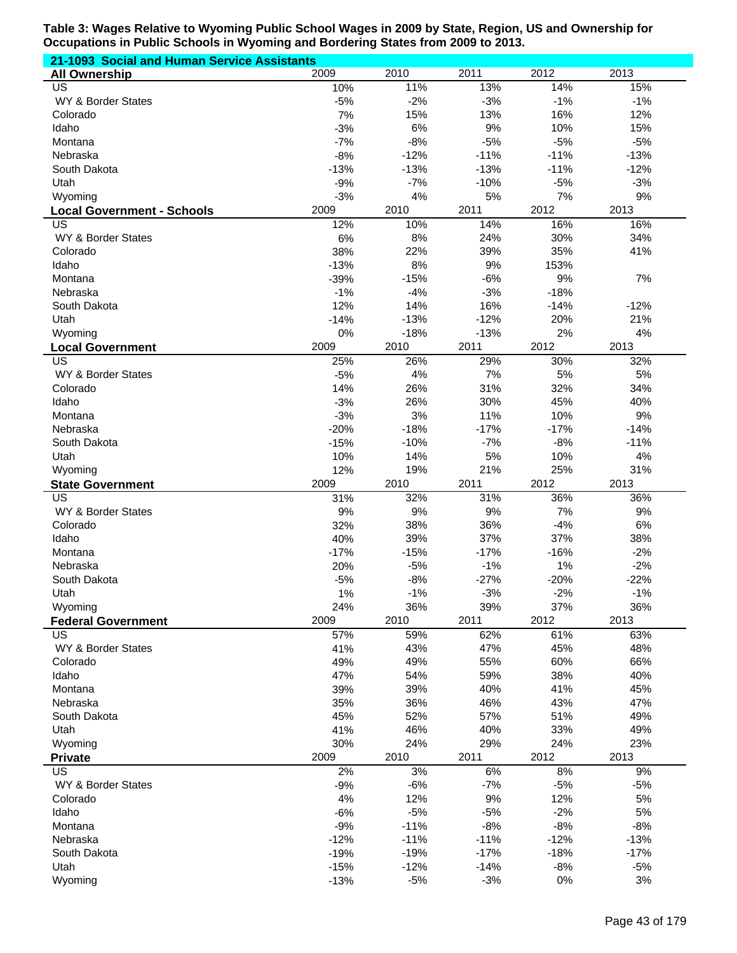| 21-1093 Social and Human Service Assistants |                  |                  |                  |                  |                  |  |  |  |
|---------------------------------------------|------------------|------------------|------------------|------------------|------------------|--|--|--|
| <b>All Ownership</b>                        | 2009             | 2010             | 2011             | 2012             | 2013             |  |  |  |
| US                                          | 10%              | 11%              | 13%              | 14%              | 15%              |  |  |  |
| WY & Border States                          | $-5%$            | $-2%$            | $-3%$            | $-1%$            | $-1%$            |  |  |  |
| Colorado                                    | 7%               | 15%              | 13%              | 16%              | 12%              |  |  |  |
| Idaho                                       | $-3%$            | 6%               | 9%               | 10%              | 15%              |  |  |  |
| Montana                                     | $-7%$            | $-8%$            | $-5%$            | $-5%$            | $-5%$            |  |  |  |
| Nebraska<br>South Dakota                    | $-8%$            | $-12%$<br>$-13%$ | $-11%$<br>$-13%$ | $-11%$<br>$-11%$ | $-13%$<br>$-12%$ |  |  |  |
| Utah                                        | $-13%$<br>$-9%$  | $-7%$            | $-10%$           | $-5%$            | $-3%$            |  |  |  |
| Wyoming                                     | $-3%$            | 4%               | 5%               | 7%               | 9%               |  |  |  |
| <b>Local Government - Schools</b>           | 2009             | 2010             | 2011             | 2012             | 2013             |  |  |  |
| US                                          | 12%              | 10%              | 14%              | 16%              | 16%              |  |  |  |
| WY & Border States                          | 6%               | 8%               | 24%              | 30%              | 34%              |  |  |  |
| Colorado                                    | 38%              | 22%              | 39%              | 35%              | 41%              |  |  |  |
| Idaho                                       | $-13%$           | 8%               | 9%               | 153%             |                  |  |  |  |
| Montana                                     | $-39%$           | $-15%$           | $-6%$            | 9%               | 7%               |  |  |  |
| Nebraska                                    | $-1%$            | $-4%$            | $-3%$            | $-18%$           |                  |  |  |  |
| South Dakota                                | 12%              | 14%              | 16%              | $-14%$           | $-12%$           |  |  |  |
| Utah                                        | $-14%$           | $-13%$           | $-12%$           | 20%              | 21%              |  |  |  |
| Wyoming                                     | 0%               | $-18%$           | $-13%$           | 2%               | 4%               |  |  |  |
| <b>Local Government</b>                     | 2009             | 2010             | 2011             | 2012             | 2013             |  |  |  |
| $\overline{\mathsf{US}}$                    | 25%              | 26%              | 29%              | 30%              | 32%              |  |  |  |
| WY & Border States                          | $-5%$            | 4%               | 7%               | 5%               | 5%               |  |  |  |
| Colorado                                    | 14%              | 26%              | 31%              | 32%              | 34%              |  |  |  |
| Idaho                                       | $-3%$            | 26%              | 30%              | 45%              | 40%              |  |  |  |
| Montana                                     | $-3%$            | 3%               | 11%              | 10%              | 9%               |  |  |  |
| Nebraska                                    | $-20%$           | $-18%$           | $-17%$           | $-17%$           | $-14%$           |  |  |  |
| South Dakota                                | $-15%$           | $-10%$           | $-7%$            | $-8%$            | $-11%$           |  |  |  |
| Utah                                        | 10%<br>12%       | 14%<br>19%       | 5%<br>21%        | 10%<br>25%       | 4%<br>31%        |  |  |  |
| Wyoming<br><b>State Government</b>          | 2009             | 2010             | 2011             | 2012             | 2013             |  |  |  |
| $\overline{US}$                             | 31%              | 32%              | 31%              | 36%              | 36%              |  |  |  |
| WY & Border States                          | 9%               | 9%               | 9%               | 7%               | 9%               |  |  |  |
| Colorado                                    | 32%              | 38%              | 36%              | $-4%$            | 6%               |  |  |  |
| Idaho                                       | 40%              | 39%              | 37%              | 37%              | 38%              |  |  |  |
| Montana                                     | $-17%$           | $-15%$           | $-17%$           | $-16%$           | $-2%$            |  |  |  |
| Nebraska                                    | 20%              | $-5%$            | $-1%$            | 1%               | $-2%$            |  |  |  |
| South Dakota                                | $-5%$            | $-8%$            | $-27%$           | $-20%$           | $-22%$           |  |  |  |
| Utah                                        | 1%               | $-1%$            | $-3%$            | $-2%$            | $-1%$            |  |  |  |
| Wyoming                                     | 24%              | 36%              | 39%              | 37%              | 36%              |  |  |  |
| <b>Federal Government</b>                   | 2009             | 2010             | 2011             | 2012             | 2013             |  |  |  |
| <b>US</b>                                   | 57%              | 59%              | 62%              | 61%              | 63%              |  |  |  |
| WY & Border States                          | 41%              | 43%              | 47%              | 45%              | 48%              |  |  |  |
| Colorado                                    | 49%              | 49%              | 55%              | 60%              | 66%              |  |  |  |
| Idaho                                       | 47%              | 54%              | 59%              | 38%              | 40%              |  |  |  |
| Montana<br>Nebraska                         | 39%<br>35%       | 39%<br>36%       | 40%<br>46%       | 41%<br>43%       | 45%<br>47%       |  |  |  |
| South Dakota                                | 45%              | 52%              | 57%              | 51%              | 49%              |  |  |  |
| Utah                                        | 41%              | 46%              | 40%              | 33%              | 49%              |  |  |  |
| Wyoming                                     | 30%              | 24%              | 29%              | 24%              | 23%              |  |  |  |
| <b>Private</b>                              | 2009             | 2010             | 2011             | 2012             | 2013             |  |  |  |
| <b>US</b>                                   | 2%               | 3%               | 6%               | 8%               | 9%               |  |  |  |
| WY & Border States                          | $-9%$            | $-6%$            | $-7%$            | $-5%$            | $-5%$            |  |  |  |
| Colorado                                    | 4%               | 12%              | 9%               | 12%              | 5%               |  |  |  |
| Idaho                                       | $-6%$            | $-5%$            | $-5%$            | $-2%$            | 5%               |  |  |  |
| Montana                                     | $-9%$            | $-11%$           | $-8%$            | $-8%$            | $-8%$            |  |  |  |
| Nebraska                                    | $-12%$           | $-11%$           | $-11%$           | $-12%$           | $-13%$           |  |  |  |
| South Dakota                                | $-19%$           | $-19%$           | $-17%$           | $-18%$           | $-17%$           |  |  |  |
| Utah                                        |                  |                  | $-14%$           |                  |                  |  |  |  |
| Wyoming                                     | $-15%$<br>$-13%$ | $-12%$<br>$-5%$  | $-3%$            | $-8%$<br>0%      | $-5%$<br>3%      |  |  |  |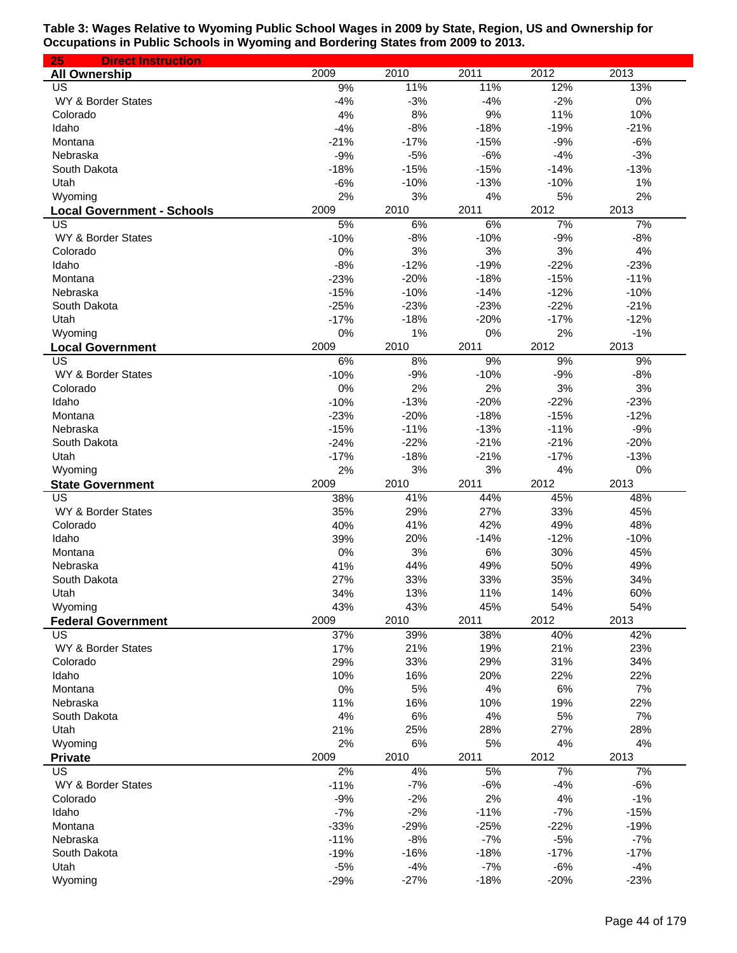| 25<br><b>Direct Instruction</b>   |              |                  |                  |                  |                  |
|-----------------------------------|--------------|------------------|------------------|------------------|------------------|
| <b>All Ownership</b>              | 2009         | 2010             | 2011             | 2012             | 2013             |
| US                                | 9%           | 11%              | 11%              | 12%              | 13%              |
| WY & Border States                | $-4%$        | $-3%$            | $-4%$            | $-2%$            | 0%               |
| Colorado                          | 4%           | 8%               | 9%               | 11%              | 10%              |
| Idaho                             | $-4%$        | $-8%$            | $-18%$           | $-19%$           | $-21%$           |
| Montana                           | $-21%$       | $-17%$           | $-15%$           | $-9%$            | $-6%$            |
| Nebraska                          | $-9%$        | $-5%$            | $-6%$            | $-4%$            | $-3%$            |
| South Dakota                      | $-18%$       | $-15%$           | $-15%$           | $-14%$           | $-13%$           |
| Utah                              | $-6%$        | $-10%$           | $-13%$           | $-10%$           | 1%               |
| Wyoming                           | 2%           | 3%               | 4%               | 5%               | 2%               |
| <b>Local Government - Schools</b> | 2009         | 2010             | 2011             | 2012             | 2013             |
| US                                | 5%           | 6%               | 6%               | 7%               | 7%               |
| WY & Border States                | $-10%$       | $-8%$            | $-10%$           | $-9%$            | $-8%$            |
| Colorado                          | 0%           | 3%               | 3%               | 3%               | 4%               |
| Idaho                             | $-8%$        | $-12%$           | $-19%$           | $-22%$           | $-23%$           |
| Montana                           | $-23%$       | $-20%$           | $-18%$           | $-15%$           | $-11%$           |
| Nebraska                          | $-15%$       | $-10%$           | $-14%$           | $-12%$           | $-10%$           |
| South Dakota                      | $-25%$       | $-23%$<br>$-18%$ | $-23%$<br>$-20%$ | $-22%$<br>$-17%$ | $-21%$<br>$-12%$ |
| Utah                              | $-17%$       |                  |                  |                  |                  |
| Wyoming                           | 0%<br>2009   | 1%<br>2010       | 0%<br>2011       | 2%<br>2012       | $-1%$<br>2013    |
| <b>Local Government</b><br>US     |              |                  | 9%               | 9%               |                  |
| WY & Border States                | 6%<br>$-10%$ | 8%<br>$-9%$      | $-10%$           | $-9%$            | 9%<br>$-8%$      |
| Colorado                          | 0%           | 2%               | 2%               | 3%               | 3%               |
| Idaho                             | $-10%$       | $-13%$           | $-20%$           | $-22%$           | $-23%$           |
| Montana                           | $-23%$       | $-20%$           | $-18%$           | $-15%$           | $-12%$           |
| Nebraska                          | $-15%$       | $-11%$           | $-13%$           | $-11%$           | $-9%$            |
| South Dakota                      | $-24%$       | $-22%$           | $-21%$           | $-21%$           | $-20%$           |
| Utah                              | $-17%$       | $-18%$           | $-21%$           | $-17%$           | $-13%$           |
| Wyoming                           | 2%           | 3%               | 3%               | 4%               | 0%               |
| <b>State Government</b>           | 2009         | 2010             | 2011             | 2012             | 2013             |
| US                                | 38%          | 41%              | 44%              | 45%              | 48%              |
| WY & Border States                | 35%          | 29%              | 27%              | 33%              | 45%              |
| Colorado                          | 40%          | 41%              | 42%              | 49%              | 48%              |
| Idaho                             | 39%          | 20%              | $-14%$           | $-12%$           | $-10%$           |
| Montana                           | 0%           | 3%               | 6%               | 30%              | 45%              |
| Nebraska                          | 41%          | 44%              | 49%              | 50%              | 49%              |
| South Dakota                      | 27%          | 33%              | 33%              | 35%              | 34%              |
| Utah                              | 34%          | 13%              | 11%              | 14%              | 60%              |
| Wyoming                           | 43%          | 43%              | 45%              | 54%              | 54%              |
| <b>Federal Government</b>         | 2009         | 2010             | 2011             | 2012             | 2013             |
| US                                | 37%          | 39%              | 38%              | 40%              | 42%              |
| WY & Border States                | 17%          | 21%              | 19%              | 21%              | 23%              |
| Colorado                          | 29%          | 33%              | 29%              | 31%              | 34%              |
| Idaho                             | 10%          | 16%              | 20%              | 22%              | 22%              |
| Montana                           | 0%           | 5%               | 4%               | 6%               | 7%               |
| Nebraska                          | 11%          | 16%              | 10%              | 19%              | 22%              |
| South Dakota                      | 4%           | 6%               | 4%               | 5%               | 7%               |
| Utah                              | 21%          | 25%              | 28%              | 27%              | 28%              |
| Wyoming                           | 2%           | 6%               | 5%               | 4%               | 4%               |
| <b>Private</b>                    | 2009         | 2010             | 2011             | 2012             | 2013             |
| US                                | 2%           | 4%               | 5%               | 7%               | 7%               |
| WY & Border States                | $-11%$       | $-7%$            | $-6%$            | $-4%$            | $-6%$            |
| Colorado                          | $-9%$        | $-2%$            | 2%               | 4%               | $-1%$            |
| Idaho                             | $-7%$        | $-2%$            | $-11%$           | $-7%$            | $-15%$           |
| Montana                           | $-33%$       | $-29%$           | $-25%$           | $-22%$           | $-19%$           |
| Nebraska                          | $-11%$       | $-8%$            | $-7%$            | $-5%$            | $-7%$            |
| South Dakota                      | $-19%$       | $-16%$           | $-18%$           | $-17%$           | $-17%$           |
| Utah                              | $-5%$        | $-4%$            | $-7%$            | $-6%$            | $-4%$            |
| Wyoming                           | $-29%$       | $-27%$           | $-18%$           | $-20%$           | $-23%$           |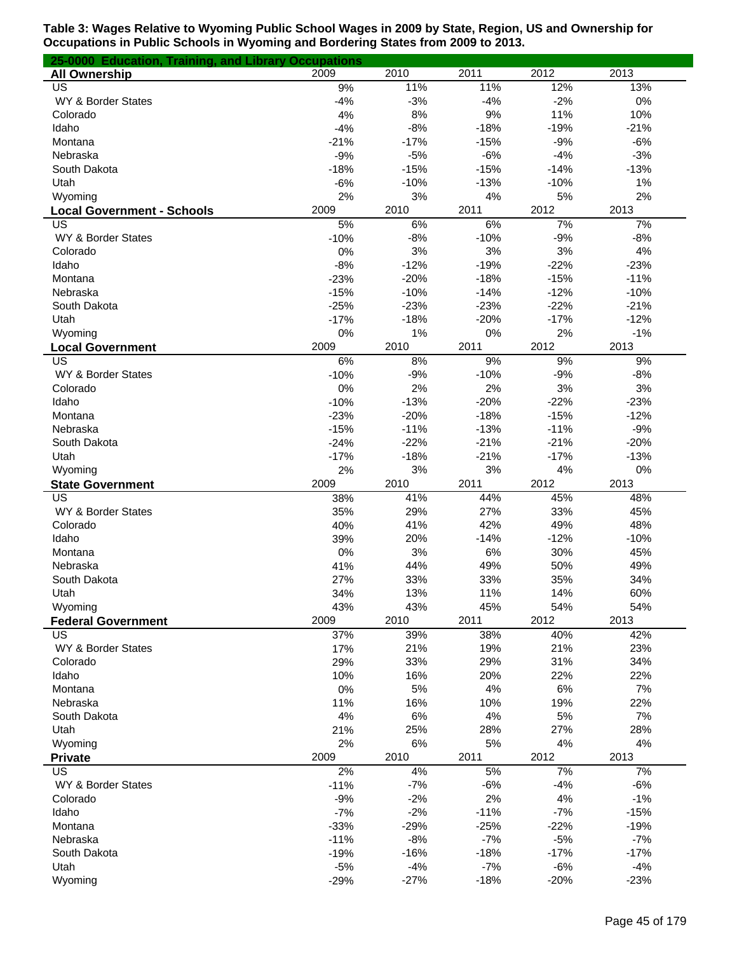| 25-0000 Education, Training, and Library Occupations |        |        |        |        |        |
|------------------------------------------------------|--------|--------|--------|--------|--------|
| <b>All Ownership</b>                                 | 2009   | 2010   | 2011   | 2012   | 2013   |
| US                                                   | 9%     | 11%    | 11%    | 12%    | 13%    |
| WY & Border States                                   | $-4%$  | $-3%$  | $-4%$  | $-2%$  | 0%     |
| Colorado                                             | 4%     | 8%     | 9%     | 11%    | 10%    |
| Idaho                                                | $-4%$  | $-8%$  | $-18%$ | $-19%$ | $-21%$ |
| Montana                                              | $-21%$ | $-17%$ | $-15%$ | $-9%$  | $-6%$  |
| Nebraska                                             | $-9%$  | $-5%$  | $-6%$  | $-4%$  | $-3%$  |
| South Dakota                                         | $-18%$ | $-15%$ | $-15%$ | $-14%$ | $-13%$ |
| Utah                                                 | $-6%$  | $-10%$ | $-13%$ | $-10%$ | 1%     |
| Wyoming                                              | 2%     | 3%     | 4%     | 5%     | 2%     |
| <b>Local Government - Schools</b>                    | 2009   | 2010   | 2011   | 2012   | 2013   |
| US                                                   | 5%     | 6%     | 6%     | 7%     | 7%     |
| WY & Border States                                   | $-10%$ | $-8%$  | $-10%$ | $-9%$  | $-8%$  |
| Colorado                                             | 0%     | 3%     | 3%     | 3%     | 4%     |
| Idaho                                                | $-8%$  | $-12%$ | $-19%$ | $-22%$ | $-23%$ |
| Montana                                              | $-23%$ | $-20%$ | $-18%$ | $-15%$ | $-11%$ |
| Nebraska                                             | $-15%$ | $-10%$ | $-14%$ | $-12%$ | $-10%$ |
| South Dakota                                         | $-25%$ | $-23%$ | $-23%$ | $-22%$ | $-21%$ |
| Utah                                                 | $-17%$ | $-18%$ | $-20%$ | $-17%$ | $-12%$ |
| Wyoming                                              | 0%     | 1%     | 0%     | 2%     | $-1%$  |
| <b>Local Government</b>                              | 2009   | 2010   | 2011   | 2012   | 2013   |
| US                                                   | 6%     | 8%     | 9%     | 9%     | 9%     |
| WY & Border States                                   | $-10%$ | $-9%$  | $-10%$ | $-9%$  | $-8%$  |
| Colorado                                             | 0%     | 2%     | 2%     | 3%     | 3%     |
| Idaho                                                | $-10%$ | $-13%$ | $-20%$ | $-22%$ | $-23%$ |
| Montana                                              | $-23%$ | $-20%$ | $-18%$ | $-15%$ | $-12%$ |
| Nebraska                                             | $-15%$ | $-11%$ | $-13%$ | $-11%$ | $-9%$  |
| South Dakota                                         | $-24%$ | $-22%$ | $-21%$ | $-21%$ | $-20%$ |
| Utah                                                 | $-17%$ | $-18%$ | $-21%$ | $-17%$ | $-13%$ |
| Wyoming                                              | 2%     | 3%     | 3%     | 4%     | 0%     |
| <b>State Government</b>                              | 2009   | 2010   | 2011   | 2012   | 2013   |
| US                                                   | 38%    | 41%    | 44%    | 45%    | 48%    |
| WY & Border States                                   | 35%    | 29%    | 27%    | 33%    | 45%    |
| Colorado                                             | 40%    | 41%    | 42%    | 49%    | 48%    |
| Idaho                                                | 39%    | 20%    | $-14%$ | $-12%$ | $-10%$ |
| Montana                                              | 0%     | 3%     | 6%     | 30%    | 45%    |
| Nebraska                                             | 41%    | 44%    | 49%    | 50%    | 49%    |
| South Dakota                                         | 27%    | 33%    | 33%    | 35%    | 34%    |
| Utah                                                 | 34%    | 13%    | 11%    | 14%    | 60%    |
| Wyoming                                              | 43%    | 43%    | 45%    | 54%    | 54%    |
| <b>Federal Government</b>                            | 2009   | 2010   | 2011   | 2012   | 2013   |
| US                                                   | 37%    | 39%    | 38%    | 40%    | 42%    |
| WY & Border States                                   | 17%    | 21%    | 19%    | 21%    | 23%    |
| Colorado                                             | 29%    | 33%    | 29%    | 31%    | 34%    |
| Idaho                                                | 10%    | 16%    | 20%    | 22%    | 22%    |
| Montana                                              | 0%     | 5%     | 4%     | 6%     | 7%     |
| Nebraska                                             | 11%    | 16%    | 10%    | 19%    | 22%    |
| South Dakota                                         | 4%     | 6%     | 4%     | 5%     | 7%     |
| Utah                                                 | 21%    | 25%    | 28%    | 27%    | 28%    |
| Wyoming                                              | 2%     | 6%     | 5%     | 4%     | 4%     |
| <b>Private</b>                                       | 2009   | 2010   | 2011   | 2012   | 2013   |
| US                                                   | 2%     | 4%     | 5%     | 7%     | 7%     |
| WY & Border States                                   | $-11%$ | $-7%$  | $-6%$  | $-4%$  | $-6%$  |
| Colorado                                             | $-9%$  | $-2%$  | 2%     | 4%     | $-1%$  |
| Idaho                                                | $-7%$  | $-2%$  | $-11%$ | $-7%$  | $-15%$ |
| Montana                                              | $-33%$ | $-29%$ | $-25%$ | $-22%$ | $-19%$ |
| Nebraska                                             | $-11%$ | $-8%$  | $-7%$  | $-5%$  | $-7%$  |
| South Dakota                                         | $-19%$ | $-16%$ | $-18%$ | $-17%$ | $-17%$ |
| Utah                                                 | $-5%$  | $-4%$  | $-7%$  | $-6%$  | $-4%$  |
| Wyoming                                              | $-29%$ | $-27%$ | $-18%$ | $-20%$ | $-23%$ |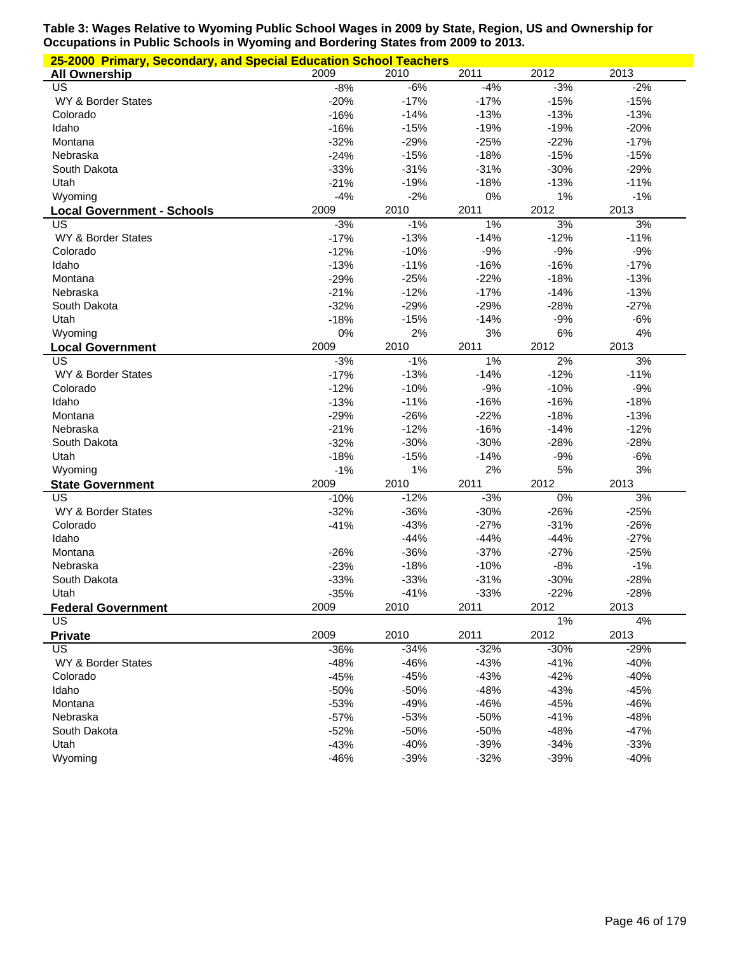|                                   | 25-2000 Primary, Secondary, and Special Education School Teachers |        |        |        |        |  |  |  |  |
|-----------------------------------|-------------------------------------------------------------------|--------|--------|--------|--------|--|--|--|--|
| <b>All Ownership</b>              | 2009                                                              | 2010   | 2011   | 2012   | 2013   |  |  |  |  |
| US                                | $-8%$                                                             | $-6%$  | $-4%$  | $-3%$  | $-2%$  |  |  |  |  |
| WY & Border States                | $-20%$                                                            | $-17%$ | $-17%$ | $-15%$ | $-15%$ |  |  |  |  |
| Colorado                          | $-16%$                                                            | $-14%$ | $-13%$ | $-13%$ | $-13%$ |  |  |  |  |
| Idaho                             | $-16%$                                                            | $-15%$ | $-19%$ | $-19%$ | $-20%$ |  |  |  |  |
| Montana                           | $-32%$                                                            | $-29%$ | $-25%$ | $-22%$ | $-17%$ |  |  |  |  |
| Nebraska                          | $-24%$                                                            | $-15%$ | $-18%$ | $-15%$ | $-15%$ |  |  |  |  |
| South Dakota                      | $-33%$                                                            | $-31%$ | $-31%$ | $-30%$ | $-29%$ |  |  |  |  |
| Utah                              | $-21%$                                                            | $-19%$ | $-18%$ | $-13%$ | $-11%$ |  |  |  |  |
| Wyoming                           | $-4%$                                                             | $-2%$  | 0%     | 1%     | $-1%$  |  |  |  |  |
| <b>Local Government - Schools</b> | 2009                                                              | 2010   | 2011   | 2012   | 2013   |  |  |  |  |
| US                                | $-3%$                                                             | $-1%$  | 1%     | 3%     | 3%     |  |  |  |  |
| WY & Border States                | $-17%$                                                            | $-13%$ | $-14%$ | $-12%$ | $-11%$ |  |  |  |  |
| Colorado                          | $-12%$                                                            | $-10%$ | $-9%$  | $-9%$  | $-9%$  |  |  |  |  |
| Idaho                             | $-13%$                                                            | $-11%$ | $-16%$ | $-16%$ | $-17%$ |  |  |  |  |
| Montana                           | $-29%$                                                            | $-25%$ | $-22%$ | $-18%$ | $-13%$ |  |  |  |  |
| Nebraska                          | $-21%$                                                            | $-12%$ | $-17%$ | $-14%$ | $-13%$ |  |  |  |  |
| South Dakota                      | $-32%$                                                            | $-29%$ | $-29%$ | $-28%$ | $-27%$ |  |  |  |  |
| Utah                              | $-18%$                                                            | $-15%$ | $-14%$ | $-9%$  | $-6%$  |  |  |  |  |
| Wyoming                           | 0%                                                                | 2%     | 3%     | 6%     | 4%     |  |  |  |  |
| <b>Local Government</b>           | 2009                                                              | 2010   | 2011   | 2012   | 2013   |  |  |  |  |
| US                                | $-3%$                                                             | $-1%$  | 1%     | 2%     | 3%     |  |  |  |  |
| WY & Border States                | $-17%$                                                            | $-13%$ | $-14%$ | $-12%$ | $-11%$ |  |  |  |  |
| Colorado                          | $-12%$                                                            | $-10%$ | $-9%$  | $-10%$ | $-9%$  |  |  |  |  |
| Idaho                             | $-13%$                                                            | $-11%$ | $-16%$ | $-16%$ | $-18%$ |  |  |  |  |
| Montana                           | $-29%$                                                            | $-26%$ | $-22%$ | $-18%$ | $-13%$ |  |  |  |  |
| Nebraska                          | $-21%$                                                            | $-12%$ | $-16%$ | $-14%$ | $-12%$ |  |  |  |  |
| South Dakota                      | $-32%$                                                            | $-30%$ | $-30%$ | $-28%$ | $-28%$ |  |  |  |  |
| Utah                              | $-18%$                                                            | $-15%$ | $-14%$ | $-9%$  | $-6%$  |  |  |  |  |
| Wyoming                           | $-1%$                                                             | 1%     | 2%     | 5%     | 3%     |  |  |  |  |
| <b>State Government</b>           | 2009                                                              | 2010   | 2011   | 2012   | 2013   |  |  |  |  |
| US                                | $-10%$                                                            | $-12%$ | $-3%$  | $0\%$  | 3%     |  |  |  |  |
| WY & Border States                | $-32%$                                                            | $-36%$ | $-30%$ | $-26%$ | $-25%$ |  |  |  |  |
| Colorado                          | $-41%$                                                            | $-43%$ | $-27%$ | $-31%$ | $-26%$ |  |  |  |  |
| Idaho                             |                                                                   | $-44%$ | $-44%$ | $-44%$ | $-27%$ |  |  |  |  |
| Montana                           | $-26%$                                                            | $-36%$ | $-37%$ | $-27%$ | $-25%$ |  |  |  |  |
| Nebraska                          | $-23%$                                                            | $-18%$ | $-10%$ | $-8%$  | $-1%$  |  |  |  |  |
| South Dakota                      | $-33%$                                                            | $-33%$ | $-31%$ | $-30%$ | $-28%$ |  |  |  |  |
| Utah                              | $-35%$                                                            | $-41%$ | $-33%$ | $-22%$ | $-28%$ |  |  |  |  |
| <b>Federal Government</b>         | 2009                                                              | 2010   | 2011   | 2012   | 2013   |  |  |  |  |
| US                                |                                                                   |        |        | 1%     | 4%     |  |  |  |  |
| <b>Private</b>                    | 2009                                                              | 2010   | 2011   | 2012   | 2013   |  |  |  |  |
| $\overline{US}$                   | $-36%$                                                            | $-34%$ | $-32%$ | $-30%$ | $-29%$ |  |  |  |  |
| WY & Border States                | $-48%$                                                            | $-46%$ | $-43%$ | $-41%$ | $-40%$ |  |  |  |  |
| Colorado                          | $-45%$                                                            | $-45%$ | $-43%$ | $-42%$ | $-40%$ |  |  |  |  |
| Idaho                             | $-50%$                                                            | $-50%$ | $-48%$ | $-43%$ | $-45%$ |  |  |  |  |
| Montana                           | $-53%$                                                            | $-49%$ | $-46%$ | $-45%$ | $-46%$ |  |  |  |  |
| Nebraska                          | $-57%$                                                            | $-53%$ | $-50%$ | $-41%$ | $-48%$ |  |  |  |  |
| South Dakota                      | $-52%$                                                            | $-50%$ | $-50%$ | $-48%$ | $-47%$ |  |  |  |  |
| Utah                              | $-43%$                                                            | $-40%$ | $-39%$ | $-34%$ | $-33%$ |  |  |  |  |
| Wyoming                           | $-46%$                                                            | $-39%$ | $-32%$ | $-39%$ | $-40%$ |  |  |  |  |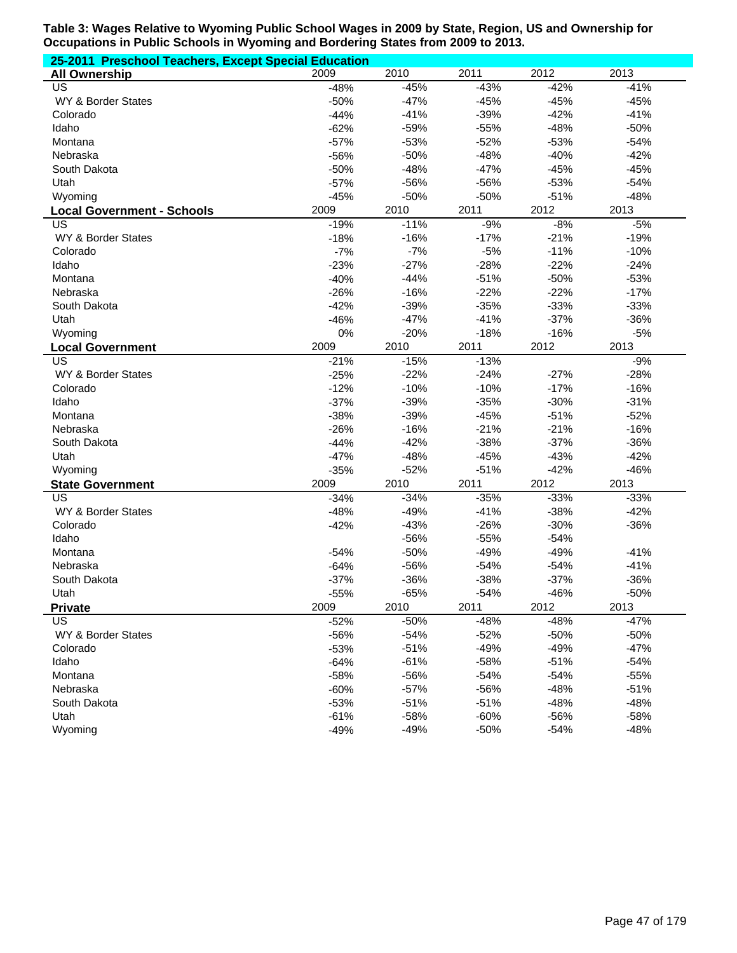| 25-2011 Preschool Teachers, Except Special Education |        |        |        |        |        |  |  |
|------------------------------------------------------|--------|--------|--------|--------|--------|--|--|
| <b>All Ownership</b>                                 | 2009   | 2010   | 2011   | 2012   | 2013   |  |  |
| US                                                   | $-48%$ | $-45%$ | $-43%$ | $-42%$ | $-41%$ |  |  |
| WY & Border States                                   | $-50%$ | $-47%$ | $-45%$ | $-45%$ | $-45%$ |  |  |
| Colorado                                             | $-44%$ | $-41%$ | $-39%$ | $-42%$ | $-41%$ |  |  |
| Idaho                                                | $-62%$ | $-59%$ | $-55%$ | $-48%$ | $-50%$ |  |  |
| Montana                                              | $-57%$ | $-53%$ | $-52%$ | $-53%$ | $-54%$ |  |  |
| Nebraska                                             | -56%   | $-50%$ | $-48%$ | $-40%$ | $-42%$ |  |  |
| South Dakota                                         | $-50%$ | $-48%$ | $-47%$ | $-45%$ | $-45%$ |  |  |
| Utah                                                 | $-57%$ | $-56%$ | $-56%$ | $-53%$ | $-54%$ |  |  |
| Wyoming                                              | $-45%$ | $-50%$ | $-50%$ | $-51%$ | $-48%$ |  |  |
| <b>Local Government - Schools</b>                    | 2009   | 2010   | 2011   | 2012   | 2013   |  |  |
| US                                                   | $-19%$ | $-11%$ | $-9%$  | $-8%$  | $-5%$  |  |  |
| WY & Border States                                   | $-18%$ | $-16%$ | $-17%$ | $-21%$ | $-19%$ |  |  |
| Colorado                                             | $-7%$  | $-7%$  | $-5%$  | $-11%$ | $-10%$ |  |  |
| Idaho                                                | $-23%$ | $-27%$ | $-28%$ | $-22%$ | $-24%$ |  |  |
| Montana                                              | $-40%$ | $-44%$ | $-51%$ | $-50%$ | $-53%$ |  |  |
| Nebraska                                             | $-26%$ | $-16%$ | $-22%$ | $-22%$ | $-17%$ |  |  |
| South Dakota                                         | $-42%$ | $-39%$ | $-35%$ | $-33%$ | $-33%$ |  |  |
| Utah                                                 | $-46%$ | $-47%$ | $-41%$ | $-37%$ | $-36%$ |  |  |
| Wyoming                                              | 0%     | $-20%$ | $-18%$ | $-16%$ | $-5%$  |  |  |
| <b>Local Government</b>                              | 2009   | 2010   | 2011   | 2012   | 2013   |  |  |
| $\overline{US}$                                      | $-21%$ | $-15%$ | $-13%$ |        | $-9%$  |  |  |
| WY & Border States                                   | $-25%$ | $-22%$ | $-24%$ | $-27%$ | $-28%$ |  |  |
| Colorado                                             | $-12%$ | $-10%$ | $-10%$ | $-17%$ | $-16%$ |  |  |
| Idaho                                                | $-37%$ | $-39%$ | $-35%$ | $-30%$ | $-31%$ |  |  |
| Montana                                              | $-38%$ | $-39%$ | $-45%$ | $-51%$ | $-52%$ |  |  |
| Nebraska                                             | $-26%$ | $-16%$ | $-21%$ | $-21%$ | $-16%$ |  |  |
| South Dakota                                         | $-44%$ | $-42%$ | $-38%$ | $-37%$ | $-36%$ |  |  |
| Utah                                                 | $-47%$ | $-48%$ | $-45%$ | $-43%$ | $-42%$ |  |  |
| Wyoming                                              | $-35%$ | $-52%$ | $-51%$ | $-42%$ | $-46%$ |  |  |
| <b>State Government</b>                              | 2009   | 2010   | 2011   | 2012   | 2013   |  |  |
| $\overline{US}$                                      | $-34%$ | $-34%$ | $-35%$ | $-33%$ | $-33%$ |  |  |
| WY & Border States                                   | $-48%$ | $-49%$ | $-41%$ | $-38%$ | $-42%$ |  |  |
| Colorado                                             | $-42%$ | $-43%$ | $-26%$ | $-30%$ | $-36%$ |  |  |
| Idaho                                                |        | $-56%$ | $-55%$ | $-54%$ |        |  |  |
| Montana                                              | $-54%$ | $-50%$ | $-49%$ | $-49%$ | $-41%$ |  |  |
| Nebraska                                             | $-64%$ | $-56%$ | $-54%$ | $-54%$ | $-41%$ |  |  |
| South Dakota                                         | $-37%$ | $-36%$ | $-38%$ | $-37%$ | $-36%$ |  |  |
| Utah                                                 | $-55%$ | $-65%$ | $-54%$ | $-46%$ | $-50%$ |  |  |
| <b>Private</b>                                       | 2009   | 2010   | 2011   | 2012   | 2013   |  |  |
| <b>US</b>                                            | $-52%$ | $-50%$ | $-48%$ | $-48%$ | $-47%$ |  |  |
| WY & Border States                                   | -56%   | $-54%$ | $-52%$ | $-50%$ | $-50%$ |  |  |
| Colorado                                             | $-53%$ | $-51%$ | $-49%$ | $-49%$ | $-47%$ |  |  |
| Idaho                                                | $-64%$ | $-61%$ | $-58%$ | $-51%$ | $-54%$ |  |  |
| Montana                                              | $-58%$ | -56%   | $-54%$ | $-54%$ | $-55%$ |  |  |
| Nebraska                                             | $-60%$ | $-57%$ | -56%   | $-48%$ | $-51%$ |  |  |
| South Dakota                                         | $-53%$ | $-51%$ | $-51%$ | $-48%$ | $-48%$ |  |  |
| Utah                                                 | $-61%$ | $-58%$ | $-60%$ | $-56%$ | $-58%$ |  |  |
| Wyoming                                              | $-49%$ | $-49%$ | $-50%$ | $-54%$ | $-48%$ |  |  |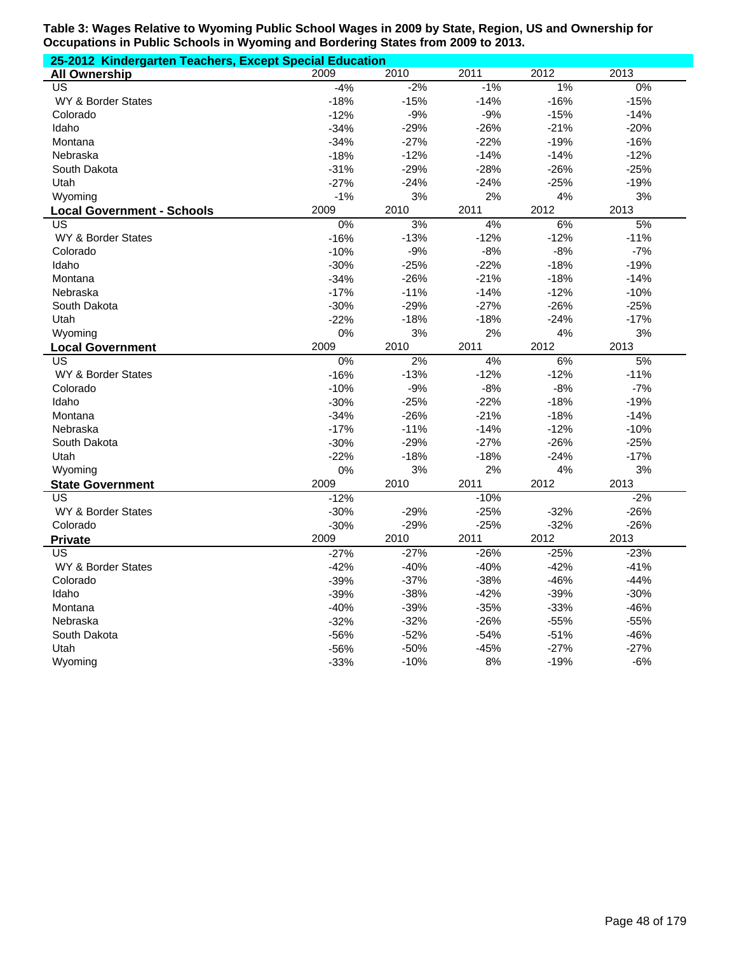| 25-2012 Kindergarten Teachers, Except Special Education |        |        |        |        |        |  |  |  |
|---------------------------------------------------------|--------|--------|--------|--------|--------|--|--|--|
| <b>All Ownership</b>                                    | 2009   | 2010   | 2011   | 2012   | 2013   |  |  |  |
| $\overline{US}$                                         | $-4%$  | $-2%$  | $-1%$  | $1\%$  | $0\%$  |  |  |  |
| WY & Border States                                      | $-18%$ | $-15%$ | $-14%$ | $-16%$ | $-15%$ |  |  |  |
| Colorado                                                | $-12%$ | $-9%$  | $-9%$  | $-15%$ | $-14%$ |  |  |  |
| Idaho                                                   | $-34%$ | $-29%$ | $-26%$ | $-21%$ | $-20%$ |  |  |  |
| Montana                                                 | $-34%$ | $-27%$ | $-22%$ | $-19%$ | $-16%$ |  |  |  |
| Nebraska                                                | $-18%$ | $-12%$ | $-14%$ | $-14%$ | $-12%$ |  |  |  |
| South Dakota                                            | $-31%$ | $-29%$ | $-28%$ | $-26%$ | $-25%$ |  |  |  |
| Utah                                                    | $-27%$ | $-24%$ | $-24%$ | $-25%$ | $-19%$ |  |  |  |
| Wyoming                                                 | $-1%$  | 3%     | 2%     | 4%     | 3%     |  |  |  |
| <b>Local Government - Schools</b>                       | 2009   | 2010   | 2011   | 2012   | 2013   |  |  |  |
| US                                                      | 0%     | 3%     | 4%     | 6%     | 5%     |  |  |  |
| WY & Border States                                      | $-16%$ | $-13%$ | $-12%$ | $-12%$ | $-11%$ |  |  |  |
| Colorado                                                | $-10%$ | $-9%$  | $-8%$  | $-8%$  | $-7%$  |  |  |  |
| Idaho                                                   | $-30%$ | $-25%$ | $-22%$ | $-18%$ | $-19%$ |  |  |  |
| Montana                                                 | $-34%$ | $-26%$ | $-21%$ | $-18%$ | $-14%$ |  |  |  |
| Nebraska                                                | $-17%$ | $-11%$ | $-14%$ | $-12%$ | $-10%$ |  |  |  |
| South Dakota                                            | $-30%$ | $-29%$ | $-27%$ | $-26%$ | $-25%$ |  |  |  |
| Utah                                                    | $-22%$ | $-18%$ | $-18%$ | $-24%$ | $-17%$ |  |  |  |
| Wyoming                                                 | 0%     | 3%     | 2%     | 4%     | 3%     |  |  |  |
| <b>Local Government</b>                                 | 2009   | 2010   | 2011   | 2012   | 2013   |  |  |  |
| US                                                      | 0%     | 2%     | 4%     | 6%     | 5%     |  |  |  |
| WY & Border States                                      | $-16%$ | $-13%$ | $-12%$ | $-12%$ | $-11%$ |  |  |  |
| Colorado                                                | $-10%$ | $-9%$  | $-8%$  | $-8%$  | $-7%$  |  |  |  |
| Idaho                                                   | $-30%$ | $-25%$ | $-22%$ | $-18%$ | $-19%$ |  |  |  |
| Montana                                                 | $-34%$ | $-26%$ | $-21%$ | $-18%$ | $-14%$ |  |  |  |
| Nebraska                                                | $-17%$ | $-11%$ | $-14%$ | $-12%$ | $-10%$ |  |  |  |
| South Dakota                                            | $-30%$ | $-29%$ | $-27%$ | $-26%$ | $-25%$ |  |  |  |
| Utah                                                    | $-22%$ | $-18%$ | $-18%$ | $-24%$ | $-17%$ |  |  |  |
| Wyoming                                                 | 0%     | 3%     | 2%     | 4%     | 3%     |  |  |  |
| <b>State Government</b>                                 | 2009   | 2010   | 2011   | 2012   | 2013   |  |  |  |
| US                                                      | $-12%$ |        | $-10%$ |        | $-2%$  |  |  |  |
| <b>WY &amp; Border States</b>                           | $-30%$ | $-29%$ | $-25%$ | $-32%$ | $-26%$ |  |  |  |
| Colorado                                                | $-30%$ | $-29%$ | $-25%$ | $-32%$ | $-26%$ |  |  |  |
| <b>Private</b>                                          | 2009   | 2010   | 2011   | 2012   | 2013   |  |  |  |
| US                                                      | $-27%$ | $-27%$ | $-26%$ | $-25%$ | $-23%$ |  |  |  |
| <b>WY &amp; Border States</b>                           | $-42%$ | $-40%$ | $-40%$ | $-42%$ | $-41%$ |  |  |  |
| Colorado                                                | $-39%$ | $-37%$ | $-38%$ | $-46%$ | $-44%$ |  |  |  |
| Idaho                                                   | $-39%$ | $-38%$ | $-42%$ | $-39%$ | $-30%$ |  |  |  |
| Montana                                                 | $-40%$ | $-39%$ | $-35%$ | $-33%$ | $-46%$ |  |  |  |
| Nebraska                                                | $-32%$ | $-32%$ | $-26%$ | $-55%$ | $-55%$ |  |  |  |
| South Dakota                                            | $-56%$ | $-52%$ | $-54%$ | $-51%$ | $-46%$ |  |  |  |
| Utah                                                    | $-56%$ | $-50%$ | $-45%$ | $-27%$ | $-27%$ |  |  |  |
| Wyoming                                                 | $-33%$ | $-10%$ | 8%     | $-19%$ | $-6%$  |  |  |  |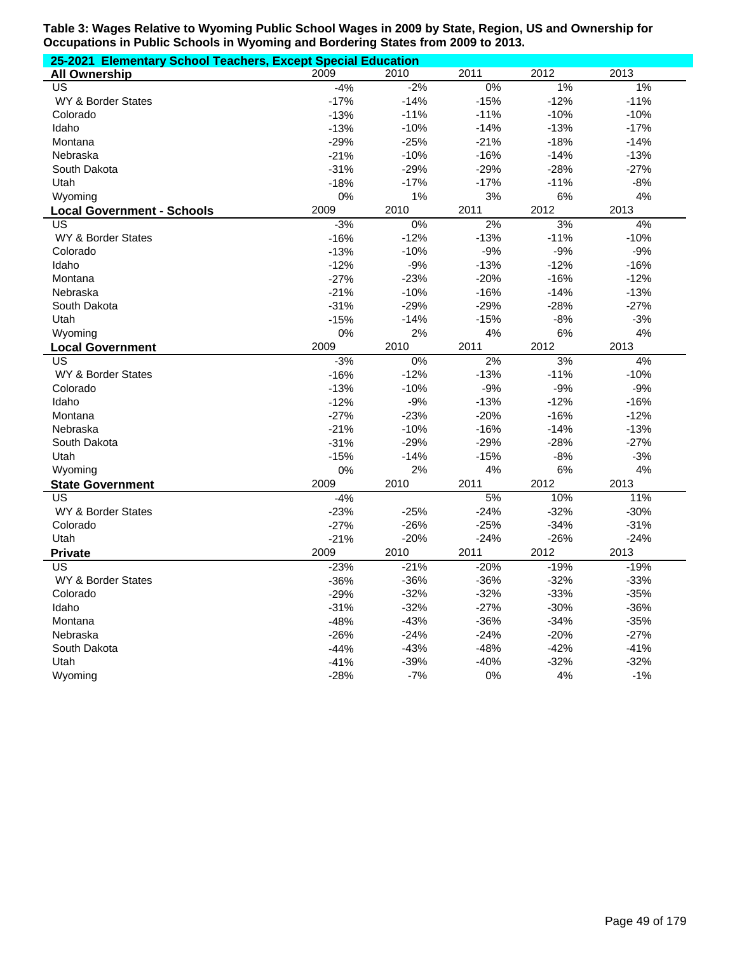| 25-2021 Elementary School Teachers, Except Special Education |        |        |        |        |        |  |  |  |
|--------------------------------------------------------------|--------|--------|--------|--------|--------|--|--|--|
| <b>All Ownership</b>                                         | 2009   | 2010   | 2011   | 2012   | 2013   |  |  |  |
| US                                                           | $-4%$  | $-2%$  | 0%     | 1%     | 1%     |  |  |  |
| WY & Border States                                           | $-17%$ | $-14%$ | $-15%$ | $-12%$ | $-11%$ |  |  |  |
| Colorado                                                     | $-13%$ | $-11%$ | $-11%$ | $-10%$ | $-10%$ |  |  |  |
| Idaho                                                        | $-13%$ | $-10%$ | $-14%$ | $-13%$ | $-17%$ |  |  |  |
| Montana                                                      | $-29%$ | $-25%$ | $-21%$ | $-18%$ | $-14%$ |  |  |  |
| Nebraska                                                     | $-21%$ | $-10%$ | $-16%$ | $-14%$ | $-13%$ |  |  |  |
| South Dakota                                                 | $-31%$ | $-29%$ | $-29%$ | $-28%$ | $-27%$ |  |  |  |
| Utah                                                         | $-18%$ | $-17%$ | $-17%$ | $-11%$ | $-8%$  |  |  |  |
| Wyoming                                                      | 0%     | 1%     | 3%     | 6%     | 4%     |  |  |  |
| <b>Local Government - Schools</b>                            | 2009   | 2010   | 2011   | 2012   | 2013   |  |  |  |
| US                                                           | $-3%$  | $0\%$  | $2\%$  | 3%     | 4%     |  |  |  |
| WY & Border States                                           | $-16%$ | $-12%$ | $-13%$ | $-11%$ | $-10%$ |  |  |  |
| Colorado                                                     | $-13%$ | $-10%$ | $-9%$  | $-9%$  | $-9%$  |  |  |  |
| Idaho                                                        | $-12%$ | $-9%$  | $-13%$ | $-12%$ | $-16%$ |  |  |  |
| Montana                                                      | $-27%$ | $-23%$ | $-20%$ | $-16%$ | $-12%$ |  |  |  |
| Nebraska                                                     | $-21%$ | $-10%$ | $-16%$ | $-14%$ | $-13%$ |  |  |  |
| South Dakota                                                 | $-31%$ | $-29%$ | $-29%$ | $-28%$ | $-27%$ |  |  |  |
| Utah                                                         | $-15%$ | $-14%$ | $-15%$ | $-8%$  | $-3%$  |  |  |  |
| Wyoming                                                      | 0%     | 2%     | 4%     | 6%     | 4%     |  |  |  |
| <b>Local Government</b>                                      | 2009   | 2010   | 2011   | 2012   | 2013   |  |  |  |
| US                                                           | $-3%$  | 0%     | 2%     | 3%     | 4%     |  |  |  |
| WY & Border States                                           | $-16%$ | $-12%$ | $-13%$ | $-11%$ | $-10%$ |  |  |  |
| Colorado                                                     | $-13%$ | $-10%$ | $-9%$  | $-9%$  | $-9%$  |  |  |  |
| Idaho                                                        | $-12%$ | $-9%$  | $-13%$ | $-12%$ | $-16%$ |  |  |  |
| Montana                                                      | $-27%$ | $-23%$ | $-20%$ | $-16%$ | $-12%$ |  |  |  |
| Nebraska                                                     | $-21%$ | $-10%$ | $-16%$ | $-14%$ | $-13%$ |  |  |  |
| South Dakota                                                 | $-31%$ | $-29%$ | $-29%$ | $-28%$ | $-27%$ |  |  |  |
| Utah                                                         | $-15%$ | $-14%$ | $-15%$ | $-8%$  | $-3%$  |  |  |  |
| Wyoming                                                      | 0%     | 2%     | 4%     | 6%     | 4%     |  |  |  |
| <b>State Government</b>                                      | 2009   | 2010   | 2011   | 2012   | 2013   |  |  |  |
| US                                                           | $-4%$  |        | 5%     | 10%    | 11%    |  |  |  |
| WY & Border States                                           | $-23%$ | $-25%$ | $-24%$ | $-32%$ | $-30%$ |  |  |  |
| Colorado                                                     | $-27%$ | $-26%$ | $-25%$ | $-34%$ | $-31%$ |  |  |  |
| Utah                                                         | $-21%$ | $-20%$ | $-24%$ | $-26%$ | $-24%$ |  |  |  |
| <b>Private</b>                                               | 2009   | 2010   | 2011   | 2012   | 2013   |  |  |  |
| US                                                           | $-23%$ | $-21%$ | $-20%$ | $-19%$ | $-19%$ |  |  |  |
| <b>WY &amp; Border States</b>                                | $-36%$ | $-36%$ | $-36%$ | $-32%$ | $-33%$ |  |  |  |
| Colorado                                                     | $-29%$ | $-32%$ | $-32%$ | $-33%$ | $-35%$ |  |  |  |
| Idaho                                                        | $-31%$ | $-32%$ | $-27%$ | $-30%$ | $-36%$ |  |  |  |
| Montana                                                      | $-48%$ | $-43%$ | $-36%$ | $-34%$ | $-35%$ |  |  |  |
| Nebraska                                                     | $-26%$ | $-24%$ | $-24%$ | $-20%$ | $-27%$ |  |  |  |
| South Dakota                                                 | $-44%$ | $-43%$ | $-48%$ | $-42%$ | $-41%$ |  |  |  |
| Utah                                                         | $-41%$ | $-39%$ | $-40%$ | $-32%$ | $-32%$ |  |  |  |
| Wyoming                                                      | $-28%$ | $-7%$  | $0\%$  | 4%     | $-1%$  |  |  |  |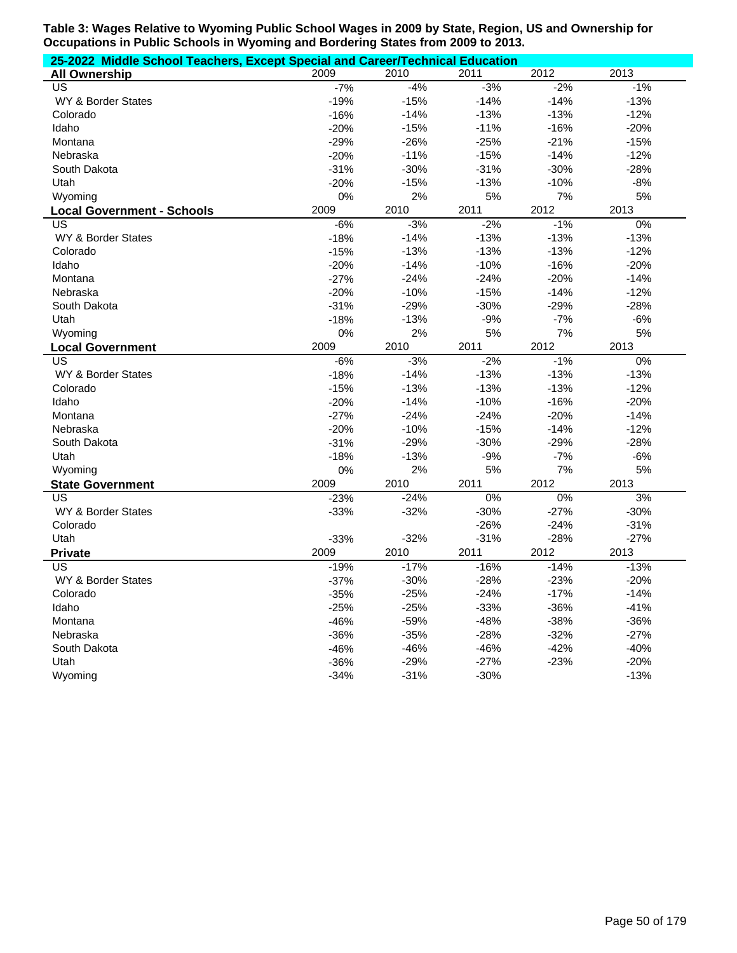|                                   | 25-2022 Middle School Teachers, Except Special and Career/Technical Education |        |        |        |        |  |  |  |
|-----------------------------------|-------------------------------------------------------------------------------|--------|--------|--------|--------|--|--|--|
| <b>All Ownership</b>              | 2009                                                                          | 2010   | 2011   | 2012   | 2013   |  |  |  |
| US                                | $-7%$                                                                         | $-4%$  | $-3%$  | $-2%$  | $-1%$  |  |  |  |
| WY & Border States                | $-19%$                                                                        | $-15%$ | $-14%$ | $-14%$ | $-13%$ |  |  |  |
| Colorado                          | $-16%$                                                                        | $-14%$ | $-13%$ | $-13%$ | $-12%$ |  |  |  |
| Idaho                             | $-20%$                                                                        | $-15%$ | $-11%$ | $-16%$ | $-20%$ |  |  |  |
| Montana                           | $-29%$                                                                        | $-26%$ | $-25%$ | $-21%$ | $-15%$ |  |  |  |
| Nebraska                          | $-20%$                                                                        | $-11%$ | $-15%$ | $-14%$ | $-12%$ |  |  |  |
| South Dakota                      | $-31%$                                                                        | $-30%$ | $-31%$ | $-30%$ | $-28%$ |  |  |  |
| Utah                              | $-20%$                                                                        | $-15%$ | $-13%$ | $-10%$ | $-8%$  |  |  |  |
| Wyoming                           | 0%                                                                            | 2%     | 5%     | 7%     | 5%     |  |  |  |
| <b>Local Government - Schools</b> | 2009                                                                          | 2010   | 2011   | 2012   | 2013   |  |  |  |
| US                                | $-6%$                                                                         | $-3%$  | $-2%$  | $-1%$  | $0\%$  |  |  |  |
| WY & Border States                | $-18%$                                                                        | $-14%$ | $-13%$ | $-13%$ | $-13%$ |  |  |  |
| Colorado                          | $-15%$                                                                        | $-13%$ | $-13%$ | $-13%$ | $-12%$ |  |  |  |
| Idaho                             | $-20%$                                                                        | $-14%$ | $-10%$ | $-16%$ | $-20%$ |  |  |  |
| Montana                           | $-27%$                                                                        | $-24%$ | $-24%$ | $-20%$ | $-14%$ |  |  |  |
| Nebraska                          | $-20%$                                                                        | $-10%$ | $-15%$ | $-14%$ | $-12%$ |  |  |  |
| South Dakota                      | $-31%$                                                                        | $-29%$ | $-30%$ | $-29%$ | $-28%$ |  |  |  |
| Utah                              | $-18%$                                                                        | $-13%$ | $-9%$  | $-7%$  | $-6%$  |  |  |  |
| Wyoming                           | 0%                                                                            | 2%     | 5%     | 7%     | 5%     |  |  |  |
| <b>Local Government</b>           | 2009                                                                          | 2010   | 2011   | 2012   | 2013   |  |  |  |
| US                                | $-6%$                                                                         | $-3%$  | $-2%$  | $-1%$  | $0\%$  |  |  |  |
| WY & Border States                | $-18%$                                                                        | $-14%$ | $-13%$ | $-13%$ | $-13%$ |  |  |  |
| Colorado                          | $-15%$                                                                        | $-13%$ | $-13%$ | $-13%$ | $-12%$ |  |  |  |
| Idaho                             | $-20%$                                                                        | $-14%$ | $-10%$ | $-16%$ | $-20%$ |  |  |  |
| Montana                           | $-27%$                                                                        | $-24%$ | $-24%$ | $-20%$ | $-14%$ |  |  |  |
| Nebraska                          | $-20%$                                                                        | $-10%$ | $-15%$ | $-14%$ | $-12%$ |  |  |  |
| South Dakota                      | $-31%$                                                                        | $-29%$ | $-30%$ | $-29%$ | $-28%$ |  |  |  |
| Utah                              | $-18%$                                                                        | $-13%$ | $-9%$  | $-7%$  | $-6%$  |  |  |  |
| Wyoming                           | 0%                                                                            | 2%     | 5%     | 7%     | 5%     |  |  |  |
| <b>State Government</b>           | 2009                                                                          | 2010   | 2011   | 2012   | 2013   |  |  |  |
| US                                | $-23%$                                                                        | $-24%$ | 0%     | 0%     | 3%     |  |  |  |
| WY & Border States                | $-33%$                                                                        | $-32%$ | $-30%$ | $-27%$ | $-30%$ |  |  |  |
| Colorado                          |                                                                               |        | $-26%$ | $-24%$ | $-31%$ |  |  |  |
| Utah                              | $-33%$                                                                        | $-32%$ | $-31%$ | $-28%$ | $-27%$ |  |  |  |
| <b>Private</b>                    | 2009                                                                          | 2010   | 2011   | 2012   | 2013   |  |  |  |
| US                                | $-19%$                                                                        | $-17%$ | $-16%$ | $-14%$ | $-13%$ |  |  |  |
| <b>WY &amp; Border States</b>     | $-37%$                                                                        | $-30%$ | $-28%$ | $-23%$ | $-20%$ |  |  |  |
| Colorado                          | $-35%$                                                                        | $-25%$ | $-24%$ | $-17%$ | $-14%$ |  |  |  |
| Idaho                             | $-25%$                                                                        | $-25%$ | $-33%$ | $-36%$ | $-41%$ |  |  |  |
| Montana                           | $-46%$                                                                        | $-59%$ | $-48%$ | $-38%$ | $-36%$ |  |  |  |
| Nebraska                          | $-36%$                                                                        | $-35%$ | $-28%$ | $-32%$ | $-27%$ |  |  |  |
| South Dakota                      | $-46%$                                                                        | $-46%$ | $-46%$ | $-42%$ | $-40%$ |  |  |  |
| Utah                              | $-36%$                                                                        | $-29%$ | $-27%$ | $-23%$ | $-20%$ |  |  |  |
| Wyoming                           | $-34%$                                                                        | $-31%$ | $-30%$ |        | $-13%$ |  |  |  |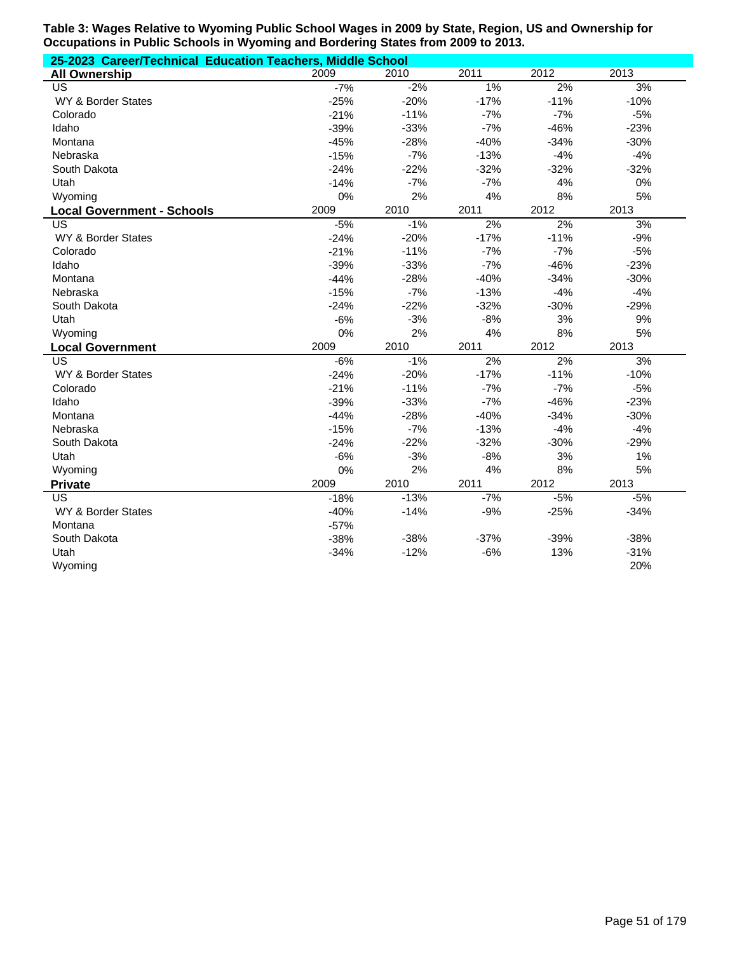| 25-2023 Career/Technical Education Teachers, Middle School |        |        |        |        |        |
|------------------------------------------------------------|--------|--------|--------|--------|--------|
| <b>All Ownership</b>                                       | 2009   | 2010   | 2011   | 2012   | 2013   |
| US                                                         | $-7%$  | $-2%$  | 1%     | 2%     | 3%     |
| WY & Border States                                         | $-25%$ | $-20%$ | $-17%$ | $-11%$ | $-10%$ |
| Colorado                                                   | $-21%$ | $-11%$ | $-7%$  | $-7%$  | $-5%$  |
| Idaho                                                      | $-39%$ | $-33%$ | $-7%$  | $-46%$ | $-23%$ |
| Montana                                                    | $-45%$ | $-28%$ | $-40%$ | $-34%$ | $-30%$ |
| Nebraska                                                   | $-15%$ | $-7%$  | $-13%$ | $-4%$  | $-4%$  |
| South Dakota                                               | $-24%$ | $-22%$ | $-32%$ | $-32%$ | $-32%$ |
| Utah                                                       | $-14%$ | $-7%$  | $-7%$  | 4%     | 0%     |
| Wyoming                                                    | 0%     | 2%     | 4%     | 8%     | 5%     |
| <b>Local Government - Schools</b>                          | 2009   | 2010   | 2011   | 2012   | 2013   |
| US                                                         | $-5%$  | $-1%$  | 2%     | 2%     | 3%     |
| <b>WY &amp; Border States</b>                              | $-24%$ | $-20%$ | $-17%$ | $-11%$ | $-9%$  |
| Colorado                                                   | $-21%$ | $-11%$ | $-7%$  | $-7%$  | $-5%$  |
| Idaho                                                      | $-39%$ | $-33%$ | $-7%$  | $-46%$ | $-23%$ |
| Montana                                                    | $-44%$ | $-28%$ | $-40%$ | $-34%$ | $-30%$ |
| Nebraska                                                   | $-15%$ | $-7%$  | $-13%$ | $-4%$  | $-4%$  |
| South Dakota                                               | $-24%$ | $-22%$ | $-32%$ | $-30%$ | $-29%$ |
| Utah                                                       | $-6%$  | $-3%$  | $-8%$  | 3%     | 9%     |
| Wyoming                                                    | 0%     | 2%     | 4%     | 8%     | 5%     |
| <b>Local Government</b>                                    | 2009   | 2010   | 2011   | 2012   | 2013   |
| US                                                         | $-6%$  | $-1%$  | 2%     | 2%     | 3%     |
| <b>WY &amp; Border States</b>                              | $-24%$ | $-20%$ | $-17%$ | $-11%$ | $-10%$ |
| Colorado                                                   | $-21%$ | $-11%$ | $-7%$  | $-7%$  | $-5%$  |
| Idaho                                                      | $-39%$ | $-33%$ | $-7%$  | $-46%$ | $-23%$ |
| Montana                                                    | $-44%$ | $-28%$ | $-40%$ | $-34%$ | $-30%$ |
| Nebraska                                                   | $-15%$ | $-7%$  | $-13%$ | $-4%$  | $-4%$  |
| South Dakota                                               | $-24%$ | $-22%$ | $-32%$ | $-30%$ | $-29%$ |
| Utah                                                       | $-6%$  | $-3%$  | $-8%$  | 3%     | 1%     |
| Wyoming                                                    | 0%     | 2%     | 4%     | 8%     | 5%     |
| <b>Private</b>                                             | 2009   | 2010   | 2011   | 2012   | 2013   |
| US                                                         | $-18%$ | $-13%$ | $-7%$  | $-5%$  | $-5%$  |
| WY & Border States                                         | $-40%$ | $-14%$ | $-9%$  | $-25%$ | $-34%$ |
| Montana                                                    | $-57%$ |        |        |        |        |
| South Dakota                                               | $-38%$ | $-38%$ | $-37%$ | $-39%$ | $-38%$ |
| Utah                                                       | $-34%$ | $-12%$ | $-6%$  | 13%    | $-31%$ |
| Wyoming                                                    |        |        |        |        | 20%    |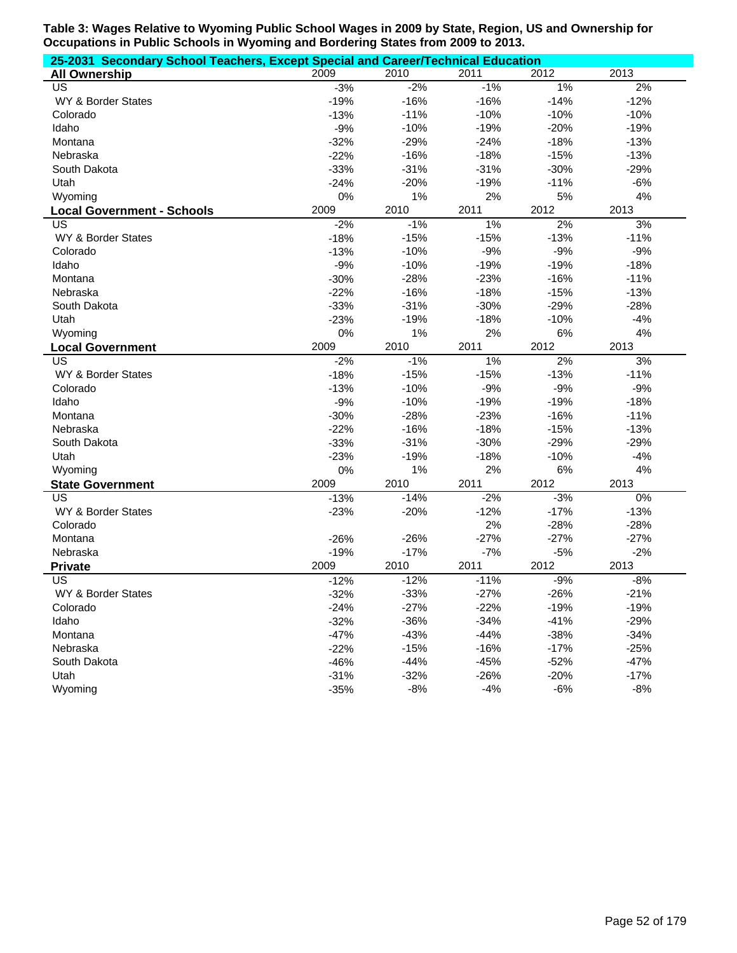| 25-2031 Secondary School Teachers, Except Special and Career/Technical Education |        |         |        |        |        |
|----------------------------------------------------------------------------------|--------|---------|--------|--------|--------|
| <b>All Ownership</b>                                                             | 2009   | 2010    | 2011   | 2012   | 2013   |
| US                                                                               | $-3%$  | $-2%$   | $-1%$  | $1\%$  | 2%     |
| WY & Border States                                                               | $-19%$ | $-16%$  | $-16%$ | $-14%$ | $-12%$ |
| Colorado                                                                         | $-13%$ | $-11%$  | $-10%$ | $-10%$ | $-10%$ |
| Idaho                                                                            | $-9%$  | $-10%$  | $-19%$ | $-20%$ | $-19%$ |
| Montana                                                                          | $-32%$ | $-29%$  | $-24%$ | $-18%$ | $-13%$ |
| Nebraska                                                                         | $-22%$ | $-16%$  | $-18%$ | $-15%$ | $-13%$ |
| South Dakota                                                                     | $-33%$ | $-31%$  | $-31%$ | $-30%$ | $-29%$ |
| Utah                                                                             | $-24%$ | $-20%$  | $-19%$ | $-11%$ | $-6%$  |
| Wyoming                                                                          | 0%     | 1%      | 2%     | 5%     | 4%     |
| <b>Local Government - Schools</b>                                                | 2009   | 2010    | 2011   | 2012   | 2013   |
| US                                                                               | $-2%$  | $-1%$   | 1%     | 2%     | 3%     |
| WY & Border States                                                               | $-18%$ | $-15%$  | $-15%$ | $-13%$ | $-11%$ |
| Colorado                                                                         | $-13%$ | $-10%$  | $-9%$  | $-9%$  | $-9%$  |
| Idaho                                                                            | $-9%$  | $-10%$  | $-19%$ | $-19%$ | $-18%$ |
| Montana                                                                          | $-30%$ | $-28%$  | $-23%$ | $-16%$ | $-11%$ |
| Nebraska                                                                         | $-22%$ | $-16%$  | $-18%$ | $-15%$ | $-13%$ |
| South Dakota                                                                     | $-33%$ | $-31%$  | $-30%$ | $-29%$ | $-28%$ |
| Utah                                                                             | $-23%$ | $-19%$  | $-18%$ | $-10%$ | $-4%$  |
| Wyoming                                                                          | 0%     | 1%      | 2%     | $6\%$  | 4%     |
| <b>Local Government</b>                                                          | 2009   | 2010    | 2011   | 2012   | 2013   |
| US                                                                               | $-2%$  | $-1%$   | 1%     | 2%     | 3%     |
| WY & Border States                                                               | $-18%$ | $-15%$  | $-15%$ | $-13%$ | $-11%$ |
| Colorado                                                                         | $-13%$ | $-10%$  | $-9%$  | $-9%$  | $-9%$  |
| Idaho                                                                            | $-9%$  | $-10%$  | $-19%$ | $-19%$ | $-18%$ |
| Montana                                                                          | $-30%$ | $-28%$  | $-23%$ | $-16%$ | $-11%$ |
| Nebraska                                                                         | $-22%$ | $-16%$  | $-18%$ | $-15%$ | $-13%$ |
| South Dakota                                                                     | $-33%$ | $-31%$  | $-30%$ | $-29%$ | $-29%$ |
| Utah                                                                             | $-23%$ | $-19%$  | $-18%$ | $-10%$ | $-4%$  |
| Wyoming                                                                          | 0%     | 1%      | 2%     | 6%     | 4%     |
| <b>State Government</b>                                                          | 2009   | 2010    | 2011   | 2012   | 2013   |
| $\overline{\mathsf{US}}$                                                         | $-13%$ | $-14%$  | $-2%$  | $-3%$  | $0\%$  |
| WY & Border States                                                               | $-23%$ | $-20%$  | $-12%$ | $-17%$ | $-13%$ |
| Colorado                                                                         |        |         | 2%     | $-28%$ | $-28%$ |
| Montana                                                                          | $-26%$ | $-26%$  | $-27%$ | $-27%$ | $-27%$ |
| Nebraska                                                                         | $-19%$ | $-17%$  | $-7%$  | $-5%$  | $-2%$  |
| <b>Private</b>                                                                   | 2009   | 2010    | 2011   | 2012   | 2013   |
| US                                                                               | $-12%$ | $-12%$  | $-11%$ | $-9%$  | $-8%$  |
| WY & Border States                                                               | -32%   | $-33\%$ | -27%   | -26%   | -21%   |
| Colorado                                                                         | $-24%$ | $-27%$  | $-22%$ | $-19%$ | $-19%$ |
| Idaho                                                                            | $-32%$ | $-36%$  | $-34%$ | $-41%$ | $-29%$ |
| Montana                                                                          | $-47%$ | $-43%$  | $-44%$ | $-38%$ | $-34%$ |
| Nebraska                                                                         | $-22%$ | $-15%$  | $-16%$ | $-17%$ | $-25%$ |
| South Dakota                                                                     | $-46%$ | $-44%$  | $-45%$ | $-52%$ | $-47%$ |
| Utah                                                                             | $-31%$ | $-32%$  | $-26%$ | $-20%$ | $-17%$ |
| Wyoming                                                                          | $-35%$ | $-8%$   | $-4%$  | $-6%$  | $-8%$  |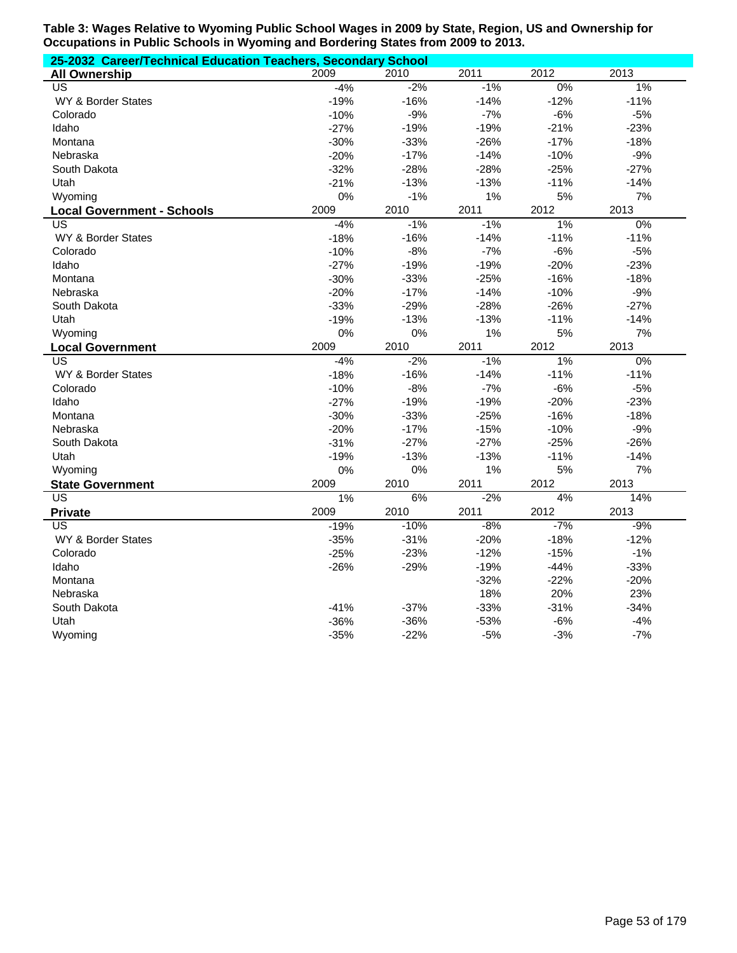| 25-2032 Career/Technical Education Teachers, Secondary School |        |        |        |        |        |  |  |  |
|---------------------------------------------------------------|--------|--------|--------|--------|--------|--|--|--|
| <b>All Ownership</b>                                          | 2009   | 2010   | 2011   | 2012   | 2013   |  |  |  |
| $\overline{US}$                                               | $-4%$  | $-2%$  | $-1%$  | $0\%$  | 1%     |  |  |  |
| WY & Border States                                            | $-19%$ | $-16%$ | $-14%$ | $-12%$ | $-11%$ |  |  |  |
| Colorado                                                      | $-10%$ | $-9%$  | $-7%$  | $-6%$  | $-5%$  |  |  |  |
| Idaho                                                         | $-27%$ | $-19%$ | $-19%$ | $-21%$ | $-23%$ |  |  |  |
| Montana                                                       | $-30%$ | $-33%$ | $-26%$ | $-17%$ | $-18%$ |  |  |  |
| Nebraska                                                      | $-20%$ | $-17%$ | $-14%$ | $-10%$ | $-9%$  |  |  |  |
| South Dakota                                                  | $-32%$ | $-28%$ | $-28%$ | $-25%$ | $-27%$ |  |  |  |
| Utah                                                          | $-21%$ | $-13%$ | $-13%$ | $-11%$ | $-14%$ |  |  |  |
| Wyoming                                                       | 0%     | $-1%$  | 1%     | 5%     | 7%     |  |  |  |
| <b>Local Government - Schools</b>                             | 2009   | 2010   | 2011   | 2012   | 2013   |  |  |  |
| US                                                            | $-4%$  | $-1%$  | $-1%$  | $1\%$  | $0\%$  |  |  |  |
| WY & Border States                                            | $-18%$ | $-16%$ | $-14%$ | $-11%$ | $-11%$ |  |  |  |
| Colorado                                                      | $-10%$ | $-8%$  | $-7%$  | $-6%$  | $-5%$  |  |  |  |
| Idaho                                                         | $-27%$ | $-19%$ | $-19%$ | $-20%$ | $-23%$ |  |  |  |
| Montana                                                       | $-30%$ | $-33%$ | $-25%$ | $-16%$ | $-18%$ |  |  |  |
| Nebraska                                                      | $-20%$ | $-17%$ | $-14%$ | $-10%$ | $-9%$  |  |  |  |
| South Dakota                                                  | $-33%$ | $-29%$ | $-28%$ | $-26%$ | $-27%$ |  |  |  |
| Utah                                                          | $-19%$ | $-13%$ | $-13%$ | $-11%$ | $-14%$ |  |  |  |
| Wyoming                                                       | 0%     | 0%     | 1%     | 5%     | 7%     |  |  |  |
| <b>Local Government</b>                                       | 2009   | 2010   | 2011   | 2012   | 2013   |  |  |  |
| US                                                            | $-4%$  | $-2%$  | $-1%$  | 1%     | $0\%$  |  |  |  |
| WY & Border States                                            | $-18%$ | $-16%$ | $-14%$ | $-11%$ | $-11%$ |  |  |  |
| Colorado                                                      | $-10%$ | $-8%$  | $-7%$  | $-6%$  | $-5%$  |  |  |  |
| Idaho                                                         | $-27%$ | $-19%$ | $-19%$ | $-20%$ | $-23%$ |  |  |  |
| Montana                                                       | $-30%$ | $-33%$ | $-25%$ | $-16%$ | $-18%$ |  |  |  |
| Nebraska                                                      | $-20%$ | $-17%$ | $-15%$ | $-10%$ | $-9%$  |  |  |  |
| South Dakota                                                  | $-31%$ | $-27%$ | $-27%$ | $-25%$ | $-26%$ |  |  |  |
| Utah                                                          | $-19%$ | $-13%$ | $-13%$ | $-11%$ | $-14%$ |  |  |  |
| Wyoming                                                       | 0%     | 0%     | 1%     | 5%     | 7%     |  |  |  |
| <b>State Government</b>                                       | 2009   | 2010   | 2011   | 2012   | 2013   |  |  |  |
| $\overline{US}$                                               | $1\%$  | 6%     | $-2%$  | 4%     | 14%    |  |  |  |
| <b>Private</b>                                                | 2009   | 2010   | 2011   | 2012   | 2013   |  |  |  |
| US                                                            | $-19%$ | $-10%$ | $-8%$  | $-7%$  | $-9%$  |  |  |  |
| WY & Border States                                            | $-35%$ | $-31%$ | $-20%$ | $-18%$ | $-12%$ |  |  |  |
| Colorado                                                      | $-25%$ | $-23%$ | $-12%$ | $-15%$ | $-1%$  |  |  |  |
| Idaho                                                         | $-26%$ | $-29%$ | $-19%$ | $-44%$ | $-33%$ |  |  |  |
| Montana                                                       |        |        | $-32%$ | $-22%$ | $-20%$ |  |  |  |
| Nebraska                                                      |        |        | 18%    | 20%    | 23%    |  |  |  |
| South Dakota                                                  | $-41%$ | $-37%$ | $-33%$ | $-31%$ | $-34%$ |  |  |  |
| Utah                                                          | $-36%$ | $-36%$ | $-53%$ | $-6%$  | $-4%$  |  |  |  |
| Wyoming                                                       | $-35%$ | $-22%$ | $-5%$  | $-3%$  | $-7%$  |  |  |  |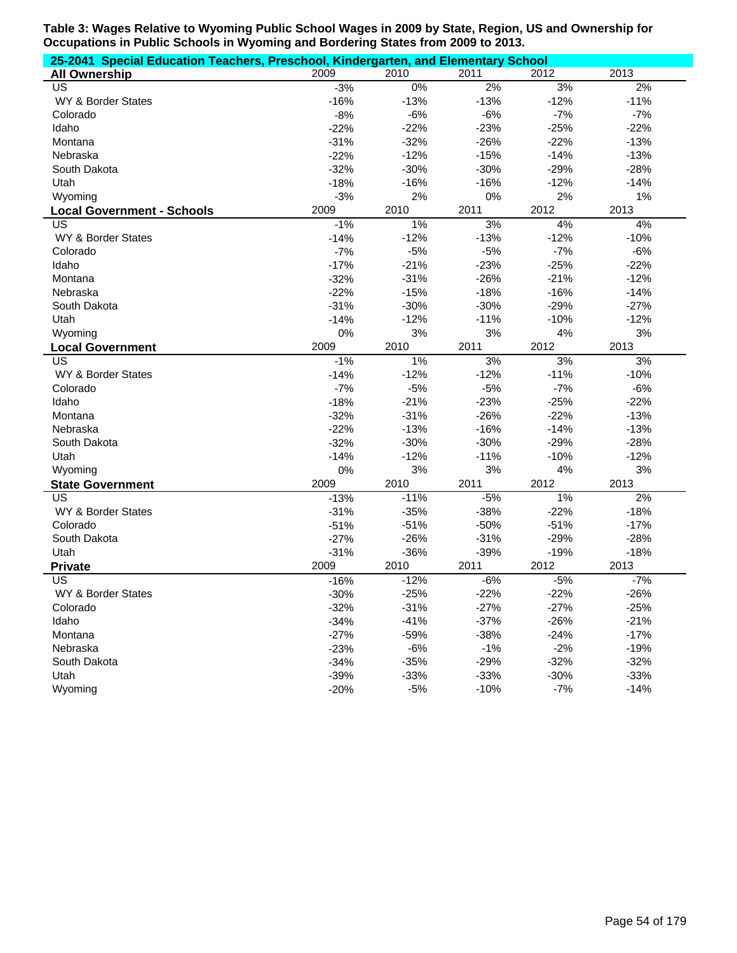| 25-2041 Special Education Teachers, Preschool, Kindergarten, and Elementary School |        |        |        |        |        |
|------------------------------------------------------------------------------------|--------|--------|--------|--------|--------|
| <b>All Ownership</b>                                                               | 2009   | 2010   | 2011   | 2012   | 2013   |
| <b>US</b>                                                                          | $-3%$  | $0\%$  | 2%     | 3%     | 2%     |
| WY & Border States                                                                 | $-16%$ | $-13%$ | $-13%$ | $-12%$ | $-11%$ |
| Colorado                                                                           | $-8%$  | $-6%$  | $-6%$  | $-7%$  | $-7%$  |
| Idaho                                                                              | $-22%$ | $-22%$ | $-23%$ | $-25%$ | $-22%$ |
| Montana                                                                            | $-31%$ | $-32%$ | $-26%$ | $-22%$ | $-13%$ |
| Nebraska                                                                           | $-22%$ | $-12%$ | $-15%$ | $-14%$ | $-13%$ |
| South Dakota                                                                       | $-32%$ | $-30%$ | $-30%$ | $-29%$ | $-28%$ |
| Utah                                                                               | $-18%$ | $-16%$ | $-16%$ | $-12%$ | $-14%$ |
| Wyoming                                                                            | $-3%$  | 2%     | 0%     | 2%     | 1%     |
| <b>Local Government - Schools</b>                                                  | 2009   | 2010   | 2011   | 2012   | 2013   |
| US                                                                                 | $-1%$  | 1%     | 3%     | 4%     | 4%     |
| WY & Border States                                                                 | $-14%$ | $-12%$ | $-13%$ | $-12%$ | $-10%$ |
| Colorado                                                                           | $-7%$  | $-5%$  | $-5%$  | $-7%$  | $-6%$  |
| Idaho                                                                              | $-17%$ | $-21%$ | $-23%$ | $-25%$ | $-22%$ |
| Montana                                                                            | $-32%$ | $-31%$ | $-26%$ | $-21%$ | $-12%$ |
| Nebraska                                                                           | $-22%$ | $-15%$ | $-18%$ | $-16%$ | $-14%$ |
| South Dakota                                                                       | $-31%$ | $-30%$ | $-30%$ | $-29%$ | $-27%$ |
| Utah                                                                               | $-14%$ | $-12%$ | $-11%$ | $-10%$ | $-12%$ |
| Wyoming                                                                            | 0%     | 3%     | 3%     | 4%     | 3%     |
| <b>Local Government</b>                                                            | 2009   | 2010   | 2011   | 2012   | 2013   |
| US                                                                                 | $-1%$  | 1%     | 3%     | 3%     | 3%     |
| WY & Border States                                                                 | $-14%$ | $-12%$ | $-12%$ | $-11%$ | $-10%$ |
| Colorado                                                                           | $-7%$  | $-5%$  | $-5%$  | $-7%$  | $-6%$  |
| Idaho                                                                              | $-18%$ | $-21%$ | $-23%$ | $-25%$ | $-22%$ |
| Montana                                                                            | $-32%$ | $-31%$ | $-26%$ | $-22%$ | $-13%$ |
| Nebraska                                                                           | $-22%$ | $-13%$ | $-16%$ | $-14%$ | $-13%$ |
| South Dakota                                                                       | $-32%$ | $-30%$ | $-30%$ | $-29%$ | $-28%$ |
| Utah                                                                               | $-14%$ | $-12%$ | $-11%$ | $-10%$ | $-12%$ |
| Wyoming                                                                            | 0%     | 3%     | 3%     | 4%     | 3%     |
| <b>State Government</b>                                                            | 2009   | 2010   | 2011   | 2012   | 2013   |
| $\overline{US}$                                                                    | $-13%$ | $-11%$ | $-5%$  | $1\%$  | 2%     |
| WY & Border States                                                                 | $-31%$ | $-35%$ | $-38%$ | $-22%$ | $-18%$ |
| Colorado                                                                           | $-51%$ | $-51%$ | $-50%$ | $-51%$ | $-17%$ |
| South Dakota                                                                       | $-27%$ | $-26%$ | $-31%$ | $-29%$ | $-28%$ |
| Utah                                                                               | $-31%$ | $-36%$ | $-39%$ | $-19%$ | $-18%$ |
| <b>Private</b>                                                                     | 2009   | 2010   | 2011   | 2012   | 2013   |
| US                                                                                 | $-16%$ | $-12%$ | $-6%$  | $-5%$  | $-7%$  |
| WY & Border States                                                                 | $-30%$ | $-25%$ | $-22%$ | $-22%$ | $-26%$ |
| Colorado                                                                           | $-32%$ | $-31%$ | $-27%$ | $-27%$ | $-25%$ |
| Idaho                                                                              | $-34%$ | $-41%$ | $-37%$ | $-26%$ | $-21%$ |
| Montana                                                                            | $-27%$ | $-59%$ | $-38%$ | $-24%$ | $-17%$ |
| Nebraska                                                                           | $-23%$ | $-6%$  | $-1%$  | $-2%$  | $-19%$ |
| South Dakota                                                                       | $-34%$ | $-35%$ | $-29%$ | $-32%$ | $-32%$ |
| Utah                                                                               | $-39%$ | $-33%$ | $-33%$ | $-30%$ | $-33%$ |
| Wyoming                                                                            | $-20%$ | $-5%$  | $-10%$ | $-7%$  | $-14%$ |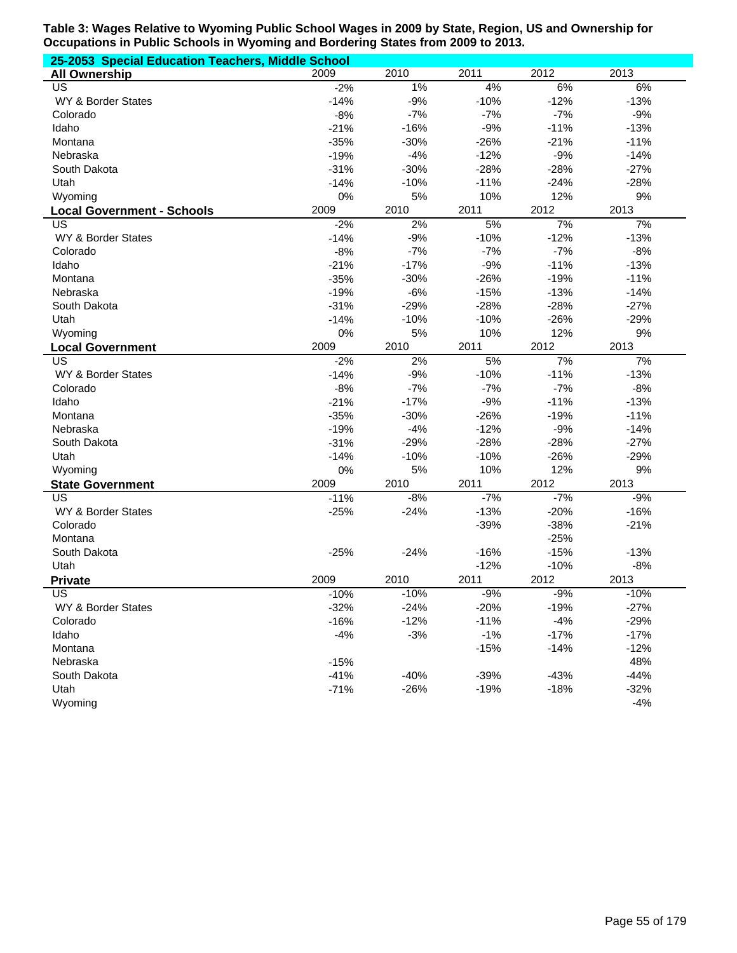| 25-2053 Special Education Teachers, Middle School |        |        |        |        |        |  |  |
|---------------------------------------------------|--------|--------|--------|--------|--------|--|--|
| <b>All Ownership</b>                              | 2009   | 2010   | 2011   | 2012   | 2013   |  |  |
| US                                                | $-2%$  | $1\%$  | 4%     | 6%     | 6%     |  |  |
| WY & Border States                                | $-14%$ | $-9%$  | $-10%$ | $-12%$ | $-13%$ |  |  |
| Colorado                                          | $-8%$  | $-7%$  | $-7%$  | $-7%$  | $-9%$  |  |  |
| Idaho                                             | $-21%$ | $-16%$ | $-9%$  | $-11%$ | $-13%$ |  |  |
| Montana                                           | $-35%$ | $-30%$ | $-26%$ | $-21%$ | $-11%$ |  |  |
| Nebraska                                          | $-19%$ | $-4%$  | $-12%$ | $-9%$  | $-14%$ |  |  |
| South Dakota                                      | $-31%$ | $-30%$ | $-28%$ | $-28%$ | $-27%$ |  |  |
| Utah                                              | $-14%$ | $-10%$ | $-11%$ | $-24%$ | $-28%$ |  |  |
| Wyoming                                           | $0\%$  | 5%     | 10%    | 12%    | 9%     |  |  |
| <b>Local Government - Schools</b>                 | 2009   | 2010   | 2011   | 2012   | 2013   |  |  |
| US                                                | $-2%$  | 2%     | 5%     | 7%     | 7%     |  |  |
| WY & Border States                                | $-14%$ | $-9%$  | $-10%$ | $-12%$ | $-13%$ |  |  |
| Colorado                                          | $-8%$  | $-7%$  | $-7%$  | $-7%$  | $-8%$  |  |  |
| Idaho                                             | $-21%$ | $-17%$ | $-9%$  | $-11%$ | $-13%$ |  |  |
| Montana                                           | $-35%$ | $-30%$ | $-26%$ | $-19%$ | $-11%$ |  |  |
| Nebraska                                          | $-19%$ | $-6%$  | $-15%$ | $-13%$ | $-14%$ |  |  |
| South Dakota                                      | $-31%$ | $-29%$ | $-28%$ | $-28%$ | $-27%$ |  |  |
| Utah                                              | $-14%$ | $-10%$ | $-10%$ | $-26%$ | $-29%$ |  |  |
| Wyoming                                           | $0\%$  | 5%     | 10%    | 12%    | 9%     |  |  |
| <b>Local Government</b>                           | 2009   | 2010   | 2011   | 2012   | 2013   |  |  |
| $\overline{\mathsf{US}}$                          | $-2%$  | 2%     | 5%     | 7%     | 7%     |  |  |
| WY & Border States                                | $-14%$ | $-9%$  | $-10%$ | $-11%$ | $-13%$ |  |  |
| Colorado                                          | $-8%$  | $-7%$  | $-7%$  | $-7%$  | $-8%$  |  |  |
| Idaho                                             | $-21%$ | $-17%$ | $-9%$  | $-11%$ | $-13%$ |  |  |
| Montana                                           | $-35%$ | $-30%$ | $-26%$ | $-19%$ | $-11%$ |  |  |
| Nebraska                                          | $-19%$ | $-4%$  | $-12%$ | $-9%$  | $-14%$ |  |  |
| South Dakota                                      | $-31%$ | $-29%$ | $-28%$ | $-28%$ | $-27%$ |  |  |
| Utah                                              | $-14%$ | $-10%$ | $-10%$ | $-26%$ | $-29%$ |  |  |
| Wyoming                                           | $0\%$  | 5%     | 10%    | 12%    | 9%     |  |  |
| <b>State Government</b>                           | 2009   | 2010   | 2011   | 2012   | 2013   |  |  |
| $\overline{US}$                                   | $-11%$ | $-8%$  | $-7%$  | $-7%$  | $-9%$  |  |  |
| WY & Border States                                | $-25%$ | $-24%$ | $-13%$ | $-20%$ | $-16%$ |  |  |
| Colorado                                          |        |        | $-39%$ | $-38%$ | $-21%$ |  |  |
| Montana                                           |        |        |        | $-25%$ |        |  |  |
| South Dakota                                      | $-25%$ | $-24%$ | $-16%$ | $-15%$ | $-13%$ |  |  |
| Utah                                              |        |        | $-12%$ | $-10%$ | $-8%$  |  |  |
| <b>Private</b>                                    | 2009   | 2010   | 2011   | 2012   | 2013   |  |  |
| $\overline{US}$                                   | $-10%$ | $-10%$ | $-9%$  | $-9%$  | $-10%$ |  |  |
| WY & Border States                                | $-32%$ | $-24%$ | $-20%$ | $-19%$ | $-27%$ |  |  |
| Colorado                                          | $-16%$ | $-12%$ | $-11%$ | $-4%$  | $-29%$ |  |  |
| Idaho                                             | $-4%$  | $-3%$  | $-1%$  | $-17%$ | $-17%$ |  |  |
| Montana                                           |        |        | $-15%$ | $-14%$ | $-12%$ |  |  |
| Nebraska                                          | $-15%$ |        |        |        | 48%    |  |  |
| South Dakota                                      | $-41%$ | $-40%$ | $-39%$ | $-43%$ | $-44%$ |  |  |
| Utah                                              | $-71%$ | $-26%$ | $-19%$ | $-18%$ | $-32%$ |  |  |
| Wyoming                                           |        |        |        |        | $-4%$  |  |  |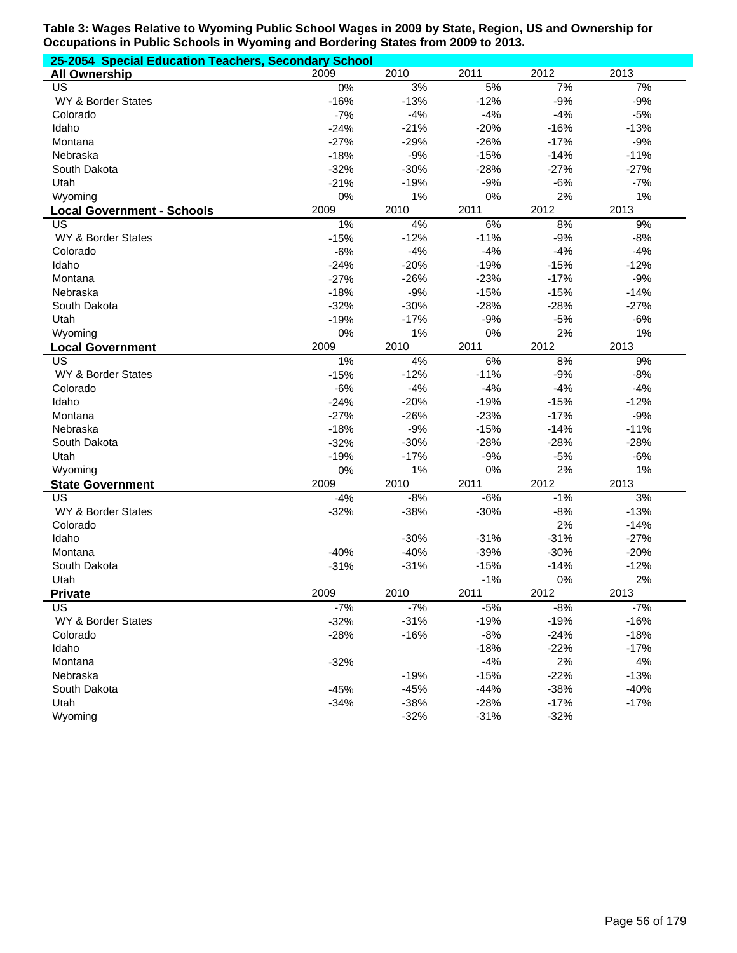| 25-2054 Special Education Teachers, Secondary School |        |        |        |        |        |  |  |
|------------------------------------------------------|--------|--------|--------|--------|--------|--|--|
| <b>All Ownership</b>                                 | 2009   | 2010   | 2011   | 2012   | 2013   |  |  |
| US                                                   | 0%     | 3%     | 5%     | 7%     | 7%     |  |  |
| WY & Border States                                   | $-16%$ | $-13%$ | $-12%$ | $-9%$  | $-9%$  |  |  |
| Colorado                                             | $-7%$  | $-4%$  | $-4%$  | $-4%$  | $-5%$  |  |  |
| Idaho                                                | $-24%$ | $-21%$ | $-20%$ | $-16%$ | $-13%$ |  |  |
| Montana                                              | $-27%$ | $-29%$ | $-26%$ | $-17%$ | $-9%$  |  |  |
| Nebraska                                             | $-18%$ | $-9%$  | $-15%$ | $-14%$ | $-11%$ |  |  |
| South Dakota                                         | $-32%$ | $-30%$ | $-28%$ | $-27%$ | $-27%$ |  |  |
| Utah                                                 | $-21%$ | $-19%$ | $-9%$  | $-6%$  | $-7%$  |  |  |
| Wyoming                                              | 0%     | 1%     | 0%     | 2%     | 1%     |  |  |
| <b>Local Government - Schools</b>                    | 2009   | 2010   | 2011   | 2012   | 2013   |  |  |
| US                                                   | 1%     | 4%     | 6%     | 8%     | 9%     |  |  |
| WY & Border States                                   | $-15%$ | $-12%$ | $-11%$ | $-9%$  | $-8%$  |  |  |
| Colorado                                             | $-6%$  | $-4%$  | $-4%$  | $-4%$  | $-4%$  |  |  |
| Idaho                                                | $-24%$ | $-20%$ | $-19%$ | $-15%$ | $-12%$ |  |  |
| Montana                                              | $-27%$ | $-26%$ | $-23%$ | $-17%$ | $-9%$  |  |  |
| Nebraska                                             | $-18%$ | $-9%$  | $-15%$ | $-15%$ | $-14%$ |  |  |
| South Dakota                                         | $-32%$ | $-30%$ | $-28%$ | $-28%$ | $-27%$ |  |  |
| Utah                                                 | $-19%$ | $-17%$ | $-9%$  | $-5%$  | $-6%$  |  |  |
| Wyoming                                              | $0\%$  | 1%     | 0%     | 2%     | 1%     |  |  |
| <b>Local Government</b>                              | 2009   | 2010   | 2011   | 2012   | 2013   |  |  |
| $\overline{\mathsf{US}}$                             | $1\%$  | 4%     | 6%     | 8%     | 9%     |  |  |
| WY & Border States                                   | $-15%$ | $-12%$ | $-11%$ | $-9%$  | $-8%$  |  |  |
| Colorado                                             | $-6%$  | $-4%$  | $-4%$  | $-4%$  | $-4%$  |  |  |
| Idaho                                                | $-24%$ | $-20%$ | $-19%$ | $-15%$ | $-12%$ |  |  |
| Montana                                              | $-27%$ | $-26%$ | $-23%$ | $-17%$ | $-9%$  |  |  |
| Nebraska                                             | $-18%$ | $-9%$  | $-15%$ | $-14%$ | $-11%$ |  |  |
| South Dakota                                         | $-32%$ | $-30%$ | $-28%$ | $-28%$ | $-28%$ |  |  |
| Utah                                                 | $-19%$ | $-17%$ | $-9%$  | $-5%$  | $-6%$  |  |  |
| Wyoming                                              | $0\%$  | 1%     | 0%     | 2%     | 1%     |  |  |
| <b>State Government</b>                              | 2009   | 2010   | 2011   | 2012   | 2013   |  |  |
| $\overline{\mathsf{US}}$                             | $-4%$  | $-8%$  | $-6%$  | $-1%$  | 3%     |  |  |
| WY & Border States                                   | $-32%$ | $-38%$ | $-30%$ | $-8%$  | $-13%$ |  |  |
| Colorado                                             |        |        |        | 2%     | $-14%$ |  |  |
| Idaho                                                |        | $-30%$ | $-31%$ | $-31%$ | $-27%$ |  |  |
| Montana                                              | $-40%$ | $-40%$ | $-39%$ | $-30%$ | $-20%$ |  |  |
| South Dakota                                         | $-31%$ | $-31%$ | $-15%$ | $-14%$ | $-12%$ |  |  |
| Utah                                                 |        |        | $-1%$  | $0\%$  | 2%     |  |  |
| <b>Private</b>                                       | 2009   | 2010   | 2011   | 2012   | 2013   |  |  |
| $\overline{\mathsf{US}}$                             | $-7%$  | $-7%$  | $-5%$  | $-8%$  | $-7%$  |  |  |
| WY & Border States                                   | $-32%$ | $-31%$ | $-19%$ | $-19%$ | $-16%$ |  |  |
| Colorado                                             | $-28%$ | $-16%$ | $-8%$  | $-24%$ | $-18%$ |  |  |
| Idaho                                                |        |        | $-18%$ | $-22%$ | $-17%$ |  |  |
| Montana                                              | $-32%$ |        | $-4%$  | 2%     | 4%     |  |  |
| Nebraska                                             |        | $-19%$ | $-15%$ | $-22%$ | $-13%$ |  |  |
| South Dakota                                         | $-45%$ | $-45%$ | $-44%$ | $-38%$ | $-40%$ |  |  |
| Utah                                                 | $-34%$ | $-38%$ | $-28%$ | $-17%$ | $-17%$ |  |  |
| Wyoming                                              |        | $-32%$ | $-31%$ | $-32%$ |        |  |  |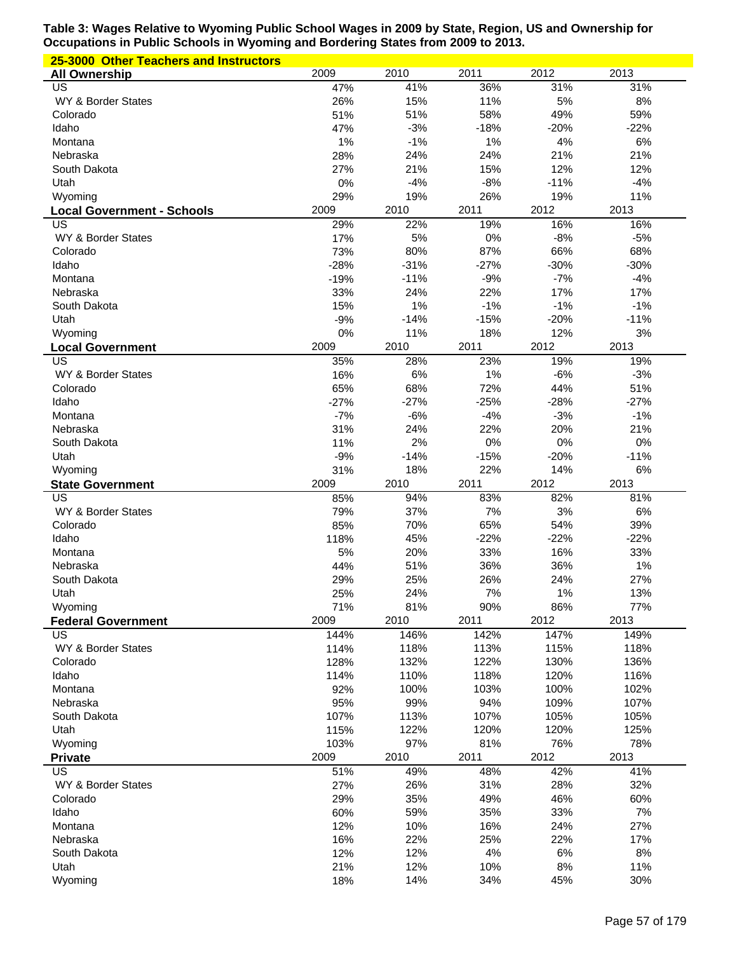| 25-3000 Other Teachers and Instructors |              |              |              |              |              |
|----------------------------------------|--------------|--------------|--------------|--------------|--------------|
| <b>All Ownership</b>                   | 2009         | 2010         | 2011         | 2012         | 2013         |
| US                                     | 47%          | 41%          | 36%          | 31%          | 31%          |
| WY & Border States                     | 26%          | 15%          | 11%          | 5%           | 8%           |
| Colorado                               | 51%          | 51%          | 58%          | 49%          | 59%          |
| Idaho                                  | 47%          | $-3%$        | $-18%$       | $-20%$       | $-22%$       |
| Montana                                | 1%           | $-1%$        | 1%           | 4%<br>21%    | 6%           |
| Nebraska<br>South Dakota               | 28%<br>27%   | 24%<br>21%   | 24%<br>15%   | 12%          | 21%<br>12%   |
| Utah                                   | 0%           | $-4%$        | $-8%$        | $-11%$       | $-4%$        |
| Wyoming                                | 29%          | 19%          | 26%          | 19%          | 11%          |
| <b>Local Government - Schools</b>      | 2009         | 2010         | 2011         | 2012         | 2013         |
| US                                     | 29%          | 22%          | 19%          | 16%          | 16%          |
| WY & Border States                     | 17%          | 5%           | 0%           | $-8%$        | $-5%$        |
| Colorado                               | 73%          | 80%          | 87%          | 66%          | 68%          |
| Idaho                                  | $-28%$       | $-31%$       | $-27%$       | $-30%$       | $-30%$       |
| Montana                                | $-19%$       | $-11%$       | $-9%$        | $-7%$        | $-4%$        |
| Nebraska                               | 33%          | 24%          | 22%          | 17%          | 17%          |
| South Dakota                           | 15%          | 1%           | $-1%$        | $-1%$        | $-1%$        |
| Utah                                   | $-9%$        | $-14%$       | $-15%$       | $-20%$       | $-11%$       |
| Wyoming                                | 0%           | 11%          | 18%          | 12%          | 3%           |
| <b>Local Government</b>                | 2009         | 2010         | 2011         | 2012         | 2013         |
| US                                     | 35%          | 28%          | 23%          | 19%          | 19%          |
| WY & Border States                     | 16%          | 6%           | 1%           | $-6%$        | $-3%$        |
| Colorado                               | 65%          | 68%          | 72%          | 44%          | 51%          |
| Idaho                                  | $-27%$       | $-27%$       | $-25%$       | $-28%$       | $-27%$       |
| Montana                                | $-7%$<br>31% | $-6%$        | $-4%$        | $-3%$        | $-1%$<br>21% |
| Nebraska<br>South Dakota               | 11%          | 24%<br>2%    | 22%<br>0%    | 20%<br>0%    | 0%           |
| Utah                                   | $-9%$        | $-14%$       | $-15%$       | $-20%$       | $-11%$       |
| Wyoming                                | 31%          | 18%          | 22%          | 14%          | 6%           |
| <b>State Government</b>                | 2009         | 2010         | 2011         | 2012         | 2013         |
| US                                     | 85%          | 94%          | 83%          | 82%          | 81%          |
| WY & Border States                     | 79%          | 37%          | 7%           | 3%           | $6\%$        |
| Colorado                               | 85%          | 70%          | 65%          | 54%          | 39%          |
| Idaho                                  | 118%         | 45%          | $-22%$       | $-22%$       | $-22%$       |
| Montana                                | 5%           | 20%          | 33%          | 16%          | 33%          |
| Nebraska                               | 44%          | 51%          | 36%          | 36%          | 1%           |
| South Dakota                           | 29%          | 25%          | 26%          | 24%          | 27%          |
| Utah                                   | 25%          | 24%          | 7%           | 1%           | 13%          |
| Wyoming                                | 71%          | 81%          | 90%          | 86%          | 77%          |
| <b>Federal Government</b>              | 2009         | 2010         | 2011         | 2012         | 2013         |
| US                                     | 144%         | 146%         | 142%         | 147%         | 149%         |
| WY & Border States                     | 114%         | 118%         | 113%         | 115%         | 118%         |
| Colorado<br>Idaho                      | 128%<br>114% | 132%<br>110% | 122%<br>118% | 130%<br>120% | 136%<br>116% |
| Montana                                | 92%          | 100%         | 103%         | 100%         | 102%         |
| Nebraska                               | 95%          | 99%          | 94%          | 109%         | 107%         |
| South Dakota                           | 107%         | 113%         | 107%         | 105%         | 105%         |
| Utah                                   | 115%         | 122%         | 120%         | 120%         | 125%         |
| Wyoming                                | 103%         | 97%          | 81%          | 76%          | 78%          |
| <b>Private</b>                         | 2009         | 2010         | 2011         | 2012         | 2013         |
| US                                     | 51%          | 49%          | 48%          | 42%          | 41%          |
| WY & Border States                     | 27%          | 26%          | 31%          | 28%          | 32%          |
| Colorado                               | 29%          | 35%          | 49%          | 46%          | 60%          |
| Idaho                                  | 60%          | 59%          | 35%          | 33%          | 7%           |
| Montana                                | 12%          | 10%          | 16%          | 24%          | 27%          |
| Nebraska                               | 16%          | 22%          | 25%          | 22%          | 17%          |
| South Dakota                           | 12%          | 12%          | 4%           | 6%           | 8%           |
| Utah                                   | 21%          | 12%          | 10%          | 8%           | 11%          |
| Wyoming                                | 18%          | 14%          | 34%          | 45%          | 30%          |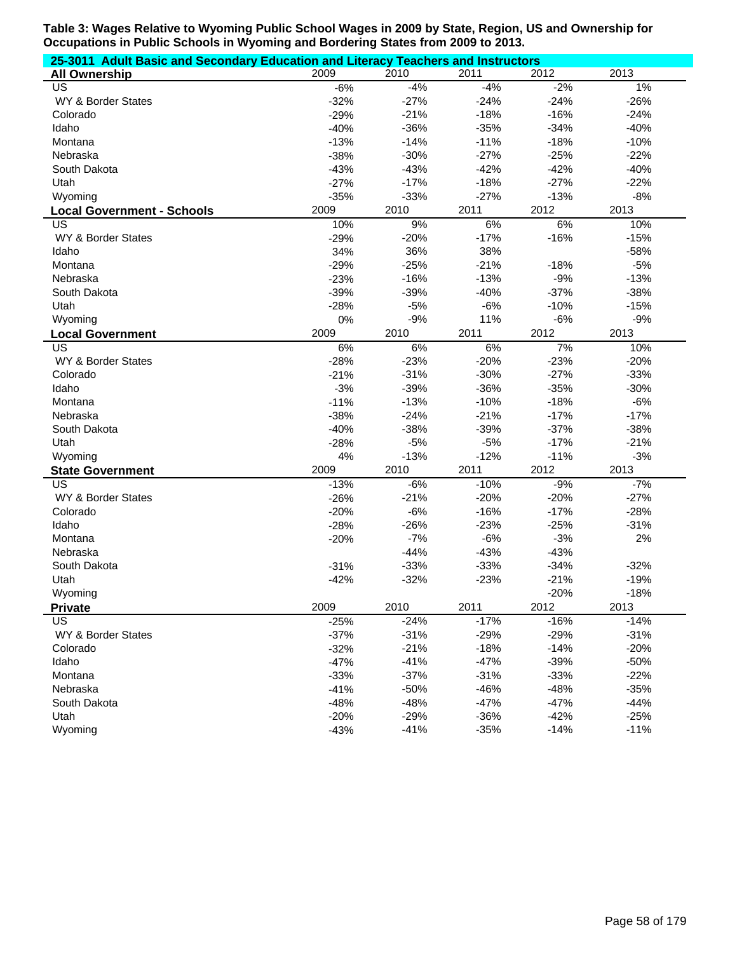| 25-3011 Adult Basic and Secondary Education and Literacy Teachers and Instructors |        |        |        |        |        |  |  |
|-----------------------------------------------------------------------------------|--------|--------|--------|--------|--------|--|--|
| <b>All Ownership</b>                                                              | 2009   | 2010   | 2011   | 2012   | 2013   |  |  |
| US                                                                                | $-6%$  | $-4%$  | $-4%$  | $-2%$  | 1%     |  |  |
| WY & Border States                                                                | $-32%$ | $-27%$ | $-24%$ | $-24%$ | $-26%$ |  |  |
| Colorado                                                                          | $-29%$ | $-21%$ | $-18%$ | $-16%$ | $-24%$ |  |  |
| Idaho                                                                             | $-40%$ | $-36%$ | $-35%$ | $-34%$ | $-40%$ |  |  |
| Montana                                                                           | $-13%$ | $-14%$ | $-11%$ | $-18%$ | $-10%$ |  |  |
| Nebraska                                                                          | $-38%$ | $-30%$ | $-27%$ | $-25%$ | $-22%$ |  |  |
| South Dakota                                                                      | $-43%$ | $-43%$ | $-42%$ | $-42%$ | $-40%$ |  |  |
| Utah                                                                              | $-27%$ | $-17%$ | $-18%$ | $-27%$ | $-22%$ |  |  |
| Wyoming                                                                           | $-35%$ | $-33%$ | $-27%$ | $-13%$ | $-8%$  |  |  |
| <b>Local Government - Schools</b>                                                 | 2009   | 2010   | 2011   | 2012   | 2013   |  |  |
| US                                                                                | 10%    | 9%     | $6\%$  | $6\%$  | 10%    |  |  |
| WY & Border States                                                                | $-29%$ | $-20%$ | $-17%$ | $-16%$ | $-15%$ |  |  |
| Idaho                                                                             | 34%    | 36%    | 38%    |        | $-58%$ |  |  |
| Montana                                                                           | $-29%$ | $-25%$ | $-21%$ | $-18%$ | $-5%$  |  |  |
| Nebraska                                                                          | $-23%$ | $-16%$ | $-13%$ | $-9%$  | $-13%$ |  |  |
| South Dakota                                                                      | $-39%$ | $-39%$ | $-40%$ | $-37%$ | $-38%$ |  |  |
| Utah                                                                              | $-28%$ | $-5%$  | $-6%$  | $-10%$ | $-15%$ |  |  |
| Wyoming                                                                           | 0%     | $-9%$  | 11%    | $-6%$  | $-9%$  |  |  |
| <b>Local Government</b>                                                           | 2009   | 2010   | 2011   | 2012   | 2013   |  |  |
| <b>US</b>                                                                         | 6%     | 6%     | 6%     | 7%     | 10%    |  |  |
| WY & Border States                                                                | $-28%$ | $-23%$ | $-20%$ | $-23%$ | $-20%$ |  |  |
| Colorado                                                                          | $-21%$ | $-31%$ | $-30%$ | $-27%$ | $-33%$ |  |  |
| Idaho                                                                             | $-3%$  | $-39%$ | $-36%$ | $-35%$ | $-30%$ |  |  |
| Montana                                                                           | $-11%$ | $-13%$ | $-10%$ | $-18%$ | $-6%$  |  |  |
| Nebraska                                                                          | $-38%$ | $-24%$ | $-21%$ | $-17%$ | $-17%$ |  |  |
| South Dakota                                                                      | $-40%$ | $-38%$ | $-39%$ | $-37%$ | $-38%$ |  |  |
| Utah                                                                              | $-28%$ | $-5%$  | $-5%$  | $-17%$ | $-21%$ |  |  |
| Wyoming                                                                           | 4%     | $-13%$ | $-12%$ | $-11%$ | $-3%$  |  |  |
| <b>State Government</b>                                                           | 2009   | 2010   | 2011   | 2012   | 2013   |  |  |
| US                                                                                | $-13%$ | $-6%$  | $-10%$ | $-9%$  | $-7%$  |  |  |
| WY & Border States                                                                | $-26%$ | $-21%$ | $-20%$ | $-20%$ | $-27%$ |  |  |
| Colorado                                                                          | $-20%$ | $-6%$  | $-16%$ | $-17%$ | $-28%$ |  |  |
| Idaho                                                                             | $-28%$ | $-26%$ | $-23%$ | $-25%$ | $-31%$ |  |  |
| Montana                                                                           | $-20%$ | $-7%$  | $-6%$  | $-3%$  | 2%     |  |  |
| Nebraska                                                                          |        | $-44%$ | $-43%$ | $-43%$ |        |  |  |
| South Dakota                                                                      | $-31%$ | $-33%$ | $-33%$ | $-34%$ | $-32%$ |  |  |
| Utah                                                                              | $-42%$ | $-32%$ | $-23%$ | $-21%$ | $-19%$ |  |  |
| Wyoming                                                                           |        |        |        | $-20%$ | $-18%$ |  |  |
| <b>Private</b>                                                                    | 2009   | 2010   | 2011   | 2012   | 2013   |  |  |
| US                                                                                | $-25%$ | $-24%$ | $-17%$ | $-16%$ | $-14%$ |  |  |
| WY & Border States                                                                | $-37%$ | $-31%$ | $-29%$ | $-29%$ | $-31%$ |  |  |
| Colorado                                                                          | $-32%$ | $-21%$ | $-18%$ | $-14%$ | $-20%$ |  |  |
| Idaho                                                                             | $-47%$ | $-41%$ | $-47%$ | $-39%$ | $-50%$ |  |  |
| Montana                                                                           | $-33%$ | $-37%$ | $-31%$ | $-33%$ | $-22%$ |  |  |
| Nebraska                                                                          | $-41%$ | $-50%$ | $-46%$ | $-48%$ | $-35%$ |  |  |
| South Dakota                                                                      | $-48%$ | $-48%$ | $-47%$ | $-47%$ | $-44%$ |  |  |
| Utah                                                                              | $-20%$ | $-29%$ | $-36%$ | $-42%$ | $-25%$ |  |  |
| Wyoming                                                                           | $-43%$ | $-41%$ | $-35%$ | $-14%$ | $-11%$ |  |  |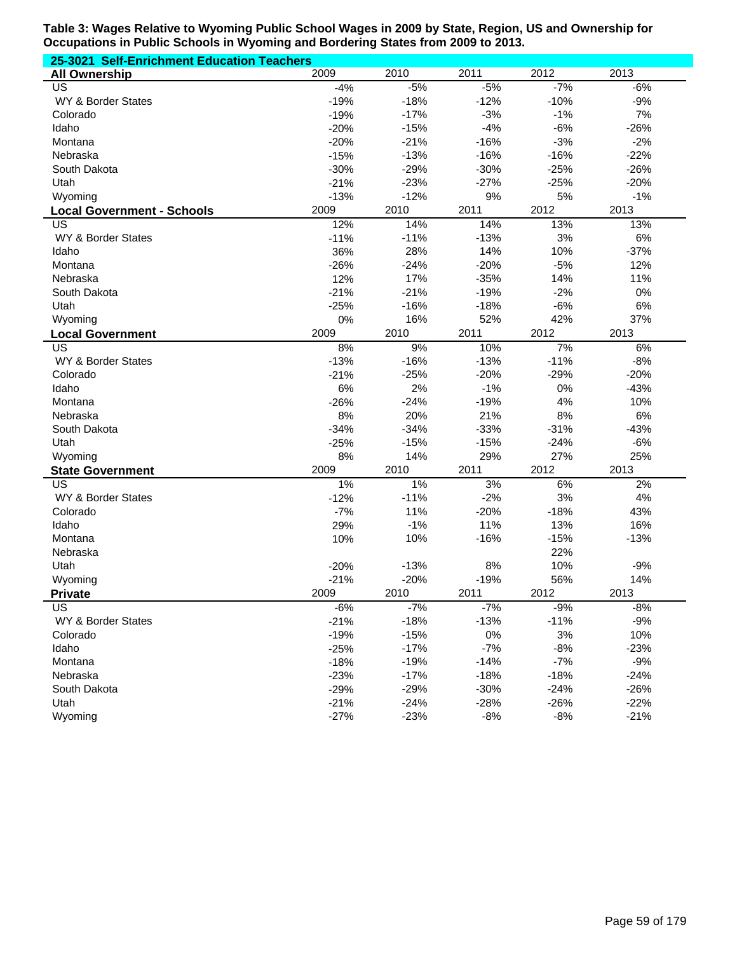| 25-3021 Self-Enrichment Education Teachers |        |        |        |        |        |  |  |  |
|--------------------------------------------|--------|--------|--------|--------|--------|--|--|--|
| <b>All Ownership</b>                       | 2009   | 2010   | 2011   | 2012   | 2013   |  |  |  |
| US                                         | $-4%$  | $-5%$  | $-5%$  | $-7%$  | $-6%$  |  |  |  |
| WY & Border States                         | $-19%$ | $-18%$ | $-12%$ | $-10%$ | $-9%$  |  |  |  |
| Colorado                                   | $-19%$ | $-17%$ | $-3%$  | $-1%$  | 7%     |  |  |  |
| Idaho                                      | $-20%$ | $-15%$ | $-4%$  | $-6%$  | $-26%$ |  |  |  |
| Montana                                    | $-20%$ | $-21%$ | $-16%$ | $-3%$  | $-2%$  |  |  |  |
| Nebraska                                   | $-15%$ | $-13%$ | $-16%$ | $-16%$ | $-22%$ |  |  |  |
| South Dakota                               | $-30%$ | $-29%$ | $-30%$ | $-25%$ | $-26%$ |  |  |  |
| Utah                                       | $-21%$ | $-23%$ | $-27%$ | $-25%$ | $-20%$ |  |  |  |
| Wyoming                                    | $-13%$ | $-12%$ | 9%     | 5%     | $-1%$  |  |  |  |
| <b>Local Government - Schools</b>          | 2009   | 2010   | 2011   | 2012   | 2013   |  |  |  |
| US                                         | 12%    | 14%    | 14%    | 13%    | 13%    |  |  |  |
| WY & Border States                         | $-11%$ | $-11%$ | $-13%$ | 3%     | 6%     |  |  |  |
| Idaho                                      | 36%    | 28%    | 14%    | 10%    | $-37%$ |  |  |  |
| Montana                                    | $-26%$ | $-24%$ | $-20%$ | $-5%$  | 12%    |  |  |  |
| Nebraska                                   | 12%    | 17%    | $-35%$ | 14%    | 11%    |  |  |  |
| South Dakota                               | $-21%$ | $-21%$ | $-19%$ | $-2%$  | 0%     |  |  |  |
| Utah                                       | $-25%$ | $-16%$ | $-18%$ | $-6%$  | 6%     |  |  |  |
| Wyoming                                    | 0%     | 16%    | 52%    | 42%    | 37%    |  |  |  |
| <b>Local Government</b>                    | 2009   | 2010   | 2011   | 2012   | 2013   |  |  |  |
| US                                         | 8%     | 9%     | 10%    | 7%     | 6%     |  |  |  |
| WY & Border States                         | $-13%$ | $-16%$ | $-13%$ | $-11%$ | $-8%$  |  |  |  |
| Colorado                                   | $-21%$ | $-25%$ | $-20%$ | $-29%$ | $-20%$ |  |  |  |
| Idaho                                      | 6%     | 2%     | $-1%$  | 0%     | $-43%$ |  |  |  |
| Montana                                    | $-26%$ | $-24%$ | $-19%$ | 4%     | 10%    |  |  |  |
| Nebraska                                   | 8%     | 20%    | 21%    | 8%     | 6%     |  |  |  |
| South Dakota                               | $-34%$ | $-34%$ | $-33%$ | $-31%$ | $-43%$ |  |  |  |
| Utah                                       | $-25%$ | $-15%$ | $-15%$ | $-24%$ | $-6%$  |  |  |  |
| Wyoming                                    | 8%     | 14%    | 29%    | 27%    | 25%    |  |  |  |
| <b>State Government</b>                    | 2009   | 2010   | 2011   | 2012   | 2013   |  |  |  |
| US                                         | 1%     | $1\%$  | 3%     | 6%     | 2%     |  |  |  |
| WY & Border States                         | $-12%$ | $-11%$ | $-2%$  | 3%     | 4%     |  |  |  |
| Colorado                                   | $-7%$  | 11%    | $-20%$ | $-18%$ | 43%    |  |  |  |
| Idaho                                      | 29%    | $-1%$  | 11%    | 13%    | 16%    |  |  |  |
| Montana                                    | 10%    | 10%    | $-16%$ | $-15%$ | $-13%$ |  |  |  |
| Nebraska                                   |        |        |        | 22%    |        |  |  |  |
| Utah                                       | $-20%$ | $-13%$ | 8%     | 10%    | $-9%$  |  |  |  |
| Wyoming                                    | $-21%$ | $-20%$ | $-19%$ | 56%    | 14%    |  |  |  |
| Private                                    | 2009   | 2010   | 2011   | 2012   | 2013   |  |  |  |
| US                                         | $-6%$  | $-7%$  | $-7%$  | $-9%$  | $-8%$  |  |  |  |
| WY & Border States                         | $-21%$ | $-18%$ | $-13%$ | $-11%$ | $-9%$  |  |  |  |
| Colorado                                   | $-19%$ | $-15%$ | $0\%$  | 3%     | 10%    |  |  |  |
| Idaho                                      | $-25%$ | $-17%$ | $-7%$  | $-8%$  | $-23%$ |  |  |  |
| Montana                                    | $-18%$ | $-19%$ | $-14%$ | $-7%$  | $-9%$  |  |  |  |
| Nebraska                                   | $-23%$ | $-17%$ | $-18%$ | $-18%$ | $-24%$ |  |  |  |
| South Dakota                               | $-29%$ | $-29%$ | $-30%$ | $-24%$ | $-26%$ |  |  |  |
| Utah                                       | $-21%$ | $-24%$ | $-28%$ | $-26%$ | $-22%$ |  |  |  |
| Wyoming                                    | $-27%$ | $-23%$ | $-8%$  | $-8%$  | $-21%$ |  |  |  |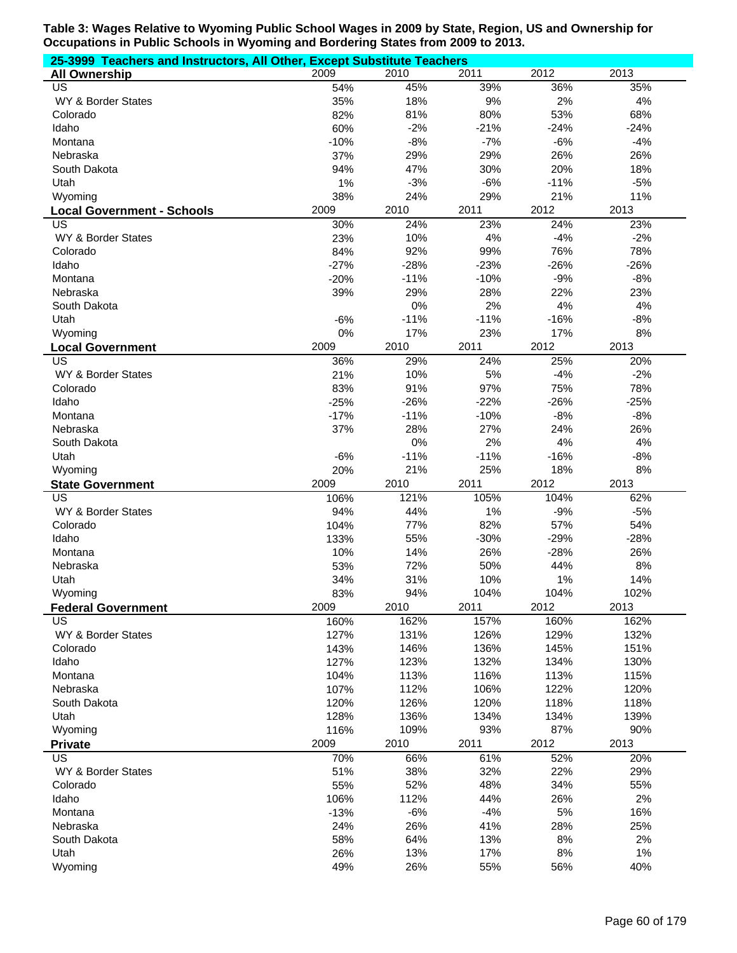| 25-3999 Teachers and Instructors, All Other, Except Substitute Teachers |        |        |        |        |        |  |  |
|-------------------------------------------------------------------------|--------|--------|--------|--------|--------|--|--|
| <b>All Ownership</b>                                                    | 2009   | 2010   | 2011   | 2012   | 2013   |  |  |
| US                                                                      | 54%    | 45%    | 39%    | 36%    | 35%    |  |  |
| WY & Border States                                                      | 35%    | 18%    | 9%     | 2%     | 4%     |  |  |
| Colorado                                                                | 82%    | 81%    | 80%    | 53%    | 68%    |  |  |
| Idaho                                                                   | 60%    | $-2%$  | $-21%$ | $-24%$ | $-24%$ |  |  |
| Montana                                                                 | $-10%$ | $-8%$  | $-7%$  | $-6%$  | $-4%$  |  |  |
| Nebraska                                                                | 37%    | 29%    | 29%    | 26%    | 26%    |  |  |
| South Dakota                                                            | 94%    | 47%    | 30%    | 20%    | 18%    |  |  |
| Utah                                                                    | 1%     | $-3%$  | $-6%$  | $-11%$ | $-5%$  |  |  |
| Wyoming                                                                 | 38%    | 24%    | 29%    | 21%    | 11%    |  |  |
| <b>Local Government - Schools</b>                                       | 2009   | 2010   | 2011   | 2012   | 2013   |  |  |
| US                                                                      | 30%    | 24%    | 23%    | 24%    | 23%    |  |  |
| WY & Border States                                                      | 23%    | 10%    | 4%     | $-4%$  | $-2%$  |  |  |
| Colorado                                                                | 84%    | 92%    | 99%    | 76%    | 78%    |  |  |
| Idaho                                                                   | $-27%$ | $-28%$ | $-23%$ | $-26%$ | $-26%$ |  |  |
| Montana                                                                 | $-20%$ | $-11%$ | $-10%$ | $-9%$  | $-8%$  |  |  |
| Nebraska                                                                | 39%    | 29%    | 28%    | 22%    | 23%    |  |  |
| South Dakota                                                            |        | 0%     | 2%     | 4%     | 4%     |  |  |
| Utah                                                                    | $-6%$  | $-11%$ | $-11%$ | $-16%$ | $-8%$  |  |  |
| Wyoming                                                                 | 0%     | 17%    | 23%    | 17%    | 8%     |  |  |
| <b>Local Government</b>                                                 | 2009   | 2010   | 2011   | 2012   | 2013   |  |  |
| $\overline{\mathsf{US}}$                                                | 36%    | 29%    | 24%    | 25%    | 20%    |  |  |
| WY & Border States                                                      | 21%    | 10%    | 5%     | $-4%$  | $-2%$  |  |  |
| Colorado                                                                | 83%    | 91%    | 97%    | 75%    | 78%    |  |  |
| Idaho                                                                   | $-25%$ | $-26%$ | $-22%$ | $-26%$ | $-25%$ |  |  |
| Montana                                                                 | $-17%$ | $-11%$ | $-10%$ | $-8%$  | $-8%$  |  |  |
| Nebraska                                                                | 37%    | 28%    | 27%    | 24%    | 26%    |  |  |
| South Dakota                                                            |        | 0%     | 2%     | 4%     | 4%     |  |  |
| Utah                                                                    | $-6%$  | $-11%$ | $-11%$ | $-16%$ | $-8%$  |  |  |
| Wyoming                                                                 | 20%    | 21%    | 25%    | 18%    | 8%     |  |  |
| <b>State Government</b>                                                 | 2009   | 2010   | 2011   | 2012   | 2013   |  |  |
| $\overline{US}$                                                         | 106%   | 121%   | 105%   | 104%   | 62%    |  |  |
| WY & Border States                                                      | 94%    | 44%    | 1%     | $-9%$  | $-5%$  |  |  |
| Colorado                                                                | 104%   | 77%    | 82%    | 57%    | 54%    |  |  |
| Idaho                                                                   | 133%   | 55%    | $-30%$ | $-29%$ | $-28%$ |  |  |
| Montana                                                                 | 10%    | 14%    | 26%    | $-28%$ | 26%    |  |  |
| Nebraska                                                                | 53%    | 72%    | 50%    | 44%    | 8%     |  |  |
| Utah                                                                    | 34%    | 31%    | 10%    | 1%     | 14%    |  |  |
| Wyoming                                                                 | 83%    | 94%    | 104%   | 104%   | 102%   |  |  |
| <b>Federal Government</b>                                               | 2009   | 2010   | 2011   | 2012   | 2013   |  |  |
| US                                                                      | 160%   | 162%   | 157%   | 160%   | 162%   |  |  |
| WY & Border States                                                      | 127%   | 131%   | 126%   | 129%   | 132%   |  |  |
| Colorado                                                                | 143%   | 146%   | 136%   | 145%   | 151%   |  |  |
| Idaho                                                                   | 127%   | 123%   | 132%   | 134%   | 130%   |  |  |
| Montana                                                                 | 104%   | 113%   | 116%   | 113%   | 115%   |  |  |
| Nebraska                                                                | 107%   | 112%   | 106%   | 122%   | 120%   |  |  |
| South Dakota                                                            | 120%   | 126%   | 120%   | 118%   | 118%   |  |  |
| Utah                                                                    | 128%   | 136%   | 134%   | 134%   | 139%   |  |  |
| Wyoming                                                                 | 116%   | 109%   | 93%    | 87%    | 90%    |  |  |
| <b>Private</b>                                                          | 2009   | 2010   | 2011   | 2012   | 2013   |  |  |
| $\overline{US}$                                                         | 70%    | 66%    | 61%    | 52%    | 20%    |  |  |
| WY & Border States                                                      | 51%    | 38%    | 32%    | 22%    | 29%    |  |  |
| Colorado                                                                | 55%    | 52%    | 48%    | 34%    | 55%    |  |  |
| Idaho                                                                   | 106%   | 112%   | 44%    | 26%    | 2%     |  |  |
| Montana                                                                 | $-13%$ | $-6%$  | $-4%$  | 5%     | 16%    |  |  |
| Nebraska                                                                | 24%    | 26%    | 41%    | 28%    | 25%    |  |  |
| South Dakota                                                            | 58%    | 64%    | 13%    | 8%     | 2%     |  |  |
| Utah                                                                    | 26%    | 13%    | 17%    | 8%     | 1%     |  |  |
| Wyoming                                                                 | 49%    | 26%    | 55%    | 56%    | 40%    |  |  |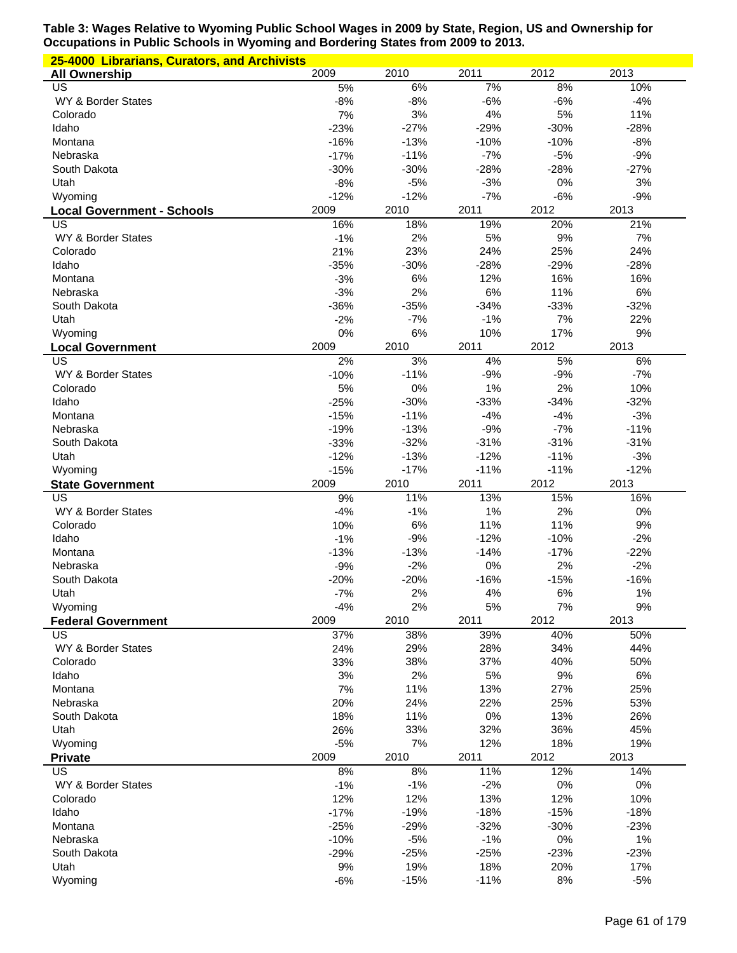| 25-4000 Librarians, Curators, and Archivists |             |               |               |           |              |
|----------------------------------------------|-------------|---------------|---------------|-----------|--------------|
| <b>All Ownership</b>                         | 2009        | 2010          | 2011          | 2012      | 2013         |
| US                                           | 5%          | 6%            | 7%            | 8%        | 10%          |
| WY & Border States                           | $-8%$       | $-8%$         | $-6%$         | $-6%$     | $-4%$        |
| Colorado                                     | 7%          | 3%            | 4%            | 5%        | 11%          |
| Idaho                                        | $-23%$      | $-27%$        | $-29%$        | $-30%$    | $-28%$       |
| Montana                                      | $-16%$      | $-13%$        | $-10%$        | $-10%$    | $-8%$        |
| Nebraska                                     | $-17%$      | $-11%$        | $-7%$         | $-5%$     | $-9%$        |
| South Dakota                                 | $-30%$      | $-30%$        | $-28%$        | $-28%$    | $-27%$       |
| Utah                                         | $-8%$       | $-5%$         | $-3%$         | 0%        | 3%           |
| Wyoming                                      | $-12%$      | $-12%$        | $-7%$         | $-6%$     | $-9%$        |
| <b>Local Government - Schools</b>            | 2009        | 2010          | 2011          | 2012      | 2013         |
| US                                           | 16%         | 18%           | 19%           | 20%       | 21%          |
| WY & Border States                           | $-1%$       | 2%            | 5%            | 9%        | 7%           |
| Colorado                                     | 21%         | 23%           | 24%           | 25%       | 24%          |
| Idaho                                        | $-35%$      | $-30%$        | $-28%$        | $-29%$    | $-28%$       |
| Montana                                      | $-3%$       | 6%            | 12%           | 16%       | 16%          |
| Nebraska                                     | $-3%$       | 2%            | 6%            | 11%       | $6\%$        |
| South Dakota                                 | $-36%$      | $-35%$        | $-34%$        | $-33%$    | $-32%$       |
| Utah                                         | $-2%$       | $-7%$         | $-1%$         | 7%        | 22%          |
| Wyoming                                      | 0%          | 6%            | 10%           | 17%       | 9%           |
| <b>Local Government</b>                      | 2009        | 2010          | 2011          | 2012      | 2013         |
| US                                           | 2%          | 3%            | 4%            | 5%        | 6%           |
| WY & Border States                           | $-10%$      | $-11%$        | $-9%$         | $-9%$     | $-7%$        |
| Colorado                                     | 5%          | 0%            | 1%            | 2%        | 10%          |
| Idaho                                        | $-25%$      | $-30%$        | $-33%$        | $-34%$    | $-32%$       |
| Montana                                      | $-15%$      | $-11%$        | $-4%$         | $-4%$     | $-3%$        |
| Nebraska                                     | $-19%$      | $-13%$        | $-9%$         | $-7%$     | $-11%$       |
| South Dakota                                 | $-33%$      | $-32%$        | $-31%$        | $-31%$    | $-31%$       |
| Utah                                         | $-12%$      | $-13%$        | $-12%$        | $-11%$    | $-3%$        |
| Wyoming                                      | $-15%$      | $-17%$        | $-11%$        | $-11%$    | $-12%$       |
|                                              |             |               |               |           |              |
| <b>State Government</b>                      | 2009        | 2010          | 2011          | 2012      | 2013         |
| US                                           | 9%          | 11%           | 13%           | 15%       | 16%          |
| WY & Border States                           | $-4%$       | $-1%$         | 1%            | 2%        | $0\%$        |
| Colorado                                     | 10%         | 6%            | 11%           | 11%       | 9%           |
| Idaho                                        | $-1%$       | $-9%$         | $-12%$        | $-10%$    | $-2%$        |
| Montana                                      | $-13%$      | $-13%$        | $-14%$        | $-17%$    | $-22%$       |
| Nebraska                                     | $-9%$       | $-2%$         | 0%            | 2%        | $-2%$        |
| South Dakota                                 | $-20%$      | $-20%$        | $-16%$        | $-15%$    | $-16%$       |
| Utah                                         | $-7%$       | 2%            | 4%            | 6%        | 1%           |
| Wyoming                                      | $-4%$       | 2%            | 5%            | 7%        | 9%           |
| <b>Federal Government</b>                    | 2009        | 2010          | 2011          | 2012      | 2013         |
| US                                           | 37%         | 38%           | 39%           | 40%       | 50%          |
| WY & Border States                           | 24%         | 29%           | 28%           | 34%       | 44%          |
| Colorado                                     | 33%         | 38%           | 37%           | 40%       | 50%          |
| Idaho                                        | 3%          | 2%            | 5%            | 9%        | $6\%$        |
| Montana                                      | 7%          | 11%           | 13%           | 27%       | 25%          |
| Nebraska                                     | 20%         | 24%           | 22%           | 25%       | 53%          |
| South Dakota                                 | 18%         | 11%           | 0%            | 13%       | 26%          |
| Utah                                         | 26%         | 33%           | 32%           | 36%       | 45%          |
| Wyoming                                      | $-5%$       | 7%            | 12%           | 18%       | 19%          |
| <b>Private</b>                               | 2009        | 2010          | 2011          | 2012      | 2013         |
| <b>US</b>                                    | 8%          | 8%            | 11%           | 12%       | 14%          |
| WY & Border States                           | $-1%$       | $-1%$         | $-2%$         | $0\%$     | $0\%$        |
| Colorado                                     | 12%         | 12%           | 13%           | 12%       | 10%          |
| Idaho                                        | $-17%$      | $-19%$        | $-18%$        | $-15%$    | $-18%$       |
| Montana                                      | $-25%$      | $-29%$        | $-32%$        | $-30%$    | $-23%$       |
| Nebraska                                     | $-10%$      | $-5%$         | $-1%$         | 0%        | 1%           |
| South Dakota                                 | $-29%$      | $-25%$        | $-25%$        | $-23%$    | $-23%$       |
| Utah<br>Wyoming                              | 9%<br>$-6%$ | 19%<br>$-15%$ | 18%<br>$-11%$ | 20%<br>8% | 17%<br>$-5%$ |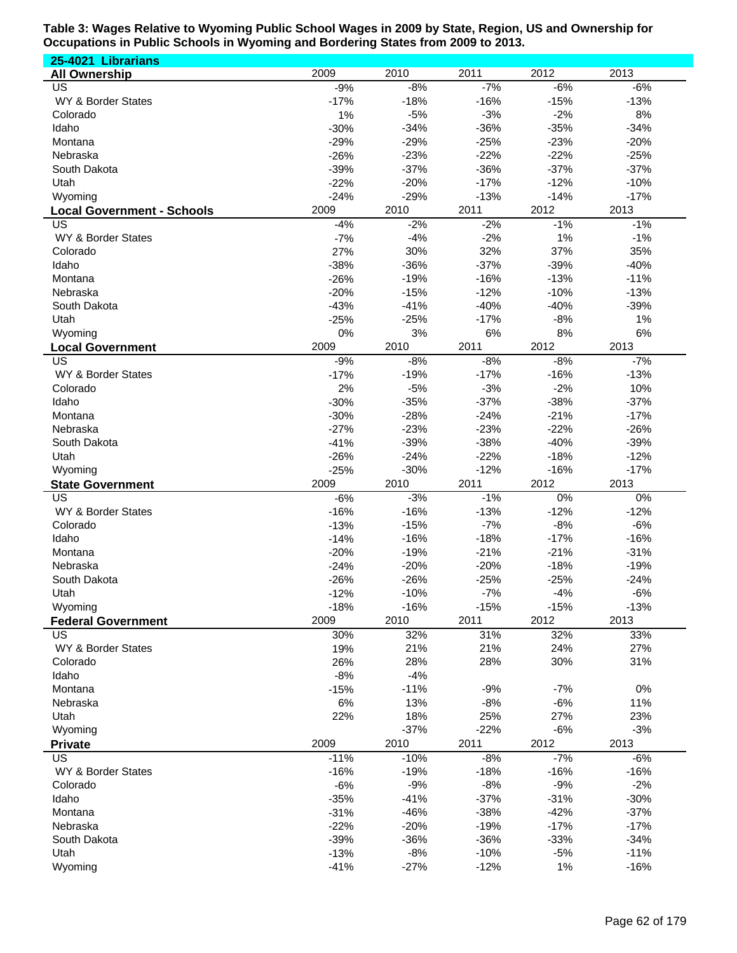**25-4021 Librarians All Ownership** 2009 2010 2011 2012 2013 US -9% -8% -7% -6% -6% WY & Border States -17% -17% -18% -16% -16% -15% -13% Colorado 1% -5% -3% -2% 8% Idaho -30% -34% -36% -35% -34% Montana -29% -29% -25% -23% -20% Nebraska -26% -23% -22% -22% -25% South Dakota -39% -37% -36% -37% -37% Utah -22% -20% -17% -12% -10% Wyoming -24% -29% -13% -14% -17% **Local Government - Schools** 2009 2010 2011 2012 2013 US -4% -2% -2% -1% -1% WY & Border States -7% -7% -4% -2% 1% -1% -1% Colorado 27% 30% 32% 37% 35% Idaho -38% -36% -37% -39% -40% Montana -26% -19% -16% -13% -11% Nebraska -20% -15% -12% -10% -13% South Dakota -43% -41% -40% -40% -39% Utah -25% -25% -17% -8% 1% Wyoming 0% 3% 6% 8% 6% **Local Government** 2009 2010 2011 2012 2013 US -9% -8% -8% -8% -7% WY & Border States -17% -17% -17% -19% -17% -16% -18% -13% Colorado 2% -5% -3% -2% 10% Idaho -30% -35% -37% -38% -37% Montana -30% -28% -24% -21% -17% Nebraska -27% -23% -23% -22% -26% South Dakota -41% -39% -38% -40% -39% Utah -26% -24% -22% -18% -12% Wyoming -25% -30% -12% -16% -17% **State Government** 2009 2010 2011 2012 2013 US -6% -3% -1% 0% 0% WY & Border States -16% -16% -16% -16% -13% -12% -12% -12% Colorado -13% -15% -7% -8% -6% Idaho -14% -16% -18% -17% -16% Montana -20% -19% -21% -21% -31% Nebraska -24% -20% -20% -18% -19% South Dakota -26% -26% -25% -25% -24% Utah -12% -10% -7% -4% -6% Wyoming -18% -16% -15% -15% -13% **Federal Government** 2009 2010 2011 2012 2013 US 30% 32% 31% 32% 33% WY & Border States 27% 21% 21% 21% 21% 24% 24% 27% Colorado 26% 28% 28% 30% 31% Idaho -8% -4% Montana -15% -11% -9% -7% 0% Nebraska 6% 13% -8% -6% 11% Utah 22% 18% 25% 27% 23% Wyoming -37% -22% -6% -3% **Private** 2009 2010 2011 2012 2013 US -11% -10% -8% -7% -6% WY & Border States -16% -16% -19% -16% -18% -16% -16% -16% Colorado -6% -9% -8% -9% -2% Idaho -35% -41% -37% -31% -30% Montana -31% -46% -38% -42% -37% Nebraska -22% -20% -19% -17% -17% South Dakota -39% -36% -36% -33% -34% Utah -13% -8% -10% -5% -11% Wyoming -41% -27% -12% 1% -16%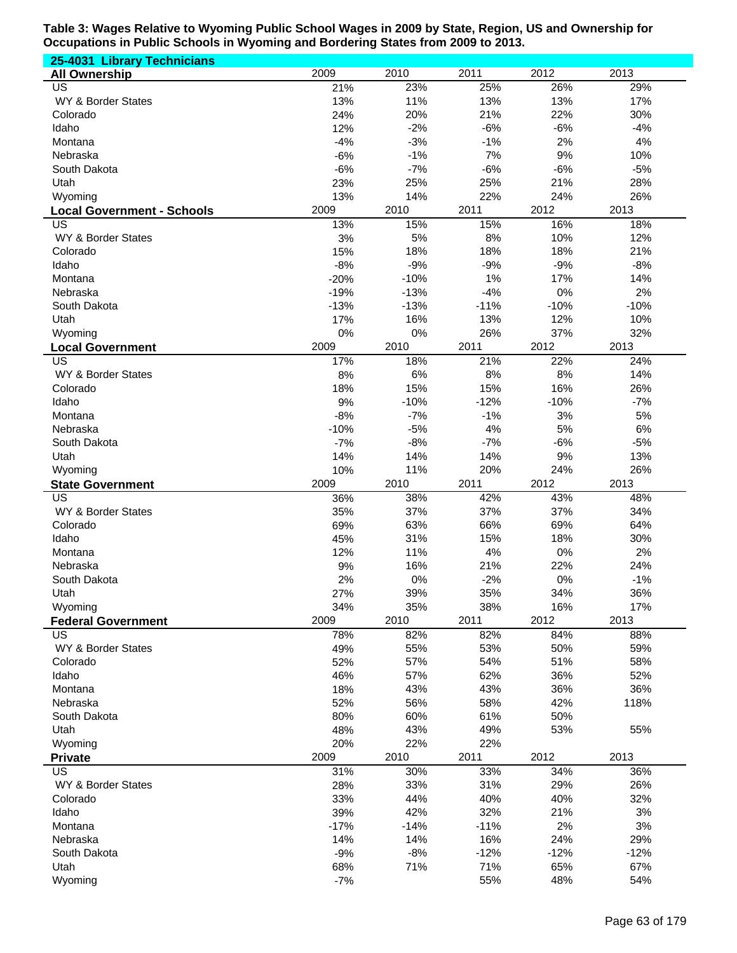| 25-4031 Library Technicians             |              |               |               |              |              |
|-----------------------------------------|--------------|---------------|---------------|--------------|--------------|
| <b>All Ownership</b>                    | 2009         | 2010          | 2011          | 2012         | 2013         |
| <b>US</b>                               | 21%          | 23%           | 25%           | 26%          | 29%          |
| WY & Border States                      | 13%          | 11%           | 13%           | 13%          | 17%          |
| Colorado                                | 24%          | 20%           | 21%           | 22%          | 30%          |
| Idaho                                   | 12%          | $-2%$         | $-6%$         | $-6%$        | $-4%$        |
| Montana                                 | $-4%$        | $-3%$         | $-1%$         | 2%           | 4%           |
| Nebraska                                | $-6%$        | $-1%$         | 7%            | 9%           | 10%          |
| South Dakota                            | $-6%$        | $-7%$         | $-6%$<br>25%  | $-6%$<br>21% | $-5%$        |
| Utah<br>Wyoming                         | 23%<br>13%   | 25%<br>14%    | 22%           | 24%          | 28%<br>26%   |
|                                         | 2009         | 2010          | 2011          | 2012         | 2013         |
| <b>Local Government - Schools</b><br>US | 13%          | 15%           | 15%           | 16%          | 18%          |
| WY & Border States                      | 3%           | 5%            | 8%            | 10%          | 12%          |
| Colorado                                | 15%          | 18%           | 18%           | 18%          | 21%          |
| Idaho                                   | $-8%$        | $-9%$         | $-9%$         | $-9%$        | $-8%$        |
| Montana                                 | $-20%$       | $-10%$        | 1%            | 17%          | 14%          |
| Nebraska                                | $-19%$       | $-13%$        | $-4%$         | 0%           | 2%           |
| South Dakota                            | $-13%$       | $-13%$        | $-11%$        | $-10%$       | $-10%$       |
| Utah                                    | 17%          | 16%           | 13%           | 12%          | 10%          |
| Wyoming                                 | 0%           | 0%            | 26%           | 37%          | 32%          |
| <b>Local Government</b>                 | 2009         | 2010          | 2011          | 2012         | 2013         |
| $\overline{\mathsf{US}}$                | 17%          | 18%           | 21%           | 22%          | 24%          |
| WY & Border States                      | 8%           | 6%            | 8%            | 8%           | 14%          |
| Colorado                                | 18%          | 15%           | 15%           | 16%          | 26%          |
| Idaho                                   | 9%           | $-10%$        | $-12%$        | $-10%$       | $-7%$        |
| Montana                                 | $-8%$        | $-7%$         | $-1%$         | 3%           | 5%           |
| Nebraska                                | $-10%$       | $-5%$         | 4%            | 5%           | 6%           |
| South Dakota                            | $-7%$        | $-8%$         | $-7%$         | $-6%$        | $-5%$        |
| Utah                                    | 14%          | 14%           | 14%           | 9%<br>24%    | 13%          |
|                                         |              |               |               |              |              |
| Wyoming                                 | 10%          | 11%           | 20%           |              | 26%          |
| <b>State Government</b>                 | 2009         | 2010          | 2011          | 2012         | 2013         |
| $\overline{US}$                         | 36%          | 38%           | 42%           | 43%          | 48%          |
| WY & Border States                      | 35%          | 37%           | 37%           | 37%          | 34%          |
| Colorado                                | 69%          | 63%           | 66%           | 69%          | 64%          |
| Idaho                                   | 45%          | 31%           | 15%           | 18%          | 30%          |
| Montana<br>Nebraska                     | 12%          | 11%           | 4%            | 0%           | 2%           |
| South Dakota                            | 9%           | 16%           | 21%<br>$-2%$  | 22%<br>0%    | 24%<br>$-1%$ |
| Utah                                    | 2%<br>27%    | 0%<br>39%     | 35%           | 34%          | 36%          |
| Wyoming                                 | 34%          | 35%           | 38%           | 16%          | 17%          |
| <b>Federal Government</b>               | 2009         | 2010          | 2011          | 2012         | 2013         |
| <b>US</b>                               | 78%          | 82%           | 82%           | 84%          | 88%          |
| WY & Border States                      | 49%          | 55%           | 53%           | 50%          | 59%          |
| Colorado                                | 52%          | 57%           | 54%           | 51%          | 58%          |
| Idaho                                   | 46%          | 57%           | 62%           | 36%          | 52%          |
| Montana                                 | 18%          | 43%           | 43%           | 36%          | 36%          |
| Nebraska                                | 52%          | 56%           | 58%           | 42%          | 118%         |
| South Dakota                            | 80%          | 60%           | 61%           | 50%          |              |
| Utah                                    | 48%          | 43%           | 49%           | 53%          | 55%          |
| Wyoming                                 | 20%          | 22%           | 22%           |              |              |
| <b>Private</b>                          | 2009         | 2010          | 2011          | 2012         | 2013         |
| <b>US</b>                               | 31%          | 30%           | 33%           | 34%          | 36%          |
| WY & Border States                      | 28%          | 33%           | 31%           | 29%          | 26%          |
| Colorado                                | 33%          | 44%           | 40%           | 40%          | 32%          |
| Idaho<br>Montana                        | 39%          | 42%           | 32%           | 21%          | 3%           |
| Nebraska                                | $-17%$       | $-14%$<br>14% | $-11%$<br>16% | 2%<br>24%    | 3%<br>29%    |
| South Dakota                            | 14%<br>$-9%$ | $-8%$         | $-12%$        | $-12%$       | $-12%$       |
| Utah                                    | 68%          | 71%           | 71%           | 65%          | 67%          |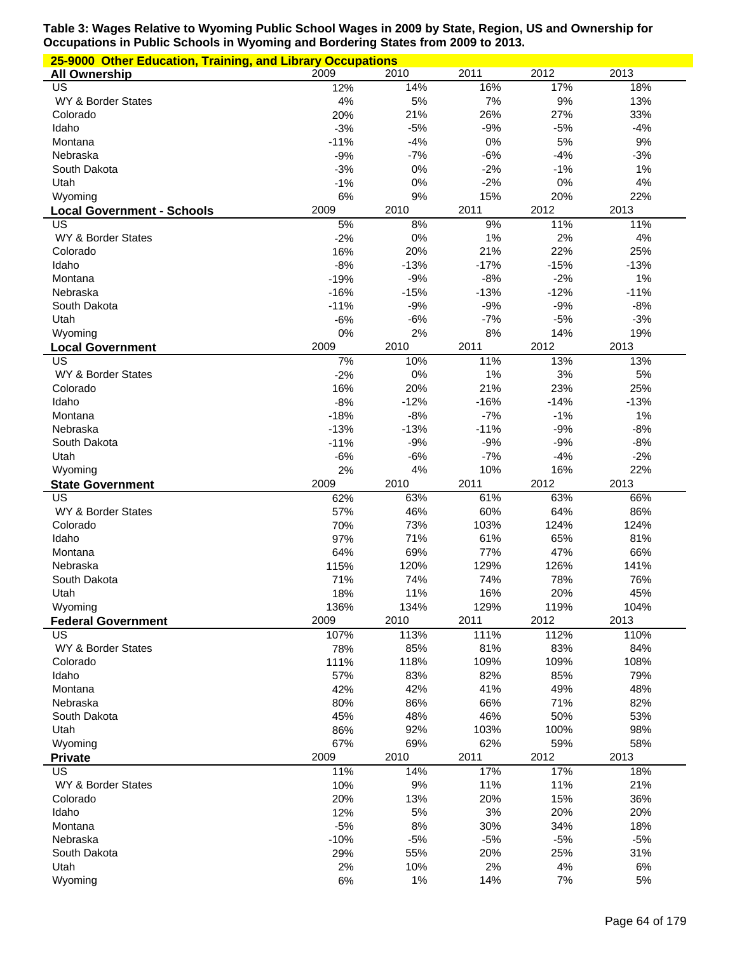| 25-9000 Other Education, Training, and Library Occupations |                |             |                |             |             |  |
|------------------------------------------------------------|----------------|-------------|----------------|-------------|-------------|--|
| <b>All Ownership</b>                                       | 2009           | 2010        | 2011           | 2012        | 2013        |  |
| US                                                         | 12%            | 14%         | 16%            | 17%         | 18%         |  |
| WY & Border States                                         | 4%             | 5%          | 7%             | 9%          | 13%         |  |
| Colorado                                                   | 20%            | 21%         | 26%            | 27%         | 33%         |  |
| Idaho                                                      | $-3%$          | $-5%$       | $-9%$          | $-5%$       | $-4%$       |  |
| Montana                                                    | $-11%$         | $-4%$       | 0%             | 5%          | 9%          |  |
| Nebraska                                                   | $-9%$          | $-7%$<br>0% | $-6%$          | $-4%$       | $-3%$       |  |
| South Dakota<br>Utah                                       | $-3%$<br>$-1%$ | 0%          | $-2%$<br>$-2%$ | $-1%$<br>0% | 1%<br>4%    |  |
| Wyoming                                                    | 6%             | 9%          | 15%            | 20%         | 22%         |  |
|                                                            | 2009           | 2010        | 2011           | 2012        | 2013        |  |
| <b>Local Government - Schools</b><br>US                    | 5%             | 8%          | 9%             | 11%         | 11%         |  |
| WY & Border States                                         | $-2%$          | 0%          | 1%             | 2%          | 4%          |  |
| Colorado                                                   | 16%            | 20%         | 21%            | 22%         | 25%         |  |
| Idaho                                                      | $-8%$          | $-13%$      | $-17%$         | $-15%$      | $-13%$      |  |
| Montana                                                    | $-19%$         | $-9%$       | $-8%$          | $-2%$       | 1%          |  |
| Nebraska                                                   | $-16%$         | $-15%$      | $-13%$         | $-12%$      | $-11%$      |  |
| South Dakota                                               | $-11%$         | $-9%$       | $-9%$          | $-9%$       | $-8%$       |  |
| Utah                                                       | $-6%$          | $-6%$       | $-7%$          | $-5%$       | $-3%$       |  |
| Wyoming                                                    | 0%             | 2%          | 8%             | 14%         | 19%         |  |
| <b>Local Government</b>                                    | 2009           | 2010        | 2011           | 2012        | 2013        |  |
| US                                                         | 7%             | 10%         | 11%            | 13%         | 13%         |  |
| WY & Border States                                         | $-2%$          | 0%          | 1%             | 3%          | 5%          |  |
| Colorado                                                   | 16%            | 20%         | 21%            | 23%         | 25%         |  |
| Idaho                                                      | $-8%$          | $-12%$      | $-16%$         | $-14%$      | $-13%$      |  |
| Montana                                                    | $-18%$         | $-8%$       | $-7%$          | $-1%$       | 1%          |  |
| Nebraska                                                   | $-13%$         | $-13%$      | $-11%$         | $-9%$       | $-8%$       |  |
| South Dakota                                               | $-11%$         | $-9%$       | $-9%$          | $-9%$       | $-8%$       |  |
| Utah                                                       | $-6%$          | $-6%$       | $-7%$          | $-4%$       | $-2%$       |  |
| Wyoming                                                    | 2%             | 4%          | 10%            | 16%         | 22%         |  |
| <b>State Government</b>                                    | 2009           | 2010        | 2011           | 2012        | 2013        |  |
| US                                                         | 62%            | 63%         | 61%            | 63%         | 66%         |  |
| WY & Border States<br>Colorado                             | 57%            | 46%         | 60%            | 64%         | 86%         |  |
| Idaho                                                      | 70%<br>97%     | 73%<br>71%  | 103%<br>61%    | 124%<br>65% | 124%<br>81% |  |
| Montana                                                    | 64%            | 69%         | 77%            | 47%         | 66%         |  |
| Nebraska                                                   | 115%           | 120%        | 129%           | 126%        | 141%        |  |
| South Dakota                                               | 71%            | 74%         | 74%            | 78%         | 76%         |  |
| Utah                                                       | 18%            | 11%         | 16%            | 20%         | 45%         |  |
| Wyoming                                                    | 136%           | 134%        | 129%           | 119%        | 104%        |  |
| <b>Federal Government</b>                                  | 2009           | 2010        | 2011           | 2012        | 2013        |  |
| US                                                         | 107%           | 113%        | 111%           | 112%        | 110%        |  |
| WY & Border States                                         | 78%            | 85%         | 81%            | 83%         | 84%         |  |
| Colorado                                                   | 111%           | 118%        | 109%           | 109%        | 108%        |  |
| Idaho                                                      | 57%            | 83%         | 82%            | 85%         | 79%         |  |
| Montana                                                    | 42%            | 42%         | 41%            | 49%         | 48%         |  |
| Nebraska                                                   | 80%            | 86%         | 66%            | 71%         | 82%         |  |
| South Dakota                                               | 45%            | 48%         | 46%            | 50%         | 53%         |  |
| Utah                                                       | 86%            | 92%         | 103%           | 100%        | 98%         |  |
| Wyoming                                                    | 67%            | 69%         | 62%            | 59%         | 58%         |  |
| <b>Private</b>                                             | 2009           | 2010        | 2011           | 2012        | 2013        |  |
| US                                                         | 11%            | 14%         | 17%            | 17%         | 18%         |  |
| WY & Border States                                         | 10%            | 9%          | 11%            | 11%         | 21%         |  |
| Colorado                                                   | 20%            | 13%         | 20%            | 15%         | 36%         |  |
| Idaho                                                      | 12%            | 5%          | 3%             | 20%         | 20%         |  |
| Montana                                                    | $-5%$          | 8%          | 30%            | 34%         | 18%         |  |
| Nebraska                                                   | $-10%$         | $-5%$       | $-5%$          | $-5%$       | $-5%$       |  |
| South Dakota                                               | 29%            | 55%         | 20%            | 25%         | 31%         |  |
| Utah                                                       | 2%             | 10%         | 2%             | 4%          | 6%          |  |
| Wyoming                                                    | 6%             | 1%          | 14%            | 7%          | 5%          |  |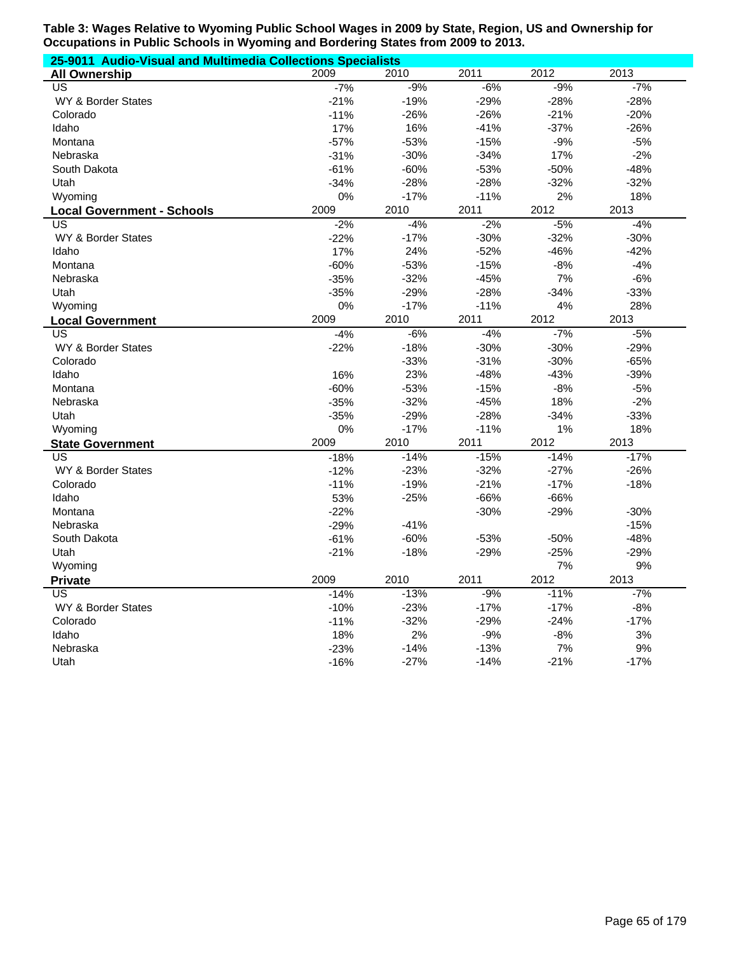| 25-9011 Audio-Visual and Multimedia Collections Specialists |        |        |        |        |        |  |
|-------------------------------------------------------------|--------|--------|--------|--------|--------|--|
| <b>All Ownership</b>                                        | 2009   | 2010   | 2011   | 2012   | 2013   |  |
| $\overline{US}$                                             | $-7%$  | $-9%$  | $-6%$  | $-9%$  | $-7%$  |  |
| WY & Border States                                          | $-21%$ | $-19%$ | $-29%$ | $-28%$ | $-28%$ |  |
| Colorado                                                    | $-11%$ | $-26%$ | $-26%$ | $-21%$ | $-20%$ |  |
| Idaho                                                       | 17%    | 16%    | $-41%$ | $-37%$ | $-26%$ |  |
| Montana                                                     | $-57%$ | $-53%$ | $-15%$ | $-9%$  | $-5%$  |  |
| Nebraska                                                    | $-31%$ | $-30%$ | $-34%$ | 17%    | $-2%$  |  |
| South Dakota                                                | $-61%$ | $-60%$ | $-53%$ | $-50%$ | $-48%$ |  |
| Utah                                                        | $-34%$ | $-28%$ | $-28%$ | $-32%$ | $-32%$ |  |
| Wyoming                                                     | 0%     | $-17%$ | $-11%$ | 2%     | 18%    |  |
| <b>Local Government - Schools</b>                           | 2009   | 2010   | 2011   | 2012   | 2013   |  |
| US                                                          | $-2%$  | $-4%$  | $-2%$  | $-5%$  | $-4%$  |  |
| <b>WY &amp; Border States</b>                               | $-22%$ | $-17%$ | $-30%$ | $-32%$ | $-30%$ |  |
| Idaho                                                       | 17%    | 24%    | $-52%$ | $-46%$ | $-42%$ |  |
| Montana                                                     | $-60%$ | $-53%$ | $-15%$ | $-8%$  | $-4%$  |  |
| Nebraska                                                    | $-35%$ | $-32%$ | $-45%$ | 7%     | $-6%$  |  |
| Utah                                                        | $-35%$ | $-29%$ | $-28%$ | $-34%$ | $-33%$ |  |
| Wyoming                                                     | 0%     | $-17%$ | $-11%$ | 4%     | 28%    |  |
| <b>Local Government</b>                                     | 2009   | 2010   | 2011   | 2012   | 2013   |  |
| US                                                          | $-4%$  | $-6%$  | $-4%$  | $-7%$  | $-5%$  |  |
| WY & Border States                                          | $-22%$ | $-18%$ | $-30%$ | $-30%$ | $-29%$ |  |
| Colorado                                                    |        | $-33%$ | $-31%$ | $-30%$ | $-65%$ |  |
| Idaho                                                       | 16%    | 23%    | $-48%$ | $-43%$ | $-39%$ |  |
| Montana                                                     | $-60%$ | $-53%$ | $-15%$ | $-8%$  | $-5%$  |  |
| Nebraska                                                    | $-35%$ | $-32%$ | $-45%$ | 18%    | $-2%$  |  |
| Utah                                                        | $-35%$ | $-29%$ | $-28%$ | $-34%$ | $-33%$ |  |
| Wyoming                                                     | 0%     | $-17%$ | $-11%$ | 1%     | 18%    |  |
| <b>State Government</b>                                     | 2009   | 2010   | 2011   | 2012   | 2013   |  |
| US                                                          | $-18%$ | $-14%$ | $-15%$ | $-14%$ | $-17%$ |  |
| WY & Border States                                          | $-12%$ | $-23%$ | $-32%$ | $-27%$ | $-26%$ |  |
| Colorado                                                    | $-11%$ | $-19%$ | $-21%$ | $-17%$ | $-18%$ |  |
| Idaho                                                       | 53%    | $-25%$ | $-66%$ | $-66%$ |        |  |
| Montana                                                     | $-22%$ |        | $-30%$ | $-29%$ | $-30%$ |  |
| Nebraska                                                    | $-29%$ | $-41%$ |        |        | $-15%$ |  |
| South Dakota                                                | $-61%$ | $-60%$ | $-53%$ | $-50%$ | $-48%$ |  |
| Utah                                                        | $-21%$ | $-18%$ | $-29%$ | $-25%$ | $-29%$ |  |
| Wyoming                                                     |        |        |        | 7%     | 9%     |  |
| <b>Private</b>                                              | 2009   | 2010   | 2011   | 2012   | 2013   |  |
| US                                                          | $-14%$ | $-13%$ | $-9%$  | $-11%$ | $-7%$  |  |
| <b>WY &amp; Border States</b>                               | $-10%$ | $-23%$ | $-17%$ | $-17%$ | $-8%$  |  |
| Colorado                                                    | $-11%$ | $-32%$ | $-29%$ | $-24%$ | $-17%$ |  |
| Idaho                                                       | 18%    | 2%     | $-9%$  | $-8%$  | 3%     |  |
| Nebraska                                                    | $-23%$ | $-14%$ | $-13%$ | 7%     | 9%     |  |
| Utah                                                        | $-16%$ | $-27%$ | $-14%$ | $-21%$ | $-17%$ |  |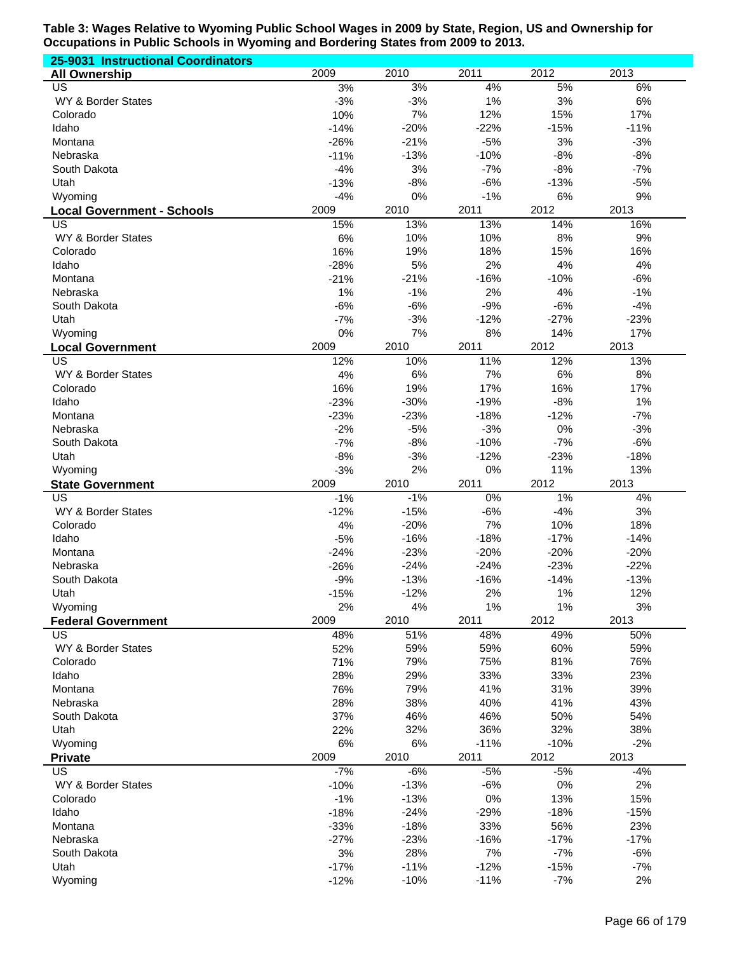| 25-9031 Instructional Coordinators      |                 |                  |                  |                  |                  |
|-----------------------------------------|-----------------|------------------|------------------|------------------|------------------|
| <b>All Ownership</b>                    | 2009            | 2010             | 2011             | 2012             | 2013             |
| US                                      | 3%              | 3%               | 4%               | 5%               | 6%               |
| WY & Border States                      | $-3%$           | $-3%$            | 1%               | 3%               | 6%               |
| Colorado                                | 10%             | 7%               | 12%              | 15%              | 17%              |
| Idaho                                   | $-14%$          | $-20%$           | $-22%$           | $-15%$           | $-11%$           |
| Montana                                 | $-26%$          | $-21%$           | $-5%$            | 3%               | $-3%$            |
| Nebraska                                | $-11%$          | $-13%$           | $-10%$           | $-8%$            | $-8%$            |
| South Dakota                            | $-4%$           | 3%<br>$-8%$      | $-7%$            | $-8%$            | $-7%$            |
| Utah<br>Wyoming                         | $-13%$<br>$-4%$ | 0%               | $-6%$<br>$-1%$   | $-13%$<br>6%     | $-5%$<br>9%      |
|                                         | 2009            | 2010             | 2011             | 2012             | 2013             |
| <b>Local Government - Schools</b><br>US | 15%             | 13%              | 13%              | 14%              | 16%              |
| WY & Border States                      | 6%              | 10%              | 10%              | 8%               | 9%               |
| Colorado                                | 16%             | 19%              | 18%              | 15%              | 16%              |
| Idaho                                   | $-28%$          | 5%               | 2%               | 4%               | 4%               |
| Montana                                 | $-21%$          | $-21%$           | $-16%$           | $-10%$           | $-6%$            |
| Nebraska                                | 1%              | $-1%$            | 2%               | 4%               | $-1%$            |
| South Dakota                            | $-6%$           | $-6%$            | $-9%$            | $-6%$            | $-4%$            |
| Utah                                    | $-7%$           | $-3%$            | $-12%$           | $-27%$           | $-23%$           |
| Wyoming                                 | 0%              | 7%               | 8%               | 14%              | 17%              |
| <b>Local Government</b>                 | 2009            | 2010             | 2011             | 2012             | 2013             |
| $\overline{\mathsf{US}}$                | 12%             | 10%              | 11%              | 12%              | 13%              |
| WY & Border States                      | 4%              | 6%               | 7%               | 6%               | 8%               |
| Colorado                                | 16%             | 19%              | 17%              | 16%              | 17%              |
| Idaho                                   | $-23%$          | $-30%$           | $-19%$           | $-8%$            | 1%               |
| Montana                                 | $-23%$          | $-23%$           | $-18%$           | $-12%$           | $-7%$            |
| Nebraska                                | $-2%$           | $-5%$            | $-3%$            | 0%               | $-3%$            |
| South Dakota                            | $-7%$           | $-8%$            | $-10%$           | $-7%$            | $-6%$            |
| Utah<br>Wyoming                         | $-8%$<br>$-3%$  | $-3%$            | $-12%$           | $-23%$           | $-18%$           |
|                                         |                 | 2%               | 0%               | 11%              | 13%              |
|                                         |                 |                  |                  |                  |                  |
| <b>State Government</b>                 | 2009            | 2010             | 2011             | 2012             | 2013             |
| US                                      | $-1%$           | $-1%$            | $0\%$            | 1%               | 4%               |
| WY & Border States                      | $-12%$          | $-15%$           | $-6%$            | $-4%$            | 3%               |
| Colorado                                | 4%              | $-20%$           | 7%               | 10%              | 18%              |
| Idaho<br>Montana                        | $-5%$<br>$-24%$ | $-16%$<br>$-23%$ | $-18%$<br>$-20%$ | $-17%$<br>$-20%$ | $-14%$<br>$-20%$ |
| Nebraska                                | $-26%$          | $-24%$           | $-24%$           | $-23%$           | $-22%$           |
| South Dakota                            | $-9%$           | $-13%$           | $-16%$           | $-14%$           | $-13%$           |
| Utah                                    | $-15%$          | $-12%$           | 2%               | 1%               | 12%              |
| Wyoming                                 | 2%              | 4%               | 1%               | 1%               | 3%               |
| <b>Federal Government</b>               | 2009            | 2010             | 2011             | 2012             | 2013             |
| <b>US</b>                               | 48%             | 51%              | 48%              | 49%              | 50%              |
| WY & Border States                      | 52%             | 59%              | 59%              | 60%              | 59%              |
| Colorado                                | 71%             | 79%              | 75%              | 81%              | 76%              |
| Idaho                                   | 28%             | 29%              | 33%              | 33%              | 23%              |
| Montana                                 | 76%             | 79%              | 41%              | 31%              | 39%              |
| Nebraska                                | 28%             | 38%              | 40%              | 41%              | 43%              |
| South Dakota                            | 37%             | 46%              | 46%              | 50%              | 54%              |
| Utah                                    | 22%             | 32%              | 36%              | 32%              | 38%              |
| Wyoming                                 | 6%              | 6%               | $-11%$           | $-10%$           | $-2%$            |
| <b>Private</b>                          | 2009            | 2010             | 2011             | 2012             | 2013             |
| <b>US</b>                               | $-7%$           | $-6%$            | $-5%$            | $-5%$            | $-4%$            |
| WY & Border States<br>Colorado          | $-10%$          | $-13%$           | $-6%$            | 0%               | 2%               |
| Idaho                                   | $-1%$<br>$-18%$ | $-13%$<br>$-24%$ | 0%               | 13%<br>$-18%$    | 15%<br>$-15%$    |
| Montana                                 | $-33%$          | $-18%$           | $-29%$<br>33%    | 56%              | 23%              |
| Nebraska                                | $-27%$          | $-23%$           | $-16%$           | $-17%$           | $-17%$           |
| South Dakota                            | 3%              | 28%              | 7%               | $-7%$            | $-6%$            |
| Utah                                    | $-17%$          | $-11%$           | $-12%$           | $-15%$           | $-7%$            |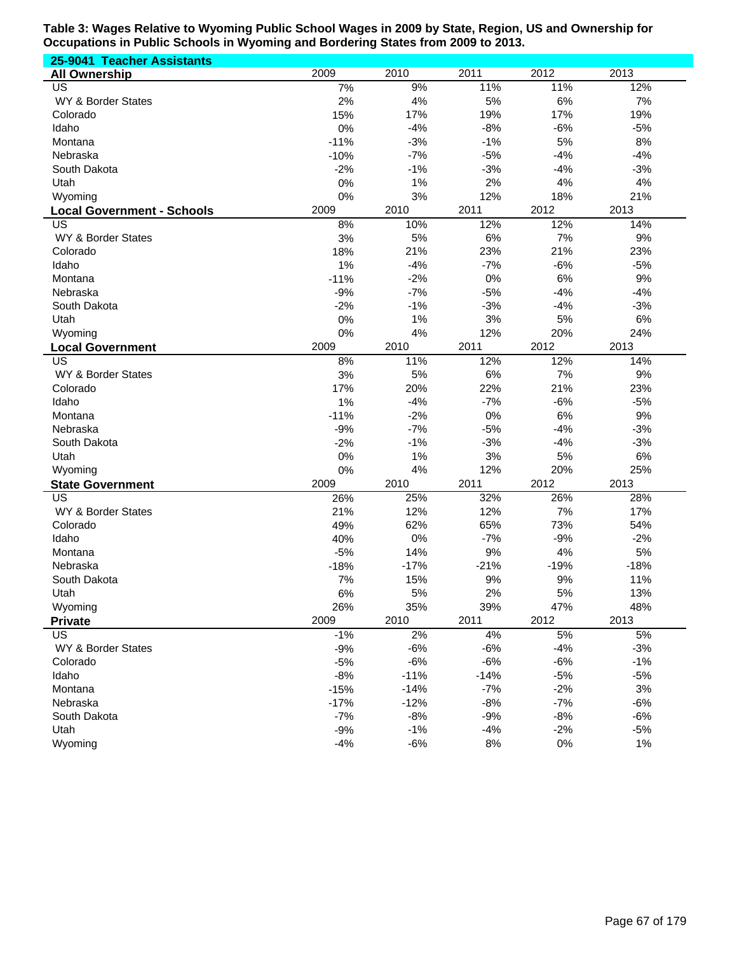| 25-9041 Teacher Assistants        |        |        |        |        |        |
|-----------------------------------|--------|--------|--------|--------|--------|
| <b>All Ownership</b>              | 2009   | 2010   | 2011   | 2012   | 2013   |
| US                                | 7%     | 9%     | 11%    | 11%    | 12%    |
| WY & Border States                | 2%     | 4%     | 5%     | 6%     | 7%     |
| Colorado                          | 15%    | 17%    | 19%    | 17%    | 19%    |
| Idaho                             | 0%     | $-4%$  | $-8%$  | $-6%$  | $-5%$  |
| Montana                           | $-11%$ | $-3%$  | $-1%$  | 5%     | 8%     |
| Nebraska                          | $-10%$ | $-7%$  | $-5%$  | $-4%$  | $-4%$  |
| South Dakota                      | $-2%$  | $-1%$  | $-3%$  | $-4%$  | $-3%$  |
| Utah                              | 0%     | 1%     | 2%     | 4%     | 4%     |
| Wyoming                           | 0%     | 3%     | 12%    | 18%    | 21%    |
| <b>Local Government - Schools</b> | 2009   | 2010   | 2011   | 2012   | 2013   |
| US                                | 8%     | 10%    | 12%    | 12%    | 14%    |
| WY & Border States                | 3%     | 5%     | 6%     | 7%     | 9%     |
| Colorado                          | 18%    | 21%    | 23%    | 21%    | 23%    |
| Idaho                             | 1%     | $-4%$  | $-7%$  | $-6%$  | $-5%$  |
| Montana                           | $-11%$ | $-2%$  | 0%     | 6%     | 9%     |
| Nebraska                          | $-9%$  | $-7%$  | $-5%$  | $-4%$  | $-4%$  |
| South Dakota                      | $-2%$  | $-1%$  | $-3%$  | $-4%$  | $-3%$  |
| Utah                              | 0%     | 1%     | 3%     | 5%     | 6%     |
| Wyoming                           | 0%     | 4%     | 12%    | 20%    | 24%    |
| <b>Local Government</b>           | 2009   | 2010   | 2011   | 2012   | 2013   |
| US                                | 8%     | 11%    | 12%    | 12%    | 14%    |
| WY & Border States                | 3%     | 5%     | 6%     | 7%     | 9%     |
| Colorado                          | 17%    | 20%    | 22%    | 21%    | 23%    |
| Idaho                             | 1%     | $-4%$  | $-7%$  | $-6%$  | $-5%$  |
| Montana                           | $-11%$ | $-2%$  | 0%     | $6\%$  | 9%     |
| Nebraska                          | $-9%$  | $-7%$  | $-5%$  | $-4%$  | $-3%$  |
| South Dakota                      | $-2%$  | $-1%$  | $-3%$  | $-4%$  | $-3%$  |
| Utah                              | 0%     | 1%     | 3%     | 5%     | 6%     |
| Wyoming                           | 0%     | 4%     | 12%    | 20%    | 25%    |
| <b>State Government</b>           | 2009   | 2010   | 2011   | 2012   | 2013   |
| US                                | 26%    | 25%    | 32%    | 26%    | 28%    |
| WY & Border States                | 21%    | 12%    | 12%    | 7%     | 17%    |
| Colorado                          | 49%    | 62%    | 65%    | 73%    | 54%    |
| Idaho                             | 40%    | 0%     | $-7%$  | $-9%$  | $-2%$  |
| Montana                           | $-5%$  | 14%    | 9%     | 4%     | 5%     |
| Nebraska                          | $-18%$ | $-17%$ | $-21%$ | $-19%$ | $-18%$ |
| South Dakota                      | 7%     | 15%    | 9%     | 9%     | 11%    |
| Utah                              | 6%     | 5%     | 2%     | 5%     | 13%    |
| Wyoming                           | 26%    | 35%    | 39%    | 47%    | 48%    |
|                                   | 2009   | 2010   | 2011   | 2012   | 2013   |
| <b>Private</b><br><b>US</b>       |        | 2%     | 4%     | 5%     | 5%     |
|                                   | $-1%$  |        |        |        |        |
| WY & Border States                | $-9%$  | $-6%$  | $-6%$  | $-4%$  | $-3%$  |
| Colorado                          | $-5%$  | $-6%$  | $-6%$  | $-6%$  | $-1%$  |
| Idaho                             | $-8%$  | $-11%$ | $-14%$ | $-5%$  | $-5%$  |
| Montana                           | $-15%$ | $-14%$ | $-7%$  | $-2%$  | $3%$   |
| Nebraska                          | $-17%$ | $-12%$ | $-8%$  | $-7%$  | $-6%$  |
| South Dakota                      | $-7%$  | $-8%$  | $-9%$  | $-8%$  | $-6%$  |
| Utah                              | $-9%$  | $-1%$  | $-4%$  | $-2%$  | $-5%$  |
| Wyoming                           | $-4%$  | $-6%$  | 8%     | $0\%$  | 1%     |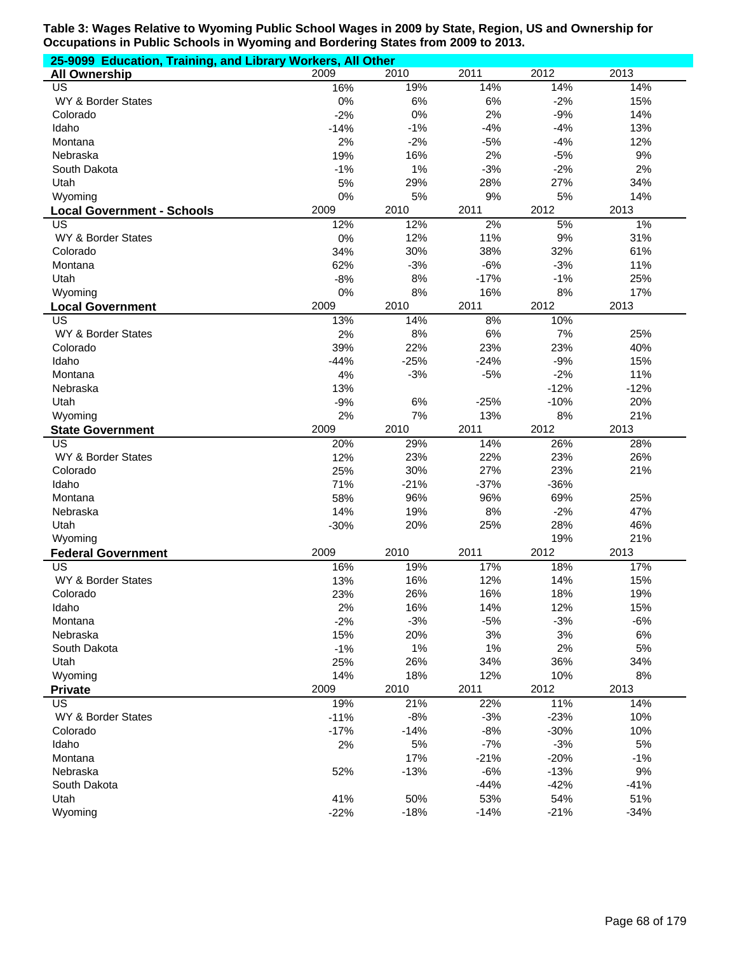| 25-9099 Education, Training, and Library Workers, All Other |               |              |              |               |            |  |
|-------------------------------------------------------------|---------------|--------------|--------------|---------------|------------|--|
| <b>All Ownership</b>                                        | 2009          | 2010         | 2011         | 2012          | 2013       |  |
| US                                                          | 16%           | 19%          | 14%          | 14%           | 14%        |  |
| WY & Border States                                          | 0%            | 6%           | 6%           | $-2%$         | 15%        |  |
| Colorado                                                    | $-2%$         | 0%           | 2%           | $-9%$         | 14%        |  |
| Idaho                                                       | $-14%$        | $-1%$        | $-4%$        | $-4%$         | 13%        |  |
| Montana                                                     | 2%            | $-2%$        | $-5%$        | $-4%$         | 12%        |  |
| Nebraska                                                    | 19%           | 16%          | 2%           | $-5%$         | 9%         |  |
| South Dakota                                                | $-1%$         | 1%           | $-3%$        | $-2%$         | 2%         |  |
| Utah                                                        | 5%            | 29%          | 28%          | 27%           | 34%        |  |
| Wyoming                                                     | 0%            | 5%           | 9%           | 5%            | 14%        |  |
| <b>Local Government - Schools</b>                           | 2009          | 2010         | 2011         | 2012          | 2013       |  |
| US                                                          | 12%           | 12%          | 2%           | 5%            | 1%         |  |
| WY & Border States                                          | 0%            | 12%          | 11%          | 9%            | 31%        |  |
| Colorado                                                    | 34%           | 30%          | 38%          | 32%           | 61%        |  |
| Montana                                                     | 62%           | $-3%$        | $-6%$        | $-3%$         | 11%        |  |
| Utah                                                        | $-8%$         | 8%           | $-17%$       | $-1%$         | 25%        |  |
| Wyoming                                                     | 0%            | 8%           | 16%          | 8%            | 17%        |  |
| <b>Local Government</b>                                     | 2009          | 2010         | 2011         | 2012          | 2013       |  |
| <b>US</b>                                                   | 13%           | 14%          | 8%           | 10%           |            |  |
| WY & Border States                                          | 2%            | $8%$         | 6%           | 7%            | 25%        |  |
| Colorado                                                    | 39%           | 22%          | 23%          | 23%           | 40%        |  |
| Idaho                                                       | $-44%$        | $-25%$       | $-24%$       | $-9%$         | 15%        |  |
| Montana                                                     | 4%            | $-3%$        | $-5%$        | $-2%$         | 11%        |  |
| Nebraska                                                    | 13%           |              |              | $-12%$        | $-12%$     |  |
| Utah                                                        | $-9%$         | 6%           | $-25%$       | $-10%$        | 20%        |  |
| Wyoming                                                     | 2%            | 7%           | 13%          | 8%            | 21%        |  |
| <b>State Government</b>                                     | 2009          | 2010         | 2011         | 2012          | 2013       |  |
| US                                                          | 20%           | 29%          | 14%          | 26%           | 28%        |  |
| WY & Border States                                          | 12%           | 23%          | 22%          | 23%           | 26%        |  |
| Colorado                                                    | 25%           | 30%          | 27%          | 23%           | 21%        |  |
| Idaho                                                       | 71%           | $-21%$       | $-37%$       | $-36%$        |            |  |
| Montana                                                     | 58%           | 96%          | 96%          | 69%           | 25%        |  |
| Nebraska                                                    | 14%           | 19%          | 8%           | $-2%$         | 47%        |  |
| Utah                                                        | $-30%$        | 20%          | 25%          | 28%           | 46%        |  |
| Wyoming                                                     |               |              |              | 19%           | 21%        |  |
| <b>Federal Government</b>                                   | 2009          | 2010         | 2011         | 2012          | 2013       |  |
| US                                                          | 16%           | 19%          | 17%          | 18%           | 17%        |  |
| WY & Border States                                          | 13%           | 16%          | 12%          | 14%           | 15%        |  |
| Colorado                                                    | 23%           | 26%          | 16%          | 18%           | 19%        |  |
| Idaho                                                       | 2%            | 16%          | 14%          | 12%           | 15%        |  |
| Montana                                                     | $-2%$         | $-3%$        | $-5%$        | $-3%$         | $-6%$      |  |
| Nebraska                                                    | 15%           | 20%          | 3%           | 3%            | 6%         |  |
| South Dakota                                                | $-1%$         | 1%           | 1%           | 2%            | 5%         |  |
| Utah                                                        | 25%           | 26%          | 34%          | 36%           | 34%        |  |
| Wyoming                                                     | 14%           | 18%          | 12%          | 10%           | 8%         |  |
|                                                             | 2009          | 2010         | 2011         | 2012          | 2013       |  |
| Private                                                     |               |              |              |               |            |  |
| US<br>WY & Border States                                    | 19%<br>$-11%$ | 21%<br>$-8%$ | 22%<br>$-3%$ | 11%<br>$-23%$ | 14%<br>10% |  |
|                                                             |               | $-14%$       | $-8%$        | $-30%$        | 10%        |  |
| Colorado<br>Idaho                                           | $-17%$        | 5%           | $-7%$        | $-3%$         | 5%         |  |
| Montana                                                     | 2%            | 17%          | $-21%$       | $-20%$        | $-1%$      |  |
| Nebraska                                                    |               | $-13%$       | $-6%$        | $-13%$        | 9%         |  |
|                                                             | 52%           |              | $-44%$       | $-42%$        | $-41%$     |  |
| South Dakota                                                |               |              |              |               |            |  |
| Utah                                                        | 41%           | 50%          | 53%          | 54%           | 51%        |  |
| Wyoming                                                     | $-22%$        | $-18%$       | $-14%$       | $-21%$        | $-34%$     |  |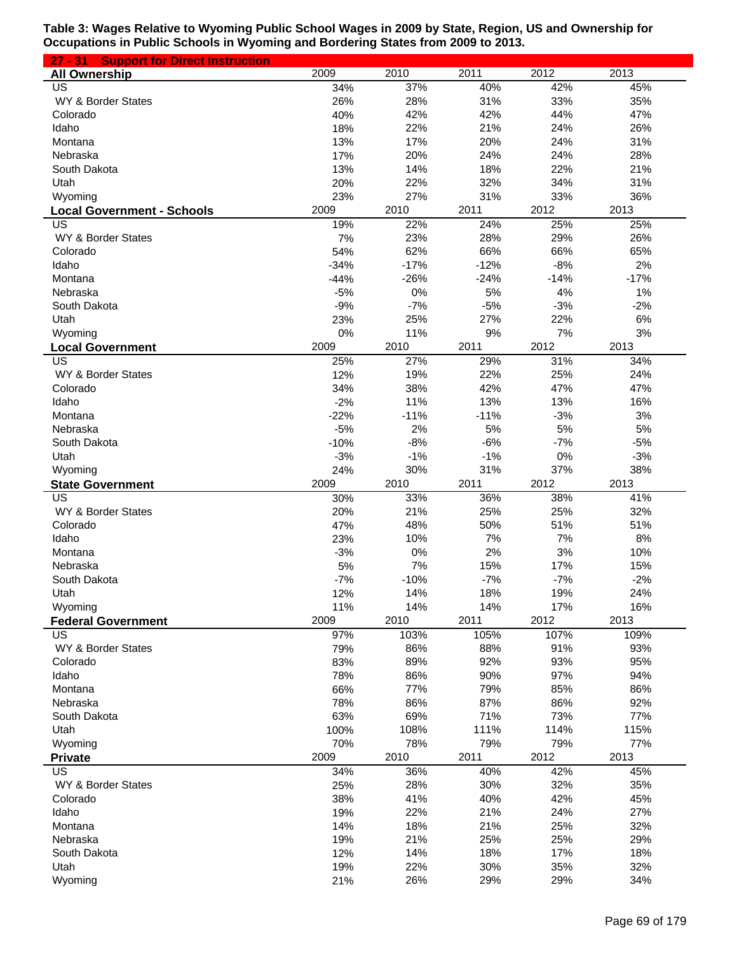| 27 - 31 Support for Direct Instruction |        |        |        |                   |        |
|----------------------------------------|--------|--------|--------|-------------------|--------|
| <b>All Ownership</b>                   | 2009   | 2010   | 2011   | 2012              | 2013   |
| US                                     | 34%    | 37%    | 40%    | 42%               | 45%    |
| WY & Border States                     | 26%    | 28%    | 31%    | 33%               | 35%    |
| Colorado                               | 40%    | 42%    | 42%    | 44%               | 47%    |
| Idaho                                  | 18%    | 22%    | 21%    | 24%               | 26%    |
| Montana                                | 13%    | 17%    | 20%    | 24%               | 31%    |
| Nebraska                               | 17%    | 20%    | 24%    | 24%               | 28%    |
| South Dakota                           | 13%    | 14%    | 18%    | 22%               | 21%    |
| Utah                                   | 20%    | 22%    | 32%    | 34%               | 31%    |
| Wyoming                                | 23%    | 27%    | 31%    | 33%               | 36%    |
| <b>Local Government - Schools</b>      | 2009   | 2010   | 2011   | 2012              | 2013   |
| US                                     | 19%    | 22%    | 24%    | 25%               | 25%    |
| WY & Border States                     | 7%     | 23%    | 28%    | 29%               | 26%    |
| Colorado                               | 54%    | 62%    | 66%    | 66%               | 65%    |
| Idaho                                  | $-34%$ | $-17%$ | $-12%$ | $-8%$             | 2%     |
| Montana                                | $-44%$ | $-26%$ | $-24%$ | $-14%$            | $-17%$ |
| Nebraska                               | $-5%$  | 0%     | 5%     | 4%                | 1%     |
| South Dakota                           | $-9%$  | $-7%$  | $-5%$  | $-3%$             | $-2%$  |
| Utah                                   | 23%    | 25%    | 27%    | 22%               | 6%     |
| Wyoming                                | 0%     | 11%    | 9%     | 7%                | 3%     |
| <b>Local Government</b>                | 2009   | 2010   | 2011   | 2012              | 2013   |
| $\overline{\mathsf{US}}$               | 25%    | 27%    | 29%    | $\overline{31\%}$ | 34%    |
| WY & Border States                     | 12%    | 19%    | 22%    | 25%               | 24%    |
| Colorado                               | 34%    | 38%    | 42%    | 47%               | 47%    |
| Idaho                                  | $-2%$  | 11%    | 13%    | 13%               | 16%    |
| Montana                                | $-22%$ | $-11%$ | $-11%$ | $-3%$             | 3%     |
| Nebraska                               | $-5%$  | 2%     | 5%     | 5%                | 5%     |
| South Dakota                           | $-10%$ | $-8%$  | $-6%$  | $-7%$             | $-5%$  |
| Utah                                   | $-3%$  | $-1%$  | $-1%$  | 0%                | $-3%$  |
| Wyoming                                | 24%    | 30%    | 31%    | 37%               | 38%    |
| <b>State Government</b>                | 2009   | 2010   | 2011   | 2012              | 2013   |
| $\overline{\mathsf{US}}$               | 30%    | 33%    | 36%    | 38%               | 41%    |
| WY & Border States                     | 20%    | 21%    | 25%    | 25%               | 32%    |
| Colorado                               | 47%    | 48%    | 50%    | 51%               | 51%    |
| Idaho                                  | 23%    | 10%    | 7%     | 7%                | 8%     |
| Montana                                | $-3%$  | 0%     | 2%     | 3%                | 10%    |
| Nebraska                               | 5%     | 7%     | 15%    | 17%               | 15%    |
| South Dakota                           | $-7%$  | $-10%$ | $-7%$  | $-7%$             | $-2%$  |
| Utah                                   | 12%    | 14%    | 18%    | 19%               | 24%    |
| Wyoming                                | 11%    | 14%    | 14%    | 17%               | 16%    |
| <b>Federal Government</b>              | 2009   | 2010   | 2011   | 2012              | 2013   |
| US                                     | 97%    | 103%   | 105%   | 107%              | 109%   |
| WY & Border States                     | 79%    | 86%    | 88%    | 91%               | 93%    |
| Colorado                               | 83%    | 89%    | 92%    | 93%               | 95%    |
| Idaho                                  | 78%    | 86%    | 90%    | 97%               | 94%    |
| Montana                                | 66%    | 77%    | 79%    | 85%               | 86%    |
| Nebraska                               | 78%    | 86%    | 87%    | 86%               | 92%    |
| South Dakota                           | 63%    | 69%    | 71%    | 73%               | 77%    |
| Utah                                   | 100%   | 108%   | 111%   | 114%              | 115%   |
| Wyoming                                | 70%    | 78%    | 79%    | 79%               | 77%    |
| <b>Private</b>                         | 2009   | 2010   | 2011   | 2012              | 2013   |
| US                                     | 34%    | 36%    | 40%    | 42%               | 45%    |
| WY & Border States                     | 25%    | 28%    | 30%    | 32%               | 35%    |
| Colorado                               | 38%    | 41%    | 40%    | 42%               | 45%    |
| Idaho                                  | 19%    | 22%    | 21%    | 24%               | 27%    |
| Montana                                | 14%    | 18%    | 21%    | 25%               | 32%    |
| Nebraska                               | 19%    | 21%    | 25%    | 25%               | 29%    |
| South Dakota                           | 12%    | 14%    | 18%    | 17%               | 18%    |
| Utah                                   | 19%    | 22%    | 30%    | 35%               | 32%    |
| Wyoming                                | 21%    | 26%    | 29%    | 29%               | 34%    |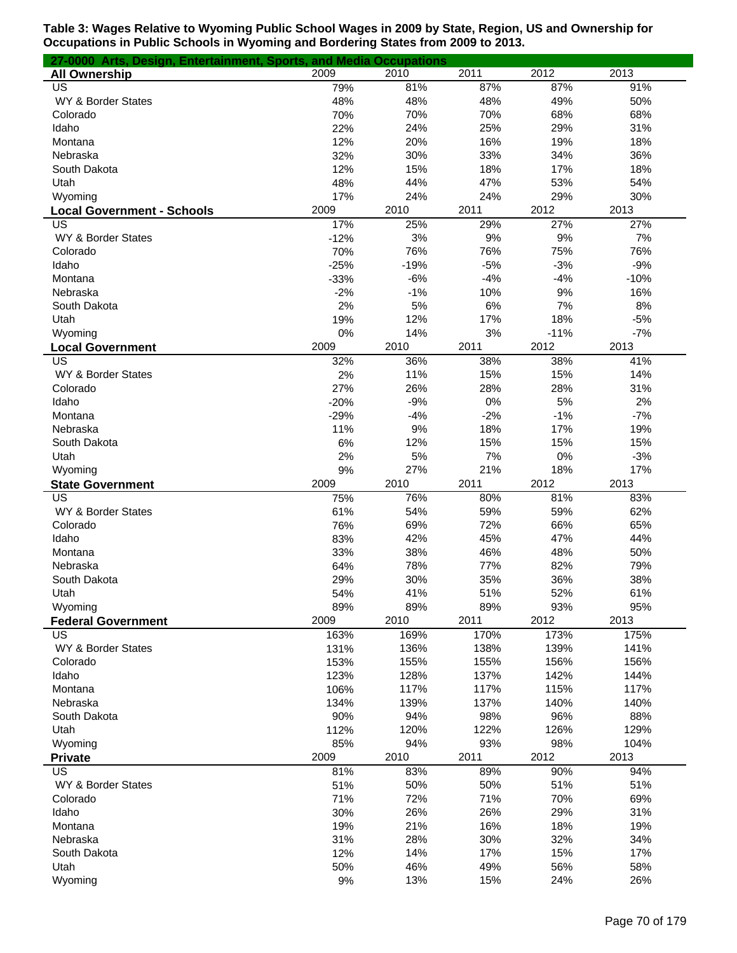| 27-0000 Arts, Design, Entertainment, Sports, and Media Occupations |           |             |           |          |           |
|--------------------------------------------------------------------|-----------|-------------|-----------|----------|-----------|
| <b>All Ownership</b>                                               | 2009      | 2010        | 2011      | 2012     | 2013      |
| US                                                                 | 79%       | 81%         | 87%       | 87%      | 91%       |
| WY & Border States                                                 | 48%       | 48%         | 48%       | 49%      | 50%       |
| Colorado                                                           | 70%       | 70%         | 70%       | 68%      | 68%       |
| Idaho                                                              | 22%       | 24%         | 25%       | 29%      | 31%       |
| Montana                                                            | 12%       | 20%         | 16%       | 19%      | 18%       |
| Nebraska                                                           | 32%       | 30%         | 33%       | 34%      | 36%       |
| South Dakota                                                       | 12%       | 15%         | 18%       | 17%      | 18%       |
| Utah                                                               | 48%       | 44%         | 47%       | 53%      | 54%       |
| Wyoming                                                            | 17%       | 24%         | 24%       | 29%      | 30%       |
| <b>Local Government - Schools</b>                                  | 2009      | 2010        | 2011      | 2012     | 2013      |
| US                                                                 | 17%       | 25%         | 29%       | 27%      | 27%       |
| WY & Border States                                                 | $-12%$    | 3%          | 9%        | 9%       | 7%        |
| Colorado                                                           | 70%       | 76%         | 76%       | 75%      | 76%       |
| Idaho                                                              | $-25%$    | $-19%$      | $-5%$     | $-3%$    | $-9%$     |
| Montana                                                            | $-33%$    | $-6%$       | $-4%$     | $-4%$    | $-10%$    |
| Nebraska                                                           | $-2%$     | $-1%$<br>5% | 10%<br>6% | 9%<br>7% | 16%<br>8% |
| South Dakota<br>Utah                                               | 2%        | 12%         | 17%       | 18%      | $-5%$     |
| Wyoming                                                            | 19%<br>0% | 14%         | 3%        | $-11%$   | $-7%$     |
|                                                                    | 2009      | 2010        | 2011      | 2012     | 2013      |
| <b>Local Government</b><br>US                                      | 32%       | 36%         | 38%       | 38%      | 41%       |
| WY & Border States                                                 | 2%        | 11%         | 15%       | 15%      | 14%       |
| Colorado                                                           | 27%       | 26%         | 28%       | 28%      | 31%       |
| Idaho                                                              | $-20%$    | $-9%$       | 0%        | 5%       | 2%        |
| Montana                                                            | $-29%$    | $-4%$       | $-2%$     | $-1%$    | $-7%$     |
| Nebraska                                                           | 11%       | 9%          | 18%       | 17%      | 19%       |
| South Dakota                                                       | 6%        | 12%         | 15%       | 15%      | 15%       |
| Utah                                                               | 2%        | 5%          | 7%        | 0%       | $-3%$     |
| Wyoming                                                            | 9%        | 27%         | 21%       | 18%      | 17%       |
| <b>State Government</b>                                            | 2009      | 2010        | 2011      | 2012     | 2013      |
| US                                                                 | 75%       | 76%         | 80%       | 81%      | 83%       |
| WY & Border States                                                 | 61%       | 54%         | 59%       | 59%      | 62%       |
| Colorado                                                           | 76%       | 69%         | 72%       | 66%      | 65%       |
| Idaho                                                              | 83%       | 42%         | 45%       | 47%      | 44%       |
| Montana                                                            | 33%       | 38%         | 46%       | 48%      | 50%       |
| Nebraska                                                           | 64%       | 78%         | 77%       | 82%      | 79%       |
| South Dakota                                                       | 29%       | 30%         | 35%       | 36%      | 38%       |
| Utah                                                               | 54%       | 41%         | 51%       | 52%      | 61%       |
| Wyoming                                                            | 89%       | 89%         | 89%       | 93%      | 95%       |
| <b>Federal Government</b>                                          | 2009      | 2010        | 2011      | 2012     | 2013      |
| US                                                                 | 163%      | 169%        | 170%      | 173%     | 175%      |
| WY & Border States                                                 | 131%      | 136%        | 138%      | 139%     | 141%      |
| Colorado                                                           | 153%      | 155%        | 155%      | 156%     | 156%      |
| Idaho                                                              | 123%      | 128%        | 137%      | 142%     | 144%      |
| Montana                                                            | 106%      | 117%        | 117%      | 115%     | 117%      |
| Nebraska                                                           | 134%      | 139%        | 137%      | 140%     | 140%      |
| South Dakota                                                       | 90%       | 94%         | 98%       | 96%      | 88%       |
| Utah                                                               | 112%      | 120%        | 122%      | 126%     | 129%      |
| Wyoming                                                            | 85%       | 94%         | 93%       | 98%      | 104%      |
| <b>Private</b>                                                     | 2009      | 2010        | 2011      | 2012     | 2013      |
| US                                                                 | 81%       | 83%         | 89%       | 90%      | 94%       |
| WY & Border States                                                 | 51%       | 50%         | 50%       | 51%      | 51%       |
| Colorado                                                           | 71%       | 72%         | 71%       | 70%      | 69%       |
| Idaho                                                              | 30%       | 26%         | 26%       | 29%      | 31%       |
| Montana                                                            | 19%       | 21%         | 16%       | 18%      | 19%       |
| Nebraska                                                           | 31%       | 28%         | 30%       | 32%      | 34%       |
| South Dakota                                                       | 12%       | 14%         | 17%       | 15%      | 17%       |
| Utah                                                               | 50%       | 46%         | 49%       | 56%      | 58%       |
| Wyoming                                                            | $9%$      | 13%         | 15%       | 24%      | 26%       |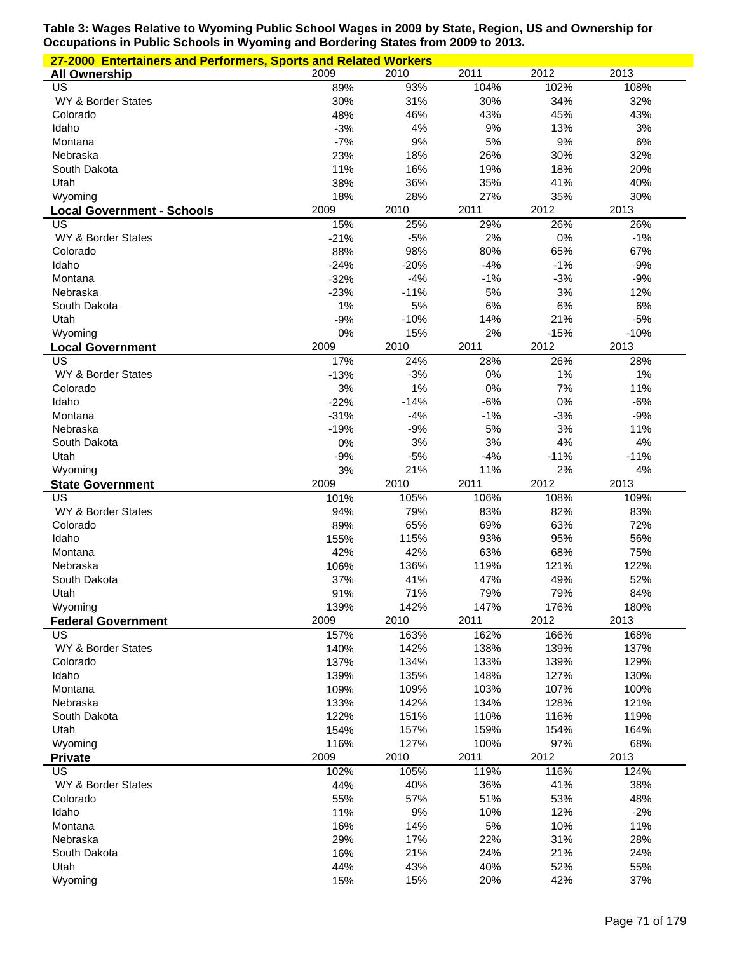| 27-2000 Entertainers and Performers, Sports and Related Workers |              |              |              |             |             |  |
|-----------------------------------------------------------------|--------------|--------------|--------------|-------------|-------------|--|
| <b>All Ownership</b>                                            | 2009         | 2010         | 2011         | 2012        | 2013        |  |
| US                                                              | 89%          | 93%          | 104%         | 102%        | 108%        |  |
| WY & Border States                                              | 30%          | 31%          | 30%          | 34%         | 32%         |  |
| Colorado                                                        | 48%          | 46%          | 43%          | 45%         | 43%         |  |
| Idaho                                                           | $-3%$        | 4%           | 9%           | 13%         | 3%          |  |
| Montana                                                         | $-7%$        | 9%           | 5%           | 9%          | 6%          |  |
| Nebraska                                                        | 23%          | 18%          | 26%          | 30%         | 32%         |  |
| South Dakota                                                    | 11%          | 16%          | 19%          | 18%         | 20%         |  |
| Utah                                                            | 38%          | 36%          | 35%          | 41%         | 40%         |  |
| Wyoming                                                         | 18%<br>2009  | 28%          | 27%<br>2011  | 35%         | 30%<br>2013 |  |
| <b>Local Government - Schools</b><br>US                         | 15%          | 2010<br>25%  | 29%          | 2012<br>26% | 26%         |  |
| WY & Border States                                              | $-21%$       | $-5%$        | 2%           | 0%          | $-1%$       |  |
| Colorado                                                        | 88%          | 98%          | 80%          | 65%         | 67%         |  |
| Idaho                                                           | $-24%$       | $-20%$       | $-4%$        | $-1%$       | $-9%$       |  |
| Montana                                                         | $-32%$       | $-4%$        | $-1%$        | $-3%$       | $-9%$       |  |
| Nebraska                                                        | $-23%$       | $-11%$       | 5%           | 3%          | 12%         |  |
| South Dakota                                                    | 1%           | 5%           | 6%           | 6%          | 6%          |  |
| Utah                                                            | $-9%$        | $-10%$       | 14%          | 21%         | $-5%$       |  |
| Wyoming                                                         | 0%           | 15%          | 2%           | $-15%$      | $-10%$      |  |
| <b>Local Government</b>                                         | 2009         | 2010         | 2011         | 2012        | 2013        |  |
| US                                                              | 17%          | 24%          | 28%          | 26%         | 28%         |  |
| WY & Border States                                              | $-13%$       | $-3%$        | 0%           | 1%          | 1%          |  |
| Colorado                                                        | 3%           | 1%           | 0%           | 7%          | 11%         |  |
| Idaho                                                           | $-22%$       | $-14%$       | $-6%$        | 0%          | $-6%$       |  |
| Montana                                                         | $-31%$       | $-4%$        | $-1%$        | $-3%$       | $-9%$       |  |
| Nebraska                                                        | $-19%$       | $-9%$        | 5%           | 3%          | 11%         |  |
| South Dakota                                                    | 0%           | 3%           | 3%           | 4%          | 4%          |  |
| Utah                                                            | $-9%$        | $-5%$        | $-4%$        | $-11%$      | $-11%$      |  |
| Wyoming                                                         | 3%<br>2009   | 21%<br>2010  | 11%<br>2011  | 2%<br>2012  | 4%<br>2013  |  |
| <b>State Government</b><br>US                                   | 101%         | 105%         | 106%         | 108%        | 109%        |  |
| WY & Border States                                              | 94%          | 79%          | 83%          | 82%         | 83%         |  |
| Colorado                                                        | 89%          | 65%          | 69%          | 63%         | 72%         |  |
| Idaho                                                           | 155%         | 115%         | 93%          | 95%         | 56%         |  |
| Montana                                                         | 42%          | 42%          | 63%          | 68%         | 75%         |  |
| Nebraska                                                        | 106%         | 136%         | 119%         | 121%        | 122%        |  |
| South Dakota                                                    | 37%          | 41%          | 47%          | 49%         | 52%         |  |
| Utah                                                            | 91%          | 71%          | 79%          | 79%         | 84%         |  |
| Wyoming                                                         | 139%         | 142%         | 147%         | 176%        | 180%        |  |
| <b>Federal Government</b>                                       | 2009         | 2010         | 2011         | 2012        | 2013        |  |
| US                                                              | 157%         | 163%         | 162%         | 166%        | 168%        |  |
| WY & Border States                                              | 140%         | 142%         | 138%         | 139%        | 137%        |  |
| Colorado                                                        | 137%         | 134%         | 133%         | 139%        | 129%        |  |
| Idaho                                                           | 139%         | 135%         | 148%         | 127%        | 130%        |  |
| Montana                                                         | 109%         | 109%         | 103%         | 107%        | 100%        |  |
| Nebraska                                                        | 133%         | 142%         | 134%         | 128%        | 121%        |  |
| South Dakota                                                    | 122%         | 151%         | 110%         | 116%        | 119%        |  |
| Utah<br>Wyoming                                                 | 154%<br>116% | 157%<br>127% | 159%<br>100% | 154%<br>97% | 164%<br>68% |  |
| <b>Private</b>                                                  | 2009         | 2010         | 2011         | 2012        | 2013        |  |
| US                                                              | 102%         | 105%         | 119%         | 116%        | 124%        |  |
| WY & Border States                                              | 44%          | 40%          | 36%          | 41%         | 38%         |  |
| Colorado                                                        | 55%          | 57%          | 51%          | 53%         | 48%         |  |
| Idaho                                                           | 11%          | 9%           | 10%          | 12%         | $-2%$       |  |
| Montana                                                         | 16%          | 14%          | 5%           | 10%         | 11%         |  |
| Nebraska                                                        | 29%          | 17%          | 22%          | 31%         | 28%         |  |
| South Dakota                                                    | 16%          | 21%          | 24%          | 21%         | 24%         |  |
| Utah                                                            |              |              | 40%          |             |             |  |
|                                                                 | 44%          | 43%          |              | 52%         | 55%         |  |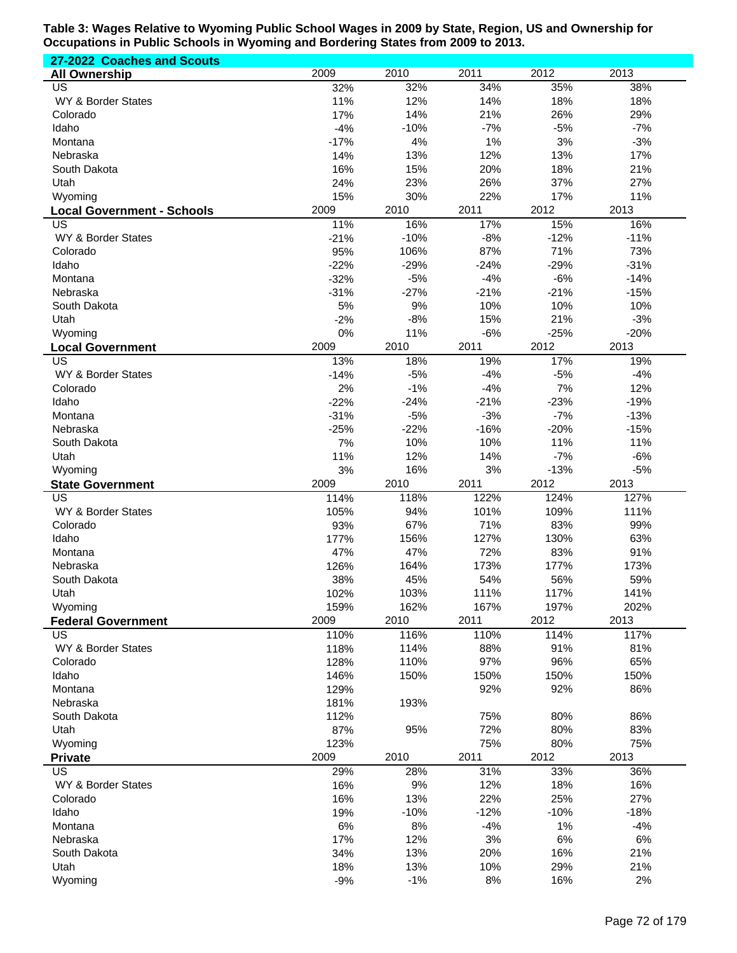| 27-2022 Coaches and Scouts              |              |               |             |               |               |
|-----------------------------------------|--------------|---------------|-------------|---------------|---------------|
| <b>All Ownership</b>                    | 2009         | 2010          | 2011        | 2012          | 2013          |
| US                                      | 32%          | 32%           | 34%         | 35%           | 38%           |
| WY & Border States                      | 11%          | 12%           | 14%         | 18%           | 18%           |
| Colorado                                | 17%          | 14%           | 21%         | 26%           | 29%           |
| Idaho                                   | $-4%$        | $-10%$        | $-7%$       | $-5%$         | $-7%$         |
| Montana                                 | $-17%$       | 4%            | 1%          | 3%            | $-3%$         |
| Nebraska                                | 14%          | 13%           | 12%         | 13%           | 17%           |
| South Dakota                            | 16%          | 15%           | 20%         | 18%           | 21%           |
| Utah                                    | 24%<br>15%   | 23%<br>30%    | 26%<br>22%  | 37%<br>17%    | 27%<br>11%    |
| Wyoming                                 | 2009         | 2010          | 2011        | 2012          | 2013          |
| <b>Local Government - Schools</b><br>US | 11%          | 16%           | 17%         | 15%           | 16%           |
| WY & Border States                      | $-21%$       | $-10%$        | $-8%$       | $-12%$        | $-11%$        |
| Colorado                                | 95%          | 106%          | 87%         | 71%           | 73%           |
| Idaho                                   | $-22%$       | $-29%$        | $-24%$      | $-29%$        | $-31%$        |
| Montana                                 | $-32%$       | $-5%$         | $-4%$       | $-6%$         | $-14%$        |
| Nebraska                                | $-31%$       | $-27%$        | $-21%$      | $-21%$        | $-15%$        |
| South Dakota                            | 5%           | 9%            | 10%         | 10%           | 10%           |
| Utah                                    | $-2%$        | $-8%$         | 15%         | 21%           | $-3%$         |
| Wyoming                                 | 0%           | 11%           | $-6%$       | $-25%$        | $-20%$        |
| <b>Local Government</b>                 | 2009         | 2010          | 2011        | 2012          | 2013          |
| $\overline{\mathsf{US}}$                | 13%          | 18%           | 19%         | 17%           | 19%           |
| WY & Border States                      | $-14%$       | $-5%$         | $-4%$       | $-5%$         | $-4%$         |
| Colorado                                | 2%           | $-1%$         | $-4%$       | 7%            | 12%           |
| Idaho                                   | $-22%$       | $-24%$        | $-21%$      | $-23%$        | $-19%$        |
| Montana                                 | $-31%$       | $-5%$         | $-3%$       | $-7%$         | $-13%$        |
| Nebraska                                | $-25%$<br>7% | $-22%$<br>10% | $-16%$      | $-20%$<br>11% | $-15%$<br>11% |
| South Dakota<br>Utah                    | 11%          | 12%           | 10%<br>14%  | $-7%$         | $-6%$         |
| Wyoming                                 | 3%           | 16%           | 3%          | $-13%$        | $-5%$         |
| <b>State Government</b>                 | 2009         | 2010          | 2011        | 2012          | 2013          |
| $\overline{US}$                         | 114%         | 118%          | 122%        | 124%          | 127%          |
| WY & Border States                      | 105%         | 94%           | 101%        | 109%          | 111%          |
| Colorado                                | 93%          | 67%           | 71%         | 83%           | 99%           |
| Idaho                                   | 177%         | 156%          | 127%        | 130%          | 63%           |
| Montana                                 | 47%          | 47%           | 72%         | 83%           | 91%           |
| Nebraska                                | 126%         | 164%          | 173%        | 177%          | 173%          |
| South Dakota                            | 38%          | 45%           | 54%         | 56%           | 59%           |
| Utah                                    | 102%         | 103%          | 111%        | 117%          | 141%          |
| Wyoming                                 | 159%         | 162%          | 167%        | 197%          | 202%          |
| <b>Federal Government</b>               | 2009         | 2010          | 2011        | 2012          | 2013          |
| US                                      | 110%         | 116%          | 110%        | 114%          | 117%          |
| WY & Border States                      | 118%         | 114%          | 88%         | 91%           | 81%           |
| Colorado<br>Idaho                       | 128%<br>146% | 110%<br>150%  | 97%<br>150% | 96%<br>150%   | 65%<br>150%   |
| Montana                                 | 129%         |               | 92%         | 92%           | 86%           |
| Nebraska                                | 181%         | 193%          |             |               |               |
| South Dakota                            | 112%         |               | 75%         | 80%           | 86%           |
| Utah                                    | 87%          | 95%           | 72%         | 80%           | 83%           |
| Wyoming                                 | 123%         |               | 75%         | 80%           | 75%           |
| <b>Private</b>                          | 2009         | 2010          | 2011        | 2012          | 2013          |
| US                                      | 29%          | 28%           | 31%         | 33%           | 36%           |
| WY & Border States                      | 16%          | 9%            | 12%         | 18%           | 16%           |
| Colorado                                | 16%          | 13%           | 22%         | 25%           | 27%           |
| Idaho                                   | 19%          | $-10%$        | $-12%$      | $-10%$        | $-18%$        |
| Montana                                 | 6%           | 8%            | $-4%$       | 1%            | $-4%$         |
| Nebraska                                | 17%          | 12%           | 3%          | $6\%$         | 6%            |
| South Dakota                            | 34%          | 13%           | 20%         | 16%           | 21%           |
| Utah                                    | 18%          | 13%           | 10%         | 29%           | 21%           |
| Wyoming                                 | $-9%$        | $-1%$         | 8%          | 16%           | 2%            |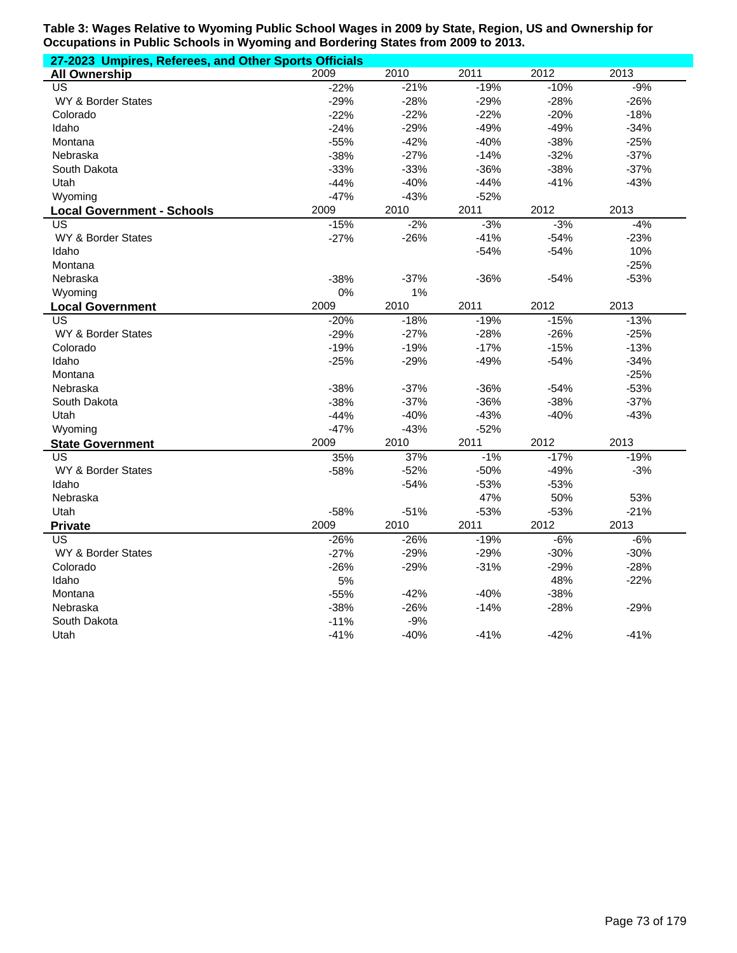| 27-2023 Umpires, Referees, and Other Sports Officials |        |        |        |        |        |  |  |
|-------------------------------------------------------|--------|--------|--------|--------|--------|--|--|
| <b>All Ownership</b>                                  | 2009   | 2010   | 2011   | 2012   | 2013   |  |  |
| $\overline{US}$                                       | $-22%$ | $-21%$ | $-19%$ | $-10%$ | $-9%$  |  |  |
| WY & Border States                                    | $-29%$ | $-28%$ | $-29%$ | $-28%$ | $-26%$ |  |  |
| Colorado                                              | $-22%$ | $-22%$ | $-22%$ | $-20%$ | $-18%$ |  |  |
| Idaho                                                 | $-24%$ | $-29%$ | $-49%$ | $-49%$ | $-34%$ |  |  |
| Montana                                               | $-55%$ | $-42%$ | $-40%$ | $-38%$ | $-25%$ |  |  |
| Nebraska                                              | $-38%$ | $-27%$ | $-14%$ | $-32%$ | $-37%$ |  |  |
| South Dakota                                          | $-33%$ | $-33%$ | $-36%$ | $-38%$ | $-37%$ |  |  |
| Utah                                                  | $-44%$ | $-40%$ | $-44%$ | $-41%$ | $-43%$ |  |  |
| Wyoming                                               | $-47%$ | $-43%$ | $-52%$ |        |        |  |  |
| <b>Local Government - Schools</b>                     | 2009   | 2010   | 2011   | 2012   | 2013   |  |  |
| US                                                    | $-15%$ | $-2%$  | $-3%$  | $-3%$  | $-4%$  |  |  |
| <b>WY &amp; Border States</b>                         | $-27%$ | $-26%$ | $-41%$ | $-54%$ | $-23%$ |  |  |
| Idaho                                                 |        |        | $-54%$ | $-54%$ | 10%    |  |  |
| Montana                                               |        |        |        |        | $-25%$ |  |  |
| Nebraska                                              | $-38%$ | $-37%$ | $-36%$ | $-54%$ | $-53%$ |  |  |
| Wyoming                                               | 0%     | 1%     |        |        |        |  |  |
| <b>Local Government</b>                               | 2009   | 2010   | 2011   | 2012   | 2013   |  |  |
| $\overline{US}$                                       | $-20%$ | $-18%$ | $-19%$ | $-15%$ | $-13%$ |  |  |
| WY & Border States                                    | $-29%$ | $-27%$ | $-28%$ | $-26%$ | $-25%$ |  |  |
| Colorado                                              | $-19%$ | $-19%$ | $-17%$ | $-15%$ | $-13%$ |  |  |
| Idaho                                                 | $-25%$ | $-29%$ | $-49%$ | $-54%$ | $-34%$ |  |  |
| Montana                                               |        |        |        |        | $-25%$ |  |  |
| Nebraska                                              | $-38%$ | $-37%$ | $-36%$ | $-54%$ | $-53%$ |  |  |
| South Dakota                                          | $-38%$ | $-37%$ | $-36%$ | $-38%$ | $-37%$ |  |  |
| Utah                                                  | $-44%$ | $-40%$ | $-43%$ | $-40%$ | $-43%$ |  |  |
| Wyoming                                               | $-47%$ | $-43%$ | $-52%$ |        |        |  |  |
| <b>State Government</b>                               | 2009   | 2010   | 2011   | 2012   | 2013   |  |  |
| <b>US</b>                                             | 35%    | 37%    | $-1%$  | $-17%$ | $-19%$ |  |  |
| WY & Border States                                    | $-58%$ | $-52%$ | $-50%$ | $-49%$ | $-3%$  |  |  |
| Idaho                                                 |        | $-54%$ | $-53%$ | $-53%$ |        |  |  |
| Nebraska                                              |        |        | 47%    | 50%    | 53%    |  |  |
| Utah                                                  | $-58%$ | $-51%$ | $-53%$ | $-53%$ | $-21%$ |  |  |
| <b>Private</b>                                        | 2009   | 2010   | 2011   | 2012   | 2013   |  |  |
| <b>US</b>                                             | $-26%$ | $-26%$ | $-19%$ | $-6%$  | $-6%$  |  |  |
| WY & Border States                                    | $-27%$ | $-29%$ | $-29%$ | $-30%$ | $-30%$ |  |  |
| Colorado                                              | $-26%$ | $-29%$ | $-31%$ | $-29%$ | $-28%$ |  |  |
| Idaho                                                 | 5%     |        |        | 48%    | $-22%$ |  |  |
| Montana                                               | $-55%$ | $-42%$ | $-40%$ | $-38%$ |        |  |  |
| Nebraska                                              | $-38%$ | $-26%$ | $-14%$ | $-28%$ | $-29%$ |  |  |
| South Dakota                                          | $-11%$ | -9%    |        |        |        |  |  |
| Utah                                                  | $-41%$ | $-40%$ | $-41%$ | $-42%$ | $-41%$ |  |  |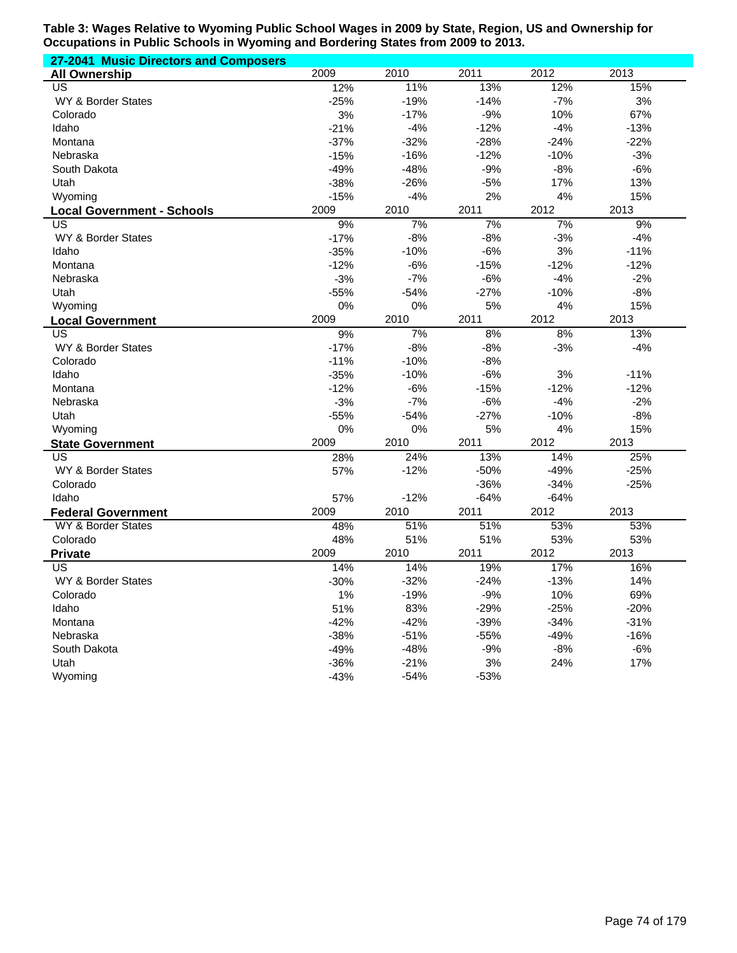| 27-2041 Music Directors and Composers |        |        |        |        |        |
|---------------------------------------|--------|--------|--------|--------|--------|
| <b>All Ownership</b>                  | 2009   | 2010   | 2011   | 2012   | 2013   |
| US                                    | 12%    | 11%    | 13%    | 12%    | 15%    |
| WY & Border States                    | $-25%$ | $-19%$ | $-14%$ | $-7%$  | 3%     |
| Colorado                              | 3%     | $-17%$ | $-9%$  | 10%    | 67%    |
| Idaho                                 | $-21%$ | $-4%$  | $-12%$ | $-4%$  | $-13%$ |
| Montana                               | $-37%$ | $-32%$ | $-28%$ | $-24%$ | $-22%$ |
| Nebraska                              | $-15%$ | $-16%$ | $-12%$ | $-10%$ | $-3%$  |
| South Dakota                          | $-49%$ | $-48%$ | $-9%$  | $-8%$  | $-6%$  |
| Utah                                  | $-38%$ | $-26%$ | $-5%$  | 17%    | 13%    |
| Wyoming                               | $-15%$ | $-4%$  | 2%     | 4%     | 15%    |
| <b>Local Government - Schools</b>     | 2009   | 2010   | 2011   | 2012   | 2013   |
| US.                                   | 9%     | 7%     | 7%     | 7%     | 9%     |
| WY & Border States                    | $-17%$ | $-8%$  | $-8%$  | $-3%$  | $-4%$  |
| Idaho                                 | $-35%$ | $-10%$ | $-6%$  | 3%     | $-11%$ |
| Montana                               | $-12%$ | $-6%$  | $-15%$ | $-12%$ | $-12%$ |
| Nebraska                              | $-3%$  | $-7%$  | $-6%$  | $-4%$  | $-2%$  |
| Utah                                  | $-55%$ | $-54%$ | $-27%$ | $-10%$ | $-8%$  |
| Wyoming                               | 0%     | 0%     | 5%     | 4%     | 15%    |
| <b>Local Government</b>               | 2009   | 2010   | 2011   | 2012   | 2013   |
| US                                    | 9%     | 7%     | 8%     | 8%     | 13%    |
| <b>WY &amp; Border States</b>         | $-17%$ | $-8%$  | $-8%$  | $-3%$  | $-4%$  |
| Colorado                              | $-11%$ | $-10%$ | $-8%$  |        |        |
| Idaho                                 | $-35%$ | $-10%$ | $-6%$  | 3%     | $-11%$ |
| Montana                               | $-12%$ | $-6%$  | $-15%$ | $-12%$ | $-12%$ |
| Nebraska                              | $-3%$  | $-7%$  | $-6%$  | $-4%$  | $-2%$  |
| Utah                                  | $-55%$ | $-54%$ | $-27%$ | $-10%$ | $-8%$  |
| Wyoming                               | 0%     | 0%     | 5%     | 4%     | 15%    |
| <b>State Government</b>               | 2009   | 2010   | 2011   | 2012   | 2013   |
| US.                                   | 28%    | 24%    | 13%    | 14%    | 25%    |
| WY & Border States                    | 57%    | $-12%$ | $-50%$ | $-49%$ | $-25%$ |
| Colorado                              |        |        | $-36%$ | $-34%$ | $-25%$ |
| Idaho                                 | 57%    | $-12%$ | $-64%$ | $-64%$ |        |
| <b>Federal Government</b>             | 2009   | 2010   | 2011   | 2012   | 2013   |
| WY & Border States                    | 48%    | 51%    | 51%    | 53%    | 53%    |
| Colorado                              | 48%    | 51%    | 51%    | 53%    | 53%    |
| <b>Private</b>                        | 2009   | 2010   | 2011   | 2012   | 2013   |
| US                                    | 14%    | 14%    | 19%    | 17%    | 16%    |
| WY & Border States                    | $-30%$ | $-32%$ | $-24%$ | $-13%$ | 14%    |
| Colorado                              | 1%     | $-19%$ | $-9%$  | 10%    | 69%    |
| Idaho                                 | 51%    | 83%    | $-29%$ | $-25%$ | $-20%$ |
| Montana                               | $-42%$ | $-42%$ | $-39%$ | $-34%$ | $-31%$ |
| Nebraska                              | $-38%$ | $-51%$ | $-55%$ | $-49%$ | $-16%$ |
| South Dakota                          | $-49%$ | $-48%$ | $-9%$  | $-8%$  | $-6%$  |
| Utah                                  | $-36%$ | $-21%$ | 3%     | 24%    | 17%    |
| Wyoming                               | $-43%$ | $-54%$ | $-53%$ |        |        |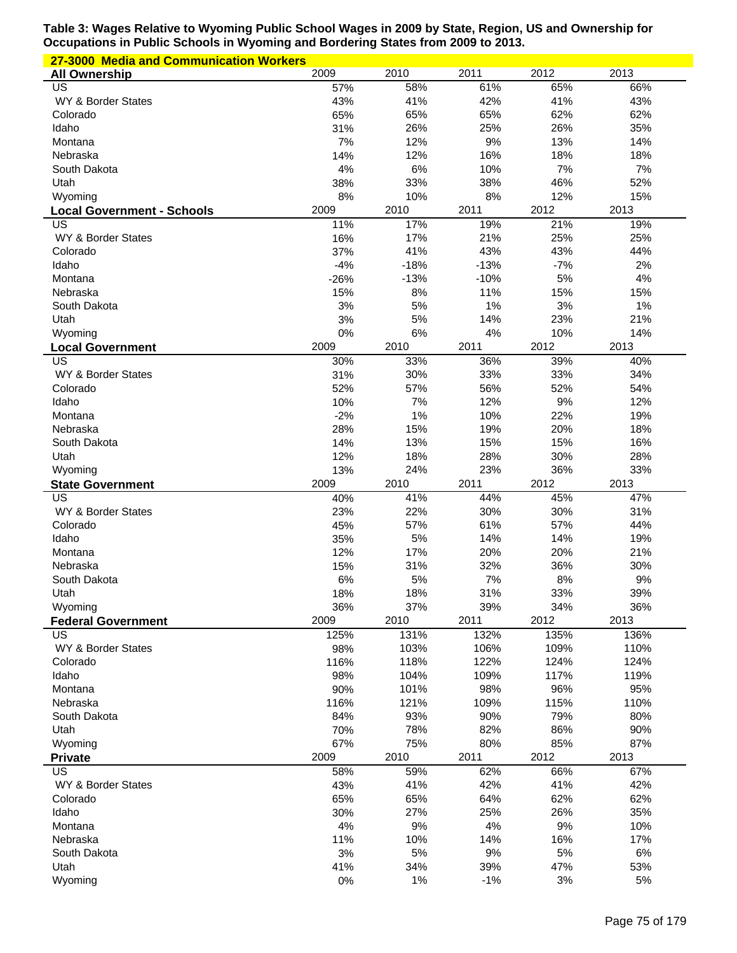| 27-3000 Media and Communication Workers |             |             |             |             |             |  |  |
|-----------------------------------------|-------------|-------------|-------------|-------------|-------------|--|--|
| <b>All Ownership</b>                    | 2009        | 2010        | 2011        | 2012        | 2013        |  |  |
| US                                      | 57%         | 58%         | 61%         | 65%         | 66%         |  |  |
| WY & Border States                      | 43%         | 41%         | 42%         | 41%         | 43%         |  |  |
| Colorado                                | 65%         | 65%         | 65%         | 62%         | 62%         |  |  |
| Idaho                                   | 31%         | 26%         | 25%         | 26%         | 35%         |  |  |
| Montana                                 | 7%          | 12%         | 9%          | 13%         | 14%         |  |  |
| Nebraska                                | 14%         | 12%         | 16%         | 18%         | 18%         |  |  |
| South Dakota                            | 4%          | 6%          | 10%         | 7%          | 7%          |  |  |
| Utah                                    | 38%         | 33%         | 38%         | 46%         | 52%         |  |  |
| Wyoming                                 | 8%<br>2009  | 10%<br>2010 | 8%<br>2011  | 12%<br>2012 | 15%<br>2013 |  |  |
| <b>Local Government - Schools</b><br>US | 11%         | 17%         | 19%         | 21%         | 19%         |  |  |
| WY & Border States                      | 16%         | 17%         | 21%         | 25%         | 25%         |  |  |
| Colorado                                | 37%         | 41%         | 43%         | 43%         | 44%         |  |  |
| Idaho                                   | $-4%$       | $-18%$      | $-13%$      | $-7%$       | 2%          |  |  |
| Montana                                 | $-26%$      | $-13%$      | $-10%$      | 5%          | 4%          |  |  |
| Nebraska                                | 15%         | 8%          | 11%         | 15%         | 15%         |  |  |
| South Dakota                            | 3%          | 5%          | 1%          | 3%          | 1%          |  |  |
| Utah                                    | 3%          | 5%          | 14%         | 23%         | 21%         |  |  |
| Wyoming                                 | 0%          | 6%          | 4%          | 10%         | 14%         |  |  |
| <b>Local Government</b>                 | 2009        | 2010        | 2011        | 2012        | 2013        |  |  |
| <b>US</b>                               | 30%         | 33%         | 36%         | 39%         | 40%         |  |  |
| WY & Border States                      | 31%         | 30%         | 33%         | 33%         | 34%         |  |  |
| Colorado                                | 52%         | 57%         | 56%         | 52%         | 54%         |  |  |
| Idaho                                   | 10%         | 7%          | 12%         | 9%          | 12%         |  |  |
| Montana                                 | $-2%$       | 1%          | 10%         | 22%         | 19%         |  |  |
| Nebraska                                | 28%         | 15%         | 19%         | 20%         | 18%         |  |  |
| South Dakota                            | 14%         | 13%         | 15%         | 15%         | 16%         |  |  |
| Utah                                    | 12%         | 18%         | 28%         | 30%         | 28%         |  |  |
| Wyoming                                 | 13%         | 24%         | 23%         | 36%         | 33%         |  |  |
| <b>State Government</b><br>US           | 2009<br>40% | 2010<br>41% | 2011<br>44% | 2012<br>45% | 2013<br>47% |  |  |
| WY & Border States                      | 23%         | 22%         | 30%         | 30%         | 31%         |  |  |
| Colorado                                | 45%         | 57%         | 61%         | 57%         | 44%         |  |  |
| Idaho                                   | 35%         | 5%          | 14%         | 14%         | 19%         |  |  |
| Montana                                 | 12%         | 17%         | 20%         | 20%         | 21%         |  |  |
| Nebraska                                | 15%         | 31%         | 32%         | 36%         | 30%         |  |  |
| South Dakota                            | 6%          | 5%          | 7%          | 8%          | 9%          |  |  |
| Utah                                    | 18%         | 18%         | 31%         | 33%         | 39%         |  |  |
| Wyoming                                 | 36%         | 37%         | 39%         | 34%         | 36%         |  |  |
| <b>Federal Government</b>               | 2009        | 2010        | 2011        | 2012        | 2013        |  |  |
| US                                      | 125%        | 131%        | 132%        | 135%        | 136%        |  |  |
| WY & Border States                      | 98%         | 103%        | 106%        | 109%        | 110%        |  |  |
| Colorado                                | 116%        | 118%        | 122%        | 124%        | 124%        |  |  |
| Idaho                                   | 98%         | 104%        | 109%        | 117%        | 119%        |  |  |
| Montana                                 | 90%         | 101%        | 98%         | 96%         | 95%         |  |  |
| Nebraska                                | 116%        | 121%        | 109%        | 115%        | 110%        |  |  |
| South Dakota                            | 84%         | 93%         | 90%         | 79%         | 80%         |  |  |
| Utah                                    | 70%         | 78%         | 82%         | 86%         | 90%         |  |  |
| Wyoming                                 | 67%         | 75%         | 80%         | 85%         | 87%         |  |  |
| <b>Private</b><br>US                    | 2009        | 2010        | 2011        | 2012<br>66% | 2013<br>67% |  |  |
| WY & Border States                      | 58%<br>43%  | 59%<br>41%  | 62%<br>42%  | 41%         | 42%         |  |  |
| Colorado                                |             | 65%         | 64%         | 62%         | 62%         |  |  |
|                                         |             |             |             |             |             |  |  |
|                                         | 65%         |             |             |             |             |  |  |
| Idaho                                   | 30%         | 27%         | 25%         | 26%         | 35%         |  |  |
| Montana                                 | 4%          | 9%          | 4%          | 9%          | 10%         |  |  |
| Nebraska                                | 11%         | 10%         | 14%         | 16%         | 17%         |  |  |
| South Dakota<br>Utah                    | 3%<br>41%   | 5%<br>34%   | 9%<br>39%   | 5%<br>47%   | 6%<br>53%   |  |  |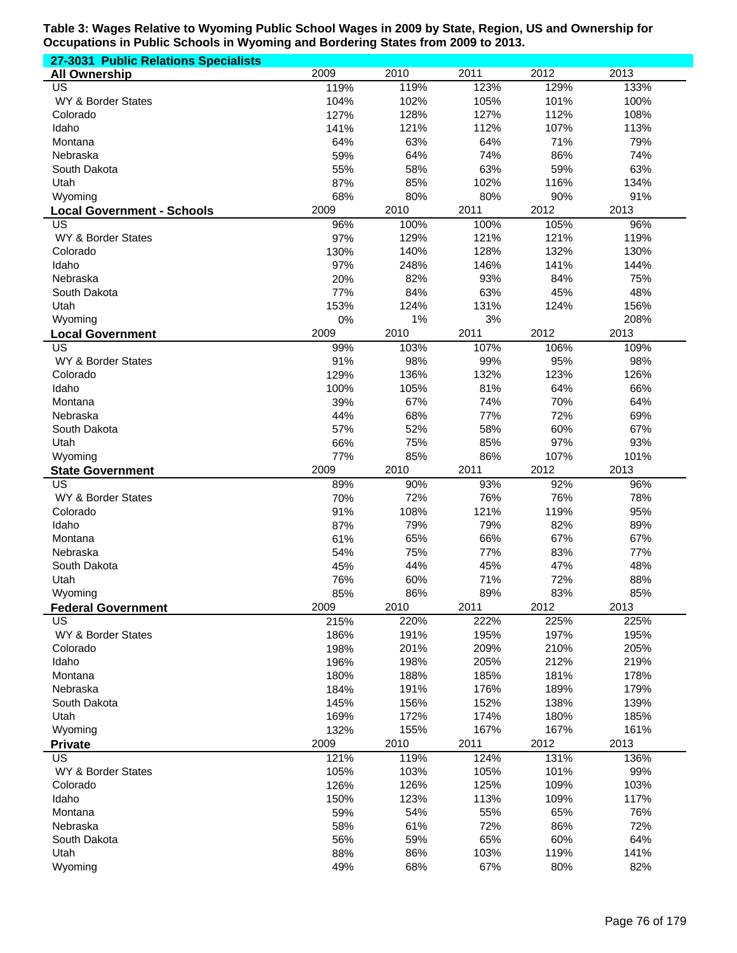| 27-3031 Public Relations Specialists |            |            |             |              |              |
|--------------------------------------|------------|------------|-------------|--------------|--------------|
| <b>All Ownership</b>                 | 2009       | 2010       | 2011        | 2012         | 2013         |
| US                                   | 119%       | 119%       | 123%        | 129%         | 133%         |
| WY & Border States                   | 104%       | 102%       | 105%        | 101%         | 100%         |
| Colorado                             | 127%       | 128%       | 127%        | 112%         | 108%         |
| Idaho                                | 141%       | 121%       | 112%        | 107%         | 113%         |
| Montana                              | 64%        | 63%        | 64%         | 71%          | 79%          |
| Nebraska                             | 59%        | 64%        | 74%         | 86%          | 74%          |
| South Dakota                         | 55%        | 58%        | 63%         | 59%          | 63%          |
| Utah                                 | 87%        | 85%        | 102%        | 116%         | 134%         |
| Wyoming                              | 68%        | 80%        | 80%         | 90%          | 91%          |
| <b>Local Government - Schools</b>    | 2009       | 2010       | 2011        | 2012         | 2013         |
| US                                   | 96%        | 100%       | 100%        | 105%         | 96%          |
| WY & Border States                   | 97%        | 129%       | 121%        | 121%         | 119%         |
| Colorado                             | 130%       | 140%       | 128%        | 132%         | 130%         |
| Idaho                                | 97%        | 248%       | 146%        | 141%         | 144%         |
| Nebraska                             | 20%        | 82%        | 93%         | 84%          | 75%          |
| South Dakota                         | 77%        | 84%        | 63%         | 45%          | 48%          |
| Utah                                 | 153%       | 124%       | 131%        | 124%         | 156%         |
| Wyoming                              | 0%         | 1%         | 3%          |              | 208%         |
| <b>Local Government</b><br><b>US</b> | 2009       | 2010       | 2011        | 2012         | 2013         |
|                                      | 99%        | 103%       | 107%        | 106%         | 109%         |
| WY & Border States<br>Colorado       | 91%        | 98%        | 99%         | 95%          | 98%          |
|                                      | 129%       | 136%       | 132%<br>81% | 123%<br>64%  | 126%         |
| Idaho                                | 100%       | 105%       |             |              | 66%          |
| Montana                              | 39%        | 67%        | 74%<br>77%  | 70%<br>72%   | 64%<br>69%   |
| Nebraska                             | 44%        | 68%        |             |              |              |
| South Dakota                         | 57%<br>66% | 52%        | 58%         | 60%<br>97%   | 67%<br>93%   |
| Utah                                 | 77%        | 75%<br>85% | 85%<br>86%  |              |              |
| Wyoming                              | 2009       | 2010       | 2011        | 107%<br>2012 | 101%<br>2013 |
| <b>State Government</b><br>US        | 89%        | 90%        | 93%         | 92%          | 96%          |
| WY & Border States                   | 70%        | 72%        | 76%         | 76%          | 78%          |
| Colorado                             | 91%        | 108%       | 121%        | 119%         | 95%          |
| Idaho                                | 87%        | 79%        | 79%         | 82%          | 89%          |
| Montana                              | 61%        | 65%        | 66%         | 67%          | 67%          |
| Nebraska                             | 54%        | 75%        | 77%         | 83%          | 77%          |
| South Dakota                         | 45%        | 44%        | 45%         | 47%          | 48%          |
| Utah                                 | 76%        | 60%        | 71%         | 72%          | 88%          |
| Wyoming                              | 85%        | 86%        | 89%         | 83%          | 85%          |
| <b>Federal Government</b>            | 2009       | 2010       | 2011        | 2012         | 2013         |
| US                                   | 215%       | 220%       | 222%        | 225%         | 225%         |
| WY & Border States                   | 186%       | 191%       | 195%        | 197%         | 195%         |
| Colorado                             | 198%       | 201%       | 209%        | 210%         | 205%         |
| Idaho                                | 196%       | 198%       | 205%        | 212%         | 219%         |
| Montana                              | 180%       | 188%       | 185%        | 181%         | 178%         |
| Nebraska                             | 184%       | 191%       | 176%        | 189%         | 179%         |
| South Dakota                         | 145%       | 156%       | 152%        | 138%         | 139%         |
| Utah                                 | 169%       | 172%       | 174%        | 180%         | 185%         |
| Wyoming                              | 132%       | 155%       | 167%        | 167%         | 161%         |
| <b>Private</b>                       | 2009       | 2010       | 2011        | 2012         | 2013         |
| $\overline{US}$                      | 121%       | 119%       | 124%        | 131%         | 136%         |
| WY & Border States                   | 105%       | 103%       | 105%        | 101%         | 99%          |
| Colorado                             | 126%       | 126%       | 125%        | 109%         | 103%         |
| Idaho                                | 150%       | 123%       | 113%        | 109%         | 117%         |
| Montana                              | 59%        | 54%        | 55%         | 65%          | 76%          |
| Nebraska                             | 58%        | 61%        | 72%         | 86%          | 72%          |
| South Dakota                         | 56%        | 59%        | 65%         | 60%          | 64%          |
| Utah                                 | 88%        | 86%        | 103%        | 119%         | 141%         |
| Wyoming                              | 49%        | 68%        | 67%         | 80%          | 82%          |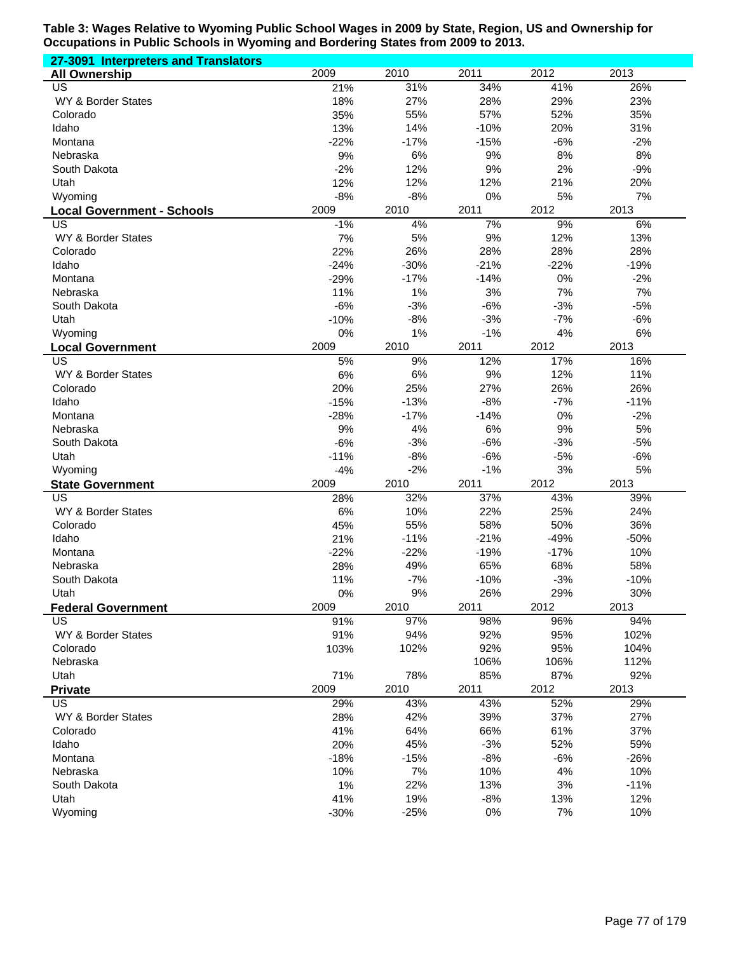| 27-3091 Interpreters and Translators |        |        |        |        |        |
|--------------------------------------|--------|--------|--------|--------|--------|
| <b>All Ownership</b>                 | 2009   | 2010   | 2011   | 2012   | 2013   |
| US                                   | 21%    | 31%    | 34%    | 41%    | 26%    |
| WY & Border States                   | 18%    | 27%    | 28%    | 29%    | 23%    |
| Colorado                             | 35%    | 55%    | 57%    | 52%    | 35%    |
| Idaho                                | 13%    | 14%    | $-10%$ | 20%    | 31%    |
| Montana                              | $-22%$ | $-17%$ | $-15%$ | $-6%$  | $-2%$  |
| Nebraska                             | 9%     | 6%     | 9%     | 8%     | 8%     |
| South Dakota                         | $-2%$  | 12%    | 9%     | 2%     | $-9%$  |
| Utah                                 | 12%    | 12%    | 12%    | 21%    | 20%    |
| Wyoming                              | $-8%$  | $-8%$  | 0%     | 5%     | 7%     |
| <b>Local Government - Schools</b>    | 2009   | 2010   | 2011   | 2012   | 2013   |
| US                                   | $-1%$  | 4%     | 7%     | 9%     | 6%     |
| WY & Border States                   | 7%     | 5%     | 9%     | 12%    | 13%    |
| Colorado                             | 22%    | 26%    | 28%    | 28%    | 28%    |
| Idaho                                | $-24%$ | $-30%$ | $-21%$ | $-22%$ | $-19%$ |
| Montana                              | $-29%$ | $-17%$ | $-14%$ | 0%     | $-2%$  |
| Nebraska                             | 11%    | 1%     | 3%     | 7%     | 7%     |
| South Dakota                         | $-6%$  | $-3%$  | $-6%$  | $-3%$  | $-5%$  |
| Utah                                 | $-10%$ | $-8%$  | $-3%$  | $-7%$  | $-6%$  |
| Wyoming                              | 0%     | 1%     | $-1%$  | 4%     | 6%     |
| <b>Local Government</b>              | 2009   | 2010   | 2011   | 2012   | 2013   |
| $\overline{\mathsf{US}}$             | 5%     | 9%     | 12%    | 17%    | 16%    |
| WY & Border States                   | 6%     | 6%     | 9%     | 12%    | 11%    |
| Colorado                             | 20%    | 25%    | 27%    | 26%    | 26%    |
| Idaho                                | $-15%$ | $-13%$ | $-8%$  | $-7%$  | $-11%$ |
| Montana                              | $-28%$ | $-17%$ | $-14%$ | 0%     | $-2%$  |
| Nebraska                             | 9%     | 4%     | 6%     | 9%     | 5%     |
| South Dakota                         | $-6%$  | $-3%$  | $-6%$  | $-3%$  | $-5%$  |
| Utah                                 | $-11%$ | $-8%$  | $-6%$  | $-5%$  | $-6%$  |
| Wyoming                              | $-4%$  | $-2%$  | $-1%$  | 3%     | 5%     |
| <b>State Government</b>              | 2009   | 2010   | 2011   | 2012   | 2013   |
| US                                   | 28%    | 32%    | 37%    | 43%    | 39%    |
| WY & Border States                   | 6%     | 10%    | 22%    | 25%    | 24%    |
| Colorado                             | 45%    | 55%    | 58%    | 50%    | 36%    |
| Idaho                                | 21%    | $-11%$ | $-21%$ | $-49%$ | $-50%$ |
| Montana                              | $-22%$ | $-22%$ | $-19%$ | $-17%$ | 10%    |
| Nebraska                             | 28%    | 49%    | 65%    | 68%    | 58%    |
| South Dakota                         | 11%    | $-7%$  | $-10%$ | $-3%$  | $-10%$ |
| Utah                                 | $0\%$  | 9%     | 26%    | 29%    | 30%    |
| <b>Federal Government</b>            | 2009   | 2010   | 2011   | 2012   | 2013   |
| <b>US</b>                            | 91%    | 97%    | 98%    | 96%    | 94%    |
| WY & Border States                   | 91%    | 94%    | 92%    | 95%    | 102%   |
| Colorado                             | 103%   | 102%   | 92%    | 95%    | 104%   |
| Nebraska                             |        |        | 106%   | 106%   | 112%   |
| Utah                                 | 71%    | 78%    | 85%    | 87%    | 92%    |
| <b>Private</b>                       | 2009   | 2010   | 2011   | 2012   | 2013   |
| <b>US</b>                            | 29%    | 43%    | 43%    | 52%    | 29%    |
| WY & Border States                   | 28%    | 42%    | 39%    | 37%    | 27%    |
| Colorado                             | 41%    | 64%    | 66%    | 61%    | 37%    |
| Idaho                                | 20%    | 45%    | $-3%$  | 52%    | 59%    |
| Montana                              | $-18%$ | $-15%$ | $-8%$  | $-6%$  | $-26%$ |
| Nebraska                             | 10%    | 7%     | 10%    | 4%     | 10%    |
| South Dakota                         | 1%     | 22%    | 13%    | 3%     | $-11%$ |
| Utah                                 | 41%    | 19%    | $-8%$  | 13%    | 12%    |
| Wyoming                              | $-30%$ | $-25%$ | 0%     | 7%     | 10%    |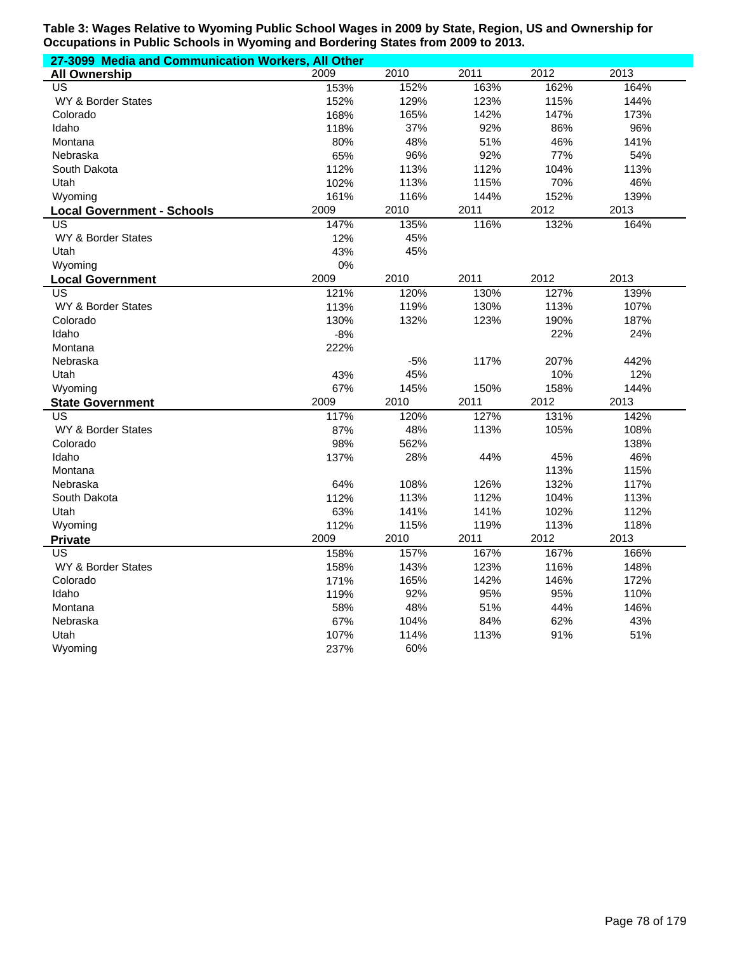| 27-3099 Media and Communication Workers, All Other |       |       |      |      |      |  |  |
|----------------------------------------------------|-------|-------|------|------|------|--|--|
| <b>All Ownership</b>                               | 2009  | 2010  | 2011 | 2012 | 2013 |  |  |
| <b>US</b>                                          | 153%  | 152%  | 163% | 162% | 164% |  |  |
| <b>WY &amp; Border States</b>                      | 152%  | 129%  | 123% | 115% | 144% |  |  |
| Colorado                                           | 168%  | 165%  | 142% | 147% | 173% |  |  |
| Idaho                                              | 118%  | 37%   | 92%  | 86%  | 96%  |  |  |
| Montana                                            | 80%   | 48%   | 51%  | 46%  | 141% |  |  |
| Nebraska                                           | 65%   | 96%   | 92%  | 77%  | 54%  |  |  |
| South Dakota                                       | 112%  | 113%  | 112% | 104% | 113% |  |  |
| Utah                                               | 102%  | 113%  | 115% | 70%  | 46%  |  |  |
| Wyoming                                            | 161%  | 116%  | 144% | 152% | 139% |  |  |
| <b>Local Government - Schools</b>                  | 2009  | 2010  | 2011 | 2012 | 2013 |  |  |
| US                                                 | 147%  | 135%  | 116% | 132% | 164% |  |  |
| WY & Border States                                 | 12%   | 45%   |      |      |      |  |  |
| Utah                                               | 43%   | 45%   |      |      |      |  |  |
| Wyoming                                            | 0%    |       |      |      |      |  |  |
| <b>Local Government</b>                            | 2009  | 2010  | 2011 | 2012 | 2013 |  |  |
| <b>US</b>                                          | 121%  | 120%  | 130% | 127% | 139% |  |  |
| WY & Border States                                 | 113%  | 119%  | 130% | 113% | 107% |  |  |
| Colorado                                           | 130%  | 132%  | 123% | 190% | 187% |  |  |
| Idaho                                              | $-8%$ |       |      | 22%  | 24%  |  |  |
| Montana                                            | 222%  |       |      |      |      |  |  |
| Nebraska                                           |       | $-5%$ | 117% | 207% | 442% |  |  |
| Utah                                               | 43%   | 45%   |      | 10%  | 12%  |  |  |
| Wyoming                                            | 67%   | 145%  | 150% | 158% | 144% |  |  |
| <b>State Government</b>                            | 2009  | 2010  | 2011 | 2012 | 2013 |  |  |
| US                                                 | 117%  | 120%  | 127% | 131% | 142% |  |  |
| WY & Border States                                 | 87%   | 48%   | 113% | 105% | 108% |  |  |
| Colorado                                           | 98%   | 562%  |      |      | 138% |  |  |
| Idaho                                              | 137%  | 28%   | 44%  | 45%  | 46%  |  |  |
| Montana                                            |       |       |      | 113% | 115% |  |  |
| Nebraska                                           | 64%   | 108%  | 126% | 132% | 117% |  |  |
| South Dakota                                       | 112%  | 113%  | 112% | 104% | 113% |  |  |
| Utah                                               | 63%   | 141%  | 141% | 102% | 112% |  |  |
| Wyoming                                            | 112%  | 115%  | 119% | 113% | 118% |  |  |
| <b>Private</b>                                     | 2009  | 2010  | 2011 | 2012 | 2013 |  |  |
| US                                                 | 158%  | 157%  | 167% | 167% | 166% |  |  |
| WY & Border States                                 | 158%  | 143%  | 123% | 116% | 148% |  |  |
| Colorado                                           | 171%  | 165%  | 142% | 146% | 172% |  |  |
| Idaho                                              | 119%  | 92%   | 95%  | 95%  | 110% |  |  |
| Montana                                            | 58%   | 48%   | 51%  | 44%  | 146% |  |  |
| Nebraska                                           | 67%   | 104%  | 84%  | 62%  | 43%  |  |  |
| Utah                                               | 107%  | 114%  | 113% | 91%  | 51%  |  |  |
| Wyoming                                            | 237%  | 60%   |      |      |      |  |  |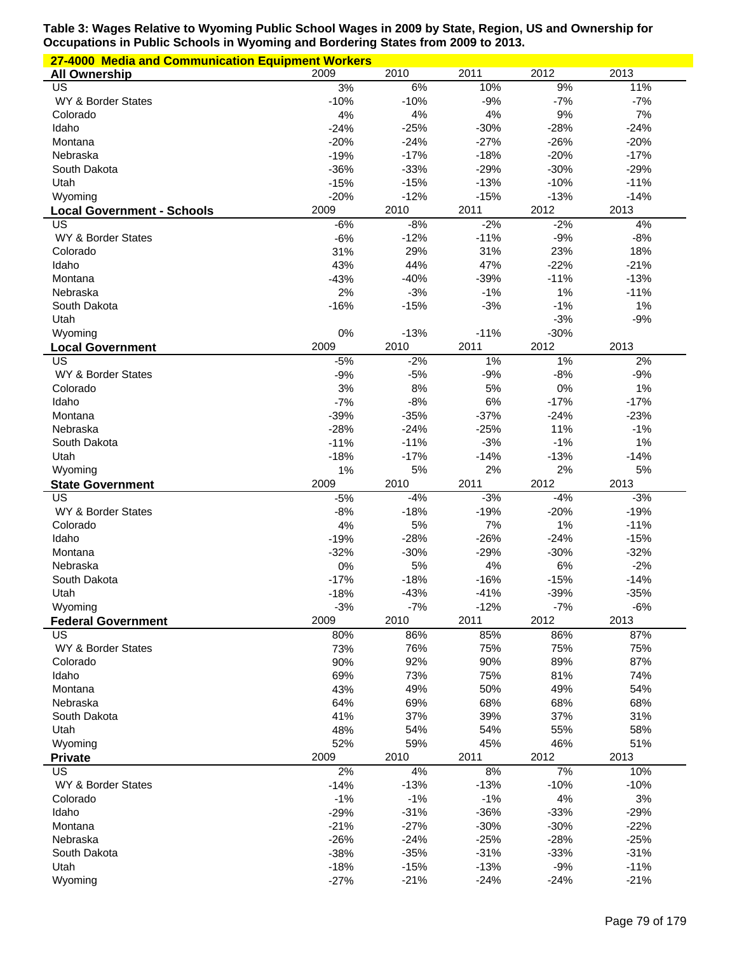| 27-4000 Media and Communication Equipment Workers |                  |                  |                  |                 |                  |  |  |
|---------------------------------------------------|------------------|------------------|------------------|-----------------|------------------|--|--|
| <b>All Ownership</b>                              | 2009             | 2010             | 2011             | 2012            | 2013             |  |  |
| US                                                | 3%               | 6%               | 10%              | 9%              | 11%              |  |  |
| WY & Border States                                | $-10%$           | $-10%$           | $-9%$            | $-7%$           | $-7%$            |  |  |
| Colorado                                          | 4%               | 4%               | 4%               | 9%              | 7%               |  |  |
| Idaho                                             | $-24%$           | $-25%$           | $-30%$           | $-28%$          | $-24%$           |  |  |
| Montana                                           | $-20%$           | $-24%$           | $-27%$           | $-26%$          | $-20%$           |  |  |
| Nebraska                                          | $-19%$           | $-17%$           | $-18%$           | $-20%$          | $-17%$           |  |  |
| South Dakota                                      | $-36%$           | $-33%$           | $-29%$           | $-30%$          | $-29%$           |  |  |
| Utah                                              | $-15%$           | $-15%$           | $-13%$           | $-10%$          | $-11%$           |  |  |
| Wyoming                                           | $-20%$           | $-12%$           | $-15%$           | $-13%$          | $-14%$           |  |  |
| <b>Local Government - Schools</b>                 | 2009             | 2010             | 2011             | 2012            | 2013             |  |  |
| US                                                | $-6%$<br>$-6%$   | $-8%$            | $-2%$            | $-2%$<br>$-9%$  | 4%               |  |  |
| WY & Border States<br>Colorado                    | 31%              | $-12%$<br>29%    | $-11%$<br>31%    | 23%             | $-8%$<br>18%     |  |  |
| Idaho                                             | 43%              | 44%              | 47%              | $-22%$          | $-21%$           |  |  |
| Montana                                           | $-43%$           | $-40%$           | $-39%$           | $-11%$          | $-13%$           |  |  |
| Nebraska                                          | 2%               | $-3%$            | $-1%$            | 1%              | $-11%$           |  |  |
| South Dakota                                      | $-16%$           | $-15%$           | $-3%$            | $-1%$           | 1%               |  |  |
| Utah                                              |                  |                  |                  | $-3%$           | $-9%$            |  |  |
| Wyoming                                           | 0%               | $-13%$           | $-11%$           | $-30%$          |                  |  |  |
| <b>Local Government</b>                           | 2009             | 2010             | 2011             | 2012            | 2013             |  |  |
| US                                                | $-5%$            | $-2%$            | 1%               | 1%              | 2%               |  |  |
| WY & Border States                                | $-9%$            | $-5%$            | $-9%$            | $-8%$           | $-9%$            |  |  |
| Colorado                                          | 3%               | 8%               | 5%               | 0%              | 1%               |  |  |
| Idaho                                             | $-7%$            | $-8%$            | 6%               | $-17%$          | $-17%$           |  |  |
| Montana                                           | $-39%$           | $-35%$           | $-37%$           | $-24%$          | $-23%$           |  |  |
| Nebraska                                          | $-28%$           | $-24%$           | $-25%$           | 11%             | $-1%$            |  |  |
| South Dakota                                      | $-11%$           | $-11%$           | $-3%$            | $-1%$           | 1%               |  |  |
| Utah                                              | $-18%$           | $-17%$           | $-14%$           | $-13%$          | $-14%$           |  |  |
| Wyoming                                           | 1%               | 5%               | 2%               | 2%              | 5%               |  |  |
|                                                   |                  |                  |                  |                 |                  |  |  |
| <b>State Government</b>                           | 2009             | 2010             | 2011             | 2012            | 2013             |  |  |
| US                                                | $-5%$            | $-4%$            | $-3%$            | $-4%$           | $-3%$            |  |  |
| WY & Border States                                | $-8%$            | $-18%$           | $-19%$           | $-20%$          | $-19%$           |  |  |
| Colorado                                          | 4%               | 5%               | 7%               | 1%              | $-11%$           |  |  |
| Idaho                                             | $-19%$           | $-28%$           | $-26%$           | $-24%$          | $-15%$           |  |  |
| Montana                                           | $-32%$           | $-30%$           | $-29%$           | $-30%$          | $-32%$           |  |  |
| Nebraska                                          | 0%               | 5%               | 4%               | 6%              | $-2%$            |  |  |
| South Dakota                                      | $-17%$           | $-18%$           | $-16%$           | $-15%$          | $-14%$           |  |  |
| Utah                                              | $-18%$           | $-43%$           | $-41%$           | $-39%$          | $-35%$           |  |  |
| Wyoming                                           | $-3%$            | $-7%$            | $-12%$           | $-7%$           | $-6%$            |  |  |
| <b>Federal Government</b>                         | 2009             | 2010             | 2011             | 2012            | 2013             |  |  |
| US                                                | 80%              | 86%              | 85%              | 86%             | 87%              |  |  |
| WY & Border States                                | 73%              | 76%              | 75%              | 75%             | 75%              |  |  |
| Colorado                                          | 90%              | 92%              | 90%              | 89%             | 87%              |  |  |
| Idaho                                             | 69%              | 73%              | 75%              | 81%             | 74%              |  |  |
| Montana                                           | 43%              | 49%              | 50%              | 49%             | 54%              |  |  |
| Nebraska                                          | 64%              | 69%              | 68%              | 68%             | 68%              |  |  |
| South Dakota                                      | 41%              | 37%              | 39%              | 37%             | 31%              |  |  |
| Utah                                              | 48%              | 54%              | 54%              | 55%             | 58%              |  |  |
| Wyoming                                           | 52%              | 59%              | 45%              | 46%             | 51%              |  |  |
| <b>Private</b>                                    | 2009             | 2010             | 2011             | 2012            | 2013             |  |  |
| US                                                | 2%               | 4%               | 8%               | 7%              | 10%              |  |  |
| WY & Border States                                | $-14%$           | $-13%$           | $-13%$           | $-10%$          | $-10%$           |  |  |
| Colorado                                          | $-1%$            | $-1%$            | $-1%$            | 4%              | 3%               |  |  |
| Idaho                                             | $-29%$           | $-31%$           | $-36%$           | $-33%$          | $-29%$           |  |  |
| Montana                                           | $-21%$           | $-27%$           | $-30%$           | $-30%$          | $-22%$           |  |  |
| Nebraska                                          | $-26%$           | $-24%$           | $-25%$           | $-28%$          | $-25%$           |  |  |
| South Dakota                                      | $-38%$           | $-35%$           | $-31%$           | $-33%$          | $-31%$           |  |  |
| Utah<br>Wyoming                                   | $-18%$<br>$-27%$ | $-15%$<br>$-21%$ | $-13%$<br>$-24%$ | $-9%$<br>$-24%$ | $-11%$<br>$-21%$ |  |  |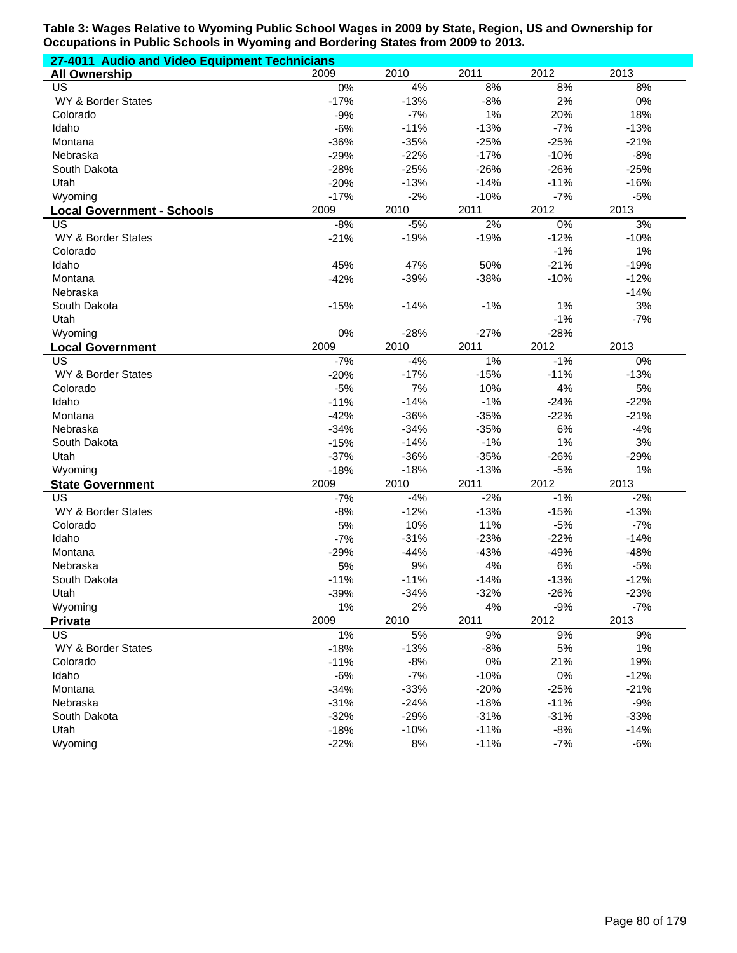| 27-4011 Audio and Video Equipment Technicians |        |        |        |        |        |  |  |
|-----------------------------------------------|--------|--------|--------|--------|--------|--|--|
| <b>All Ownership</b>                          | 2009   | 2010   | 2011   | 2012   | 2013   |  |  |
| US                                            | 0%     | 4%     | 8%     | 8%     | 8%     |  |  |
| WY & Border States                            | $-17%$ | $-13%$ | $-8%$  | 2%     | $0\%$  |  |  |
| Colorado                                      | $-9%$  | $-7%$  | 1%     | 20%    | 18%    |  |  |
| Idaho                                         | $-6%$  | $-11%$ | $-13%$ | $-7%$  | $-13%$ |  |  |
| Montana                                       | $-36%$ | $-35%$ | $-25%$ | $-25%$ | $-21%$ |  |  |
| Nebraska                                      | $-29%$ | $-22%$ | $-17%$ | $-10%$ | $-8%$  |  |  |
| South Dakota                                  | $-28%$ | $-25%$ | $-26%$ | $-26%$ | $-25%$ |  |  |
| Utah                                          | $-20%$ | $-13%$ | $-14%$ | $-11%$ | $-16%$ |  |  |
| Wyoming                                       | $-17%$ | $-2%$  | $-10%$ | $-7%$  | $-5%$  |  |  |
| <b>Local Government - Schools</b>             | 2009   | 2010   | 2011   | 2012   | 2013   |  |  |
| US                                            | $-8%$  | $-5%$  | 2%     | $0\%$  | 3%     |  |  |
| WY & Border States                            | $-21%$ | $-19%$ | $-19%$ | $-12%$ | $-10%$ |  |  |
| Colorado                                      |        |        |        | $-1%$  | 1%     |  |  |
| Idaho                                         | 45%    | 47%    | 50%    | $-21%$ | $-19%$ |  |  |
| Montana                                       | $-42%$ | $-39%$ | $-38%$ | $-10%$ | $-12%$ |  |  |
| Nebraska                                      |        |        |        |        | $-14%$ |  |  |
| South Dakota                                  | $-15%$ | $-14%$ | $-1%$  | 1%     | 3%     |  |  |
| Utah                                          |        |        |        | $-1%$  | $-7%$  |  |  |
| Wyoming                                       | 0%     | $-28%$ | $-27%$ | $-28%$ |        |  |  |
| <b>Local Government</b>                       | 2009   | 2010   | 2011   | 2012   | 2013   |  |  |
| $\overline{\mathsf{US}}$                      | $-7%$  | $-4%$  | 1%     | $-1%$  | 0%     |  |  |
| WY & Border States                            | $-20%$ | $-17%$ | $-15%$ | $-11%$ | $-13%$ |  |  |
| Colorado                                      | $-5%$  | 7%     | 10%    | 4%     | 5%     |  |  |
| Idaho                                         | $-11%$ | $-14%$ | $-1%$  | $-24%$ | $-22%$ |  |  |
| Montana                                       | $-42%$ | $-36%$ | $-35%$ | $-22%$ | $-21%$ |  |  |
| Nebraska                                      | $-34%$ | $-34%$ | $-35%$ | 6%     | $-4%$  |  |  |
| South Dakota                                  | $-15%$ | $-14%$ | $-1%$  | 1%     | 3%     |  |  |
| Utah                                          | $-37%$ | $-36%$ | $-35%$ | $-26%$ | $-29%$ |  |  |
| Wyoming                                       | $-18%$ | $-18%$ | $-13%$ | $-5%$  | 1%     |  |  |
| <b>State Government</b>                       | 2009   | 2010   | 2011   | 2012   | 2013   |  |  |
| $\overline{US}$                               | $-7%$  | $-4%$  | $-2%$  | $-1%$  | $-2%$  |  |  |
| WY & Border States                            | $-8%$  | $-12%$ | $-13%$ | $-15%$ | $-13%$ |  |  |
| Colorado                                      | 5%     | 10%    | 11%    | $-5%$  | $-7%$  |  |  |
| Idaho                                         | $-7%$  | $-31%$ | $-23%$ | $-22%$ | $-14%$ |  |  |
| Montana                                       | $-29%$ | $-44%$ | $-43%$ | $-49%$ | $-48%$ |  |  |
| Nebraska                                      | 5%     | 9%     | 4%     | 6%     | $-5%$  |  |  |
| South Dakota                                  | $-11%$ | $-11%$ | $-14%$ | $-13%$ | $-12%$ |  |  |
| Utah                                          | -39%   | $-34%$ | $-32%$ | $-26%$ | $-23%$ |  |  |
| Wyoming                                       | 1%     | 2%     | 4%     | $-9%$  | $-7%$  |  |  |
| <b>Private</b>                                | 2009   | 2010   | 2011   | 2012   | 2013   |  |  |
| US                                            | 1%     | 5%     | 9%     | 9%     | 9%     |  |  |
| WY & Border States                            | $-18%$ | $-13%$ | $-8%$  | 5%     | 1%     |  |  |
| Colorado                                      | $-11%$ | $-8%$  | 0%     | 21%    | 19%    |  |  |
| Idaho                                         | $-6%$  | $-7%$  | $-10%$ | $0\%$  | $-12%$ |  |  |
| Montana                                       | $-34%$ | $-33%$ | $-20%$ | $-25%$ | $-21%$ |  |  |
| Nebraska                                      | $-31%$ | $-24%$ | $-18%$ | $-11%$ | $-9%$  |  |  |
| South Dakota                                  | $-32%$ | $-29%$ | $-31%$ | $-31%$ | $-33%$ |  |  |
| Utah                                          | $-18%$ | $-10%$ | $-11%$ | $-8%$  | $-14%$ |  |  |
| Wyoming                                       | $-22%$ | 8%     | $-11%$ | $-7%$  | $-6%$  |  |  |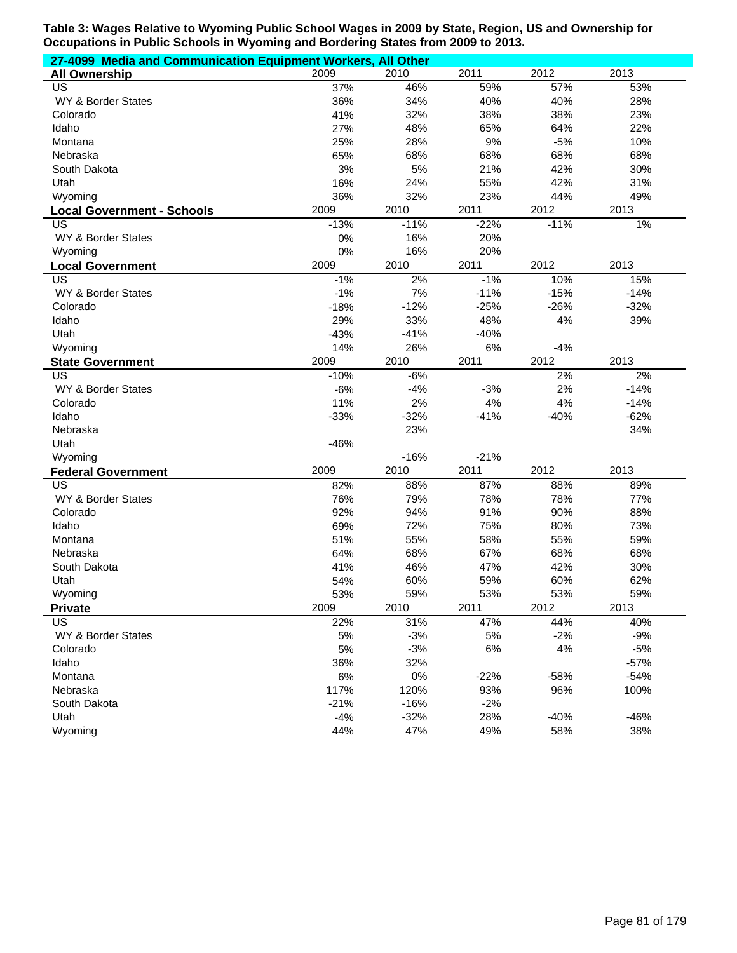| 27-4099 Media and Communication Equipment Workers, All Other |        |        |        |        |        |  |  |
|--------------------------------------------------------------|--------|--------|--------|--------|--------|--|--|
| <b>All Ownership</b>                                         | 2009   | 2010   | 2011   | 2012   | 2013   |  |  |
| US                                                           | 37%    | 46%    | 59%    | 57%    | 53%    |  |  |
| WY & Border States                                           | 36%    | 34%    | 40%    | 40%    | 28%    |  |  |
| Colorado                                                     | 41%    | 32%    | 38%    | 38%    | 23%    |  |  |
| Idaho                                                        | 27%    | 48%    | 65%    | 64%    | 22%    |  |  |
| Montana                                                      | 25%    | 28%    | 9%     | $-5%$  | 10%    |  |  |
| Nebraska                                                     | 65%    | 68%    | 68%    | 68%    | 68%    |  |  |
| South Dakota                                                 | 3%     | 5%     | 21%    | 42%    | 30%    |  |  |
| Utah                                                         | 16%    | 24%    | 55%    | 42%    | 31%    |  |  |
| Wyoming                                                      | 36%    | 32%    | 23%    | 44%    | 49%    |  |  |
| <b>Local Government - Schools</b>                            | 2009   | 2010   | 2011   | 2012   | 2013   |  |  |
| US                                                           | $-13%$ | $-11%$ | $-22%$ | $-11%$ | 1%     |  |  |
| WY & Border States                                           | 0%     | 16%    | 20%    |        |        |  |  |
| Wyoming                                                      | 0%     | 16%    | 20%    |        |        |  |  |
| <b>Local Government</b>                                      | 2009   | 2010   | 2011   | 2012   | 2013   |  |  |
| <b>US</b>                                                    | $-1%$  | 2%     | $-1%$  | 10%    | 15%    |  |  |
| WY & Border States                                           | $-1%$  | 7%     | $-11%$ | $-15%$ | $-14%$ |  |  |
| Colorado                                                     | $-18%$ | $-12%$ | $-25%$ | $-26%$ | $-32%$ |  |  |
| Idaho                                                        | 29%    | 33%    | 48%    | 4%     | 39%    |  |  |
| Utah                                                         | $-43%$ | $-41%$ | $-40%$ |        |        |  |  |
| Wyoming                                                      | 14%    | 26%    | 6%     | $-4%$  |        |  |  |
| <b>State Government</b>                                      | 2009   | 2010   | 2011   | 2012   | 2013   |  |  |
| <b>US</b>                                                    | $-10%$ | $-6%$  |        | 2%     | 2%     |  |  |
| WY & Border States                                           | $-6%$  | $-4%$  | $-3%$  | 2%     | $-14%$ |  |  |
| Colorado                                                     | 11%    | 2%     | 4%     | 4%     | $-14%$ |  |  |
| Idaho                                                        | $-33%$ | $-32%$ | $-41%$ | $-40%$ | $-62%$ |  |  |
| Nebraska                                                     |        | 23%    |        |        | 34%    |  |  |
| Utah                                                         | $-46%$ |        |        |        |        |  |  |
| Wyoming                                                      |        | $-16%$ | $-21%$ |        |        |  |  |
| <b>Federal Government</b>                                    | 2009   | 2010   | 2011   | 2012   | 2013   |  |  |
| <b>US</b>                                                    | 82%    | 88%    | 87%    | 88%    | 89%    |  |  |
| WY & Border States                                           | 76%    | 79%    | 78%    | 78%    | 77%    |  |  |
| Colorado                                                     | 92%    | 94%    | 91%    | 90%    | 88%    |  |  |
| Idaho                                                        | 69%    | 72%    | 75%    | 80%    | 73%    |  |  |
| Montana                                                      | 51%    | 55%    | 58%    | 55%    | 59%    |  |  |
| Nebraska                                                     | 64%    | 68%    | 67%    | 68%    | 68%    |  |  |
| South Dakota                                                 | 41%    | 46%    | 47%    | 42%    | 30%    |  |  |
| Utah                                                         | 54%    | 60%    | 59%    | 60%    | 62%    |  |  |
| Wyoming                                                      | 53%    | 59%    | 53%    | 53%    | 59%    |  |  |
| <b>Private</b>                                               | 2009   | 2010   | 2011   | 2012   | 2013   |  |  |
| <b>US</b>                                                    | 22%    | 31%    | 47%    | 44%    | 40%    |  |  |
| WY & Border States                                           | 5%     | $-3%$  | 5%     | $-2%$  | $-9%$  |  |  |
| Colorado                                                     | 5%     | $-3%$  | 6%     | 4%     | $-5%$  |  |  |
| Idaho                                                        | 36%    | 32%    |        |        | $-57%$ |  |  |
| Montana                                                      | 6%     | $0\%$  | $-22%$ | $-58%$ | $-54%$ |  |  |
| Nebraska                                                     | 117%   | 120%   | 93%    | 96%    | 100%   |  |  |
| South Dakota                                                 | $-21%$ | $-16%$ | $-2%$  |        |        |  |  |
| Utah                                                         | $-4%$  | $-32%$ | 28%    | $-40%$ | $-46%$ |  |  |
| Wyoming                                                      | 44%    | 47%    | 49%    | 58%    | 38%    |  |  |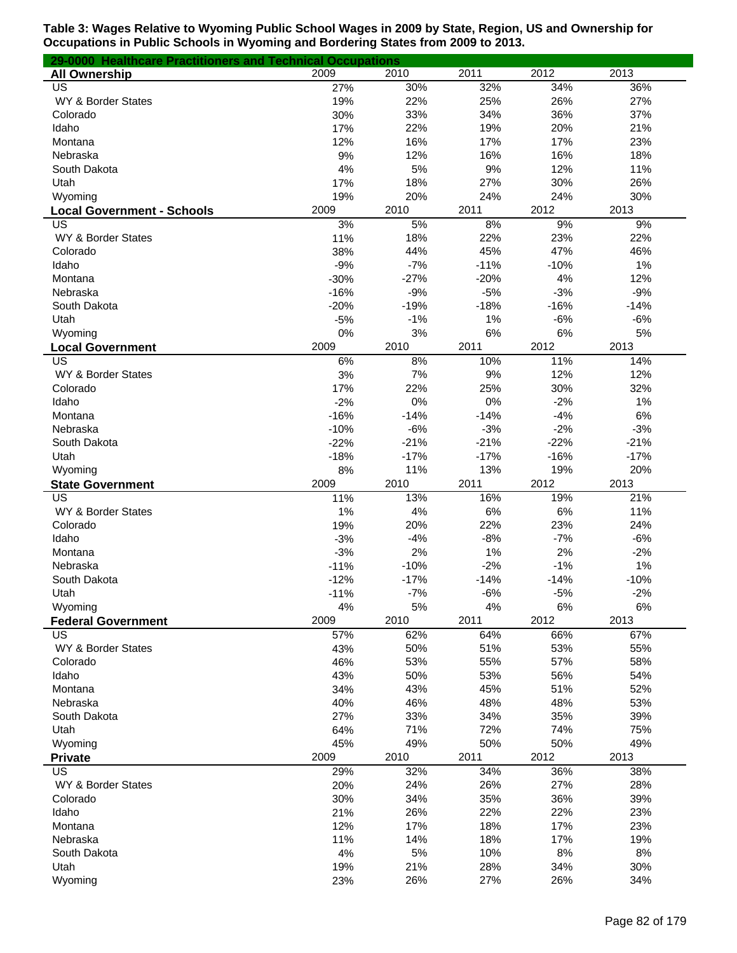| 29-0000 Healthcare Practitioners and Technical Occupations |           |            |            |            |            |
|------------------------------------------------------------|-----------|------------|------------|------------|------------|
| <b>All Ownership</b>                                       | 2009      | 2010       | 2011       | 2012       | 2013       |
| US                                                         | 27%       | 30%        | 32%        | 34%        | 36%        |
| WY & Border States                                         | 19%       | 22%        | 25%        | 26%        | 27%        |
| Colorado                                                   | 30%       | 33%        | 34%        | 36%        | 37%        |
| Idaho                                                      | 17%       | 22%        | 19%        | 20%        | 21%        |
| Montana                                                    | 12%       | 16%        | 17%        | 17%        | 23%        |
| Nebraska                                                   | 9%        | 12%        | 16%        | 16%        | 18%        |
| South Dakota                                               | 4%        | 5%         | 9%         | 12%        | 11%        |
| Utah                                                       | 17%       | 18%        | 27%        | 30%        | 26%        |
| Wyoming                                                    | 19%       | 20%        | 24%        | 24%        | 30%        |
| <b>Local Government - Schools</b>                          | 2009      | 2010       | 2011       | 2012       | 2013       |
| US<br>WY & Border States                                   | 3%<br>11% | 5%         | 8%         | 9%         | 9%         |
| Colorado                                                   | 38%       | 18%<br>44% | 22%<br>45% | 23%<br>47% | 22%<br>46% |
| Idaho                                                      | $-9%$     | $-7%$      | $-11%$     | $-10%$     | 1%         |
| Montana                                                    | $-30%$    | $-27%$     | $-20%$     | 4%         | 12%        |
| Nebraska                                                   | $-16%$    | $-9%$      | $-5%$      | $-3%$      | $-9%$      |
| South Dakota                                               | $-20%$    | $-19%$     | $-18%$     | $-16%$     | $-14%$     |
| Utah                                                       | $-5%$     | $-1%$      | 1%         | $-6%$      | $-6%$      |
| Wyoming                                                    | 0%        | 3%         | 6%         | 6%         | 5%         |
| <b>Local Government</b>                                    | 2009      | 2010       | 2011       | 2012       | 2013       |
| US                                                         | 6%        | 8%         | 10%        | 11%        | 14%        |
| WY & Border States                                         | 3%        | 7%         | 9%         | 12%        | 12%        |
| Colorado                                                   | 17%       | 22%        | 25%        | 30%        | 32%        |
| Idaho                                                      | $-2%$     | 0%         | 0%         | $-2%$      | 1%         |
| Montana                                                    | $-16%$    | $-14%$     | $-14%$     | $-4%$      | 6%         |
| Nebraska                                                   | $-10%$    | $-6%$      | $-3%$      | $-2%$      | $-3%$      |
| South Dakota                                               | $-22%$    | $-21%$     | $-21%$     | $-22%$     | $-21%$     |
| Utah                                                       | $-18%$    | $-17%$     | $-17%$     | $-16%$     | $-17%$     |
| Wyoming                                                    | 8%        | 11%        | 13%        | 19%        | 20%        |
| <b>State Government</b>                                    | 2009      | 2010       | 2011       | 2012       | 2013       |
| US                                                         | 11%       | 13%        | 16%        | 19%        | 21%        |
| WY & Border States                                         | 1%        | 4%         | 6%         | $6\%$      | 11%        |
| Colorado                                                   | 19%       | 20%        | 22%        | 23%        | 24%        |
| Idaho                                                      | $-3%$     | $-4%$      | $-8%$      | $-7%$      | $-6%$      |
| Montana                                                    | $-3%$     | 2%         | 1%         | 2%         | $-2%$      |
| Nebraska                                                   | $-11%$    | $-10%$     | $-2%$      | $-1%$      | 1%         |
| South Dakota                                               | $-12%$    | $-17%$     | $-14%$     | $-14%$     | $-10%$     |
| Utah                                                       | $-11%$    | $-7%$      | $-6%$      | $-5%$      | $-2%$      |
| Wyoming                                                    | 4%        | 5%         | 4%         | 6%         | 6%         |
| <b>Federal Government</b>                                  | 2009      | 2010       | 2011       | 2012       | 2013       |
| US                                                         | 57%       | 62%        | 64%        | 66%        | 67%        |
| WY & Border States                                         | 43%       | 50%        | 51%        | 53%        | 55%        |
| Colorado                                                   | 46%       | 53%        | 55%        | 57%        | 58%        |
| Idaho                                                      | 43%       | 50%        | 53%        | 56%        | 54%        |
| Montana                                                    | 34%       | 43%        | 45%        | 51%        | 52%        |
| Nebraska                                                   | 40%       | 46%        | 48%        | 48%        | 53%        |
| South Dakota                                               | 27%       | 33%        | 34%        | 35%        | 39%        |
| Utah                                                       | 64%       | 71%        | 72%        | 74%        | 75%        |
| Wyoming                                                    | 45%       | 49%        | 50%        | 50%        | 49%        |
| <b>Private</b>                                             | 2009      | 2010       | 2011       | 2012       | 2013       |
| US                                                         | 29%       | 32%        | 34%        | 36%        | 38%        |
| WY & Border States                                         | 20%       | 24%        | 26%        | 27%        | 28%        |
| Colorado                                                   | 30%       | 34%        | 35%        | 36%        | 39%        |
| Idaho                                                      | 21%       | 26%        | 22%        | 22%        | 23%        |
| Montana                                                    | 12%       | 17%        | 18%        | 17%        | 23%        |
| Nebraska                                                   | 11%       | 14%        | 18%        | 17%        | 19%        |
| South Dakota                                               | 4%        | 5%         | 10%        | 8%         | 8%         |
| Utah                                                       | 19%       | 21%        | 28%        | 34%        | 30%        |
| Wyoming                                                    | 23%       | 26%        | 27%        | 26%        | 34%        |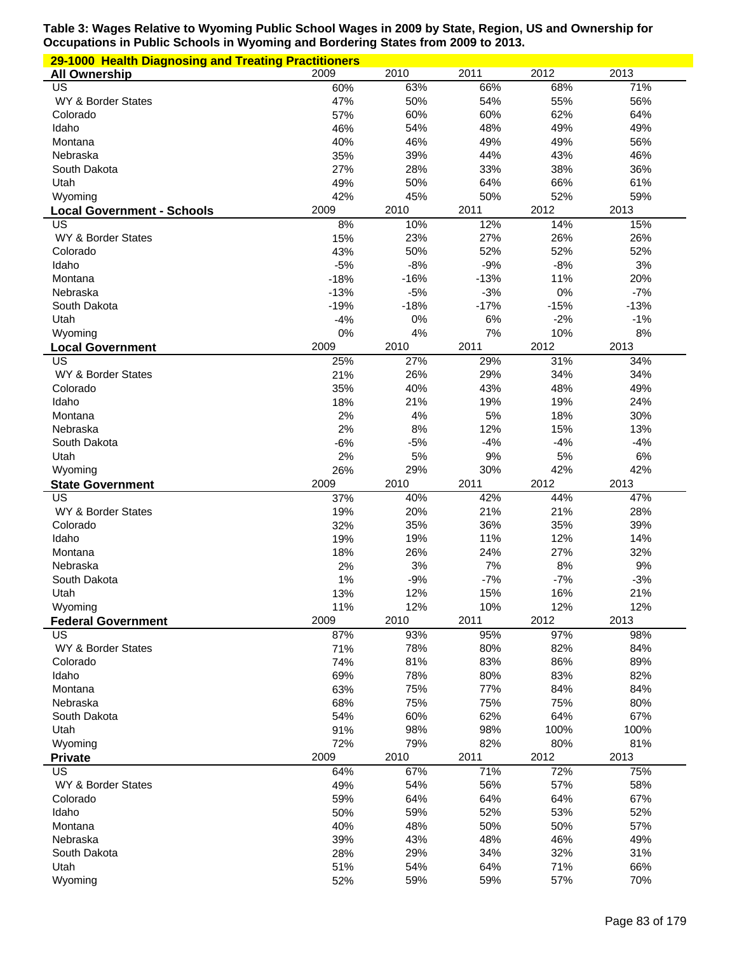| 29-1000 Health Diagnosing and Treating Practitioners |            |            |            |             |             |
|------------------------------------------------------|------------|------------|------------|-------------|-------------|
| <b>All Ownership</b>                                 | 2009       | 2010       | 2011       | 2012        | 2013        |
| $\overline{US}$                                      | 60%        | 63%        | 66%        | 68%         | 71%         |
| WY & Border States                                   | 47%        | 50%        | 54%        | 55%         | 56%         |
| Colorado                                             | 57%        | 60%        | 60%        | 62%         | 64%         |
| Idaho                                                | 46%        | 54%        | 48%        | 49%         | 49%         |
| Montana                                              | 40%        | 46%        | 49%        | 49%         | 56%         |
| Nebraska                                             | 35%        | 39%        | 44%        | 43%         | 46%         |
| South Dakota                                         | 27%        | 28%        | 33%        | 38%         | 36%         |
| Utah                                                 | 49%        | 50%        | 64%        | 66%         | 61%         |
| Wyoming                                              | 42%        | 45%        | 50%        | 52%         | 59%         |
| <b>Local Government - Schools</b>                    | 2009       | 2010       | 2011       | 2012        | 2013        |
| US<br>WY & Border States                             | 8%<br>15%  | 10%<br>23% | 12%<br>27% | 14%<br>26%  | 15%<br>26%  |
| Colorado                                             | 43%        | 50%        | 52%        | 52%         | 52%         |
| Idaho                                                | $-5%$      | $-8%$      | $-9%$      | $-8%$       | 3%          |
| Montana                                              | $-18%$     | $-16%$     | $-13%$     | 11%         | 20%         |
| Nebraska                                             | $-13%$     | $-5%$      | $-3%$      | $0\%$       | $-7%$       |
| South Dakota                                         | $-19%$     | $-18%$     | $-17%$     | $-15%$      | $-13%$      |
| Utah                                                 | $-4%$      | $0\%$      | 6%         | $-2%$       | $-1%$       |
| Wyoming                                              | 0%         | 4%         | 7%         | 10%         | 8%          |
| <b>Local Government</b>                              | 2009       | 2010       | 2011       | 2012        | 2013        |
| US                                                   | 25%        | 27%        | 29%        | 31%         | 34%         |
| WY & Border States                                   | 21%        | 26%        | 29%        | 34%         | 34%         |
| Colorado                                             | 35%        | 40%        | 43%        | 48%         | 49%         |
| Idaho                                                | 18%        | 21%        | 19%        | 19%         | 24%         |
| Montana                                              | 2%         | 4%         | 5%         | 18%         | 30%         |
| Nebraska                                             | 2%         | 8%         | 12%        | 15%         | 13%         |
| South Dakota                                         | $-6%$      | $-5%$      | $-4%$      | $-4%$       | $-4%$       |
| Utah                                                 | 2%         | 5%         | 9%         | 5%          | 6%          |
| Wyoming                                              | 26%        | 29%        | 30%        | 42%         | 42%         |
|                                                      |            |            |            |             |             |
| <b>State Government</b>                              | 2009       | 2010       | 2011       | 2012        | 2013        |
| US                                                   | 37%        | 40%        | 42%        | 44%         | 47%         |
| WY & Border States                                   | 19%        | 20%        | 21%        | 21%         | 28%         |
| Colorado                                             | 32%        | 35%        | 36%        | 35%         | 39%         |
| Idaho                                                | 19%        | 19%        | 11%        | 12%         | 14%         |
| Montana                                              | 18%        | 26%        | 24%        | 27%         | 32%         |
| Nebraska                                             | 2%         | $3%$       | 7%         | $8%$        | $9%$        |
| South Dakota                                         | 1%         | $-9%$      | $-7%$      | $-7%$       | $-3%$       |
| Utah                                                 | 13%        | 12%        | 15%        | 16%         | 21%         |
| Wyoming                                              | 11%        | 12%        | 10%        | 12%         | 12%         |
| <b>Federal Government</b>                            | 2009       | 2010       | 2011       | 2012        | 2013        |
| US                                                   | 87%        | 93%        | 95%        | 97%         | 98%         |
| WY & Border States                                   | 71%        | 78%        | 80%        | 82%         | 84%         |
| Colorado                                             | 74%        | 81%        | 83%        | 86%         | 89%         |
| Idaho                                                | 69%        | 78%        | 80%        | 83%         | 82%         |
| Montana                                              | 63%        | 75%        | 77%        | 84%         | 84%         |
| Nebraska                                             | 68%        | 75%        | 75%        | 75%         | 80%         |
| South Dakota                                         | 54%        | 60%<br>98% | 62%<br>98% | 64%<br>100% | 67%<br>100% |
| Utah<br>Wyoming                                      | 91%<br>72% | 79%        | 82%        | 80%         | 81%         |
| <b>Private</b>                                       | 2009       | 2010       | 2011       | 2012        | 2013        |
| US                                                   | 64%        | 67%        | 71%        | 72%         | 75%         |
| WY & Border States                                   | 49%        | 54%        | 56%        | 57%         | 58%         |
| Colorado                                             | 59%        | 64%        | 64%        | 64%         | 67%         |
| Idaho                                                | 50%        | 59%        | 52%        | 53%         | 52%         |
| Montana                                              | 40%        | 48%        | 50%        | 50%         | 57%         |
| Nebraska                                             | 39%        | 43%        | 48%        | 46%         | 49%         |
| South Dakota                                         | 28%        | 29%        | 34%        | 32%         | 31%         |
| Utah<br>Wyoming                                      | 51%<br>52% | 54%<br>59% | 64%<br>59% | 71%<br>57%  | 66%<br>70%  |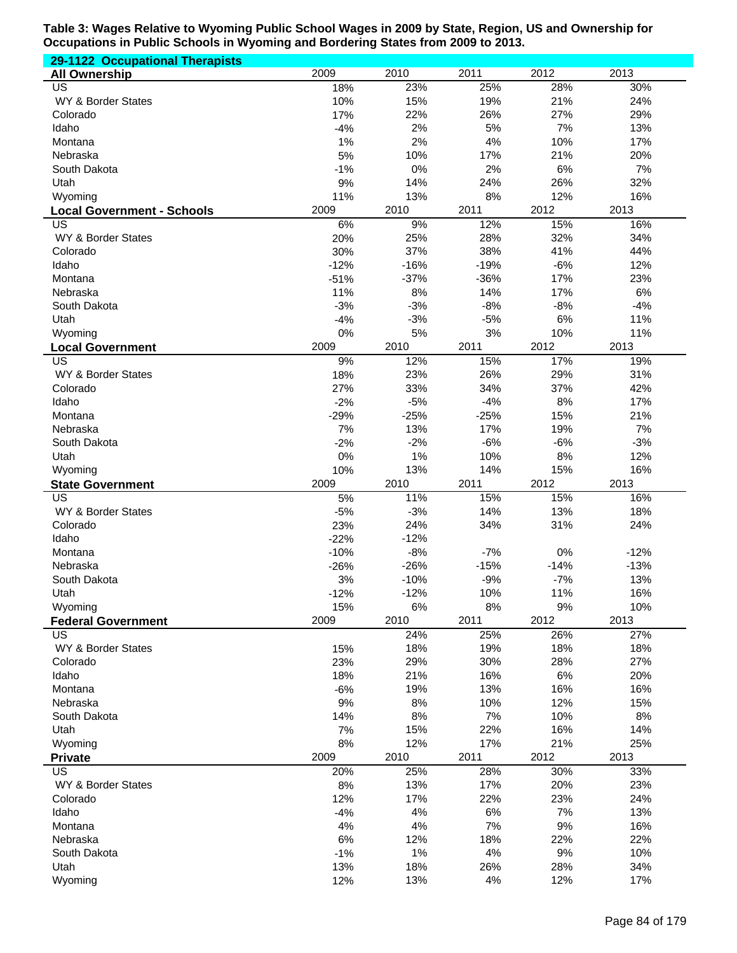| 29-1122 Occupational Therapists         |             |              |              |              |              |
|-----------------------------------------|-------------|--------------|--------------|--------------|--------------|
| <b>All Ownership</b>                    | 2009        | 2010         | 2011         | 2012         | 2013         |
| US                                      | 18%         | 23%          | 25%          | 28%          | 30%          |
| WY & Border States                      | 10%         | 15%          | 19%          | 21%          | 24%          |
| Colorado                                | 17%         | 22%          | 26%          | 27%          | 29%          |
| Idaho                                   | $-4%$       | 2%           | 5%           | 7%           | 13%          |
| Montana                                 | 1%          | 2%           | 4%           | 10%          | 17%          |
| Nebraska                                | 5%          | 10%          | 17%          | 21%          | 20%          |
| South Dakota                            | $-1%$       | 0%           | 2%           | 6%           | 7%           |
| Utah                                    | 9%<br>11%   | 14%<br>13%   | 24%<br>8%    | 26%<br>12%   | 32%<br>16%   |
| Wyoming                                 | 2009        | 2010         | 2011         | 2012         | 2013         |
| <b>Local Government - Schools</b><br>US | 6%          | 9%           | 12%          | 15%          | 16%          |
| WY & Border States                      | 20%         | 25%          | 28%          | 32%          | 34%          |
| Colorado                                | 30%         | 37%          | 38%          | 41%          | 44%          |
| Idaho                                   | $-12%$      | $-16%$       | $-19%$       | $-6%$        | 12%          |
| Montana                                 | $-51%$      | $-37%$       | $-36%$       | 17%          | 23%          |
| Nebraska                                | 11%         | 8%           | 14%          | 17%          | 6%           |
| South Dakota                            | $-3%$       | $-3%$        | $-8%$        | $-8%$        | $-4%$        |
| Utah                                    | $-4%$       | $-3%$        | $-5%$        | $6\%$        | 11%          |
| Wyoming                                 | 0%          | 5%           | 3%           | 10%          | 11%          |
| <b>Local Government</b>                 | 2009        | 2010         | 2011         | 2012         | 2013         |
| $\overline{\mathsf{US}}$                | 9%          | 12%          | 15%          | 17%          | 19%          |
| WY & Border States                      | 18%         | 23%          | 26%          | 29%          | 31%          |
| Colorado                                | 27%         | 33%          | 34%          | 37%          | 42%          |
| Idaho                                   | $-2%$       | $-5%$        | $-4%$        | 8%           | 17%          |
| Montana                                 | $-29%$      | $-25%$       | $-25%$       | 15%          | 21%          |
| Nebraska                                | 7%<br>$-2%$ | 13%<br>$-2%$ | 17%          | 19%<br>$-6%$ | 7%           |
| South Dakota<br>Utah                    | 0%          | 1%           | $-6%$<br>10% | 8%           | $-3%$<br>12% |
| Wyoming                                 | 10%         | 13%          | 14%          | 15%          | 16%          |
| <b>State Government</b>                 | 2009        | 2010         | 2011         | 2012         | 2013         |
| US                                      | 5%          | 11%          | 15%          | 15%          | 16%          |
| WY & Border States                      | $-5%$       | $-3%$        | 14%          | 13%          | 18%          |
| Colorado                                | 23%         | 24%          | 34%          | 31%          | 24%          |
| Idaho                                   | $-22%$      | $-12%$       |              |              |              |
| Montana                                 | $-10%$      | $-8%$        | $-7%$        | 0%           | $-12%$       |
| Nebraska                                | $-26%$      | $-26%$       | $-15%$       | $-14%$       | $-13%$       |
| South Dakota                            | 3%          | $-10%$       | $-9%$        | $-7%$        | 13%          |
| Utah                                    | $-12%$      | $-12%$       | 10%          | 11%          | 16%          |
| Wyoming                                 | 15%         | 6%           | 8%           | 9%           | 10%          |
| <b>Federal Government</b>               | 2009        | 2010         | 2011         | 2012         | 2013         |
| <b>US</b>                               |             | 24%          | 25%          | 26%          | 27%          |
| WY & Border States                      | 15%<br>23%  | 18%          | 19%          | 18%          | 18%          |
| Colorado<br>Idaho                       | 18%         | 29%<br>21%   | 30%<br>16%   | 28%<br>6%    | 27%<br>20%   |
| Montana                                 | $-6%$       | 19%          | 13%          | 16%          | 16%          |
| Nebraska                                | 9%          | 8%           | 10%          | 12%          | 15%          |
| South Dakota                            | 14%         | 8%           | 7%           | 10%          | 8%           |
| Utah                                    | 7%          | 15%          | 22%          | 16%          | 14%          |
| Wyoming                                 | 8%          | 12%          | 17%          | 21%          | 25%          |
| <b>Private</b>                          | 2009        | 2010         | 2011         | 2012         | 2013         |
| <b>US</b>                               | 20%         | 25%          | 28%          | 30%          | 33%          |
| WY & Border States                      | 8%          | 13%          | 17%          | 20%          | 23%          |
| Colorado                                | 12%         | 17%          | 22%          | 23%          | 24%          |
| Idaho                                   | $-4%$       | 4%           | 6%           | 7%           | 13%          |
| Montana                                 | 4%          | 4%           | 7%           | 9%           | 16%          |
| Nebraska                                | 6%          | 12%          | 18%          | 22%          | 22%          |
| South Dakota                            | $-1%$       | 1%           | 4%           | 9%           | 10%          |
| Utah                                    | 13%         | 18%          | 26%          | 28%          | 34%          |
| Wyoming                                 | 12%         | 13%          | 4%           | 12%          | 17%          |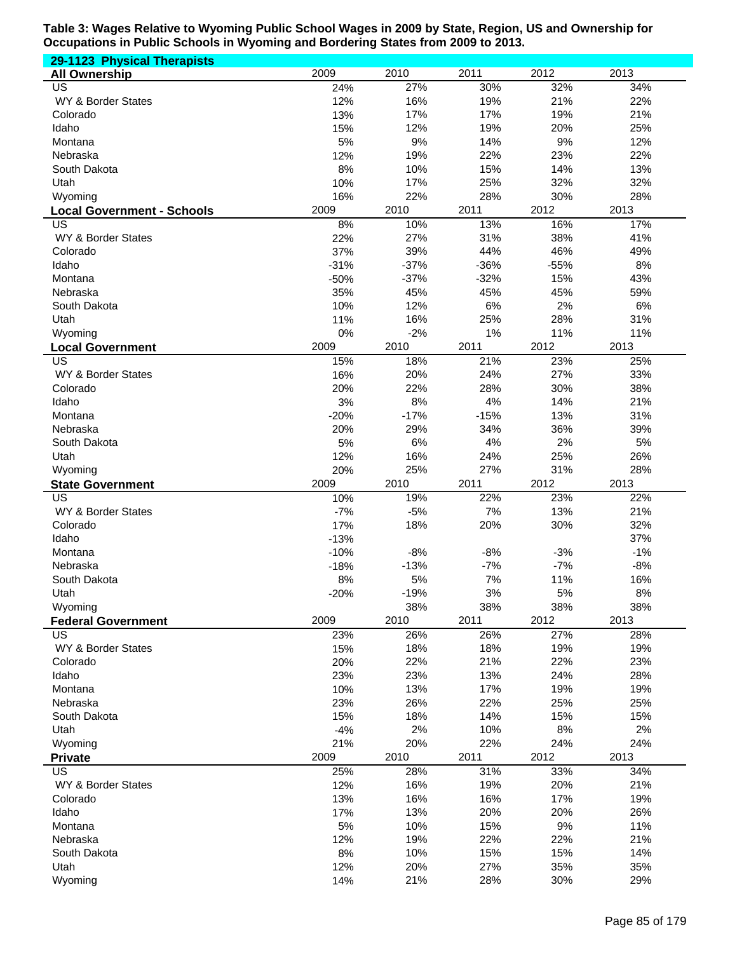| 29-1123 Physical Therapists                  |            |            |            |            |            |
|----------------------------------------------|------------|------------|------------|------------|------------|
| <b>All Ownership</b>                         | 2009       | 2010       | 2011       | 2012       | 2013       |
| US                                           | 24%        | 27%        | 30%        | 32%        | 34%        |
| WY & Border States                           | 12%        | 16%        | 19%        | 21%        | 22%        |
| Colorado                                     | 13%        | 17%        | 17%        | 19%        | 21%        |
| Idaho                                        | 15%        | 12%        | 19%        | 20%        | 25%        |
| Montana                                      | 5%         | 9%         | 14%        | 9%         | 12%        |
| Nebraska                                     | 12%        | 19%        | 22%        | 23%        | 22%        |
| South Dakota                                 | 8%         | 10%        | 15%        | 14%        | 13%        |
| Utah                                         | 10%<br>16% | 17%<br>22% | 25%<br>28% | 32%<br>30% | 32%<br>28% |
| Wyoming<br><b>Local Government - Schools</b> | 2009       | 2010       | 2011       | 2012       | 2013       |
| US                                           | 8%         | 10%        | 13%        | 16%        | 17%        |
| WY & Border States                           | 22%        | 27%        | 31%        | 38%        | 41%        |
| Colorado                                     | 37%        | 39%        | 44%        | 46%        | 49%        |
| Idaho                                        | $-31%$     | $-37%$     | $-36%$     | $-55%$     | 8%         |
| Montana                                      | $-50%$     | $-37%$     | $-32%$     | 15%        | 43%        |
| Nebraska                                     | 35%        | 45%        | 45%        | 45%        | 59%        |
| South Dakota                                 | 10%        | 12%        | 6%         | 2%         | 6%         |
| Utah                                         | 11%        | 16%        | 25%        | 28%        | 31%        |
| Wyoming                                      | 0%         | $-2%$      | 1%         | 11%        | 11%        |
| <b>Local Government</b>                      | 2009       | 2010       | 2011       | 2012       | 2013       |
| $\overline{\mathsf{US}}$                     | 15%        | 18%        | 21%        | 23%        | 25%        |
| WY & Border States                           | 16%        | 20%        | 24%        | 27%        | 33%        |
| Colorado                                     | 20%        | 22%        | 28%        | 30%        | 38%        |
| Idaho                                        | 3%         | 8%         | 4%         | 14%        | 21%        |
| Montana                                      | $-20%$     | $-17%$     | $-15%$     | 13%        | 31%        |
| Nebraska                                     | 20%<br>5%  | 29%        | 34%<br>4%  | 36%<br>2%  | 39%<br>5%  |
| South Dakota<br>Utah                         | 12%        | 6%<br>16%  | 24%        | 25%        | 26%        |
| Wyoming                                      | 20%        | 25%        | 27%        | 31%        | 28%        |
| <b>State Government</b>                      | 2009       | 2010       | 2011       | 2012       | 2013       |
| US                                           | 10%        | 19%        | 22%        | 23%        | 22%        |
| WY & Border States                           | $-7%$      | $-5%$      | 7%         | 13%        | 21%        |
| Colorado                                     | 17%        | 18%        | 20%        | 30%        | 32%        |
| Idaho                                        | $-13%$     |            |            |            | 37%        |
| Montana                                      | $-10%$     | $-8%$      | $-8%$      | $-3%$      | $-1%$      |
| Nebraska                                     | $-18%$     | $-13%$     | $-7%$      | $-7%$      | $-8%$      |
| South Dakota                                 | 8%         | 5%         | 7%         | 11%        | 16%        |
| Utah                                         | $-20%$     | $-19%$     | 3%         | $5\%$      | $8\%$      |
| Wyoming                                      |            | 38%        | 38%        | 38%        | 38%        |
| <b>Federal Government</b>                    | 2009       | 2010       | 2011       | 2012       | 2013       |
| <b>US</b>                                    | 23%        | 26%        | 26%        | 27%        | 28%        |
| WY & Border States                           | 15%        | 18%        | 18%<br>21% | 19%        | 19%        |
| Colorado<br>Idaho                            | 20%<br>23% | 22%<br>23% | 13%        | 22%<br>24% | 23%<br>28% |
| Montana                                      | 10%        | 13%        | 17%        | 19%        | 19%        |
| Nebraska                                     | 23%        | 26%        | 22%        | 25%        | 25%        |
| South Dakota                                 | 15%        | 18%        | 14%        | 15%        | 15%        |
| Utah                                         | $-4%$      | 2%         | 10%        | $8%$       | 2%         |
| Wyoming                                      | 21%        | 20%        | 22%        | 24%        | 24%        |
| <b>Private</b>                               | 2009       | 2010       | 2011       | 2012       | 2013       |
| <b>US</b>                                    | 25%        | 28%        | 31%        | 33%        | 34%        |
| WY & Border States                           | 12%        | 16%        | 19%        | 20%        | 21%        |
| Colorado                                     | 13%        | 16%        | 16%        | 17%        | 19%        |
| Idaho                                        | 17%        | 13%        | 20%        | 20%        | 26%        |
| Montana                                      | 5%         | 10%        | 15%        | 9%         | 11%        |
| Nebraska                                     | 12%        | 19%        | 22%        | 22%        | 21%        |
| South Dakota                                 | 8%         | 10%        | 15%        | 15%        | 14%        |
| Utah                                         | 12%        | 20%        | 27%        | 35%        | 35%        |
| Wyoming                                      | 14%        | 21%        | 28%        | 30%        | 29%        |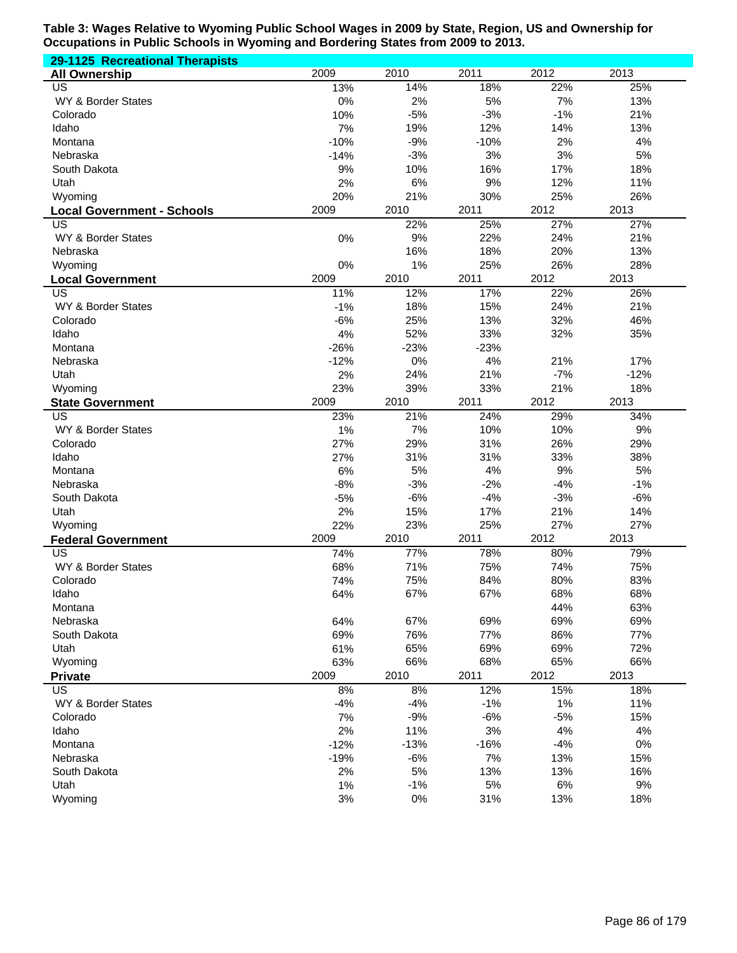| 29-1125 Recreational Therapists   |        |        |        |       |        |
|-----------------------------------|--------|--------|--------|-------|--------|
| <b>All Ownership</b>              | 2009   | 2010   | 2011   | 2012  | 2013   |
| US                                | 13%    | 14%    | 18%    | 22%   | 25%    |
| WY & Border States                | 0%     | 2%     | 5%     | 7%    | 13%    |
| Colorado                          | 10%    | $-5%$  | $-3%$  | $-1%$ | 21%    |
| Idaho                             | 7%     | 19%    | 12%    | 14%   | 13%    |
| Montana                           | $-10%$ | $-9%$  | $-10%$ | 2%    | 4%     |
| Nebraska                          | $-14%$ | $-3%$  | 3%     | 3%    | 5%     |
| South Dakota                      | 9%     | 10%    | 16%    | 17%   | 18%    |
| Utah                              | 2%     | 6%     | 9%     | 12%   | 11%    |
| Wyoming                           | 20%    | 21%    | 30%    | 25%   | 26%    |
| <b>Local Government - Schools</b> | 2009   | 2010   | 2011   | 2012  | 2013   |
| US                                |        | 22%    | 25%    | 27%   | 27%    |
| WY & Border States                | 0%     | 9%     | 22%    | 24%   | 21%    |
| Nebraska                          |        | 16%    | 18%    | 20%   | 13%    |
| Wyoming                           | 0%     | 1%     | 25%    | 26%   | 28%    |
| <b>Local Government</b>           | 2009   | 2010   | 2011   | 2012  | 2013   |
| US                                | 11%    | 12%    | 17%    | 22%   | 26%    |
| WY & Border States                | $-1%$  | 18%    | 15%    | 24%   | 21%    |
| Colorado                          | $-6%$  | 25%    | 13%    | 32%   | 46%    |
| Idaho                             | 4%     | 52%    | 33%    | 32%   | 35%    |
| Montana                           | $-26%$ | $-23%$ | $-23%$ |       |        |
| Nebraska                          | $-12%$ | 0%     | 4%     | 21%   | 17%    |
| Utah                              | 2%     | 24%    | 21%    | $-7%$ | $-12%$ |
| Wyoming                           | 23%    | 39%    | 33%    | 21%   | 18%    |
| <b>State Government</b>           | 2009   | 2010   | 2011   | 2012  | 2013   |
| US                                | 23%    | 21%    | 24%    | 29%   | 34%    |
| WY & Border States                | 1%     | 7%     | 10%    | 10%   | 9%     |
| Colorado                          | 27%    | 29%    | 31%    | 26%   | 29%    |
| Idaho                             | 27%    | 31%    | 31%    | 33%   | 38%    |
| Montana                           | 6%     | 5%     | 4%     | 9%    | 5%     |
| Nebraska                          | $-8%$  | $-3%$  | $-2%$  | $-4%$ | $-1%$  |
| South Dakota                      | $-5%$  | $-6%$  | $-4%$  | $-3%$ | $-6%$  |
| Utah                              | 2%     | 15%    | 17%    | 21%   | 14%    |
| Wyoming                           | 22%    | 23%    | 25%    | 27%   | 27%    |
| <b>Federal Government</b>         | 2009   | 2010   | 2011   | 2012  | 2013   |
| US                                | 74%    | 77%    | 78%    | 80%   | 79%    |
| WY & Border States                | 68%    | 71%    | 75%    | 74%   | 75%    |
| Colorado                          | 74%    | 75%    | 84%    | 80%   | 83%    |
| Idaho                             | 64%    | 67%    | 67%    | 68%   | 68%    |
| Montana                           |        |        |        | 44%   | 63%    |
| Nebraska                          | 64%    | 67%    | 69%    | 69%   | 69%    |
| South Dakota                      | 69%    | 76%    | 77%    | 86%   | 77%    |
| Utah                              | 61%    | 65%    | 69%    | 69%   | 72%    |
| Wyoming                           | 63%    | 66%    | 68%    | 65%   | 66%    |
| <b>Private</b>                    | 2009   | 2010   | 2011   | 2012  | 2013   |
| US                                | 8%     | 8%     | 12%    | 15%   | 18%    |
| WY & Border States                | $-4%$  | $-4%$  | $-1%$  | 1%    | 11%    |
| Colorado                          | 7%     | $-9%$  | $-6%$  | $-5%$ | 15%    |
| Idaho                             | 2%     | 11%    | 3%     | 4%    | 4%     |
| Montana                           | $-12%$ | $-13%$ | $-16%$ | $-4%$ | $0\%$  |
| Nebraska                          | $-19%$ | $-6%$  | 7%     | 13%   | 15%    |
| South Dakota                      | 2%     | 5%     | 13%    | 13%   | 16%    |
| Utah                              | 1%     | $-1%$  | 5%     | 6%    | 9%     |
| Wyoming                           | 3%     | 0%     | 31%    | 13%   | 18%    |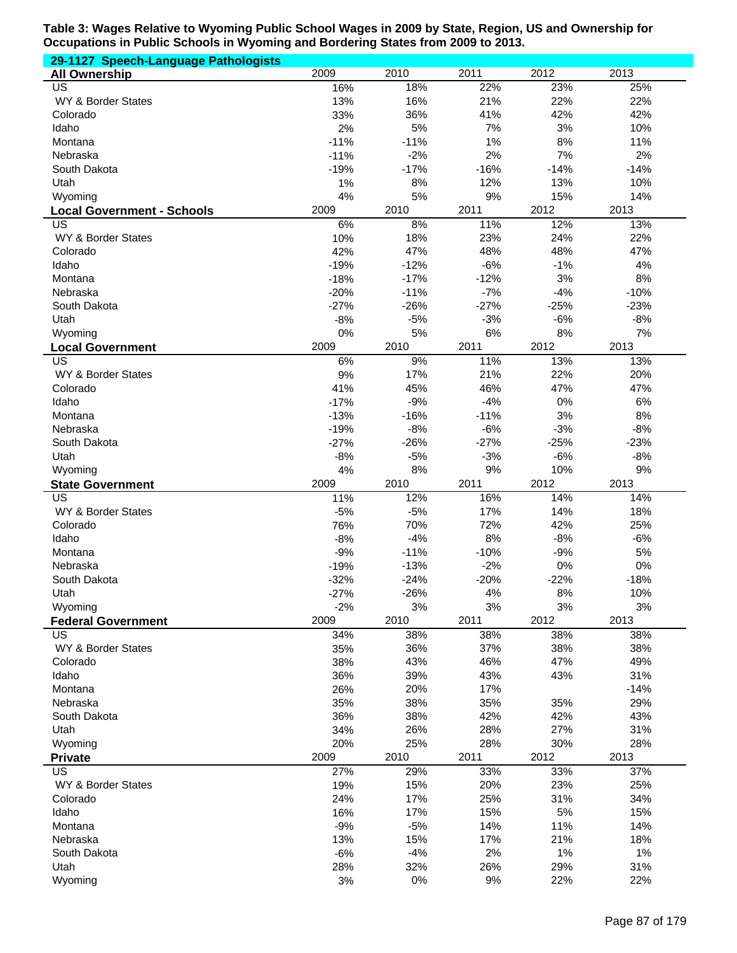| 29-1127 Speech-Language Pathologists    |                 |                  |                 |                |               |
|-----------------------------------------|-----------------|------------------|-----------------|----------------|---------------|
| <b>All Ownership</b>                    | 2009            | 2010             | 2011            | 2012           | 2013          |
| US                                      | 16%             | 18%              | 22%             | 23%            | 25%           |
| WY & Border States                      | 13%             | 16%              | 21%             | 22%            | 22%           |
| Colorado                                | 33%             | 36%              | 41%             | 42%            | 42%           |
| Idaho                                   | 2%              | 5%               | 7%              | 3%             | 10%           |
| Montana                                 | $-11%$          | $-11%$           | 1%              | 8%             | 11%           |
| Nebraska                                | $-11%$          | $-2%$            | 2%              | 7%             | 2%            |
| South Dakota<br>Utah                    | $-19%$<br>1%    | $-17%$<br>8%     | $-16%$<br>12%   | $-14%$<br>13%  | $-14%$<br>10% |
| Wyoming                                 | 4%              | 5%               | 9%              | 15%            | 14%           |
|                                         | 2009            | 2010             | 2011            | 2012           | 2013          |
| <b>Local Government - Schools</b><br>US | 6%              | 8%               | 11%             | 12%            | 13%           |
| WY & Border States                      | 10%             | 18%              | 23%             | 24%            | 22%           |
| Colorado                                | 42%             | 47%              | 48%             | 48%            | 47%           |
| Idaho                                   | $-19%$          | $-12%$           | $-6%$           | $-1%$          | 4%            |
| Montana                                 | $-18%$          | $-17%$           | $-12%$          | 3%             | 8%            |
| Nebraska                                | $-20%$          | $-11%$           | $-7%$           | $-4%$          | $-10%$        |
| South Dakota                            | $-27%$          | $-26%$           | $-27%$          | $-25%$         | $-23%$        |
| Utah                                    | $-8%$           | $-5%$            | $-3%$           | $-6%$          | $-8%$         |
| Wyoming                                 | 0%              | 5%               | 6%              | $8%$           | 7%            |
| <b>Local Government</b>                 | 2009            | 2010             | 2011            | 2012           | 2013          |
| $\overline{\mathsf{US}}$                | 6%              | 9%               | 11%             | 13%            | 13%           |
| WY & Border States                      | 9%              | 17%              | 21%             | 22%            | 20%           |
| Colorado                                | 41%             | 45%              | 46%             | 47%            | 47%           |
| Idaho                                   | $-17%$          | $-9%$            | $-4%$           | 0%             | 6%            |
| Montana                                 | $-13%$          | $-16%$           | $-11%$          | 3%             | 8%            |
| Nebraska                                | $-19%$          | $-8%$            | $-6%$           | $-3%$          | $-8%$         |
| South Dakota                            | $-27%$          | $-26%$           | $-27%$          | $-25%$         | $-23%$        |
|                                         | $-8%$           | $-5%$            | $-3%$           | $-6%$          | $-8%$         |
| Utah                                    |                 |                  |                 |                |               |
| Wyoming                                 | 4%              | 8%               | 9%              | 10%            | 9%            |
| <b>State Government</b>                 | 2009            | 2010             | 2011            | 2012           | 2013          |
| US                                      | 11%             | 12%              | 16%             | 14%            | 14%           |
| WY & Border States                      | $-5%$           | $-5%$            | 17%             | 14%            | 18%           |
| Colorado                                | 76%             | 70%              | 72%             | 42%            | 25%           |
| Idaho                                   | $-8%$           | $-4%$            | 8%              | $-8%$          | $-6%$         |
| Montana                                 | $-9%$           | $-11%$           | $-10%$          | $-9%$          | 5%            |
| Nebraska<br>South Dakota                | $-19%$          | $-13%$<br>$-24%$ | $-2%$           | 0%             | 0%            |
| Utah                                    | $-32%$          | $-26%$           | $-20%$<br>$4\%$ | $-22%$<br>$8%$ | $-18%$<br>10% |
| Wyoming                                 | $-27%$<br>$-2%$ | 3%               | 3%              | 3%             | 3%            |
| <b>Federal Government</b>               | 2009            | 2010             | 2011            | 2012           | 2013          |
| <b>US</b>                               | 34%             | 38%              | 38%             | 38%            | 38%           |
| WY & Border States                      | 35%             | 36%              | 37%             | 38%            | 38%           |
| Colorado                                | 38%             | 43%              | 46%             | 47%            | 49%           |
| Idaho                                   | 36%             | 39%              | 43%             | 43%            | 31%           |
| Montana                                 | 26%             | 20%              | 17%             |                | $-14%$        |
| Nebraska                                | 35%             | 38%              | 35%             | 35%            | 29%           |
| South Dakota                            | 36%             | 38%              | 42%             | 42%            | 43%           |
| Utah                                    | 34%             | 26%              | 28%             | 27%            | 31%           |
| Wyoming                                 | 20%             | 25%              | 28%             | 30%            | 28%           |
| <b>Private</b>                          | 2009            | 2010             | 2011            | 2012           | 2013          |
| <b>US</b>                               | 27%             | 29%              | 33%             | 33%            | 37%           |
| WY & Border States                      | 19%             | 15%              | 20%             | 23%            | 25%           |
| Colorado                                | 24%             | 17%              | 25%             | 31%            | 34%           |
| Idaho                                   | 16%             | 17%              | 15%             | 5%             | 15%           |
| Montana                                 | $-9%$           | $-5%$            | 14%             | 11%            | 14%           |
| Nebraska                                | 13%             | 15%              | 17%             | 21%            | 18%           |
| South Dakota<br>Utah                    | $-6%$<br>28%    | $-4%$<br>32%     | 2%<br>26%       | 1%<br>29%      | 1%<br>31%     |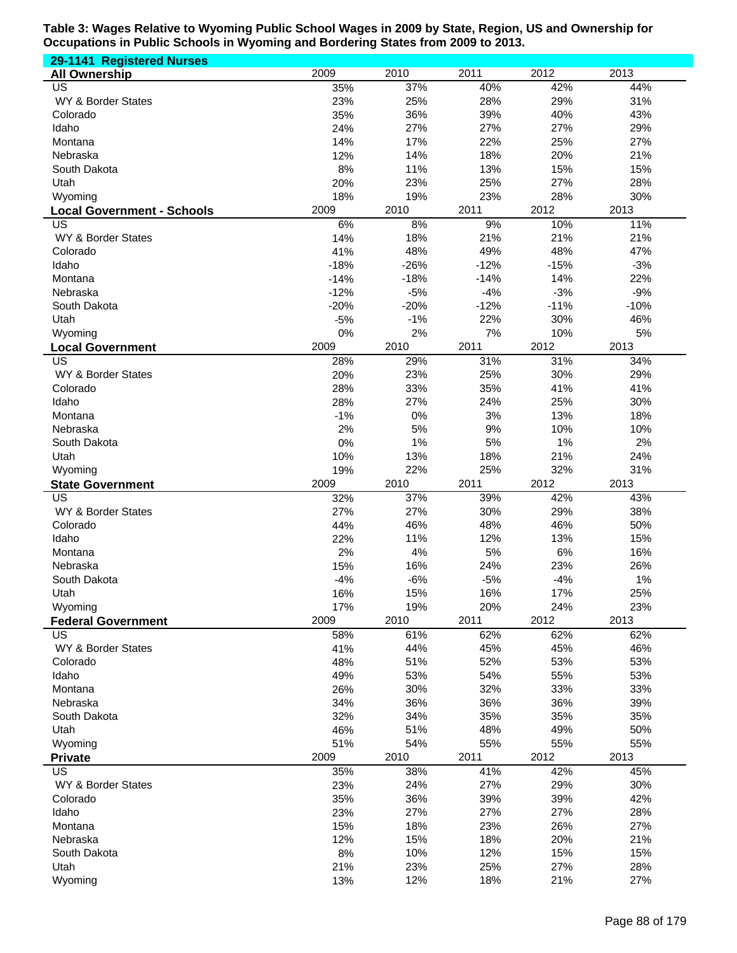| 29-1141 Registered Nurses         |               |            |            |            |            |
|-----------------------------------|---------------|------------|------------|------------|------------|
| <b>All Ownership</b>              | 2009          | 2010       | 2011       | 2012       | 2013       |
| US                                | 35%           | 37%        | 40%        | 42%        | 44%        |
| WY & Border States                | 23%           | 25%        | 28%        | 29%        | 31%        |
| Colorado                          | 35%           | 36%        | 39%        | 40%        | 43%        |
| Idaho                             | 24%           | 27%        | 27%        | 27%        | 29%        |
| Montana                           | 14%           | 17%        | 22%        | 25%        | 27%        |
| Nebraska                          | 12%           | 14%        | 18%        | 20%        | 21%        |
| South Dakota                      | 8%            | 11%        | 13%        | 15%        | 15%        |
| Utah                              | 20%           | 23%        | 25%        | 27%        | 28%        |
| Wyoming                           | 18%           | 19%        | 23%        | 28%        | 30%        |
| <b>Local Government - Schools</b> | 2009          | 2010       | 2011       | 2012       | 2013       |
| US                                | 6%            | 8%         | 9%         | 10%        | 11%        |
| WY & Border States                | 14%           | 18%<br>48% | 21%<br>49% | 21%<br>48% | 21%<br>47% |
| Colorado<br>Idaho                 | 41%<br>$-18%$ | $-26%$     | $-12%$     | $-15%$     | $-3%$      |
| Montana                           | $-14%$        | $-18%$     | $-14%$     | 14%        | 22%        |
| Nebraska                          | $-12%$        | $-5%$      | $-4%$      | $-3%$      | $-9%$      |
| South Dakota                      | $-20%$        | $-20%$     | $-12%$     | $-11%$     | $-10%$     |
| Utah                              | $-5%$         | $-1%$      | 22%        | 30%        | 46%        |
| Wyoming                           | 0%            | 2%         | 7%         | 10%        | 5%         |
| <b>Local Government</b>           | 2009          | 2010       | 2011       | 2012       | 2013       |
| $\overline{\mathsf{US}}$          | 28%           | 29%        | 31%        | 31%        | 34%        |
| WY & Border States                | 20%           | 23%        | 25%        | 30%        | 29%        |
| Colorado                          | 28%           | 33%        | 35%        | 41%        | 41%        |
| Idaho                             | 28%           | 27%        | 24%        | 25%        | 30%        |
| Montana                           | $-1%$         | 0%         | 3%         | 13%        | 18%        |
| Nebraska                          | 2%            | 5%         | 9%         | 10%        | 10%        |
| South Dakota                      | 0%            | 1%         | 5%         | 1%         | 2%         |
| Utah                              | 10%           | 13%        | 18%        | 21%        | 24%        |
| Wyoming                           | 19%           | 22%        | 25%        | 32%        | 31%        |
| <b>State Government</b>           | 2009          | 2010       | 2011       | 2012       | 2013       |
| $\overline{US}$                   | 32%           | 37%        | 39%        | 42%        | 43%        |
| WY & Border States                | 27%           | 27%        | 30%        | 29%        | 38%        |
| Colorado                          | 44%           | 46%        | 48%        | 46%        | 50%        |
| Idaho                             | 22%           | 11%        | 12%        | 13%        | 15%        |
| Montana                           | 2%            | 4%         | 5%         | 6%         | 16%        |
| Nebraska                          | 15%           | 16%        | 24%        | 23%        | 26%        |
| South Dakota                      | $-4%$         | $-6%$      | $-5%$      | $-4%$      | 1%         |
| Utah                              | 16%           | 15%        | 16%        | 17%        | 25%        |
| Wyoming                           | 17%           | 19%        | 20%        | 24%        | 23%        |
| <b>Federal Government</b>         | 2009          | 2010       | 2011       | 2012       | 2013       |
| <b>US</b>                         | 58%           | 61%        | 62%        | 62%        | 62%        |
| WY & Border States                | 41%           | 44%        | 45%        | 45%        | 46%        |
| Colorado                          | 48%           | 51%        | 52%        | 53%        | 53%        |
| Idaho                             | 49%           | 53%        | 54%        | 55%        | 53%        |
| Montana                           | 26%           | 30%        | 32%        | 33%        | 33%        |
| Nebraska                          | 34%           | 36%        | 36%        | 36%        | 39%        |
| South Dakota                      | 32%           | 34%        | 35%        | 35%        | 35%        |
| Utah                              | 46%           | 51%        | 48%        | 49%        | 50%        |
| Wyoming                           | 51%           | 54%        | 55%        | 55%        | 55%        |
| <b>Private</b>                    | 2009          | 2010       | 2011       | 2012       | 2013       |
| <b>US</b>                         | 35%           | 38%        | 41%        | 42%        | 45%        |
| WY & Border States                | 23%           | 24%        | 27%        | 29%        | 30%        |
| Colorado                          | 35%           | 36%        | 39%        | 39%        | 42%        |
| Idaho                             | 23%           | 27%        | 27%        | 27%        | 28%        |
| Montana                           | 15%           | 18%        | 23%        | 26%        | 27%        |
| Nebraska                          | 12%           | 15%        | 18%        | 20%<br>15% | 21%        |
| South Dakota<br>Utah              | 8%<br>21%     | 10%<br>23% | 12%<br>25% | 27%        | 15%<br>28% |
| Wyoming                           | 13%           | 12%        | 18%        | 21%        | 27%        |
|                                   |               |            |            |            |            |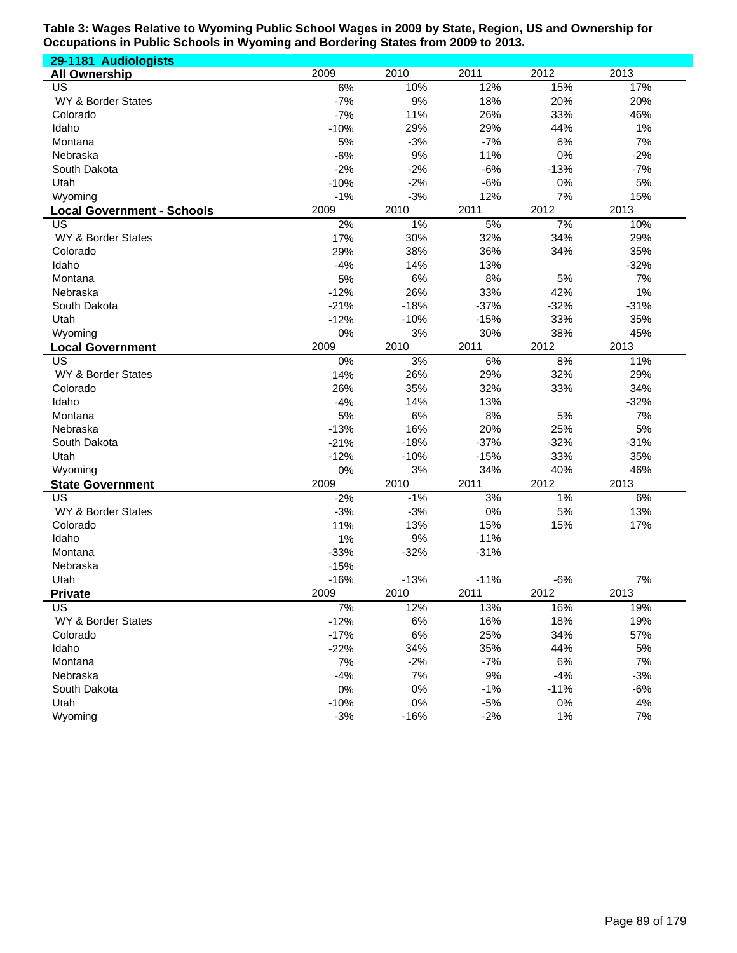| 29-1181 Audiologists              |        |        |        |        |        |
|-----------------------------------|--------|--------|--------|--------|--------|
| <b>All Ownership</b>              | 2009   | 2010   | 2011   | 2012   | 2013   |
| US                                | 6%     | 10%    | 12%    | 15%    | 17%    |
| WY & Border States                | $-7%$  | 9%     | 18%    | 20%    | 20%    |
| Colorado                          | $-7%$  | 11%    | 26%    | 33%    | 46%    |
| Idaho                             | $-10%$ | 29%    | 29%    | 44%    | 1%     |
| Montana                           | 5%     | $-3%$  | $-7%$  | 6%     | 7%     |
| Nebraska                          | $-6%$  | 9%     | 11%    | 0%     | $-2%$  |
| South Dakota                      | $-2%$  | $-2%$  | $-6%$  | $-13%$ | $-7%$  |
| Utah                              | $-10%$ | $-2%$  | $-6%$  | 0%     | 5%     |
| Wyoming                           | $-1%$  | $-3%$  | 12%    | 7%     | 15%    |
| <b>Local Government - Schools</b> | 2009   | 2010   | 2011   | 2012   | 2013   |
| US                                | 2%     | $1\%$  | 5%     | 7%     | 10%    |
| WY & Border States                | 17%    | 30%    | 32%    | 34%    | 29%    |
| Colorado                          | 29%    | 38%    | 36%    | 34%    | 35%    |
| Idaho                             | $-4%$  | 14%    | 13%    |        | $-32%$ |
| Montana                           | 5%     | 6%     | 8%     | 5%     | 7%     |
| Nebraska                          | $-12%$ | 26%    | 33%    | 42%    | 1%     |
| South Dakota                      | $-21%$ | $-18%$ | $-37%$ | $-32%$ | $-31%$ |
| Utah                              | $-12%$ | $-10%$ | $-15%$ | 33%    | 35%    |
| Wyoming                           | 0%     | 3%     | 30%    | 38%    | 45%    |
| <b>Local Government</b>           | 2009   | 2010   | 2011   | 2012   | 2013   |
| $\overline{US}$                   | 0%     | 3%     | 6%     | 8%     | 11%    |
| WY & Border States                | 14%    | 26%    | 29%    | 32%    | 29%    |
| Colorado                          | 26%    | 35%    | 32%    | 33%    | 34%    |
| Idaho                             | $-4%$  | 14%    | 13%    |        | $-32%$ |
| Montana                           | 5%     | 6%     | 8%     | 5%     | 7%     |
| Nebraska                          | $-13%$ | 16%    | 20%    | 25%    | 5%     |
| South Dakota                      | $-21%$ | $-18%$ | $-37%$ | $-32%$ | $-31%$ |
| Utah                              | $-12%$ | $-10%$ | $-15%$ | 33%    | 35%    |
| Wyoming                           | 0%     | 3%     | 34%    | 40%    | 46%    |
| <b>State Government</b>           | 2009   | 2010   | 2011   | 2012   | 2013   |
| $\overline{US}$                   | $-2%$  | $-1%$  | 3%     | 1%     | 6%     |
| WY & Border States                | $-3%$  | $-3%$  | 0%     | 5%     | 13%    |
| Colorado                          | 11%    | 13%    | 15%    | 15%    | 17%    |
| Idaho                             | 1%     | 9%     | 11%    |        |        |
| Montana                           | $-33%$ | $-32%$ | $-31%$ |        |        |
| Nebraska                          | $-15%$ |        |        |        |        |
| Utah                              | $-16%$ | $-13%$ | $-11%$ | $-6%$  | 7%     |
| <b>Private</b>                    | 2009   | 2010   | 2011   | 2012   | 2013   |
| $\overline{\mathsf{US}}$          | 7%     | 12%    | 13%    | 16%    | 19%    |
| WY & Border States                | $-12%$ | 6%     | 16%    | 18%    | 19%    |
| Colorado                          | $-17%$ | 6%     | 25%    | 34%    | 57%    |
| Idaho                             | $-22%$ | 34%    | 35%    | 44%    | 5%     |
| Montana                           | 7%     | $-2%$  | $-7%$  | 6%     | 7%     |
| Nebraska                          | $-4%$  | 7%     | 9%     | $-4%$  | $-3%$  |
| South Dakota                      | 0%     | $0\%$  | $-1%$  | $-11%$ | $-6%$  |
| Utah                              | $-10%$ | $0\%$  | $-5%$  | $0\%$  | 4%     |
| Wyoming                           | $-3%$  | $-16%$ | $-2%$  | 1%     | 7%     |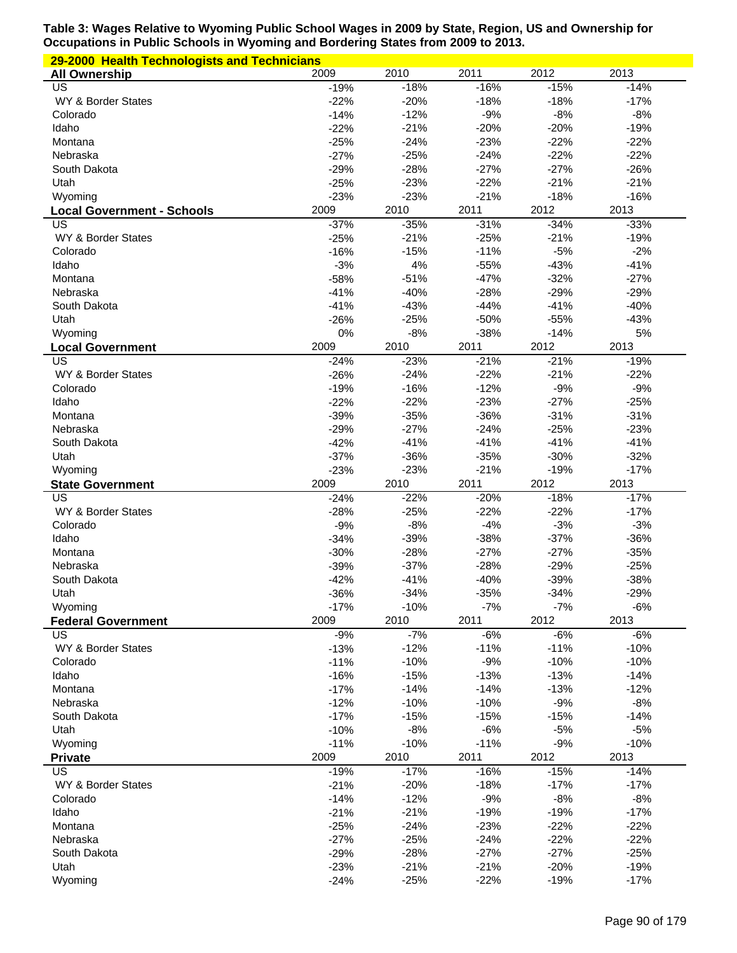| 29-2000 Health Technologists and Technicians |                  |                  |                  |                  |                  |  |  |
|----------------------------------------------|------------------|------------------|------------------|------------------|------------------|--|--|
| <b>All Ownership</b>                         | 2009             | 2010             | 2011             | 2012             | 2013             |  |  |
| US                                           | $-19%$           | $-18%$           | $-16%$           | $-15%$           | $-14%$           |  |  |
| WY & Border States                           | $-22%$           | $-20%$           | $-18%$           | $-18%$           | $-17%$           |  |  |
| Colorado                                     | $-14%$           | $-12%$           | $-9%$            | $-8%$            | $-8%$            |  |  |
| Idaho                                        | $-22%$           | $-21%$           | $-20%$           | $-20%$           | $-19%$           |  |  |
| Montana                                      | $-25%$           | $-24%$           | $-23%$           | $-22%$           | $-22%$           |  |  |
| Nebraska                                     | $-27%$           | $-25%$           | $-24%$           | $-22%$           | $-22%$           |  |  |
| South Dakota                                 | $-29%$           | $-28%$           | $-27%$           | $-27%$           | $-26%$           |  |  |
| Utah                                         | $-25%$           | $-23%$           | $-22%$<br>$-21%$ | $-21%$<br>$-18%$ | $-21%$<br>$-16%$ |  |  |
| Wyoming                                      | $-23%$<br>2009   | $-23%$<br>2010   | 2011             | 2012             | 2013             |  |  |
| <b>Local Government - Schools</b><br>US      | $-37%$           | $-35%$           | $-31%$           | $-34%$           | $-33%$           |  |  |
| WY & Border States                           | $-25%$           | $-21%$           | $-25%$           | $-21%$           | $-19%$           |  |  |
| Colorado                                     | $-16%$           | $-15%$           | $-11%$           | $-5%$            | $-2%$            |  |  |
| Idaho                                        | $-3%$            | 4%               | $-55%$           | $-43%$           | $-41%$           |  |  |
| Montana                                      | $-58%$           | $-51%$           | $-47%$           | $-32%$           | $-27%$           |  |  |
| Nebraska                                     | $-41%$           | $-40%$           | $-28%$           | $-29%$           | $-29%$           |  |  |
| South Dakota                                 | $-41%$           | $-43%$           | $-44%$           | $-41%$           | $-40%$           |  |  |
| Utah                                         | $-26%$           | $-25%$           | $-50%$           | $-55%$           | $-43%$           |  |  |
| Wyoming                                      | 0%               | $-8%$            | $-38%$           | $-14%$           | 5%               |  |  |
| <b>Local Government</b>                      | 2009             | 2010             | 2011             | 2012             | 2013             |  |  |
| US                                           | $-24%$           | $-23%$           | $-21%$           | $-21%$           | $-19%$           |  |  |
| WY & Border States                           | $-26%$           | $-24%$           | $-22%$           | $-21%$           | $-22%$           |  |  |
| Colorado                                     | $-19%$           | $-16%$           | $-12%$           | $-9%$            | $-9%$            |  |  |
| Idaho                                        | $-22%$           | $-22%$           | $-23%$           | $-27%$           | $-25%$           |  |  |
| Montana                                      | $-39%$           | $-35%$           | $-36%$           | $-31%$           | $-31%$           |  |  |
| Nebraska                                     | $-29%$           | $-27%$           | $-24%$           | $-25%$           | $-23%$           |  |  |
| South Dakota<br>Utah                         | $-42%$<br>$-37%$ | $-41%$<br>$-36%$ | $-41%$<br>$-35%$ | $-41%$<br>$-30%$ | $-41%$<br>$-32%$ |  |  |
| Wyoming                                      | $-23%$           | $-23%$           | $-21%$           | $-19%$           | $-17%$           |  |  |
| <b>State Government</b>                      | 2009             | 2010             | 2011             | 2012             | 2013             |  |  |
| US                                           | $-24%$           | $-22%$           | $-20%$           | $-18%$           | $-17%$           |  |  |
| WY & Border States                           | $-28%$           | $-25%$           | $-22%$           | $-22%$           | $-17%$           |  |  |
| Colorado                                     | $-9%$            | $-8%$            | $-4%$            | $-3%$            | $-3%$            |  |  |
| Idaho                                        | $-34%$           | $-39%$           | $-38%$           | $-37%$           | $-36%$           |  |  |
| Montana                                      | $-30%$           | $-28%$           | $-27%$           | $-27%$           | $-35%$           |  |  |
| Nebraska                                     | $-39%$           | $-37%$           | $-28%$           | $-29%$           | $-25%$           |  |  |
| South Dakota                                 | $-42%$           | $-41%$           | $-40%$           | $-39%$           | $-38%$           |  |  |
| Utah                                         | $-36%$           | $-34%$           | $-35%$           | $-34%$           | $-29%$           |  |  |
| Wyoming                                      | $-17%$           | $-10%$           | $-7%$            | $-7%$            | $-6%$            |  |  |
| <b>Federal Government</b>                    | 2009             | 2010             | 2011             | 2012             | 2013             |  |  |
| US                                           | $-9%$            | $-7%$            | $-6%$            | $-6%$            | $-6%$            |  |  |
| WY & Border States<br>Colorado               | $-13%$<br>$-11%$ | $-12%$<br>$-10%$ | $-11%$<br>$-9%$  | $-11%$<br>$-10%$ | $-10%$<br>$-10%$ |  |  |
| Idaho                                        | $-16%$           | $-15%$           | $-13%$           | $-13%$           | $-14%$           |  |  |
| Montana                                      | $-17%$           | $-14%$           | $-14%$           | $-13%$           | $-12%$           |  |  |
| Nebraska                                     | $-12%$           | $-10%$           | $-10%$           | $-9%$            | $-8%$            |  |  |
| South Dakota                                 | $-17%$           | $-15%$           | $-15%$           | $-15%$           | $-14%$           |  |  |
| Utah                                         | $-10%$           | $-8%$            | $-6%$            | $-5%$            | $-5%$            |  |  |
| Wyoming                                      | $-11%$           | $-10%$           | $-11%$           | $-9%$            | $-10%$           |  |  |
| <b>Private</b>                               | 2009             | 2010             | 2011             | 2012             | 2013             |  |  |
| US                                           | $-19%$           | $-17%$           | $-16%$           | $-15%$           | $-14%$           |  |  |
| WY & Border States                           | $-21%$           | $-20%$           | $-18%$           | $-17%$           | $-17%$           |  |  |
| Colorado                                     | $-14%$           | $-12%$           | $-9%$            | $-8%$            | $-8%$            |  |  |
| Idaho                                        | $-21%$           | $-21%$           | $-19%$           | $-19%$           | $-17%$           |  |  |
| Montana                                      | $-25%$           | $-24%$           | $-23%$           | $-22%$           | $-22%$           |  |  |
|                                              |                  |                  |                  |                  |                  |  |  |
| Nebraska                                     | $-27%$           | $-25%$           | $-24%$           | $-22%$           | $-22%$           |  |  |
| South Dakota                                 | $-29%$           | $-28%$           | $-27%$           | $-27%$           | $-25%$           |  |  |
| Utah<br>Wyoming                              | $-23%$<br>$-24%$ | $-21%$<br>$-25%$ | $-21%$<br>$-22%$ | $-20%$<br>$-19%$ | $-19%$<br>$-17%$ |  |  |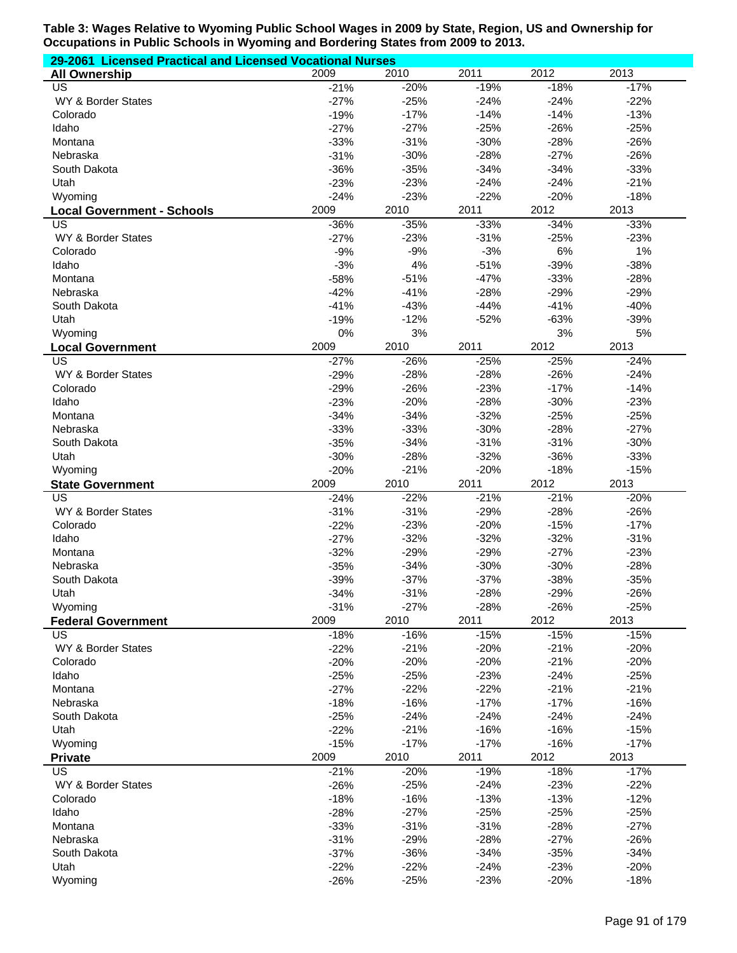| 29-2061 Licensed Practical and Licensed Vocational Nurses |                  |                  |                  |                  |                  |  |  |
|-----------------------------------------------------------|------------------|------------------|------------------|------------------|------------------|--|--|
| <b>All Ownership</b>                                      | 2009             | 2010             | 2011             | 2012             | 2013             |  |  |
| US                                                        | $-21%$           | $-20%$           | $-19%$           | $-18%$           | $-17%$           |  |  |
| WY & Border States                                        | $-27%$           | $-25%$           | $-24%$           | $-24%$           | $-22%$           |  |  |
| Colorado                                                  | $-19%$           | $-17%$           | $-14%$           | $-14%$           | $-13%$           |  |  |
| Idaho                                                     | $-27%$           | $-27%$           | $-25%$           | $-26%$           | $-25%$           |  |  |
| Montana                                                   | $-33%$           | $-31%$           | $-30%$           | $-28%$           | $-26%$           |  |  |
| Nebraska                                                  | $-31%$           | $-30%$           | $-28%$           | $-27%$           | $-26%$           |  |  |
| South Dakota                                              | $-36%$           | $-35%$           | $-34%$           | $-34%$           | $-33%$           |  |  |
| Utah                                                      | $-23%$           | $-23%$           | $-24%$           | $-24%$           | $-21%$           |  |  |
| Wyoming                                                   | $-24%$           | $-23%$           | $-22%$           | $-20%$           | $-18%$           |  |  |
| <b>Local Government - Schools</b>                         | 2009             | 2010             | 2011             | 2012             | 2013             |  |  |
| US                                                        | $-36%$           | $-35%$           | $-33%$           | $-34%$           | $-33%$           |  |  |
| WY & Border States                                        | $-27%$           | $-23%$           | $-31%$           | $-25%$           | $-23%$           |  |  |
| Colorado                                                  | $-9%$            | $-9%$            | $-3%$            | 6%               | 1%               |  |  |
| Idaho                                                     | $-3%$            | 4%               | $-51%$           | $-39%$           | $-38%$           |  |  |
| Montana                                                   | $-58%$           | $-51%$           | $-47%$           | $-33%$           | $-28%$           |  |  |
| Nebraska                                                  | $-42%$           | $-41%$           | $-28%$           | $-29%$           | $-29%$           |  |  |
| South Dakota                                              | $-41%$           | $-43%$           | $-44%$           | $-41%$           | $-40%$           |  |  |
| Utah                                                      | $-19%$           | $-12%$           | $-52%$           | $-63%$           | $-39%$           |  |  |
| Wyoming                                                   | 0%               | 3%               |                  | 3%               | 5%               |  |  |
| <b>Local Government</b>                                   | 2009             | 2010             | 2011             | 2012             | 2013             |  |  |
| $\overline{US}$                                           | $-27%$           | $-26%$           | $-25%$           | $-25%$           | $-24%$           |  |  |
| WY & Border States                                        | $-29%$           | $-28%$           | $-28%$           | $-26%$           | $-24%$           |  |  |
| Colorado                                                  | $-29%$           | $-26%$           | $-23%$           | $-17%$           | $-14%$           |  |  |
| Idaho                                                     | $-23%$           | $-20%$           | $-28%$           | $-30%$           | $-23%$           |  |  |
| Montana                                                   | $-34%$           | $-34%$           | $-32%$           | $-25%$           | $-25%$           |  |  |
| Nebraska                                                  | $-33%$<br>$-35%$ | $-33%$<br>$-34%$ | $-30%$<br>$-31%$ | $-28%$<br>$-31%$ | $-27%$<br>$-30%$ |  |  |
| South Dakota<br>Utah                                      | $-30%$           | $-28%$           | $-32%$           | $-36%$           | $-33%$           |  |  |
| Wyoming                                                   | $-20%$           | $-21%$           | $-20%$           | $-18%$           | $-15%$           |  |  |
| <b>State Government</b>                                   | 2009             | 2010             | 2011             | 2012             | 2013             |  |  |
| $\overline{US}$                                           | $-24%$           | $-22%$           | $-21%$           | $-21%$           | $-20%$           |  |  |
| WY & Border States                                        | $-31%$           | $-31%$           | $-29%$           | $-28%$           | $-26%$           |  |  |
| Colorado                                                  | $-22%$           | $-23%$           | $-20%$           | $-15%$           | $-17%$           |  |  |
| Idaho                                                     | $-27%$           | $-32%$           | $-32%$           | $-32%$           | $-31%$           |  |  |
| Montana                                                   | $-32%$           | $-29%$           | $-29%$           | $-27%$           | $-23%$           |  |  |
| Nebraska                                                  | $-35%$           | $-34%$           | $-30%$           | $-30%$           | $-28%$           |  |  |
| South Dakota                                              | $-39%$           | $-37%$           | $-37%$           | $-38%$           | $-35%$           |  |  |
| Utah                                                      | $-34%$           | $-31%$           | $-28%$           | $-29%$           | $-26%$           |  |  |
| Wyoming                                                   | $-31%$           | $-27%$           | $-28%$           | $-26%$           | $-25%$           |  |  |
| <b>Federal Government</b>                                 | 2009             | 2010             | 2011             | 2012             | 2013             |  |  |
| <b>US</b>                                                 | $-18%$           | $-16%$           | $-15%$           | $-15%$           | $-15%$           |  |  |
| WY & Border States                                        | $-22%$           | $-21%$           | $-20%$           | $-21%$           | $-20%$           |  |  |
| Colorado                                                  | $-20%$           | $-20%$           | $-20%$           | $-21%$           | $-20%$           |  |  |
| Idaho                                                     | $-25%$           | $-25%$           | $-23%$           | $-24%$           | $-25%$           |  |  |
| Montana                                                   | $-27%$           | $-22%$           | $-22%$           | $-21%$           | $-21%$           |  |  |
| Nebraska                                                  | $-18%$           | $-16%$           | $-17%$           | $-17%$           | $-16%$           |  |  |
| South Dakota                                              | $-25%$           | $-24%$           | $-24%$           | $-24%$           | $-24%$           |  |  |
| Utah                                                      | $-22%$           | $-21%$           | $-16%$           | $-16%$           | $-15%$           |  |  |
| Wyoming                                                   | $-15%$           | $-17%$           | $-17%$           | $-16%$           | $-17%$           |  |  |
| <b>Private</b>                                            | 2009             | 2010             | 2011             | 2012             | 2013             |  |  |
| <b>US</b>                                                 | $-21%$           | $-20%$           | $-19%$           | $-18%$           | $-17%$           |  |  |
| WY & Border States                                        | $-26%$           | $-25%$           | $-24%$           | $-23%$           | $-22%$           |  |  |
| Colorado                                                  | $-18%$           | $-16%$           | $-13%$           | $-13%$           | $-12%$           |  |  |
| Idaho                                                     | $-28%$           | $-27%$           | $-25%$           | $-25%$           | $-25%$           |  |  |
| Montana                                                   | $-33%$           | $-31%$           | $-31%$           | $-28%$           | $-27%$           |  |  |
| Nebraska                                                  | $-31%$           | $-29%$           | $-28%$           | $-27%$           | $-26%$           |  |  |
| South Dakota                                              | $-37%$           | $-36%$           | $-34%$           | $-35%$           | $-34%$           |  |  |
| Utah                                                      | $-22%$           | $-22%$           | $-24%$           | $-23%$           | $-20%$           |  |  |
| Wyoming                                                   | $-26%$           | $-25%$           | $-23%$           | $-20%$           | $-18%$           |  |  |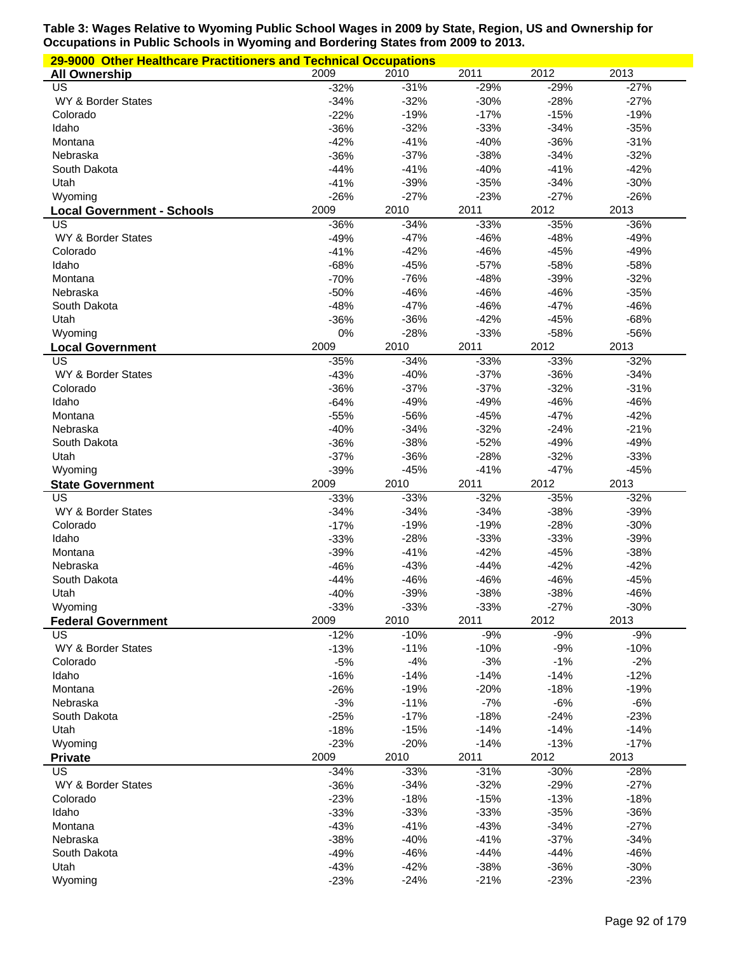| 29-9000 Other Healthcare Practitioners and Technical Occupations |                  |                  |                  |                  |                  |  |  |
|------------------------------------------------------------------|------------------|------------------|------------------|------------------|------------------|--|--|
| <b>All Ownership</b>                                             | 2009             | 2010             | 2011             | 2012             | 2013             |  |  |
| US                                                               | $-32%$           | $-31%$           | $-29%$           | $-29%$           | $-27%$           |  |  |
| WY & Border States                                               | $-34%$           | $-32%$           | $-30%$           | $-28%$           | $-27%$           |  |  |
| Colorado                                                         | $-22%$           | $-19%$           | $-17%$           | $-15%$           | $-19%$           |  |  |
| Idaho                                                            | $-36%$           | $-32%$           | $-33%$           | $-34%$           | $-35%$           |  |  |
| Montana                                                          | $-42%$           | $-41%$           | $-40%$           | $-36%$           | $-31%$           |  |  |
| Nebraska                                                         | $-36%$           | $-37%$           | $-38%$           | $-34%$           | $-32%$           |  |  |
| South Dakota                                                     | $-44%$           | $-41%$           | $-40%$           | $-41%$           | $-42%$           |  |  |
| Utah                                                             | $-41%$           | $-39%$           | $-35%$           | $-34%$           | $-30%$           |  |  |
| Wyoming                                                          | $-26%$           | $-27%$           | $-23%$           | $-27%$           | $-26%$           |  |  |
| <b>Local Government - Schools</b>                                | 2009             | 2010             | 2011             | 2012             | 2013             |  |  |
| US                                                               | $-36%$           | $-34%$           | $-33%$           | $-35%$           | $-36%$           |  |  |
| WY & Border States                                               | $-49%$           | $-47%$           | $-46%$           | $-48%$           | $-49%$           |  |  |
| Colorado<br>Idaho                                                | $-41%$<br>$-68%$ | $-42%$<br>$-45%$ | $-46%$<br>$-57%$ | $-45%$<br>$-58%$ | $-49%$<br>$-58%$ |  |  |
| Montana                                                          | $-70%$           | $-76%$           | $-48%$           | $-39%$           | $-32%$           |  |  |
| Nebraska                                                         | $-50%$           | $-46%$           | $-46%$           | $-46%$           | $-35%$           |  |  |
| South Dakota                                                     | $-48%$           | $-47%$           | $-46%$           | $-47%$           | $-46%$           |  |  |
| Utah                                                             | $-36%$           | $-36%$           | $-42%$           | $-45%$           | $-68%$           |  |  |
| Wyoming                                                          | 0%               | $-28%$           | $-33%$           | $-58%$           | $-56%$           |  |  |
| <b>Local Government</b>                                          | 2009             | 2010             | 2011             | 2012             | 2013             |  |  |
| US                                                               | $-35%$           | $-34%$           | $-33%$           | $-33%$           | $-32%$           |  |  |
| WY & Border States                                               | $-43%$           | $-40%$           | $-37%$           | $-36%$           | $-34%$           |  |  |
| Colorado                                                         | $-36%$           | $-37%$           | $-37%$           | $-32%$           | $-31%$           |  |  |
| Idaho                                                            | $-64%$           | $-49%$           | $-49%$           | $-46%$           | $-46%$           |  |  |
| Montana                                                          | $-55%$           | $-56%$           | $-45%$           | $-47%$           | $-42%$           |  |  |
| Nebraska                                                         | $-40%$           | $-34%$           | $-32%$           | $-24%$           | $-21%$           |  |  |
| South Dakota                                                     | $-36%$           | $-38%$           | $-52%$           | $-49%$           | $-49%$           |  |  |
| Utah                                                             | $-37%$           | $-36%$           | $-28%$           | $-32%$           | $-33%$           |  |  |
| Wyoming                                                          | $-39%$           | $-45%$           | $-41%$           | $-47%$           | $-45%$           |  |  |
| <b>State Government</b>                                          | 2009             | 2010             | 2011             | 2012             | 2013             |  |  |
| US                                                               | $-33%$           | $-33%$           | $-32%$           | $-35%$           | $-32%$           |  |  |
| WY & Border States                                               | $-34%$           | $-34%$           | $-34%$           | $-38%$           | $-39%$           |  |  |
| Colorado                                                         | $-17%$           | $-19%$           | $-19%$           | $-28%$           | $-30%$           |  |  |
| Idaho                                                            | $-33%$           | $-28%$           | $-33%$           | $-33%$           | $-39%$           |  |  |
| Montana                                                          | $-39%$           | $-41%$           | $-42%$           | $-45%$           | $-38%$           |  |  |
| Nebraska                                                         | $-46%$           | $-43%$           | $-44%$           | $-42%$           | $-42%$           |  |  |
| South Dakota                                                     | $-44%$           | $-46%$           | $-46%$           | $-46%$           | $-45%$           |  |  |
| Utah                                                             | $-40%$           | $-39%$           | $-38%$           | $-38%$           | $-46%$           |  |  |
| Wyoming                                                          | $-33%$           | $-33%$           | $-33%$           | $-27%$           | $-30%$           |  |  |
| <b>Federal Government</b>                                        | 2009             | 2010             | 2011             | 2012             | 2013             |  |  |
| US                                                               | $-12%$           | $-10%$           | $-9%$            | $-9%$            | $-9%$            |  |  |
| WY & Border States                                               | $-13%$           | $-11%$           | $-10%$           | $-9%$            | $-10%$           |  |  |
| Colorado                                                         | $-5%$            | $-4%$            | $-3%$            | $-1%$            | $-2%$            |  |  |
| Idaho                                                            | $-16%$           | $-14%$           | $-14%$           | $-14%$           | $-12%$           |  |  |
| Montana                                                          | $-26%$           | $-19%$           | $-20%$           | $-18%$           | $-19%$           |  |  |
| Nebraska                                                         | $-3%$            | $-11%$           | $-7%$            | $-6%$            | $-6%$            |  |  |
| South Dakota                                                     | $-25%$           | $-17%$           | $-18%$           | $-24%$           | $-23%$           |  |  |
| Utah                                                             | $-18%$           | $-15%$           | $-14%$           | $-14%$           | $-14%$           |  |  |
| Wyoming                                                          | $-23%$           | $-20%$           | $-14%$           | $-13%$           | $-17%$           |  |  |
| <b>Private</b>                                                   | 2009             | 2010             | 2011             | 2012             | 2013             |  |  |
| $\overline{US}$                                                  | $-34%$           | $-33%$           | $-31%$           | $-30%$           | $-28%$           |  |  |
| WY & Border States                                               | $-36%$           | $-34%$           | $-32%$           | $-29%$           | $-27%$           |  |  |
| Colorado                                                         | $-23%$           | $-18%$           | $-15%$           | $-13%$           | $-18%$           |  |  |
| Idaho                                                            | $-33%$           | $-33%$           | $-33%$           | $-35%$           | $-36%$           |  |  |
| Montana<br>Nebraska                                              | $-43%$<br>$-38%$ | $-41%$<br>$-40%$ | $-43%$<br>$-41%$ | $-34%$<br>$-37%$ | $-27%$<br>$-34%$ |  |  |
| South Dakota                                                     | $-49%$           | $-46%$           | $-44%$           | $-44%$           | $-46%$           |  |  |
| Utah                                                             | $-43%$           | $-42%$           | $-38%$           | $-36%$           | $-30%$           |  |  |
| Wyoming                                                          | $-23%$           | $-24%$           | $-21%$           | $-23%$           | $-23%$           |  |  |
|                                                                  |                  |                  |                  |                  |                  |  |  |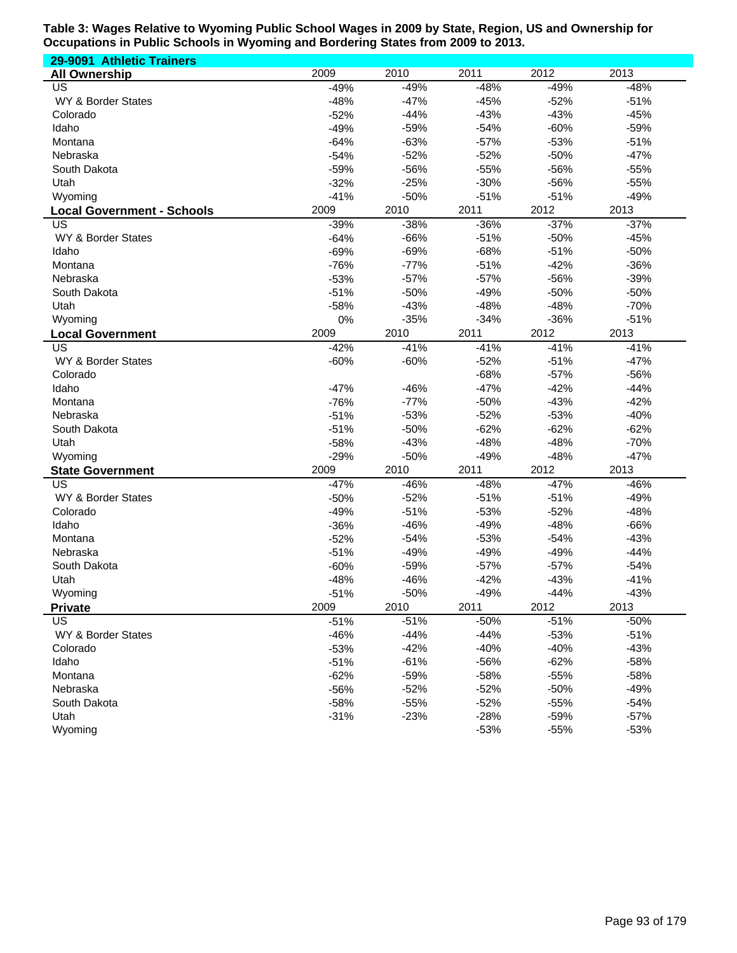| 29-9091 Athletic Trainers         |        |        |        |        |        |
|-----------------------------------|--------|--------|--------|--------|--------|
| <b>All Ownership</b>              | 2009   | 2010   | 2011   | 2012   | 2013   |
| US                                | $-49%$ | $-49%$ | $-48%$ | $-49%$ | $-48%$ |
| WY & Border States                | $-48%$ | $-47%$ | $-45%$ | $-52%$ | $-51%$ |
| Colorado                          | $-52%$ | $-44%$ | $-43%$ | $-43%$ | $-45%$ |
| Idaho                             | $-49%$ | $-59%$ | $-54%$ | $-60%$ | $-59%$ |
| Montana                           | $-64%$ | $-63%$ | $-57%$ | $-53%$ | $-51%$ |
| Nebraska                          | $-54%$ | $-52%$ | $-52%$ | $-50%$ | $-47%$ |
| South Dakota                      | $-59%$ | $-56%$ | $-55%$ | $-56%$ | $-55%$ |
| Utah                              | $-32%$ | $-25%$ | $-30%$ | -56%   | $-55%$ |
| Wyoming                           | $-41%$ | $-50%$ | $-51%$ | $-51%$ | $-49%$ |
| <b>Local Government - Schools</b> | 2009   | 2010   | 2011   | 2012   | 2013   |
| US                                | $-39%$ | $-38%$ | $-36%$ | $-37%$ | $-37%$ |
| WY & Border States                | $-64%$ | $-66%$ | $-51%$ | $-50%$ | $-45%$ |
| Idaho                             | $-69%$ | $-69%$ | $-68%$ | $-51%$ | $-50%$ |
| Montana                           | $-76%$ | $-77%$ | $-51%$ | $-42%$ | $-36%$ |
| Nebraska                          | $-53%$ | $-57%$ | $-57%$ | -56%   | $-39%$ |
| South Dakota                      | $-51%$ | $-50%$ | $-49%$ | $-50%$ | $-50%$ |
| Utah                              | $-58%$ | $-43%$ | $-48%$ | $-48%$ | $-70%$ |
| Wyoming                           | 0%     | $-35%$ | $-34%$ | $-36%$ | $-51%$ |
| <b>Local Government</b>           | 2009   | 2010   | 2011   | 2012   | 2013   |
| US                                | $-42%$ | $-41%$ | $-41%$ | $-41%$ | $-41%$ |
| WY & Border States                | $-60%$ | $-60%$ | $-52%$ | $-51%$ | $-47%$ |
| Colorado                          |        |        | $-68%$ | $-57%$ | $-56%$ |
| Idaho                             | $-47%$ | $-46%$ | $-47%$ | $-42%$ | $-44%$ |
| Montana                           | $-76%$ | $-77%$ | $-50%$ | $-43%$ | $-42%$ |
| Nebraska                          | $-51%$ | $-53%$ | $-52%$ | $-53%$ | $-40%$ |
| South Dakota                      | $-51%$ | $-50%$ | $-62%$ | $-62%$ | $-62%$ |
| Utah                              | $-58%$ | $-43%$ | $-48%$ | $-48%$ | $-70%$ |
| Wyoming                           | $-29%$ | $-50%$ | $-49%$ | $-48%$ | $-47%$ |
| <b>State Government</b>           | 2009   | 2010   | 2011   | 2012   | 2013   |
| US                                | $-47%$ | $-46%$ | $-48%$ | $-47%$ | $-46%$ |
| WY & Border States                | $-50%$ | $-52%$ | $-51%$ | $-51%$ | $-49%$ |
| Colorado                          | $-49%$ | $-51%$ | $-53%$ | $-52%$ | $-48%$ |
| Idaho                             | $-36%$ | $-46%$ | $-49%$ | $-48%$ | $-66%$ |
| Montana                           | $-52%$ | $-54%$ | $-53%$ | $-54%$ | $-43%$ |
| Nebraska                          | $-51%$ | $-49%$ | $-49%$ | $-49%$ | $-44%$ |
| South Dakota                      | $-60%$ | $-59%$ | $-57%$ | $-57%$ | $-54%$ |
| Utah                              | $-48%$ | $-46%$ | $-42%$ | $-43%$ | $-41%$ |
| Wyoming                           | $-51%$ | $-50%$ | $-49%$ | $-44%$ | $-43%$ |
| <b>Private</b>                    | 2009   | 2010   | 2011   | 2012   | 2013   |
| <b>US</b>                         | $-51%$ | $-51%$ | $-50%$ | $-51%$ | $-50%$ |
| WY & Border States                | $-46%$ | $-44%$ | $-44%$ | $-53%$ | $-51%$ |
| Colorado                          | $-53%$ | $-42%$ | $-40%$ | $-40%$ | $-43%$ |
| Idaho                             | $-51%$ | $-61%$ | $-56%$ | $-62%$ | $-58%$ |
| Montana                           | $-62%$ | $-59%$ | $-58%$ | $-55%$ | $-58%$ |
| Nebraska                          | $-56%$ | $-52%$ | $-52%$ | $-50%$ | $-49%$ |
| South Dakota                      | $-58%$ | $-55%$ | $-52%$ | $-55%$ | $-54%$ |
| Utah                              | $-31%$ | $-23%$ | $-28%$ | $-59%$ | $-57%$ |
| Wyoming                           |        |        | $-53%$ | $-55%$ | $-53%$ |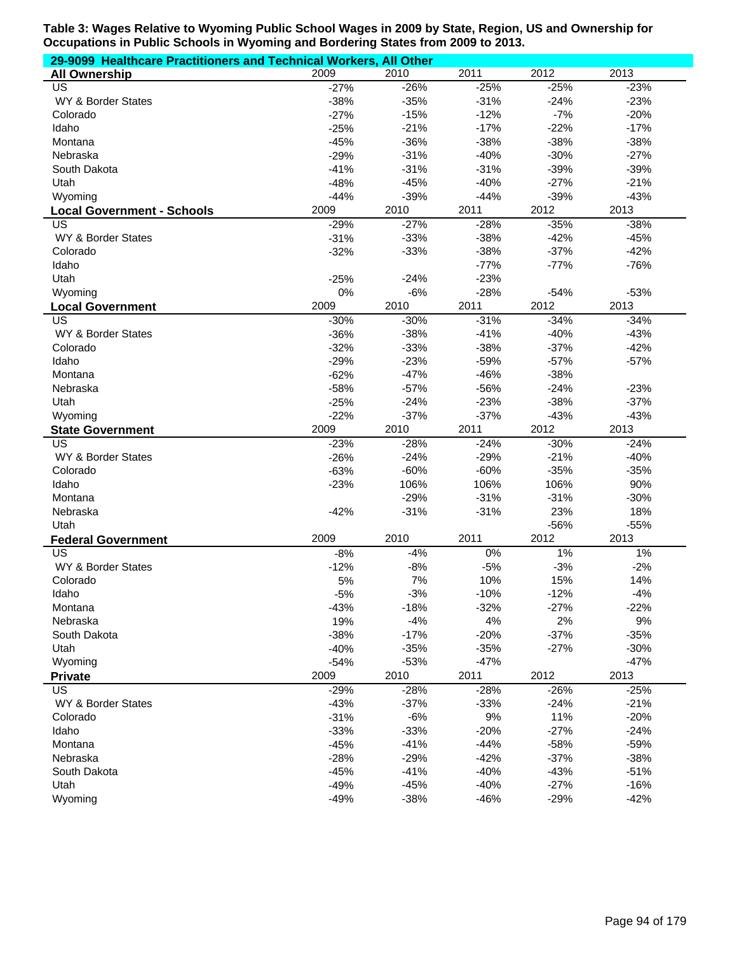| 29-9099 Healthcare Practitioners and Technical Workers, All Other |               |               |            |              |               |  |  |
|-------------------------------------------------------------------|---------------|---------------|------------|--------------|---------------|--|--|
| <b>All Ownership</b>                                              | 2009          | 2010          | 2011       | 2012         | 2013          |  |  |
| <b>US</b>                                                         | $-27%$        | $-26%$        | $-25%$     | $-25%$       | $-23%$        |  |  |
| WY & Border States                                                | $-38%$        | $-35%$        | $-31%$     | $-24%$       | $-23%$        |  |  |
| Colorado                                                          | $-27%$        | $-15%$        | $-12%$     | $-7%$        | $-20%$        |  |  |
| Idaho                                                             | $-25%$        | $-21%$        | $-17%$     | $-22%$       | $-17%$        |  |  |
| Montana                                                           | $-45%$        | $-36%$        | $-38%$     | $-38%$       | $-38%$        |  |  |
| Nebraska                                                          | $-29%$        | $-31%$        | $-40%$     | $-30%$       | $-27%$        |  |  |
| South Dakota                                                      | $-41%$        | $-31%$        | $-31%$     | $-39%$       | $-39%$        |  |  |
| Utah                                                              | $-48%$        | $-45%$        | $-40%$     | $-27%$       | $-21%$        |  |  |
| Wyoming                                                           | $-44%$        | $-39%$        | $-44%$     | $-39%$       | $-43%$        |  |  |
| <b>Local Government - Schools</b>                                 | 2009          | 2010          | 2011       | 2012         | 2013          |  |  |
| US                                                                | $-29%$        | $-27%$        | $-28%$     | $-35%$       | $-38%$        |  |  |
| WY & Border States                                                | $-31%$        | $-33%$        | $-38%$     | $-42%$       | $-45%$        |  |  |
| Colorado                                                          | $-32%$        | $-33%$        | $-38%$     | $-37%$       | $-42%$        |  |  |
| Idaho                                                             |               |               | $-77%$     | $-77%$       | $-76%$        |  |  |
| Utah                                                              | $-25%$        | $-24%$        | $-23%$     |              |               |  |  |
| Wyoming                                                           | $0\%$         | $-6%$         | $-28%$     | $-54%$       | $-53%$        |  |  |
| <b>Local Government</b>                                           | 2009          | 2010          | 2011       | 2012         | 2013          |  |  |
| US                                                                | $-30%$        | $-30%$        | $-31%$     | $-34%$       | $-34%$        |  |  |
| WY & Border States                                                | $-36%$        | $-38%$        | $-41%$     | $-40%$       | $-43%$        |  |  |
| Colorado                                                          | $-32%$        | $-33%$        | $-38%$     | $-37%$       | $-42%$        |  |  |
| Idaho                                                             | $-29%$        | $-23%$        | $-59%$     | $-57%$       | $-57%$        |  |  |
| Montana                                                           | $-62%$        | $-47%$        | $-46%$     | $-38%$       |               |  |  |
| Nebraska                                                          | $-58%$        | $-57%$        | -56%       | $-24%$       | $-23%$        |  |  |
| Utah                                                              | $-25%$        | $-24%$        | $-23%$     | $-38%$       | $-37%$        |  |  |
| Wyoming                                                           | $-22%$        | $-37%$        | $-37%$     | $-43%$       | $-43%$        |  |  |
| <b>State Government</b>                                           | 2009          | 2010          | 2011       | 2012         | 2013          |  |  |
| US                                                                | $-23%$        | $-28%$        | $-24%$     | $-30%$       | $-24%$        |  |  |
| WY & Border States                                                | $-26%$        | $-24%$        | $-29%$     | $-21%$       | $-40%$        |  |  |
| Colorado                                                          | $-63%$        | $-60%$        | $-60%$     | $-35%$       | $-35%$        |  |  |
| Idaho                                                             | $-23%$        | 106%          | 106%       | 106%         | 90%           |  |  |
| Montana                                                           |               | $-29%$        | $-31%$     | $-31%$       | $-30%$        |  |  |
| Nebraska                                                          | $-42%$        | $-31%$        | $-31%$     | 23%          | 18%           |  |  |
| Utah                                                              |               |               |            | -56%<br>2012 | $-55%$        |  |  |
| <b>Federal Government</b><br><b>US</b>                            | 2009<br>$-8%$ | 2010<br>$-4%$ | 2011<br>0% | $1\%$        | 2013<br>$1\%$ |  |  |
| WY & Border States                                                | $-12%$        | $-8%$         | $-5%$      | $-3%$        | $-2%$         |  |  |
| Colorado                                                          | 5%            | 7%            | 10%        | 15%          | 14%           |  |  |
| Idaho                                                             | $-5%$         | $-3%$         | $-10%$     | $-12%$       | $-4%$         |  |  |
| Montana                                                           | $-43%$        | $-18%$        | $-32%$     | $-27%$       | $-22%$        |  |  |
| Nebraska                                                          | 19%           | $-4%$         | 4%         | 2%           | 9%            |  |  |
| South Dakota                                                      | $-38%$        | $-17%$        | $-20%$     | $-37%$       | $-35%$        |  |  |
| Utah                                                              | $-40%$        | $-35%$        | $-35%$     | $-27%$       | $-30%$        |  |  |
| Wyoming                                                           | $-54%$        | $-53%$        | $-47%$     |              | $-47%$        |  |  |
| <b>Private</b>                                                    | 2009          | 2010          | 2011       | 2012         | 2013          |  |  |
| <b>US</b>                                                         | $-29%$        | $-28%$        | $-28%$     | $-26%$       | $-25%$        |  |  |
| WY & Border States                                                | $-43%$        | $-37%$        | $-33%$     | $-24%$       | $-21%$        |  |  |
| Colorado                                                          | $-31%$        | $-6%$         | 9%         | 11%          | $-20%$        |  |  |
| Idaho                                                             | $-33%$        | $-33%$        | $-20%$     | $-27%$       | $-24%$        |  |  |
| Montana                                                           | $-45%$        | $-41%$        | $-44%$     | $-58%$       | $-59%$        |  |  |
| Nebraska                                                          | $-28%$        | $-29%$        | $-42%$     | $-37%$       | $-38%$        |  |  |
| South Dakota                                                      | $-45%$        | $-41%$        | $-40%$     | $-43%$       | $-51%$        |  |  |
| Utah                                                              | $-49%$        | $-45%$        | $-40%$     | $-27%$       | $-16%$        |  |  |
| Wyoming                                                           | $-49%$        | $-38%$        | $-46%$     | $-29%$       | $-42%$        |  |  |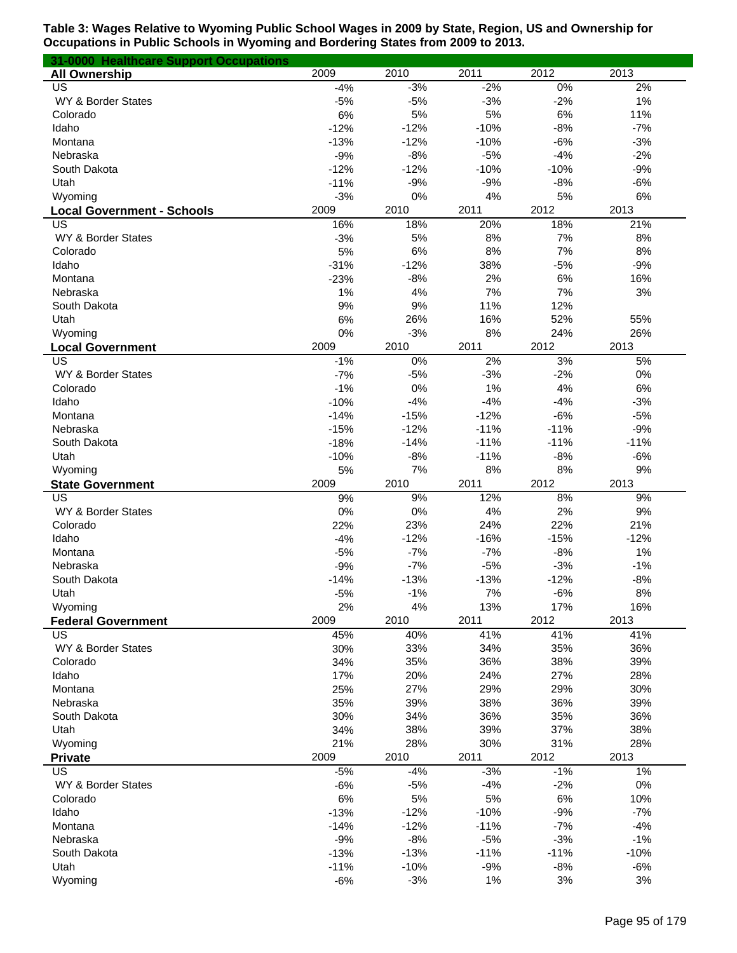| 31-0000 Healthcare Support Occupations |            |             |             |             |             |
|----------------------------------------|------------|-------------|-------------|-------------|-------------|
| <b>All Ownership</b>                   | 2009       | 2010        | 2011        | 2012        | 2013        |
| US                                     | $-4%$      | $-3%$       | $-2%$       | $0\%$       | 2%          |
| WY & Border States                     | $-5%$      | $-5%$       | $-3%$       | $-2%$       | 1%          |
| Colorado                               | 6%         | 5%          | 5%          | 6%          | 11%         |
| Idaho                                  | $-12%$     | $-12%$      | $-10%$      | $-8%$       | $-7%$       |
| Montana                                | $-13%$     | $-12%$      | $-10%$      | $-6%$       | $-3%$       |
| Nebraska                               | $-9%$      | $-8%$       | $-5%$       | $-4%$       | $-2%$       |
| South Dakota                           | $-12%$     | $-12%$      | $-10%$      | $-10%$      | $-9%$       |
| Utah                                   | $-11%$     | $-9%$       | $-9%$       | $-8%$       | $-6%$       |
| Wyoming                                | $-3%$      | 0%          | 4%          | 5%          | 6%          |
| <b>Local Government - Schools</b>      | 2009       | 2010        | 2011        | 2012        | 2013        |
| US                                     | 16%        | 18%         | 20%         | 18%         | 21%         |
| WY & Border States                     | $-3%$      | 5%          | 8%          | 7%          | 8%          |
| Colorado                               | 5%         | 6%          | 8%          | 7%          | 8%          |
| Idaho                                  | $-31%$     | $-12%$      | 38%         | $-5%$       | $-9%$       |
| Montana<br>Nebraska                    | $-23%$     | $-8%$<br>4% | 2%<br>7%    | 6%<br>7%    | 16%<br>3%   |
| South Dakota                           | 1%<br>9%   | 9%          | 11%         | 12%         |             |
| Utah                                   | 6%         | 26%         | 16%         | 52%         | 55%         |
| Wyoming                                | 0%         | $-3%$       | 8%          | 24%         | 26%         |
| <b>Local Government</b>                | 2009       | 2010        | 2011        | 2012        | 2013        |
| $\overline{US}$                        | $-1%$      | 0%          | 2%          | 3%          | 5%          |
| WY & Border States                     | $-7%$      | $-5%$       | $-3%$       | $-2%$       | 0%          |
| Colorado                               | $-1%$      | 0%          | 1%          | 4%          | 6%          |
| Idaho                                  | $-10%$     | $-4%$       | $-4%$       | $-4%$       | $-3%$       |
| Montana                                | $-14%$     | $-15%$      | $-12%$      | $-6%$       | $-5%$       |
| Nebraska                               | $-15%$     | $-12%$      | $-11%$      | $-11%$      | $-9%$       |
| South Dakota                           | $-18%$     | $-14%$      | $-11%$      | $-11%$      | $-11%$      |
| Utah                                   | $-10%$     | $-8%$       | $-11%$      | $-8%$       | $-6%$       |
| Wyoming                                | 5%         | 7%          | 8%          | 8%          | 9%          |
| <b>State Government</b>                | 2009       | 2010        | 2011        | 2012        | 2013        |
| US                                     | 9%         | 9%          | 12%         | 8%          | 9%          |
| WY & Border States                     | 0%         | 0%          | 4%          | 2%          | $9%$        |
| Colorado                               | 22%        | 23%         | 24%         | 22%         | 21%         |
| Idaho                                  | $-4%$      | $-12%$      | $-16%$      | $-15%$      | $-12%$      |
| Montana                                | $-5%$      | $-7%$       | $-7%$       | $-8%$       | 1%          |
| Nebraska                               | $-9%$      | $-7%$       | $-5%$       | $-3%$       | $-1%$       |
| South Dakota                           | $-14%$     | $-13%$      | $-13%$      | $-12%$      | $-8%$       |
| Utah                                   | $-5%$      | $-1%$       | 7%          | $-6%$       | $8\%$       |
| Wyoming                                | 2%<br>2009 | 4%          | 13%         | 17%         | 16%         |
| <b>Federal Government</b><br>US        |            | 2010<br>40% | 2011<br>41% | 2012<br>41% | 2013<br>41% |
| WY & Border States                     | 45%<br>30% | 33%         | 34%         | 35%         | 36%         |
| Colorado                               | 34%        | 35%         | 36%         | 38%         | 39%         |
| Idaho                                  | 17%        | 20%         | 24%         | 27%         | 28%         |
| Montana                                | 25%        | 27%         | 29%         | 29%         | 30%         |
| Nebraska                               | 35%        | 39%         | 38%         | 36%         | 39%         |
| South Dakota                           | 30%        | 34%         | 36%         | 35%         | 36%         |
| Utah                                   | 34%        | 38%         | 39%         | 37%         | 38%         |
| Wyoming                                | 21%        | 28%         | 30%         | 31%         | 28%         |
| <b>Private</b>                         | 2009       | 2010        | 2011        | 2012        | 2013        |
| US                                     | $-5%$      | $-4%$       | $-3%$       | $-1%$       | 1%          |
| WY & Border States                     | $-6%$      | $-5%$       | $-4%$       | $-2%$       | $0\%$       |
| Colorado                               | 6%         | 5%          | 5%          | 6%          | 10%         |
| Idaho                                  | $-13%$     | $-12%$      | $-10%$      | $-9%$       | $-7%$       |
| Montana                                | $-14%$     | $-12%$      | $-11%$      | $-7%$       | $-4%$       |
| Nebraska                               | $-9%$      | $-8%$       | $-5%$       | $-3%$       | $-1%$       |
| South Dakota                           | $-13%$     | $-13%$      | $-11%$      | $-11%$      | $-10%$      |
| Utah                                   | $-11%$     | $-10%$      | $-9%$       | $-8%$       | $-6%$       |
| Wyoming                                | $-6%$      | $-3%$       | 1%          | 3%          | 3%          |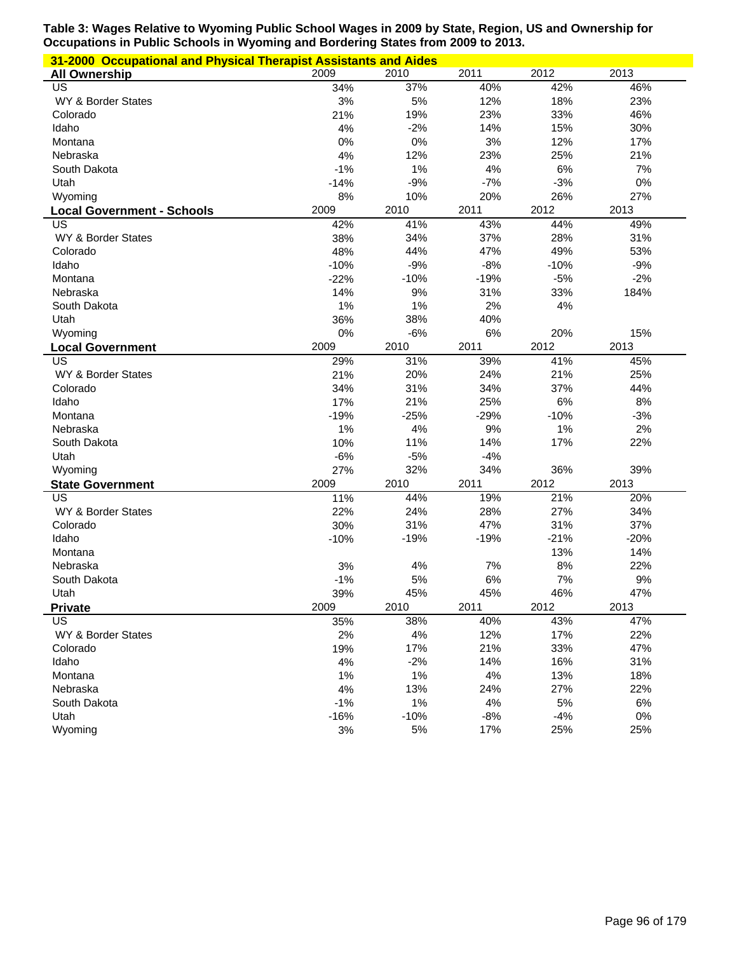| 31-2000 Occupational and Physical Therapist Assistants and Aides |        |        |        |        |        |
|------------------------------------------------------------------|--------|--------|--------|--------|--------|
| <b>All Ownership</b>                                             | 2009   | 2010   | 2011   | 2012   | 2013   |
| US                                                               | 34%    | 37%    | 40%    | 42%    | 46%    |
| WY & Border States                                               | 3%     | 5%     | 12%    | 18%    | 23%    |
| Colorado                                                         | 21%    | 19%    | 23%    | 33%    | 46%    |
| Idaho                                                            | 4%     | $-2%$  | 14%    | 15%    | 30%    |
| Montana                                                          | 0%     | 0%     | 3%     | 12%    | 17%    |
| Nebraska                                                         | 4%     | 12%    | 23%    | 25%    | 21%    |
| South Dakota                                                     | $-1%$  | 1%     | 4%     | 6%     | 7%     |
| Utah                                                             | $-14%$ | $-9%$  | $-7%$  | $-3%$  | 0%     |
| Wyoming                                                          | 8%     | 10%    | 20%    | 26%    | 27%    |
| <b>Local Government - Schools</b>                                | 2009   | 2010   | 2011   | 2012   | 2013   |
| US                                                               | 42%    | 41%    | 43%    | 44%    | 49%    |
| WY & Border States                                               | 38%    | 34%    | 37%    | 28%    | 31%    |
| Colorado                                                         | 48%    | 44%    | 47%    | 49%    | 53%    |
| Idaho                                                            | $-10%$ | $-9%$  | $-8%$  | $-10%$ | $-9%$  |
| Montana                                                          | $-22%$ | $-10%$ | $-19%$ | $-5%$  | $-2%$  |
| Nebraska                                                         | 14%    | 9%     | 31%    | 33%    | 184%   |
| South Dakota                                                     | 1%     | 1%     | 2%     | 4%     |        |
| Utah                                                             | 36%    | 38%    | 40%    |        |        |
| Wyoming                                                          | 0%     | $-6%$  | 6%     | 20%    | 15%    |
| <b>Local Government</b>                                          | 2009   | 2010   | 2011   | 2012   | 2013   |
| US                                                               | 29%    | 31%    | 39%    | 41%    | 45%    |
| WY & Border States                                               | 21%    | 20%    | 24%    | 21%    | 25%    |
| Colorado                                                         | 34%    | 31%    | 34%    | 37%    | 44%    |
| Idaho                                                            | 17%    | 21%    | 25%    | 6%     | 8%     |
| Montana                                                          | $-19%$ | $-25%$ | $-29%$ | $-10%$ | $-3%$  |
| Nebraska                                                         | 1%     | 4%     | 9%     | 1%     | 2%     |
| South Dakota                                                     | 10%    | 11%    | 14%    | 17%    | 22%    |
| Utah                                                             | $-6%$  | $-5%$  | $-4%$  |        |        |
| Wyoming                                                          | 27%    | 32%    | 34%    | 36%    | 39%    |
| <b>State Government</b>                                          | 2009   | 2010   | 2011   | 2012   | 2013   |
| US                                                               | 11%    | 44%    | 19%    | 21%    | 20%    |
| WY & Border States                                               | 22%    | 24%    | 28%    | 27%    | 34%    |
| Colorado                                                         | 30%    | 31%    | 47%    | 31%    | 37%    |
| Idaho                                                            | $-10%$ | $-19%$ | $-19%$ | $-21%$ | $-20%$ |
| Montana                                                          |        |        |        | 13%    | 14%    |
| Nebraska                                                         | 3%     | 4%     | 7%     | 8%     | 22%    |
| South Dakota                                                     | $-1%$  | 5%     | 6%     | 7%     | 9%     |
| Utah                                                             | 39%    | 45%    | 45%    | 46%    | 47%    |
| <b>Private</b>                                                   | 2009   | 2010   | 2011   | 2012   | 2013   |
| US                                                               | 35%    | 38%    | 40%    | 43%    | 47%    |
| WY & Border States                                               | 2%     | 4%     | 12%    | 17%    | 22%    |
| Colorado                                                         | 19%    | 17%    | 21%    | 33%    | 47%    |
| Idaho                                                            | 4%     | $-2%$  | 14%    | 16%    | 31%    |
| Montana                                                          | 1%     | $1\%$  | $4%$   | 13%    | 18%    |
| Nebraska                                                         | 4%     | 13%    | 24%    | 27%    | 22%    |
| South Dakota                                                     | $-1%$  | $1\%$  | $4%$   | 5%     | 6%     |
| Utah                                                             | $-16%$ | $-10%$ | $-8%$  | $-4%$  | 0%     |
| Wyoming                                                          | 3%     | 5%     | 17%    | 25%    | 25%    |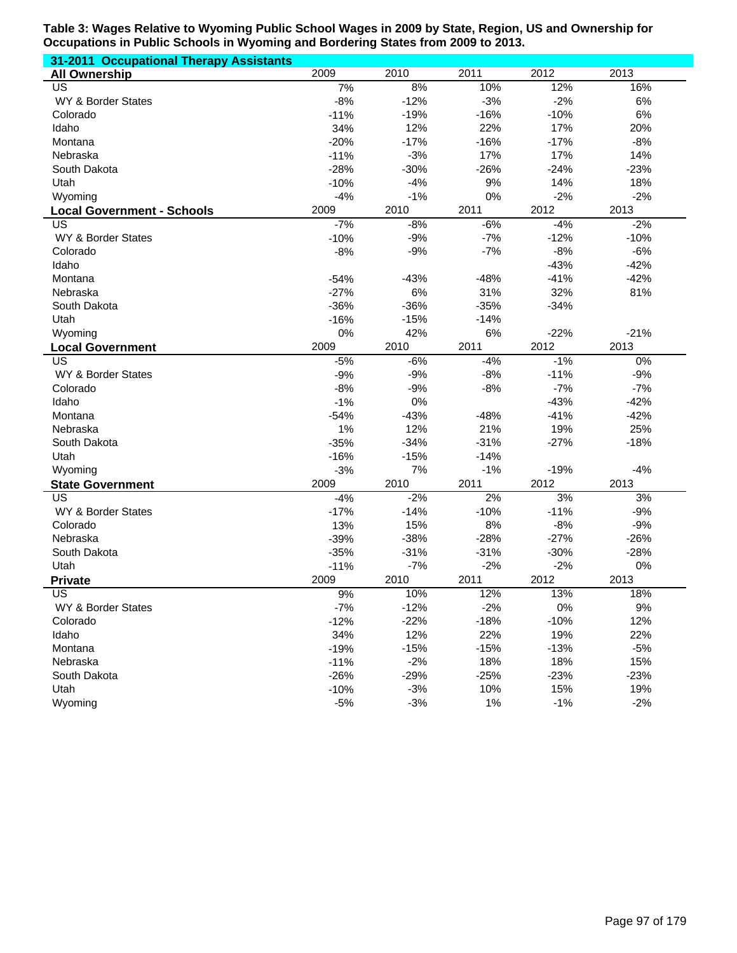| 31-2011 Occupational Therapy Assistants |        |        |        |        |        |
|-----------------------------------------|--------|--------|--------|--------|--------|
| <b>All Ownership</b>                    | 2009   | 2010   | 2011   | 2012   | 2013   |
| US                                      | 7%     | 8%     | 10%    | 12%    | 16%    |
| WY & Border States                      | $-8%$  | $-12%$ | $-3%$  | $-2%$  | $6\%$  |
| Colorado                                | $-11%$ | $-19%$ | $-16%$ | $-10%$ | 6%     |
| Idaho                                   | 34%    | 12%    | 22%    | 17%    | 20%    |
| Montana                                 | $-20%$ | $-17%$ | $-16%$ | $-17%$ | $-8%$  |
| Nebraska                                | $-11%$ | $-3%$  | 17%    | 17%    | 14%    |
| South Dakota                            | $-28%$ | $-30%$ | $-26%$ | $-24%$ | $-23%$ |
| Utah                                    | $-10%$ | $-4%$  | 9%     | 14%    | 18%    |
| Wyoming                                 | $-4%$  | $-1%$  | 0%     | $-2%$  | $-2%$  |
| <b>Local Government - Schools</b>       | 2009   | 2010   | 2011   | 2012   | 2013   |
| US                                      | $-7%$  | $-8%$  | $-6%$  | $-4%$  | $-2%$  |
| WY & Border States                      | $-10%$ | $-9%$  | $-7%$  | $-12%$ | $-10%$ |
| Colorado                                | $-8%$  | $-9%$  | $-7%$  | $-8%$  | $-6%$  |
| Idaho                                   |        |        |        | $-43%$ | $-42%$ |
| Montana                                 | $-54%$ | $-43%$ | $-48%$ | $-41%$ | $-42%$ |
| Nebraska                                | $-27%$ | $6\%$  | 31%    | 32%    | 81%    |
| South Dakota                            | $-36%$ | $-36%$ | $-35%$ | $-34%$ |        |
|                                         |        |        | $-14%$ |        |        |
| Utah                                    | $-16%$ | $-15%$ |        |        |        |
| Wyoming                                 | 0%     | 42%    | 6%     | $-22%$ | $-21%$ |
| <b>Local Government</b>                 | 2009   | 2010   | 2011   | 2012   | 2013   |
| US                                      | $-5%$  | $-6%$  | $-4%$  | $-1%$  | $0\%$  |
| WY & Border States                      | $-9%$  | $-9%$  | $-8%$  | $-11%$ | $-9%$  |
| Colorado                                | $-8%$  | $-9%$  | $-8%$  | $-7%$  | $-7%$  |
| Idaho                                   | $-1%$  | 0%     |        | $-43%$ | $-42%$ |
| Montana                                 | $-54%$ | $-43%$ | $-48%$ | $-41%$ | $-42%$ |
| Nebraska                                | 1%     | 12%    | 21%    | 19%    | 25%    |
| South Dakota                            | $-35%$ | $-34%$ | $-31%$ | $-27%$ | $-18%$ |
| Utah                                    | $-16%$ | $-15%$ | $-14%$ |        |        |
| Wyoming                                 | $-3%$  | 7%     | $-1%$  | $-19%$ | $-4%$  |
| <b>State Government</b>                 | 2009   | 2010   | 2011   | 2012   | 2013   |
| US                                      | $-4%$  | $-2%$  | 2%     | 3%     | 3%     |
| WY & Border States                      | $-17%$ | $-14%$ | $-10%$ | $-11%$ | $-9%$  |
| Colorado                                | 13%    | 15%    | 8%     | $-8%$  | $-9%$  |
| Nebraska                                | $-39%$ | $-38%$ | $-28%$ | $-27%$ | $-26%$ |
| South Dakota                            | $-35%$ | $-31%$ | $-31%$ | $-30%$ | $-28%$ |
| Utah                                    | $-11%$ | $-7%$  | $-2%$  | $-2%$  | 0%     |
| <b>Private</b>                          | 2009   | 2010   | 2011   | 2012   | 2013   |
| US.                                     | 9%     | 10%    | 12%    | 13%    | 18%    |
| WY & Border States                      | $-7%$  | $-12%$ | $-2%$  | 0%     | 9%     |
| Colorado                                | $-12%$ | $-22%$ | $-18%$ | $-10%$ | 12%    |
| Idaho                                   | 34%    | 12%    | 22%    | 19%    | 22%    |
| Montana                                 | $-19%$ | $-15%$ | $-15%$ | $-13%$ | $-5%$  |
| Nebraska                                | $-11%$ | $-2%$  | 18%    | 18%    | 15%    |
| South Dakota                            | $-26%$ | $-29%$ | $-25%$ | $-23%$ | $-23%$ |
| Utah                                    | $-10%$ | $-3%$  | 10%    | 15%    | 19%    |
| Wyoming                                 | $-5%$  | $-3%$  | 1%     | $-1%$  | $-2%$  |
|                                         |        |        |        |        |        |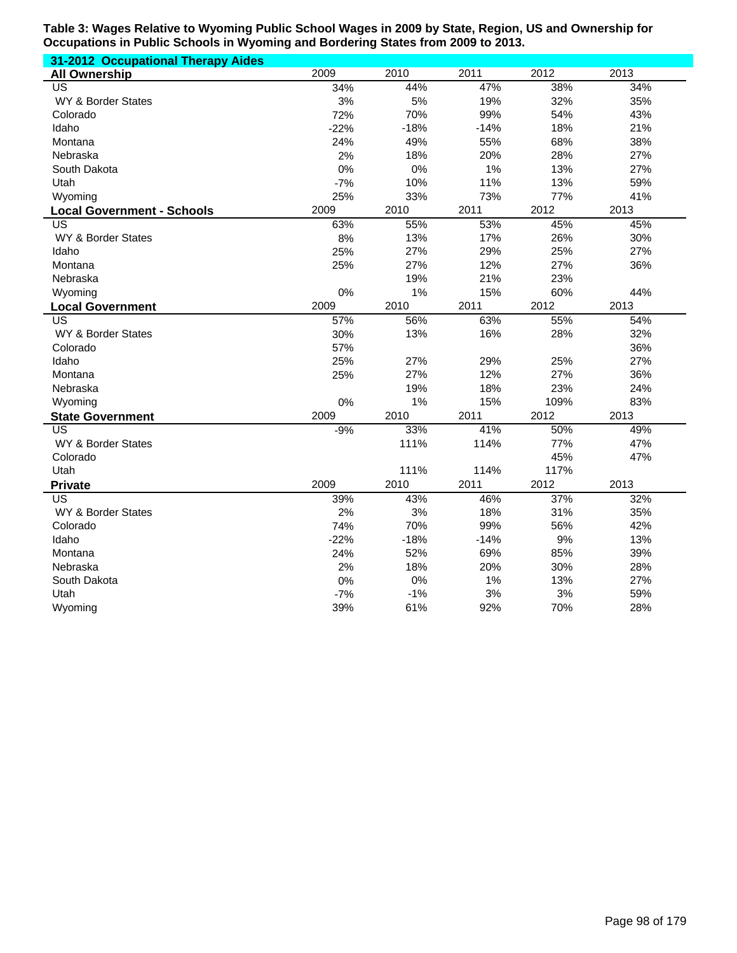| 31-2012 Occupational Therapy Aides |        |        |        |      |      |
|------------------------------------|--------|--------|--------|------|------|
| <b>All Ownership</b>               | 2009   | 2010   | 2011   | 2012 | 2013 |
| <b>US</b>                          | 34%    | 44%    | 47%    | 38%  | 34%  |
| WY & Border States                 | 3%     | 5%     | 19%    | 32%  | 35%  |
| Colorado                           | 72%    | 70%    | 99%    | 54%  | 43%  |
| Idaho                              | $-22%$ | $-18%$ | $-14%$ | 18%  | 21%  |
| Montana                            | 24%    | 49%    | 55%    | 68%  | 38%  |
| Nebraska                           | 2%     | 18%    | 20%    | 28%  | 27%  |
| South Dakota                       | 0%     | 0%     | 1%     | 13%  | 27%  |
| Utah                               | $-7%$  | 10%    | 11%    | 13%  | 59%  |
| Wyoming                            | 25%    | 33%    | 73%    | 77%  | 41%  |
| <b>Local Government - Schools</b>  | 2009   | 2010   | 2011   | 2012 | 2013 |
| <b>US</b>                          | 63%    | 55%    | 53%    | 45%  | 45%  |
| WY & Border States                 | 8%     | 13%    | 17%    | 26%  | 30%  |
| Idaho                              | 25%    | 27%    | 29%    | 25%  | 27%  |
| Montana                            | 25%    | 27%    | 12%    | 27%  | 36%  |
| Nebraska                           |        | 19%    | 21%    | 23%  |      |
| Wyoming                            | 0%     | 1%     | 15%    | 60%  | 44%  |
| <b>Local Government</b>            | 2009   | 2010   | 2011   | 2012 | 2013 |
| $\overline{\mathsf{US}}$           | 57%    | 56%    | 63%    | 55%  | 54%  |
| WY & Border States                 | 30%    | 13%    | 16%    | 28%  | 32%  |
| Colorado                           | 57%    |        |        |      | 36%  |
| Idaho                              | 25%    | 27%    | 29%    | 25%  | 27%  |
| Montana                            | 25%    | 27%    | 12%    | 27%  | 36%  |
| Nebraska                           |        | 19%    | 18%    | 23%  | 24%  |
| Wyoming                            | 0%     | 1%     | 15%    | 109% | 83%  |
| <b>State Government</b>            | 2009   | 2010   | 2011   | 2012 | 2013 |
| <b>US</b>                          | $-9%$  | 33%    | 41%    | 50%  | 49%  |
| WY & Border States                 |        | 111%   | 114%   | 77%  | 47%  |
| Colorado                           |        |        |        | 45%  | 47%  |
| Utah                               |        | 111%   | 114%   | 117% |      |
| <b>Private</b>                     | 2009   | 2010   | 2011   | 2012 | 2013 |
| US                                 | 39%    | 43%    | 46%    | 37%  | 32%  |
| WY & Border States                 | 2%     | 3%     | 18%    | 31%  | 35%  |
| Colorado                           | 74%    | 70%    | 99%    | 56%  | 42%  |
| Idaho                              | $-22%$ | $-18%$ | $-14%$ | 9%   | 13%  |
| Montana                            | 24%    | 52%    | 69%    | 85%  | 39%  |
| Nebraska                           | 2%     | 18%    | 20%    | 30%  | 28%  |
| South Dakota                       | 0%     | 0%     | 1%     | 13%  | 27%  |
| Utah                               | $-7%$  | $-1%$  | 3%     | 3%   | 59%  |
| Wyoming                            | 39%    | 61%    | 92%    | 70%  | 28%  |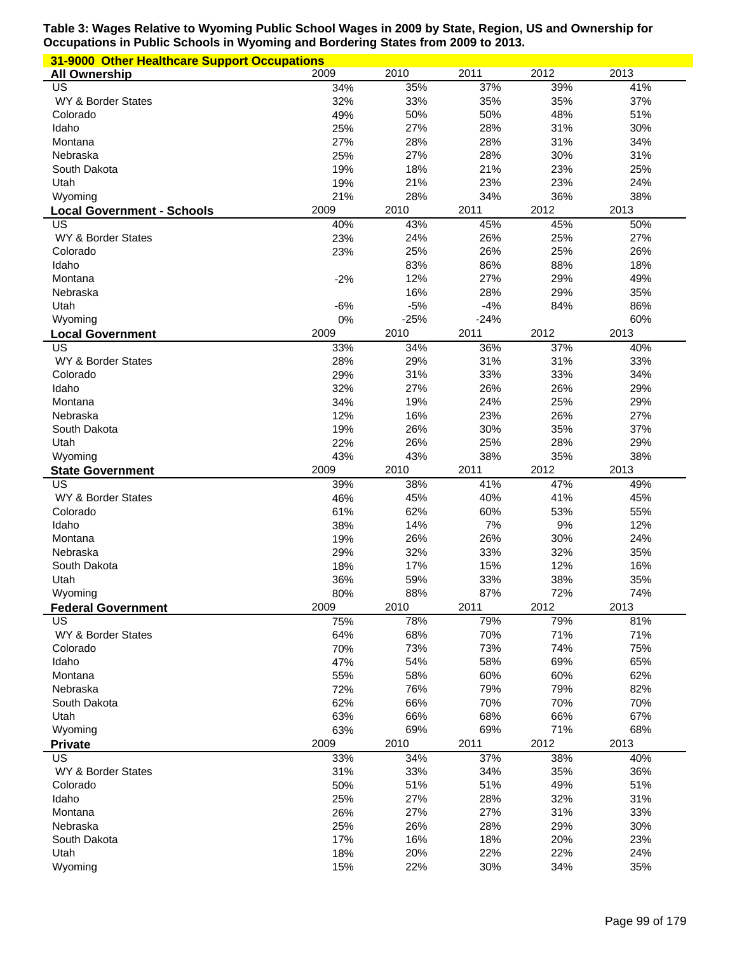| 31-9000 Other Healthcare Support Occupations |            |            |            |            |            |
|----------------------------------------------|------------|------------|------------|------------|------------|
| <b>All Ownership</b>                         | 2009       | 2010       | 2011       | 2012       | 2013       |
| $\overline{US}$                              | 34%        | 35%        | 37%        | 39%        | 41%        |
| WY & Border States                           | 32%        | 33%        | 35%        | 35%        | 37%        |
| Colorado                                     | 49%        | 50%        | 50%        | 48%        | 51%        |
| Idaho                                        | 25%        | 27%        | 28%        | 31%        | 30%        |
| Montana                                      | 27%        | 28%        | 28%        | 31%        | 34%        |
| Nebraska                                     | 25%        | 27%        | 28%        | 30%        | 31%        |
| South Dakota                                 | 19%        | 18%        | 21%        | 23%        | 25%        |
| Utah                                         | 19%        | 21%        | 23%        | 23%        | 24%        |
| Wyoming                                      | 21%        | 28%        | 34%        | 36%        | 38%        |
| <b>Local Government - Schools</b>            | 2009       | 2010       | 2011       | 2012       | 2013       |
| US                                           | 40%        | 43%        | 45%        | 45%        | 50%        |
| WY & Border States                           | 23%        | 24%        | 26%        | 25%        | 27%        |
| Colorado                                     | 23%        | 25%        | 26%        | 25%        | 26%        |
| Idaho                                        |            | 83%        | 86%        | 88%        | 18%        |
| Montana                                      | $-2%$      | 12%        | 27%        | 29%        | 49%        |
| Nebraska                                     |            | 16%        | 28%        | 29%        | 35%        |
| Utah                                         | $-6%$      | $-5%$      | $-4%$      | 84%        | 86%        |
| Wyoming                                      | $0\%$      | $-25%$     | $-24%$     |            | 60%        |
| <b>Local Government</b>                      | 2009       | 2010       | 2011       | 2012       | 2013       |
| $\overline{\mathsf{US}}$                     | 33%        | 34%        | 36%        | 37%        | 40%        |
| WY & Border States                           | 28%        | 29%        | 31%        | 31%        | 33%        |
| Colorado                                     | 29%        | 31%        | 33%        | 33%        | 34%        |
| Idaho                                        | 32%        | 27%        | 26%        | 26%        | 29%        |
| Montana                                      | 34%        | 19%        | 24%        | 25%        | 29%        |
| Nebraska                                     | 12%        | 16%        | 23%        | 26%        | 27%        |
| South Dakota                                 | 19%        | 26%        | 30%        | 35%        | 37%        |
| Utah                                         | 22%        | 26%        | 25%        | 28%        | 29%        |
| Wyoming                                      | 43%        | 43%        | 38%        | 35%        | 38%        |
| <b>State Government</b>                      | 2009       | 2010       | 2011       | 2012       | 2013       |
| US                                           | 39%        | 38%        | 41%        | 47%        | 49%        |
| WY & Border States                           | 46%        | 45%        | 40%        | 41%        | 45%        |
| Colorado                                     | 61%        | 62%        | 60%        | 53%        | 55%        |
| Idaho                                        | 38%        | 14%        | 7%<br>26%  | 9%         | 12%        |
| Montana                                      | 19%        | 26%<br>32% | 33%        | 30%<br>32% | 24%<br>35% |
| Nebraska                                     | 29%        |            |            |            |            |
| South Dakota                                 | 18%        | 17%        | 15%<br>33% | 12%<br>38% | 16%        |
| Utah<br>Wyoming                              | 36%<br>80% | 59%<br>88% | 87%        | 72%        | 35%<br>74% |
|                                              | 2009       | 2010       | 2011       | 2012       | 2013       |
| <b>Federal Government</b><br>US              | 75%        | 78%        | 79%        | 79%        | 81%        |
| WY & Border States                           | 64%        | 68%        | 70%        | 71%        | 71%        |
| Colorado                                     | 70%        | 73%        | 73%        | 74%        | 75%        |
| Idaho                                        | 47%        | 54%        | 58%        | 69%        | 65%        |
| Montana                                      | 55%        | 58%        | 60%        | 60%        | 62%        |
| Nebraska                                     | 72%        | 76%        | 79%        | 79%        | 82%        |
| South Dakota                                 | 62%        | 66%        | 70%        | 70%        | 70%        |
| Utah                                         | 63%        | 66%        | 68%        | 66%        | 67%        |
| Wyoming                                      | 63%        | 69%        | 69%        | 71%        | 68%        |
| <b>Private</b>                               | 2009       | 2010       | 2011       | 2012       | 2013       |
| US                                           | 33%        | 34%        | 37%        | 38%        | 40%        |
| WY & Border States                           | 31%        | 33%        | 34%        | 35%        | 36%        |
| Colorado                                     | 50%        | 51%        | 51%        | 49%        | 51%        |
| Idaho                                        | 25%        | 27%        | 28%        | 32%        | 31%        |
| Montana                                      | 26%        | 27%        | 27%        | 31%        | 33%        |
| Nebraska                                     | 25%        | 26%        | 28%        | 29%        | 30%        |
| South Dakota                                 | 17%        | 16%        | 18%        | 20%        | 23%        |
|                                              |            |            |            |            |            |
| Utah                                         | 18%        | 20%        | 22%        | 22%        | 24%        |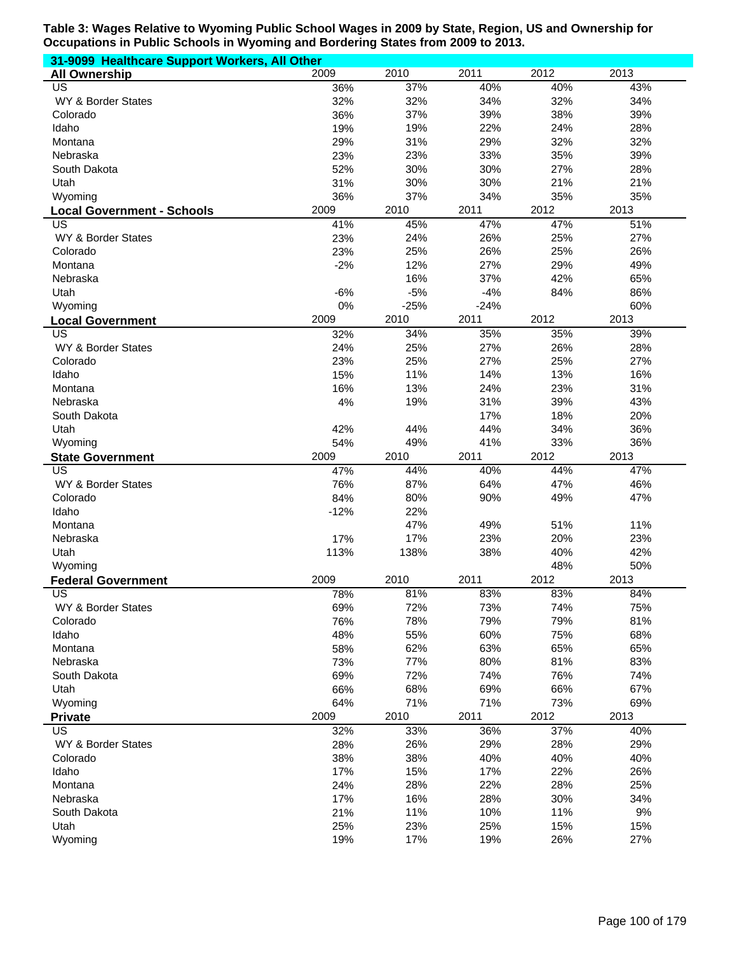| 31-9099 Healthcare Support Workers, All Other |            |            |            |            |            |
|-----------------------------------------------|------------|------------|------------|------------|------------|
| <b>All Ownership</b>                          | 2009       | 2010       | 2011       | 2012       | 2013       |
| US                                            | 36%        | 37%        | 40%        | 40%        | 43%        |
| WY & Border States                            | 32%        | 32%        | 34%        | 32%        | 34%        |
| Colorado                                      | 36%        | 37%        | 39%        | 38%        | 39%        |
| Idaho                                         | 19%        | 19%        | 22%        | 24%        | 28%        |
| Montana                                       | 29%        | 31%        | 29%        | 32%        | 32%        |
| Nebraska                                      | 23%        | 23%        | 33%        | 35%        | 39%        |
| South Dakota                                  | 52%        | 30%        | 30%        | 27%        | 28%        |
| Utah                                          | 31%        | 30%        | 30%        | 21%        | 21%        |
| Wyoming                                       | 36%        | 37%        | 34%        | 35%        | 35%        |
| <b>Local Government - Schools</b>             | 2009       | 2010       | 2011       | 2012       | 2013       |
| US                                            | 41%        | 45%        | 47%        | 47%        | 51%        |
| WY & Border States                            | 23%        | 24%        | 26%        | 25%        | 27%        |
| Colorado                                      | 23%        | 25%        | 26%        | 25%        | 26%        |
| Montana                                       | $-2%$      | 12%        | 27%        | 29%        | 49%        |
| Nebraska                                      |            | 16%        | 37%        | 42%        | 65%        |
| Utah                                          | $-6%$      | $-5%$      | $-4%$      | 84%        | 86%        |
| Wyoming                                       | 0%         | $-25%$     | $-24%$     |            | 60%        |
| <b>Local Government</b>                       | 2009       | 2010       | 2011       | 2012       | 2013       |
| US                                            | 32%        | 34%        | 35%        | 35%        | 39%        |
| WY & Border States                            | 24%        | 25%        | 27%        | 26%        | 28%        |
| Colorado                                      | 23%        | 25%        | 27%        | 25%        | 27%        |
| Idaho                                         | 15%        | 11%        | 14%        | 13%        | 16%        |
| Montana                                       | 16%        | 13%        | 24%        | 23%        | 31%        |
| Nebraska                                      | 4%         | 19%        | 31%        | 39%        | 43%        |
| South Dakota                                  |            |            | 17%        | 18%        | 20%        |
| Utah                                          | 42%        | 44%        | 44%        | 34%        | 36%        |
| Wyoming                                       | 54%        | 49%        | 41%        | 33%        | 36%        |
| <b>State Government</b>                       | 2009       | 2010       | 2011       | 2012       | 2013       |
| US                                            | 47%        | 44%        | 40%        | 44%        | 47%        |
| WY & Border States                            | 76%        | 87%        | 64%        | 47%        | 46%        |
| Colorado                                      | 84%        | 80%        | 90%        | 49%        | 47%        |
| Idaho                                         | $-12%$     | 22%        |            |            |            |
| Montana                                       |            | 47%        | 49%        | 51%        | 11%        |
| Nebraska                                      | 17%        | 17%        | 23%        | 20%        | 23%        |
| Utah                                          | 113%       | 138%       | 38%        | 40%        | 42%        |
| Wyoming                                       |            |            |            | 48%        | 50%        |
| <b>Federal Government</b>                     | 2009       | 2010       | 2011       | 2012       | 2013       |
| US                                            | 78%        | 81%        | 83%        | 83%        | 84%        |
| WY & Border States                            | 69%        | 72%        | 73%        | 74%        | 75%        |
| Colorado                                      | 76%        | 78%        | 79%        | 79%        | 81%        |
| Idaho                                         | 48%        | 55%        | 60%        | 75%        | 68%        |
| Montana                                       | 58%        | 62%<br>77% | 63%<br>80% | 65%        | 65%        |
| Nebraska                                      | 73%        |            |            | 81%        | 83%        |
| South Dakota                                  |            |            |            |            |            |
| Utah                                          | 69%        | 72%        | 74%        | 76%        | 74%        |
|                                               | 66%        | 68%        | 69%        | 66%        | 67%        |
| Wyoming                                       | 64%        | 71%        | 71%        | 73%        | 69%        |
| <b>Private</b>                                | 2009       | 2010       | 2011       | 2012       | 2013       |
| US                                            | 32%        | 33%        | 36%        | 37%        | 40%        |
| WY & Border States                            | 28%        | 26%        | 29%        | 28%        | 29%        |
| Colorado                                      | 38%        | 38%        | 40%        | 40%        | 40%        |
| Idaho                                         | 17%        | 15%        | 17%        | 22%        | 26%        |
| Montana                                       | 24%        | 28%        | 22%        | 28%        | 25%        |
| Nebraska                                      | 17%        | 16%        | 28%        | 30%        | 34%        |
| South Dakota                                  | 21%        | 11%        | 10%        | 11%        | 9%         |
| Utah<br>Wyoming                               | 25%<br>19% | 23%<br>17% | 25%<br>19% | 15%<br>26% | 15%<br>27% |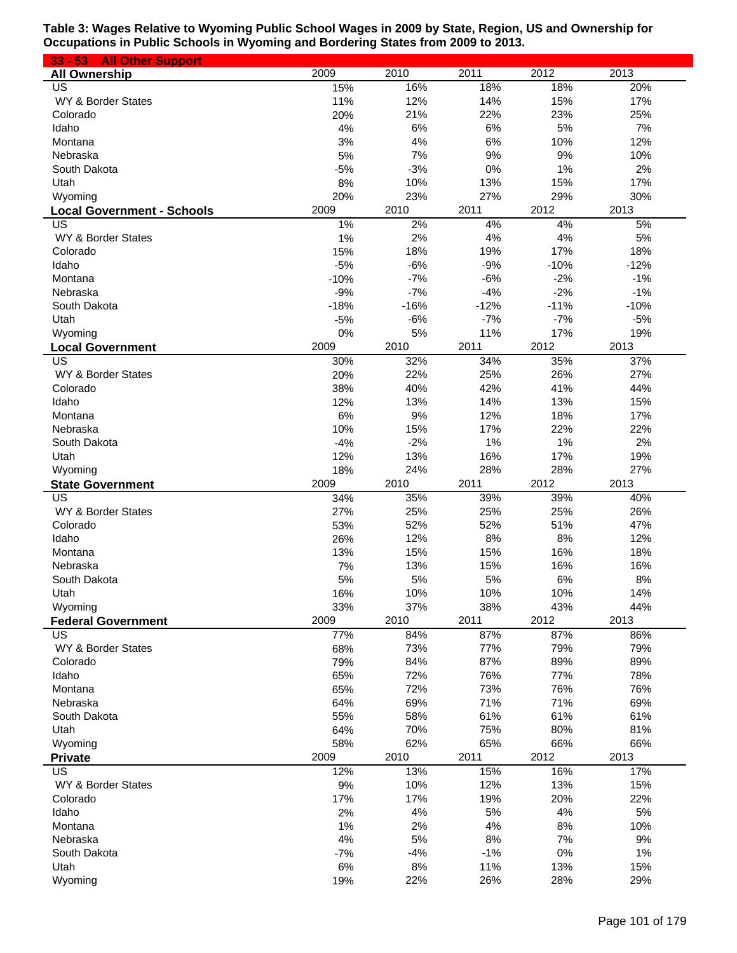| $33 - 53$<br><b>All Other Support</b>   |            |            |            |            |            |
|-----------------------------------------|------------|------------|------------|------------|------------|
| <b>All Ownership</b>                    | 2009       | 2010       | 2011       | 2012       | 2013       |
| US                                      | 15%        | 16%        | 18%        | 18%        | 20%        |
| WY & Border States                      | 11%        | 12%        | 14%        | 15%        | 17%        |
| Colorado                                | 20%        | 21%        | 22%        | 23%        | 25%        |
| Idaho                                   | 4%         | 6%         | 6%         | 5%         | 7%         |
| Montana                                 | 3%         | 4%         | 6%         | 10%        | 12%        |
| Nebraska                                | 5%         | 7%         | 9%         | 9%         | 10%        |
| South Dakota                            | $-5%$      | $-3%$      | 0%         | 1%         | 2%         |
| Utah                                    | 8%         | 10%        | 13%        | 15%        | 17%        |
| Wyoming                                 | 20%        | 23%        | 27%        | 29%        | 30%        |
| <b>Local Government - Schools</b><br>US | 2009<br>1% | 2010<br>2% | 2011<br>4% | 2012<br>4% | 2013<br>5% |
| WY & Border States                      | 1%         | 2%         | 4%         | 4%         | 5%         |
| Colorado                                | 15%        | 18%        | 19%        | 17%        | 18%        |
| Idaho                                   | $-5%$      | $-6%$      | $-9%$      | $-10%$     | $-12%$     |
| Montana                                 | $-10%$     | $-7%$      | $-6%$      | $-2%$      | $-1%$      |
| Nebraska                                | $-9%$      | $-7%$      | $-4%$      | $-2%$      | $-1%$      |
| South Dakota                            | $-18%$     | $-16%$     | $-12%$     | $-11%$     | $-10%$     |
| Utah                                    | $-5%$      | $-6%$      | $-7%$      | $-7%$      | $-5%$      |
| Wyoming                                 | 0%         | 5%         | 11%        | 17%        | 19%        |
| <b>Local Government</b>                 | 2009       | 2010       | 2011       | 2012       | 2013       |
| US                                      | 30%        | 32%        | 34%        | 35%        | 37%        |
| WY & Border States                      | 20%        | 22%        | 25%        | 26%        | 27%        |
| Colorado                                | 38%        | 40%        | 42%        | 41%        | 44%        |
| Idaho                                   | 12%        | 13%        | 14%        | 13%        | 15%        |
| Montana                                 | 6%         | 9%         | 12%        | 18%        | 17%        |
| Nebraska                                | 10%        | 15%        | 17%        | 22%        | 22%        |
| South Dakota                            | $-4%$      | $-2%$      | 1%         | 1%         | 2%         |
| Utah                                    | 12%        | 13%        | 16%        | 17%        | 19%        |
| Wyoming                                 | 18%        | 24%        | 28%        | 28%        | 27%        |
| <b>State Government</b>                 | 2009       | 2010       | 2011       | 2012       | 2013       |
| US                                      | 34%        | 35%        | 39%        | 39%        | 40%        |
| WY & Border States                      | 27%        | 25%        | 25%        | 25%        | 26%        |
| Colorado                                | 53%        | 52%        | 52%        | 51%        | 47%        |
| Idaho                                   | 26%        | 12%        | 8%         | 8%         | 12%        |
| Montana                                 | 13%        | 15%        | 15%        | 16%        | 18%        |
| Nebraska                                | 7%         | 13%        | 15%        | 16%        | 16%<br>8%  |
| South Dakota<br>Utah                    | 5%<br>16%  | 5%<br>10%  | 5%<br>10%  | 6%<br>10%  | 14%        |
| Wyoming                                 | 33%        | 37%        | 38%        | 43%        | 44%        |
| <b>Federal Government</b>               | 2009       | 2010       | 2011       | 2012       | 2013       |
| US                                      | 77%        | 84%        | 87%        | 87%        | 86%        |
| WY & Border States                      | 68%        | 73%        | 77%        | 79%        | 79%        |
| Colorado                                | 79%        | 84%        | 87%        | 89%        | 89%        |
| Idaho                                   | 65%        | 72%        | 76%        | 77%        | 78%        |
| Montana                                 | 65%        | 72%        | 73%        | 76%        | 76%        |
| Nebraska                                | 64%        | 69%        | 71%        | 71%        | 69%        |
| South Dakota                            | 55%        | 58%        | 61%        | 61%        | 61%        |
| Utah                                    | 64%        | 70%        | 75%        | 80%        | 81%        |
| Wyoming                                 | 58%        | 62%        | 65%        | 66%        | 66%        |
| <b>Private</b>                          | 2009       | 2010       | 2011       | 2012       | 2013       |
| US                                      | 12%        | 13%        | 15%        | 16%        | 17%        |
| WY & Border States                      | 9%         | 10%        | 12%        | 13%        | 15%        |
| Colorado                                | 17%        | 17%        | 19%        | 20%        | 22%        |
| Idaho                                   | 2%         | 4%         | 5%         | 4%         | 5%         |
| Montana                                 | 1%         | 2%         | 4%         | 8%         | 10%        |
| Nebraska                                | 4%         | 5%         | 8%         | 7%         | 9%         |
| South Dakota                            | $-7%$      | $-4%$      | $-1%$      | 0%         | 1%         |
| Utah                                    | 6%         | 8%         | 11%        | 13%        | 15%        |
| Wyoming                                 | 19%        | 22%        | 26%        | 28%        | 29%        |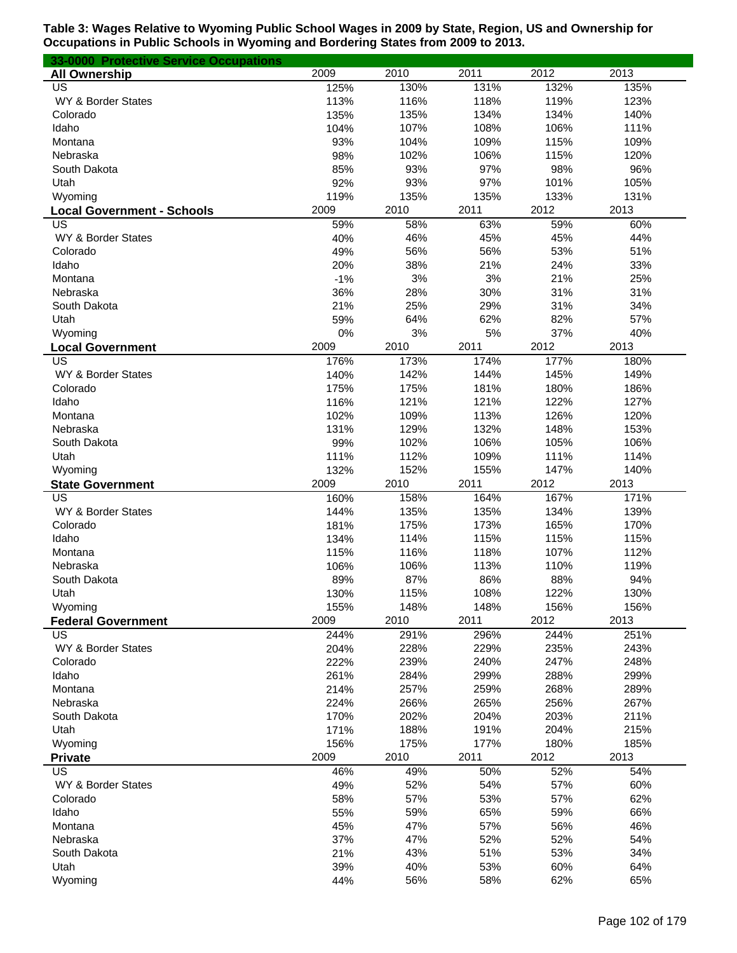| 33-0000 Protective Service Occupations |       |      |      |      |      |
|----------------------------------------|-------|------|------|------|------|
| <b>All Ownership</b>                   | 2009  | 2010 | 2011 | 2012 | 2013 |
| US                                     | 125%  | 130% | 131% | 132% | 135% |
| WY & Border States                     | 113%  | 116% | 118% | 119% | 123% |
| Colorado                               | 135%  | 135% | 134% | 134% | 140% |
| Idaho                                  | 104%  | 107% | 108% | 106% | 111% |
| Montana                                | 93%   | 104% | 109% | 115% | 109% |
| Nebraska                               | 98%   | 102% | 106% | 115% | 120% |
| South Dakota                           | 85%   | 93%  | 97%  | 98%  | 96%  |
| Utah                                   | 92%   | 93%  | 97%  | 101% | 105% |
| Wyoming                                | 119%  | 135% | 135% | 133% | 131% |
| <b>Local Government - Schools</b>      | 2009  | 2010 | 2011 | 2012 | 2013 |
| US                                     | 59%   | 58%  | 63%  | 59%  | 60%  |
| WY & Border States                     | 40%   | 46%  | 45%  | 45%  | 44%  |
| Colorado                               | 49%   | 56%  | 56%  | 53%  | 51%  |
| Idaho                                  | 20%   | 38%  | 21%  | 24%  | 33%  |
| Montana                                | $-1%$ | 3%   | 3%   | 21%  | 25%  |
| Nebraska                               | 36%   | 28%  | 30%  | 31%  | 31%  |
| South Dakota                           | 21%   | 25%  | 29%  | 31%  | 34%  |
| Utah                                   | 59%   | 64%  | 62%  | 82%  | 57%  |
| Wyoming                                | 0%    | 3%   | 5%   | 37%  | 40%  |
| <b>Local Government</b>                | 2009  | 2010 | 2011 | 2012 | 2013 |
| US                                     | 176%  | 173% | 174% | 177% | 180% |
| WY & Border States                     | 140%  | 142% | 144% | 145% | 149% |
| Colorado                               | 175%  | 175% | 181% | 180% | 186% |
| Idaho                                  | 116%  | 121% | 121% | 122% | 127% |
| Montana                                | 102%  | 109% | 113% | 126% | 120% |
| Nebraska                               | 131%  | 129% | 132% | 148% | 153% |
| South Dakota                           | 99%   | 102% | 106% | 105% | 106% |
| Utah                                   | 111%  | 112% | 109% | 111% | 114% |
| Wyoming                                | 132%  | 152% | 155% | 147% | 140% |
| <b>State Government</b>                | 2009  | 2010 | 2011 | 2012 | 2013 |
| US                                     | 160%  | 158% | 164% | 167% | 171% |
| WY & Border States                     | 144%  | 135% | 135% | 134% | 139% |
| Colorado                               | 181%  | 175% | 173% | 165% | 170% |
| Idaho                                  | 134%  | 114% | 115% | 115% | 115% |
| Montana                                | 115%  | 116% | 118% | 107% | 112% |
| Nebraska                               | 106%  | 106% | 113% | 110% | 119% |
| South Dakota                           | 89%   | 87%  | 86%  | 88%  | 94%  |
| Utah                                   | 130%  | 115% | 108% | 122% | 130% |
| Wyoming                                | 155%  | 148% | 148% | 156% | 156% |
| <b>Federal Government</b>              | 2009  | 2010 | 2011 | 2012 | 2013 |
| US                                     | 244%  | 291% | 296% | 244% | 251% |
| WY & Border States                     | 204%  | 228% | 229% | 235% | 243% |
| Colorado                               | 222%  | 239% | 240% | 247% | 248% |
| Idaho                                  | 261%  | 284% | 299% | 288% | 299% |
| Montana                                | 214%  | 257% | 259% | 268% | 289% |
| Nebraska                               | 224%  | 266% | 265% | 256% | 267% |
| South Dakota                           | 170%  | 202% | 204% | 203% | 211% |
| Utah                                   | 171%  | 188% | 191% | 204% | 215% |
| Wyoming                                | 156%  | 175% | 177% | 180% | 185% |
| <b>Private</b>                         | 2009  | 2010 | 2011 | 2012 | 2013 |
| US                                     | 46%   | 49%  | 50%  | 52%  | 54%  |
| WY & Border States                     | 49%   | 52%  | 54%  | 57%  | 60%  |
| Colorado                               | 58%   | 57%  | 53%  | 57%  | 62%  |
| Idaho                                  | 55%   | 59%  | 65%  | 59%  | 66%  |
| Montana                                | 45%   | 47%  | 57%  | 56%  | 46%  |
| Nebraska                               | 37%   | 47%  | 52%  | 52%  | 54%  |
| South Dakota                           | 21%   | 43%  | 51%  | 53%  | 34%  |
| Utah                                   | 39%   | 40%  | 53%  | 60%  | 64%  |
| Wyoming                                | 44%   | 56%  | 58%  | 62%  | 65%  |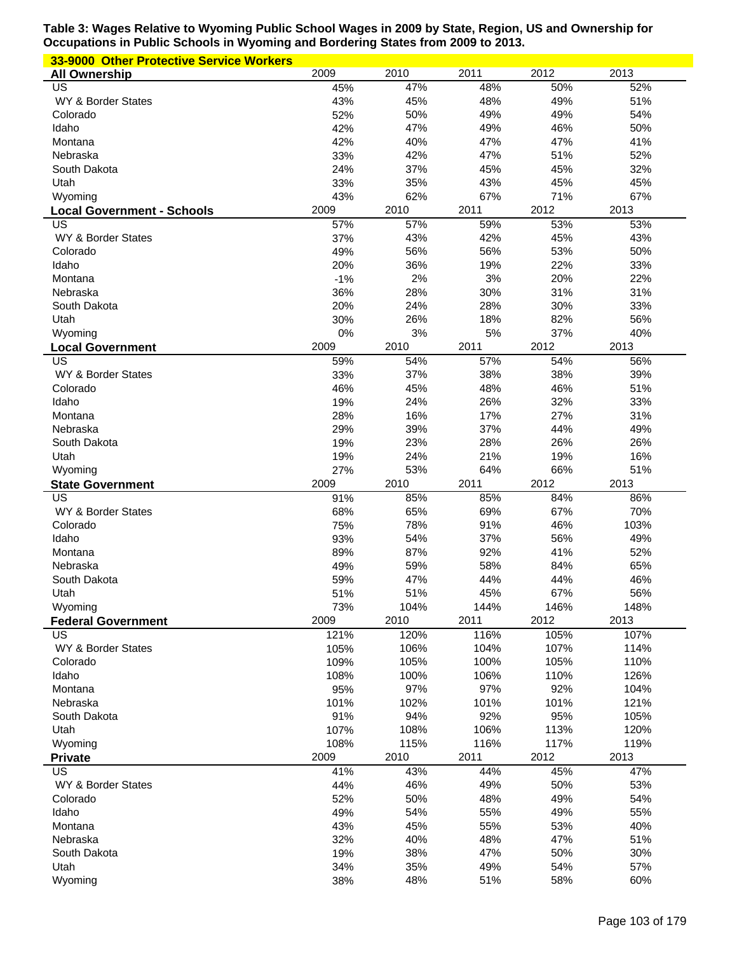| 33-9000 Other Protective Service Workers |             |             |             |             |              |
|------------------------------------------|-------------|-------------|-------------|-------------|--------------|
| <b>All Ownership</b>                     | 2009        | 2010        | 2011        | 2012        | 2013         |
| US                                       | 45%         | 47%         | 48%         | 50%         | 52%          |
| WY & Border States                       | 43%         | 45%         | 48%         | 49%         | 51%          |
| Colorado                                 | 52%         | 50%         | 49%         | 49%         | 54%          |
| Idaho                                    | 42%         | 47%         | 49%         | 46%         | 50%          |
| Montana                                  | 42%         | 40%         | 47%         | 47%         | 41%          |
| Nebraska                                 | 33%         | 42%         | 47%         | 51%         | 52%          |
| South Dakota                             | 24%         | 37%         | 45%<br>43%  | 45%         | 32%          |
| Utah<br>Wyoming                          | 33%<br>43%  | 35%<br>62%  | 67%         | 45%<br>71%  | 45%<br>67%   |
|                                          | 2009        | 2010        | 2011        | 2012        | 2013         |
| <b>Local Government - Schools</b><br>US  | 57%         | 57%         | 59%         | 53%         | 53%          |
| WY & Border States                       | 37%         | 43%         | 42%         | 45%         | 43%          |
| Colorado                                 | 49%         | 56%         | 56%         | 53%         | 50%          |
| Idaho                                    | 20%         | 36%         | 19%         | 22%         | 33%          |
| Montana                                  | $-1%$       | 2%          | 3%          | 20%         | 22%          |
| Nebraska                                 | 36%         | 28%         | 30%         | 31%         | 31%          |
| South Dakota                             | 20%         | 24%         | 28%         | 30%         | 33%          |
| Utah                                     | 30%         | 26%         | 18%         | 82%         | 56%          |
| Wyoming                                  | 0%          | 3%          | 5%          | 37%         | 40%          |
| <b>Local Government</b>                  | 2009        | 2010        | 2011        | 2012        | 2013         |
| US                                       | 59%         | 54%         | 57%         | 54%         | 56%          |
| WY & Border States                       | 33%         | 37%         | 38%         | 38%         | 39%          |
| Colorado                                 | 46%         | 45%         | 48%         | 46%         | 51%          |
| Idaho                                    | 19%         | 24%         | 26%         | 32%         | 33%          |
| Montana                                  | 28%         | 16%         | 17%         | 27%         | 31%          |
| Nebraska                                 | 29%         | 39%         | 37%         | 44%         | 49%          |
| South Dakota                             | 19%         | 23%         | 28%         | 26%         | 26%          |
| Utah<br>Wyoming                          | 19%<br>27%  | 24%<br>53%  | 21%<br>64%  | 19%<br>66%  | 16%<br>51%   |
| <b>State Government</b>                  | 2009        | 2010        | 2011        | 2012        | 2013         |
| US                                       | 91%         | 85%         | 85%         | 84%         | 86%          |
| WY & Border States                       | 68%         | 65%         | 69%         | 67%         | 70%          |
| Colorado                                 | 75%         | 78%         | 91%         | 46%         | 103%         |
| Idaho                                    | 93%         | 54%         | 37%         | 56%         | 49%          |
| Montana                                  | 89%         | 87%         | 92%         | 41%         | 52%          |
| Nebraska                                 | 49%         | 59%         | 58%         | 84%         | 65%          |
| South Dakota                             | 59%         | 47%         | 44%         | 44%         | 46%          |
| Utah                                     | 51%         | 51%         | 45%         | 67%         | 56%          |
| Wyoming                                  | 73%         | 104%        | 144%        | 146%        | 148%         |
| <b>Federal Government</b>                | 2009        | 2010        | 2011        | 2012        | 2013         |
| US                                       | 121%        | 120%        | 116%        | 105%        | 107%         |
| WY & Border States                       | 105%        | 106%        | 104%        | 107%        | 114%         |
| Colorado                                 | 109%        | 105%        | 100%        | 105%        | 110%         |
| Idaho<br>Montana                         | 108%<br>95% | 100%<br>97% | 106%<br>97% | 110%<br>92% | 126%<br>104% |
| Nebraska                                 | 101%        | 102%        | 101%        | 101%        | 121%         |
| South Dakota                             | 91%         | 94%         | 92%         | 95%         | 105%         |
| Utah                                     | 107%        | 108%        | 106%        | 113%        | 120%         |
| Wyoming                                  |             |             |             |             |              |
|                                          |             |             |             |             |              |
|                                          | 108%        | 115%        | 116%        | 117%        | 119%         |
| <b>Private</b><br>US                     | 2009        | 2010        | 2011<br>44% | 2012<br>45% | 2013<br>47%  |
| WY & Border States                       | 41%<br>44%  | 43%<br>46%  | 49%         | 50%         | 53%          |
| Colorado                                 | 52%         | 50%         | 48%         | 49%         | 54%          |
| Idaho                                    | 49%         | 54%         | 55%         | 49%         | 55%          |
| Montana                                  | 43%         | 45%         | 55%         | 53%         | 40%          |
| Nebraska                                 | 32%         | 40%         | 48%         | 47%         | 51%          |
| South Dakota                             | 19%         | 38%         | 47%         | 50%         | 30%          |
| Utah<br>Wyoming                          | 34%<br>38%  | 35%<br>48%  | 49%<br>51%  | 54%<br>58%  | 57%<br>60%   |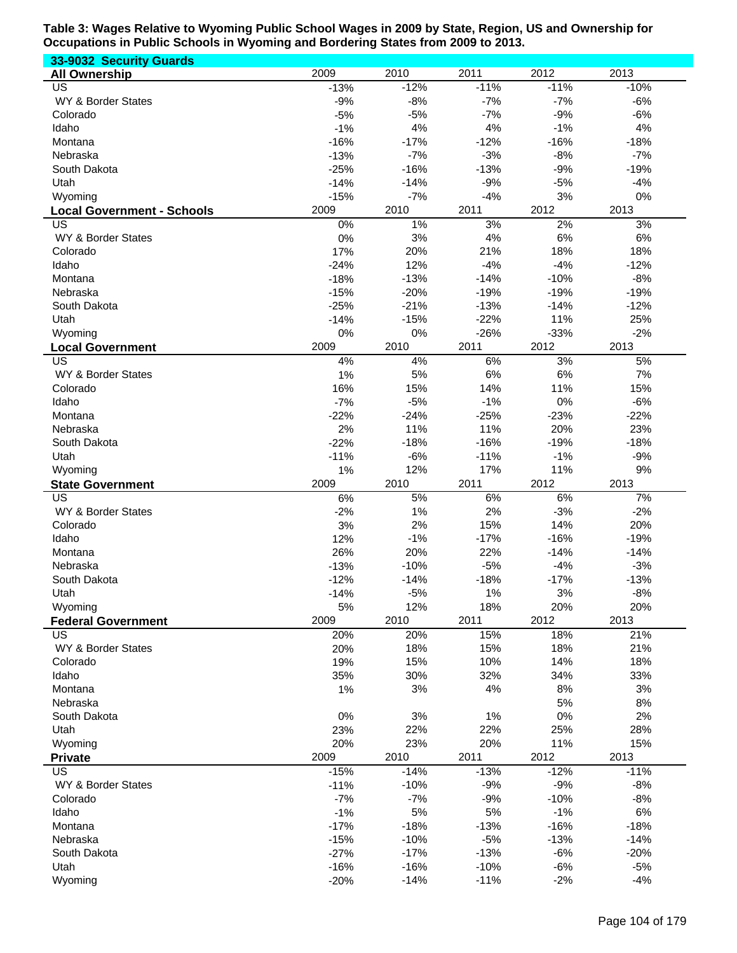| 33-9032 Security Guards                 |                  |                  |                  |                |                 |
|-----------------------------------------|------------------|------------------|------------------|----------------|-----------------|
| <b>All Ownership</b>                    | 2009             | 2010             | 2011             | 2012           | 2013            |
| US                                      | $-13%$           | $-12%$           | $-11%$           | $-11%$         | $-10%$          |
| WY & Border States                      | $-9%$            | $-8%$            | $-7%$            | $-7%$          | $-6%$           |
| Colorado                                | $-5%$            | $-5%$            | $-7%$            | $-9%$          | $-6%$           |
| Idaho                                   | $-1%$            | 4%               | 4%               | $-1%$          | 4%              |
| Montana                                 | $-16%$           | $-17%$           | $-12%$           | $-16%$         | $-18%$          |
| Nebraska                                | $-13%$           | $-7%$            | $-3%$            | $-8%$          | $-7%$           |
| South Dakota                            | $-25%$           | $-16%$           | $-13%$           | $-9%$<br>$-5%$ | $-19%$          |
| Utah<br>Wyoming                         | $-14%$<br>$-15%$ | $-14%$<br>$-7%$  | $-9%$<br>$-4%$   | 3%             | $-4%$<br>0%     |
|                                         | 2009             | 2010             | 2011             | 2012           | 2013            |
| <b>Local Government - Schools</b><br>US | 0%               | 1%               | 3%               | 2%             | 3%              |
| WY & Border States                      | 0%               | 3%               | 4%               | 6%             | 6%              |
| Colorado                                | 17%              | 20%              | 21%              | 18%            | 18%             |
| Idaho                                   | $-24%$           | 12%              | $-4%$            | $-4%$          | $-12%$          |
| Montana                                 | $-18%$           | $-13%$           | $-14%$           | $-10%$         | $-8%$           |
| Nebraska                                | $-15%$           | $-20%$           | $-19%$           | $-19%$         | $-19%$          |
| South Dakota                            | $-25%$           | $-21%$           | $-13%$           | $-14%$         | $-12%$          |
| Utah                                    | $-14%$           | $-15%$           | $-22%$           | 11%            | 25%             |
| Wyoming                                 | 0%               | 0%               | $-26%$           | $-33%$         | $-2%$           |
| <b>Local Government</b>                 | 2009             | 2010             | 2011             | 2012           | 2013            |
| US                                      | 4%               | 4%               | 6%               | 3%             | 5%              |
| WY & Border States                      | 1%               | 5%               | 6%               | 6%             | 7%              |
| Colorado                                | 16%              | 15%              | 14%              | 11%            | 15%             |
| Idaho                                   | $-7%$            | $-5%$            | $-1%$            | 0%             | $-6%$           |
| Montana                                 | $-22%$           | $-24%$           | $-25%$           | $-23%$         | $-22%$          |
| Nebraska                                | 2%               | 11%              | 11%              | 20%            | 23%             |
| South Dakota                            | $-22%$           | $-18%$           | $-16%$           | $-19%$         | $-18%$          |
| Utah                                    | $-11%$           | $-6%$            | $-11%$           | $-1%$          | $-9%$           |
| Wyoming                                 | 1%               | 12%              | 17%              | 11%            | 9%              |
|                                         |                  |                  |                  |                |                 |
| <b>State Government</b>                 | 2009             | 2010             | 2011             | 2012           | 2013            |
| US                                      | 6%               | 5%               | 6%               | 6%             | 7%              |
| WY & Border States                      | $-2%$            | 1%               | 2%               | $-3%$          | $-2%$           |
| Colorado                                | 3%               | 2%               | 15%              | 14%            | 20%             |
| Idaho                                   | 12%              | $-1%$            | $-17%$           | $-16%$         | $-19%$          |
| Montana                                 | 26%              | 20%              | 22%              | $-14%$         | $-14%$          |
| Nebraska<br>South Dakota                | $-13%$           | $-10%$           | $-5%$            | $-4%$          | $-3%$           |
| Utah                                    | $-12%$<br>$-14%$ | $-14%$<br>$-5%$  | $-18%$<br>1%     | $-17%$<br>3%   | $-13%$<br>$-8%$ |
| Wyoming                                 | 5%               | 12%              | 18%              | 20%            | 20%             |
| <b>Federal Government</b>               | 2009             | 2010             | 2011             | 2012           | 2013            |
| US                                      | 20%              | 20%              | 15%              | 18%            | 21%             |
| WY & Border States                      | 20%              | 18%              | 15%              | 18%            | 21%             |
| Colorado                                | 19%              | 15%              | 10%              | 14%            | 18%             |
| Idaho                                   | 35%              | 30%              | 32%              | 34%            | 33%             |
| Montana                                 | 1%               | 3%               | 4%               | 8%             | 3%              |
| Nebraska                                |                  |                  |                  | 5%             | 8%              |
| South Dakota                            | 0%               | 3%               | 1%               | 0%             | 2%              |
| Utah                                    | 23%              | 22%              | 22%              | 25%            | 28%             |
| Wyoming                                 | 20%              | 23%              | 20%              | 11%            | 15%             |
| <b>Private</b>                          | 2009             | 2010             | 2011             | 2012           | 2013            |
| US                                      | $-15%$           | $-14%$           | $-13%$           | $-12%$         | $-11%$          |
| WY & Border States                      | $-11%$           | $-10%$           | $-9%$            | $-9%$          | $-8%$           |
| Colorado                                | $-7%$            | $-7%$            | $-9%$            | $-10%$         | $-8%$           |
| Idaho                                   | $-1%$            | 5%               | 5%               | $-1%$          | 6%              |
| Montana<br>Nebraska                     | $-17%$           | $-18%$           | $-13%$           | $-16%$         | $-18%$          |
|                                         | $-15%$           | $-10%$           | $-5%$            | $-13%$         | $-14%$          |
| South Dakota<br>Utah                    | $-27%$           | $-17%$<br>$-16%$ | $-13%$<br>$-10%$ | $-6%$<br>$-6%$ | $-20%$<br>$-5%$ |
| Wyoming                                 | $-16%$<br>$-20%$ | $-14%$           | $-11%$           | $-2%$          | $-4%$           |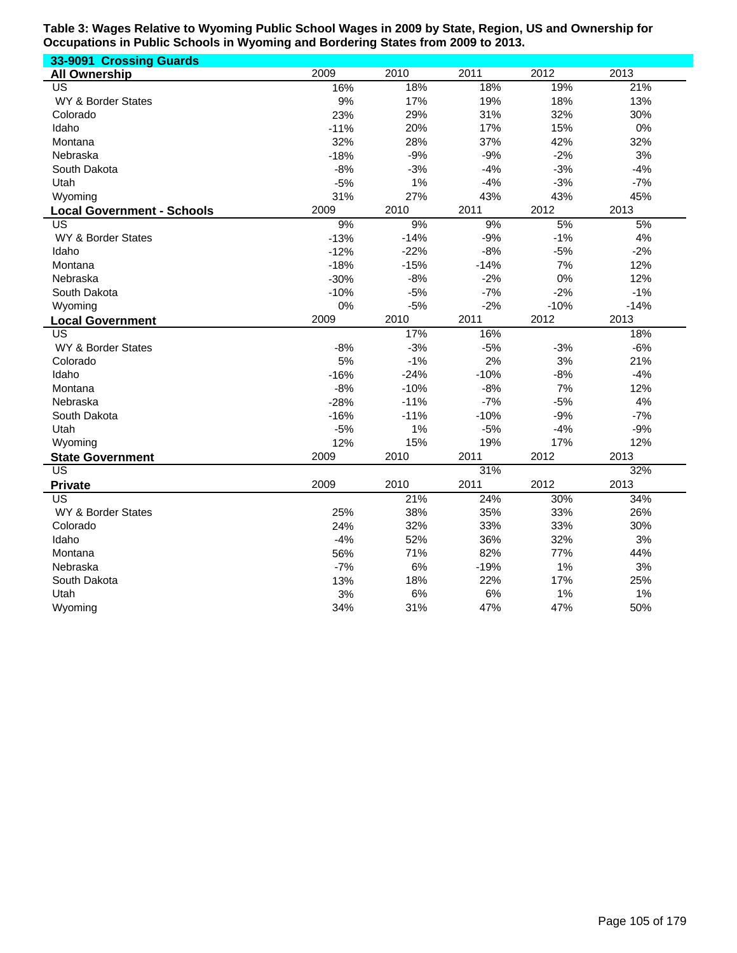| 33-9091 Crossing Guards           |        |        |        |        |        |
|-----------------------------------|--------|--------|--------|--------|--------|
| <b>All Ownership</b>              | 2009   | 2010   | 2011   | 2012   | 2013   |
| US                                | 16%    | 18%    | 18%    | 19%    | 21%    |
| <b>WY &amp; Border States</b>     | 9%     | 17%    | 19%    | 18%    | 13%    |
| Colorado                          | 23%    | 29%    | 31%    | 32%    | 30%    |
| Idaho                             | $-11%$ | 20%    | 17%    | 15%    | 0%     |
| Montana                           | 32%    | 28%    | 37%    | 42%    | 32%    |
| Nebraska                          | $-18%$ | $-9%$  | $-9%$  | $-2%$  | 3%     |
| South Dakota                      | $-8%$  | $-3%$  | $-4%$  | $-3%$  | $-4%$  |
| Utah                              | $-5%$  | 1%     | $-4%$  | $-3%$  | $-7%$  |
| Wyoming                           | 31%    | 27%    | 43%    | 43%    | 45%    |
| <b>Local Government - Schools</b> | 2009   | 2010   | 2011   | 2012   | 2013   |
| $\overline{\mathsf{US}}$          | 9%     | 9%     | 9%     | 5%     | 5%     |
| WY & Border States                | $-13%$ | $-14%$ | $-9%$  | $-1%$  | 4%     |
| Idaho                             | $-12%$ | $-22%$ | $-8%$  | $-5%$  | $-2%$  |
| Montana                           | $-18%$ | $-15%$ | $-14%$ | 7%     | 12%    |
| Nebraska                          | $-30%$ | $-8%$  | $-2%$  | 0%     | 12%    |
| South Dakota                      | $-10%$ | $-5%$  | $-7%$  | $-2%$  | $-1%$  |
| Wyoming                           | 0%     | $-5%$  | $-2%$  | $-10%$ | $-14%$ |
| <b>Local Government</b>           | 2009   | 2010   | 2011   | 2012   | 2013   |
| US                                |        | 17%    | 16%    |        | 18%    |
| WY & Border States                | $-8%$  | $-3%$  | $-5%$  | $-3%$  | $-6%$  |
| Colorado                          | 5%     | $-1%$  | 2%     | 3%     | 21%    |
| Idaho                             | $-16%$ | $-24%$ | $-10%$ | $-8%$  | $-4%$  |
| Montana                           | $-8%$  | $-10%$ | $-8%$  | 7%     | 12%    |
| Nebraska                          | $-28%$ | $-11%$ | $-7%$  | $-5%$  | 4%     |
| South Dakota                      | $-16%$ | $-11%$ | $-10%$ | $-9%$  | $-7%$  |
| Utah                              | $-5%$  | 1%     | $-5%$  | $-4%$  | $-9%$  |
| Wyoming                           | 12%    | 15%    | 19%    | 17%    | 12%    |
| <b>State Government</b>           | 2009   | 2010   | 2011   | 2012   | 2013   |
| $\overline{US}$                   |        |        | 31%    |        | 32%    |
| <b>Private</b>                    | 2009   | 2010   | 2011   | 2012   | 2013   |
| US                                |        | 21%    | 24%    | 30%    | 34%    |
| WY & Border States                | 25%    | 38%    | 35%    | 33%    | 26%    |
| Colorado                          | 24%    | 32%    | 33%    | 33%    | 30%    |
| Idaho                             | $-4%$  | 52%    | 36%    | 32%    | 3%     |
| Montana                           | 56%    | 71%    | 82%    | 77%    | 44%    |
| Nebraska                          | $-7%$  | 6%     | $-19%$ | 1%     | 3%     |
| South Dakota                      | 13%    | 18%    | 22%    | 17%    | 25%    |
| Utah                              | 3%     | 6%     | 6%     | 1%     | 1%     |
| Wyoming                           | 34%    | 31%    | 47%    | 47%    | 50%    |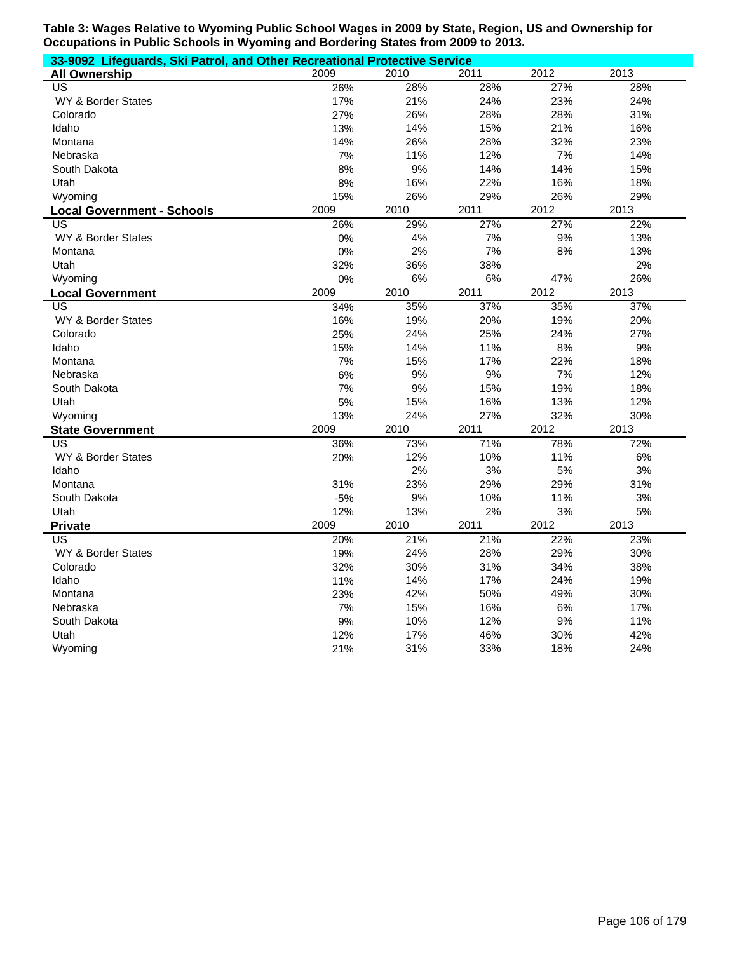| 33-9092 Lifeguards, Ski Patrol, and Other Recreational Protective Service |       |      |      |      |      |  |  |
|---------------------------------------------------------------------------|-------|------|------|------|------|--|--|
| <b>All Ownership</b>                                                      | 2009  | 2010 | 2011 | 2012 | 2013 |  |  |
| US                                                                        | 26%   | 28%  | 28%  | 27%  | 28%  |  |  |
| WY & Border States                                                        | 17%   | 21%  | 24%  | 23%  | 24%  |  |  |
| Colorado                                                                  | 27%   | 26%  | 28%  | 28%  | 31%  |  |  |
| Idaho                                                                     | 13%   | 14%  | 15%  | 21%  | 16%  |  |  |
| Montana                                                                   | 14%   | 26%  | 28%  | 32%  | 23%  |  |  |
| Nebraska                                                                  | 7%    | 11%  | 12%  | 7%   | 14%  |  |  |
| South Dakota                                                              | 8%    | 9%   | 14%  | 14%  | 15%  |  |  |
| Utah                                                                      | 8%    | 16%  | 22%  | 16%  | 18%  |  |  |
| Wyoming                                                                   | 15%   | 26%  | 29%  | 26%  | 29%  |  |  |
| <b>Local Government - Schools</b>                                         | 2009  | 2010 | 2011 | 2012 | 2013 |  |  |
| US                                                                        | 26%   | 29%  | 27%  | 27%  | 22%  |  |  |
| WY & Border States                                                        | 0%    | 4%   | 7%   | 9%   | 13%  |  |  |
| Montana                                                                   | 0%    | 2%   | 7%   | 8%   | 13%  |  |  |
| Utah                                                                      | 32%   | 36%  | 38%  |      | 2%   |  |  |
| Wyoming                                                                   | 0%    | 6%   | 6%   | 47%  | 26%  |  |  |
| <b>Local Government</b>                                                   | 2009  | 2010 | 2011 | 2012 | 2013 |  |  |
| <b>US</b>                                                                 | 34%   | 35%  | 37%  | 35%  | 37%  |  |  |
| WY & Border States                                                        | 16%   | 19%  | 20%  | 19%  | 20%  |  |  |
| Colorado                                                                  | 25%   | 24%  | 25%  | 24%  | 27%  |  |  |
| Idaho                                                                     | 15%   | 14%  | 11%  | 8%   | 9%   |  |  |
| Montana                                                                   | 7%    | 15%  | 17%  | 22%  | 18%  |  |  |
| Nebraska                                                                  | 6%    | 9%   | 9%   | 7%   | 12%  |  |  |
| South Dakota                                                              | 7%    | 9%   | 15%  | 19%  | 18%  |  |  |
| Utah                                                                      | 5%    | 15%  | 16%  | 13%  | 12%  |  |  |
| Wyoming                                                                   | 13%   | 24%  | 27%  | 32%  | 30%  |  |  |
| <b>State Government</b>                                                   | 2009  | 2010 | 2011 | 2012 | 2013 |  |  |
| $\overline{US}$                                                           | 36%   | 73%  | 71%  | 78%  | 72%  |  |  |
| WY & Border States                                                        | 20%   | 12%  | 10%  | 11%  | 6%   |  |  |
| Idaho                                                                     |       | 2%   | 3%   | 5%   | 3%   |  |  |
| Montana                                                                   | 31%   | 23%  | 29%  | 29%  | 31%  |  |  |
| South Dakota                                                              | $-5%$ | 9%   | 10%  | 11%  | 3%   |  |  |
| Utah                                                                      | 12%   | 13%  | 2%   | 3%   | 5%   |  |  |
| <b>Private</b>                                                            | 2009  | 2010 | 2011 | 2012 | 2013 |  |  |
| <b>US</b>                                                                 | 20%   | 21%  | 21%  | 22%  | 23%  |  |  |
| <b>WY &amp; Border States</b>                                             | 19%   | 24%  | 28%  | 29%  | 30%  |  |  |
| Colorado                                                                  | 32%   | 30%  | 31%  | 34%  | 38%  |  |  |
| Idaho                                                                     | 11%   | 14%  | 17%  | 24%  | 19%  |  |  |
| Montana                                                                   | 23%   | 42%  | 50%  | 49%  | 30%  |  |  |
| Nebraska                                                                  | 7%    | 15%  | 16%  | 6%   | 17%  |  |  |
| South Dakota                                                              | 9%    | 10%  | 12%  | 9%   | 11%  |  |  |
| Utah                                                                      | 12%   | 17%  | 46%  | 30%  | 42%  |  |  |
| Wyoming                                                                   | 21%   | 31%  | 33%  | 18%  | 24%  |  |  |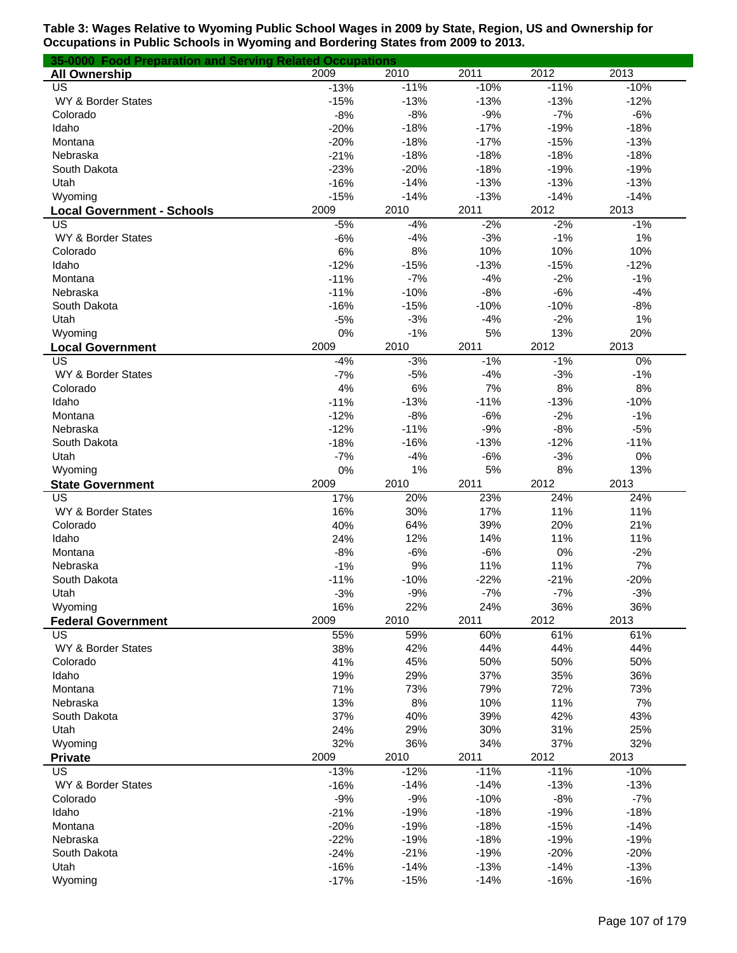| 35-0000 Food Preparation and Serving Related Occupations |             |            |            |            |             |
|----------------------------------------------------------|-------------|------------|------------|------------|-------------|
| <b>All Ownership</b>                                     | 2009        | 2010       | 2011       | 2012       | 2013        |
| US                                                       | $-13%$      | $-11%$     | $-10%$     | $-11%$     | $-10%$      |
| WY & Border States                                       | $-15%$      | $-13%$     | $-13%$     | $-13%$     | $-12%$      |
| Colorado                                                 | $-8%$       | $-8%$      | $-9%$      | $-7%$      | $-6%$       |
| Idaho                                                    | $-20%$      | $-18%$     | $-17%$     | $-19%$     | $-18%$      |
| Montana                                                  | $-20%$      | $-18%$     | $-17%$     | $-15%$     | $-13%$      |
| Nebraska                                                 | $-21%$      | $-18%$     | $-18%$     | $-18%$     | $-18%$      |
| South Dakota                                             | $-23%$      | $-20%$     | $-18%$     | $-19%$     | $-19%$      |
| Utah                                                     | $-16%$      | $-14%$     | $-13%$     | $-13%$     | $-13%$      |
| Wyoming                                                  | $-15%$      | $-14%$     | $-13%$     | $-14%$     | $-14%$      |
| <b>Local Government - Schools</b>                        | 2009        | 2010       | 2011       | 2012       | 2013        |
| US                                                       | $-5%$       | $-4%$      | $-2%$      | $-2%$      | $-1%$       |
| WY & Border States                                       | $-6%$       | $-4%$      | $-3%$      | $-1%$      | 1%          |
| Colorado                                                 | 6%          | 8%         | 10%        | 10%        | 10%         |
| Idaho                                                    | $-12%$      | $-15%$     | $-13%$     | $-15%$     | $-12%$      |
| Montana                                                  | $-11%$      | $-7%$      | $-4%$      | $-2%$      | $-1%$       |
| Nebraska                                                 | $-11%$      | $-10%$     | $-8%$      | $-6%$      | $-4%$       |
| South Dakota                                             | $-16%$      | $-15%$     | $-10%$     | $-10%$     | $-8%$       |
| Utah                                                     | $-5%$       | $-3%$      | $-4%$      | $-2%$      | 1%          |
| Wyoming                                                  | 0%          | $-1%$      | 5%         | 13%        | 20%         |
| <b>Local Government</b>                                  | 2009        | 2010       | 2011       | 2012       | 2013        |
| US                                                       | $-4%$       | $-3%$      | $-1%$      | $-1%$      | 0%          |
| WY & Border States                                       | $-7%$       | $-5%$      | $-4%$      | $-3%$      | $-1%$       |
| Colorado                                                 | 4%          | 6%         | 7%         | 8%         | 8%          |
| Idaho                                                    | $-11%$      | $-13%$     | $-11%$     | $-13%$     | $-10%$      |
| Montana                                                  | $-12%$      | $-8%$      | $-6%$      | $-2%$      | $-1%$       |
| Nebraska                                                 | $-12%$      | $-11%$     | $-9%$      | $-8%$      | $-5%$       |
| South Dakota                                             | $-18%$      | $-16%$     | $-13%$     | $-12%$     | $-11%$      |
| Utah                                                     | $-7%$       | $-4%$      | $-6%$      | $-3%$      | 0%          |
| Wyoming                                                  | 0%          | 1%         | 5%         | $8%$       | 13%         |
| <b>State Government</b>                                  | 2009        | 2010       | 2011       | 2012       | 2013        |
| US                                                       | 17%         | 20%        | 23%        | 24%        | 24%         |
| WY & Border States                                       | 16%         | 30%        | 17%        | 11%        | 11%         |
| Colorado                                                 | 40%         | 64%        | 39%        | 20%        | 21%         |
| Idaho                                                    | 24%         | 12%        | 14%        | 11%        | 11%         |
| Montana                                                  | $-8%$       | $-6%$      | $-6%$      | 0%         | $-2%$       |
| Nebraska                                                 | $-1%$       | 9%         | 11%        | 11%        | 7%          |
| South Dakota                                             | $-11%$      | $-10%$     | $-22%$     | $-21%$     | $-20%$      |
| Utah                                                     | $-3%$       | $-9%$      | $-7%$      | $-7%$      | $-3%$       |
| Wyoming                                                  | 16%<br>2009 | 22%        | 24%        | 36%        | 36%         |
| <b>Federal Government</b><br>US                          |             | 2010       | 2011       | 2012       | 2013<br>61% |
|                                                          | 55%         | 59%        | 60%        | 61%        |             |
| WY & Border States                                       | 38%         | 42%        | 44%        | 44%        | 44%         |
| Colorado<br>Idaho                                        | 41%<br>19%  | 45%<br>29% | 50%<br>37% | 50%<br>35% | 50%<br>36%  |
| Montana                                                  | 71%         | 73%        | 79%        | 72%        | 73%         |
| Nebraska                                                 | 13%         | 8%         | 10%        | 11%        | 7%          |
| South Dakota                                             | 37%         | 40%        | 39%        | 42%        | 43%         |
| Utah                                                     | 24%         | 29%        | 30%        | 31%        | 25%         |
| Wyoming                                                  | 32%         | 36%        | 34%        | 37%        | 32%         |
| <b>Private</b>                                           | 2009        | 2010       | 2011       | 2012       | 2013        |
| US                                                       | $-13%$      | $-12%$     | $-11%$     | $-11%$     | $-10%$      |
| WY & Border States                                       | $-16%$      | $-14%$     | $-14%$     | $-13%$     | $-13%$      |
| Colorado                                                 | $-9%$       | $-9%$      | $-10%$     | $-8%$      | $-7%$       |
| Idaho                                                    | $-21%$      | $-19%$     | $-18%$     | $-19%$     | $-18%$      |
| Montana                                                  | $-20%$      | $-19%$     | $-18%$     | $-15%$     | $-14%$      |
| Nebraska                                                 | $-22%$      | $-19%$     | $-18%$     | $-19%$     | $-19%$      |
| South Dakota                                             | $-24%$      | $-21%$     | $-19%$     | $-20%$     | $-20%$      |
| Utah                                                     | $-16%$      | $-14%$     | $-13%$     | $-14%$     | $-13%$      |
| Wyoming                                                  | $-17%$      | $-15%$     | $-14%$     | $-16%$     | $-16%$      |
|                                                          |             |            |            |            |             |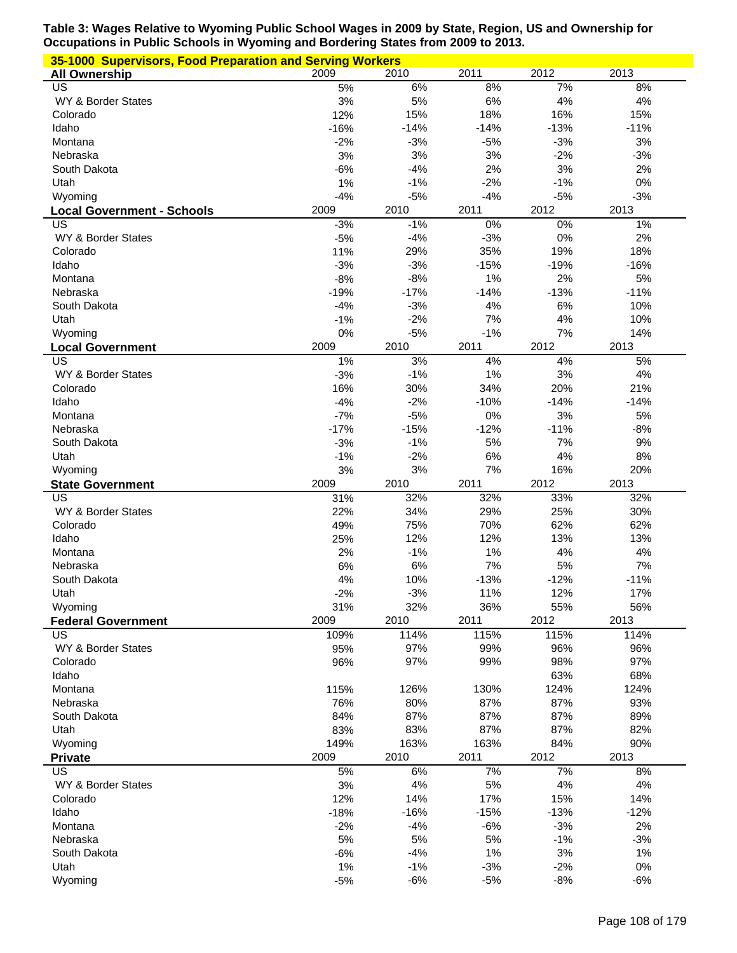| 35-1000 Supervisors, Food Preparation and Serving Workers |               |                |                |                |                |
|-----------------------------------------------------------|---------------|----------------|----------------|----------------|----------------|
| <b>All Ownership</b>                                      | 2009          | 2010           | 2011           | 2012           | 2013           |
| US                                                        | 5%            | 6%             | 8%             | 7%             | 8%             |
| WY & Border States                                        | 3%            | 5%             | 6%             | 4%             | 4%             |
| Colorado                                                  | 12%           | 15%            | 18%            | 16%            | 15%            |
| Idaho                                                     | $-16%$        | $-14%$         | $-14%$         | $-13%$         | $-11%$         |
| Montana                                                   | $-2%$         | $-3%$          | $-5%$          | $-3%$          | 3%             |
| Nebraska                                                  | 3%            | 3%             | 3%             | $-2%$          | $-3%$          |
| South Dakota                                              | $-6%$         | $-4%$          | 2%             | 3%             | 2%             |
| Utah                                                      | 1%            | $-1%$          | $-2%$          | $-1%$          | 0%             |
| Wyoming                                                   | $-4%$<br>2009 | $-5%$          | $-4%$          | $-5%$<br>2012  | $-3%$<br>2013  |
| <b>Local Government - Schools</b><br>US                   | $-3%$         | 2010<br>$-1%$  | 2011<br>0%     | 0%             | 1%             |
| WY & Border States                                        | $-5%$         | $-4%$          | $-3%$          | 0%             | 2%             |
| Colorado                                                  | 11%           | 29%            | 35%            | 19%            | 18%            |
| Idaho                                                     | $-3%$         | $-3%$          | $-15%$         | $-19%$         | $-16%$         |
| Montana                                                   | $-8%$         | $-8%$          | 1%             | 2%             | 5%             |
| Nebraska                                                  | $-19%$        | $-17%$         | $-14%$         | $-13%$         | $-11%$         |
| South Dakota                                              | $-4%$         | $-3%$          | 4%             | $6\%$          | 10%            |
| Utah                                                      | $-1%$         | $-2%$          | 7%             | 4%             | 10%            |
| Wyoming                                                   | 0%            | $-5%$          | $-1%$          | 7%             | 14%            |
| <b>Local Government</b>                                   | 2009          | 2010           | 2011           | 2012           | 2013           |
| US                                                        | 1%            | 3%             | 4%             | 4%             | 5%             |
| WY & Border States                                        | $-3%$         | $-1%$          | 1%             | 3%             | 4%             |
| Colorado                                                  | 16%           | 30%            | 34%            | 20%            | 21%            |
| Idaho                                                     | $-4%$         | $-2%$          | $-10%$         | $-14%$         | $-14%$         |
| Montana                                                   | $-7%$         | $-5%$          | 0%             | 3%             | 5%             |
| Nebraska                                                  | $-17%$        | $-15%$         | $-12%$         | $-11%$         | $-8%$          |
| South Dakota                                              | $-3%$         | $-1%$          | 5%             | 7%             | 9%             |
| Utah                                                      | $-1%$         | $-2%$          | 6%             | 4%             | 8%             |
| Wyoming                                                   | 3%            | 3%             | 7%             | 16%            | 20%            |
|                                                           |               |                |                |                |                |
| <b>State Government</b>                                   | 2009          | 2010           | 2011           | 2012           | 2013           |
| US                                                        | 31%           | 32%            | 32%            | 33%            | 32%            |
| WY & Border States                                        | 22%           | 34%            | 29%            | 25%            | 30%            |
| Colorado                                                  | 49%           | 75%            | 70%            | 62%            | 62%            |
| Idaho                                                     | 25%           | 12%            | 12%            | 13%            | 13%            |
| Montana                                                   | 2%            | $-1%$          | 1%             | 4%             | 4%             |
| Nebraska                                                  | 6%            | 6%             | 7%             | 5%             | 7%             |
| South Dakota                                              | 4%            | 10%            | $-13%$         | $-12%$         | $-11%$         |
| Utah                                                      | $-2%$         | $-3%$          | 11%            | 12%            | 17%            |
| Wyoming                                                   | 31%           | 32%            | 36%            | 55%            | 56%            |
| <b>Federal Government</b>                                 | 2009          | 2010           | 2011           | 2012           | 2013           |
| US                                                        | 109%          | 114%           | 115%           | 115%           | 114%           |
| WY & Border States                                        | 95%           | 97%            | 99%            | 96%            | 96%            |
| Colorado                                                  | 96%           | 97%            | 99%            | 98%            | 97%            |
| Idaho<br>Montana                                          |               |                |                | 63%            | 68%<br>124%    |
| Nebraska                                                  | 115%<br>76%   | 126%<br>80%    | 130%           | 124%<br>87%    | 93%            |
| South Dakota                                              | 84%           | 87%            | 87%<br>87%     | 87%            | 89%            |
| Utah                                                      | 83%           | 83%            | 87%            | 87%            | 82%            |
| Wyoming                                                   | 149%          | 163%           | 163%           | 84%            | 90%            |
| <b>Private</b>                                            | 2009          | 2010           | 2011           | 2012           | 2013           |
| US                                                        | 5%            | 6%             | 7%             | 7%             | 8%             |
| WY & Border States                                        | 3%            | 4%             | 5%             | 4%             | 4%             |
| Colorado                                                  | 12%           | 14%            | 17%            | 15%            | 14%            |
| Idaho                                                     | $-18%$        | $-16%$         | $-15%$         | $-13%$         | $-12%$         |
| Montana                                                   | $-2%$         | $-4%$          | $-6%$          | $-3%$          | 2%             |
| Nebraska                                                  | 5%            | 5%             | 5%             | $-1%$          | $-3%$          |
| South Dakota                                              | $-6%$         | $-4%$          | 1%             | 3%             | 1%             |
| Utah<br>Wyoming                                           | 1%<br>$-5%$   | $-1%$<br>$-6%$ | $-3%$<br>$-5%$ | $-2%$<br>$-8%$ | $0\%$<br>$-6%$ |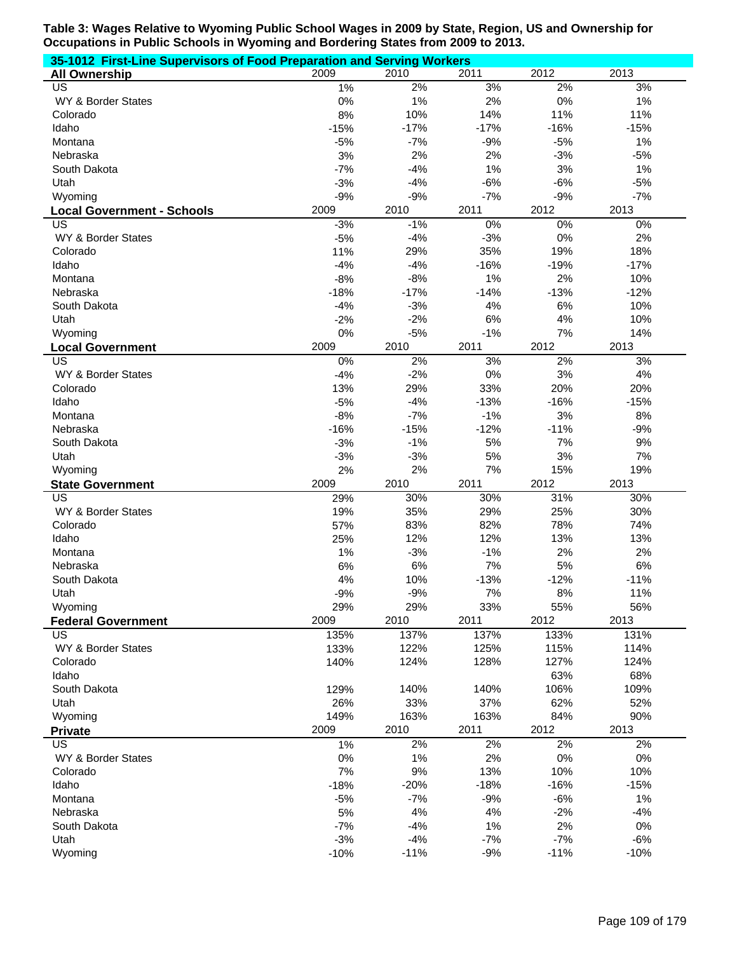| 35-1012 First-Line Supervisors of Food Preparation and Serving Workers |        |        |        |        |        |  |  |
|------------------------------------------------------------------------|--------|--------|--------|--------|--------|--|--|
| <b>All Ownership</b>                                                   | 2009   | 2010   | 2011   | 2012   | 2013   |  |  |
| US                                                                     | 1%     | 2%     | 3%     | 2%     | 3%     |  |  |
| WY & Border States                                                     | 0%     | 1%     | 2%     | $0\%$  | 1%     |  |  |
| Colorado                                                               | 8%     | 10%    | 14%    | 11%    | 11%    |  |  |
| Idaho                                                                  | $-15%$ | $-17%$ | $-17%$ | $-16%$ | $-15%$ |  |  |
| Montana                                                                | $-5%$  | $-7%$  | $-9%$  | $-5%$  | 1%     |  |  |
| Nebraska                                                               | 3%     | 2%     | 2%     | $-3%$  | $-5%$  |  |  |
| South Dakota                                                           | $-7%$  | $-4%$  | 1%     | 3%     | 1%     |  |  |
| Utah                                                                   | $-3%$  | $-4%$  | $-6%$  | $-6%$  | $-5%$  |  |  |
| Wyoming                                                                | $-9%$  | $-9%$  | $-7%$  | $-9%$  | $-7%$  |  |  |
| <b>Local Government - Schools</b>                                      | 2009   | 2010   | 2011   | 2012   | 2013   |  |  |
| US                                                                     | $-3%$  | $-1%$  | $0\%$  | $0\%$  | 0%     |  |  |
| WY & Border States                                                     | $-5%$  | $-4%$  | $-3%$  | 0%     | 2%     |  |  |
| Colorado                                                               | 11%    | 29%    | 35%    | 19%    | 18%    |  |  |
| Idaho                                                                  | $-4%$  | $-4%$  | $-16%$ | $-19%$ | $-17%$ |  |  |
| Montana                                                                | $-8%$  | $-8%$  | 1%     | 2%     | 10%    |  |  |
| Nebraska                                                               | $-18%$ | $-17%$ | $-14%$ | $-13%$ | $-12%$ |  |  |
| South Dakota                                                           | $-4%$  | $-3%$  | 4%     | 6%     | 10%    |  |  |
| Utah                                                                   | $-2%$  | $-2%$  | 6%     | 4%     | 10%    |  |  |
| Wyoming                                                                | 0%     | $-5%$  | $-1%$  | 7%     | 14%    |  |  |
| <b>Local Government</b>                                                | 2009   | 2010   | 2011   | 2012   | 2013   |  |  |
| $\overline{\mathsf{US}}$                                               | 0%     | 2%     | 3%     | 2%     | 3%     |  |  |
| WY & Border States                                                     | $-4%$  | $-2%$  | 0%     | 3%     | 4%     |  |  |
| Colorado                                                               | 13%    | 29%    | 33%    | 20%    | 20%    |  |  |
| Idaho                                                                  | $-5%$  | $-4%$  | $-13%$ | $-16%$ | $-15%$ |  |  |
| Montana                                                                | $-8%$  | $-7%$  | $-1%$  | 3%     | 8%     |  |  |
| Nebraska                                                               | $-16%$ | $-15%$ | $-12%$ | $-11%$ | $-9%$  |  |  |
| South Dakota                                                           | $-3%$  | $-1%$  | 5%     | 7%     | 9%     |  |  |
| Utah                                                                   | $-3%$  | $-3%$  | 5%     | 3%     | 7%     |  |  |
| Wyoming                                                                | 2%     | 2%     | 7%     | 15%    | 19%    |  |  |
| <b>State Government</b>                                                | 2009   | 2010   | 2011   | 2012   | 2013   |  |  |
| $\overline{US}$                                                        | 29%    | 30%    | 30%    | 31%    | 30%    |  |  |
| WY & Border States                                                     | 19%    | 35%    | 29%    | 25%    | 30%    |  |  |
| Colorado                                                               | 57%    | 83%    | 82%    | 78%    | 74%    |  |  |
| Idaho                                                                  | 25%    | 12%    | 12%    | 13%    | 13%    |  |  |
| Montana                                                                | 1%     | $-3%$  | $-1%$  | 2%     | 2%     |  |  |
| Nebraska                                                               | 6%     | 6%     | 7%     | 5%     | 6%     |  |  |
|                                                                        | 4%     |        |        |        |        |  |  |
| South Dakota                                                           |        | 10%    | $-13%$ | $-12%$ | $-11%$ |  |  |
| Utah                                                                   | $-9%$  | $-9%$  | 7%     | $8\%$  | 11%    |  |  |
| Wyoming                                                                | 29%    | 29%    | 33%    | 55%    | 56%    |  |  |
| <b>Federal Government</b>                                              | 2009   | 2010   | 2011   | 2012   | 2013   |  |  |
| <b>US</b>                                                              | 135%   | 137%   | 137%   | 133%   | 131%   |  |  |
| WY & Border States                                                     | 133%   | 122%   | 125%   | 115%   | 114%   |  |  |
| Colorado                                                               | 140%   | 124%   | 128%   | 127%   | 124%   |  |  |
| Idaho                                                                  |        |        |        | 63%    | 68%    |  |  |
| South Dakota                                                           | 129%   | 140%   | 140%   | 106%   | 109%   |  |  |
| Utah                                                                   | 26%    | 33%    | 37%    | 62%    | 52%    |  |  |
| Wyoming                                                                | 149%   | 163%   | 163%   | 84%    | 90%    |  |  |
| <b>Private</b>                                                         | 2009   | 2010   | 2011   | 2012   | 2013   |  |  |
| US                                                                     | 1%     | 2%     | 2%     | 2%     | 2%     |  |  |
| WY & Border States                                                     | 0%     | 1%     | 2%     | $0\%$  | 0%     |  |  |
| Colorado                                                               | 7%     | 9%     | 13%    | 10%    | 10%    |  |  |
| Idaho                                                                  | $-18%$ | $-20%$ | $-18%$ | $-16%$ | $-15%$ |  |  |
| Montana                                                                | $-5%$  | $-7%$  | $-9%$  | $-6%$  | $1\%$  |  |  |
| Nebraska                                                               | 5%     | 4%     | 4%     | $-2%$  | $-4%$  |  |  |
| South Dakota                                                           | $-7%$  | $-4%$  | 1%     | 2%     | 0%     |  |  |
| Utah                                                                   | $-3%$  | $-4%$  | $-7%$  | $-7%$  | $-6%$  |  |  |
| Wyoming                                                                | $-10%$ | $-11%$ | $-9%$  | $-11%$ | $-10%$ |  |  |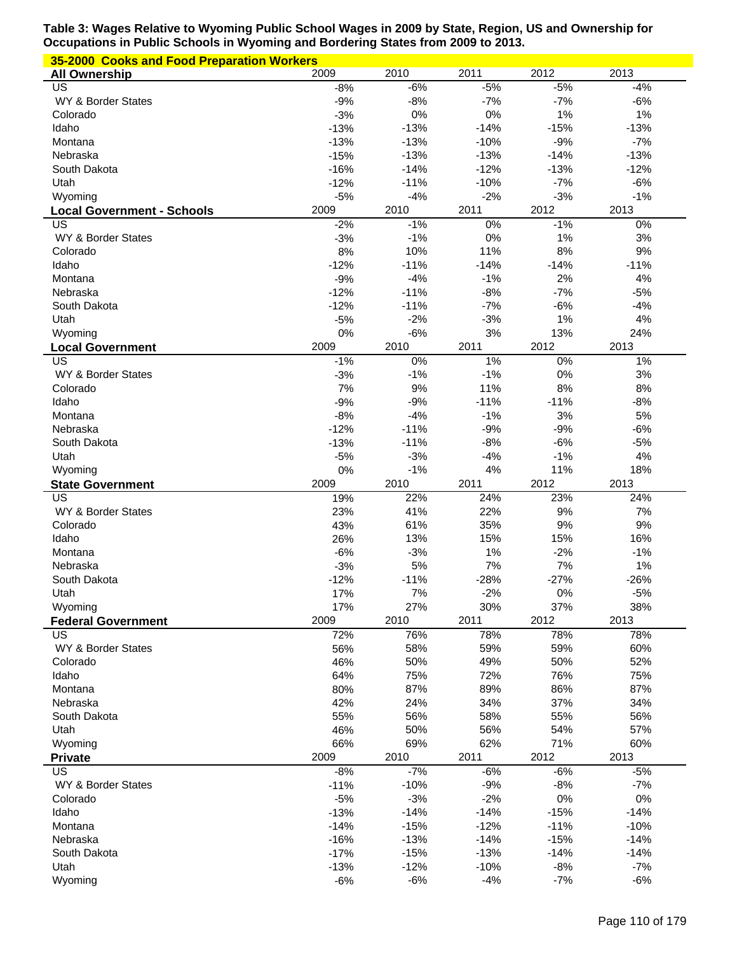| 35-2000 Cooks and Food Preparation Workers |                  |                  |                  |                  |                  |  |  |
|--------------------------------------------|------------------|------------------|------------------|------------------|------------------|--|--|
| <b>All Ownership</b>                       | 2009             | 2010             | 2011             | 2012             | 2013             |  |  |
| US                                         | $-8%$            | $-6%$            | $-5%$            | $-5%$            | $-4%$            |  |  |
| WY & Border States                         | $-9%$            | $-8%$            | $-7%$            | $-7%$            | $-6%$            |  |  |
| Colorado                                   | $-3%$            | 0%               | 0%               | 1%               | 1%               |  |  |
| Idaho                                      | $-13%$           | $-13%$           | $-14%$           | $-15%$           | $-13%$           |  |  |
| Montana                                    | $-13%$           | $-13%$           | $-10%$           | $-9%$            | $-7%$            |  |  |
| Nebraska<br>South Dakota                   | $-15%$<br>$-16%$ | $-13%$<br>$-14%$ | $-13%$<br>$-12%$ | $-14%$<br>$-13%$ | $-13%$<br>$-12%$ |  |  |
| Utah                                       | $-12%$           | $-11%$           | $-10%$           | $-7%$            | $-6%$            |  |  |
| Wyoming                                    | $-5%$            | $-4%$            | $-2%$            | $-3%$            | $-1%$            |  |  |
| <b>Local Government - Schools</b>          | 2009             | 2010             | 2011             | 2012             | 2013             |  |  |
| US                                         | $-2%$            | $-1%$            | 0%               | $-1%$            | 0%               |  |  |
| WY & Border States                         | $-3%$            | $-1%$            | 0%               | 1%               | 3%               |  |  |
| Colorado                                   | 8%               | 10%              | 11%              | 8%               | 9%               |  |  |
| Idaho                                      | $-12%$           | $-11%$           | $-14%$           | $-14%$           | $-11%$           |  |  |
| Montana                                    | $-9%$            | $-4%$            | $-1%$            | 2%               | 4%               |  |  |
| Nebraska                                   | $-12%$           | $-11%$           | $-8%$            | $-7%$            | $-5%$            |  |  |
| South Dakota                               | $-12%$           | $-11%$           | $-7%$            | $-6%$            | $-4%$            |  |  |
| Utah                                       | $-5%$            | $-2%$            | $-3%$            | 1%               | 4%               |  |  |
| Wyoming                                    | 0%               | $-6%$            | 3%               | 13%              | 24%              |  |  |
| <b>Local Government</b>                    | 2009             | 2010             | 2011             | 2012             | 2013             |  |  |
| US                                         | $-1%$            | 0%               | 1%               | 0%               | 1%               |  |  |
| WY & Border States                         | $-3%$            | $-1%$            | $-1%$            | 0%               | $3%$             |  |  |
| Colorado                                   | 7%               | 9%               | 11%              | 8%               | 8%               |  |  |
| Idaho                                      | $-9%$            | $-9%$            | $-11%$           | $-11%$           | $-8%$            |  |  |
| Montana                                    | $-8%$            | $-4%$            | $-1%$            | 3%               | 5%               |  |  |
| Nebraska                                   | $-12%$           | $-11%$           | $-9%$            | $-9%$            | $-6%$            |  |  |
| South Dakota                               | $-13%$           | $-11%$           | $-8%$            | $-6%$            | $-5%$            |  |  |
| Utah                                       | $-5%$            | $-3%$<br>$-1%$   | $-4%$<br>4%      | $-1%$            | 4%               |  |  |
| Wyoming                                    | 0%               |                  |                  | 11%              | 18%              |  |  |
|                                            |                  |                  |                  |                  |                  |  |  |
| <b>State Government</b>                    | 2009             | 2010             | 2011             | 2012             | 2013             |  |  |
| US                                         | 19%              | 22%              | 24%              | 23%              | 24%              |  |  |
| WY & Border States<br>Colorado             | 23%              | 41%              | 22%              | $9%$             | 7%               |  |  |
|                                            | 43%              | 61%              | 35%              | 9%               | 9%               |  |  |
| Idaho<br>Montana                           | 26%<br>$-6%$     | 13%<br>$-3%$     | 15%<br>1%        | 15%<br>$-2%$     | 16%<br>$-1%$     |  |  |
| Nebraska                                   | $-3%$            | 5%               | 7%               | 7%               | 1%               |  |  |
| South Dakota                               | $-12%$           | $-11%$           | $-28%$           | $-27%$           | $-26%$           |  |  |
| Utah                                       | 17%              | 7%               | $-2%$            | 0%               | $-5%$            |  |  |
| Wyoming                                    | 17%              | 27%              | 30%              | 37%              | 38%              |  |  |
| <b>Federal Government</b>                  | 2009             | 2010             | 2011             | 2012             | 2013             |  |  |
| US                                         | 72%              | 76%              | 78%              | 78%              | 78%              |  |  |
| WY & Border States                         | 56%              | 58%              | 59%              | 59%              | 60%              |  |  |
| Colorado                                   | 46%              | 50%              | 49%              | 50%              | 52%              |  |  |
| Idaho                                      | 64%              | 75%              | 72%              | 76%              | 75%              |  |  |
| Montana                                    | 80%              | 87%              | 89%              | 86%              | 87%              |  |  |
| Nebraska                                   | 42%              | 24%              | 34%              | 37%              | 34%              |  |  |
| South Dakota                               | 55%              | 56%              | 58%              | 55%              | 56%              |  |  |
| Utah                                       | 46%              | 50%              | 56%              | 54%              | 57%              |  |  |
| Wyoming                                    | 66%              | 69%              | 62%              | 71%              | 60%              |  |  |
| <b>Private</b>                             | 2009             | 2010             | 2011             | 2012             | 2013             |  |  |
| US<br>WY & Border States                   | $-8%$            | $-7%$            | $-6%$            | $-6%$            | $-5%$            |  |  |
| Colorado                                   | $-11%$<br>$-5%$  | $-10%$<br>$-3%$  | $-9%$            | $-8%$            | $-7%$<br>0%      |  |  |
| Idaho                                      | $-13%$           | $-14%$           | $-2%$<br>$-14%$  | $0\%$<br>$-15%$  | $-14%$           |  |  |
| Montana                                    | $-14%$           | $-15%$           | $-12%$           | $-11%$           | $-10%$           |  |  |
| Nebraska                                   | $-16%$           | $-13%$           | $-14%$           | $-15%$           | $-14%$           |  |  |
| South Dakota                               | $-17%$           | $-15%$           | $-13%$           | $-14%$           | $-14%$           |  |  |
| Utah                                       | $-13%$<br>$-6%$  | $-12%$<br>$-6%$  | $-10%$<br>$-4%$  | $-8%$<br>$-7%$   | $-7%$<br>$-6%$   |  |  |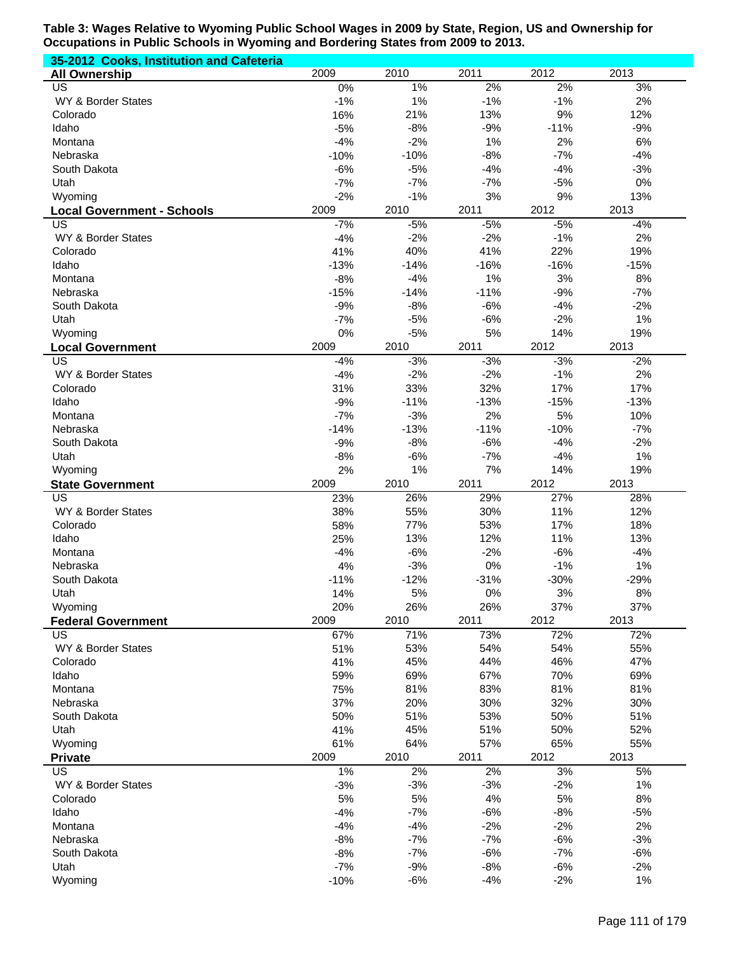| 35-2012 Cooks, Institution and Cafeteria |                |                 |                |                |                |
|------------------------------------------|----------------|-----------------|----------------|----------------|----------------|
| <b>All Ownership</b>                     | 2009           | 2010            | 2011           | 2012           | 2013           |
| US                                       | 0%             | 1%              | 2%             | 2%             | 3%             |
| WY & Border States                       | $-1%$          | 1%              | $-1%$          | $-1%$          | 2%             |
| Colorado                                 | 16%            | 21%             | 13%            | 9%             | 12%            |
| Idaho                                    | $-5%$          | $-8%$           | $-9%$          | $-11%$         | $-9%$          |
| Montana                                  | $-4%$          | $-2%$           | 1%             | 2%<br>$-7%$    | 6%             |
| Nebraska<br>South Dakota                 | $-10%$         | $-10%$<br>$-5%$ | $-8%$<br>$-4%$ | $-4%$          | $-4%$<br>$-3%$ |
| Utah                                     | $-6%$<br>$-7%$ | $-7%$           | $-7%$          | $-5%$          | 0%             |
| Wyoming                                  | $-2%$          | $-1%$           | 3%             | 9%             | 13%            |
|                                          | 2009           | 2010            | 2011           | 2012           | 2013           |
| <b>Local Government - Schools</b><br>US  | $-7%$          | $-5%$           | $-5%$          | $-5%$          | $-4%$          |
| WY & Border States                       | $-4%$          | $-2%$           | $-2%$          | $-1%$          | 2%             |
| Colorado                                 | 41%            | 40%             | 41%            | 22%            | 19%            |
| Idaho                                    | $-13%$         | $-14%$          | $-16%$         | $-16%$         | $-15%$         |
| Montana                                  | $-8%$          | $-4%$           | 1%             | 3%             | 8%             |
| Nebraska                                 | $-15%$         | $-14%$          | $-11%$         | $-9%$          | $-7%$          |
| South Dakota                             | $-9%$          | $-8%$           | $-6%$          | $-4%$          | $-2%$          |
| Utah                                     | $-7%$          | $-5%$           | $-6%$          | $-2%$          | 1%             |
| Wyoming                                  | 0%             | $-5%$           | 5%             | 14%            | 19%            |
| <b>Local Government</b>                  | 2009           | 2010            | 2011           | 2012           | 2013           |
| $\overline{\mathsf{US}}$                 | $-4%$          | $-3%$           | $-3%$          | $-3%$          | $-2%$          |
| WY & Border States                       | $-4%$          | $-2%$           | $-2%$          | $-1%$          | 2%             |
| Colorado                                 | 31%            | 33%             | 32%            | 17%            | 17%            |
| Idaho                                    | $-9%$          | $-11%$          | $-13%$         | $-15%$         | $-13%$         |
| Montana                                  | $-7%$          | $-3%$           | 2%             | 5%             | 10%            |
| Nebraska                                 | $-14%$         | $-13%$          | $-11%$         | $-10%$         | $-7%$          |
| South Dakota                             | $-9%$          | $-8%$           | $-6%$          | $-4%$          | $-2%$          |
| Utah                                     | $-8%$<br>2%    | $-6%$<br>1%     | $-7%$<br>7%    | $-4%$<br>14%   | 1%<br>19%      |
|                                          |                |                 |                |                |                |
| Wyoming                                  |                |                 |                |                |                |
| <b>State Government</b>                  | 2009           | 2010            | 2011           | 2012           | 2013           |
| US                                       | 23%            | 26%             | 29%            | 27%            | 28%            |
| WY & Border States                       | 38%            | 55%             | 30%            | 11%            | 12%            |
| Colorado<br>Idaho                        | 58%            | 77%<br>13%      | 53%            | 17%<br>11%     | 18%<br>13%     |
| Montana                                  | 25%<br>$-4%$   | $-6%$           | 12%<br>$-2%$   | $-6%$          | $-4%$          |
| Nebraska                                 | 4%             | $-3%$           | 0%             | $-1%$          | 1%             |
| South Dakota                             | $-11%$         | $-12%$          | $-31%$         | $-30%$         | $-29%$         |
| Utah                                     | 14%            | $5%$            | 0%             | $3%$           | $8\%$          |
| Wyoming                                  | 20%            | 26%             | 26%            | 37%            | 37%            |
| <b>Federal Government</b>                | 2009           | 2010            | 2011           | 2012           | 2013           |
| <b>US</b>                                | 67%            | 71%             | 73%            | 72%            | 72%            |
| WY & Border States                       | 51%            | 53%             | 54%            | 54%            | 55%            |
| Colorado                                 | 41%            | 45%             | 44%            | 46%            | 47%            |
| Idaho                                    | 59%            | 69%             | 67%            | 70%            | 69%            |
| Montana                                  | 75%            | 81%             | 83%            | 81%            | 81%            |
| Nebraska                                 | 37%            | 20%             | 30%            | 32%            | 30%            |
| South Dakota                             | 50%            | 51%             | 53%            | 50%            | 51%            |
| Utah                                     | 41%            | 45%             | 51%            | 50%            | 52%            |
| Wyoming                                  | 61%            | 64%             | 57%            | 65%            | 55%            |
| <b>Private</b>                           | 2009           | 2010            | 2011           | 2012           | 2013           |
| <b>US</b>                                | 1%             | 2%              | $2\%$          | 3%             | 5%             |
| WY & Border States                       | $-3%$          | $-3%$           | $-3%$          | $-2%$          | 1%             |
| Colorado<br>Idaho                        | 5%             | 5%              | 4%             | 5%             | 8%             |
|                                          | $-4%$          | $-7%$           | $-6%$          | $-8%$          | $-5%$          |
| Montana<br>Nebraska                      | $-4%$<br>$-8%$ | $-4%$<br>$-7%$  | $-2%$<br>$-7%$ | $-2%$<br>$-6%$ | 2%<br>$-3%$    |
| South Dakota                             | $-8%$          | $-7%$           | $-6%$          | $-7%$          | $-6%$          |
| Utah                                     | $-7%$          | $-9%$           | $-8%$          | $-6%$          | $-2%$          |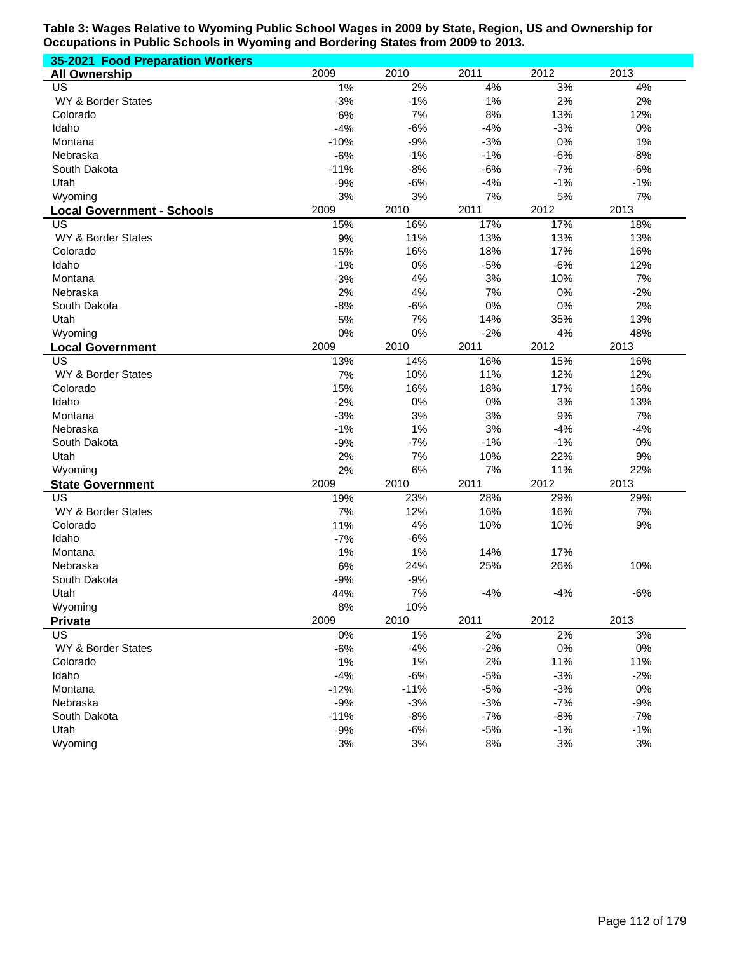| 35-2021 Food Preparation Workers  |        |        |       |       |       |
|-----------------------------------|--------|--------|-------|-------|-------|
| <b>All Ownership</b>              | 2009   | 2010   | 2011  | 2012  | 2013  |
| US                                | 1%     | 2%     | 4%    | 3%    | 4%    |
| WY & Border States                | $-3%$  | $-1%$  | 1%    | 2%    | 2%    |
| Colorado                          | 6%     | 7%     | 8%    | 13%   | 12%   |
| Idaho                             | $-4%$  | $-6%$  | $-4%$ | $-3%$ | 0%    |
| Montana                           | $-10%$ | $-9%$  | $-3%$ | 0%    | 1%    |
| Nebraska                          | $-6%$  | $-1%$  | $-1%$ | $-6%$ | $-8%$ |
| South Dakota                      | $-11%$ | $-8%$  | $-6%$ | $-7%$ | $-6%$ |
| Utah                              | $-9%$  | $-6%$  | $-4%$ | $-1%$ | $-1%$ |
| Wyoming                           | 3%     | 3%     | 7%    | 5%    | 7%    |
| <b>Local Government - Schools</b> | 2009   | 2010   | 2011  | 2012  | 2013  |
| US                                | 15%    | 16%    | 17%   | 17%   | 18%   |
| WY & Border States                | 9%     | 11%    | 13%   | 13%   | 13%   |
| Colorado                          | 15%    | 16%    | 18%   | 17%   | 16%   |
| Idaho                             | $-1%$  | 0%     | $-5%$ | $-6%$ | 12%   |
| Montana                           | $-3%$  | 4%     | 3%    | 10%   | 7%    |
| Nebraska                          | 2%     | 4%     | 7%    | 0%    | $-2%$ |
| South Dakota                      | $-8%$  | $-6%$  | 0%    | 0%    | 2%    |
| Utah                              | 5%     | 7%     | 14%   | 35%   | 13%   |
| Wyoming                           | 0%     | 0%     | $-2%$ | 4%    | 48%   |
| <b>Local Government</b>           | 2009   | 2010   | 2011  | 2012  | 2013  |
| US                                | 13%    | 14%    | 16%   | 15%   | 16%   |
| WY & Border States                | 7%     | 10%    | 11%   | 12%   | 12%   |
| Colorado                          | 15%    | 16%    | 18%   | 17%   | 16%   |
| Idaho                             | $-2%$  | 0%     | 0%    | 3%    | 13%   |
| Montana                           | $-3%$  | 3%     | 3%    | 9%    | 7%    |
| Nebraska                          | $-1%$  | 1%     | 3%    | $-4%$ | $-4%$ |
| South Dakota                      | $-9%$  | $-7%$  | $-1%$ | $-1%$ | 0%    |
| Utah                              | 2%     | 7%     | 10%   | 22%   | 9%    |
| Wyoming                           | 2%     | 6%     | 7%    | 11%   | 22%   |
| <b>State Government</b>           | 2009   | 2010   | 2011  | 2012  | 2013  |
| US                                | 19%    | 23%    | 28%   | 29%   | 29%   |
| WY & Border States                | 7%     | 12%    | 16%   | 16%   | 7%    |
| Colorado                          | 11%    | 4%     | 10%   | 10%   | 9%    |
| Idaho                             | $-7%$  | $-6%$  |       |       |       |
| Montana                           | 1%     | 1%     | 14%   | 17%   |       |
| Nebraska                          | 6%     | 24%    | 25%   | 26%   | 10%   |
| South Dakota                      | $-9%$  | $-9%$  |       |       |       |
| Utah                              | 44%    | 7%     | $-4%$ | $-4%$ | $-6%$ |
| Wyoming                           | 8%     | 10%    |       |       |       |
| <b>Private</b>                    | 2009   | 2010   | 2011  | 2012  | 2013  |
| US                                | 0%     | 1%     | 2%    | 2%    | 3%    |
| WY & Border States                | $-6%$  | $-4%$  | $-2%$ | 0%    | $0\%$ |
| Colorado                          | 1%     | 1%     | 2%    | 11%   | 11%   |
| Idaho                             | $-4%$  | $-6%$  | $-5%$ | $-3%$ | $-2%$ |
| Montana                           | $-12%$ | $-11%$ | $-5%$ | $-3%$ | $0\%$ |
| Nebraska                          | $-9%$  | $-3%$  | $-3%$ | $-7%$ | $-9%$ |
| South Dakota                      | $-11%$ | $-8%$  | $-7%$ | $-8%$ | $-7%$ |
| Utah                              | $-9%$  | $-6%$  | $-5%$ | $-1%$ | $-1%$ |
| Wyoming                           | 3%     | 3%     | $8%$  | 3%    | $3%$  |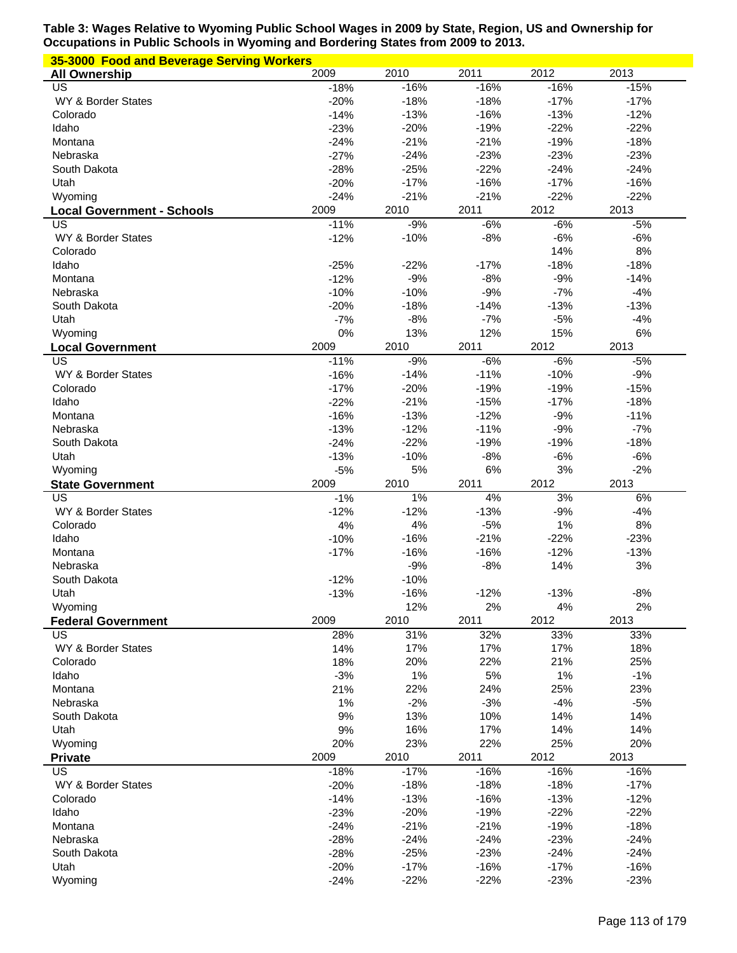| 35-3000 Food and Beverage Serving Workers |                  |                  |                  |                  |                  |  |  |
|-------------------------------------------|------------------|------------------|------------------|------------------|------------------|--|--|
| <b>All Ownership</b>                      | 2009             | 2010             | 2011             | 2012             | 2013             |  |  |
| US                                        | $-18%$           | $-16%$           | $-16%$           | $-16%$           | $-15%$           |  |  |
| WY & Border States                        | $-20%$           | $-18%$           | $-18%$           | $-17%$           | $-17%$           |  |  |
| Colorado                                  | $-14%$           | $-13%$           | $-16%$           | $-13%$           | $-12%$           |  |  |
| Idaho                                     | $-23%$           | $-20%$           | $-19%$           | $-22%$           | $-22%$           |  |  |
| Montana                                   | $-24%$           | $-21%$           | $-21%$           | $-19%$           | $-18%$           |  |  |
| Nebraska                                  | $-27%$           | $-24%$           | $-23%$           | $-23%$           | $-23%$           |  |  |
| South Dakota                              | $-28%$           | $-25%$           | $-22%$           | $-24%$           | $-24%$           |  |  |
| Utah                                      | $-20%$           | $-17%$           | $-16%$           | $-17%$           | $-16%$           |  |  |
| Wyoming                                   | $-24%$           | $-21%$           | $-21%$           | $-22%$           | $-22%$           |  |  |
| <b>Local Government - Schools</b>         | 2009             | 2010             | 2011             | 2012             | 2013             |  |  |
| US<br>WY & Border States                  | $-11%$<br>$-12%$ | $-9%$            | $-6%$<br>$-8%$   | $-6%$<br>$-6%$   | $-5%$            |  |  |
| Colorado                                  |                  | $-10%$           |                  | 14%              | $-6%$<br>8%      |  |  |
| Idaho                                     | $-25%$           | $-22%$           | $-17%$           | $-18%$           | $-18%$           |  |  |
| Montana                                   | $-12%$           | $-9%$            | $-8%$            | $-9%$            | $-14%$           |  |  |
| Nebraska                                  | $-10%$           | $-10%$           | $-9%$            | $-7%$            | $-4%$            |  |  |
| South Dakota                              | $-20%$           | $-18%$           | $-14%$           | $-13%$           | $-13%$           |  |  |
| Utah                                      | $-7%$            | $-8%$            | $-7%$            | $-5%$            | $-4%$            |  |  |
| Wyoming                                   | 0%               | 13%              | 12%              | 15%              | 6%               |  |  |
| <b>Local Government</b>                   | 2009             | 2010             | 2011             | 2012             | 2013             |  |  |
| US                                        | $-11%$           | $-9%$            | $-6%$            | $-6%$            | $-5%$            |  |  |
| WY & Border States                        | $-16%$           | $-14%$           | $-11%$           | $-10%$           | $-9%$            |  |  |
| Colorado                                  | $-17%$           | $-20%$           | $-19%$           | $-19%$           | $-15%$           |  |  |
| Idaho                                     | $-22%$           | $-21%$           | $-15%$           | $-17%$           | $-18%$           |  |  |
| Montana                                   | $-16%$           | $-13%$           | $-12%$           | $-9%$            | $-11%$           |  |  |
| Nebraska                                  | $-13%$           | $-12%$           | $-11%$           | $-9%$            | $-7%$            |  |  |
| South Dakota                              | $-24%$           | $-22%$           | $-19%$           | $-19%$           | $-18%$           |  |  |
| Utah                                      | $-13%$           | $-10%$           | $-8%$            | $-6%$            | $-6%$            |  |  |
| Wyoming                                   | $-5%$            | 5%               | 6%               | 3%               | $-2%$            |  |  |
|                                           |                  |                  |                  |                  |                  |  |  |
| <b>State Government</b>                   | 2009             | 2010             | 2011             | 2012             | 2013             |  |  |
| US                                        | $-1%$            | 1%               | 4%               | 3%               | 6%               |  |  |
| WY & Border States                        | $-12%$           | $-12%$           | $-13%$           | $-9%$            | $-4%$            |  |  |
| Colorado                                  | 4%               | 4%               | $-5%$            | 1%               | 8%               |  |  |
| Idaho                                     | $-10%$           | $-16%$           | $-21%$           | $-22%$           | $-23%$           |  |  |
| Montana                                   | $-17%$           | $-16%$           | $-16%$           | $-12%$           | $-13%$           |  |  |
| Nebraska                                  |                  | $-9%$            | $-8%$            | 14%              | 3%               |  |  |
| South Dakota                              | $-12%$           | $-10%$           |                  |                  |                  |  |  |
| Utah                                      | $-13%$           | $-16%$           | $-12%$           | $-13%$           | $-8%$            |  |  |
| Wyoming                                   |                  | 12%              | 2%               | 4%               | 2%               |  |  |
| <b>Federal Government</b>                 | 2009             | 2010             | 2011             | 2012             | 2013             |  |  |
| US                                        | 28%              | 31%              | 32%              | 33%              | 33%              |  |  |
| WY & Border States                        | 14%              | 17%              | 17%              | 17%              | 18%              |  |  |
| Colorado                                  | 18%              | 20%              | 22%              | 21%              | 25%              |  |  |
| Idaho                                     | $-3%$            | 1%               | 5%               | 1%               | $-1%$            |  |  |
| Montana                                   | 21%              | 22%              | 24%              | 25%              | 23%              |  |  |
| Nebraska                                  | 1%               | $-2%$            | $-3%$            | $-4%$            | $-5%$            |  |  |
| South Dakota                              | 9%               | 13%              | 10%              | 14%              | 14%              |  |  |
| Utah                                      | 9%               | 16%              | 17%              | 14%              | 14%              |  |  |
| Wyoming                                   | 20%              | 23%              | 22%              | 25%              | 20%              |  |  |
| <b>Private</b>                            | 2009             | 2010             | 2011             | 2012             | 2013             |  |  |
| US<br>WY & Border States                  | $-18%$           | $-17%$           | $-16%$           | $-16%$           | $-16%$           |  |  |
| Colorado                                  | $-20%$           | $-18%$           | $-18%$           | $-18%$           | $-17%$           |  |  |
| Idaho                                     | $-14%$<br>$-23%$ | $-13%$<br>$-20%$ | $-16%$<br>$-19%$ | $-13%$<br>$-22%$ | $-12%$<br>$-22%$ |  |  |
| Montana                                   | $-24%$           | $-21%$           | $-21%$           | $-19%$           | $-18%$           |  |  |
| Nebraska                                  | $-28%$           | $-24%$           | $-24%$           | $-23%$           | $-24%$           |  |  |
| South Dakota                              | $-28%$           | $-25%$           | $-23%$           | $-24%$           | $-24%$           |  |  |
| Utah                                      | $-20%$           | $-17%$           | $-16%$           | $-17%$           | $-16%$           |  |  |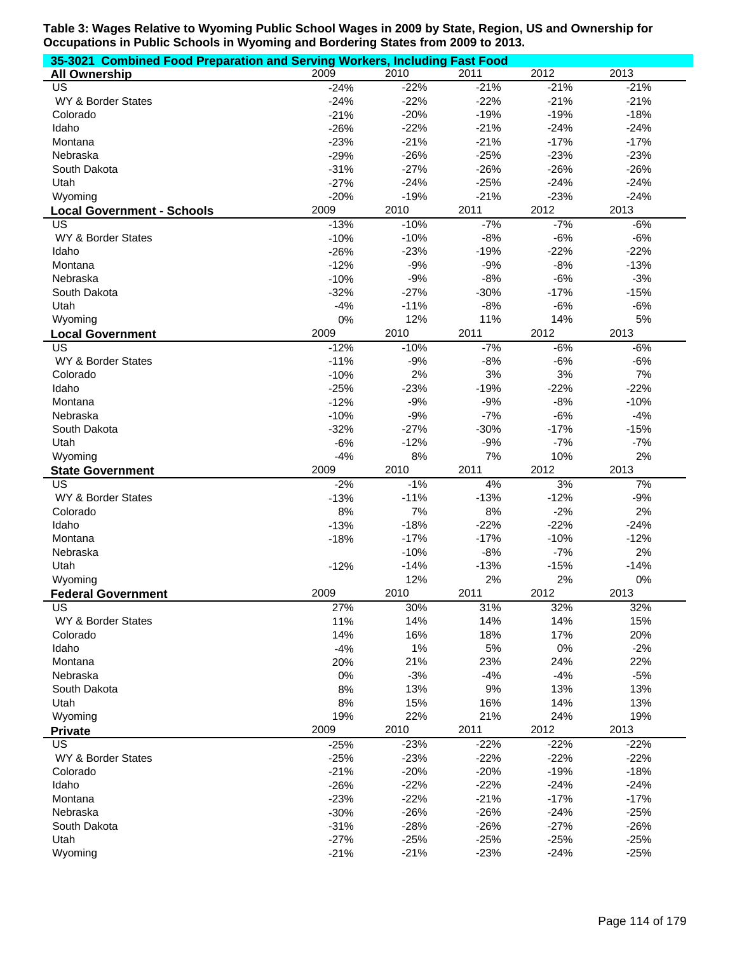| 35-3021 Combined Food Preparation and Serving Workers, Including Fast Food |               |            |                  |                  |            |  |  |
|----------------------------------------------------------------------------|---------------|------------|------------------|------------------|------------|--|--|
| <b>All Ownership</b>                                                       | 2009          | 2010       | 2011             | 2012             | 2013       |  |  |
| <b>US</b>                                                                  | $-24%$        | $-22%$     | $-21%$           | $-21%$           | $-21%$     |  |  |
| WY & Border States                                                         | $-24%$        | $-22%$     | $-22%$           | $-21%$           | $-21%$     |  |  |
| Colorado                                                                   | $-21%$        | $-20%$     | $-19%$           | $-19%$           | $-18%$     |  |  |
| Idaho                                                                      | $-26%$        | $-22%$     | $-21%$           | $-24%$           | $-24%$     |  |  |
| Montana                                                                    | $-23%$        | $-21%$     | $-21%$           | $-17%$           | $-17%$     |  |  |
| Nebraska                                                                   | $-29%$        | $-26%$     | $-25%$           | $-23%$           | $-23%$     |  |  |
| South Dakota                                                               | $-31%$        | $-27%$     | $-26%$           | $-26%$           | $-26%$     |  |  |
| Utah                                                                       | $-27%$        | $-24%$     | $-25%$           | $-24%$           | $-24%$     |  |  |
| Wyoming                                                                    | $-20%$        | $-19%$     | $-21%$           | $-23%$           | $-24%$     |  |  |
| <b>Local Government - Schools</b>                                          | 2009          | 2010       | 2011             | 2012             | 2013       |  |  |
| US                                                                         | $-13%$        | $-10%$     | $-7%$            | $-7%$            | $-6%$      |  |  |
| WY & Border States                                                         | $-10%$        | $-10%$     | $-8%$            | $-6%$            | $-6%$      |  |  |
| Idaho                                                                      | $-26%$        | $-23%$     | $-19%$           | $-22%$           | $-22%$     |  |  |
| Montana                                                                    | $-12%$        | $-9%$      | $-9%$            | $-8%$            | $-13%$     |  |  |
| Nebraska                                                                   | $-10%$        | $-9%$      | $-8%$            | $-6%$            | $-3%$      |  |  |
| South Dakota                                                               | $-32%$        | $-27%$     | $-30%$           | $-17%$           | $-15%$     |  |  |
| Utah                                                                       | $-4%$         | $-11%$     | $-8%$            | $-6%$            | $-6%$      |  |  |
| Wyoming                                                                    | 0%            | 12%        | 11%              | 14%              | 5%         |  |  |
| <b>Local Government</b>                                                    | 2009          | 2010       | 2011             | 2012             | 2013       |  |  |
| <b>US</b>                                                                  | $-12%$        | $-10%$     | $-7%$            | $-6%$            | $-6%$      |  |  |
| WY & Border States                                                         | $-11%$        | $-9%$      | $-8%$            | $-6%$            | $-6%$      |  |  |
| Colorado                                                                   | $-10%$        | 2%         | 3%               | 3%               | 7%         |  |  |
| Idaho                                                                      | $-25%$        | $-23%$     | $-19%$           | $-22%$           | $-22%$     |  |  |
| Montana                                                                    | $-12%$        | $-9%$      | $-9%$            | $-8%$            | $-10%$     |  |  |
|                                                                            |               |            |                  | $-6%$            |            |  |  |
| Nebraska                                                                   | $-10%$        | $-9%$      | $-7%$            |                  | $-4%$      |  |  |
| South Dakota                                                               | $-32%$        | $-27%$     | $-30%$           | $-17%$           | $-15%$     |  |  |
| Utah                                                                       | $-6%$         | $-12%$     | $-9%$            | $-7%$            | $-7%$      |  |  |
| Wyoming                                                                    | $-4%$<br>2009 | 8%<br>2010 | 7%<br>2011       | 10%<br>2012      | 2%<br>2013 |  |  |
| <b>State Government</b><br>US                                              |               | $-1%$      | 4%               | 3%               | 7%         |  |  |
|                                                                            | $-2%$         |            |                  |                  |            |  |  |
| WY & Border States                                                         | $-13%$        | $-11%$     | $-13%$           | $-12%$           | $-9%$      |  |  |
| Colorado                                                                   | 8%            | 7%         | $8%$             | $-2%$            | 2%         |  |  |
| Idaho                                                                      | $-13%$        | $-18%$     | $-22%$<br>$-17%$ | $-22%$<br>$-10%$ | $-24%$     |  |  |
| Montana<br>Nebraska                                                        | $-18%$        | $-17%$     |                  |                  | $-12%$     |  |  |
|                                                                            |               | $-10%$     | $-8%$            | $-7%$            | 2%         |  |  |
| Utah                                                                       | $-12%$        | $-14%$     | $-13%$           | $-15%$           | $-14%$     |  |  |
| Wyoming                                                                    |               | 12%        | 2%               | 2%               | 0%         |  |  |
| <b>Federal Government</b>                                                  | 2009          | 2010       | 2011             | 2012             | 2013       |  |  |
| US                                                                         | 27%           | 30%        | 31%              | 32%              | 32%        |  |  |
| WY & Border States                                                         | 11%           | 14%        | 14%              | 14%              | 15%        |  |  |
| Colorado                                                                   | 14%           | 16%        | 18%              | 17%              | 20%        |  |  |
| Idaho                                                                      | $-4%$         | 1%         | 5%               | 0%               | $-2%$      |  |  |
| Montana                                                                    | 20%           | 21%        | 23%              | 24%              | 22%        |  |  |
| Nebraska                                                                   | 0%            | $-3%$      | $-4%$            | $-4%$            | $-5%$      |  |  |
| South Dakota                                                               | 8%            | 13%        | 9%               | 13%              | 13%        |  |  |
| Utah                                                                       | 8%            | 15%        | 16%              | 14%              | 13%        |  |  |
| Wyoming                                                                    | 19%           | 22%        | 21%              | 24%              | 19%        |  |  |
| <b>Private</b>                                                             | 2009          | 2010       | 2011             | 2012             | 2013       |  |  |
| <b>US</b>                                                                  | $-25%$        | $-23%$     | $-22%$           | $-22%$           | $-22%$     |  |  |
| WY & Border States                                                         | $-25%$        | $-23%$     | $-22%$           | $-22%$           | $-22%$     |  |  |
| Colorado                                                                   | $-21%$        | $-20%$     | $-20%$           | $-19%$           | $-18%$     |  |  |
| Idaho                                                                      | $-26%$        | $-22%$     | $-22%$           | $-24%$           | $-24%$     |  |  |
| Montana                                                                    | $-23%$        | $-22%$     | $-21%$           | $-17%$           | $-17%$     |  |  |
| Nebraska                                                                   | $-30%$        | $-26%$     | $-26%$           | $-24%$           | $-25%$     |  |  |
| South Dakota                                                               | $-31%$        | $-28%$     | $-26%$           | $-27%$           | $-26%$     |  |  |
| Utah                                                                       | $-27%$        | $-25%$     | $-25%$           | $-25%$           | $-25%$     |  |  |
| Wyoming                                                                    | $-21%$        | $-21%$     | $-23%$           | $-24%$           | $-25%$     |  |  |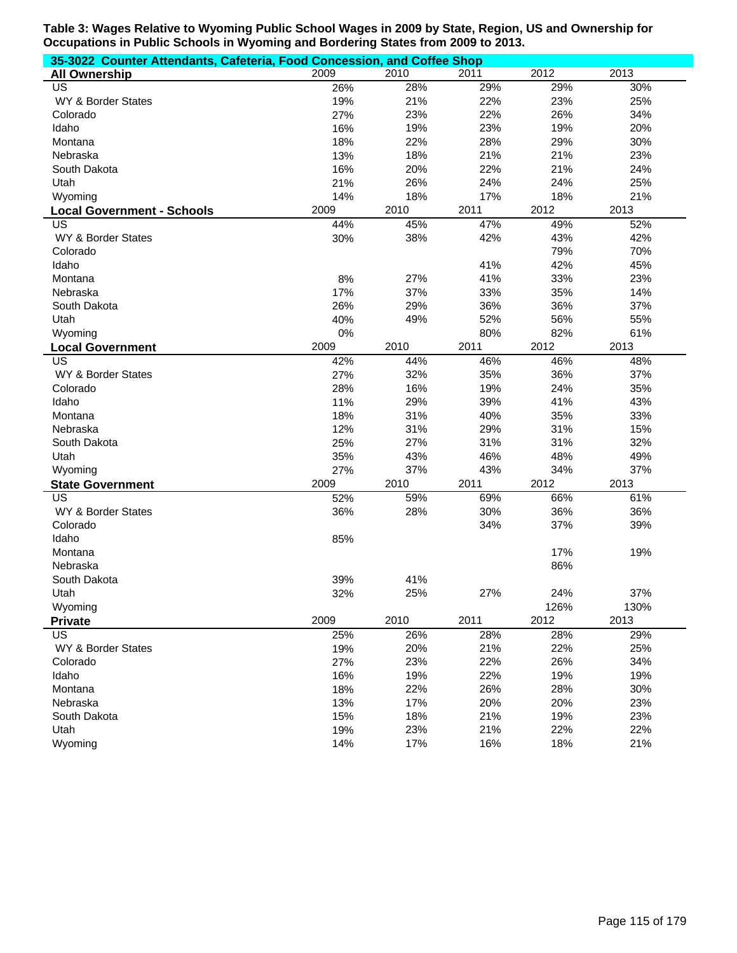| 35-3022 Counter Attendants, Cafeteria, Food Concession, and Coffee Shop |      |      |      |      |      |
|-------------------------------------------------------------------------|------|------|------|------|------|
| <b>All Ownership</b>                                                    | 2009 | 2010 | 2011 | 2012 | 2013 |
| <b>US</b>                                                               | 26%  | 28%  | 29%  | 29%  | 30%  |
| WY & Border States                                                      | 19%  | 21%  | 22%  | 23%  | 25%  |
| Colorado                                                                | 27%  | 23%  | 22%  | 26%  | 34%  |
| Idaho                                                                   | 16%  | 19%  | 23%  | 19%  | 20%  |
| Montana                                                                 | 18%  | 22%  | 28%  | 29%  | 30%  |
| Nebraska                                                                | 13%  | 18%  | 21%  | 21%  | 23%  |
| South Dakota                                                            | 16%  | 20%  | 22%  | 21%  | 24%  |
| Utah                                                                    | 21%  | 26%  | 24%  | 24%  | 25%  |
| Wyoming                                                                 | 14%  | 18%  | 17%  | 18%  | 21%  |
| <b>Local Government - Schools</b>                                       | 2009 | 2010 | 2011 | 2012 | 2013 |
| US                                                                      | 44%  | 45%  | 47%  | 49%  | 52%  |
| WY & Border States                                                      | 30%  | 38%  | 42%  | 43%  | 42%  |
| Colorado                                                                |      |      |      | 79%  | 70%  |
| Idaho                                                                   |      |      | 41%  | 42%  | 45%  |
| Montana                                                                 | 8%   | 27%  | 41%  | 33%  | 23%  |
| Nebraska                                                                | 17%  | 37%  | 33%  | 35%  | 14%  |
| South Dakota                                                            | 26%  | 29%  | 36%  | 36%  | 37%  |
| Utah                                                                    | 40%  | 49%  | 52%  | 56%  | 55%  |
| Wyoming                                                                 | 0%   |      | 80%  | 82%  | 61%  |
| <b>Local Government</b>                                                 | 2009 | 2010 | 2011 | 2012 | 2013 |
| US                                                                      | 42%  | 44%  | 46%  | 46%  | 48%  |
| WY & Border States                                                      | 27%  | 32%  | 35%  | 36%  | 37%  |
| Colorado                                                                | 28%  | 16%  | 19%  | 24%  | 35%  |
| Idaho                                                                   | 11%  | 29%  | 39%  | 41%  | 43%  |
| Montana                                                                 | 18%  | 31%  | 40%  | 35%  | 33%  |
| Nebraska                                                                | 12%  | 31%  | 29%  | 31%  | 15%  |
| South Dakota                                                            | 25%  | 27%  | 31%  | 31%  | 32%  |
| Utah                                                                    | 35%  | 43%  | 46%  | 48%  | 49%  |
| Wyoming                                                                 | 27%  | 37%  | 43%  | 34%  | 37%  |
| <b>State Government</b>                                                 | 2009 | 2010 | 2011 | 2012 | 2013 |
| $\overline{US}$                                                         | 52%  | 59%  | 69%  | 66%  | 61%  |
| WY & Border States                                                      | 36%  | 28%  | 30%  | 36%  | 36%  |
| Colorado                                                                |      |      | 34%  | 37%  | 39%  |
| Idaho                                                                   | 85%  |      |      |      |      |
| Montana                                                                 |      |      |      | 17%  | 19%  |
| Nebraska                                                                |      |      |      | 86%  |      |
| South Dakota                                                            | 39%  | 41%  |      |      |      |
| Utah                                                                    | 32%  | 25%  | 27%  | 24%  | 37%  |
| Wyoming                                                                 |      |      |      | 126% | 130% |
| <b>Private</b>                                                          | 2009 | 2010 | 2011 | 2012 | 2013 |
| $\overline{US}$                                                         | 25%  | 26%  | 28%  | 28%  | 29%  |
| WY & Border States                                                      | 19%  | 20%  | 21%  | 22%  | 25%  |
| Colorado                                                                | 27%  | 23%  | 22%  | 26%  | 34%  |
| Idaho                                                                   | 16%  | 19%  | 22%  | 19%  | 19%  |
| Montana                                                                 | 18%  | 22%  | 26%  | 28%  | 30%  |
| Nebraska                                                                | 13%  | 17%  | 20%  | 20%  | 23%  |
| South Dakota                                                            | 15%  | 18%  | 21%  | 19%  | 23%  |
| Utah                                                                    | 19%  | 23%  | 21%  | 22%  | 22%  |
| Wyoming                                                                 | 14%  | 17%  | 16%  | 18%  | 21%  |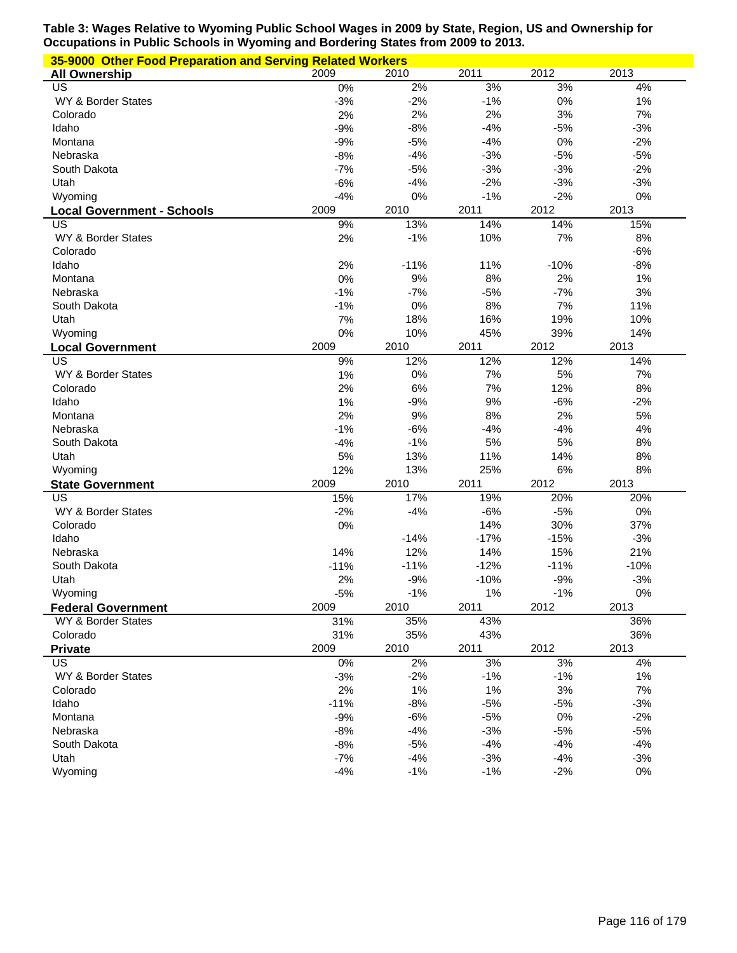| 35-9000 Other Food Preparation and Serving Related Workers |        |        |        |        |        |  |  |  |
|------------------------------------------------------------|--------|--------|--------|--------|--------|--|--|--|
| <b>All Ownership</b>                                       | 2009   | 2010   | 2011   | 2012   | 2013   |  |  |  |
| US                                                         | 0%     | 2%     | 3%     | 3%     | 4%     |  |  |  |
| WY & Border States                                         | $-3%$  | $-2%$  | $-1%$  | 0%     | 1%     |  |  |  |
| Colorado                                                   | 2%     | 2%     | 2%     | 3%     | 7%     |  |  |  |
| Idaho                                                      | $-9%$  | $-8%$  | $-4%$  | $-5%$  | $-3%$  |  |  |  |
| Montana                                                    | $-9%$  | $-5%$  | $-4%$  | 0%     | $-2%$  |  |  |  |
| Nebraska                                                   | $-8%$  | $-4%$  | $-3%$  | $-5%$  | $-5%$  |  |  |  |
| South Dakota                                               | $-7%$  | $-5%$  | $-3%$  | $-3%$  | $-2%$  |  |  |  |
| Utah                                                       | $-6%$  | $-4%$  | $-2%$  | $-3%$  | $-3%$  |  |  |  |
| Wyoming                                                    | $-4%$  | 0%     | $-1%$  | $-2%$  | 0%     |  |  |  |
| <b>Local Government - Schools</b>                          | 2009   | 2010   | 2011   | 2012   | 2013   |  |  |  |
| US                                                         | 9%     | 13%    | 14%    | 14%    | 15%    |  |  |  |
| WY & Border States                                         | 2%     | $-1%$  | 10%    | 7%     | 8%     |  |  |  |
| Colorado                                                   |        |        |        |        | $-6%$  |  |  |  |
| Idaho                                                      | 2%     | $-11%$ | 11%    | $-10%$ | $-8%$  |  |  |  |
| Montana                                                    | 0%     | 9%     | 8%     | 2%     | 1%     |  |  |  |
| Nebraska                                                   | $-1%$  | $-7%$  | $-5%$  | $-7%$  | 3%     |  |  |  |
| South Dakota                                               | $-1%$  | 0%     | 8%     | 7%     | 11%    |  |  |  |
| Utah                                                       | 7%     | 18%    | 16%    | 19%    | 10%    |  |  |  |
| Wyoming                                                    | 0%     | 10%    | 45%    | 39%    | 14%    |  |  |  |
| <b>Local Government</b>                                    | 2009   | 2010   | 2011   | 2012   | 2013   |  |  |  |
| US                                                         | 9%     | 12%    | 12%    | 12%    | 14%    |  |  |  |
| WY & Border States                                         | 1%     | 0%     | 7%     | 5%     | 7%     |  |  |  |
| Colorado                                                   | 2%     | 6%     | 7%     | 12%    | 8%     |  |  |  |
| Idaho                                                      | 1%     | $-9%$  | 9%     | $-6%$  | $-2%$  |  |  |  |
| Montana                                                    | 2%     | 9%     | 8%     | 2%     | 5%     |  |  |  |
| Nebraska                                                   | $-1%$  | $-6%$  | $-4%$  | $-4%$  | 4%     |  |  |  |
| South Dakota                                               | $-4%$  | $-1%$  | 5%     | 5%     | 8%     |  |  |  |
| Utah                                                       | 5%     | 13%    | 11%    | 14%    | 8%     |  |  |  |
| Wyoming                                                    | 12%    | 13%    | 25%    | 6%     | 8%     |  |  |  |
| <b>State Government</b>                                    | 2009   | 2010   | 2011   | 2012   | 2013   |  |  |  |
| US                                                         | 15%    | 17%    | 19%    | 20%    | 20%    |  |  |  |
| WY & Border States                                         | $-2%$  | $-4%$  | $-6%$  | $-5%$  | 0%     |  |  |  |
| Colorado                                                   | 0%     |        | 14%    | 30%    | 37%    |  |  |  |
| Idaho                                                      |        | $-14%$ | $-17%$ | $-15%$ | $-3%$  |  |  |  |
| Nebraska                                                   | 14%    | 12%    | 14%    | 15%    | 21%    |  |  |  |
| South Dakota                                               | $-11%$ | $-11%$ | $-12%$ | $-11%$ | $-10%$ |  |  |  |
| Utah                                                       | 2%     | $-9%$  | $-10%$ | $-9%$  | $-3%$  |  |  |  |
| Wyoming                                                    | $-5%$  | $-1%$  | 1%     | $-1%$  | 0%     |  |  |  |
| <b>Federal Government</b>                                  | 2009   | 2010   | 2011   | 2012   | 2013   |  |  |  |
| WY & Border States                                         | 31%    | 35%    | 43%    |        | 36%    |  |  |  |
| Colorado                                                   | 31%    | 35%    | 43%    |        | 36%    |  |  |  |
| <b>Private</b>                                             | 2009   | 2010   | 2011   | 2012   | 2013   |  |  |  |
| US                                                         | 0%     | 2%     | 3%     | 3%     | 4%     |  |  |  |
| WY & Border States                                         | $-3%$  | $-2%$  | $-1%$  | $-1%$  | 1%     |  |  |  |
| Colorado                                                   | 2%     | $1\%$  | 1%     | 3%     | 7%     |  |  |  |
| Idaho                                                      | $-11%$ | $-8%$  | $-5%$  | $-5%$  | $-3%$  |  |  |  |
| Montana                                                    | $-9%$  | $-6%$  | $-5%$  | $0\%$  | $-2%$  |  |  |  |
| Nebraska                                                   | $-8%$  | $-4%$  | $-3%$  | $-5%$  | $-5%$  |  |  |  |
| South Dakota                                               | $-8%$  | $-5%$  | $-4%$  | $-4%$  | $-4%$  |  |  |  |
| Utah                                                       | $-7%$  | $-4%$  | $-3%$  | $-4%$  | $-3%$  |  |  |  |
| Wyoming                                                    | $-4%$  | $-1%$  | $-1%$  | $-2%$  | $0\%$  |  |  |  |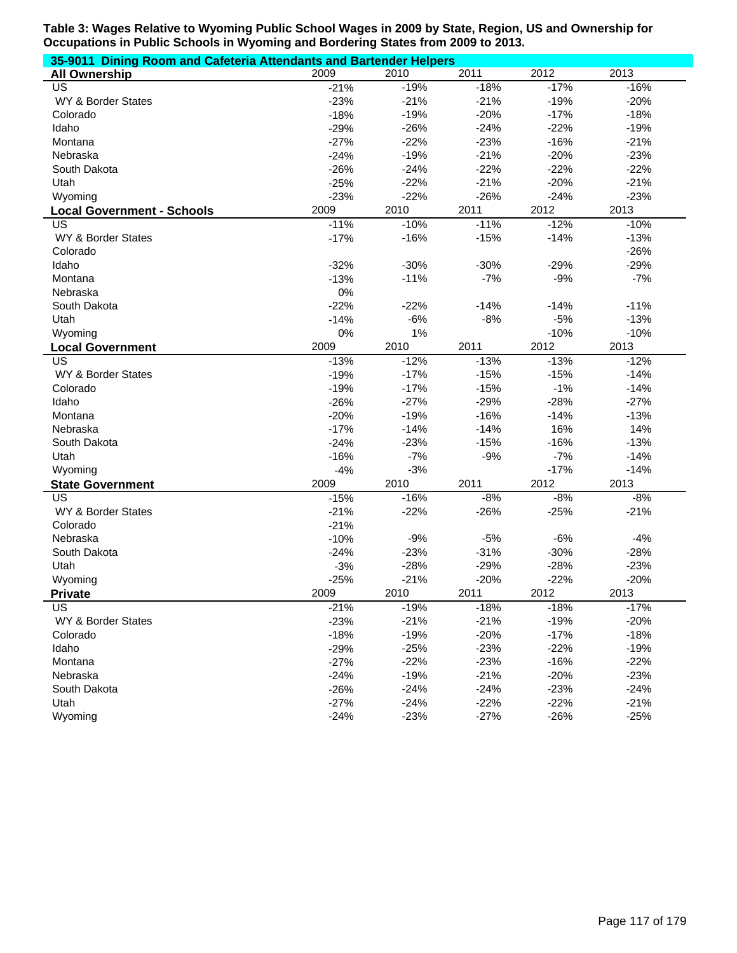| 35-9011 Dining Room and Cafeteria Attendants and Bartender Helpers |        |        |        |        |        |  |  |  |
|--------------------------------------------------------------------|--------|--------|--------|--------|--------|--|--|--|
| <b>All Ownership</b>                                               | 2009   | 2010   | 2011   | 2012   | 2013   |  |  |  |
| US                                                                 | $-21%$ | $-19%$ | $-18%$ | $-17%$ | $-16%$ |  |  |  |
| WY & Border States                                                 | $-23%$ | $-21%$ | $-21%$ | $-19%$ | $-20%$ |  |  |  |
| Colorado                                                           | $-18%$ | $-19%$ | $-20%$ | $-17%$ | $-18%$ |  |  |  |
| Idaho                                                              | $-29%$ | $-26%$ | $-24%$ | $-22%$ | $-19%$ |  |  |  |
| Montana                                                            | $-27%$ | $-22%$ | $-23%$ | $-16%$ | $-21%$ |  |  |  |
| Nebraska                                                           | $-24%$ | $-19%$ | $-21%$ | $-20%$ | $-23%$ |  |  |  |
| South Dakota                                                       | $-26%$ | $-24%$ | $-22%$ | $-22%$ | $-22%$ |  |  |  |
| Utah                                                               | $-25%$ | $-22%$ | $-21%$ | $-20%$ | $-21%$ |  |  |  |
| Wyoming                                                            | $-23%$ | $-22%$ | $-26%$ | $-24%$ | $-23%$ |  |  |  |
| <b>Local Government - Schools</b>                                  | 2009   | 2010   | 2011   | 2012   | 2013   |  |  |  |
| US                                                                 | $-11%$ | $-10%$ | $-11%$ | $-12%$ | $-10%$ |  |  |  |
| WY & Border States                                                 | $-17%$ | $-16%$ | $-15%$ | $-14%$ | $-13%$ |  |  |  |
| Colorado                                                           |        |        |        |        | $-26%$ |  |  |  |
| Idaho                                                              | $-32%$ | $-30%$ | $-30%$ | $-29%$ | $-29%$ |  |  |  |
| Montana                                                            | $-13%$ | $-11%$ | $-7%$  | $-9%$  | $-7%$  |  |  |  |
| Nebraska                                                           | 0%     |        |        |        |        |  |  |  |
| South Dakota                                                       | $-22%$ | $-22%$ | $-14%$ | $-14%$ | $-11%$ |  |  |  |
| Utah                                                               | $-14%$ | $-6%$  | $-8%$  | $-5%$  | $-13%$ |  |  |  |
| Wyoming                                                            | 0%     | 1%     |        | $-10%$ | $-10%$ |  |  |  |
| <b>Local Government</b>                                            | 2009   | 2010   | 2011   | 2012   | 2013   |  |  |  |
| US                                                                 | $-13%$ | $-12%$ | $-13%$ | $-13%$ | $-12%$ |  |  |  |
| WY & Border States                                                 | $-19%$ | $-17%$ | $-15%$ | $-15%$ | $-14%$ |  |  |  |
| Colorado                                                           | $-19%$ | $-17%$ | $-15%$ | $-1%$  | $-14%$ |  |  |  |
| Idaho                                                              | $-26%$ | $-27%$ | $-29%$ | $-28%$ | $-27%$ |  |  |  |
| Montana                                                            | $-20%$ | $-19%$ | $-16%$ | $-14%$ | $-13%$ |  |  |  |
| Nebraska                                                           | $-17%$ | $-14%$ | $-14%$ | 16%    | 14%    |  |  |  |
| South Dakota                                                       | $-24%$ | $-23%$ | $-15%$ | $-16%$ | $-13%$ |  |  |  |
| Utah                                                               | $-16%$ | $-7%$  | $-9%$  | $-7%$  | $-14%$ |  |  |  |
| Wyoming                                                            | $-4%$  | $-3%$  |        | $-17%$ | $-14%$ |  |  |  |
| <b>State Government</b>                                            | 2009   | 2010   | 2011   | 2012   | 2013   |  |  |  |
| US                                                                 | $-15%$ | $-16%$ | $-8%$  | $-8%$  | $-8%$  |  |  |  |
| WY & Border States                                                 | $-21%$ | $-22%$ | $-26%$ | $-25%$ | $-21%$ |  |  |  |
| Colorado                                                           | $-21%$ |        |        |        |        |  |  |  |
| Nebraska                                                           | $-10%$ | $-9%$  | $-5%$  | $-6%$  | $-4%$  |  |  |  |
| South Dakota                                                       | $-24%$ | $-23%$ | $-31%$ | $-30%$ | $-28%$ |  |  |  |
| Utah                                                               | $-3%$  | $-28%$ | $-29%$ | $-28%$ | $-23%$ |  |  |  |
| Wyoming                                                            | $-25%$ | $-21%$ | $-20%$ | $-22%$ | $-20%$ |  |  |  |
| <b>Private</b>                                                     | 2009   | 2010   | 2011   | 2012   | 2013   |  |  |  |
| US                                                                 | $-21%$ | $-19%$ | $-18%$ | $-18%$ | $-17%$ |  |  |  |
| WY & Border States                                                 | $-23%$ | $-21%$ | $-21%$ | $-19%$ | $-20%$ |  |  |  |
| Colorado                                                           | $-18%$ | $-19%$ | $-20%$ | $-17%$ | $-18%$ |  |  |  |
| Idaho                                                              | $-29%$ | $-25%$ | $-23%$ | $-22%$ | $-19%$ |  |  |  |
| Montana                                                            | $-27%$ | $-22%$ | $-23%$ | $-16%$ | $-22%$ |  |  |  |
| Nebraska                                                           | $-24%$ | $-19%$ | $-21%$ | $-20%$ | $-23%$ |  |  |  |
| South Dakota                                                       | $-26%$ | $-24%$ | $-24%$ | $-23%$ | $-24%$ |  |  |  |
| Utah                                                               | $-27%$ | $-24%$ | $-22%$ | $-22%$ | $-21%$ |  |  |  |
| Wyoming                                                            | $-24%$ | $-23%$ | $-27%$ | $-26%$ | $-25%$ |  |  |  |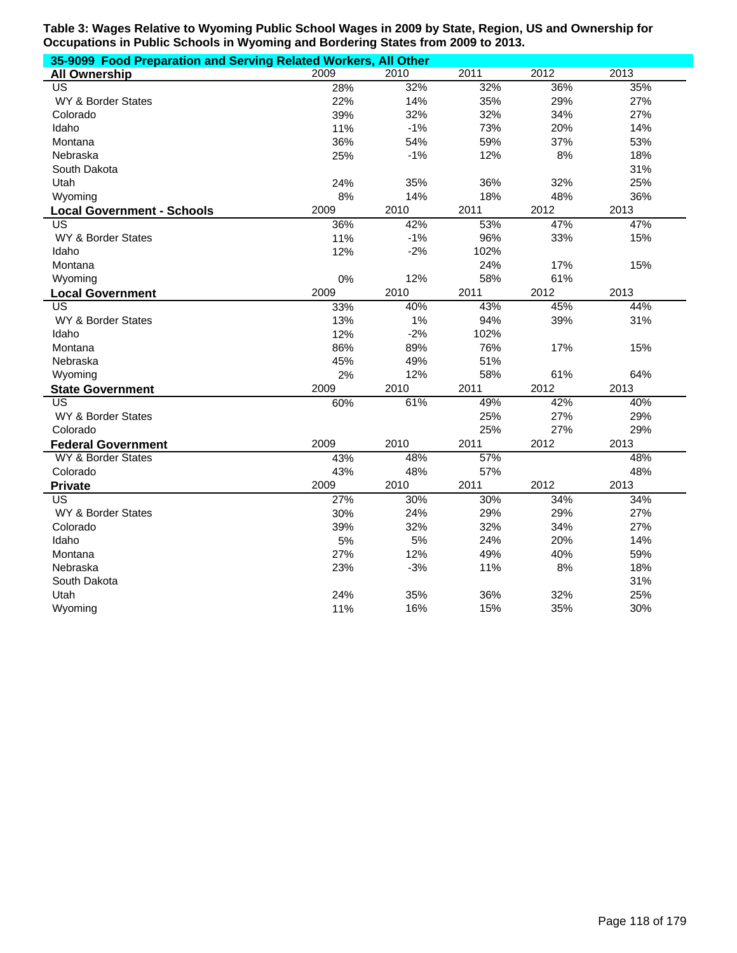| 35-9099 Food Preparation and Serving Related Workers, All Other |      |       |      |      |      |  |  |  |
|-----------------------------------------------------------------|------|-------|------|------|------|--|--|--|
| <b>All Ownership</b>                                            | 2009 | 2010  | 2011 | 2012 | 2013 |  |  |  |
| US <sup></sup>                                                  | 28%  | 32%   | 32%  | 36%  | 35%  |  |  |  |
| <b>WY &amp; Border States</b>                                   | 22%  | 14%   | 35%  | 29%  | 27%  |  |  |  |
| Colorado                                                        | 39%  | 32%   | 32%  | 34%  | 27%  |  |  |  |
| Idaho                                                           | 11%  | $-1%$ | 73%  | 20%  | 14%  |  |  |  |
| Montana                                                         | 36%  | 54%   | 59%  | 37%  | 53%  |  |  |  |
| Nebraska                                                        | 25%  | $-1%$ | 12%  | 8%   | 18%  |  |  |  |
| South Dakota                                                    |      |       |      |      | 31%  |  |  |  |
| Utah                                                            | 24%  | 35%   | 36%  | 32%  | 25%  |  |  |  |
| Wyoming                                                         | 8%   | 14%   | 18%  | 48%  | 36%  |  |  |  |
| <b>Local Government - Schools</b>                               | 2009 | 2010  | 2011 | 2012 | 2013 |  |  |  |
| <b>US</b>                                                       | 36%  | 42%   | 53%  | 47%  | 47%  |  |  |  |
| <b>WY &amp; Border States</b>                                   | 11%  | $-1%$ | 96%  | 33%  | 15%  |  |  |  |
| Idaho                                                           | 12%  | $-2%$ | 102% |      |      |  |  |  |
| Montana                                                         |      |       | 24%  | 17%  | 15%  |  |  |  |
| Wyoming                                                         | 0%   | 12%   | 58%  | 61%  |      |  |  |  |
| <b>Local Government</b>                                         | 2009 | 2010  | 2011 | 2012 | 2013 |  |  |  |
| $\overline{\mathsf{US}}$                                        | 33%  | 40%   | 43%  | 45%  | 44%  |  |  |  |
| WY & Border States                                              | 13%  | 1%    | 94%  | 39%  | 31%  |  |  |  |
| Idaho                                                           | 12%  | $-2%$ | 102% |      |      |  |  |  |
| Montana                                                         | 86%  | 89%   | 76%  | 17%  | 15%  |  |  |  |
| Nebraska                                                        | 45%  | 49%   | 51%  |      |      |  |  |  |
| Wyoming                                                         | 2%   | 12%   | 58%  | 61%  | 64%  |  |  |  |
| <b>State Government</b>                                         | 2009 | 2010  | 2011 | 2012 | 2013 |  |  |  |
| <b>US</b>                                                       | 60%  | 61%   | 49%  | 42%  | 40%  |  |  |  |
| WY & Border States                                              |      |       | 25%  | 27%  | 29%  |  |  |  |
| Colorado                                                        |      |       | 25%  | 27%  | 29%  |  |  |  |
| <b>Federal Government</b>                                       | 2009 | 2010  | 2011 | 2012 | 2013 |  |  |  |
| WY & Border States                                              | 43%  | 48%   | 57%  |      | 48%  |  |  |  |
| Colorado                                                        | 43%  | 48%   | 57%  |      | 48%  |  |  |  |
| <b>Private</b>                                                  | 2009 | 2010  | 2011 | 2012 | 2013 |  |  |  |
| US                                                              | 27%  | 30%   | 30%  | 34%  | 34%  |  |  |  |
| WY & Border States                                              | 30%  | 24%   | 29%  | 29%  | 27%  |  |  |  |
| Colorado                                                        | 39%  | 32%   | 32%  | 34%  | 27%  |  |  |  |
| Idaho                                                           | 5%   | 5%    | 24%  | 20%  | 14%  |  |  |  |
| Montana                                                         | 27%  | 12%   | 49%  | 40%  | 59%  |  |  |  |
| Nebraska                                                        | 23%  | $-3%$ | 11%  | 8%   | 18%  |  |  |  |
| South Dakota                                                    |      |       |      |      | 31%  |  |  |  |
| Utah                                                            | 24%  | 35%   | 36%  | 32%  | 25%  |  |  |  |
| Wyoming                                                         | 11%  | 16%   | 15%  | 35%  | 30%  |  |  |  |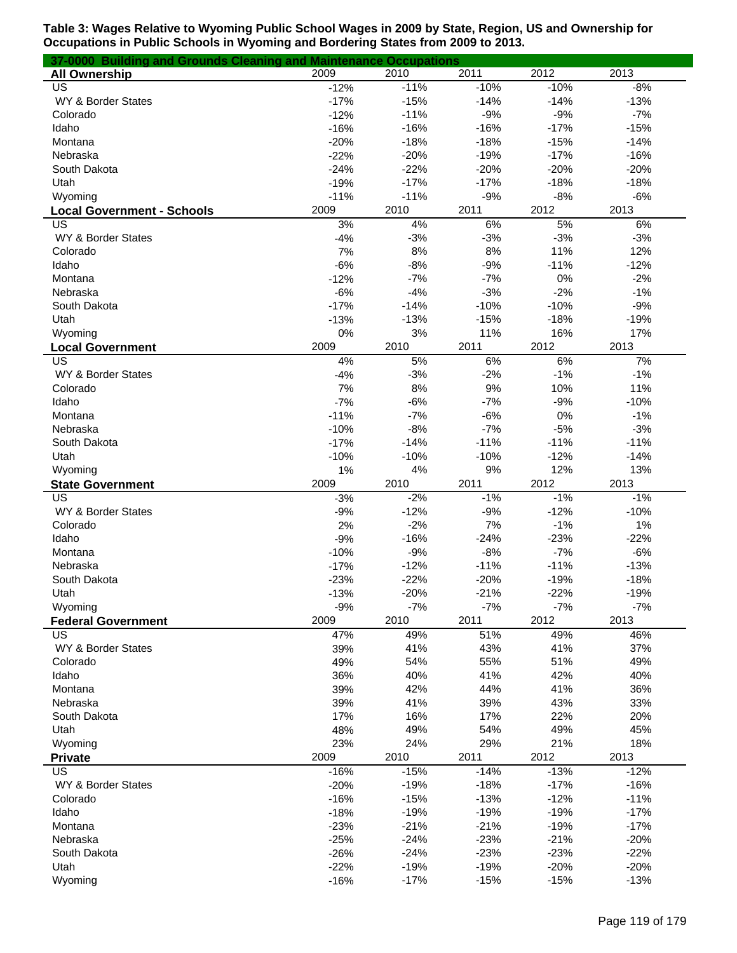| 37-0000 Building and Grounds Cleaning and Maintenance Occupations |        |        |        |        |        |
|-------------------------------------------------------------------|--------|--------|--------|--------|--------|
| <b>All Ownership</b>                                              | 2009   | 2010   | 2011   | 2012   | 2013   |
| US                                                                | $-12%$ | $-11%$ | $-10%$ | $-10%$ | $-8%$  |
| WY & Border States                                                | $-17%$ | $-15%$ | $-14%$ | $-14%$ | $-13%$ |
| Colorado                                                          | $-12%$ | $-11%$ | $-9%$  | $-9%$  | $-7%$  |
| Idaho                                                             | $-16%$ | $-16%$ | $-16%$ | $-17%$ | $-15%$ |
| Montana                                                           | $-20%$ | $-18%$ | $-18%$ | $-15%$ | $-14%$ |
| Nebraska                                                          | $-22%$ | $-20%$ | $-19%$ | $-17%$ | $-16%$ |
| South Dakota                                                      | $-24%$ | $-22%$ | $-20%$ | $-20%$ | $-20%$ |
| Utah                                                              | $-19%$ | $-17%$ | $-17%$ | $-18%$ | $-18%$ |
| Wyoming                                                           | $-11%$ | $-11%$ | $-9%$  | $-8%$  | $-6%$  |
| <b>Local Government - Schools</b>                                 | 2009   | 2010   | 2011   | 2012   | 2013   |
| US                                                                | 3%     | 4%     | 6%     | 5%     | 6%     |
| WY & Border States                                                | $-4%$  | $-3%$  | $-3%$  | $-3%$  | $-3%$  |
| Colorado                                                          | 7%     | 8%     | 8%     | 11%    | 12%    |
| Idaho                                                             | $-6%$  | $-8%$  | $-9%$  | $-11%$ | $-12%$ |
| Montana                                                           | $-12%$ | $-7%$  | $-7%$  | 0%     | $-2%$  |
| Nebraska                                                          | $-6%$  | $-4%$  | $-3%$  | $-2%$  | $-1%$  |
| South Dakota                                                      | $-17%$ | $-14%$ | $-10%$ | $-10%$ | $-9%$  |
| Utah                                                              | $-13%$ | $-13%$ | $-15%$ | $-18%$ | $-19%$ |
| Wyoming                                                           | 0%     | 3%     | 11%    | 16%    | 17%    |
| <b>Local Government</b>                                           | 2009   | 2010   | 2011   | 2012   | 2013   |
| US                                                                | 4%     | 5%     | 6%     | 6%     | 7%     |
| WY & Border States                                                | $-4%$  | $-3%$  | $-2%$  | $-1%$  | $-1%$  |
| Colorado                                                          | 7%     | 8%     | 9%     | 10%    | 11%    |
| Idaho                                                             | $-7%$  | $-6%$  | $-7%$  | $-9%$  | $-10%$ |
| Montana                                                           | $-11%$ | $-7%$  | $-6%$  | 0%     | $-1%$  |
| Nebraska                                                          | $-10%$ | $-8%$  | $-7%$  | $-5%$  | $-3%$  |
| South Dakota                                                      | $-17%$ | $-14%$ | $-11%$ | $-11%$ | $-11%$ |
| Utah                                                              | $-10%$ | $-10%$ | $-10%$ | $-12%$ | $-14%$ |
| Wyoming                                                           | 1%     | 4%     | 9%     | 12%    | 13%    |
| <b>State Government</b>                                           | 2009   | 2010   | 2011   | 2012   | 2013   |
| US                                                                | $-3%$  | $-2%$  | $-1%$  | $-1%$  | $-1%$  |
| WY & Border States                                                | $-9%$  | $-12%$ | $-9%$  | $-12%$ | $-10%$ |
| Colorado                                                          | 2%     | $-2%$  | 7%     | $-1%$  | 1%     |
| Idaho                                                             | $-9%$  | $-16%$ | $-24%$ | $-23%$ | $-22%$ |
| Montana                                                           | $-10%$ | $-9%$  | $-8%$  | $-7%$  | $-6%$  |
| Nebraska                                                          | $-17%$ | $-12%$ | $-11%$ | $-11%$ | $-13%$ |
| South Dakota                                                      | $-23%$ | $-22%$ | $-20%$ | $-19%$ | $-18%$ |
| Utah                                                              | $-13%$ | $-20%$ | $-21%$ | $-22%$ | $-19%$ |
| Wyoming                                                           | $-9%$  | $-7%$  | $-7%$  | $-7%$  | $-7%$  |
| <b>Federal Government</b>                                         | 2009   | 2010   | 2011   | 2012   | 2013   |
| US                                                                | 47%    | 49%    | 51%    | 49%    | 46%    |
| WY & Border States                                                | 39%    | 41%    | 43%    | 41%    | 37%    |
| Colorado                                                          | 49%    | 54%    | 55%    | 51%    | 49%    |
| Idaho                                                             | 36%    | 40%    | 41%    | 42%    | 40%    |
| Montana                                                           | 39%    | 42%    | 44%    | 41%    | 36%    |
| Nebraska                                                          | 39%    | 41%    | 39%    | 43%    | 33%    |
| South Dakota                                                      | 17%    | 16%    | 17%    | 22%    | 20%    |
| Utah                                                              | 48%    | 49%    | 54%    | 49%    | 45%    |
| Wyoming                                                           | 23%    | 24%    | 29%    | 21%    | 18%    |
| <b>Private</b>                                                    | 2009   | 2010   | 2011   | 2012   | 2013   |
| US                                                                | $-16%$ | $-15%$ | $-14%$ | $-13%$ | $-12%$ |
| WY & Border States                                                | $-20%$ | $-19%$ | $-18%$ | $-17%$ | $-16%$ |
| Colorado                                                          | $-16%$ | $-15%$ | $-13%$ | $-12%$ | $-11%$ |
| Idaho                                                             | $-18%$ | $-19%$ | $-19%$ | $-19%$ | $-17%$ |
| Montana                                                           | $-23%$ | $-21%$ | $-21%$ | $-19%$ | $-17%$ |
| Nebraska                                                          | $-25%$ | $-24%$ | $-23%$ | $-21%$ | $-20%$ |
| South Dakota                                                      | $-26%$ | $-24%$ | $-23%$ | $-23%$ | $-22%$ |
| Utah                                                              | $-22%$ | $-19%$ | $-19%$ | $-20%$ | $-20%$ |
| Wyoming                                                           | $-16%$ | $-17%$ | $-15%$ | $-15%$ | $-13%$ |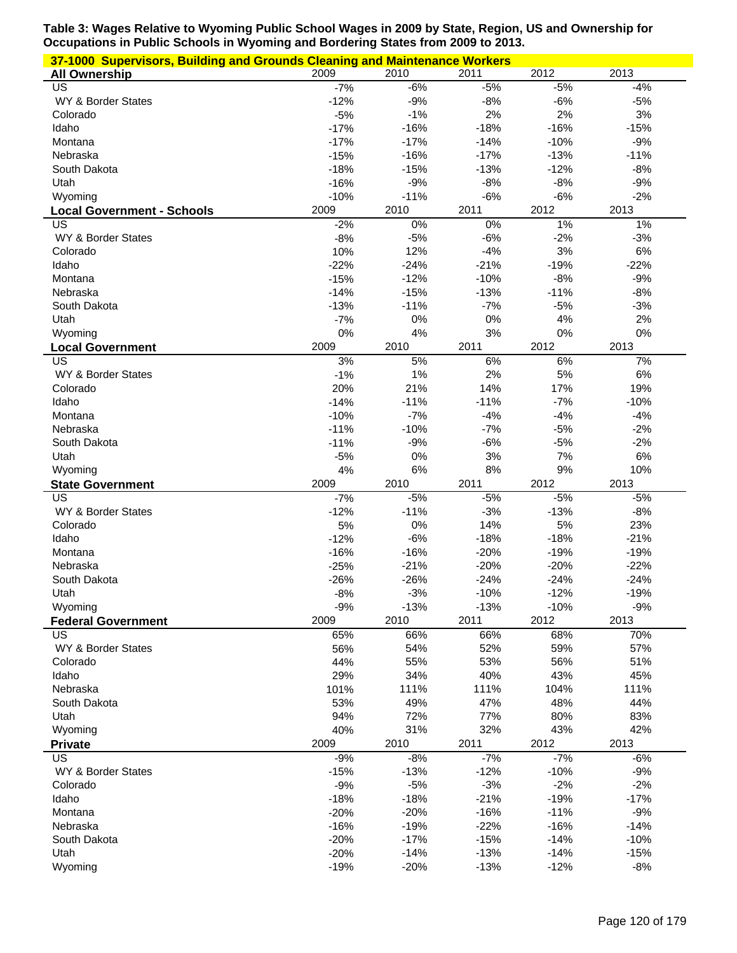| 37-1000 Supervisors, Building and Grounds Cleaning and Maintenance Workers |        |        |        |        |        |  |  |
|----------------------------------------------------------------------------|--------|--------|--------|--------|--------|--|--|
| <b>All Ownership</b>                                                       | 2009   | 2010   | 2011   | 2012   | 2013   |  |  |
| US                                                                         | $-7%$  | $-6%$  | $-5%$  | $-5%$  | $-4%$  |  |  |
| WY & Border States                                                         | $-12%$ | $-9%$  | $-8%$  | $-6%$  | $-5%$  |  |  |
| Colorado                                                                   | $-5%$  | $-1%$  | 2%     | 2%     | 3%     |  |  |
| Idaho                                                                      | $-17%$ | $-16%$ | $-18%$ | $-16%$ | $-15%$ |  |  |
| Montana                                                                    | $-17%$ | $-17%$ | $-14%$ | $-10%$ | $-9%$  |  |  |
| Nebraska                                                                   | $-15%$ | $-16%$ | $-17%$ | $-13%$ | $-11%$ |  |  |
| South Dakota                                                               | $-18%$ | $-15%$ | $-13%$ | $-12%$ | $-8%$  |  |  |
| Utah                                                                       | $-16%$ | $-9%$  | $-8%$  | $-8%$  | $-9%$  |  |  |
| Wyoming                                                                    | $-10%$ | $-11%$ | $-6%$  | $-6%$  | $-2%$  |  |  |
| <b>Local Government - Schools</b>                                          | 2009   | 2010   | 2011   | 2012   | 2013   |  |  |
| US                                                                         | $-2%$  | 0%     | 0%     | 1%     | $1\%$  |  |  |
| WY & Border States                                                         | $-8%$  | $-5%$  | $-6%$  | $-2%$  | $-3%$  |  |  |
| Colorado                                                                   | 10%    | 12%    | $-4%$  | 3%     | $6\%$  |  |  |
| Idaho                                                                      | $-22%$ | $-24%$ | $-21%$ | $-19%$ | $-22%$ |  |  |
| Montana                                                                    | $-15%$ | $-12%$ | $-10%$ | $-8%$  | $-9%$  |  |  |
| Nebraska                                                                   | $-14%$ | $-15%$ | $-13%$ | $-11%$ | $-8%$  |  |  |
| South Dakota                                                               | $-13%$ | $-11%$ | $-7%$  | $-5%$  | $-3%$  |  |  |
| Utah                                                                       | $-7%$  | 0%     | 0%     | 4%     | 2%     |  |  |
| Wyoming                                                                    | 0%     | 4%     | 3%     | 0%     | 0%     |  |  |
| <b>Local Government</b>                                                    | 2009   | 2010   | 2011   | 2012   | 2013   |  |  |
| US                                                                         | 3%     | 5%     | 6%     | 6%     | 7%     |  |  |
| WY & Border States                                                         | $-1%$  | 1%     | 2%     | 5%     | $6\%$  |  |  |
|                                                                            |        | 21%    | 14%    | 17%    | 19%    |  |  |
| Colorado                                                                   | 20%    |        | $-11%$ | $-7%$  |        |  |  |
| Idaho                                                                      | $-14%$ | $-11%$ |        |        | $-10%$ |  |  |
| Montana                                                                    | $-10%$ | $-7%$  | $-4%$  | $-4%$  | $-4%$  |  |  |
| Nebraska                                                                   | $-11%$ | $-10%$ | $-7%$  | $-5%$  | $-2%$  |  |  |
| South Dakota                                                               | $-11%$ | $-9%$  | $-6%$  | $-5%$  | $-2%$  |  |  |
| Utah                                                                       | $-5%$  | 0%     | 3%     | 7%     | 6%     |  |  |
| Wyoming                                                                    | 4%     | 6%     | 8%     | $9%$   | 10%    |  |  |
| <b>State Government</b>                                                    | 2009   | 2010   | 2011   | 2012   | 2013   |  |  |
| $\overline{US}$                                                            | $-7%$  | $-5%$  | $-5%$  | $-5%$  | $-5%$  |  |  |
| WY & Border States                                                         | $-12%$ | $-11%$ | $-3%$  | $-13%$ | $-8%$  |  |  |
| Colorado                                                                   | 5%     | 0%     | 14%    | 5%     | 23%    |  |  |
| Idaho                                                                      | $-12%$ | $-6%$  | $-18%$ | $-18%$ | $-21%$ |  |  |
| Montana                                                                    | $-16%$ | $-16%$ | $-20%$ | $-19%$ | $-19%$ |  |  |
| Nebraska                                                                   | $-25%$ | $-21%$ | $-20%$ | $-20%$ | $-22%$ |  |  |
| South Dakota                                                               | $-26%$ | $-26%$ | $-24%$ | $-24%$ | $-24%$ |  |  |
| Utah                                                                       | $-8%$  | $-3%$  | $-10%$ | $-12%$ | $-19%$ |  |  |
| Wyoming                                                                    | $-9%$  | $-13%$ | $-13%$ | $-10%$ | $-9%$  |  |  |
| <b>Federal Government</b>                                                  | 2009   | 2010   | 2011   | 2012   | 2013   |  |  |
| US                                                                         | 65%    | 66%    | 66%    | 68%    | 70%    |  |  |
| WY & Border States                                                         | 56%    | 54%    | 52%    | 59%    | 57%    |  |  |
| Colorado                                                                   | 44%    | 55%    | 53%    | 56%    | 51%    |  |  |
| Idaho                                                                      | 29%    | 34%    | 40%    | 43%    | 45%    |  |  |
| Nebraska                                                                   | 101%   | 111%   | 111%   | 104%   | 111%   |  |  |
| South Dakota                                                               | 53%    | 49%    | 47%    | 48%    | 44%    |  |  |
| Utah                                                                       | 94%    | 72%    | 77%    | 80%    | 83%    |  |  |
| Wyoming                                                                    | 40%    | 31%    | 32%    | 43%    | 42%    |  |  |
| <b>Private</b>                                                             | 2009   | 2010   | 2011   | 2012   | 2013   |  |  |
| US                                                                         | $-9%$  | $-8%$  | $-7%$  | $-7%$  | $-6%$  |  |  |
| WY & Border States                                                         | $-15%$ | $-13%$ | $-12%$ | $-10%$ | $-9%$  |  |  |
| Colorado                                                                   | $-9%$  | $-5%$  | $-3%$  | $-2%$  | $-2%$  |  |  |
| Idaho                                                                      | $-18%$ | $-18%$ | $-21%$ | $-19%$ | $-17%$ |  |  |
| Montana                                                                    | $-20%$ | $-20%$ | $-16%$ | $-11%$ | $-9%$  |  |  |
| Nebraska                                                                   | $-16%$ | $-19%$ | $-22%$ | $-16%$ | $-14%$ |  |  |
| South Dakota                                                               | $-20%$ | $-17%$ | $-15%$ | $-14%$ | $-10%$ |  |  |
| Utah                                                                       | $-20%$ | $-14%$ | $-13%$ | $-14%$ | $-15%$ |  |  |
| Wyoming                                                                    | $-19%$ | $-20%$ | $-13%$ | $-12%$ | $-8%$  |  |  |
|                                                                            |        |        |        |        |        |  |  |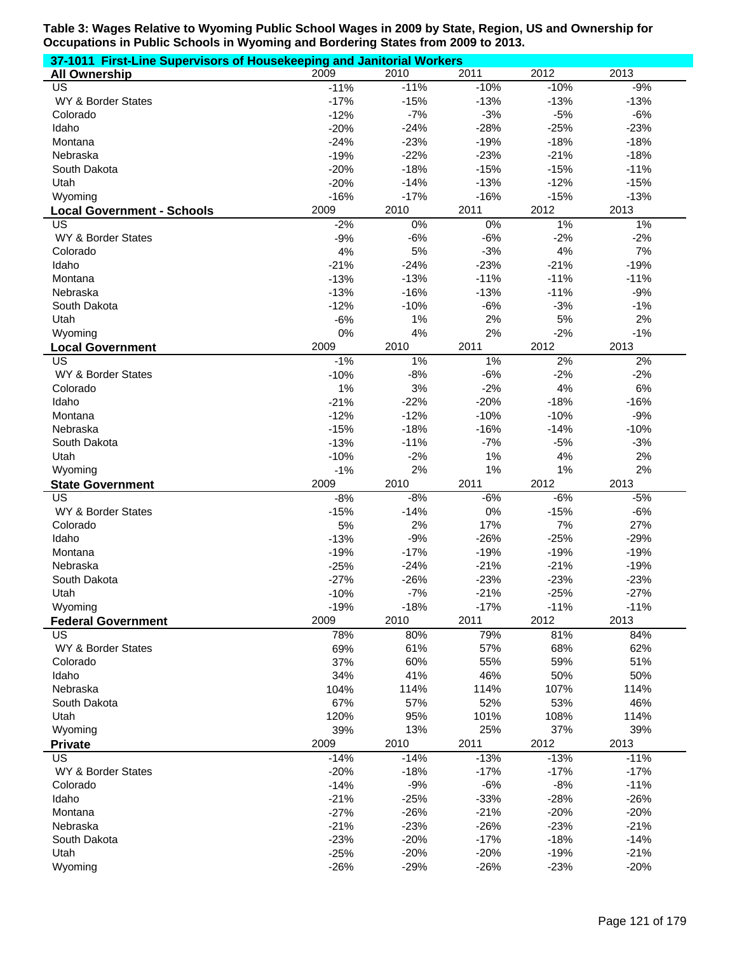| 37-1011 First-Line Supervisors of Housekeeping and Janitorial Workers |                 |              |             |                 |             |  |  |
|-----------------------------------------------------------------------|-----------------|--------------|-------------|-----------------|-------------|--|--|
| <b>All Ownership</b>                                                  | 2009            | 2010         | 2011        | 2012            | 2013        |  |  |
| US                                                                    | $-11%$          | $-11%$       | $-10%$      | $-10%$          | $-9%$       |  |  |
| WY & Border States                                                    | $-17%$          | $-15%$       | $-13%$      | $-13%$          | $-13%$      |  |  |
| Colorado                                                              | $-12%$          | $-7%$        | $-3%$       | $-5%$           | $-6%$       |  |  |
| Idaho                                                                 | $-20%$          | $-24%$       | $-28%$      | $-25%$          | $-23%$      |  |  |
| Montana                                                               | $-24%$          | $-23%$       | $-19%$      | $-18%$          | $-18%$      |  |  |
| Nebraska                                                              | $-19%$          | $-22%$       | $-23%$      | $-21%$          | $-18%$      |  |  |
| South Dakota                                                          | $-20%$          | $-18%$       | $-15%$      | $-15%$          | $-11%$      |  |  |
| Utah                                                                  | $-20%$          | $-14%$       | $-13%$      | $-12%$          | $-15%$      |  |  |
| Wyoming                                                               | $-16%$          | $-17%$       | $-16%$      | $-15%$          | $-13%$      |  |  |
| <b>Local Government - Schools</b>                                     | 2009            | 2010         | 2011        | 2012            | 2013        |  |  |
| US                                                                    | $-2%$           | 0%           | 0%          | $1\%$           | 1%          |  |  |
| WY & Border States                                                    | $-9%$           | $-6%$        | $-6%$       | $-2%$           | $-2%$       |  |  |
| Colorado                                                              | 4%              | 5%           | $-3%$       | 4%              | 7%          |  |  |
| Idaho                                                                 | $-21%$          | $-24%$       | $-23%$      | $-21%$          | $-19%$      |  |  |
| Montana                                                               | $-13%$          | $-13%$       | $-11%$      | $-11%$          | $-11%$      |  |  |
| Nebraska                                                              | $-13%$          | $-16%$       | $-13%$      | $-11%$<br>$-3%$ | $-9%$       |  |  |
| South Dakota<br>Utah                                                  | $-12%$<br>$-6%$ | $-10%$<br>1% | $-6%$<br>2% | 5%              | $-1%$<br>2% |  |  |
| Wyoming                                                               |                 | 4%           | 2%          | $-2%$           | $-1%$       |  |  |
|                                                                       | 0%<br>2009      | 2010         | 2011        | 2012            | 2013        |  |  |
| <b>Local Government</b><br>US                                         | $-1%$           | 1%           | 1%          | 2%              |             |  |  |
| WY & Border States                                                    | $-10%$          | $-8%$        | $-6%$       | $-2%$           | 2%<br>$-2%$ |  |  |
| Colorado                                                              | 1%              | 3%           | $-2%$       | 4%              | 6%          |  |  |
| Idaho                                                                 | $-21%$          | $-22%$       | $-20%$      | $-18%$          | $-16%$      |  |  |
| Montana                                                               | $-12%$          | $-12%$       | $-10%$      | $-10%$          | $-9%$       |  |  |
| Nebraska                                                              | $-15%$          | $-18%$       | $-16%$      | $-14%$          | $-10%$      |  |  |
| South Dakota                                                          | $-13%$          | $-11%$       | $-7%$       | $-5%$           | $-3%$       |  |  |
| Utah                                                                  | $-10%$          | $-2%$        | 1%          | 4%              | 2%          |  |  |
| Wyoming                                                               | $-1%$           | 2%           | 1%          | 1%              | 2%          |  |  |
| <b>State Government</b>                                               | 2009            | 2010         | 2011        | 2012            | 2013        |  |  |
| US                                                                    | $-8%$           | $-8%$        | $-6%$       | $-6%$           | $-5%$       |  |  |
| WY & Border States                                                    | $-15%$          | $-14%$       | 0%          | $-15%$          | $-6%$       |  |  |
| Colorado                                                              | 5%              | 2%           | 17%         | 7%              | 27%         |  |  |
| Idaho                                                                 | $-13%$          | $-9%$        | $-26%$      | $-25%$          | $-29%$      |  |  |
| Montana                                                               | $-19%$          | $-17%$       | $-19%$      | $-19%$          | $-19%$      |  |  |
| Nebraska                                                              | $-25%$          | $-24%$       | $-21%$      | $-21%$          | $-19%$      |  |  |
| South Dakota                                                          | $-27%$          | $-26%$       | $-23%$      | $-23%$          | $-23%$      |  |  |
| Utah                                                                  | $-10%$          | $-7%$        | $-21%$      | $-25%$          | $-27%$      |  |  |
| Wyoming                                                               | $-19%$          | $-18%$       | $-17%$      | $-11%$          | $-11%$      |  |  |
| <b>Federal Government</b>                                             | 2009            | 2010         | 2011        | 2012            | 2013        |  |  |
| US                                                                    | 78%             | 80%          | 79%         | 81%             | 84%         |  |  |
| WY & Border States                                                    | 69%             | 61%          | 57%         | 68%             | 62%         |  |  |
| Colorado                                                              | 37%             | 60%          | 55%         | 59%             | 51%         |  |  |
| Idaho                                                                 | 34%             | 41%          | 46%         | 50%             | 50%         |  |  |
| Nebraska                                                              | 104%            | 114%         | 114%        | 107%            | 114%        |  |  |
| South Dakota                                                          | 67%             | 57%          | 52%         | 53%             | 46%         |  |  |
| Utah                                                                  | 120%            | 95%          | 101%        | 108%            | 114%        |  |  |
| Wyoming                                                               | 39%             | 13%          | 25%         | 37%             | 39%         |  |  |
| <b>Private</b>                                                        | 2009            | 2010         | 2011        | 2012            | 2013        |  |  |
| US                                                                    | $-14%$          | $-14%$       | $-13%$      | $-13%$          | $-11%$      |  |  |
| WY & Border States                                                    | $-20%$          | $-18%$       | $-17%$      | $-17%$          | $-17%$      |  |  |
| Colorado                                                              | $-14%$          | $-9%$        | $-6%$       | $-8%$           | $-11%$      |  |  |
| Idaho                                                                 | $-21%$          | $-25%$       | $-33%$      | $-28%$          | $-26%$      |  |  |
| Montana                                                               | $-27%$          | $-26%$       | $-21%$      | $-20%$          | $-20%$      |  |  |
| Nebraska                                                              | $-21%$          | $-23%$       | $-26%$      | $-23%$          | $-21%$      |  |  |
| South Dakota                                                          | $-23%$          | $-20%$       | $-17%$      | $-18%$          | $-14%$      |  |  |
| Utah                                                                  | $-25%$          | $-20%$       | $-20%$      | $-19%$          | $-21%$      |  |  |
| Wyoming                                                               | $-26%$          | $-29%$       | $-26%$      | $-23%$          | $-20%$      |  |  |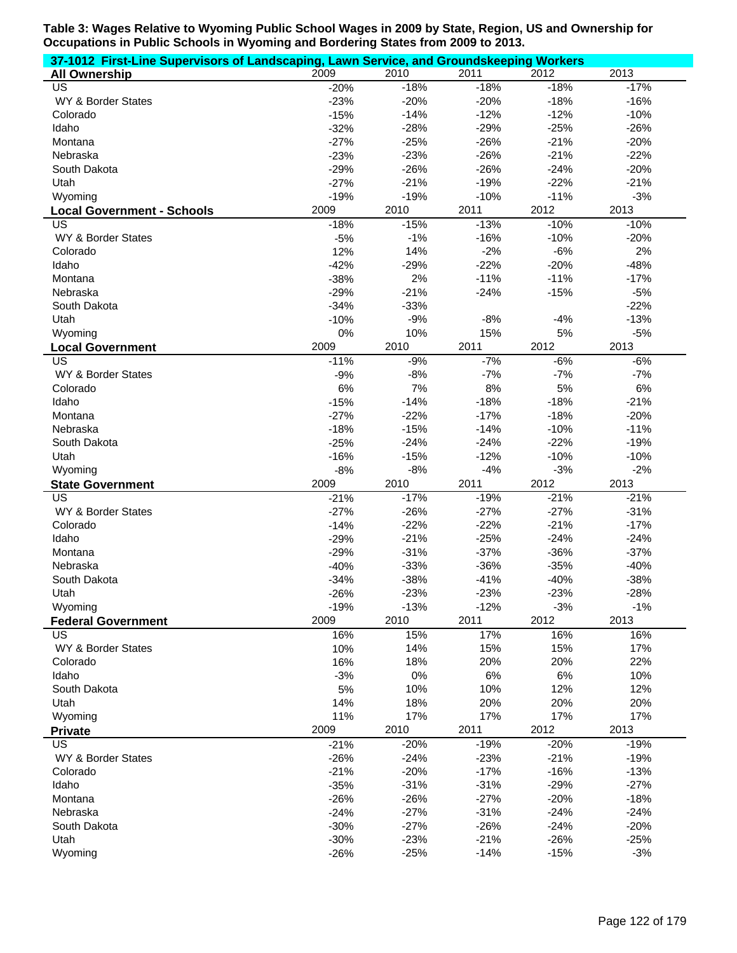| 37-1012 First-Line Supervisors of Landscaping, Lawn Service, and Groundskeeping Workers |        |        |        |        |        |
|-----------------------------------------------------------------------------------------|--------|--------|--------|--------|--------|
| <b>All Ownership</b>                                                                    | 2009   | 2010   | 2011   | 2012   | 2013   |
| US                                                                                      | $-20%$ | $-18%$ | $-18%$ | $-18%$ | $-17%$ |
| WY & Border States                                                                      | $-23%$ | $-20%$ | $-20%$ | $-18%$ | $-16%$ |
| Colorado                                                                                | $-15%$ | $-14%$ | $-12%$ | $-12%$ | $-10%$ |
| Idaho                                                                                   | $-32%$ | $-28%$ | $-29%$ | $-25%$ | $-26%$ |
| Montana                                                                                 | $-27%$ | $-25%$ | $-26%$ | $-21%$ | $-20%$ |
| Nebraska                                                                                | $-23%$ | $-23%$ | $-26%$ | $-21%$ | $-22%$ |
| South Dakota                                                                            | $-29%$ | $-26%$ | $-26%$ | $-24%$ | $-20%$ |
| Utah                                                                                    | $-27%$ | $-21%$ | $-19%$ | $-22%$ | $-21%$ |
| Wyoming                                                                                 | $-19%$ | $-19%$ | $-10%$ | $-11%$ | $-3%$  |
| <b>Local Government - Schools</b>                                                       | 2009   | 2010   | 2011   | 2012   | 2013   |
| US                                                                                      | $-18%$ | $-15%$ | $-13%$ | $-10%$ | $-10%$ |
| WY & Border States                                                                      | $-5%$  | $-1%$  | $-16%$ | $-10%$ | $-20%$ |
| Colorado                                                                                | 12%    | 14%    | $-2%$  | $-6%$  | 2%     |
| Idaho                                                                                   | $-42%$ | $-29%$ | $-22%$ | $-20%$ | $-48%$ |
| Montana                                                                                 | $-38%$ | 2%     | $-11%$ | $-11%$ | $-17%$ |
| Nebraska                                                                                | $-29%$ | $-21%$ | $-24%$ | $-15%$ | $-5%$  |
| South Dakota                                                                            | $-34%$ | $-33%$ |        |        | $-22%$ |
| Utah                                                                                    | $-10%$ | $-9%$  | $-8%$  | $-4%$  | $-13%$ |
| Wyoming                                                                                 | 0%     | 10%    | 15%    | 5%     | $-5%$  |
| <b>Local Government</b>                                                                 | 2009   | 2010   | 2011   | 2012   | 2013   |
| US                                                                                      | $-11%$ | $-9%$  | $-7%$  | $-6%$  | $-6%$  |
| WY & Border States                                                                      | $-9%$  | $-8%$  | $-7%$  | $-7%$  | $-7%$  |
| Colorado                                                                                | 6%     | 7%     | 8%     | 5%     | 6%     |
| Idaho                                                                                   | $-15%$ | $-14%$ | $-18%$ | $-18%$ | $-21%$ |
| Montana                                                                                 | $-27%$ | $-22%$ | $-17%$ | $-18%$ | $-20%$ |
| Nebraska                                                                                | $-18%$ | $-15%$ | $-14%$ | $-10%$ | $-11%$ |
| South Dakota                                                                            | $-25%$ | $-24%$ | $-24%$ | $-22%$ | $-19%$ |
| Utah                                                                                    | $-16%$ | $-15%$ | $-12%$ | $-10%$ | $-10%$ |
| Wyoming                                                                                 | $-8%$  | $-8%$  | $-4%$  | $-3%$  | $-2%$  |
| <b>State Government</b>                                                                 | 2009   | 2010   | 2011   | 2012   | 2013   |
| US                                                                                      | $-21%$ | $-17%$ | $-19%$ | $-21%$ | $-21%$ |
| WY & Border States                                                                      | $-27%$ | $-26%$ | $-27%$ | $-27%$ | $-31%$ |
| Colorado                                                                                | $-14%$ | $-22%$ | $-22%$ | $-21%$ | $-17%$ |
| Idaho                                                                                   | $-29%$ | $-21%$ | $-25%$ | $-24%$ | $-24%$ |
| Montana                                                                                 | $-29%$ | $-31%$ | $-37%$ | $-36%$ | $-37%$ |
| Nebraska                                                                                | $-40%$ | $-33%$ | $-36%$ | $-35%$ | $-40%$ |
| South Dakota                                                                            | $-34%$ | $-38%$ | $-41%$ | $-40%$ | $-38%$ |
| Utah                                                                                    | $-26%$ | $-23%$ | $-23%$ | $-23%$ | $-28%$ |
| Wyoming                                                                                 | $-19%$ | $-13%$ | $-12%$ | $-3%$  | $-1%$  |
| <b>Federal Government</b>                                                               | 2009   | 2010   | 2011   | 2012   | 2013   |
| US                                                                                      | 16%    | 15%    | 17%    | 16%    | 16%    |
| WY & Border States                                                                      | 10%    | 14%    | 15%    | 15%    | 17%    |
| Colorado                                                                                | 16%    | 18%    | 20%    | 20%    | 22%    |
| Idaho                                                                                   | $-3%$  | 0%     | $6\%$  | 6%     | 10%    |
| South Dakota                                                                            | 5%     | 10%    | 10%    | 12%    | 12%    |
| Utah                                                                                    | 14%    | 18%    | 20%    | 20%    | 20%    |
| Wyoming                                                                                 | 11%    | 17%    | 17%    | 17%    | 17%    |
| <b>Private</b>                                                                          | 2009   | 2010   | 2011   | 2012   | 2013   |
| US                                                                                      | $-21%$ | $-20%$ | $-19%$ | $-20%$ | $-19%$ |
| WY & Border States                                                                      | $-26%$ | $-24%$ | $-23%$ | $-21%$ | $-19%$ |
| Colorado                                                                                | $-21%$ | $-20%$ | $-17%$ | $-16%$ | $-13%$ |
| Idaho                                                                                   | $-35%$ | $-31%$ | $-31%$ | $-29%$ | $-27%$ |
| Montana                                                                                 | $-26%$ | $-26%$ | $-27%$ | $-20%$ | $-18%$ |
| Nebraska                                                                                | $-24%$ | $-27%$ | $-31%$ | $-24%$ | $-24%$ |
| South Dakota                                                                            | $-30%$ | $-27%$ | $-26%$ | $-24%$ | $-20%$ |
| Utah                                                                                    | $-30%$ | $-23%$ | $-21%$ | $-26%$ | $-25%$ |
| Wyoming                                                                                 | $-26%$ | $-25%$ | $-14%$ | $-15%$ | $-3%$  |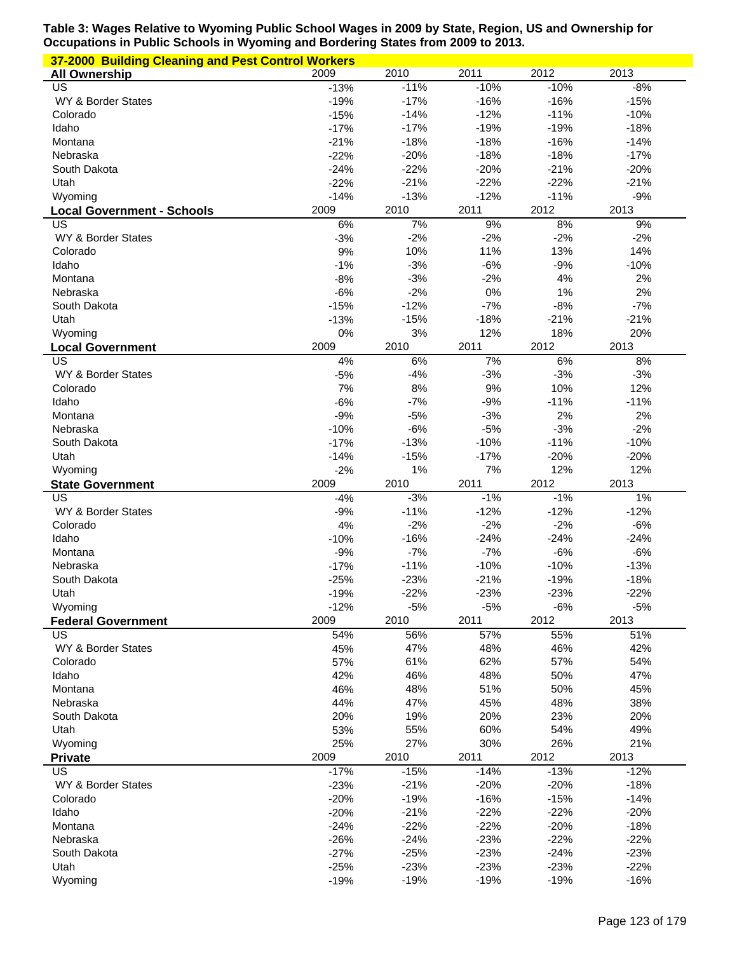| 37-2000 Building Cleaning and Pest Control Workers |                  |                  |                  |                  |                  |
|----------------------------------------------------|------------------|------------------|------------------|------------------|------------------|
| <b>All Ownership</b>                               | 2009             | 2010             | 2011             | 2012             | 2013             |
| US                                                 | $-13%$           | $-11%$           | $-10%$           | $-10%$           | $-8%$            |
| WY & Border States                                 | $-19%$           | $-17%$           | $-16%$           | $-16%$           | $-15%$           |
| Colorado                                           | $-15%$           | $-14%$           | $-12%$           | $-11%$           | $-10%$           |
| Idaho                                              | $-17%$           | $-17%$           | $-19%$           | $-19%$           | $-18%$           |
| Montana                                            | $-21%$           | $-18%$           | $-18%$           | $-16%$           | $-14%$           |
| Nebraska                                           | $-22%$           | $-20%$           | $-18%$           | $-18%$           | $-17%$           |
| South Dakota                                       | $-24%$           | $-22%$           | $-20%$           | $-21%$           | $-20%$           |
| Utah                                               | $-22%$           | $-21%$           | $-22%$           | $-22%$           | $-21%$           |
| Wyoming                                            | $-14%$           | $-13%$           | $-12%$           | $-11%$           | $-9%$            |
| <b>Local Government - Schools</b>                  | 2009             | 2010             | 2011             | 2012             | 2013             |
| US                                                 | 6%               | 7%               | 9%               | 8%               | 9%               |
| WY & Border States<br>Colorado                     | $-3%$<br>9%      | $-2%$<br>10%     | $-2%$<br>11%     | $-2%$<br>13%     | $-2%$<br>14%     |
| Idaho                                              | $-1%$            | $-3%$            | $-6%$            | $-9%$            | $-10%$           |
| Montana                                            | $-8%$            | $-3%$            | $-2%$            | 4%               | 2%               |
| Nebraska                                           | $-6%$            | $-2%$            | 0%               | 1%               | 2%               |
| South Dakota                                       | $-15%$           | $-12%$           | $-7%$            | $-8%$            | $-7%$            |
| Utah                                               | $-13%$           | $-15%$           | $-18%$           | $-21%$           | $-21%$           |
| Wyoming                                            | 0%               | 3%               | 12%              | 18%              | 20%              |
| <b>Local Government</b>                            | 2009             | 2010             | 2011             | 2012             | 2013             |
| US                                                 | 4%               | 6%               | 7%               | 6%               | 8%               |
| WY & Border States                                 | $-5%$            | $-4%$            | $-3%$            | $-3%$            | $-3%$            |
| Colorado                                           | 7%               | 8%               | 9%               | 10%              | 12%              |
| Idaho                                              | $-6%$            | $-7%$            | $-9%$            | $-11%$           | $-11%$           |
| Montana                                            | $-9%$            | $-5%$            | $-3%$            | 2%               | 2%               |
| Nebraska                                           | $-10%$           | $-6%$            | $-5%$            | $-3%$            | $-2%$            |
| South Dakota                                       | $-17%$           | $-13%$           | $-10%$           | $-11%$           | $-10%$           |
| Utah                                               | $-14%$           | $-15%$           | $-17%$           | $-20%$           | $-20%$           |
|                                                    |                  |                  |                  |                  |                  |
|                                                    |                  | 1%               | 7%               | 12%              | 12%              |
| Wyoming<br><b>State Government</b>                 | $-2%$<br>2009    | 2010             | 2011             | 2012             | 2013             |
| US                                                 | $-4%$            | $-3%$            | $-1%$            | $-1%$            | 1%               |
| WY & Border States                                 | $-9%$            | $-11%$           | $-12%$           | $-12%$           | $-12%$           |
| Colorado                                           | 4%               | $-2%$            | $-2%$            | $-2%$            | $-6%$            |
| Idaho                                              | $-10%$           | $-16%$           | $-24%$           | $-24%$           | $-24%$           |
| Montana                                            | $-9%$            | $-7%$            | $-7%$            | $-6%$            | $-6%$            |
| Nebraska                                           | $-17%$           | $-11%$           | $-10%$           | $-10%$           | $-13%$           |
| South Dakota                                       | $-25%$           | $-23%$           | $-21%$           | $-19%$           | $-18%$           |
| Utah                                               | $-19%$           | $-22%$           | $-23%$           | $-23%$           | $-22%$           |
| Wyoming                                            | $-12%$           | $-5%$            | $-5%$            | $-6%$            | $-5%$            |
| <b>Federal Government</b>                          | 2009             | 2010             | 2011             | 2012             | 2013             |
| US                                                 | 54%              | 56%              | 57%              | 55%              | 51%              |
| WY & Border States                                 | 45%              | 47%              | 48%              | 46%              | 42%              |
| Colorado                                           | 57%              | 61%              | 62%              | 57%              | 54%              |
| Idaho                                              | 42%              | 46%              | 48%              | 50%              | 47%              |
| Montana                                            | 46%              | 48%              | 51%              | 50%              | 45%              |
| Nebraska                                           | 44%              | 47%              | 45%              | 48%              | 38%              |
| South Dakota                                       | 20%              | 19%              | 20%              | 23%              | 20%              |
| Utah                                               | 53%              | 55%              | 60%              | 54%              | 49%              |
| Wyoming                                            | 25%              | 27%              | 30%              | 26%              | 21%              |
| <b>Private</b>                                     | 2009             | 2010             | 2011             | 2012             | 2013             |
| US                                                 | $-17%$           | $-15%$           | $-14%$           | $-13%$           | $-12%$           |
| WY & Border States                                 | $-23%$           | $-21%$           | $-20%$           | $-20%$           | $-18%$           |
| Colorado                                           | $-20%$           | $-19%$           | $-16%$           | $-15%$           | $-14%$           |
| Idaho<br>Montana                                   | $-20%$           | $-21%$           | $-22%$           | $-22%$           | $-20%$           |
| Nebraska                                           | $-24%$           | $-22%$<br>$-24%$ | $-22%$           | $-20%$<br>$-22%$ | $-18%$<br>$-22%$ |
| South Dakota                                       | $-26%$<br>$-27%$ | $-25%$           | $-23%$<br>$-23%$ | $-24%$           | $-23%$           |
| Utah                                               | $-25%$           | $-23%$           | $-23%$           | $-23%$           | $-22%$           |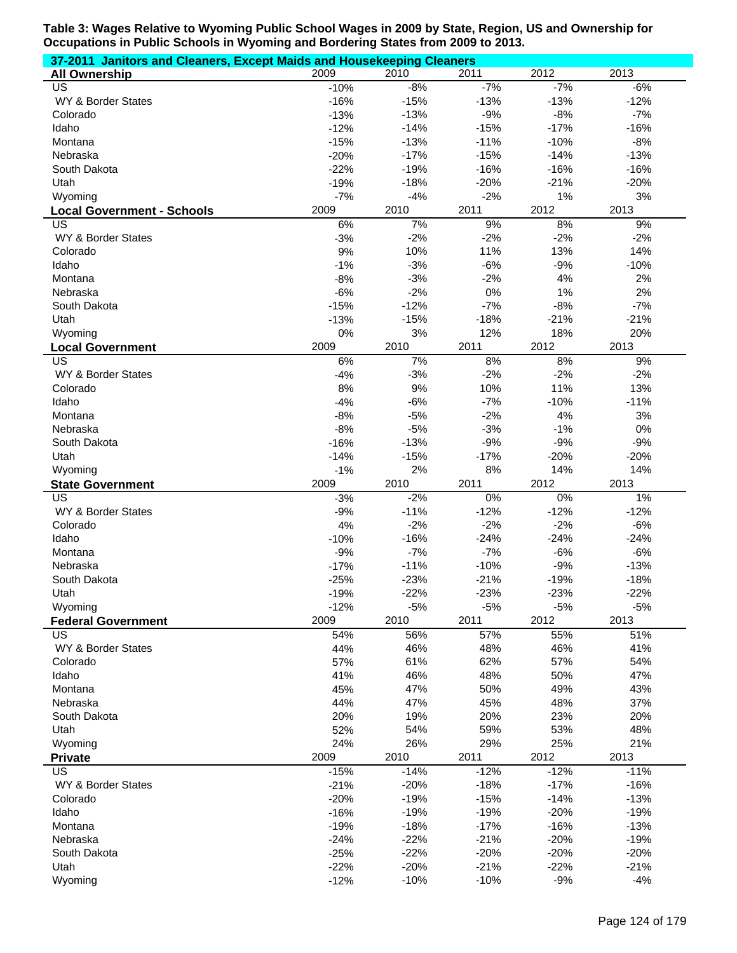| 37-2011 Janitors and Cleaners, Except Maids and Housekeeping Cleaners |                  |                  |                  |                  |                  |  |  |
|-----------------------------------------------------------------------|------------------|------------------|------------------|------------------|------------------|--|--|
| <b>All Ownership</b>                                                  | 2009             | 2010             | 2011             | 2012             | 2013             |  |  |
| US                                                                    | $-10%$           | $-8%$            | $-7%$            | $-7%$            | $-6%$            |  |  |
| WY & Border States                                                    | $-16%$           | $-15%$           | $-13%$           | $-13%$           | $-12%$           |  |  |
| Colorado                                                              | $-13%$           | $-13%$           | $-9%$            | $-8%$            | $-7%$            |  |  |
| Idaho                                                                 | $-12%$           | $-14%$           | $-15%$           | $-17%$           | $-16%$           |  |  |
| Montana                                                               | $-15%$           | $-13%$           | $-11%$           | $-10%$           | $-8%$            |  |  |
| Nebraska                                                              | $-20%$           | $-17%$           | $-15%$           | $-14%$           | $-13%$           |  |  |
| South Dakota                                                          | $-22%$           | $-19%$           | $-16%$           | $-16%$           | $-16%$           |  |  |
| Utah                                                                  | $-19%$           | $-18%$           | $-20%$           | $-21%$           | $-20%$           |  |  |
| Wyoming                                                               | $-7%$            | $-4%$            | $-2%$            | 1%               | 3%               |  |  |
| <b>Local Government - Schools</b>                                     | 2009             | 2010             | 2011             | 2012             | 2013             |  |  |
| US<br>WY & Border States                                              | 6%<br>$-3%$      | 7%<br>$-2%$      | 9%<br>$-2%$      | 8%<br>$-2%$      | 9%               |  |  |
| Colorado                                                              | 9%               | 10%              | 11%              | 13%              | $-2%$<br>14%     |  |  |
| Idaho                                                                 | $-1%$            | $-3%$            | $-6%$            | $-9%$            | $-10%$           |  |  |
| Montana                                                               | $-8%$            | $-3%$            | $-2%$            | 4%               | 2%               |  |  |
| Nebraska                                                              | $-6%$            | $-2%$            | 0%               | 1%               | 2%               |  |  |
| South Dakota                                                          | $-15%$           | $-12%$           | $-7%$            | $-8%$            | $-7%$            |  |  |
| Utah                                                                  | $-13%$           | $-15%$           | $-18%$           | $-21%$           | $-21%$           |  |  |
| Wyoming                                                               | 0%               | 3%               | 12%              | 18%              | 20%              |  |  |
| <b>Local Government</b>                                               | 2009             | 2010             | 2011             | 2012             | 2013             |  |  |
| US                                                                    | 6%               | 7%               | 8%               | 8%               | 9%               |  |  |
| WY & Border States                                                    | $-4%$            | $-3%$            | $-2%$            | $-2%$            | $-2%$            |  |  |
| Colorado                                                              | 8%               | 9%               | 10%              | 11%              | 13%              |  |  |
| Idaho                                                                 | $-4%$            | $-6%$            | $-7%$            | $-10%$           | $-11%$           |  |  |
| Montana                                                               | $-8%$            | $-5%$            | $-2%$            | 4%               | 3%               |  |  |
| Nebraska                                                              | $-8%$            | $-5%$            | $-3%$            | $-1%$            | 0%               |  |  |
| South Dakota                                                          | $-16%$           | $-13%$           | $-9%$            | $-9%$            | $-9%$            |  |  |
|                                                                       |                  | $-15%$           | $-17%$           | $-20%$           | $-20%$           |  |  |
| Utah                                                                  | $-14%$           |                  |                  |                  |                  |  |  |
| Wyoming                                                               | $-1%$            | 2%               | 8%               | 14%              | 14%              |  |  |
| <b>State Government</b>                                               | 2009             | 2010             | 2011             | 2012             | 2013             |  |  |
| US                                                                    | $-3%$            | $-2%$            | $0\%$            | 0%               | $1\%$            |  |  |
| WY & Border States                                                    | $-9%$            | $-11%$           | $-12%$           | $-12%$           | $-12%$           |  |  |
| Colorado                                                              | 4%               | $-2%$            | $-2%$            | $-2%$            | $-6%$            |  |  |
| Idaho                                                                 | $-10%$           | $-16%$           | $-24%$           | $-24%$           | $-24%$           |  |  |
| Montana                                                               | $-9%$            | $-7%$            | $-7%$            | $-6%$            | $-6%$            |  |  |
| Nebraska                                                              | $-17%$           | $-11%$           | $-10%$           | $-9%$            | $-13%$           |  |  |
| South Dakota                                                          | $-25%$           | $-23%$           | $-21%$           | $-19%$           | $-18%$           |  |  |
| Utah                                                                  | $-19%$           | $-22%$           | $-23%$           | $-23%$           | $-22%$           |  |  |
| Wyoming                                                               | $-12%$           | $-5%$            | $-5%$            | $-5%$            | $-5%$            |  |  |
| <b>Federal Government</b>                                             | 2009             | 2010             | 2011             | 2012             | 2013             |  |  |
| US                                                                    | 54%              | 56%              | 57%              | 55%              | 51%              |  |  |
| WY & Border States                                                    | 44%              | 46%              | 48%              | 46%              | 41%              |  |  |
| Colorado                                                              | 57%              | 61%              | 62%              | 57%              | 54%              |  |  |
| Idaho                                                                 | 41%              | 46%              | 48%              | 50%              | 47%              |  |  |
| Montana                                                               | 45%              | 47%              | 50%              | 49%              | 43%              |  |  |
| Nebraska                                                              | 44%              | 47%              | 45%              | 48%              | 37%              |  |  |
| South Dakota                                                          | 20%              | 19%              | 20%              | 23%              | 20%              |  |  |
| Utah                                                                  | 52%              | 54%              | 59%              | 53%              | 48%              |  |  |
| Wyoming                                                               | 24%              | 26%              | 29%              | 25%              | 21%              |  |  |
| <b>Private</b>                                                        | 2009             | 2010             | 2011             | 2012             | 2013             |  |  |
| US                                                                    | $-15%$           | $-14%$           | $-12%$           | $-12%$           | $-11%$           |  |  |
| WY & Border States                                                    | $-21%$           | $-20%$           | $-18%$           | $-17%$           | $-16%$           |  |  |
| Colorado                                                              | $-20%$           | $-19%$           | $-15%$           | $-14%$           | $-13%$           |  |  |
| Idaho<br>Montana                                                      | $-16%$           | $-19%$           | $-19%$           | $-20%$           | $-19%$           |  |  |
| Nebraska                                                              | $-19%$           | $-18%$           | $-17%$           | $-16%$           | $-13%$           |  |  |
| South Dakota                                                          | $-24%$           | $-22%$<br>$-22%$ | $-21%$<br>$-20%$ | $-20%$<br>$-20%$ | $-19%$<br>$-20%$ |  |  |
| Utah                                                                  | $-25%$<br>$-22%$ | $-20%$           | $-21%$           | $-22%$           | $-21%$           |  |  |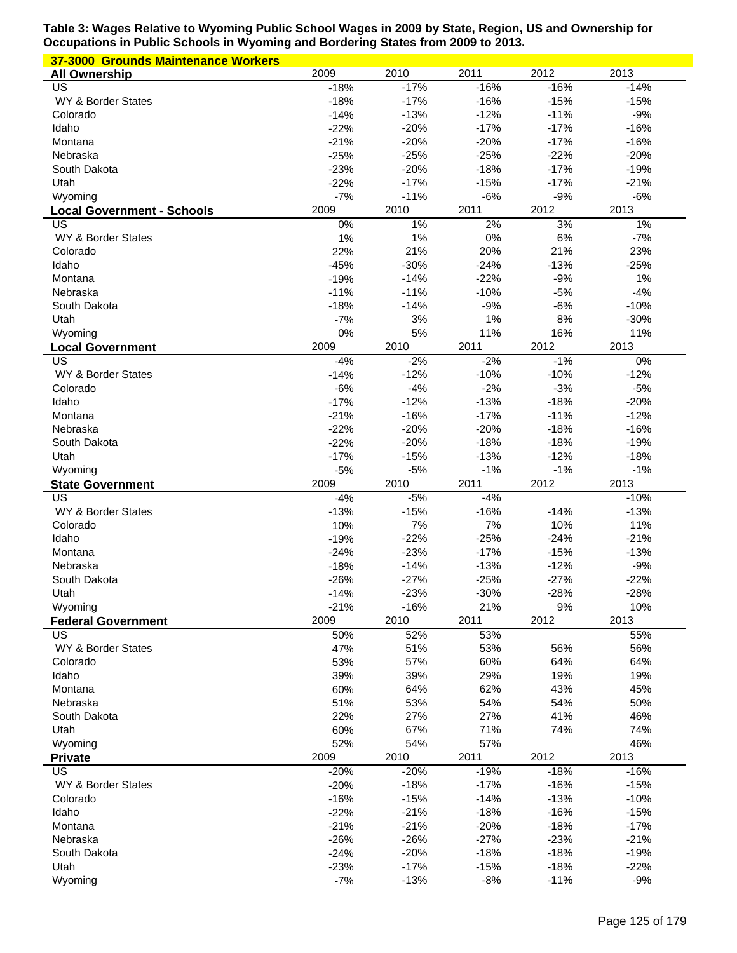| 37-3000 Grounds Maintenance Workers     |                  |                  |                  |                  |                  |
|-----------------------------------------|------------------|------------------|------------------|------------------|------------------|
| <b>All Ownership</b>                    | 2009             | 2010             | 2011             | 2012             | 2013             |
| US                                      | $-18%$           | $-17%$           | $-16%$           | $-16%$           | $-14%$           |
| WY & Border States                      | $-18%$           | $-17%$           | $-16%$           | $-15%$           | $-15%$           |
| Colorado                                | $-14%$           | $-13%$           | $-12%$           | $-11%$           | $-9%$            |
| Idaho                                   | $-22%$           | $-20%$           | $-17%$           | $-17%$           | $-16%$           |
| Montana                                 | $-21%$           | $-20%$           | $-20%$           | $-17%$           | $-16%$           |
| Nebraska                                | $-25%$           | $-25%$           | $-25%$           | $-22%$           | $-20%$           |
| South Dakota                            | $-23%$           | $-20%$           | $-18%$           | $-17%$           | $-19%$           |
| Utah                                    | $-22%$<br>$-7%$  | $-17%$<br>$-11%$ | $-15%$<br>$-6%$  | $-17%$<br>$-9%$  | $-21%$<br>$-6%$  |
| Wyoming                                 | 2009             | 2010             | 2011             | 2012             | 2013             |
| <b>Local Government - Schools</b><br>US | 0%               | 1%               | 2%               | 3%               | 1%               |
| WY & Border States                      | 1%               | 1%               | 0%               | 6%               | $-7%$            |
| Colorado                                | 22%              | 21%              | 20%              | 21%              | 23%              |
| Idaho                                   | $-45%$           | $-30%$           | $-24%$           | $-13%$           | $-25%$           |
| Montana                                 | $-19%$           | $-14%$           | $-22%$           | $-9%$            | 1%               |
| Nebraska                                | $-11%$           | $-11%$           | $-10%$           | $-5%$            | $-4%$            |
| South Dakota                            | $-18%$           | $-14%$           | $-9%$            | $-6%$            | $-10%$           |
| Utah                                    | $-7%$            | 3%               | 1%               | 8%               | $-30%$           |
| Wyoming                                 | 0%               | 5%               | 11%              | 16%              | 11%              |
| <b>Local Government</b>                 | 2009             | 2010             | 2011             | 2012             | 2013             |
| US                                      | $-4%$            | $-2%$            | $-2%$            | $-1%$            | 0%               |
| WY & Border States                      | $-14%$           | $-12%$           | $-10%$           | $-10%$           | $-12%$           |
| Colorado                                | $-6%$            | $-4%$            | $-2%$            | $-3%$            | $-5%$            |
| Idaho                                   | $-17%$           | $-12%$           | $-13%$           | $-18%$           | $-20%$           |
| Montana                                 | $-21%$           | $-16%$           | $-17%$           | $-11%$           | $-12%$           |
| Nebraska                                | $-22%$           | $-20%$           | $-20%$           | $-18%$           | $-16%$           |
| South Dakota                            | $-22%$           | $-20%$           | $-18%$           | $-18%$           | $-19%$           |
| Utah                                    | $-17%$           | $-15%$           | $-13%$           | $-12%$           | $-18%$           |
| Wyoming                                 | $-5%$            | $-5%$            | $-1%$            | $-1%$            | $-1%$            |
|                                         |                  |                  |                  |                  |                  |
| <b>State Government</b>                 | 2009             | 2010             | 2011             | 2012             | 2013             |
| US                                      | $-4%$            | $-5%$            | $-4%$            |                  | $-10%$           |
| WY & Border States                      | $-13%$           | $-15%$           | $-16%$           | $-14%$           | $-13%$           |
| Colorado                                | 10%              | 7%               | 7%               | 10%              | 11%              |
| Idaho<br>Montana                        | $-19%$           | $-22%$<br>$-23%$ | $-25%$<br>$-17%$ | $-24%$<br>$-15%$ | $-21%$<br>$-13%$ |
| Nebraska                                | $-24%$<br>$-18%$ | $-14%$           | $-13%$           | $-12%$           | $-9%$            |
| South Dakota                            | $-26%$           | $-27%$           | $-25%$           | $-27%$           | $-22%$           |
| Utah                                    | $-14%$           | $-23%$           | $-30%$           | $-28%$           | $-28%$           |
| Wyoming                                 | $-21%$           | $-16%$           | 21%              | 9%               | 10%              |
| <b>Federal Government</b>               | 2009             | 2010             | 2011             | 2012             | 2013             |
| US                                      | 50%              | 52%              | 53%              |                  | 55%              |
| WY & Border States                      | 47%              | 51%              | 53%              | 56%              | 56%              |
| Colorado                                | 53%              | 57%              | 60%              | 64%              | 64%              |
| Idaho                                   | 39%              | 39%              | 29%              | 19%              | 19%              |
| Montana                                 | 60%              | 64%              | 62%              | 43%              | 45%              |
| Nebraska                                | 51%              | 53%              | 54%              | 54%              | 50%              |
| South Dakota                            | 22%              | 27%              | 27%              | 41%              | 46%              |
| Utah                                    | 60%              | 67%              | 71%              | 74%              | 74%              |
| Wyoming                                 | 52%              | 54%              | 57%              |                  | 46%              |
| <b>Private</b>                          | 2009             | 2010             | 2011             | 2012             | 2013             |
| US                                      | $-20%$           | $-20%$           | $-19%$           | $-18%$           | $-16%$           |
| WY & Border States                      | $-20%$           | $-18%$           | $-17%$           | $-16%$           | $-15%$           |
| Colorado                                | $-16%$           | $-15%$           | $-14%$           | $-13%$           | $-10%$           |
| Idaho<br>Montana                        | $-22%$           | $-21%$           | $-18%$           | $-16%$           | $-15%$           |
| Nebraska                                | $-21%$           | $-21%$<br>$-26%$ | $-20%$<br>$-27%$ | $-18%$<br>$-23%$ | $-17%$<br>$-21%$ |
| South Dakota                            | $-26%$<br>$-24%$ | $-20%$           | $-18%$           | $-18%$           | $-19%$           |
| Utah                                    | $-23%$           | $-17%$           | $-15%$           | $-18%$           | $-22%$           |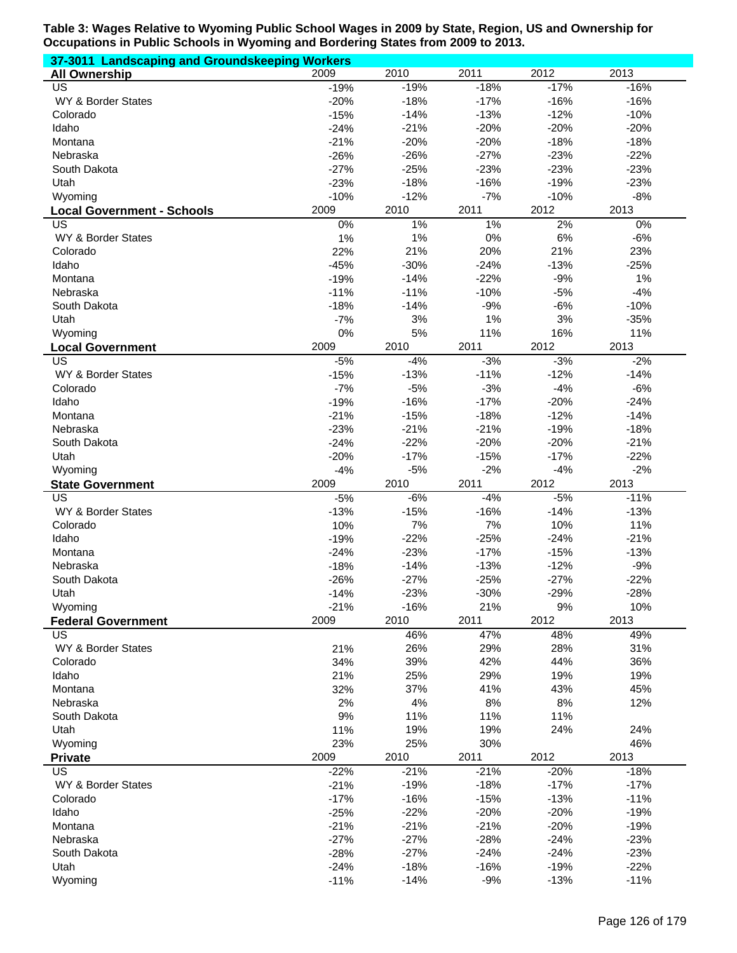| 37-3011 Landscaping and Groundskeeping Workers      |                  |                  |                 |                  |                  |
|-----------------------------------------------------|------------------|------------------|-----------------|------------------|------------------|
| <b>All Ownership</b>                                | 2009             | 2010             | 2011            | 2012             | 2013             |
| <b>US</b>                                           | $-19%$           | $-19%$           | $-18%$          | $-17%$           | $-16%$           |
| WY & Border States                                  | $-20%$           | $-18%$           | $-17%$          | $-16%$           | $-16%$           |
| Colorado                                            | $-15%$           | $-14%$           | $-13%$          | $-12%$           | $-10%$           |
| Idaho                                               | $-24%$           | $-21%$           | $-20%$          | $-20%$           | $-20%$           |
| Montana                                             | $-21%$           | $-20%$           | $-20%$          | $-18%$           | $-18%$           |
| Nebraska                                            | $-26%$           | $-26%$           | $-27%$          | $-23%$           | $-22%$           |
| South Dakota                                        | $-27%$           | $-25%$           | $-23%$          | $-23%$           | $-23%$           |
| Utah                                                | $-23%$           | $-18%$           | $-16%$          | $-19%$           | $-23%$           |
| Wyoming                                             | $-10%$           | $-12%$           | $-7%$           | $-10%$           | $-8%$            |
| <b>Local Government - Schools</b>                   | 2009             | 2010             | 2011            | 2012             | 2013             |
| US                                                  | 0%               | $1\%$            | $1\%$           | 2%               | 0%               |
| WY & Border States                                  | 1%               | 1%               | 0%              | 6%               | $-6%$            |
| Colorado                                            | 22%              | 21%              | 20%             | 21%              | 23%              |
| Idaho                                               | $-45%$           | $-30%$           | $-24%$          | $-13%$           | $-25%$           |
| Montana                                             | $-19%$           | $-14%$           | $-22%$          | $-9%$            | 1%               |
| Nebraska                                            | $-11%$           | $-11%$<br>$-14%$ | $-10%$          | $-5%$<br>$-6%$   | $-4%$            |
| South Dakota                                        | $-18%$           |                  | $-9%$           |                  | $-10%$           |
| Utah                                                | $-7%$<br>0%      | 3%               | 1%              | 3%               | $-35%$           |
| Wyoming                                             | 2009             | 5%<br>2010       | 11%<br>2011     | 16%<br>2012      | 11%<br>2013      |
| <b>Local Government</b><br>$\overline{\mathsf{US}}$ | $-5%$            | $-4%$            | $-3%$           | $-3%$            | $-2%$            |
| WY & Border States                                  |                  | $-13%$           | $-11%$          | $-12%$           | $-14%$           |
| Colorado                                            | $-15%$<br>$-7%$  | $-5%$            | $-3%$           | $-4%$            | $-6%$            |
| Idaho                                               | $-19%$           | $-16%$           | $-17%$          | $-20%$           | $-24%$           |
| Montana                                             | $-21%$           | $-15%$           | $-18%$          | $-12%$           | $-14%$           |
| Nebraska                                            | $-23%$           | $-21%$           | $-21%$          | $-19%$           | $-18%$           |
| South Dakota                                        | $-24%$           | $-22%$           | $-20%$          | $-20%$           | $-21%$           |
| Utah                                                | $-20%$           | $-17%$           | $-15%$          | $-17%$           | $-22%$           |
| Wyoming                                             | $-4%$            | $-5%$            | $-2%$           | $-4%$            | $-2%$            |
|                                                     |                  |                  |                 |                  |                  |
|                                                     |                  |                  |                 |                  |                  |
| <b>State Government</b>                             | 2009             | 2010             | 2011            | 2012             | 2013             |
| $\overline{US}$                                     | $-5%$            | $-6%$            | $-4%$           | $-5%$            | $-11%$           |
| WY & Border States                                  | $-13%$           | $-15%$           | $-16%$          | $-14%$           | $-13%$           |
| Colorado                                            | 10%              | 7%               | 7%              | 10%              | 11%              |
| Idaho<br>Montana                                    | $-19%$           | $-22%$           | $-25%$          | $-24%$           | $-21%$           |
| Nebraska                                            | $-24%$           | $-23%$           | $-17%$          | $-15%$           | $-13%$           |
| South Dakota                                        | $-18%$           | $-14%$           | $-13%$          | $-12%$           | $-9%$            |
|                                                     | $-26%$           | $-27%$           | $-25%$          | $-27%$           | $-22%$           |
| Utah<br>Wyoming                                     | $-14%$           | $-23%$<br>$-16%$ | $-30%$<br>21%   | $-29%$<br>9%     | $-28%$<br>10%    |
|                                                     | $-21%$<br>2009   | 2010             | 2011            | 2012             | 2013             |
| <b>Federal Government</b><br><b>US</b>              |                  | 46%              | 47%             | 48%              | 49%              |
| WY & Border States                                  | 21%              | 26%              | 29%             | 28%              | 31%              |
| Colorado                                            | 34%              | 39%              | 42%             | 44%              | 36%              |
| Idaho                                               | 21%              | 25%              | 29%             | 19%              | 19%              |
| Montana                                             | 32%              | 37%              | 41%             | 43%              | 45%              |
| Nebraska                                            | 2%               | 4%               | 8%              | 8%               | 12%              |
| South Dakota                                        | 9%               | 11%              | 11%             | 11%              |                  |
| Utah                                                | 11%              | 19%              | 19%             | 24%              | 24%              |
| Wyoming                                             | 23%              | 25%              | 30%             |                  | 46%              |
| <b>Private</b>                                      | 2009             | 2010             | 2011            | 2012             | 2013             |
| <b>US</b>                                           | $-22%$           | $-21%$           | $-21%$          | $-20%$           | $-18%$           |
| WY & Border States                                  | $-21%$           | $-19%$           | $-18%$          | $-17%$           | $-17%$           |
| Colorado                                            | $-17%$           | $-16%$           | $-15%$          | $-13%$           | $-11%$           |
| Idaho                                               | $-25%$           | $-22%$           | $-20%$          | $-20%$           | $-19%$           |
| Montana                                             | $-21%$           | $-21%$           | $-21%$          | $-20%$           | $-19%$           |
| Nebraska                                            | $-27%$           | $-27%$           | $-28%$          | $-24%$           | $-23%$           |
| South Dakota                                        | $-28%$           | $-27%$           | $-24%$          | $-24%$           | $-23%$           |
| Utah<br>Wyoming                                     | $-24%$<br>$-11%$ | $-18%$<br>$-14%$ | $-16%$<br>$-9%$ | $-19%$<br>$-13%$ | $-22%$<br>$-11%$ |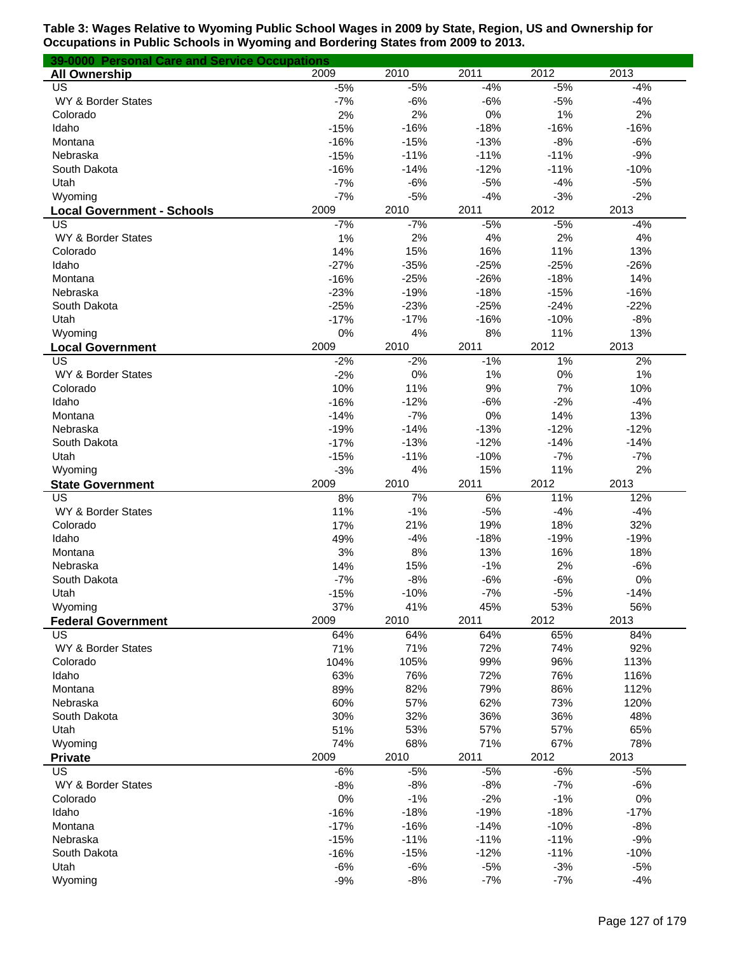| 39-0000 Personal Care and Service Occupations |        |        |        |        |        |
|-----------------------------------------------|--------|--------|--------|--------|--------|
| <b>All Ownership</b>                          | 2009   | 2010   | 2011   | 2012   | 2013   |
| US                                            | $-5%$  | $-5%$  | $-4%$  | $-5%$  | $-4%$  |
| WY & Border States                            | $-7%$  | $-6%$  | $-6%$  | $-5%$  | $-4%$  |
| Colorado                                      | 2%     | 2%     | $0\%$  | 1%     | 2%     |
| Idaho                                         | $-15%$ | $-16%$ | $-18%$ | $-16%$ | $-16%$ |
| Montana                                       | $-16%$ | $-15%$ | $-13%$ | $-8%$  | $-6%$  |
| Nebraska                                      | $-15%$ | $-11%$ | $-11%$ | $-11%$ | $-9%$  |
| South Dakota                                  | $-16%$ | $-14%$ | $-12%$ | $-11%$ | $-10%$ |
| Utah                                          | $-7%$  | $-6%$  | $-5%$  | $-4%$  | $-5%$  |
| Wyoming                                       | $-7%$  | $-5%$  | $-4%$  | $-3%$  | $-2%$  |
| <b>Local Government - Schools</b>             | 2009   | 2010   | 2011   | 2012   | 2013   |
| US                                            | $-7%$  | $-7%$  | $-5%$  | $-5%$  | $-4%$  |
| WY & Border States                            | 1%     | 2%     | 4%     | 2%     | 4%     |
| Colorado                                      | 14%    | 15%    | 16%    | 11%    | 13%    |
| Idaho                                         | $-27%$ | $-35%$ | $-25%$ | $-25%$ | $-26%$ |
| Montana                                       | $-16%$ | $-25%$ | $-26%$ | $-18%$ | 14%    |
| Nebraska                                      | $-23%$ | $-19%$ | $-18%$ | $-15%$ | $-16%$ |
| South Dakota                                  | $-25%$ | $-23%$ | $-25%$ | $-24%$ | $-22%$ |
| Utah                                          | $-17%$ | $-17%$ | $-16%$ | $-10%$ | $-8%$  |
| Wyoming                                       | 0%     | 4%     | 8%     | 11%    | 13%    |
| <b>Local Government</b>                       | 2009   | 2010   | 2011   | 2012   | 2013   |
| US                                            | $-2%$  | $-2%$  | $-1%$  | 1%     | 2%     |
| WY & Border States                            | $-2%$  | 0%     | 1%     | 0%     | 1%     |
| Colorado                                      | 10%    | 11%    | 9%     | 7%     | 10%    |
| Idaho                                         | $-16%$ | $-12%$ | $-6%$  | $-2%$  | $-4%$  |
| Montana                                       | $-14%$ | $-7%$  | 0%     | 14%    | 13%    |
| Nebraska                                      | $-19%$ | $-14%$ | $-13%$ | $-12%$ | $-12%$ |
| South Dakota                                  | $-17%$ | $-13%$ | $-12%$ | $-14%$ | $-14%$ |
| Utah                                          | $-15%$ | $-11%$ | $-10%$ | $-7%$  | $-7%$  |
| Wyoming                                       | $-3%$  | 4%     | 15%    | 11%    | 2%     |
| <b>State Government</b>                       | 2009   | 2010   | 2011   | 2012   | 2013   |
| US                                            | 8%     | 7%     | 6%     | 11%    | 12%    |
| WY & Border States                            | 11%    | $-1%$  | $-5%$  | $-4%$  | $-4%$  |
| Colorado                                      | 17%    | 21%    | 19%    | 18%    | 32%    |
| Idaho                                         | 49%    | $-4%$  | $-18%$ | $-19%$ | $-19%$ |
| Montana                                       | 3%     | 8%     | 13%    | 16%    | 18%    |
| Nebraska                                      | 14%    | 15%    | $-1%$  | 2%     | $-6%$  |
| South Dakota                                  | $-7%$  | $-8%$  | $-6%$  | $-6%$  | 0%     |
| Utah                                          | $-15%$ | $-10%$ | $-7%$  | $-5%$  | $-14%$ |
| Wyoming                                       | 37%    | 41%    | 45%    | 53%    | 56%    |
| <b>Federal Government</b>                     | 2009   | 2010   | 2011   | 2012   | 2013   |
| US                                            | 64%    | 64%    | 64%    | 65%    | 84%    |
| WY & Border States                            | 71%    | 71%    | 72%    | 74%    | 92%    |
| Colorado                                      | 104%   | 105%   | 99%    | 96%    | 113%   |
| Idaho                                         | 63%    | 76%    | 72%    | 76%    | 116%   |
| Montana                                       | 89%    | 82%    | 79%    | 86%    | 112%   |
| Nebraska                                      | 60%    | 57%    | 62%    | 73%    | 120%   |
| South Dakota                                  | 30%    | 32%    | 36%    | 36%    | 48%    |
| Utah                                          | 51%    | 53%    | 57%    | 57%    | 65%    |
| Wyoming                                       | 74%    | 68%    | 71%    | 67%    | 78%    |
| <b>Private</b>                                | 2009   | 2010   | 2011   | 2012   | 2013   |
| US                                            | $-6%$  | $-5%$  | $-5%$  | $-6%$  | $-5%$  |
| WY & Border States                            | $-8%$  | $-8%$  | $-8%$  | $-7%$  | $-6%$  |
| Colorado                                      | 0%     | $-1%$  | $-2%$  | $-1%$  | 0%     |
| Idaho                                         | $-16%$ | $-18%$ | $-19%$ | $-18%$ | $-17%$ |
| Montana                                       | $-17%$ | $-16%$ | $-14%$ | $-10%$ | $-8%$  |
| Nebraska                                      | $-15%$ | $-11%$ | $-11%$ | $-11%$ | $-9%$  |
| South Dakota                                  | $-16%$ | $-15%$ | $-12%$ | $-11%$ | $-10%$ |
| Utah                                          | $-6%$  | $-6%$  | $-5%$  | $-3%$  | $-5%$  |
| Wyoming                                       | $-9%$  | $-8%$  | $-7%$  | $-7%$  | $-4%$  |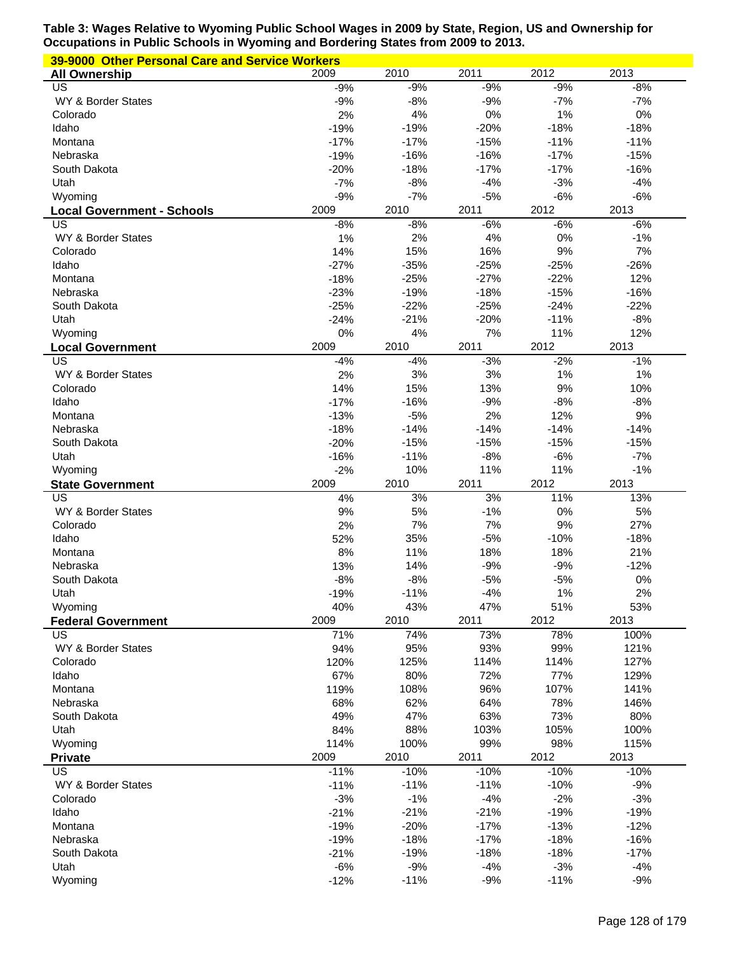| 39-9000 Other Personal Care and Service Workers |                 |              |             |             |              |  |  |
|-------------------------------------------------|-----------------|--------------|-------------|-------------|--------------|--|--|
| <b>All Ownership</b>                            | 2009            | 2010         | 2011        | 2012        | 2013         |  |  |
| US                                              | $-9%$           | $-9%$        | $-9%$       | $-9%$       | $-8%$        |  |  |
| WY & Border States                              | $-9%$           | $-8%$        | $-9%$       | $-7%$       | $-7%$        |  |  |
| Colorado                                        | 2%              | 4%           | 0%          | 1%          | 0%           |  |  |
| Idaho                                           | $-19%$          | $-19%$       | $-20%$      | $-18%$      | $-18%$       |  |  |
| Montana                                         | $-17%$          | $-17%$       | $-15%$      | $-11%$      | $-11%$       |  |  |
| Nebraska                                        | $-19%$          | $-16%$       | $-16%$      | $-17%$      | $-15%$       |  |  |
| South Dakota                                    | $-20%$          | $-18%$       | $-17%$      | $-17%$      | $-16%$       |  |  |
| Utah                                            | $-7%$           | $-8%$        | $-4%$       | $-3%$       | $-4%$        |  |  |
| Wyoming                                         | $-9%$           | $-7%$        | $-5%$       | $-6%$       | $-6%$        |  |  |
| <b>Local Government - Schools</b>               | 2009            | 2010         | 2011        | 2012        | 2013         |  |  |
| US                                              | $-8%$           | $-8%$<br>2%  | $-6%$<br>4% | $-6%$<br>0% | $-6%$        |  |  |
| WY & Border States<br>Colorado                  | 1%<br>14%       | 15%          | 16%         | $9%$        | $-1%$<br>7%  |  |  |
| Idaho                                           | $-27%$          | $-35%$       | $-25%$      | $-25%$      | $-26%$       |  |  |
| Montana                                         | $-18%$          | $-25%$       | $-27%$      | $-22%$      | 12%          |  |  |
| Nebraska                                        | $-23%$          | $-19%$       | $-18%$      | $-15%$      | $-16%$       |  |  |
| South Dakota                                    | $-25%$          | $-22%$       | $-25%$      | $-24%$      | $-22%$       |  |  |
| Utah                                            | $-24%$          | $-21%$       | $-20%$      | $-11%$      | $-8%$        |  |  |
| Wyoming                                         | 0%              | 4%           | 7%          | 11%         | 12%          |  |  |
| <b>Local Government</b>                         | 2009            | 2010         | 2011        | 2012        | 2013         |  |  |
| US                                              | $-4%$           | $-4%$        | $-3%$       | $-2%$       | $-1%$        |  |  |
| WY & Border States                              | 2%              | 3%           | 3%          | 1%          | 1%           |  |  |
| Colorado                                        | 14%             | 15%          | 13%         | 9%          | 10%          |  |  |
| Idaho                                           | $-17%$          | $-16%$       | $-9%$       | $-8%$       | $-8%$        |  |  |
| Montana                                         | $-13%$          | $-5%$        | 2%          | 12%         | 9%           |  |  |
| Nebraska                                        | $-18%$          | $-14%$       | $-14%$      | $-14%$      | $-14%$       |  |  |
| South Dakota                                    | $-20%$          | $-15%$       | $-15%$      | $-15%$      | $-15%$       |  |  |
| Utah                                            | $-16%$          | $-11%$       | $-8%$       | $-6%$       | $-7%$        |  |  |
| Wyoming                                         | $-2%$           | 10%          | 11%         | 11%         | $-1%$        |  |  |
|                                                 |                 |              |             |             |              |  |  |
| <b>State Government</b>                         | 2009            | 2010         | 2011        | 2012        | 2013         |  |  |
| US                                              | 4%              | 3%           | 3%          | 11%         | 13%          |  |  |
| WY & Border States                              | 9%              | 5%           | $-1%$       | $0\%$       | 5%           |  |  |
| Colorado                                        | 2%              | 7%           | 7%          | 9%          | 27%          |  |  |
| Idaho                                           | 52%             | 35%          | $-5%$       | $-10%$      | $-18%$       |  |  |
| Montana                                         | 8%              | 11%          | 18%         | 18%         | 21%          |  |  |
| Nebraska                                        | 13%             | 14%          | $-9%$       | $-9%$       | $-12%$       |  |  |
| South Dakota                                    | $-8%$           | $-8%$        | $-5%$       | $-5%$       | 0%           |  |  |
| Utah                                            | $-19%$          | $-11%$       | $-4%$       | $1\%$       | $2\%$        |  |  |
| Wyoming                                         | 40%             | 43%          | 47%         | 51%         | 53%          |  |  |
| <b>Federal Government</b>                       | 2009            | 2010         | 2011        | 2012        | 2013         |  |  |
| US                                              | 71%             | 74%          | 73%         | 78%         | 100%         |  |  |
| WY & Border States                              | 94%             | 95%          | 93%         | 99%         | 121%         |  |  |
| Colorado                                        | 120%            | 125%         | 114%        | 114%        | 127%         |  |  |
| Idaho                                           | 67%             | 80%          | 72%         | 77%         | 129%         |  |  |
| Montana                                         | 119%            | 108%         | 96%         | 107%        | 141%         |  |  |
| Nebraska                                        | 68%             | 62%          | 64%         | 78%         | 146%         |  |  |
| South Dakota                                    | 49%             | 47%          | 63%         | 73%         | 80%          |  |  |
| Utah                                            | 84%             | 88%          | 103%        | 105%        | 100%         |  |  |
| Wyoming<br><b>Private</b>                       | 114%<br>2009    | 100%<br>2010 | 99%<br>2011 | 98%<br>2012 | 115%<br>2013 |  |  |
| $\overline{US}$                                 | $-11%$          | $-10%$       | $-10%$      | $-10%$      | $-10%$       |  |  |
| WY & Border States                              | $-11%$          | $-11%$       | $-11%$      | $-10%$      | $-9%$        |  |  |
| Colorado                                        | $-3%$           | $-1%$        | $-4%$       | $-2%$       | $-3%$        |  |  |
| Idaho                                           | $-21%$          | $-21%$       | $-21%$      | $-19%$      | $-19%$       |  |  |
| Montana                                         | $-19%$          | $-20%$       | $-17%$      | $-13%$      | $-12%$       |  |  |
| Nebraska                                        | $-19%$          | $-18%$       | $-17%$      | $-18%$      | $-16%$       |  |  |
| South Dakota                                    | $-21%$          | $-19%$       | $-18%$      | $-18%$      | $-17%$       |  |  |
| Utah                                            | $-6%$<br>$-12%$ | $-9%$        | $-4%$       | $-3%$       | $-4%$        |  |  |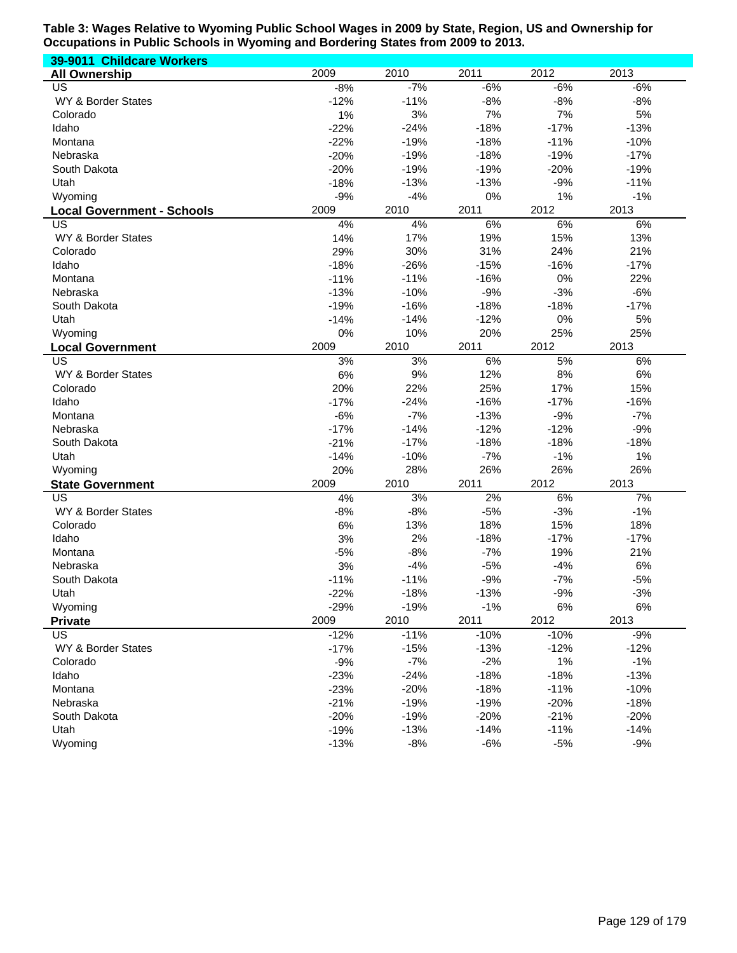| 39-9011 Childcare Workers         |        |        |        |        |        |
|-----------------------------------|--------|--------|--------|--------|--------|
| <b>All Ownership</b>              | 2009   | 2010   | 2011   | 2012   | 2013   |
| US                                | $-8%$  | $-7%$  | $-6%$  | $-6%$  | $-6%$  |
| WY & Border States                | $-12%$ | $-11%$ | $-8%$  | $-8%$  | $-8%$  |
| Colorado                          | 1%     | 3%     | 7%     | 7%     | 5%     |
| Idaho                             | $-22%$ | $-24%$ | $-18%$ | $-17%$ | $-13%$ |
| Montana                           | $-22%$ | $-19%$ | $-18%$ | $-11%$ | $-10%$ |
| Nebraska                          | $-20%$ | $-19%$ | $-18%$ | $-19%$ | $-17%$ |
| South Dakota                      | $-20%$ | $-19%$ | $-19%$ | $-20%$ | $-19%$ |
| Utah                              | $-18%$ | $-13%$ | $-13%$ | $-9%$  | $-11%$ |
| Wyoming                           | $-9%$  | $-4%$  | 0%     | 1%     | $-1%$  |
| <b>Local Government - Schools</b> | 2009   | 2010   | 2011   | 2012   | 2013   |
| US                                | 4%     | 4%     | 6%     | 6%     | 6%     |
| WY & Border States                | 14%    | 17%    | 19%    | 15%    | 13%    |
| Colorado                          | 29%    | 30%    | 31%    | 24%    | 21%    |
| Idaho                             | $-18%$ | $-26%$ | $-15%$ | $-16%$ | $-17%$ |
| Montana                           | $-11%$ | $-11%$ | $-16%$ | 0%     | 22%    |
| Nebraska                          | $-13%$ | $-10%$ | $-9%$  | $-3%$  | $-6%$  |
| South Dakota                      | $-19%$ | $-16%$ | $-18%$ | $-18%$ | $-17%$ |
| Utah                              | $-14%$ | $-14%$ | $-12%$ | 0%     | 5%     |
| Wyoming                           | 0%     | 10%    | 20%    | 25%    | 25%    |
| <b>Local Government</b>           | 2009   | 2010   | 2011   | 2012   | 2013   |
| US                                | 3%     | 3%     | 6%     | 5%     | 6%     |
| WY & Border States                | 6%     | 9%     | 12%    | 8%     | $6\%$  |
| Colorado                          | 20%    | 22%    | 25%    | 17%    | 15%    |
| Idaho                             | $-17%$ | $-24%$ | $-16%$ | $-17%$ | $-16%$ |
| Montana                           | $-6%$  | $-7%$  | $-13%$ | $-9%$  | $-7%$  |
|                                   |        |        |        |        |        |
| Nebraska                          | $-17%$ | $-14%$ | $-12%$ | $-12%$ | $-9%$  |
| South Dakota                      | $-21%$ | $-17%$ | $-18%$ | $-18%$ | $-18%$ |
| Utah                              | $-14%$ | $-10%$ | $-7%$  | $-1%$  | 1%     |
| Wyoming                           | 20%    | 28%    | 26%    | 26%    | 26%    |
| <b>State Government</b>           | 2009   | 2010   | 2011   | 2012   | 2013   |
| US                                | 4%     | 3%     | 2%     | 6%     | 7%     |
| WY & Border States                | $-8%$  | $-8%$  | $-5%$  | $-3%$  | $-1%$  |
| Colorado                          | $6\%$  | 13%    | 18%    | 15%    | 18%    |
| Idaho                             | 3%     | 2%     | $-18%$ | $-17%$ | $-17%$ |
| Montana                           | $-5%$  | $-8%$  | $-7%$  | 19%    | 21%    |
| Nebraska                          | 3%     | $-4%$  | $-5%$  | $-4%$  | 6%     |
| South Dakota                      | $-11%$ | $-11%$ | $-9%$  | $-7%$  | $-5%$  |
| Utah                              | $-22%$ | $-18%$ | $-13%$ | $-9%$  | $-3%$  |
| Wyoming                           | $-29%$ | $-19%$ | $-1%$  | 6%     | 6%     |
| <b>Private</b>                    | 2009   | 2010   | 2011   | 2012   | 2013   |
| US.                               | $-12%$ | $-11%$ | $-10%$ | $-10%$ | $-9%$  |
| WY & Border States                | $-17%$ | $-15%$ | $-13%$ | $-12%$ | $-12%$ |
| Colorado                          | $-9%$  | $-7%$  | $-2%$  | 1%     | $-1%$  |
| Idaho                             | $-23%$ | $-24%$ | $-18%$ | $-18%$ | $-13%$ |
| Montana                           | $-23%$ | $-20%$ | $-18%$ | $-11%$ | $-10%$ |
| Nebraska                          | $-21%$ | $-19%$ | $-19%$ | $-20%$ | $-18%$ |
| South Dakota                      | $-20%$ | $-19%$ | $-20%$ | $-21%$ | $-20%$ |
| Utah                              | $-19%$ | $-13%$ | $-14%$ | $-11%$ | $-14%$ |
| Wyoming                           | $-13%$ | $-8%$  | $-6%$  | $-5%$  | $-9%$  |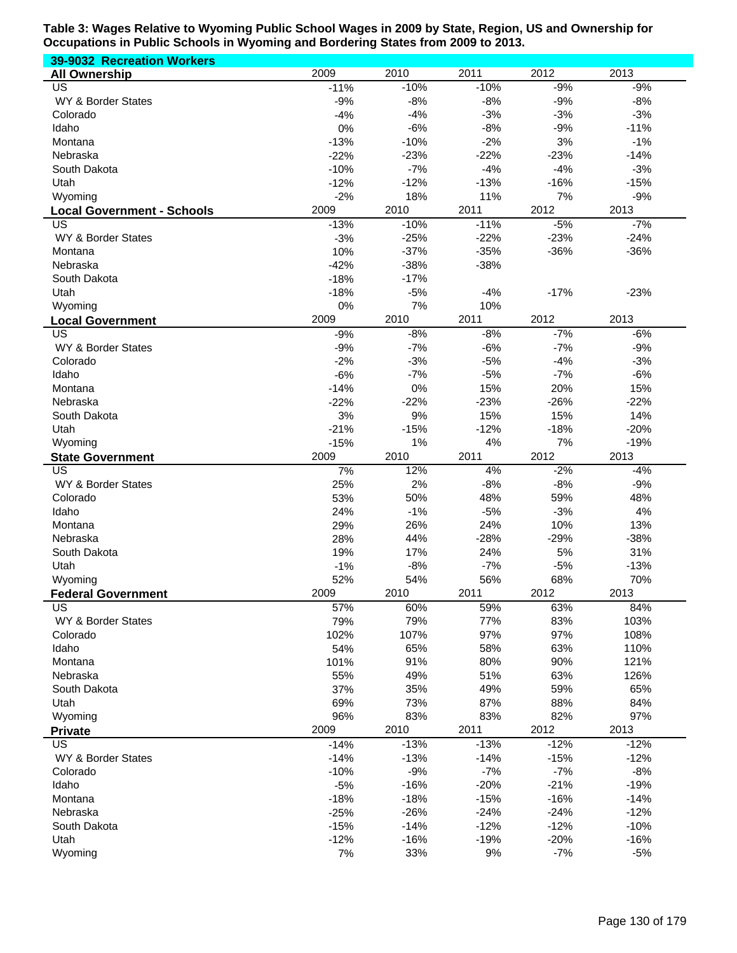| 39-9032 Recreation Workers        |        |        |        |        |        |
|-----------------------------------|--------|--------|--------|--------|--------|
| <b>All Ownership</b>              | 2009   | 2010   | 2011   | 2012   | 2013   |
| $\overline{US}$                   | $-11%$ | $-10%$ | $-10%$ | $-9%$  | $-9%$  |
| WY & Border States                | $-9%$  | $-8%$  | $-8%$  | $-9%$  | $-8%$  |
| Colorado                          | $-4%$  | $-4%$  | $-3%$  | $-3%$  | $-3%$  |
| Idaho                             | 0%     | $-6%$  | $-8%$  | $-9%$  | $-11%$ |
| Montana                           | $-13%$ | $-10%$ | $-2%$  | 3%     | $-1%$  |
| Nebraska                          | $-22%$ | $-23%$ | $-22%$ | $-23%$ | $-14%$ |
| South Dakota                      | $-10%$ | $-7%$  | $-4%$  | $-4%$  | $-3%$  |
| Utah                              | $-12%$ | $-12%$ | $-13%$ | $-16%$ | $-15%$ |
| Wyoming                           | $-2%$  | 18%    | 11%    | 7%     | $-9%$  |
| <b>Local Government - Schools</b> | 2009   | 2010   | 2011   | 2012   | 2013   |
| US                                | $-13%$ | $-10%$ | $-11%$ | $-5%$  | $-7%$  |
| WY & Border States                | $-3%$  | $-25%$ | $-22%$ | $-23%$ | $-24%$ |
| Montana                           | 10%    | $-37%$ | $-35%$ | $-36%$ | $-36%$ |
| Nebraska                          | $-42%$ | $-38%$ | $-38%$ |        |        |
| South Dakota                      | $-18%$ | $-17%$ |        |        |        |
| Utah                              | $-18%$ | $-5%$  | $-4%$  | $-17%$ | $-23%$ |
| Wyoming                           | 0%     | 7%     | 10%    |        |        |
| <b>Local Government</b>           | 2009   | 2010   | 2011   | 2012   | 2013   |
| US                                | $-9%$  | $-8%$  | $-8%$  | $-7%$  | $-6%$  |
| WY & Border States                | $-9%$  | $-7%$  | $-6%$  | $-7%$  | $-9%$  |
| Colorado                          | $-2%$  | $-3%$  | $-5%$  | $-4%$  | $-3%$  |
| Idaho                             | $-6%$  | $-7%$  | $-5%$  | $-7%$  | $-6%$  |
| Montana                           | $-14%$ | 0%     | 15%    | 20%    | 15%    |
| Nebraska                          | $-22%$ | $-22%$ | $-23%$ | $-26%$ | $-22%$ |
| South Dakota                      | 3%     | 9%     | 15%    | 15%    | 14%    |
| Utah                              | $-21%$ | $-15%$ | $-12%$ | $-18%$ | $-20%$ |
| Wyoming                           | $-15%$ | 1%     | 4%     | 7%     | $-19%$ |
| <b>State Government</b>           | 2009   | 2010   | 2011   | 2012   | 2013   |
| US                                | 7%     | 12%    | 4%     | $-2%$  | $-4%$  |
| WY & Border States                | 25%    | 2%     | $-8%$  | $-8%$  | $-9%$  |
| Colorado                          | 53%    | 50%    | 48%    | 59%    | 48%    |
| Idaho                             | 24%    | $-1%$  | $-5%$  | $-3%$  | 4%     |
| Montana                           | 29%    | 26%    | 24%    | 10%    | 13%    |
| Nebraska                          | 28%    | 44%    | $-28%$ | $-29%$ | $-38%$ |
| South Dakota                      | 19%    | 17%    | 24%    | 5%     | 31%    |
| Utah                              | $-1%$  | $-8%$  | $-7%$  | $-5%$  | $-13%$ |
| Wyoming                           | 52%    | 54%    | 56%    | 68%    | 70%    |
| <b>Federal Government</b>         | 2009   | 2010   | 2011   | 2012   | 2013   |
| US                                | 57%    | 60%    | 59%    | 63%    | 84%    |
| WY & Border States                | 79%    | 79%    | 77%    | 83%    | 103%   |
| Colorado                          | 102%   | 107%   | 97%    | 97%    | 108%   |
| Idaho                             | 54%    | 65%    | 58%    | 63%    | 110%   |
| Montana                           | 101%   | 91%    | 80%    | 90%    | 121%   |
| Nebraska                          | 55%    | 49%    | 51%    | 63%    | 126%   |
| South Dakota                      | 37%    | 35%    | 49%    | 59%    | 65%    |
| Utah                              | 69%    | 73%    | 87%    | 88%    | 84%    |
| Wyoming                           | 96%    | 83%    | 83%    | 82%    | 97%    |
| <b>Private</b>                    | 2009   | 2010   | 2011   | 2012   | 2013   |
| US                                | $-14%$ | $-13%$ | $-13%$ | $-12%$ | $-12%$ |
| WY & Border States                | $-14%$ | $-13%$ | $-14%$ | $-15%$ | $-12%$ |
| Colorado                          | $-10%$ | $-9%$  | $-7%$  | $-7%$  | $-8%$  |
| Idaho                             | $-5%$  | $-16%$ | $-20%$ | $-21%$ | $-19%$ |
| Montana                           | $-18%$ | $-18%$ | $-15%$ | $-16%$ | $-14%$ |
| Nebraska                          | $-25%$ | $-26%$ | $-24%$ | $-24%$ | $-12%$ |
| South Dakota                      | $-15%$ | $-14%$ | $-12%$ | $-12%$ | $-10%$ |
| Utah                              | $-12%$ | $-16%$ | $-19%$ | $-20%$ | $-16%$ |
| Wyoming                           | 7%     | 33%    | 9%     | $-7%$  | $-5%$  |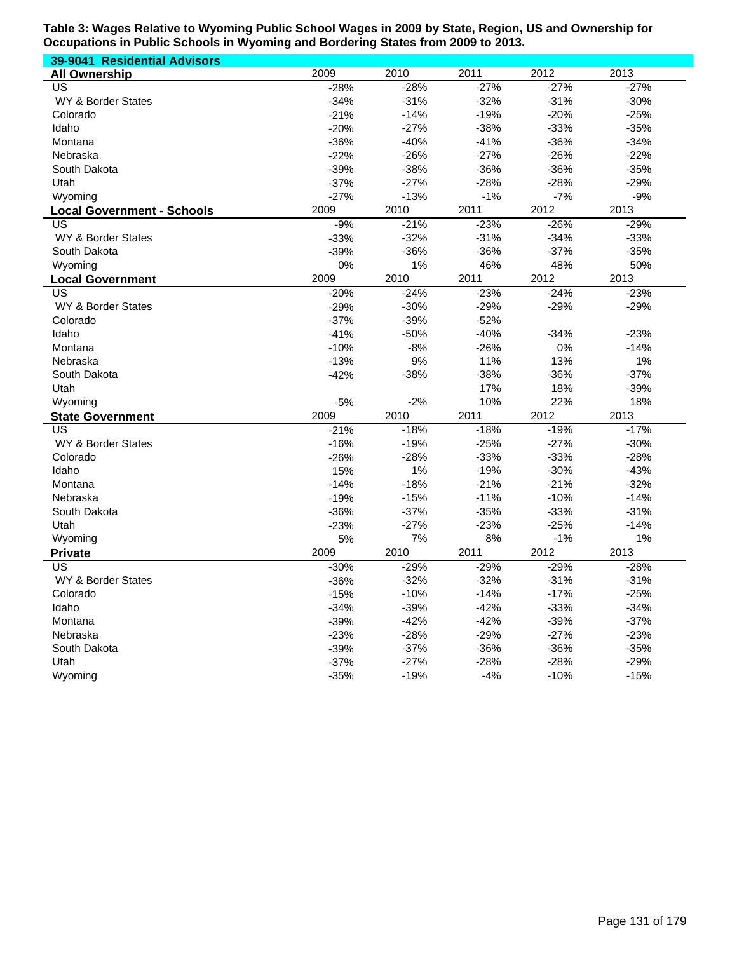| 39-9041 Residential Advisors      |        |        |        |        |        |
|-----------------------------------|--------|--------|--------|--------|--------|
| <b>All Ownership</b>              | 2009   | 2010   | 2011   | 2012   | 2013   |
| US                                | $-28%$ | $-28%$ | $-27%$ | $-27%$ | $-27%$ |
| WY & Border States                | $-34%$ | $-31%$ | $-32%$ | $-31%$ | $-30%$ |
| Colorado                          | $-21%$ | $-14%$ | $-19%$ | $-20%$ | $-25%$ |
| Idaho                             | $-20%$ | $-27%$ | $-38%$ | $-33%$ | $-35%$ |
| Montana                           | $-36%$ | $-40%$ | $-41%$ | $-36%$ | $-34%$ |
| Nebraska                          | $-22%$ | $-26%$ | $-27%$ | $-26%$ | $-22%$ |
| South Dakota                      | $-39%$ | $-38%$ | $-36%$ | $-36%$ | $-35%$ |
| Utah                              | $-37%$ | $-27%$ | $-28%$ | $-28%$ | $-29%$ |
| Wyoming                           | $-27%$ | $-13%$ | $-1%$  | $-7%$  | $-9%$  |
| <b>Local Government - Schools</b> | 2009   | 2010   | 2011   | 2012   | 2013   |
| US                                | $-9%$  | $-21%$ | $-23%$ | $-26%$ | $-29%$ |
| WY & Border States                | $-33%$ | $-32%$ | $-31%$ | $-34%$ | $-33%$ |
| South Dakota                      | $-39%$ | $-36%$ | $-36%$ | $-37%$ | $-35%$ |
| Wyoming                           | 0%     | 1%     | 46%    | 48%    | 50%    |
| <b>Local Government</b>           | 2009   | 2010   | 2011   | 2012   | 2013   |
| US                                | $-20%$ | $-24%$ | $-23%$ | $-24%$ | $-23%$ |
| WY & Border States                | $-29%$ | $-30%$ | $-29%$ | $-29%$ | $-29%$ |
| Colorado                          | $-37%$ | $-39%$ | $-52%$ |        |        |
| Idaho                             | $-41%$ | $-50%$ | $-40%$ | $-34%$ | $-23%$ |
| Montana                           | $-10%$ | $-8%$  | $-26%$ | 0%     | $-14%$ |
| Nebraska                          | $-13%$ | 9%     | 11%    | 13%    | 1%     |
| South Dakota                      | $-42%$ | $-38%$ | $-38%$ | $-36%$ | $-37%$ |
| Utah                              |        |        | 17%    | 18%    | $-39%$ |
| Wyoming                           | $-5%$  | $-2%$  | 10%    | 22%    | 18%    |
| <b>State Government</b>           | 2009   | 2010   | 2011   | 2012   | 2013   |
| US                                | $-21%$ | $-18%$ | $-18%$ | $-19%$ | $-17%$ |
| <b>WY &amp; Border States</b>     | $-16%$ | $-19%$ | $-25%$ | $-27%$ | $-30%$ |
| Colorado                          | $-26%$ | $-28%$ | $-33%$ | $-33%$ | $-28%$ |
| Idaho                             | 15%    | 1%     | $-19%$ | $-30%$ | $-43%$ |
| Montana                           | $-14%$ | $-18%$ | $-21%$ | $-21%$ | $-32%$ |
| Nebraska                          | $-19%$ | $-15%$ | $-11%$ | $-10%$ | $-14%$ |
| South Dakota                      | $-36%$ | $-37%$ | $-35%$ | $-33%$ | $-31%$ |
| Utah                              | $-23%$ | $-27%$ | $-23%$ | $-25%$ | $-14%$ |
| Wyoming                           | 5%     | 7%     | 8%     | $-1%$  | 1%     |
| <b>Private</b>                    | 2009   | 2010   | 2011   | 2012   | 2013   |
| US                                | $-30%$ | $-29%$ | $-29%$ | $-29%$ | $-28%$ |
| <b>WY &amp; Border States</b>     | $-36%$ | $-32%$ | $-32%$ | $-31%$ | $-31%$ |
| Colorado                          | $-15%$ | $-10%$ | $-14%$ | $-17%$ | $-25%$ |
| Idaho                             | $-34%$ | $-39%$ | $-42%$ | $-33%$ | $-34%$ |
| Montana                           | $-39%$ | $-42%$ | $-42%$ | $-39%$ | $-37%$ |
| Nebraska                          | $-23%$ | $-28%$ | $-29%$ | $-27%$ | $-23%$ |
| South Dakota                      | $-39%$ | $-37%$ | $-36%$ | $-36%$ | $-35%$ |
| Utah                              | $-37%$ | $-27%$ | $-28%$ | $-28%$ | $-29%$ |
| Wyoming                           | $-35%$ | $-19%$ | $-4%$  | $-10%$ | $-15%$ |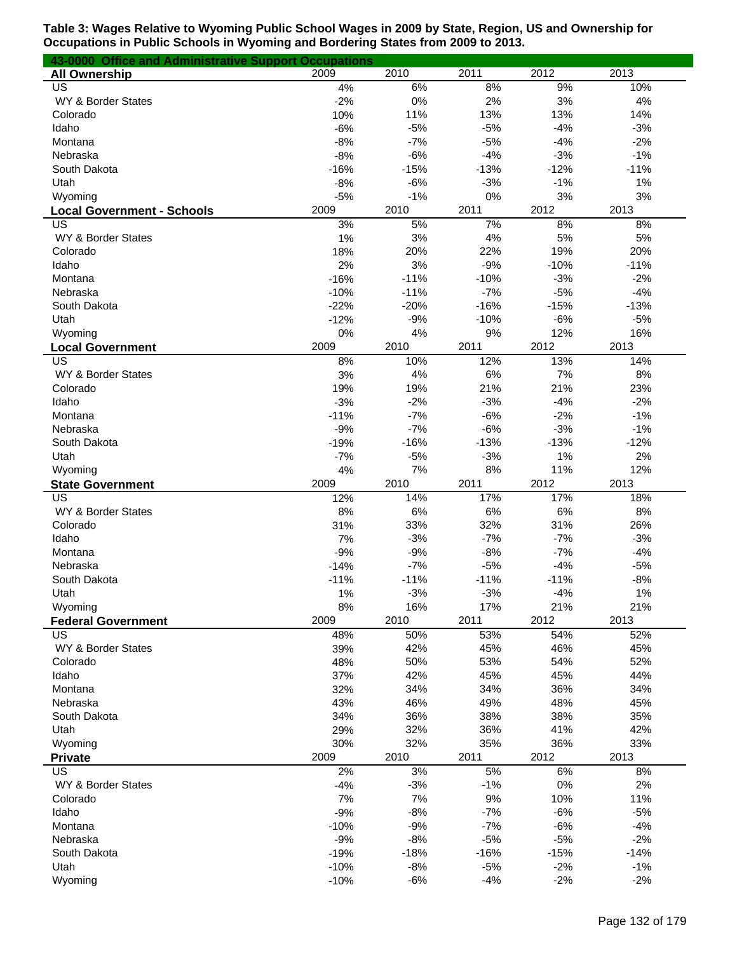| 43-0000 Office and Administrative Support Occupations |          |           |           |          |          |
|-------------------------------------------------------|----------|-----------|-----------|----------|----------|
| <b>All Ownership</b>                                  | 2009     | 2010      | 2011      | 2012     | 2013     |
| US                                                    | 4%       | 6%        | 8%        | 9%       | 10%      |
| WY & Border States                                    | $-2%$    | 0%        | 2%        | 3%       | 4%       |
| Colorado                                              | 10%      | 11%       | 13%       | 13%      | 14%      |
| Idaho                                                 | $-6%$    | $-5%$     | $-5%$     | $-4%$    | $-3%$    |
| Montana                                               | $-8%$    | $-7%$     | $-5%$     | $-4%$    | $-2%$    |
| Nebraska                                              | $-8%$    | $-6%$     | $-4%$     | $-3%$    | $-1%$    |
| South Dakota                                          | $-16%$   | $-15%$    | $-13%$    | $-12%$   | $-11%$   |
| Utah                                                  | $-8%$    | $-6%$     | $-3%$     | $-1%$    | 1%       |
| Wyoming                                               | $-5%$    | $-1%$     | 0%        | 3%       | 3%       |
| <b>Local Government - Schools</b>                     | 2009     | 2010      | 2011      | 2012     | 2013     |
| US<br>WY & Border States                              | 3%<br>1% | 5%        | 7%        | 8%<br>5% | 8%<br>5% |
| Colorado                                              | 18%      | 3%<br>20% | 4%<br>22% | 19%      | 20%      |
| Idaho                                                 | 2%       | 3%        | $-9%$     | $-10%$   | $-11%$   |
| Montana                                               | $-16%$   | $-11%$    | $-10%$    | $-3%$    | $-2%$    |
| Nebraska                                              | $-10%$   | $-11%$    | $-7%$     | $-5%$    | $-4%$    |
| South Dakota                                          | $-22%$   | $-20%$    | $-16%$    | $-15%$   | $-13%$   |
| Utah                                                  | $-12%$   | $-9%$     | $-10%$    | $-6%$    | $-5%$    |
| Wyoming                                               | 0%       | 4%        | 9%        | 12%      | 16%      |
| <b>Local Government</b>                               | 2009     | 2010      | 2011      | 2012     | 2013     |
| US                                                    | 8%       | 10%       | 12%       | 13%      | 14%      |
| WY & Border States                                    | 3%       | 4%        | 6%        | 7%       | 8%       |
| Colorado                                              | 19%      | 19%       | 21%       | 21%      | 23%      |
| Idaho                                                 | $-3%$    | $-2%$     | $-3%$     | $-4%$    | $-2%$    |
| Montana                                               | $-11%$   | $-7%$     | $-6%$     | $-2%$    | $-1%$    |
| Nebraska                                              | $-9%$    | $-7%$     | $-6%$     | $-3%$    | $-1%$    |
| South Dakota                                          | $-19%$   | $-16%$    | $-13%$    | $-13%$   | $-12%$   |
| Utah                                                  | $-7%$    | $-5%$     | $-3%$     | 1%       | 2%       |
| Wyoming                                               | 4%       | 7%        | 8%        | 11%      | 12%      |
| <b>State Government</b>                               | 2009     | 2010      | 2011      | 2012     | 2013     |
| US                                                    | 12%      | 14%       | 17%       | 17%      | 18%      |
| WY & Border States                                    | 8%       | 6%        | 6%        | $6\%$    | 8%       |
| Colorado                                              | 31%      | 33%       | 32%       | 31%      | 26%      |
| Idaho                                                 | 7%       | $-3%$     | $-7%$     | $-7%$    | $-3%$    |
| Montana                                               | $-9%$    | $-9%$     | $-8%$     | $-7%$    | $-4%$    |
| Nebraska                                              | $-14%$   | $-7%$     | $-5%$     | $-4%$    | $-5%$    |
| South Dakota                                          | $-11%$   | $-11%$    | $-11%$    | $-11%$   | $-8%$    |
| Utah                                                  | 1%       | $-3%$     | $-3%$     | $-4%$    | 1%       |
| Wyoming                                               | 8%       | 16%       | 17%       | 21%      | 21%      |
| <b>Federal Government</b>                             | 2009     | 2010      | 2011      | 2012     | 2013     |
| US                                                    | 48%      | 50%       | 53%       | 54%      | 52%      |
| WY & Border States                                    | 39%      | 42%       | 45%       | 46%      | 45%      |
| Colorado                                              | 48%      | 50%       | 53%       | 54%      | 52%      |
| Idaho                                                 | 37%      | 42%       | 45%       | 45%      | 44%      |
| Montana                                               | 32%      | 34%       | 34%       | 36%      | 34%      |
| Nebraska                                              | 43%      | 46%       | 49%       | 48%      | 45%      |
| South Dakota                                          | 34%      | 36%       | 38%       | 38%      | 35%      |
| Utah                                                  | 29%      | 32%       | 36%       | 41%      | 42%      |
| Wyoming                                               | 30%      | 32%       | 35%       | 36%      | 33%      |
| <b>Private</b>                                        | 2009     | 2010      | 2011      | 2012     | 2013     |
| US                                                    | 2%       | 3%        | 5%        | 6%       | 8%       |
| WY & Border States                                    | $-4%$    | $-3%$     | $-1%$     | 0%       | 2%       |
| Colorado                                              | 7%       | 7%        | 9%        | 10%      | 11%      |
| Idaho                                                 | $-9%$    | $-8%$     | $-7%$     | $-6%$    | $-5%$    |
| Montana                                               | $-10%$   | $-9%$     | $-7%$     | $-6%$    | $-4%$    |
| Nebraska                                              | $-9%$    | $-8%$     | $-5%$     | $-5%$    | $-2%$    |
| South Dakota                                          | $-19%$   | $-18%$    | $-16%$    | $-15%$   | $-14%$   |
| Utah                                                  | $-10%$   | $-8%$     | $-5%$     | $-2%$    | $-1%$    |
| Wyoming                                               | $-10%$   | $-6%$     | $-4%$     | $-2%$    | $-2%$    |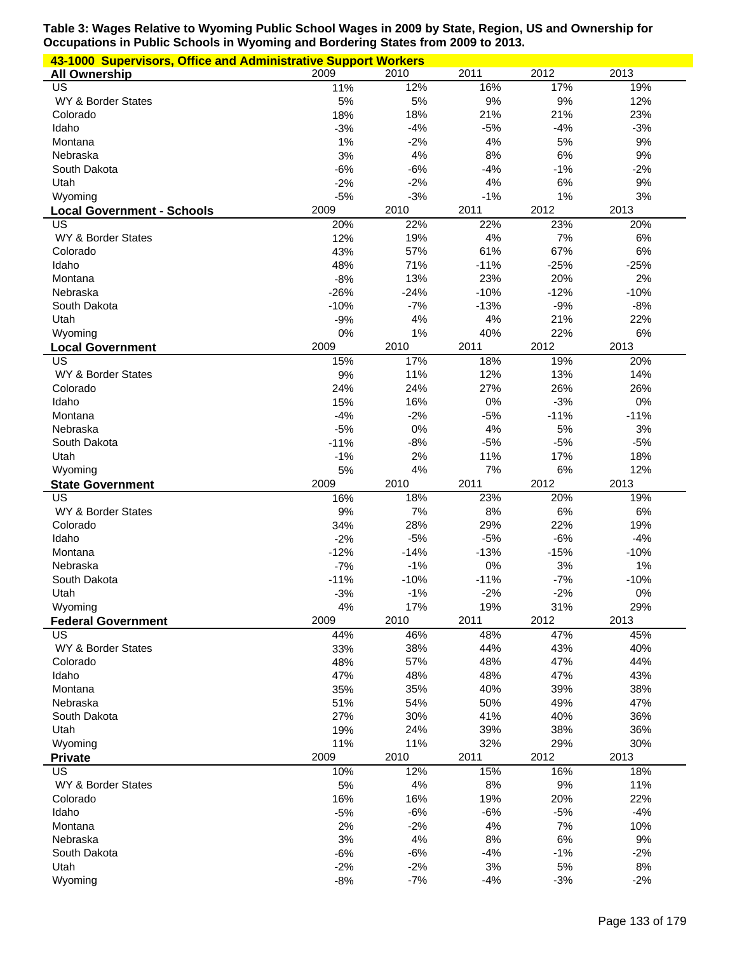| 43-1000 Supervisors, Office and Administrative Support Workers |             |             |             |             |             |
|----------------------------------------------------------------|-------------|-------------|-------------|-------------|-------------|
| <b>All Ownership</b>                                           | 2009        | 2010        | 2011        | 2012        | 2013        |
| US                                                             | 11%         | 12%         | 16%         | 17%         | 19%         |
| WY & Border States                                             | 5%          | 5%          | 9%          | 9%          | 12%         |
| Colorado                                                       | 18%         | 18%         | 21%         | 21%         | 23%         |
| Idaho                                                          | $-3%$       | $-4%$       | $-5%$       | $-4%$       | $-3%$       |
| Montana                                                        | 1%          | $-2%$       | 4%          | 5%          | 9%          |
| Nebraska                                                       | 3%          | 4%          | 8%          | 6%          | 9%          |
| South Dakota                                                   | $-6%$       | $-6%$       | $-4%$       | $-1%$       | $-2%$       |
| Utah                                                           | $-2%$       | $-2%$       | 4%          | 6%          | 9%          |
| Wyoming                                                        | $-5%$       | $-3%$       | $-1%$       | 1%          | 3%          |
| <b>Local Government - Schools</b>                              | 2009        | 2010        | 2011        | 2012        | 2013        |
| US                                                             | 20%         | 22%         | 22%         | 23%         | 20%         |
| WY & Border States<br>Colorado                                 | 12%<br>43%  | 19%<br>57%  | 4%<br>61%   | 7%<br>67%   | 6%<br>6%    |
| Idaho                                                          | 48%         | 71%         | $-11%$      | $-25%$      | $-25%$      |
| Montana                                                        | $-8%$       | 13%         | 23%         | 20%         | 2%          |
| Nebraska                                                       | $-26%$      | $-24%$      | $-10%$      | $-12%$      | $-10%$      |
| South Dakota                                                   | $-10%$      | $-7%$       | $-13%$      | $-9%$       | $-8%$       |
| Utah                                                           | $-9%$       | 4%          | 4%          | 21%         | 22%         |
| Wyoming                                                        | 0%          | 1%          | 40%         | 22%         | 6%          |
| <b>Local Government</b>                                        | 2009        | 2010        | 2011        | 2012        | 2013        |
| <b>US</b>                                                      | 15%         | 17%         | 18%         | 19%         | 20%         |
| WY & Border States                                             | 9%          | 11%         | 12%         | 13%         | 14%         |
| Colorado                                                       | 24%         | 24%         | 27%         | 26%         | 26%         |
| Idaho                                                          | 15%         | 16%         | 0%          | $-3%$       | 0%          |
| Montana                                                        | $-4%$       | $-2%$       | $-5%$       | $-11%$      | $-11%$      |
| Nebraska                                                       | $-5%$       | 0%          | 4%          | 5%          | 3%          |
| South Dakota                                                   | $-11%$      | $-8%$       | $-5%$       | $-5%$       | $-5%$       |
| Utah                                                           | $-1%$       | 2%          | 11%         | 17%         | 18%         |
| Wyoming                                                        | 5%          | 4%          | 7%          | 6%          | 12%         |
| <b>State Government</b>                                        | 2009        | 2010        | 2011        | 2012        | 2013        |
| US                                                             | 16%         | 18%         | 23%         | 20%         | 19%         |
|                                                                | 9%          | 7%          | 8%          | 6%          | 6%          |
| WY & Border States                                             |             |             |             |             |             |
| Colorado                                                       | 34%         | 28%         | 29%         | 22%         | 19%         |
| Idaho                                                          | $-2%$       | $-5%$       | $-5%$       | $-6%$       | $-4%$       |
| Montana                                                        | $-12%$      | $-14%$      | $-13%$      | $-15%$      | $-10%$      |
| Nebraska                                                       | $-7%$       | $-1%$       | 0%          | 3%          | 1%          |
| South Dakota                                                   | $-11%$      | $-10%$      | $-11%$      | $-7%$       | $-10%$      |
| Utah                                                           | $-3%$       | $-1%$       | $-2%$       | $-2%$       | 0%          |
| Wyoming                                                        | 4%          | 17%         | 19%         | 31%         | 29%         |
| <b>Federal Government</b>                                      | 2009        | 2010        | 2011        | 2012        | 2013        |
| US                                                             | 44%         | 46%         | 48%         | 47%         | 45%         |
| WY & Border States                                             | 33%         | 38%         | 44%         | 43%         | 40%         |
| Colorado                                                       | 48%         | 57%         | 48%         | 47%         | 44%         |
| Idaho                                                          | 47%         | 48%         | 48%         | 47%         | 43%         |
| Montana                                                        | 35%         | 35%         | 40%         | 39%         | 38%         |
| Nebraska                                                       | 51%         | 54%         | 50%         | 49%         | 47%         |
| South Dakota                                                   | 27%         | 30%         | 41%         | 40%         | 36%         |
| Utah                                                           | 19%         | 24%         | 39%         | 38%         | 36%         |
| Wyoming                                                        | 11%<br>2009 | 11%<br>2010 | 32%<br>2011 | 29%<br>2012 | 30%<br>2013 |
| <b>Private</b><br>US                                           |             |             |             | 16%         |             |
| WY & Border States                                             | 10%<br>5%   | 12%<br>4%   | 15%<br>8%   | 9%          | 18%<br>11%  |
| Colorado                                                       | 16%         | 16%         | 19%         | 20%         | 22%         |
| Idaho                                                          | $-5%$       | $-6%$       | $-6%$       | $-5%$       | $-4%$       |
| Montana                                                        | 2%          | $-2%$       | 4%          | 7%          | 10%         |
| Nebraska                                                       | 3%          | $4\%$       | 8%          | 6%          | 9%          |
| South Dakota                                                   | $-6%$       | $-6%$       | $-4%$       | $-1%$       | $-2%$       |
| Utah                                                           | $-2%$       | $-2%$       | 3%          | 5%          | 8%          |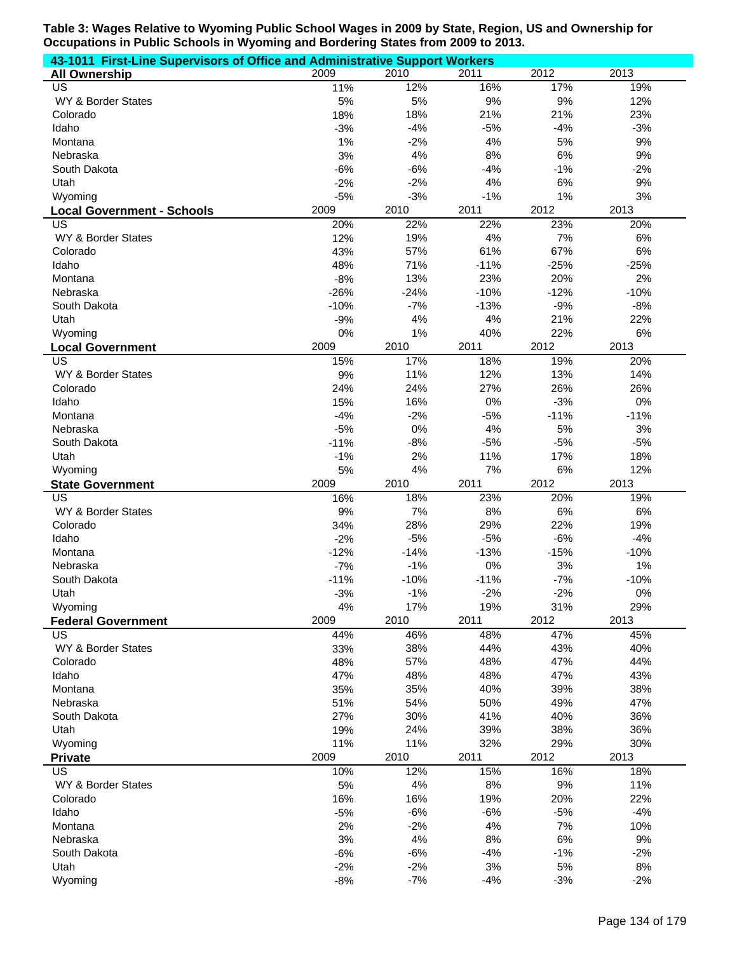| 43-1011 First-Line Supervisors of Office and Administrative Support Workers |                |                |               |             |             |  |
|-----------------------------------------------------------------------------|----------------|----------------|---------------|-------------|-------------|--|
| <b>All Ownership</b>                                                        | 2009           | 2010           | 2011          | 2012        | 2013        |  |
| US                                                                          | 11%            | 12%            | 16%           | 17%         | 19%         |  |
| WY & Border States                                                          | 5%             | 5%             | 9%            | $9%$        | 12%         |  |
| Colorado                                                                    | 18%            | 18%            | 21%           | 21%         | 23%         |  |
| Idaho                                                                       | $-3%$          | $-4%$          | $-5%$         | $-4%$       | $-3%$       |  |
| Montana                                                                     | 1%             | $-2%$          | 4%            | 5%          | 9%          |  |
| Nebraska                                                                    | 3%             | 4%             | 8%            | 6%          | 9%          |  |
| South Dakota                                                                | $-6%$          | $-6%$          | $-4%$         | $-1%$       | $-2%$       |  |
| Utah                                                                        | $-2%$          | $-2%$          | 4%            | 6%          | 9%          |  |
| Wyoming                                                                     | $-5%$          | $-3%$          | $-1%$         | 1%          | 3%          |  |
| <b>Local Government - Schools</b>                                           | 2009           | 2010           | 2011          | 2012        | 2013        |  |
| US                                                                          | 20%            | 22%            | 22%           | 23%         | 20%         |  |
| WY & Border States                                                          | 12%            | 19%            | 4%            | 7%          | 6%          |  |
| Colorado                                                                    | 43%            | 57%            | 61%           | 67%         | 6%          |  |
| Idaho                                                                       | 48%            | 71%            | $-11%$        | $-25%$      | $-25%$      |  |
| Montana                                                                     | $-8%$          | 13%            | 23%           | 20%         | 2%          |  |
| Nebraska                                                                    | $-26%$         | $-24%$         | $-10%$        | $-12%$      | $-10%$      |  |
| South Dakota                                                                | $-10%$         | $-7%$          | $-13%$        | $-9%$       | $-8%$       |  |
| Utah                                                                        | $-9%$          | 4%             | 4%            | 21%         | 22%         |  |
| Wyoming                                                                     | 0%             | 1%             | 40%           | 22%         | $6\%$       |  |
| <b>Local Government</b>                                                     | 2009           | 2010           | 2011          | 2012        | 2013        |  |
| $\overline{\mathsf{US}}$                                                    | 15%            | 17%            | 18%           | 19%         | 20%         |  |
| WY & Border States                                                          | 9%             | 11%            | 12%           | 13%         | 14%         |  |
| Colorado                                                                    | 24%            | 24%            | 27%           | 26%         | 26%         |  |
| Idaho                                                                       | 15%            | 16%            | 0%            | $-3%$       | 0%          |  |
| Montana                                                                     | $-4%$          | $-2%$          | $-5%$         | $-11%$      | $-11%$      |  |
| Nebraska                                                                    | $-5%$          | 0%             | 4%            | 5%          | 3%          |  |
| South Dakota                                                                | $-11%$         | $-8%$          | $-5%$         | $-5%$       | $-5%$       |  |
| Utah                                                                        | $-1%$          | 2%             | 11%           | 17%         | 18%         |  |
| Wyoming                                                                     | 5%             | 4%             | 7%            | 6%          | 12%         |  |
| <b>State Government</b>                                                     | 2009           | 2010           | 2011          | 2012        | 2013        |  |
| $\overline{US}$                                                             | 16%            | 18%            | 23%           | 20%         | 19%         |  |
| WY & Border States                                                          | 9%             | 7%             | 8%            | 6%          | 6%          |  |
| Colorado                                                                    | 34%            | 28%            | 29%           | 22%         | 19%         |  |
| Idaho                                                                       | $-2%$          | $-5%$          | $-5%$         | $-6%$       | $-4%$       |  |
| Montana                                                                     | $-12%$         | $-14%$         | $-13%$        | $-15%$      | $-10%$      |  |
| Nebraska                                                                    | $-7%$          | $-1%$          | 0%            | 3%          | 1%          |  |
| South Dakota                                                                | $-11%$         | $-10%$         | $-11%$        | $-7%$       | $-10%$      |  |
| Utah                                                                        | $-3%$          | $-1%$          | $-2%$         | $-2%$       | 0%          |  |
| Wyoming                                                                     | 4%             | 17%            | 19%           | 31%         | 29%         |  |
| <b>Federal Government</b>                                                   | 2009           | 2010           | 2011          | 2012        | 2013        |  |
| <b>US</b>                                                                   | 44%            | 46%            | 48%           | 47%         | 45%         |  |
| WY & Border States                                                          | 33%            | 38%            | 44%           | 43%         | 40%         |  |
| Colorado                                                                    | 48%<br>47%     | 57%            | 48%<br>48%    | 47%<br>47%  | 44%         |  |
| Idaho                                                                       | 35%            | 48%<br>35%     | 40%           | 39%         | 43%<br>38%  |  |
| Montana<br>Nebraska                                                         | 51%            | 54%            | 50%           | 49%         | 47%         |  |
| South Dakota                                                                | 27%            | 30%            | 41%           | 40%         | 36%         |  |
| Utah                                                                        | 19%            | 24%            | 39%           | 38%         | 36%         |  |
| Wyoming                                                                     | 11%            | 11%            | 32%           | 29%         | 30%         |  |
| <b>Private</b>                                                              |                |                |               | 2012        | 2013        |  |
|                                                                             |                |                |               |             |             |  |
|                                                                             | 2009           | 2010           | 2011          |             |             |  |
| <b>US</b>                                                                   | 10%            | 12%            | 15%           | 16%         | 18%         |  |
| WY & Border States                                                          | 5%             | 4%             | 8%            | 9%          | 11%         |  |
| Colorado                                                                    | 16%            | 16%            | 19%           | 20%         | 22%         |  |
| Idaho                                                                       | $-5%$          | $-6%$          | $-6%$         | $-5%$       | $-4%$       |  |
| Montana                                                                     | 2%             | $-2%$          | 4%            | 7%          | 10%         |  |
| Nebraska                                                                    | 3%             | 4%             | 8%            | 6%          | 9%          |  |
| South Dakota                                                                | $-6%$          | $-6%$          | $-4%$         | $-1%$       | $-2%$       |  |
| Utah<br>Wyoming                                                             | $-2%$<br>$-8%$ | $-2%$<br>$-7%$ | $3%$<br>$-4%$ | 5%<br>$-3%$ | 8%<br>$-2%$ |  |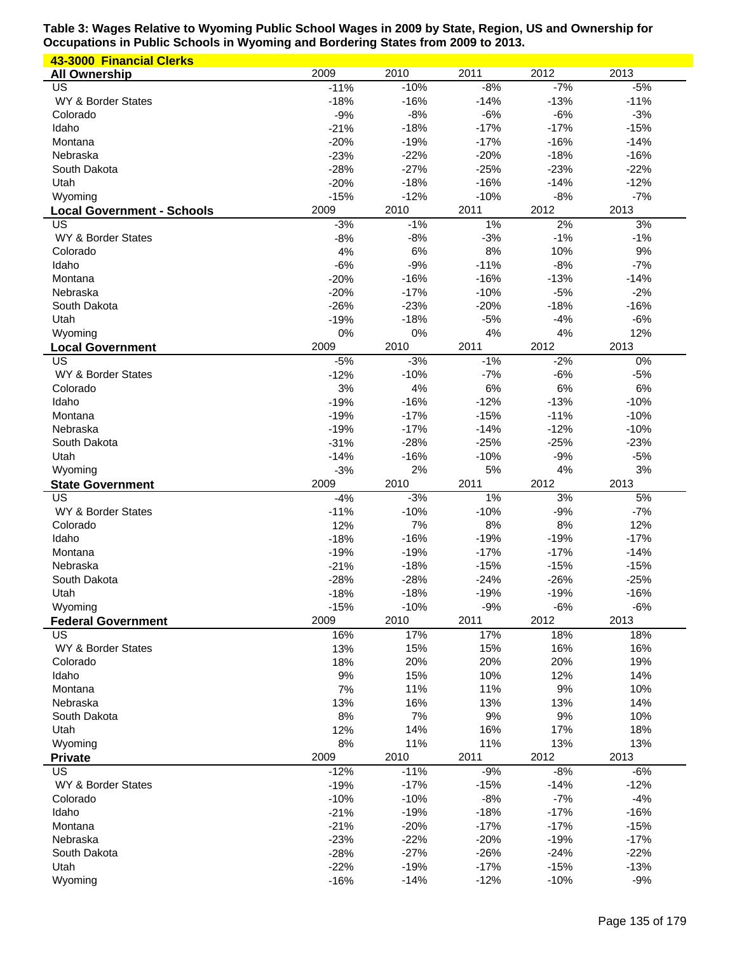| 43-3000 Financial Clerks          |                  |        |        |        |        |
|-----------------------------------|------------------|--------|--------|--------|--------|
| <b>All Ownership</b>              | 2009             | 2010   | 2011   | 2012   | 2013   |
| US                                | $-11%$           | $-10%$ | $-8%$  | $-7%$  | $-5%$  |
| WY & Border States                | $-18%$           | $-16%$ | $-14%$ | $-13%$ | $-11%$ |
| Colorado                          | $-9%$            | $-8%$  | $-6%$  | $-6%$  | $-3%$  |
| Idaho                             | $-21%$           | $-18%$ | $-17%$ | $-17%$ | $-15%$ |
| Montana                           | $-20%$           | $-19%$ | $-17%$ | $-16%$ | $-14%$ |
| Nebraska                          | $-23%$           | $-22%$ | $-20%$ | $-18%$ | $-16%$ |
| South Dakota                      | $-28%$           | $-27%$ | $-25%$ | $-23%$ | $-22%$ |
| Utah                              | $-20%$           | $-18%$ | $-16%$ | $-14%$ | $-12%$ |
| Wyoming                           | $-15%$           | $-12%$ | $-10%$ | $-8%$  | $-7%$  |
| <b>Local Government - Schools</b> | 2009             | 2010   | 2011   | 2012   | 2013   |
| US                                | $-3%$            | $-1%$  | 1%     | 2%     | 3%     |
| WY & Border States                | $-8%$            | $-8%$  | $-3%$  | $-1%$  | $-1%$  |
| Colorado                          | 4%               | $6\%$  | 8%     | 10%    | 9%     |
| Idaho                             |                  | $-9%$  | $-11%$ | $-8%$  | $-7%$  |
|                                   | $-6%$            |        |        |        |        |
| Montana                           | $-20%$           | $-16%$ | $-16%$ | $-13%$ | $-14%$ |
| Nebraska                          | $-20%$           | $-17%$ | $-10%$ | $-5%$  | $-2%$  |
| South Dakota                      | $-26%$           | $-23%$ | $-20%$ | $-18%$ | $-16%$ |
| Utah                              | $-19%$           | $-18%$ | $-5%$  | $-4%$  | $-6%$  |
| Wyoming                           | 0%               | 0%     | 4%     | 4%     | 12%    |
| <b>Local Government</b>           | 2009             | 2010   | 2011   | 2012   | 2013   |
| US                                | $-5%$            | $-3%$  | $-1%$  | $-2%$  | 0%     |
| WY & Border States                | $-12%$           | $-10%$ | $-7%$  | $-6%$  | $-5%$  |
| Colorado                          | 3%               | 4%     | 6%     | 6%     | 6%     |
| Idaho                             | $-19%$           | $-16%$ | $-12%$ | $-13%$ | $-10%$ |
| Montana                           | $-19%$           | $-17%$ | $-15%$ | $-11%$ | $-10%$ |
| Nebraska                          | $-19%$           | $-17%$ | $-14%$ | $-12%$ | $-10%$ |
| South Dakota                      | $-31%$           | $-28%$ | $-25%$ | $-25%$ | $-23%$ |
| Utah                              | $-14%$           | $-16%$ | $-10%$ | $-9%$  | $-5%$  |
| Wyoming                           | $-3%$            | 2%     | 5%     | 4%     | 3%     |
|                                   |                  |        |        |        |        |
|                                   | 2009             | 2010   | 2011   | 2012   |        |
| <b>State Government</b><br>US     |                  |        |        |        | 2013   |
|                                   | $-4%$            | $-3%$  | $1\%$  | 3%     | 5%     |
| WY & Border States                | $-11%$           | $-10%$ | $-10%$ | $-9%$  | $-7%$  |
| Colorado                          | 12%              | 7%     | 8%     | 8%     | 12%    |
| Idaho                             | $-18%$           | $-16%$ | $-19%$ | $-19%$ | $-17%$ |
| Montana                           | $-19%$           | $-19%$ | $-17%$ | $-17%$ | $-14%$ |
| Nebraska                          | $-21%$           | $-18%$ | $-15%$ | $-15%$ | $-15%$ |
| South Dakota                      | $-28%$           | $-28%$ | $-24%$ | $-26%$ | $-25%$ |
| Utah                              | $-18%$           | $-18%$ | $-19%$ | $-19%$ | $-16%$ |
| Wyoming                           | $-15%$           | $-10%$ | $-9%$  | $-6%$  | $-6%$  |
| <b>Federal Government</b>         | 2009             | 2010   | 2011   | 2012   | 2013   |
| US                                | 16%              | 17%    | 17%    | 18%    | 18%    |
| WY & Border States                | 13%              | 15%    | 15%    | 16%    | 16%    |
| Colorado                          | 18%              | 20%    | 20%    | 20%    | 19%    |
| Idaho                             | $9%$             | 15%    | 10%    | 12%    | 14%    |
| Montana                           | 7%               | 11%    | 11%    | 9%     | 10%    |
| Nebraska                          | 13%              | 16%    | 13%    | 13%    | 14%    |
| South Dakota                      | 8%               | 7%     | 9%     | 9%     | 10%    |
| Utah                              | 12%              | 14%    | 16%    | 17%    | 18%    |
| Wyoming                           | 8%               | 11%    | 11%    | 13%    | 13%    |
| <b>Private</b>                    | 2009             | 2010   | 2011   | 2012   | 2013   |
| US                                | $-12%$           | $-11%$ | $-9%$  | $-8%$  | $-6%$  |
| WY & Border States                | $-19%$           | $-17%$ | $-15%$ | $-14%$ | $-12%$ |
| Colorado                          | $-10%$           | $-10%$ | $-8%$  | $-7%$  | $-4%$  |
| Idaho                             | $-21%$           | $-19%$ | $-18%$ | $-17%$ | $-16%$ |
| Montana                           | $-21%$           | $-20%$ | $-17%$ | $-17%$ | $-15%$ |
| Nebraska                          | $-23%$           | $-22%$ | $-20%$ | $-19%$ | $-17%$ |
| South Dakota                      | $-28%$           | $-27%$ | $-26%$ | $-24%$ | $-22%$ |
| Utah                              |                  | $-19%$ | $-17%$ | $-15%$ | $-13%$ |
| Wyoming                           | $-22%$<br>$-16%$ | $-14%$ | $-12%$ | $-10%$ | $-9%$  |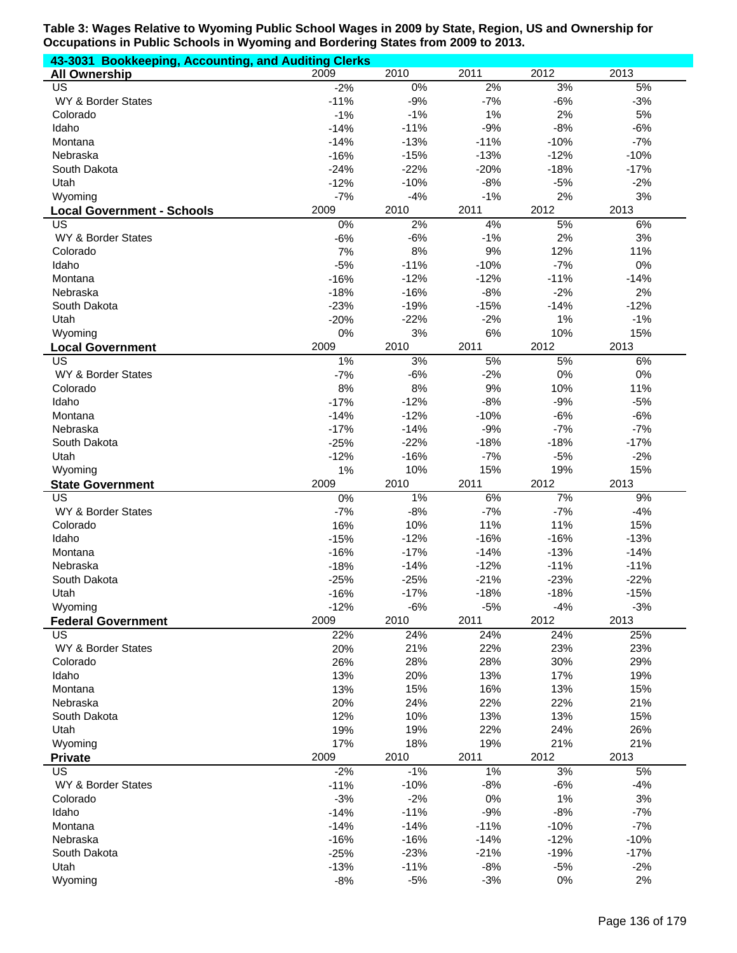| 43-3031 Bookkeeping, Accounting, and Auditing Clerks |                  |             |            |              |             |
|------------------------------------------------------|------------------|-------------|------------|--------------|-------------|
| <b>All Ownership</b>                                 | 2009             | 2010        | 2011       | 2012         | 2013        |
| US                                                   | $-2%$            | $0\%$       | 2%         | 3%           | 5%          |
| WY & Border States                                   | $-11%$           | $-9%$       | $-7%$      | $-6%$        | $-3%$       |
| Colorado                                             | $-1%$            | $-1%$       | 1%         | 2%           | 5%          |
| Idaho                                                | $-14%$           | $-11%$      | $-9%$      | $-8%$        | $-6%$       |
| Montana                                              | $-14%$           | $-13%$      | $-11%$     | $-10%$       | $-7%$       |
| Nebraska                                             | $-16%$           | $-15%$      | $-13%$     | $-12%$       | $-10%$      |
| South Dakota                                         | $-24%$           | $-22%$      | $-20%$     | $-18%$       | $-17%$      |
| Utah                                                 | $-12%$           | $-10%$      | $-8%$      | $-5%$        | $-2%$       |
| Wyoming                                              | $-7%$            | $-4%$       | $-1%$      | 2%           | 3%          |
| <b>Local Government - Schools</b>                    | 2009             | 2010        | 2011       | 2012         | 2013        |
| US                                                   | 0%               | 2%          | 4%         | 5%           | 6%          |
| WY & Border States                                   | $-6%$            | $-6%$       | $-1%$      | 2%           | $3%$        |
| Colorado                                             | 7%               | 8%          | 9%         | 12%          | 11%         |
| Idaho                                                | $-5%$            | $-11%$      | $-10%$     | $-7%$        | 0%          |
| Montana                                              | $-16%$           | $-12%$      | $-12%$     | $-11%$       | $-14%$      |
| Nebraska                                             | $-18%$           | $-16%$      | $-8%$      | $-2%$        | 2%          |
| South Dakota                                         | $-23%$           | $-19%$      | $-15%$     | $-14%$<br>1% | $-12%$      |
| Utah                                                 | $-20%$           | $-22%$      | $-2%$      |              | $-1%$       |
| Wyoming                                              | 0%<br>2009       | 3%          | 6%<br>2011 | 10%<br>2012  | 15%<br>2013 |
| <b>Local Government</b><br>$\overline{\mathsf{US}}$  | 1%               | 2010<br>3%  | 5%         | 5%           | 6%          |
|                                                      |                  |             | $-2%$      | 0%           | $0\%$       |
| WY & Border States<br>Colorado                       | $-7%$<br>8%      | $-6%$<br>8% | 9%         | 10%          | 11%         |
| Idaho                                                |                  | $-12%$      | $-8%$      | $-9%$        | $-5%$       |
| Montana                                              | $-17%$<br>$-14%$ | $-12%$      | $-10%$     | $-6%$        | $-6%$       |
| Nebraska                                             | $-17%$           | $-14%$      | $-9%$      | $-7%$        | $-7%$       |
| South Dakota                                         | $-25%$           | $-22%$      | $-18%$     | $-18%$       | $-17%$      |
| Utah                                                 | $-12%$           | $-16%$      | $-7%$      | $-5%$        | $-2%$       |
| Wyoming                                              | 1%               | 10%         | 15%        | 19%          | 15%         |
| <b>State Government</b>                              | 2009             | 2010        | 2011       | 2012         | 2013        |
| $\overline{US}$                                      | 0%               | $1\%$       | 6%         | 7%           | 9%          |
| WY & Border States                                   | $-7%$            | $-8%$       | $-7%$      | $-7%$        | $-4%$       |
| Colorado                                             | 16%              | 10%         | 11%        | 11%          | 15%         |
| Idaho                                                | $-15%$           | $-12%$      | $-16%$     | $-16%$       | $-13%$      |
| Montana                                              | $-16%$           | $-17%$      | $-14%$     | $-13%$       | $-14%$      |
| Nebraska                                             | $-18%$           | $-14%$      | $-12%$     | $-11%$       | $-11%$      |
| South Dakota                                         | $-25%$           | $-25%$      | $-21%$     | $-23%$       | $-22%$      |
| Utah                                                 | $-16%$           | $-17%$      | $-18%$     | $-18%$       | $-15%$      |
| Wyoming                                              | $-12%$           | $-6%$       | $-5%$      | $-4%$        | $-3%$       |
| <b>Federal Government</b>                            | 2009             | 2010        | 2011       | 2012         | 2013        |
| <b>US</b>                                            | 22%              | 24%         | 24%        | 24%          | 25%         |
| WY & Border States                                   | 20%              | 21%         | 22%        | 23%          | 23%         |
| Colorado                                             | 26%              | 28%         | 28%        | 30%          | 29%         |
| Idaho                                                | 13%              | 20%         | 13%        | 17%          | 19%         |
| Montana                                              | 13%              | 15%         | 16%        | 13%          | 15%         |
| Nebraska                                             | 20%              | 24%         | 22%        | 22%          | 21%         |
| South Dakota                                         | 12%              | 10%         | 13%        | 13%          | 15%         |
| Utah                                                 | 19%              | 19%         | 22%        | 24%          | 26%         |
| Wyoming                                              | 17%              | 18%         | 19%        | 21%          | 21%         |
| <b>Private</b>                                       | 2009             | 2010        | 2011       | 2012         | 2013        |
| <b>US</b>                                            | $-2%$            | $-1%$       | $1\%$      | 3%           | 5%          |
| WY & Border States                                   | $-11%$           | $-10%$      | $-8%$      | $-6%$        | $-4%$       |
| Colorado                                             | $-3%$            | $-2%$       | 0%         | 1%           | 3%          |
| Idaho                                                | $-14%$           | $-11%$      | $-9%$      | $-8%$        | $-7%$       |
| Montana                                              | $-14%$           | $-14%$      | $-11%$     | $-10%$       | $-7%$       |
| Nebraska                                             | $-16%$           | $-16%$      | $-14%$     | $-12%$       | $-10%$      |
| South Dakota                                         | $-25%$           | $-23%$      | $-21%$     | $-19%$       | $-17%$      |
| Utah                                                 | $-13%$           | $-11%$      | $-8%$      | $-5%$        | $-2%$       |
| Wyoming                                              | $-8%$            | $-5%$       | $-3%$      | 0%           | 2%          |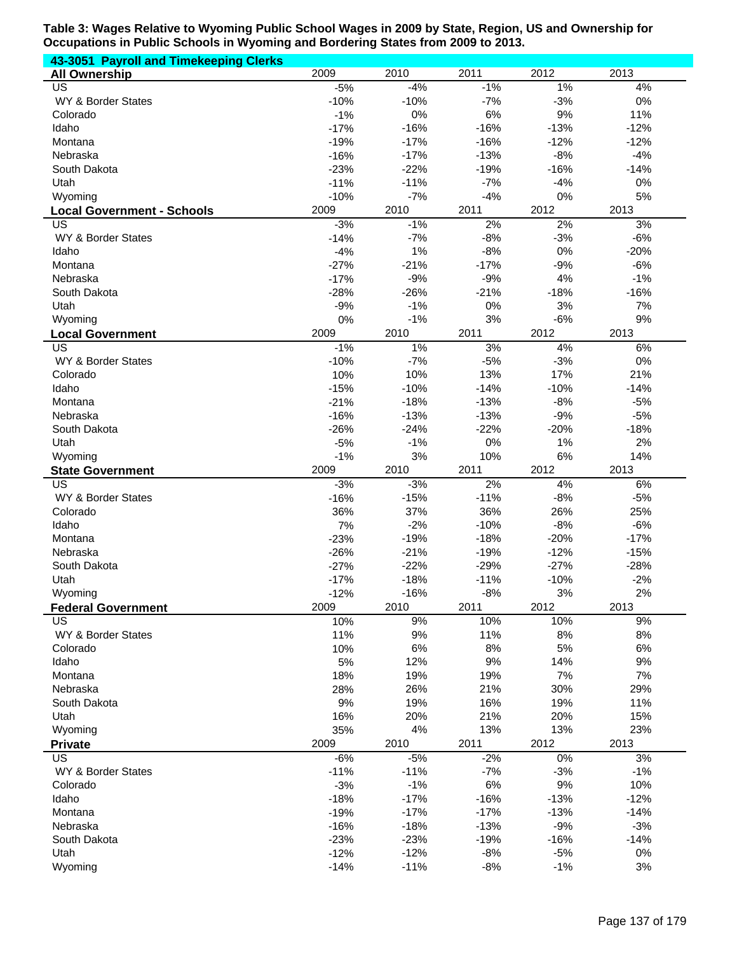| 43-3051 Payroll and Timekeeping Clerks |                 |            |             |             |             |
|----------------------------------------|-----------------|------------|-------------|-------------|-------------|
| <b>All Ownership</b>                   | 2009            | 2010       | 2011        | 2012        | 2013        |
| US                                     | $-5%$           | $-4%$      | $-1%$       | 1%          | 4%          |
| WY & Border States                     | $-10%$          | $-10%$     | $-7%$       | $-3%$       | 0%          |
| Colorado                               | $-1%$           | 0%         | 6%          | 9%          | 11%         |
| Idaho                                  | $-17%$          | $-16%$     | $-16%$      | $-13%$      | $-12%$      |
| Montana                                | $-19%$          | $-17%$     | $-16%$      | $-12%$      | $-12%$      |
| Nebraska                               | $-16%$          | $-17%$     | $-13%$      | $-8%$       | $-4%$       |
| South Dakota                           | $-23%$          | $-22%$     | $-19%$      | $-16%$      | $-14%$      |
| Utah                                   | $-11%$          | $-11%$     | $-7%$       | $-4%$       | 0%          |
| Wyoming                                | $-10%$          | $-7%$      | $-4%$       | 0%          | 5%          |
| <b>Local Government - Schools</b>      | 2009            | 2010       | 2011        | 2012        | 2013        |
| US                                     | $-3%$           | $-1%$      | 2%          | 2%          | 3%          |
| WY & Border States                     | $-14%$          | $-7%$      | $-8%$       | $-3%$       | $-6%$       |
| Idaho                                  | $-4%$           | 1%         | $-8%$       | 0%          | $-20%$      |
| Montana                                | $-27%$          | $-21%$     | $-17%$      | $-9%$       | $-6%$       |
| Nebraska                               | $-17%$          | $-9%$      | $-9%$       | 4%          | $-1%$       |
| South Dakota                           | $-28%$          | $-26%$     | $-21%$      | $-18%$      | $-16%$      |
| Utah                                   | $-9%$           | $-1%$      | 0%          | 3%          | 7%          |
| Wyoming                                | 0%              | $-1%$      | 3%          | $-6%$       | 9%          |
| <b>Local Government</b>                | 2009            | 2010       | 2011        | 2012        | 2013        |
| US                                     | $-1%$           | $1\%$      | 3%          | 4%          | 6%          |
| WY & Border States                     | $-10%$          | $-7%$      | $-5%$       | $-3%$       | 0%          |
| Colorado                               | 10%             | 10%        | 13%         | 17%         | 21%         |
| Idaho                                  | $-15%$          | $-10%$     | $-14%$      | $-10%$      | $-14%$      |
| Montana                                | $-21%$          | $-18%$     | $-13%$      | $-8%$       | $-5%$       |
| Nebraska                               | $-16%$          | $-13%$     | $-13%$      | $-9%$       | $-5%$       |
| South Dakota                           | $-26%$          | $-24%$     | $-22%$      | $-20%$      | $-18%$      |
| Utah                                   | $-5%$           | $-1%$      | 0%          | 1%          | 2%          |
| Wyoming                                | $-1%$           | 3%         | 10%         | 6%          | 14%         |
| <b>State Government</b>                | 2009            | 2010       | 2011        | 2012        | 2013        |
| US                                     | $-3%$           | $-3%$      | 2%          | 4%          | 6%          |
| WY & Border States                     | $-16%$          | $-15%$     | $-11%$      | $-8%$       | $-5%$       |
| Colorado                               | 36%             | 37%        | 36%         | 26%         | 25%         |
| Idaho                                  | 7%              | $-2%$      | $-10%$      | $-8%$       | $-6%$       |
| Montana                                | $-23%$          | $-19%$     | $-18%$      | $-20%$      | $-17%$      |
| Nebraska                               | $-26%$          | $-21%$     | $-19%$      | $-12%$      | $-15%$      |
| South Dakota                           | $-27%$          | $-22%$     | $-29%$      | $-27%$      | $-28%$      |
| Utah                                   | $-17%$          | $-18%$     | $-11%$      | $-10%$      | $-2%$       |
| Wyoming                                | $-12%$          | $-16%$     | $-8%$       | $3%$        | 2%          |
| <b>Federal Government</b>              | 2009            | 2010       | 2011        | 2012        | 2013        |
| US                                     | 10%             | 9%         | 10%         | 10%         | 9%          |
| WY & Border States                     | 11%             | 9%         | 11%         | $8%$        | 8%          |
| Colorado                               | 10%             | 6%         | 8%          | 5%          | 6%          |
| Idaho                                  | 5%              | 12%        | 9%          | 14%         | 9%          |
| Montana                                | 18%             | 19%        | 19%         | 7%          | 7%          |
| Nebraska                               | 28%             | 26%        | 21%         | 30%         | 29%         |
| South Dakota                           | 9%              | 19%        | 16%         | 19%         | 11%         |
| Utah                                   | 16%             | 20%        | 21%         | 20%         | 15%         |
| Wyoming                                | 35%<br>2009     | 4%<br>2010 | 13%<br>2011 | 13%<br>2012 | 23%<br>2013 |
| <b>Private</b><br>US                   |                 | $-5%$      | $-2%$       | $0\%$       | 3%          |
| WY & Border States                     | $-6%$<br>$-11%$ | $-11%$     | $-7%$       | $-3%$       | $-1%$       |
| Colorado                               | $-3%$           | $-1%$      | 6%          | $9%$        | 10%         |
| Idaho                                  | $-18%$          | $-17%$     | $-16%$      | $-13%$      | $-12%$      |
| Montana                                | $-19%$          | $-17%$     | $-17%$      | $-13%$      | $-14%$      |
| Nebraska                               | $-16%$          | $-18%$     | $-13%$      | $-9%$       | $-3%$       |
| South Dakota                           | $-23%$          | $-23%$     | $-19%$      | $-16%$      | $-14%$      |
| Utah                                   | $-12%$          | $-12%$     | $-8%$       | $-5%$       | $0\%$       |
| Wyoming                                | $-14%$          | $-11%$     | $-8%$       | $-1%$       | 3%          |
|                                        |                 |            |             |             |             |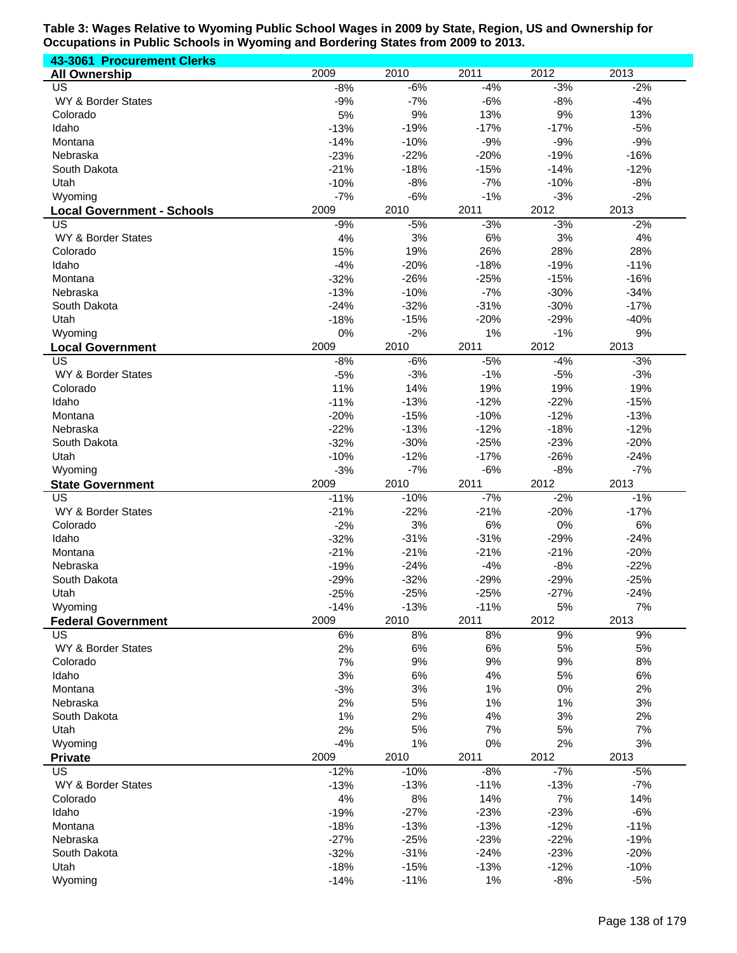| 43-3061 Procurement Clerks              |                  |                  |                  |                  |                  |
|-----------------------------------------|------------------|------------------|------------------|------------------|------------------|
| <b>All Ownership</b>                    | 2009             | 2010             | 2011             | 2012             | 2013             |
| US                                      | $-8%$            | $-6%$            | $-4%$            | $-3%$            | $-2%$            |
| WY & Border States                      | $-9%$            | $-7%$            | $-6%$            | $-8%$            | $-4%$            |
| Colorado                                | 5%               | 9%               | 13%              | 9%               | 13%              |
| Idaho                                   | $-13%$           | $-19%$           | $-17%$           | $-17%$           | $-5%$            |
| Montana                                 | $-14%$           | $-10%$           | $-9%$            | $-9%$            | $-9%$            |
| Nebraska                                | $-23%$           | $-22%$           | $-20%$           | $-19%$           | $-16%$           |
| South Dakota                            | $-21%$           | $-18%$<br>$-8%$  | $-15%$<br>$-7%$  | $-14%$           | $-12%$           |
| Utah                                    | $-10%$<br>$-7%$  | $-6%$            | $-1%$            | $-10%$<br>$-3%$  | $-8%$<br>$-2%$   |
| Wyoming                                 | 2009             | 2010             | 2011             | 2012             | 2013             |
| <b>Local Government - Schools</b><br>US | $-9%$            | $-5%$            | $-3%$            | $-3%$            | $-2%$            |
| WY & Border States                      | 4%               | 3%               | 6%               | 3%               | 4%               |
| Colorado                                | 15%              | 19%              | 26%              | 28%              | 28%              |
| Idaho                                   | $-4%$            | $-20%$           | $-18%$           | $-19%$           | $-11%$           |
| Montana                                 | $-32%$           | $-26%$           | $-25%$           | $-15%$           | $-16%$           |
| Nebraska                                | $-13%$           | $-10%$           | $-7%$            | $-30%$           | $-34%$           |
| South Dakota                            | $-24%$           | $-32%$           | $-31%$           | $-30%$           | $-17%$           |
| Utah                                    | $-18%$           | $-15%$           | $-20%$           | $-29%$           | $-40%$           |
| Wyoming                                 | 0%               | $-2%$            | 1%               | $-1%$            | 9%               |
| <b>Local Government</b>                 | 2009             | 2010             | 2011             | 2012             | 2013             |
| $\overline{\mathsf{US}}$                | $-8%$            | $-6%$            | $-5%$            | $-4%$            | $-3%$            |
| WY & Border States                      | $-5%$            | $-3%$            | $-1%$            | $-5%$            | $-3%$            |
| Colorado                                | 11%              | 14%              | 19%              | 19%              | 19%              |
| Idaho                                   | $-11%$           | $-13%$           | $-12%$           | $-22%$           | $-15%$           |
| Montana                                 | $-20%$           | $-15%$           | $-10%$           | $-12%$           | $-13%$           |
| Nebraska                                | $-22%$           | $-13%$           | $-12%$           | $-18%$           | $-12%$           |
| South Dakota<br>Utah                    | $-32%$<br>$-10%$ | $-30%$<br>$-12%$ | $-25%$<br>$-17%$ | $-23%$<br>$-26%$ | $-20%$<br>$-24%$ |
| Wyoming                                 | $-3%$            | $-7%$            | $-6%$            | $-8%$            | $-7%$            |
| <b>State Government</b>                 | 2009             | 2010             | 2011             | 2012             | 2013             |
| $\overline{US}$                         | $-11%$           | $-10%$           | $-7%$            | $-2%$            | $-1%$            |
| WY & Border States                      | $-21%$           | $-22%$           | $-21%$           | $-20%$           | $-17%$           |
| Colorado                                | $-2%$            | 3%               | 6%               | 0%               | 6%               |
| Idaho                                   | $-32%$           | $-31%$           | $-31%$           | $-29%$           | $-24%$           |
| Montana                                 | $-21%$           | $-21%$           | $-21%$           | $-21%$           | $-20%$           |
| Nebraska                                | $-19%$           | $-24%$           | $-4%$            | $-8%$            | $-22%$           |
| South Dakota                            | $-29%$           | $-32%$           | $-29%$           | $-29%$           | $-25%$           |
| Utah                                    | $-25%$           | $-25%$           | $-25%$           | $-27%$           | $-24%$           |
| Wyoming                                 | $-14%$           | $-13%$           | $-11%$           | 5%               | 7%               |
| <b>Federal Government</b>               | 2009             | 2010             | 2011             | 2012             | 2013             |
| <b>US</b>                               | 6%               | 8%               | 8%               | 9%               | 9%               |
| WY & Border States                      | 2%               | 6%               | 6%               | 5%               | 5%               |
| Colorado                                | 7%               | 9%               | 9%               | 9%               | 8%               |
| Idaho<br>Montana                        | 3%<br>$-3%$      | 6%<br>3%         | 4%<br>1%         | 5%<br>$0\%$      | 6%<br>2%         |
| Nebraska                                |                  | $5%$             | 1%               | 1%               | 3%               |
| South Dakota                            |                  |                  |                  |                  |                  |
|                                         | 2%               |                  |                  |                  |                  |
|                                         | 1%               | 2%               | 4%               | 3%               | 2%               |
| Utah                                    | 2%               | 5%               | 7%               | 5%               | 7%               |
| Wyoming                                 | $-4%$<br>2009    | 1%<br>2010       | $0\%$<br>2011    | 2%<br>2012       | 3%<br>2013       |
| <b>Private</b><br><b>US</b>             | $-12%$           | $-10%$           | $-8%$            | $-7%$            | $-5%$            |
| WY & Border States                      | $-13%$           | $-13%$           | $-11%$           | $-13%$           | $-7%$            |
| Colorado                                | 4%               | 8%               | 14%              | 7%               | 14%              |
| Idaho                                   | $-19%$           | $-27%$           | $-23%$           | $-23%$           | $-6%$            |
| Montana                                 | $-18%$           | $-13%$           | $-13%$           | $-12%$           | $-11%$           |
| Nebraska                                | $-27%$           | $-25%$           | $-23%$           | $-22%$           | $-19%$           |
| South Dakota                            | $-32%$           | $-31%$           | $-24%$           | $-23%$           | $-20%$           |
| Utah<br>Wyoming                         | $-18%$<br>$-14%$ | $-15%$<br>$-11%$ | $-13%$<br>1%     | $-12%$<br>$-8%$  | $-10%$<br>$-5%$  |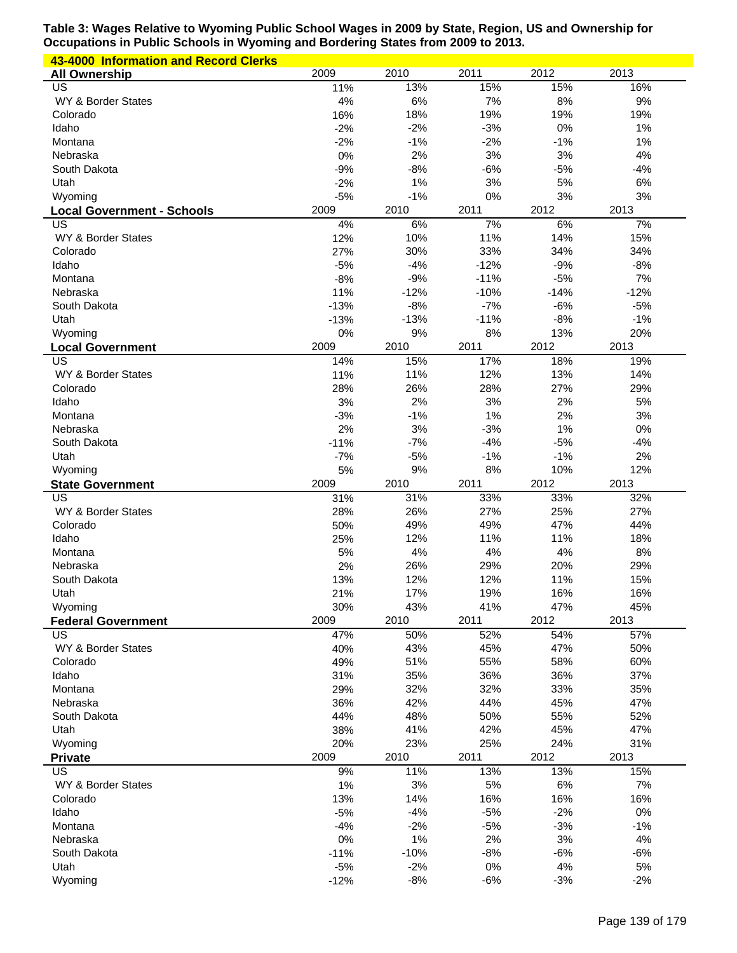| 43-4000 Information and Record Clerks   |                 |                 |             |              |             |
|-----------------------------------------|-----------------|-----------------|-------------|--------------|-------------|
| <b>All Ownership</b>                    | 2009            | 2010            | 2011        | 2012         | 2013        |
| US                                      | 11%             | 13%             | 15%         | 15%          | 16%         |
| WY & Border States                      | 4%              | 6%              | 7%          | 8%           | 9%          |
| Colorado                                | 16%             | 18%             | 19%         | 19%          | 19%         |
| Idaho                                   | $-2%$           | $-2%$           | $-3%$       | 0%           | 1%          |
| Montana                                 | $-2%$           | $-1%$           | $-2%$       | $-1%$        | 1%          |
| Nebraska                                | 0%              | 2%              | 3%          | 3%           | 4%          |
| South Dakota                            | $-9%$           | $-8%$           | $-6%$       | $-5%$        | $-4%$       |
| Utah                                    | $-2%$           | 1%              | 3%          | 5%           | 6%          |
| Wyoming                                 | $-5%$           | $-1%$           | 0%          | 3%           | 3%          |
| <b>Local Government - Schools</b><br>US | 2009<br>4%      | 2010<br>6%      | 2011<br>7%  | 2012<br>6%   | 2013<br>7%  |
| WY & Border States                      | 12%             | 10%             | 11%         | 14%          | 15%         |
| Colorado                                | 27%             | 30%             | 33%         | 34%          | 34%         |
| Idaho                                   | $-5%$           | $-4%$           | $-12%$      | $-9%$        | $-8%$       |
| Montana                                 | $-8%$           | $-9%$           | $-11%$      | $-5%$        | 7%          |
| Nebraska                                | 11%             | $-12%$          | $-10%$      | $-14%$       | $-12%$      |
| South Dakota                            | $-13%$          | $-8%$           | $-7%$       | $-6%$        | $-5%$       |
| Utah                                    | $-13%$          | $-13%$          | $-11%$      | $-8%$        | $-1%$       |
| Wyoming                                 | 0%              | 9%              | 8%          | 13%          | 20%         |
| <b>Local Government</b>                 | 2009            | 2010            | 2011        | 2012         | 2013        |
| US                                      | 14%             | 15%             | 17%         | 18%          | 19%         |
| WY & Border States                      | 11%             | 11%             | 12%         | 13%          | 14%         |
| Colorado                                | 28%             | 26%             | 28%         | 27%          | 29%         |
| Idaho                                   | 3%              | 2%              | 3%          | 2%           | 5%          |
| Montana                                 | $-3%$           | $-1%$           | 1%          | 2%           | 3%          |
| Nebraska                                | 2%              | 3%              | $-3%$       | 1%           | 0%          |
| South Dakota                            | $-11%$          | $-7%$           | $-4%$       | $-5%$        | $-4%$       |
| Utah                                    | $-7%$           | $-5%$           | $-1%$       | $-1%$        | 2%          |
| Wyoming                                 | 5%              | 9%              | 8%          | 10%          | 12%         |
| <b>State Government</b><br>US           | 2009            | 2010<br>31%     | 2011        | 2012<br>33%  | 2013<br>32% |
| WY & Border States                      | 31%<br>28%      | 26%             | 33%<br>27%  | 25%          | 27%         |
| Colorado                                | 50%             | 49%             | 49%         | 47%          | 44%         |
| Idaho                                   | 25%             | 12%             | 11%         | 11%          | 18%         |
| Montana                                 | 5%              | 4%              | 4%          | 4%           | 8%          |
| Nebraska                                | 2%              | 26%             | 29%         | 20%          | 29%         |
| South Dakota                            | 13%             | 12%             | 12%         | 11%          | 15%         |
| Utah                                    | 21%             | 17%             | 19%         | 16%          | 16%         |
| Wyoming                                 | 30%             | 43%             | 41%         | 47%          | 45%         |
| <b>Federal Government</b>               | 2009            | 2010            | 2011        | 2012         | 2013        |
| US                                      | 47%             | 50%             | 52%         | 54%          | 57%         |
| WY & Border States                      | 40%             | 43%             | 45%         | 47%          | 50%         |
| Colorado                                | 49%             | 51%             | 55%         | 58%          | 60%         |
| Idaho                                   | 31%             | 35%             | 36%         | 36%          | 37%         |
| Montana                                 | 29%             | 32%             | 32%         | 33%          | 35%         |
| Nebraska                                | 36%             | 42%             | 44%         | 45%          | 47%         |
| South Dakota                            | 44%             | 48%             | 50%         | 55%          | 52%         |
| Utah                                    | 38%             | 41%             | 42%         | 45%          | 47%         |
| Wyoming                                 | 20%             | 23%             | 25%         | 24%          | 31%         |
| <b>Private</b><br>US                    | 2009            | 2010            | 2011        | 2012         | 2013        |
| WY & Border States                      | 9%<br>1%        | 11%<br>3%       | 13%<br>5%   | 13%<br>$6\%$ | 15%<br>7%   |
| Colorado                                | 13%             | 14%             | 16%         | 16%          | 16%         |
| Idaho                                   | $-5%$           | $-4%$           | $-5%$       | $-2%$        | 0%          |
| Montana                                 | $-4%$           | $-2%$           | $-5%$       | $-3%$        | $-1%$       |
| Nebraska                                | 0%              | 1%              | 2%          | 3%           | 4%          |
|                                         |                 |                 |             |              |             |
|                                         |                 |                 |             |              |             |
| South Dakota<br>Utah                    | $-11%$          | $-10%$<br>$-2%$ | $-8%$       | $-6%$<br>4%  | $-6%$<br>5% |
| Wyoming                                 | $-5%$<br>$-12%$ | $-8%$           | 0%<br>$-6%$ | $-3%$        | $-2%$       |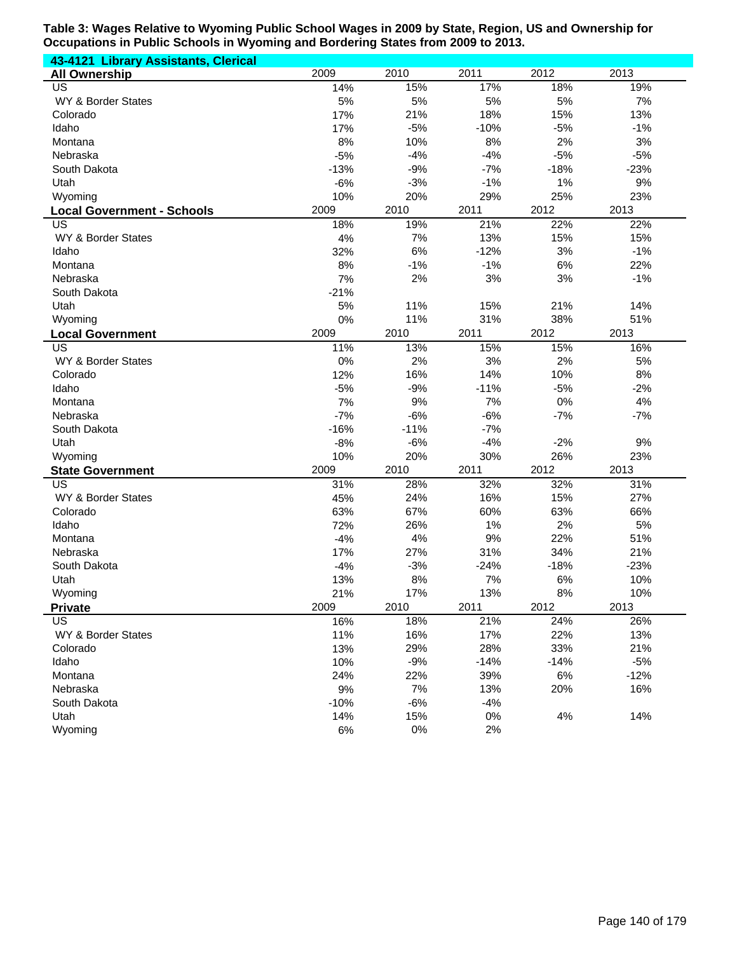| 43-4121 Library Assistants, Clerical |        |        |        |        |        |
|--------------------------------------|--------|--------|--------|--------|--------|
| <b>All Ownership</b>                 | 2009   | 2010   | 2011   | 2012   | 2013   |
| $\overline{\mathsf{US}}$             | 14%    | 15%    | 17%    | 18%    | 19%    |
| <b>WY &amp; Border States</b>        | 5%     | 5%     | 5%     | 5%     | 7%     |
| Colorado                             | 17%    | 21%    | 18%    | 15%    | 13%    |
| Idaho                                | 17%    | $-5%$  | $-10%$ | $-5%$  | $-1%$  |
| Montana                              | 8%     | 10%    | 8%     | 2%     | 3%     |
| Nebraska                             | $-5%$  | $-4%$  | $-4%$  | $-5%$  | $-5%$  |
| South Dakota                         | $-13%$ | $-9%$  | $-7%$  | $-18%$ | $-23%$ |
| Utah                                 | $-6%$  | $-3%$  | $-1%$  | 1%     | 9%     |
| Wyoming                              | 10%    | 20%    | 29%    | 25%    | 23%    |
| <b>Local Government - Schools</b>    | 2009   | 2010   | 2011   | 2012   | 2013   |
| US                                   | 18%    | 19%    | 21%    | 22%    | 22%    |
| WY & Border States                   | 4%     | 7%     | 13%    | 15%    | 15%    |
| Idaho                                | 32%    | 6%     | $-12%$ | 3%     | $-1%$  |
| Montana                              | 8%     | $-1%$  | $-1%$  | 6%     | 22%    |
| Nebraska                             | 7%     | 2%     | 3%     | 3%     | $-1%$  |
| South Dakota                         | $-21%$ |        |        |        |        |
| Utah                                 | 5%     | 11%    | 15%    | 21%    | 14%    |
| Wyoming                              | 0%     | 11%    | 31%    | 38%    | 51%    |
| <b>Local Government</b>              | 2009   | 2010   | 2011   | 2012   | 2013   |
| US                                   | 11%    | 13%    | 15%    | 15%    | 16%    |
| WY & Border States                   | 0%     | 2%     | 3%     | 2%     | 5%     |
| Colorado                             | 12%    | 16%    | 14%    | 10%    | 8%     |
| Idaho                                | $-5%$  | $-9%$  | $-11%$ | $-5%$  | $-2%$  |
| Montana                              | 7%     | 9%     | 7%     | 0%     | 4%     |
| Nebraska                             | $-7%$  | $-6%$  | $-6%$  | $-7%$  | $-7%$  |
| South Dakota                         | $-16%$ | $-11%$ | $-7%$  |        |        |
| Utah                                 | $-8%$  | $-6%$  | $-4%$  | $-2%$  | 9%     |
| Wyoming                              | 10%    | 20%    | 30%    | 26%    | 23%    |
| <b>State Government</b>              | 2009   | 2010   | 2011   | 2012   | 2013   |
| US                                   | 31%    | 28%    | 32%    | 32%    | 31%    |
| <b>WY &amp; Border States</b>        | 45%    | 24%    | 16%    | 15%    | 27%    |
| Colorado                             | 63%    | 67%    | 60%    | 63%    | 66%    |
| Idaho                                | 72%    | 26%    | 1%     | 2%     | 5%     |
| Montana                              | $-4%$  | 4%     | 9%     | 22%    | 51%    |
| Nebraska                             | 17%    | 27%    | 31%    | 34%    | 21%    |
| South Dakota                         | $-4%$  | $-3%$  | $-24%$ | $-18%$ | $-23%$ |
| Utah                                 | 13%    | 8%     | 7%     | 6%     | 10%    |
| Wyoming                              | 21%    | 17%    | 13%    | $8%$   | 10%    |
| <b>Private</b>                       | 2009   | 2010   | 2011   | 2012   | 2013   |
| <b>US</b>                            | 16%    | 18%    | 21%    | 24%    | 26%    |
| WY & Border States                   | 11%    | 16%    | 17%    | 22%    | 13%    |
| Colorado                             | 13%    | 29%    | 28%    | 33%    | 21%    |
| Idaho                                | 10%    | $-9%$  | $-14%$ | $-14%$ | $-5%$  |
| Montana                              | 24%    | 22%    | 39%    | 6%     | $-12%$ |
| Nebraska                             | 9%     | 7%     | 13%    | 20%    | 16%    |
| South Dakota                         | $-10%$ | $-6%$  | $-4%$  |        |        |
| Utah                                 |        | 15%    | $0\%$  | 4%     | 14%    |
| Wyoming                              | 14%    | 0%     | 2%     |        |        |
|                                      | 6%     |        |        |        |        |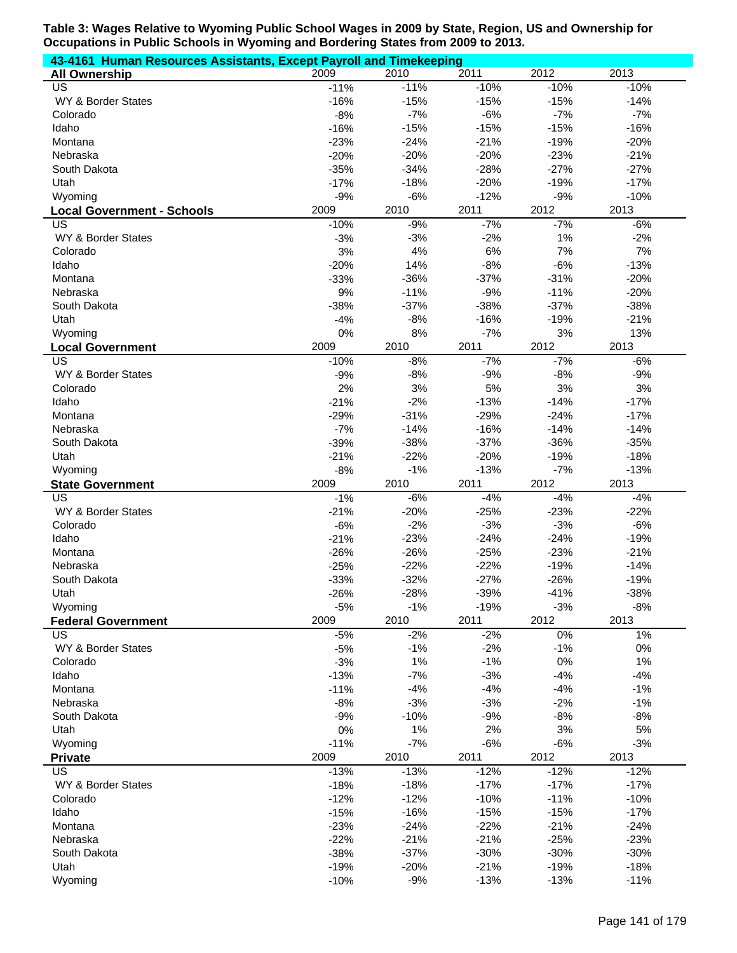| 43-4161 Human Resources Assistants, Except Payroll and Timekeeping |                 |                |                |                |                |
|--------------------------------------------------------------------|-----------------|----------------|----------------|----------------|----------------|
| <b>All Ownership</b>                                               | 2009            | 2010           | 2011           | 2012           | 2013           |
| US                                                                 | $-11%$          | $-11%$         | $-10%$         | $-10%$         | $-10%$         |
| WY & Border States                                                 | $-16%$          | $-15%$         | $-15%$         | $-15%$         | $-14%$         |
| Colorado                                                           | $-8%$           | $-7%$          | $-6%$          | $-7%$          | $-7%$          |
| Idaho                                                              | $-16%$          | $-15%$         | $-15%$         | $-15%$         | $-16%$         |
| Montana                                                            | $-23%$          | $-24%$         | $-21%$         | $-19%$         | $-20%$         |
| Nebraska                                                           | $-20%$          | $-20%$         | $-20%$         | $-23%$         | $-21%$         |
| South Dakota                                                       | $-35%$          | $-34%$         | $-28%$         | $-27%$         | $-27%$         |
| Utah                                                               | $-17%$          | $-18%$         | $-20%$         | $-19%$         | $-17%$         |
| Wyoming                                                            | $-9%$           | $-6%$          | $-12%$         | $-9%$          | $-10%$         |
| <b>Local Government - Schools</b>                                  | 2009            | 2010           | 2011           | 2012           | 2013           |
| US                                                                 | $-10%$          | $-9%$          | $-7%$          | $-7%$<br>1%    | $-6%$          |
| WY & Border States                                                 | $-3%$           | $-3%$          | $-2%$<br>6%    | 7%             | $-2%$          |
| Colorado<br>Idaho                                                  | 3%<br>$-20%$    | 4%<br>14%      | $-8%$          | $-6%$          | 7%<br>$-13%$   |
| Montana                                                            | $-33%$          | $-36%$         | $-37%$         | $-31%$         | $-20%$         |
| Nebraska                                                           | 9%              | $-11%$         | $-9%$          | $-11%$         | $-20%$         |
| South Dakota                                                       | $-38%$          | $-37%$         | $-38%$         | $-37%$         | $-38%$         |
| Utah                                                               | $-4%$           | $-8%$          | $-16%$         | $-19%$         | $-21%$         |
| Wyoming                                                            | 0%              | 8%             | $-7%$          | 3%             | 13%            |
| <b>Local Government</b>                                            | 2009            | 2010           | 2011           | 2012           | 2013           |
| US                                                                 | $-10%$          | $-8%$          | $-7%$          | $-7%$          | $-6%$          |
| WY & Border States                                                 | $-9%$           | $-8%$          | $-9%$          | $-8%$          | $-9%$          |
| Colorado                                                           | 2%              | 3%             | 5%             | 3%             | 3%             |
| Idaho                                                              | $-21%$          | $-2%$          | $-13%$         | $-14%$         | $-17%$         |
| Montana                                                            | $-29%$          | $-31%$         | $-29%$         | $-24%$         | $-17%$         |
| Nebraska                                                           | $-7%$           | $-14%$         | $-16%$         | $-14%$         | $-14%$         |
| South Dakota                                                       | $-39%$          | $-38%$         | $-37%$         | $-36%$         | $-35%$         |
| Utah                                                               | $-21%$          | $-22%$         | $-20%$         | $-19%$         | $-18%$         |
| Wyoming                                                            | $-8%$           | $-1%$          | $-13%$         | $-7%$          | $-13%$         |
| <b>State Government</b>                                            | 2009            | 2010           | 2011           | 2012           | 2013           |
| US                                                                 | $-1%$           | $-6%$          | $-4%$          | $-4%$          | $-4%$          |
| WY & Border States                                                 | $-21%$          | $-20%$         | $-25%$         | $-23%$         | $-22%$         |
| Colorado                                                           | $-6%$           | $-2%$          | $-3%$          | $-3%$          | $-6%$          |
| Idaho                                                              | $-21%$          | $-23%$         | $-24%$         | $-24%$         | $-19%$         |
| Montana                                                            | $-26%$          | $-26%$         | $-25%$         | $-23%$         | $-21%$         |
| Nebraska                                                           | $-25%$          | $-22%$         | $-22%$         | $-19%$         | $-14%$         |
| South Dakota                                                       | $-33%$          | $-32%$         | $-27%$         | $-26%$         | $-19%$         |
| Utah                                                               | $-26%$          | $-28%$         | $-39%$         | $-41%$         | $-38%$         |
| Wyoming                                                            | $-5%$           | $-1%$          | $-19%$         | $-3%$          | $-8%$          |
| <b>Federal Government</b>                                          | 2009            | 2010           | 2011           | 2012           | 2013           |
| US                                                                 | $-5%$           | $-2%$          | $-2%$          | $0\%$          | $1\%$          |
| WY & Border States                                                 | $-5%$           | $-1%$          | $-2%$          | $-1%$          | $0\%$          |
| Colorado                                                           | $-3%$           | 1%             | $-1%$          | $0\%$          | 1%             |
| Idaho<br>Montana                                                   | $-13%$          | $-7%$          | $-3%$<br>$-4%$ | $-4%$          | $-4%$          |
| Nebraska                                                           | $-11%$<br>$-8%$ | $-4%$<br>$-3%$ | $-3%$          | $-4%$<br>$-2%$ | $-1%$<br>$-1%$ |
| South Dakota                                                       | $-9%$           | $-10%$         | $-9%$          | $-8%$          | $-8%$          |
| Utah                                                               | 0%              | 1%             | 2%             | 3%             | 5%             |
| Wyoming                                                            | $-11%$          | $-7%$          | $-6%$          | $-6%$          | $-3%$          |
| <b>Private</b>                                                     | 2009            | 2010           | 2011           | 2012           | 2013           |
| US                                                                 | $-13%$          | $-13%$         | $-12%$         | $-12%$         | $-12%$         |
| WY & Border States                                                 | $-18%$          | $-18%$         | $-17%$         | $-17%$         | $-17%$         |
| Colorado                                                           | $-12%$          | $-12%$         | $-10%$         | $-11%$         | $-10%$         |
| Idaho                                                              | $-15%$          | $-16%$         | $-15%$         | $-15%$         | $-17%$         |
| Montana                                                            | $-23%$          | $-24%$         | $-22%$         | $-21%$         | $-24%$         |
| Nebraska                                                           | $-22%$          | $-21%$         | $-21%$         | $-25%$         | $-23%$         |
| South Dakota                                                       | $-38%$          | $-37%$         | $-30%$         | $-30%$         | $-30%$         |
| Utah                                                               | $-19%$          | $-20%$         | $-21%$         | $-19%$         | $-18%$         |
| Wyoming                                                            | $-10%$          | $-9%$          | $-13%$         | $-13%$         | $-11%$         |
|                                                                    |                 |                |                |                |                |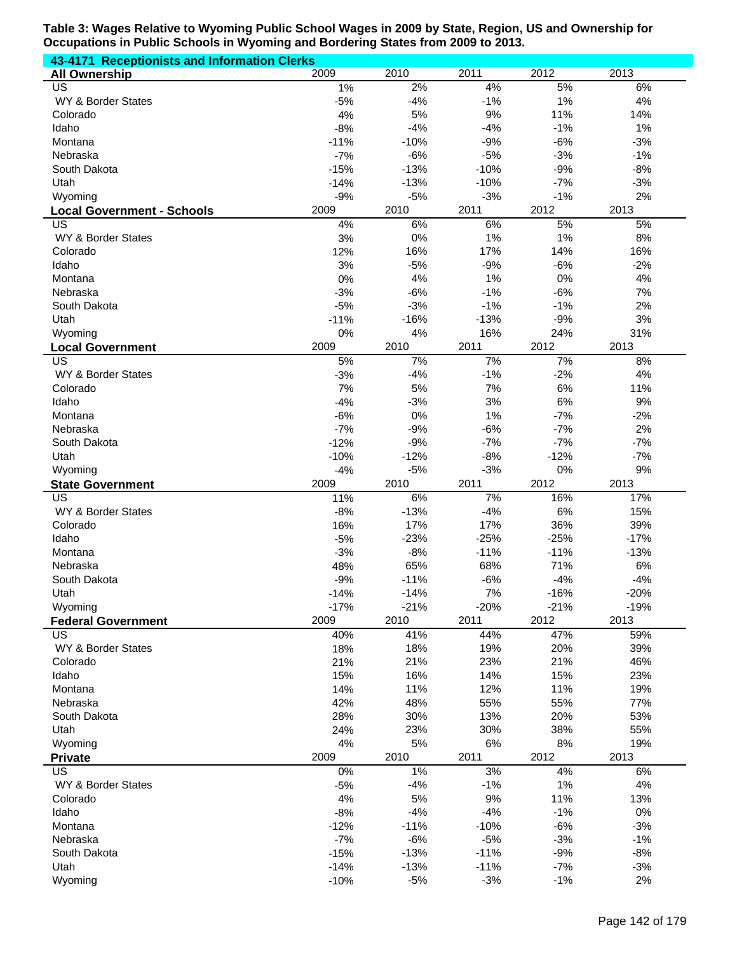| 43-4171 Receptionists and Information Clerks |                  |                 |                 |                |                |
|----------------------------------------------|------------------|-----------------|-----------------|----------------|----------------|
| <b>All Ownership</b>                         | 2009             | 2010            | 2011            | 2012           | 2013           |
| US                                           | 1%               | 2%              | 4%              | 5%             | 6%             |
| WY & Border States                           | $-5%$<br>4%      | $-4%$<br>5%     | $-1%$<br>9%     | 1%<br>11%      | 4%             |
| Colorado<br>Idaho                            | $-8%$            | $-4%$           | $-4%$           | $-1%$          | 14%<br>1%      |
| Montana                                      | $-11%$           | $-10%$          | $-9%$           | $-6%$          | $-3%$          |
| Nebraska                                     | $-7%$            | $-6%$           | $-5%$           | $-3%$          | $-1%$          |
| South Dakota                                 | $-15%$           | $-13%$          | $-10%$          | $-9%$          | $-8%$          |
| Utah                                         | $-14%$           | $-13%$          | $-10%$          | $-7%$          | $-3%$          |
| Wyoming                                      | $-9%$            | $-5%$           | $-3%$           | $-1%$          | 2%             |
| <b>Local Government - Schools</b>            | 2009             | 2010            | 2011            | 2012           | 2013           |
| US                                           | 4%               | 6%              | 6%              | 5%             | 5%             |
| WY & Border States                           | 3%               | 0%              | 1%              | 1%             | 8%             |
| Colorado                                     | 12%              | 16%             | 17%             | 14%            | 16%            |
| Idaho                                        | 3%               | $-5%$           | $-9%$           | $-6%$          | $-2%$          |
| Montana                                      | 0%               | 4%              | 1%              | $0\%$          | 4%             |
| Nebraska                                     | $-3%$            | $-6%$           | $-1%$           | $-6%$          | 7%             |
| South Dakota                                 | $-5%$            | $-3%$           | $-1%$           | $-1%$          | 2%             |
| Utah                                         | $-11%$           | $-16%$          | $-13%$          | $-9%$          | 3%             |
| Wyoming                                      | 0%               | 4%              | 16%             | 24%            | 31%            |
| <b>Local Government</b><br>US                | 2009<br>5%       | 2010<br>7%      | 2011<br>7%      | 2012<br>7%     | 2013<br>8%     |
| WY & Border States                           | $-3%$            | $-4%$           | $-1%$           | $-2%$          | 4%             |
| Colorado                                     | 7%               | 5%              | 7%              | 6%             | 11%            |
| Idaho                                        | $-4%$            | $-3%$           | 3%              | 6%             | 9%             |
| Montana                                      | $-6%$            | 0%              | 1%              | $-7%$          | $-2%$          |
| Nebraska                                     | $-7%$            | $-9%$           | $-6%$           | $-7%$          | 2%             |
| South Dakota                                 | $-12%$           | $-9%$           | $-7%$           | $-7%$          | $-7%$          |
| Utah                                         | $-10%$           | $-12%$          | $-8%$           | $-12%$         | $-7%$          |
| Wyoming                                      | $-4%$            | $-5%$           | $-3%$           | 0%             | 9%             |
|                                              |                  |                 |                 |                |                |
| <b>State Government</b>                      | 2009             | 2010            | 2011            | 2012           | 2013           |
| US                                           | 11%              | 6%              | 7%              | 16%            | 17%            |
| WY & Border States                           | $-8%$            | $-13%$          | $-4%$           | 6%             | 15%            |
| Colorado                                     | 16%              | 17%             | 17%             | 36%            | 39%            |
| Idaho                                        | $-5%$            | $-23%$          | $-25%$          | $-25%$         | $-17%$         |
| Montana                                      | $-3%$            | $-8%$           | $-11%$          | $-11%$         | $-13%$         |
| Nebraska                                     | 48%              | 65%             | 68%             | 71%            | 6%             |
| South Dakota                                 | $-9%$            | $-11%$          | $-6%$           | $-4%$          | $-4%$          |
| Utah                                         | $-14%$           | $-14%$          | 7%              | $-16%$         | $-20%$         |
| Wyoming                                      | $-17%$<br>2009   | $-21%$          | $-20%$          | $-21%$         | $-19%$         |
| <b>Federal Government</b><br>US              | 40%              | 2010<br>41%     | 2011<br>44%     | 2012<br>47%    | 2013<br>59%    |
| WY & Border States                           | 18%              | 18%             | 19%             | 20%            | 39%            |
| Colorado                                     | 21%              | 21%             | 23%             | 21%            | 46%            |
| Idaho                                        | 15%              | 16%             | 14%             | 15%            | 23%            |
| Montana                                      | 14%              | 11%             | 12%             | 11%            | 19%            |
| Nebraska                                     | 42%              | 48%             | 55%             | 55%            | 77%            |
| South Dakota                                 | 28%              | 30%             | 13%             | 20%            | 53%            |
| Utah                                         | 24%              | 23%             | 30%             | 38%            | 55%            |
| Wyoming                                      | 4%               | 5%              | $6\%$           | $8%$           | 19%            |
| <b>Private</b>                               | 2009             | 2010            | 2011            | 2012           | 2013           |
| $\overline{US}$                              | 0%               | 1%              | 3%              | 4%             | 6%             |
| WY & Border States                           | $-5%$            | $-4%$           | $-1%$           | 1%             | 4%             |
| Colorado                                     | 4%               | 5%              | 9%              | 11%            | 13%            |
| Idaho                                        | $-8%$            | $-4%$           | $-4%$           | $-1%$          | $0\%$          |
| Montana<br>Nebraska                          | $-12%$           | $-11%$          | $-10%$          | $-6%$          | $-3%$          |
| South Dakota                                 | $-7%$            | $-6%$<br>$-13%$ | $-5%$<br>$-11%$ | $-3%$<br>$-9%$ | $-1%$<br>$-8%$ |
| Utah                                         | $-15%$<br>$-14%$ | $-13%$          | $-11%$          | $-7%$          | $-3%$          |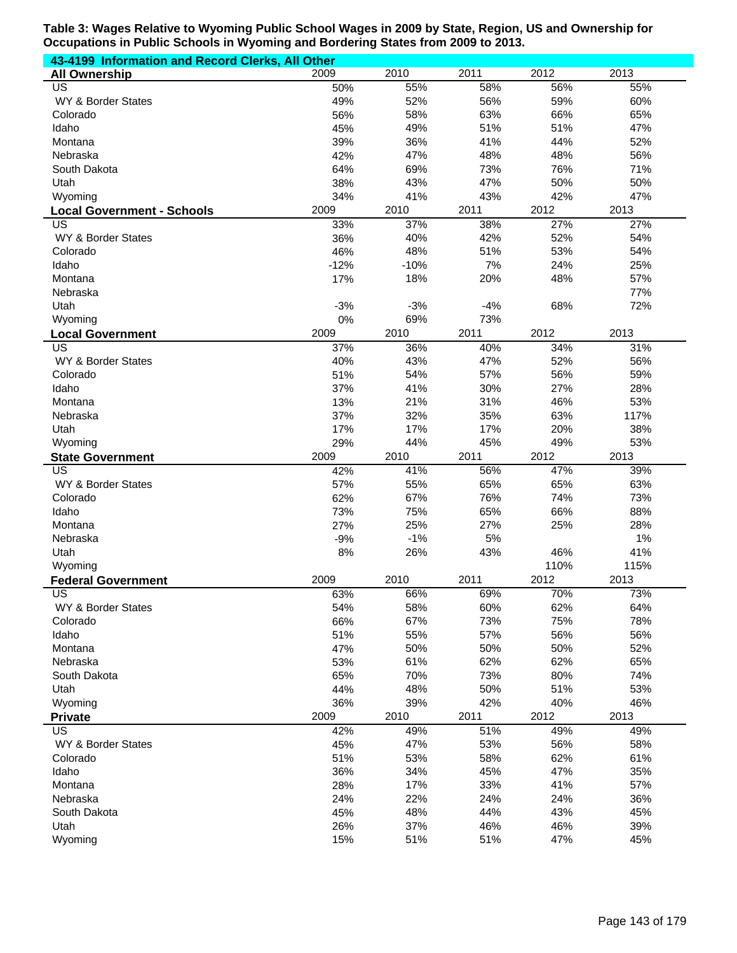| 43-4199 Information and Record Clerks, All Other |            |            |            |            |            |
|--------------------------------------------------|------------|------------|------------|------------|------------|
| <b>All Ownership</b>                             | 2009       | 2010       | 2011       | 2012       | 2013       |
| <b>US</b>                                        | 50%        | 55%        | 58%        | 56%        | 55%        |
| WY & Border States                               | 49%        | 52%        | 56%        | 59%        | 60%        |
| Colorado                                         | 56%        | 58%        | 63%        | 66%        | 65%        |
| Idaho                                            | 45%        | 49%        | 51%        | 51%        | 47%        |
| Montana                                          | 39%        | 36%        | 41%        | 44%        | 52%        |
| Nebraska                                         | 42%        | 47%        | 48%        | 48%        | 56%        |
| South Dakota                                     | 64%        | 69%        | 73%        | 76%        | 71%        |
| Utah                                             | 38%        | 43%        | 47%        | 50%        | 50%        |
| Wyoming                                          | 34%        | 41%        | 43%        | 42%        | 47%        |
| <b>Local Government - Schools</b>                | 2009       | 2010       | 2011       | 2012       | 2013       |
| US                                               | 33%        | 37%        | 38%        | 27%        | 27%        |
| WY & Border States                               | 36%        | 40%        | 42%        | 52%        | 54%        |
| Colorado                                         | 46%        | 48%        | 51%        | 53%        | 54%        |
| Idaho                                            | $-12%$     | $-10%$     | 7%         | 24%        | 25%        |
| Montana                                          | 17%        | 18%        | 20%        | 48%        | 57%        |
| Nebraska                                         |            |            |            |            | 77%        |
| Utah                                             | $-3%$      | $-3%$      | $-4%$      | 68%        | 72%        |
| Wyoming                                          | 0%         | 69%        | 73%        |            |            |
| <b>Local Government</b>                          | 2009       | 2010       | 2011       | 2012       | 2013       |
| US                                               | 37%        | 36%        | 40%        | 34%        | 31%        |
| WY & Border States                               | 40%        | 43%        | 47%        | 52%        | 56%        |
| Colorado                                         | 51%        | 54%        | 57%        | 56%        | 59%        |
| Idaho                                            | 37%        | 41%        | 30%        | 27%        | 28%        |
| Montana                                          | 13%        | 21%        | 31%        | 46%        | 53%        |
| Nebraska                                         | 37%        | 32%        | 35%        | 63%        | 117%       |
| Utah                                             | 17%        | 17%        | 17%        | 20%        | 38%        |
| Wyoming                                          | 29%        | 44%        | 45%        | 49%        | 53%        |
| <b>State Government</b>                          | 2009       | 2010       | 2011       | 2012       | 2013       |
| US                                               | 42%        | 41%        | 56%        | 47%        | 39%        |
| WY & Border States                               | 57%        | 55%        | 65%        | 65%        | 63%        |
| Colorado                                         | 62%        | 67%        | 76%        | 74%        | 73%        |
| Idaho                                            | 73%        | 75%        | 65%        | 66%        | 88%        |
| Montana                                          | 27%        | 25%        | 27%        | 25%        | 28%        |
| Nebraska                                         | $-9%$      | $-1%$      | 5%         |            | 1%         |
| Utah                                             | 8%         | 26%        | 43%        | 46%        | 41%        |
| Wyoming                                          |            |            |            | 110%       | 115%       |
| <b>Federal Government</b>                        | 2009       | 2010       | 2011       | 2012       | 2013       |
| US                                               | 63%        | 66%        | 69%        | 70%        | 73%        |
| WY & Border States                               | 54%        | 58%        |            |            |            |
| Colorado                                         |            |            | 60%        | 62%        | 64%        |
|                                                  | 66%        | 67%        | 73%        | 75%        | 78%        |
| Idaho                                            | 51%        | 55%        | 57%        | 56%        | 56%        |
| Montana                                          | 47%        | 50%        | 50%        | 50%        | 52%        |
| Nebraska                                         | 53%        | 61%        | 62%        | 62%        | 65%        |
| South Dakota                                     | 65%        | 70%        | 73%        | 80%        | 74%        |
| Utah                                             | 44%        | 48%        | 50%        | 51%        | 53%        |
| Wyoming                                          | 36%        | 39%        | 42%        | 40%        | 46%        |
| <b>Private</b>                                   | 2009       | 2010       | 2011       | 2012       | 2013       |
| US                                               | 42%        | 49%        | 51%        | 49%        | 49%        |
| WY & Border States                               | 45%        | 47%        | 53%        | 56%        | 58%        |
| Colorado                                         | 51%        | 53%        | 58%        | 62%        | 61%        |
| Idaho                                            | 36%        | 34%        | 45%        | 47%        | 35%        |
| Montana                                          | 28%        | 17%        | 33%        | 41%        | 57%        |
| Nebraska                                         | 24%        | 22%        | 24%        | 24%        | 36%        |
| South Dakota                                     | 45%        | 48%        | 44%        | 43%        | 45%        |
| Utah<br>Wyoming                                  | 26%<br>15% | 37%<br>51% | 46%<br>51% | 46%<br>47% | 39%<br>45% |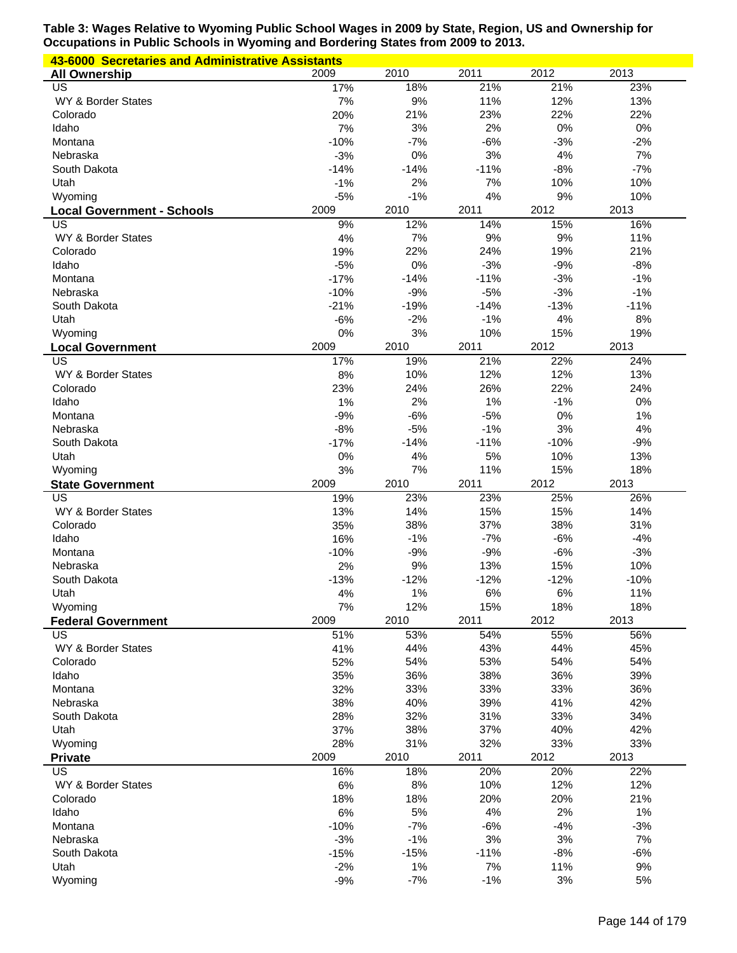| 43-6000 Secretaries and Administrative Assistants |        |        |        |        |        |
|---------------------------------------------------|--------|--------|--------|--------|--------|
| <b>All Ownership</b>                              | 2009   | 2010   | 2011   | 2012   | 2013   |
| US                                                | 17%    | 18%    | 21%    | 21%    | 23%    |
| WY & Border States                                | 7%     | 9%     | 11%    | 12%    | 13%    |
| Colorado                                          | 20%    | 21%    | 23%    | 22%    | 22%    |
| Idaho                                             | 7%     | 3%     | 2%     | $0\%$  | 0%     |
| Montana                                           | $-10%$ | $-7%$  | $-6%$  | $-3%$  | $-2%$  |
| Nebraska                                          | $-3%$  | 0%     | 3%     | 4%     | 7%     |
| South Dakota                                      | $-14%$ | $-14%$ | $-11%$ | $-8%$  | $-7%$  |
| Utah                                              | $-1%$  | 2%     | 7%     | 10%    | 10%    |
| Wyoming                                           | $-5%$  | $-1%$  | 4%     | 9%     | 10%    |
|                                                   | 2009   | 2010   | 2011   | 2012   | 2013   |
| <b>Local Government - Schools</b><br>US           | 9%     | 12%    | 14%    | 15%    | 16%    |
| WY & Border States                                |        | 7%     | 9%     | 9%     |        |
|                                                   | 4%     |        |        |        | 11%    |
| Colorado                                          | 19%    | 22%    | 24%    | 19%    | 21%    |
| Idaho                                             | $-5%$  | 0%     | $-3%$  | $-9%$  | $-8%$  |
| Montana                                           | $-17%$ | $-14%$ | $-11%$ | $-3%$  | $-1%$  |
| Nebraska                                          | $-10%$ | $-9%$  | $-5%$  | $-3%$  | $-1%$  |
| South Dakota                                      | $-21%$ | $-19%$ | $-14%$ | $-13%$ | $-11%$ |
| Utah                                              | $-6%$  | $-2%$  | $-1%$  | 4%     | 8%     |
| Wyoming                                           | 0%     | 3%     | 10%    | 15%    | 19%    |
| <b>Local Government</b>                           | 2009   | 2010   | 2011   | 2012   | 2013   |
| US                                                | 17%    | 19%    | 21%    | 22%    | 24%    |
| WY & Border States                                | 8%     | 10%    | 12%    | 12%    | 13%    |
| Colorado                                          | 23%    | 24%    | 26%    | 22%    | 24%    |
| Idaho                                             | 1%     | 2%     | 1%     | $-1%$  | 0%     |
| Montana                                           | $-9%$  | $-6%$  | $-5%$  | 0%     | 1%     |
| Nebraska                                          | $-8%$  | $-5%$  | $-1%$  | 3%     | 4%     |
| South Dakota                                      | $-17%$ | $-14%$ | $-11%$ | $-10%$ | $-9%$  |
| Utah                                              | 0%     | 4%     | 5%     | 10%    | 13%    |
| Wyoming                                           | 3%     | 7%     | 11%    | 15%    | 18%    |
|                                                   |        |        |        |        |        |
|                                                   |        |        | 2011   |        |        |
| <b>State Government</b><br>US                     | 2009   | 2010   |        | 2012   | 2013   |
|                                                   | 19%    | 23%    | 23%    | 25%    | 26%    |
| WY & Border States                                | 13%    | 14%    | 15%    | 15%    | 14%    |
| Colorado                                          | 35%    | 38%    | 37%    | 38%    | 31%    |
| Idaho                                             | 16%    | $-1%$  | $-7%$  | $-6%$  | $-4%$  |
| Montana                                           | $-10%$ | $-9%$  | $-9%$  | $-6%$  | $-3%$  |
| Nebraska                                          | 2%     | 9%     | 13%    | 15%    | 10%    |
| South Dakota                                      | $-13%$ | $-12%$ | $-12%$ | $-12%$ | $-10%$ |
| Utah                                              | 4%     | 1%     | $6\%$  | 6%     | 11%    |
| Wyoming                                           | 7%     | 12%    | 15%    | 18%    | 18%    |
| <b>Federal Government</b>                         | 2009   | 2010   | 2011   | 2012   | 2013   |
| US                                                | 51%    | 53%    | 54%    | 55%    | 56%    |
| WY & Border States                                | 41%    | 44%    | 43%    | 44%    | 45%    |
| Colorado                                          | 52%    | 54%    | 53%    | 54%    | 54%    |
| Idaho                                             | 35%    | 36%    | 38%    | 36%    | 39%    |
| Montana                                           | 32%    | 33%    | 33%    | 33%    | 36%    |
| Nebraska                                          | 38%    | 40%    | 39%    | 41%    | 42%    |
| South Dakota                                      | 28%    | 32%    | 31%    | 33%    | 34%    |
| Utah                                              | 37%    | 38%    | 37%    | 40%    | 42%    |
| Wyoming                                           | 28%    | 31%    | 32%    | 33%    | 33%    |
| <b>Private</b>                                    | 2009   | 2010   | 2011   | 2012   | 2013   |
| US                                                | 16%    | 18%    | 20%    | 20%    | 22%    |
| WY & Border States                                | 6%     | $8%$   | 10%    | 12%    | 12%    |
| Colorado                                          | 18%    | 18%    | 20%    | 20%    | 21%    |
| Idaho                                             | $6\%$  | 5%     | 4%     | 2%     | 1%     |
| Montana                                           | $-10%$ | $-7%$  | $-6%$  | $-4%$  | $-3%$  |
| Nebraska                                          | $-3%$  | $-1%$  | $3%$   | 3%     | 7%     |
| South Dakota                                      | $-15%$ | $-15%$ | $-11%$ | $-8%$  | $-6%$  |
| Utah                                              | $-2%$  | 1%     | 7%     | 11%    | 9%     |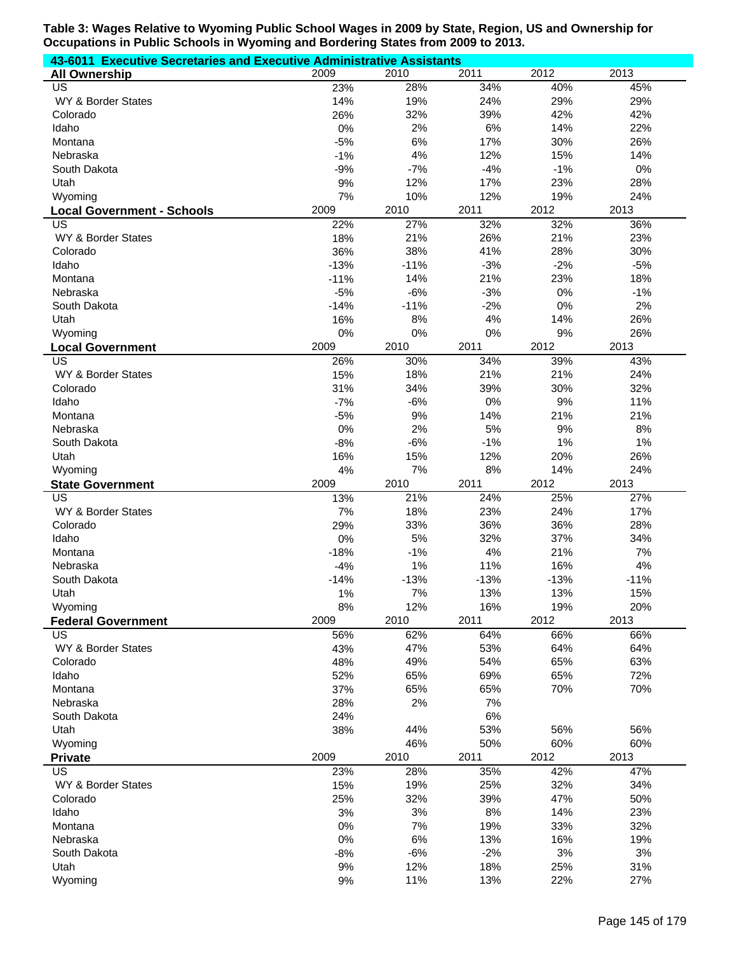| 43-6011 Executive Secretaries and Executive Administrative Assistants |            |            |              |              |             |  |  |
|-----------------------------------------------------------------------|------------|------------|--------------|--------------|-------------|--|--|
| <b>All Ownership</b>                                                  | 2009       | 2010       | 2011         | 2012         | 2013        |  |  |
| US                                                                    | 23%        | 28%        | 34%          | 40%          | 45%         |  |  |
| WY & Border States                                                    | 14%        | 19%        | 24%          | 29%          | 29%         |  |  |
| Colorado                                                              | 26%        | 32%        | 39%          | 42%          | 42%         |  |  |
| Idaho                                                                 | 0%         | 2%         | 6%           | 14%          | 22%         |  |  |
| Montana                                                               | $-5%$      | 6%         | 17%          | 30%          | 26%         |  |  |
| Nebraska                                                              | $-1%$      | 4%         | 12%          | 15%          | 14%         |  |  |
| South Dakota                                                          | $-9%$      | $-7%$      | $-4%$<br>17% | $-1%$<br>23% | 0%<br>28%   |  |  |
| Utah<br>Wyoming                                                       | 9%<br>7%   | 12%<br>10% | 12%          | 19%          | 24%         |  |  |
| <b>Local Government - Schools</b>                                     | 2009       | 2010       | 2011         | 2012         | 2013        |  |  |
| US                                                                    | 22%        | 27%        | 32%          | 32%          | 36%         |  |  |
| WY & Border States                                                    | 18%        | 21%        | 26%          | 21%          | 23%         |  |  |
| Colorado                                                              | 36%        | 38%        | 41%          | 28%          | 30%         |  |  |
| Idaho                                                                 | $-13%$     | $-11%$     | $-3%$        | $-2%$        | $-5%$       |  |  |
| Montana                                                               | $-11%$     | 14%        | 21%          | 23%          | 18%         |  |  |
| Nebraska                                                              | $-5%$      | $-6%$      | $-3%$        | 0%           | $-1%$       |  |  |
| South Dakota                                                          | $-14%$     | $-11%$     | $-2%$        | 0%           | 2%          |  |  |
| Utah                                                                  | 16%        | 8%         | 4%           | 14%          | 26%         |  |  |
| Wyoming                                                               | 0%         | 0%         | 0%           | $9%$         | 26%         |  |  |
| <b>Local Government</b>                                               | 2009       | 2010       | 2011         | 2012         | 2013        |  |  |
| US                                                                    | 26%        | 30%        | 34%          | 39%          | 43%         |  |  |
| WY & Border States                                                    | 15%        | 18%        | 21%          | 21%          | 24%         |  |  |
| Colorado                                                              | 31%        | 34%        | 39%          | 30%          | 32%         |  |  |
| Idaho                                                                 | $-7%$      | $-6%$      | 0%           | 9%           | 11%         |  |  |
| Montana                                                               | $-5%$      | 9%         | 14%          | 21%          | 21%         |  |  |
| Nebraska                                                              | 0%         | 2%         | 5%           | 9%           | 8%          |  |  |
| South Dakota                                                          | $-8%$      | $-6%$      | $-1%$        | 1%           | 1%          |  |  |
| Utah                                                                  | 16%        | 15%        | 12%          | 20%          | 26%         |  |  |
| Wyoming                                                               | 4%<br>2009 | 7%<br>2010 | 8%<br>2011   | 14%<br>2012  | 24%<br>2013 |  |  |
| <b>State Government</b><br>$\overline{US}$                            | 13%        | 21%        | 24%          | 25%          | 27%         |  |  |
| WY & Border States                                                    | 7%         | 18%        | 23%          | 24%          | 17%         |  |  |
| Colorado                                                              | 29%        | 33%        | 36%          | 36%          | 28%         |  |  |
| Idaho                                                                 | 0%         | 5%         | 32%          | 37%          | 34%         |  |  |
| Montana                                                               | $-18%$     | $-1%$      | 4%           | 21%          | 7%          |  |  |
| Nebraska                                                              | $-4%$      | 1%         | 11%          | 16%          | 4%          |  |  |
| South Dakota                                                          | $-14%$     | $-13%$     | $-13%$       | $-13%$       | $-11%$      |  |  |
| Utah                                                                  | 1%         | $7\%$      | 13%          | 13%          | 15%         |  |  |
| Wyoming                                                               | 8%         | 12%        | 16%          | 19%          | 20%         |  |  |
| <b>Federal Government</b>                                             | 2009       | 2010       | 2011         | 2012         | 2013        |  |  |
| US                                                                    | 56%        | 62%        | 64%          | 66%          | 66%         |  |  |
| WY & Border States                                                    | 43%        | 47%        | 53%          | 64%          | 64%         |  |  |
| Colorado                                                              | 48%        | 49%        | 54%          | 65%          | 63%         |  |  |
| Idaho                                                                 | 52%        | 65%        | 69%          | 65%          | 72%         |  |  |
| Montana                                                               | 37%        | 65%        | 65%          | 70%          | 70%         |  |  |
| Nebraska                                                              | 28%        | 2%         | 7%           |              |             |  |  |
| South Dakota<br>Utah                                                  | 24%<br>38% | 44%        | 6%<br>53%    | 56%          | 56%         |  |  |
| Wyoming                                                               |            | 46%        | 50%          | 60%          | 60%         |  |  |
| <b>Private</b>                                                        | 2009       | 2010       | 2011         | 2012         | 2013        |  |  |
| <b>US</b>                                                             | 23%        | 28%        | 35%          | 42%          | 47%         |  |  |
| WY & Border States                                                    | 15%        | 19%        | 25%          | 32%          | 34%         |  |  |
| Colorado                                                              | 25%        | 32%        | 39%          | 47%          | 50%         |  |  |
| Idaho                                                                 | 3%         | 3%         | 8%           | 14%          | 23%         |  |  |
| Montana                                                               | 0%         | 7%         | 19%          | 33%          | 32%         |  |  |
| Nebraska                                                              | 0%         | 6%         | 13%          | 16%          | 19%         |  |  |
| South Dakota                                                          | $-8%$      | $-6%$      | $-2%$        | 3%           | 3%          |  |  |
| Utah                                                                  | 9%         | 12%        | 18%          | 25%          | 31%         |  |  |
| Wyoming                                                               | 9%         | 11%        | 13%          | 22%          | 27%         |  |  |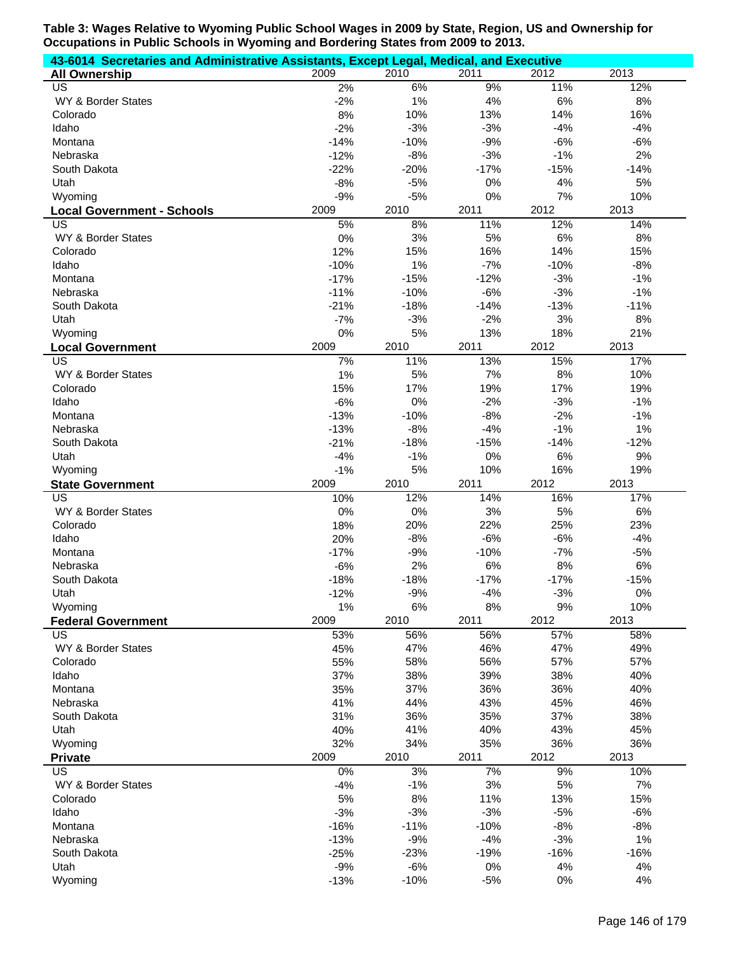| 43-6014 Secretaries and Administrative Assistants, Except Legal, Medical, and Executive |             |             |             |              |              |
|-----------------------------------------------------------------------------------------|-------------|-------------|-------------|--------------|--------------|
| <b>All Ownership</b>                                                                    | 2009        | 2010        | 2011        | 2012         | 2013         |
| US                                                                                      | 2%          | 6%          | 9%          | 11%          | 12%          |
| WY & Border States                                                                      | $-2%$       | 1%          | 4%          | 6%           | 8%           |
| Colorado                                                                                | 8%          | 10%         | 13%         | 14%          | 16%          |
| Idaho                                                                                   | $-2%$       | $-3%$       | $-3%$       | $-4%$        | $-4%$        |
| Montana                                                                                 | $-14%$      | $-10%$      | $-9%$       | $-6%$        | $-6%$        |
| Nebraska                                                                                | $-12%$      | $-8%$       | $-3%$       | $-1%$        | 2%           |
| South Dakota                                                                            | $-22%$      | $-20%$      | $-17%$      | $-15%$       | $-14%$       |
| Utah                                                                                    | $-8%$       | $-5%$       | 0%          | 4%           | 5%           |
| Wyoming                                                                                 | $-9%$       | $-5%$       | 0%          | 7%           | 10%          |
| <b>Local Government - Schools</b>                                                       | 2009        | 2010        | 2011        | 2012         | 2013         |
| US                                                                                      | 5%          | 8%          | 11%         | 12%          | 14%          |
| WY & Border States                                                                      | 0%          | 3%          | 5%          | 6%           | 8%           |
| Colorado                                                                                | 12%         | 15%         | 16%         | 14%          | 15%          |
| Idaho                                                                                   | $-10%$      | 1%          | $-7%$       | $-10%$       | $-8%$        |
| Montana                                                                                 | $-17%$      | $-15%$      | $-12%$      | $-3%$        | $-1%$        |
| Nebraska                                                                                | $-11%$      | $-10%$      | $-6%$       | $-3%$        | $-1%$        |
| South Dakota                                                                            | $-21%$      | $-18%$      | $-14%$      | $-13%$<br>3% | $-11%$<br>8% |
| Utah<br>Wyoming                                                                         | $-7%$<br>0% | $-3%$<br>5% | $-2%$       |              |              |
|                                                                                         | 2009        | 2010        | 13%<br>2011 | 18%<br>2012  | 21%<br>2013  |
| <b>Local Government</b><br>US                                                           |             |             | 13%         | 15%          |              |
| WY & Border States                                                                      | 7%<br>1%    | 11%<br>5%   | 7%          | 8%           | 17%<br>10%   |
| Colorado                                                                                | 15%         | 17%         | 19%         | 17%          | 19%          |
| Idaho                                                                                   | $-6%$       | 0%          | $-2%$       | $-3%$        | $-1%$        |
| Montana                                                                                 | $-13%$      | $-10%$      | $-8%$       | $-2%$        | $-1%$        |
| Nebraska                                                                                | $-13%$      | $-8%$       | $-4%$       | $-1%$        | 1%           |
| South Dakota                                                                            | $-21%$      | $-18%$      | $-15%$      | $-14%$       | $-12%$       |
| Utah                                                                                    | $-4%$       | $-1%$       | 0%          | 6%           | 9%           |
| Wyoming                                                                                 | $-1%$       | 5%          | 10%         | 16%          | 19%          |
| <b>State Government</b>                                                                 | 2009        | 2010        | 2011        | 2012         | 2013         |
| US                                                                                      | 10%         | 12%         | 14%         | 16%          | 17%          |
| WY & Border States                                                                      | 0%          | 0%          | 3%          | 5%           | $6\%$        |
| Colorado                                                                                | 18%         | 20%         | 22%         | 25%          | 23%          |
| Idaho                                                                                   | 20%         | $-8%$       | $-6%$       | $-6%$        | $-4%$        |
| Montana                                                                                 | $-17%$      | $-9%$       | $-10%$      | $-7%$        | $-5%$        |
| Nebraska                                                                                | $-6%$       | 2%          | 6%          | 8%           | 6%           |
| South Dakota                                                                            | $-18%$      | $-18%$      | $-17%$      | $-17%$       | $-15%$       |
| Utah                                                                                    | $-12%$      | $-9%$       | $-4%$       | $-3%$        | $0\%$        |
| Wyoming                                                                                 | 1%          | 6%          | 8%          | 9%           | 10%          |
| <b>Federal Government</b>                                                               | 2009        | 2010        | 2011        | 2012         | 2013         |
| US                                                                                      | 53%         | 56%         | 56%         | 57%          | 58%          |
| WY & Border States                                                                      | 45%         | 47%         | 46%         | 47%          | 49%          |
| Colorado                                                                                | 55%         | 58%         | 56%         | 57%          | 57%          |
| Idaho                                                                                   | 37%         | 38%         | 39%         | 38%          | 40%          |
| Montana                                                                                 | 35%         | 37%         | 36%         | 36%          | 40%          |
| Nebraska                                                                                | 41%         | 44%         | 43%         | 45%          | 46%          |
| South Dakota                                                                            | 31%         | 36%         | 35%         | 37%          | 38%          |
| Utah                                                                                    | 40%         | 41%         | 40%         | 43%          | 45%          |
| Wyoming                                                                                 | 32%         | 34%         | 35%         | 36%          | 36%          |
| <b>Private</b>                                                                          | 2009        | 2010        | 2011        | 2012         | 2013         |
| US                                                                                      | 0%          | 3%          | 7%          | 9%           | 10%          |
| WY & Border States                                                                      | $-4%$       | $-1%$       | 3%          | 5%           | 7%           |
| Colorado                                                                                | 5%          | 8%          | 11%         | 13%          | 15%          |
| Idaho                                                                                   | $-3%$       | $-3%$       | $-3%$       | $-5%$        | $-6%$        |
| Montana                                                                                 | $-16%$      | $-11%$      | $-10%$      | $-8%$        | $-8%$        |
| Nebraska                                                                                | $-13%$      | $-9%$       | $-4%$       | $-3%$        | 1%           |
| South Dakota                                                                            | $-25%$      | $-23%$      | $-19%$      | $-16%$       | $-16%$       |
| Utah                                                                                    | $-9%$       | $-6%$       | $0\%$       | 4%           | 4%           |
| Wyoming                                                                                 | $-13%$      | $-10%$      | $-5%$       | $0\%$        | 4%           |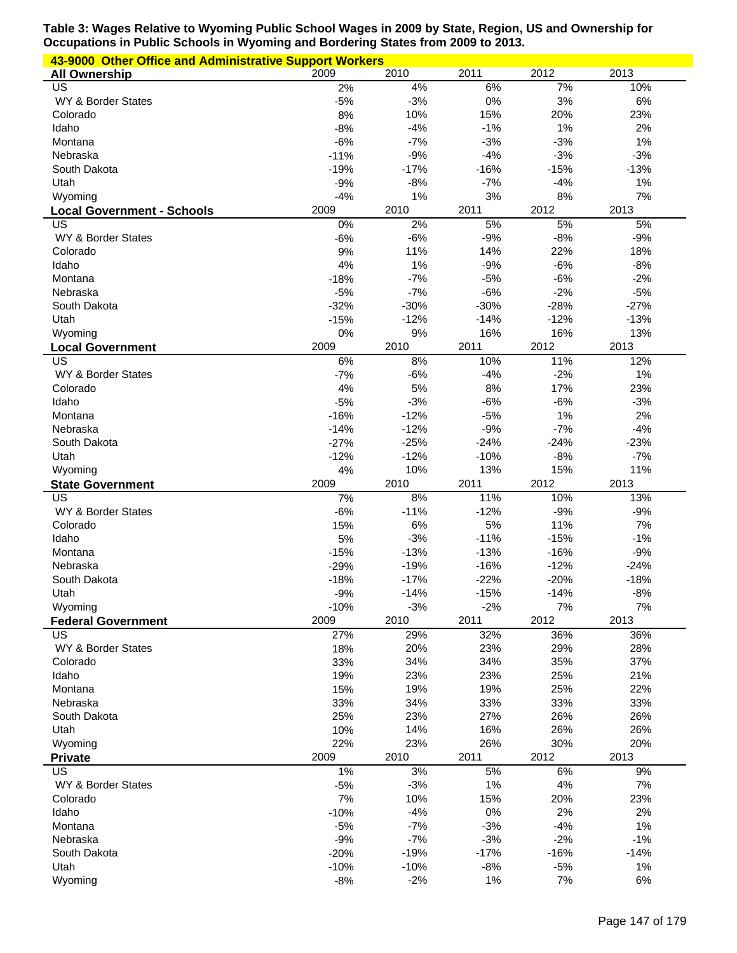| 43-9000 Other Office and Administrative Support Workers |                 |                 |             |             |          |
|---------------------------------------------------------|-----------------|-----------------|-------------|-------------|----------|
| <b>All Ownership</b>                                    | 2009            | 2010            | 2011        | 2012        | 2013     |
| $\overline{US}$                                         | 2%              | 4%              | 6%          | 7%          | 10%      |
| WY & Border States                                      | $-5%$           | $-3%$           | 0%          | 3%          | 6%       |
| Colorado                                                | 8%              | 10%             | 15%         | 20%         | 23%      |
| Idaho                                                   | $-8%$           | $-4%$           | $-1%$       | 1%          | 2%       |
| Montana                                                 | $-6%$           | $-7%$           | $-3%$       | $-3%$       | 1%       |
| Nebraska                                                | $-11%$          | $-9%$           | $-4%$       | $-3%$       | $-3%$    |
| South Dakota                                            | $-19%$          | $-17%$          | $-16%$      | $-15%$      | $-13%$   |
| Utah                                                    | $-9%$           | $-8%$           | $-7%$       | $-4%$       | 1%       |
| Wyoming                                                 | $-4%$           | 1%              | 3%          | $8%$        | 7%       |
| <b>Local Government - Schools</b>                       | 2009            | 2010            | 2011        | 2012        | 2013     |
| US                                                      | 0%              | 2%              | 5%          | 5%          | 5%       |
| WY & Border States                                      | $-6%$           | $-6%$           | $-9%$       | $-8%$       | $-9%$    |
| Colorado                                                | 9%              | 11%             | 14%         | 22%         | 18%      |
| Idaho                                                   | 4%              | 1%              | $-9%$       | $-6%$       | $-8%$    |
| Montana                                                 | $-18%$          | $-7%$           | $-5%$       | $-6%$       | $-2%$    |
| Nebraska                                                | $-5%$           | $-7%$           | $-6%$       | $-2%$       | $-5%$    |
| South Dakota                                            | $-32%$          | $-30%$          | $-30%$      | $-28%$      | $-27%$   |
| Utah                                                    | $-15%$          | $-12%$          | $-14%$      | $-12%$      | $-13%$   |
| Wyoming                                                 | 0%              | 9%              | 16%         | 16%         | 13%      |
| <b>Local Government</b>                                 | 2009            | 2010            | 2011        | 2012        | 2013     |
| US                                                      | 6%              | 8%              | 10%         | 11%         | 12%      |
| WY & Border States                                      | $-7%$           | $-6%$           | $-4%$       | $-2%$       | 1%       |
| Colorado                                                | 4%              | 5%              | 8%          | 17%         | 23%      |
| Idaho                                                   | $-5%$           | $-3%$           | $-6%$       | $-6%$       | $-3%$    |
| Montana                                                 | $-16%$          | $-12%$          | $-5%$       | 1%          | 2%       |
| Nebraska                                                | $-14%$          | $-12%$          | $-9%$       | $-7%$       | $-4%$    |
| South Dakota                                            | $-27%$          | $-25%$          | $-24%$      | $-24%$      | $-23%$   |
| Utah                                                    | $-12%$          | $-12%$          | $-10%$      | $-8%$       | $-7%$    |
| Wyoming                                                 | 4%              | 10%             | 13%         | 15%         | 11%      |
| <b>State Government</b>                                 | 2009            | 2010            | 2011        | 2012        | 2013     |
| $\overline{\mathsf{US}}$                                | 7%              | 8%              | 11%         | 10%         | 13%      |
| WY & Border States                                      | $-6%$           | $-11%$          | $-12%$      | $-9%$       | $-9%$    |
| Colorado                                                | 15%             | 6%              | 5%          | 11%         | 7%       |
| Idaho                                                   | 5%              | $-3%$           | $-11%$      | $-15%$      | $-1%$    |
| Montana                                                 | $-15%$          | $-13%$          | $-13%$      | $-16%$      | $-9%$    |
| Nebraska                                                | $-29%$          | $-19%$          | $-16%$      | $-12%$      | $-24%$   |
| South Dakota                                            | $-18%$          | $-17%$          | $-22%$      | $-20%$      | $-18%$   |
| Utah                                                    | $-9%$           | $-14%$          | $-15%$      | $-14%$      | $-8%$    |
| Wyoming                                                 | $-10%$          | $-3%$           | $-2%$       | 7%          | 7%       |
| <b>Federal Government</b>                               | 2009            | 2010            | 2011        | 2012        | 2013     |
| US                                                      | 27%             | 29%             | 32%         | 36%         | 36%      |
| WY & Border States                                      | 18%             | 20%             | 23%         | 29%         | 28%      |
| Colorado                                                | 33%             | 34%             | 34%         | 35%         | 37%      |
| Idaho                                                   |                 |                 |             |             |          |
| Montana                                                 | 19%             | 23%             | 23%         | 25%         | 21%      |
|                                                         | 15%             | 19%             | 19%         | 25%         | 22%      |
| Nebraska                                                | 33%             | 34%             | 33%         | 33%         | 33%      |
| South Dakota                                            | 25%             | 23%             | 27%         | 26%         | 26%      |
| Utah                                                    | 10%             | 14%             | 16%         | 26%         | 26%      |
| Wyoming                                                 | 22%             | 23%             | 26%         | 30%         | 20%      |
| <b>Private</b>                                          | 2009            | 2010            | 2011        | 2012        | 2013     |
| US                                                      | 1%              | 3%              | 5%          | 6%          | 9%       |
| WY & Border States                                      | $-5%$           | $-3%$           | 1%          | 4%          | 7%       |
| Colorado                                                | 7%              | 10%             | 15%         | 20%         | 23%      |
| Idaho                                                   | $-10%$          | $-4%$           | 0%          | 2%          | 2%       |
| Montana                                                 | $-5%$           | $-7%$           | $-3%$       | $-4%$       | 1%       |
| Nebraska                                                | $-9%$           | $-7%$           | $-3%$       | $-2%$       | $-1%$    |
| South Dakota                                            | $-20%$          | $-19%$          | $-17%$      | $-16%$      | $-14%$   |
| Utah<br>Wyoming                                         | $-10%$<br>$-8%$ | $-10%$<br>$-2%$ | $-8%$<br>1% | $-5%$<br>7% | 1%<br>6% |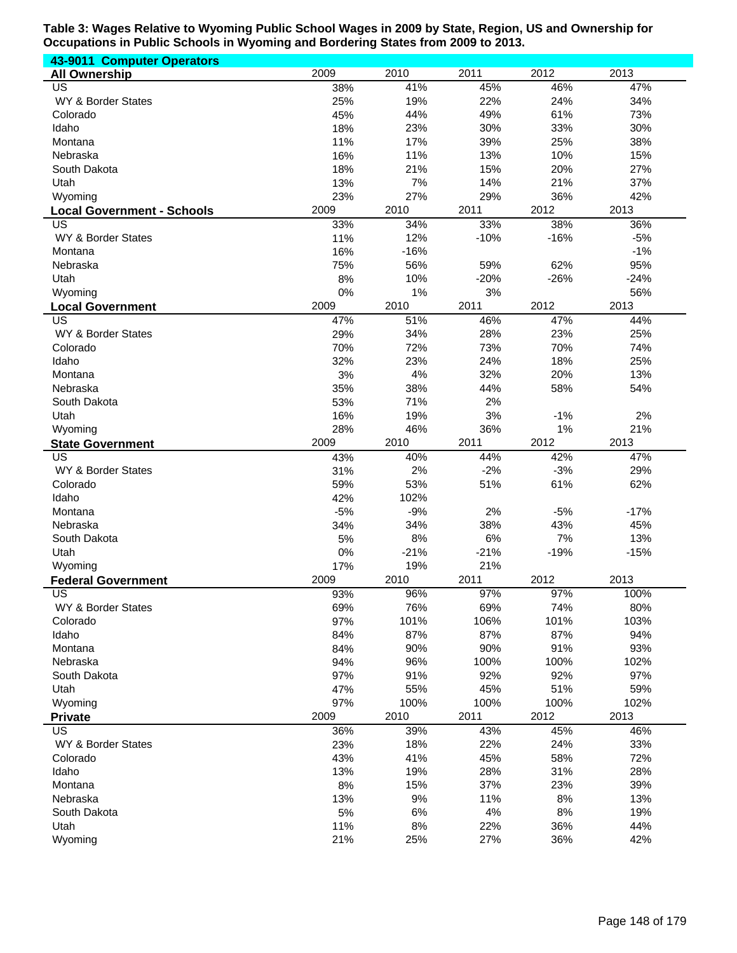| 43-9011 Computer Operators        |       |        |        |        |        |
|-----------------------------------|-------|--------|--------|--------|--------|
| <b>All Ownership</b>              | 2009  | 2010   | 2011   | 2012   | 2013   |
| $\overline{\mathsf{US}}$          | 38%   | 41%    | 45%    | 46%    | 47%    |
| WY & Border States                | 25%   | 19%    | 22%    | 24%    | 34%    |
| Colorado                          | 45%   | 44%    | 49%    | 61%    | 73%    |
| Idaho                             | 18%   | 23%    | 30%    | 33%    | 30%    |
| Montana                           | 11%   | 17%    | 39%    | 25%    | 38%    |
| Nebraska                          | 16%   | 11%    | 13%    | 10%    | 15%    |
| South Dakota                      | 18%   | 21%    | 15%    | 20%    | 27%    |
| Utah                              | 13%   | 7%     | 14%    | 21%    | 37%    |
|                                   | 23%   | 27%    | 29%    | 36%    | 42%    |
| Wyoming                           |       |        |        |        |        |
| <b>Local Government - Schools</b> | 2009  | 2010   | 2011   | 2012   | 2013   |
| US                                | 33%   | 34%    | 33%    | 38%    | 36%    |
| WY & Border States                | 11%   | 12%    | $-10%$ | $-16%$ | $-5%$  |
| Montana                           | 16%   | $-16%$ |        |        | $-1%$  |
| Nebraska                          | 75%   | 56%    | 59%    | 62%    | 95%    |
| Utah                              | 8%    | 10%    | $-20%$ | $-26%$ | $-24%$ |
| Wyoming                           | 0%    | 1%     | 3%     |        | 56%    |
| <b>Local Government</b>           | 2009  | 2010   | 2011   | 2012   | 2013   |
| US                                | 47%   | 51%    | 46%    | 47%    | 44%    |
| WY & Border States                | 29%   | 34%    | 28%    | 23%    | 25%    |
| Colorado                          | 70%   | 72%    | 73%    | 70%    | 74%    |
| Idaho                             | 32%   | 23%    | 24%    | 18%    | 25%    |
| Montana                           | 3%    | 4%     | 32%    | 20%    | 13%    |
| Nebraska                          | 35%   | 38%    | 44%    | 58%    | 54%    |
|                                   |       |        |        |        |        |
| South Dakota                      | 53%   | 71%    | 2%     |        |        |
| Utah                              | 16%   | 19%    | 3%     | $-1%$  | 2%     |
| Wyoming                           | 28%   | 46%    | 36%    | 1%     | 21%    |
| <b>State Government</b>           | 2009  | 2010   | 2011   | 2012   | 2013   |
| US                                | 43%   | 40%    | 44%    | 42%    | 47%    |
| WY & Border States                | 31%   | 2%     | $-2%$  | $-3%$  | 29%    |
| Colorado                          | 59%   | 53%    | 51%    | 61%    | 62%    |
| Idaho                             | 42%   | 102%   |        |        |        |
| Montana                           | $-5%$ | $-9%$  | 2%     | $-5%$  | $-17%$ |
| Nebraska                          | 34%   | 34%    | 38%    | 43%    | 45%    |
| South Dakota                      | 5%    | $8%$   | 6%     | 7%     | 13%    |
| Utah                              | $0\%$ | $-21%$ | $-21%$ | $-19%$ | $-15%$ |
| Wyoming                           | 17%   | 19%    | 21%    |        |        |
| <b>Federal Government</b>         | 2009  | 2010   | 2011   | 2012   | 2013   |
| US.                               | 93%   | 96%    | 97%    | 97%    | 100%   |
| WY & Border States                | 69%   | 76%    | 69%    | 74%    | 80%    |
| Colorado                          | 97%   | 101%   | 106%   | 101%   | 103%   |
| Idaho                             | 84%   | 87%    | 87%    | 87%    | 94%    |
|                                   |       |        | 90%    | 91%    |        |
| Montana                           | 84%   | 90%    |        |        | 93%    |
| Nebraska                          | 94%   | 96%    | 100%   | 100%   | 102%   |
| South Dakota                      | 97%   | 91%    | 92%    | 92%    | 97%    |
| Utah                              | 47%   | 55%    | 45%    | 51%    | 59%    |
| Wyoming                           | 97%   | 100%   | 100%   | 100%   | 102%   |
| <b>Private</b>                    | 2009  | 2010   | 2011   | 2012   | 2013   |
| US                                | 36%   | 39%    | 43%    | 45%    | 46%    |
| WY & Border States                | 23%   | 18%    | 22%    | 24%    | 33%    |
| Colorado                          | 43%   | 41%    | 45%    | 58%    | 72%    |
| Idaho                             | 13%   | 19%    | 28%    | 31%    | 28%    |
| Montana                           | 8%    | 15%    | 37%    | 23%    | 39%    |
| Nebraska                          | 13%   | $9%$   | 11%    | 8%     | 13%    |
| South Dakota                      | 5%    | 6%     | 4%     | 8%     | 19%    |
| Utah                              | 11%   | $8\%$  | 22%    | 36%    | 44%    |
| Wyoming                           | 21%   | 25%    | 27%    | 36%    | 42%    |
|                                   |       |        |        |        |        |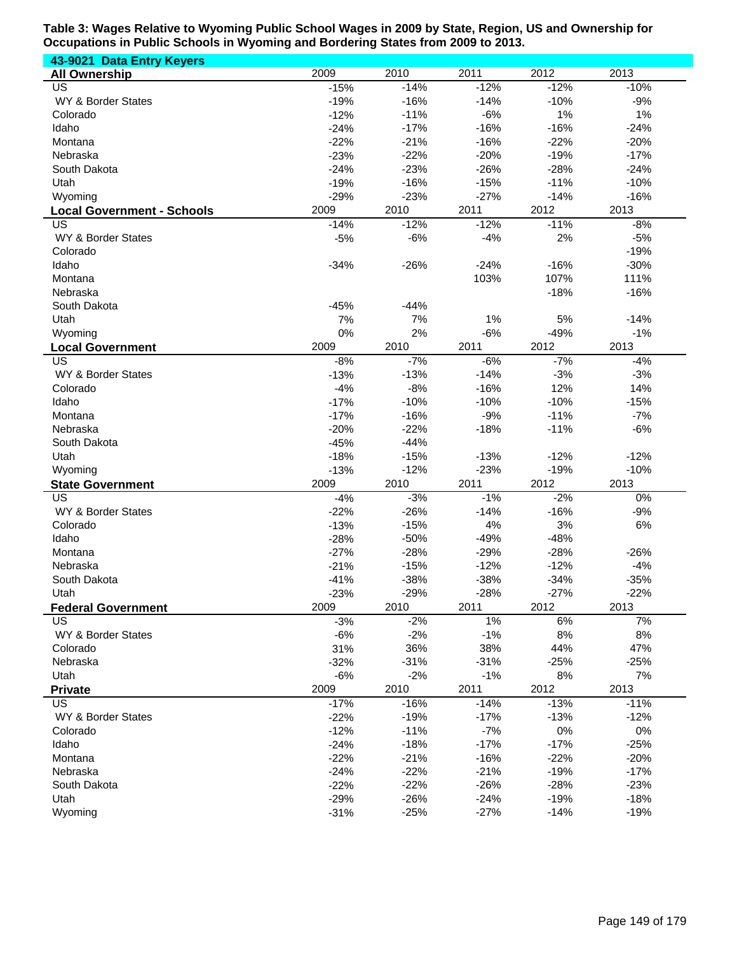| 43-9021 Data Entry Keyers         |                |                |                |                |                |
|-----------------------------------|----------------|----------------|----------------|----------------|----------------|
| <b>All Ownership</b>              | 2009           | 2010           | 2011           | 2012           | 2013           |
| <b>US</b>                         | $-15%$         | $-14%$         | $-12%$         | $-12%$         | $-10%$         |
| WY & Border States                | $-19%$         | $-16%$         | $-14%$         | $-10%$         | $-9%$          |
| Colorado                          | $-12%$         | $-11%$         | $-6%$          | 1%             | 1%             |
| Idaho                             | $-24%$         | $-17%$         | $-16%$         | $-16%$         | $-24%$         |
| Montana                           | $-22%$         | $-21%$         | $-16%$         | $-22%$         | $-20%$         |
| Nebraska                          | $-23%$         | $-22%$         | $-20%$         | $-19%$         | $-17%$         |
| South Dakota                      | $-24%$         | $-23%$         | $-26%$         | $-28%$         | $-24%$         |
| Utah                              | $-19%$         | $-16%$         | $-15%$         | $-11%$         | $-10%$         |
| Wyoming                           | $-29%$         | $-23%$         | $-27%$         | $-14%$         | $-16%$         |
| <b>Local Government - Schools</b> | 2009           | 2010           | 2011           | 2012           | 2013           |
| US                                | $-14%$         | $-12%$         | $-12%$         | $-11%$         | $-8%$          |
| WY & Border States                | $-5%$          | $-6%$          | $-4%$          | 2%             | $-5%$          |
| Colorado                          |                |                |                |                | $-19%$         |
| Idaho                             | $-34%$         | $-26%$         | $-24%$         | $-16%$         | $-30%$         |
| Montana                           |                |                | 103%           | 107%           | 111%           |
| Nebraska                          |                |                |                | $-18%$         | $-16%$         |
| South Dakota                      | $-45%$         | $-44%$         |                |                |                |
| Utah                              | 7%             | 7%             | 1%             | 5%             | $-14%$         |
| Wyoming                           | 0%             | 2%             | $-6%$          | $-49%$         | $-1%$          |
| <b>Local Government</b>           | 2009           | 2010           | 2011           | 2012           | 2013           |
| $\overline{\mathsf{US}}$          | $-8%$          | $-7%$          | $-6%$          | $-7%$          | $-4%$          |
| WY & Border States                | $-13%$         | $-13%$         | $-14%$         | $-3%$          | $-3%$          |
| Colorado                          | $-4%$          | $-8%$          | $-16%$         | 12%            | 14%            |
| Idaho                             | $-17%$         | $-10%$         | $-10%$         | $-10%$         | $-15%$         |
| Montana                           | $-17%$         | $-16%$         | $-9%$          | $-11%$         | $-7%$          |
| Nebraska                          | $-20%$         | $-22%$         | $-18%$         | $-11%$         | $-6%$          |
| South Dakota                      | $-45%$         | $-44%$         |                |                |                |
| Utah                              | $-18%$         | $-15%$         | $-13%$         | $-12%$         | $-12%$         |
| Wyoming                           | $-13%$<br>2009 | $-12%$<br>2010 | $-23%$<br>2011 | $-19%$<br>2012 | $-10%$<br>2013 |
| <b>State Government</b><br>US     | $-4%$          | $-3%$          | $-1%$          | $-2%$          | $0\%$          |
| WY & Border States                | $-22%$         | $-26%$         | $-14%$         | $-16%$         | $-9%$          |
| Colorado                          | $-13%$         | $-15%$         | 4%             | 3%             | 6%             |
| Idaho                             | $-28%$         | $-50%$         | $-49%$         | $-48%$         |                |
| Montana                           | $-27%$         | $-28%$         | $-29%$         | $-28%$         | $-26%$         |
| Nebraska                          | $-21%$         | $-15%$         | $-12%$         | $-12%$         | $-4%$          |
| South Dakota                      | $-41%$         | $-38%$         | $-38%$         | $-34%$         | $-35%$         |
| Utah                              | $-23%$         | $-29%$         | $-28%$         | $-27%$         | $-22%$         |
| <b>Federal Government</b>         | 2009           | 2010           | 2011           | 2012           | 2013           |
| US                                | $-3%$          | $-2%$          | 1%             | 6%             | 7%             |
| WY & Border States                | $-6%$          | $-2%$          | $-1%$          | 8%             | 8%             |
| Colorado                          | 31%            | 36%            | 38%            | 44%            | 47%            |
| Nebraska                          | $-32%$         | $-31%$         | $-31%$         | $-25%$         | $-25%$         |
| Utah                              | $-6%$          | $-2%$          | $-1%$          | 8%             | 7%             |
| <b>Private</b>                    | 2009           | 2010           | 2011           | 2012           | 2013           |
| US                                | $-17%$         | $-16%$         | $-14%$         | $-13%$         | $-11%$         |
| WY & Border States                | $-22%$         | $-19%$         | $-17%$         | $-13%$         | $-12%$         |
| Colorado                          | $-12%$         | $-11%$         | $-7%$          | $0\%$          | $0\%$          |
| Idaho                             | $-24%$         | $-18%$         | $-17%$         | $-17%$         | $-25%$         |
| Montana                           | $-22%$         | $-21%$         | $-16%$         | $-22%$         | $-20%$         |
| Nebraska                          | $-24%$         | $-22%$         | $-21%$         | $-19%$         | $-17%$         |
| South Dakota                      | $-22%$         | $-22%$         | $-26%$         | $-28%$         | $-23%$         |
| Utah                              | $-29%$         | $-26%$         | $-24%$         | $-19%$         | $-18%$         |
| Wyoming                           | $-31%$         | $-25%$         | $-27%$         | $-14%$         | $-19%$         |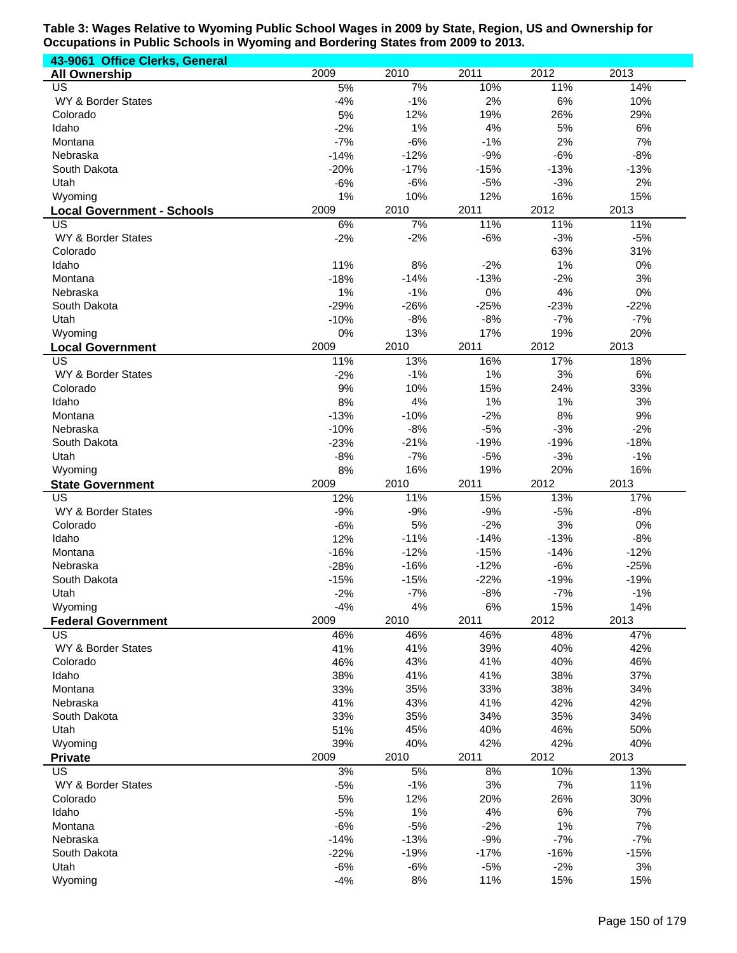| 43-9061 Office Clerks, General          |             |                 |              |                 |              |
|-----------------------------------------|-------------|-----------------|--------------|-----------------|--------------|
| <b>All Ownership</b>                    | 2009        | 2010            | 2011         | 2012            | 2013         |
| US                                      | 5%          | 7%              | 10%          | 11%             | 14%          |
| WY & Border States                      | $-4%$       | $-1%$           | 2%           | $6\%$           | 10%          |
| Colorado                                | 5%          | 12%             | 19%          | 26%             | 29%          |
| Idaho                                   | $-2%$       | 1%              | 4%           | 5%              | 6%           |
| Montana                                 | $-7%$       | $-6%$           | $-1%$        | 2%              | 7%           |
| Nebraska                                | $-14%$      | $-12%$          | $-9%$        | $-6%$           | $-8%$        |
| South Dakota                            | $-20%$      | $-17%$<br>$-6%$ | $-15%$       | $-13%$<br>$-3%$ | $-13%$<br>2% |
| Utah<br>Wyoming                         | $-6%$<br>1% | 10%             | $-5%$<br>12% | 16%             | 15%          |
|                                         | 2009        | 2010            | 2011         | 2012            | 2013         |
| <b>Local Government - Schools</b><br>US | 6%          | 7%              | 11%          | 11%             | 11%          |
| WY & Border States                      | $-2%$       | $-2%$           | $-6%$        | $-3%$           | $-5%$        |
| Colorado                                |             |                 |              | 63%             | 31%          |
| Idaho                                   | 11%         | 8%              | $-2%$        | 1%              | 0%           |
| Montana                                 | $-18%$      | $-14%$          | $-13%$       | $-2%$           | 3%           |
| Nebraska                                | 1%          | $-1%$           | 0%           | 4%              | 0%           |
| South Dakota                            | $-29%$      | $-26%$          | $-25%$       | $-23%$          | $-22%$       |
| Utah                                    | $-10%$      | $-8%$           | $-8%$        | $-7%$           | $-7%$        |
| Wyoming                                 | 0%          | 13%             | 17%          | 19%             | 20%          |
| <b>Local Government</b>                 | 2009        | 2010            | 2011         | 2012            | 2013         |
| $\overline{\mathsf{US}}$                | 11%         | 13%             | 16%          | 17%             | 18%          |
| WY & Border States                      | $-2%$       | $-1%$           | 1%           | 3%              | 6%           |
| Colorado                                | 9%          | 10%             | 15%          | 24%             | 33%          |
| Idaho                                   | 8%          | 4%              | 1%           | 1%              | 3%           |
| Montana                                 | $-13%$      | $-10%$          | $-2%$        | 8%              | 9%           |
| Nebraska                                | $-10%$      | $-8%$           | $-5%$        | $-3%$           | $-2%$        |
| South Dakota                            | $-23%$      | $-21%$          | $-19%$       | $-19%$          | $-18%$       |
| Utah                                    | $-8%$       | $-7%$           | $-5%$        | $-3%$           | $-1%$        |
| Wyoming                                 | 8%          | 16%             | 19%          | 20%             | 16%          |
| <b>State Government</b><br>US           | 2009<br>12% | 2010<br>11%     | 2011<br>15%  | 2012<br>13%     | 2013<br>17%  |
| WY & Border States                      | $-9%$       | $-9%$           | $-9%$        | $-5%$           | $-8%$        |
| Colorado                                | $-6%$       | 5%              | $-2%$        | 3%              | 0%           |
| Idaho                                   | 12%         | $-11%$          | $-14%$       | $-13%$          | $-8%$        |
| Montana                                 | $-16%$      | $-12%$          | $-15%$       | $-14%$          | $-12%$       |
| Nebraska                                | $-28%$      | $-16%$          | $-12%$       | $-6%$           | $-25%$       |
| South Dakota                            | $-15%$      | $-15%$          | $-22%$       | $-19%$          | $-19%$       |
| Utah                                    | $-2%$       | $-7%$           | $-8%$        | $-7%$           | $-1%$        |
| Wyoming                                 | $-4%$       | 4%              | 6%           | 15%             | 14%          |
| <b>Federal Government</b>               | 2009        | 2010            | 2011         | 2012            | 2013         |
| <b>US</b>                               | 46%         | 46%             | 46%          | 48%             | 47%          |
| WY & Border States                      | 41%         | 41%             | 39%          | 40%             | 42%          |
| Colorado                                | 46%         | 43%             | 41%          | 40%             | 46%          |
| Idaho                                   | 38%         | 41%             | 41%          | 38%             | 37%          |
| Montana                                 | 33%         | 35%             | 33%          | 38%             | 34%          |
| Nebraska                                | 41%         | 43%             | 41%          | 42%             | 42%          |
| South Dakota                            | 33%         | 35%             | 34%          | 35%             | 34%          |
| Utah                                    | 51%         | 45%             | 40%          | 46%             | 50%          |
| Wyoming                                 | 39%         | 40%             | 42%          | 42%             | 40%          |
| <b>Private</b>                          | 2009        | 2010            | 2011         | 2012            | 2013         |
| <b>US</b>                               | 3%          | 5%<br>$-1%$     | 8%<br>3%     | 10%<br>7%       | 13%<br>11%   |
| WY & Border States<br>Colorado          | $-5%$       |                 |              | 26%             |              |
| Idaho                                   | 5%<br>$-5%$ | 12%<br>1%       | 20%<br>4%    | 6%              | 30%<br>7%    |
| Montana                                 | $-6%$       | $-5%$           | $-2%$        | 1%              | 7%           |
| Nebraska                                | $-14%$      | $-13%$          | $-9%$        | $-7%$           | $-7%$        |
| South Dakota                            | $-22%$      | $-19%$          | $-17%$       | $-16%$          | $-15%$       |
| Utah                                    | $-6%$       | $-6%$           | $-5%$        | $-2%$           | 3%           |
| Wyoming                                 | $-4%$       | 8%              | 11%          | 15%             | 15%          |
|                                         |             |                 |              |                 |              |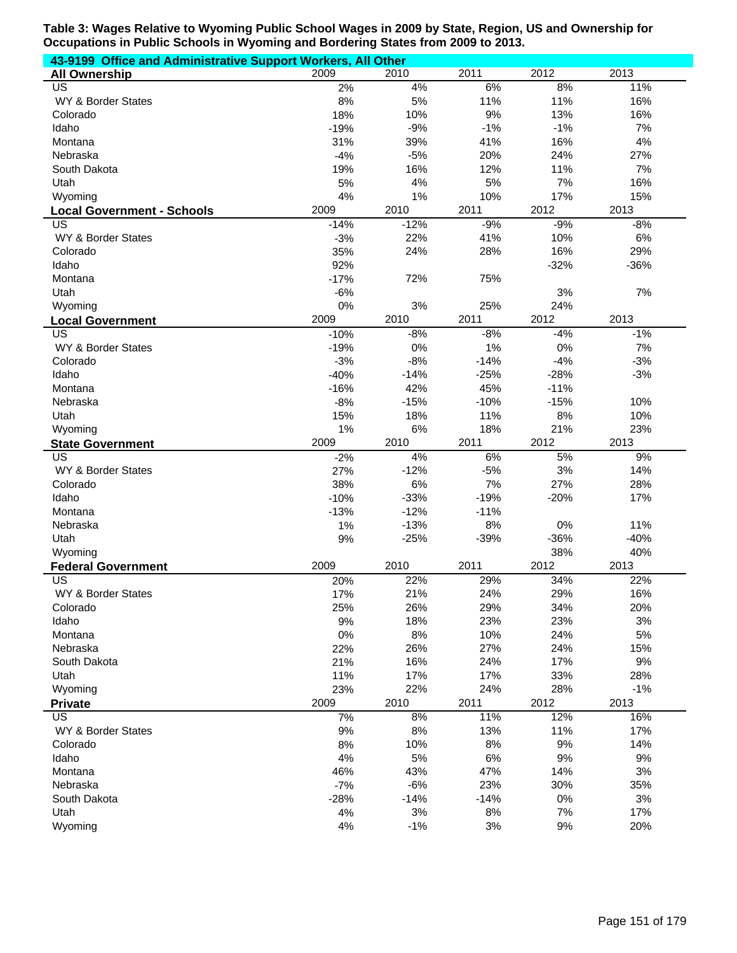| 43-9199 Office and Administrative Support Workers, All Other |        |        |        |        |        |  |  |
|--------------------------------------------------------------|--------|--------|--------|--------|--------|--|--|
| <b>All Ownership</b>                                         | 2009   | 2010   | 2011   | 2012   | 2013   |  |  |
| <b>US</b>                                                    | 2%     | 4%     | 6%     | 8%     | 11%    |  |  |
| WY & Border States                                           | 8%     | 5%     | 11%    | 11%    | 16%    |  |  |
| Colorado                                                     | 18%    | 10%    | 9%     | 13%    | 16%    |  |  |
| Idaho                                                        | $-19%$ | $-9%$  | $-1%$  | $-1%$  | 7%     |  |  |
| Montana                                                      | 31%    | 39%    | 41%    | 16%    | 4%     |  |  |
| Nebraska                                                     | $-4%$  | $-5%$  | 20%    | 24%    | 27%    |  |  |
| South Dakota                                                 | 19%    | 16%    | 12%    | 11%    | 7%     |  |  |
| Utah                                                         | 5%     | 4%     | 5%     | 7%     | 16%    |  |  |
| Wyoming                                                      | 4%     | 1%     | 10%    | 17%    | 15%    |  |  |
| <b>Local Government - Schools</b>                            | 2009   | 2010   | 2011   | 2012   | 2013   |  |  |
| US                                                           | $-14%$ | $-12%$ | $-9%$  | $-9%$  | $-8%$  |  |  |
| WY & Border States                                           | $-3%$  | 22%    | 41%    | 10%    | $6\%$  |  |  |
| Colorado                                                     | 35%    | 24%    | 28%    | 16%    | 29%    |  |  |
| Idaho                                                        | 92%    |        |        | $-32%$ | $-36%$ |  |  |
| Montana                                                      | $-17%$ | 72%    | 75%    |        |        |  |  |
| Utah                                                         | $-6%$  |        |        | 3%     | 7%     |  |  |
| Wyoming                                                      | 0%     | 3%     | 25%    | 24%    |        |  |  |
| <b>Local Government</b>                                      | 2009   | 2010   | 2011   | 2012   | 2013   |  |  |
| US                                                           | $-10%$ | $-8%$  | $-8%$  | $-4%$  | $-1%$  |  |  |
| WY & Border States                                           | $-19%$ | 0%     | 1%     | $0\%$  | 7%     |  |  |
| Colorado                                                     | $-3%$  | $-8%$  | $-14%$ | $-4%$  | $-3%$  |  |  |
| Idaho                                                        | $-40%$ | $-14%$ | $-25%$ | $-28%$ | $-3%$  |  |  |
| Montana                                                      | $-16%$ | 42%    | 45%    | $-11%$ |        |  |  |
| Nebraska                                                     | $-8%$  | $-15%$ | $-10%$ | $-15%$ | 10%    |  |  |
| Utah                                                         | 15%    | 18%    | 11%    | 8%     | 10%    |  |  |
| Wyoming                                                      | 1%     | 6%     | 18%    | 21%    | 23%    |  |  |
| <b>State Government</b>                                      | 2009   | 2010   | 2011   | 2012   | 2013   |  |  |
| US                                                           | $-2%$  | 4%     | 6%     | 5%     | 9%     |  |  |
| WY & Border States                                           | 27%    | $-12%$ | $-5%$  | 3%     | 14%    |  |  |
| Colorado                                                     | 38%    | 6%     | 7%     | 27%    | 28%    |  |  |
| Idaho                                                        | $-10%$ | $-33%$ | $-19%$ | $-20%$ | 17%    |  |  |
| Montana                                                      | $-13%$ | $-12%$ | $-11%$ |        |        |  |  |
| Nebraska                                                     | 1%     | $-13%$ | 8%     | 0%     | 11%    |  |  |
| Utah                                                         | 9%     | $-25%$ | $-39%$ | $-36%$ | $-40%$ |  |  |
| Wyoming                                                      |        |        |        | 38%    | 40%    |  |  |
| <b>Federal Government</b>                                    | 2009   | 2010   | 2011   | 2012   | 2013   |  |  |
| US                                                           | 20%    | 22%    | 29%    | 34%    | 22%    |  |  |
| WY & Border States                                           | 17%    | 21%    | 24%    | 29%    | 16%    |  |  |
| Colorado                                                     | 25%    | 26%    | 29%    | 34%    | 20%    |  |  |
| Idaho                                                        | 9%     | 18%    | 23%    | 23%    | 3%     |  |  |
| Montana                                                      | 0%     | 8%     | 10%    | 24%    | 5%     |  |  |
| Nebraska                                                     | 22%    | 26%    | 27%    | 24%    | 15%    |  |  |
| South Dakota                                                 | 21%    | 16%    | 24%    | 17%    | 9%     |  |  |
| Utah                                                         | 11%    | 17%    | 17%    | 33%    | 28%    |  |  |
| Wyoming                                                      | 23%    | 22%    | 24%    | 28%    | $-1%$  |  |  |
| <b>Private</b>                                               | 2009   | 2010   | 2011   | 2012   | 2013   |  |  |
| <b>US</b>                                                    | 7%     | 8%     | 11%    | 12%    | 16%    |  |  |
| WY & Border States                                           | 9%     | 8%     | 13%    | 11%    | 17%    |  |  |
| Colorado                                                     | 8%     | 10%    | 8%     | $9%$   | 14%    |  |  |
| Idaho                                                        | 4%     | 5%     | 6%     | $9%$   | $9%$   |  |  |
| Montana                                                      | 46%    | 43%    | 47%    | 14%    | 3%     |  |  |
| Nebraska                                                     | $-7%$  | $-6%$  | 23%    | 30%    | 35%    |  |  |
| South Dakota                                                 | $-28%$ | $-14%$ | $-14%$ | 0%     | 3%     |  |  |
| Utah                                                         | 4%     | 3%     | 8%     | 7%     | 17%    |  |  |
| Wyoming                                                      | 4%     | $-1%$  | 3%     | 9%     | 20%    |  |  |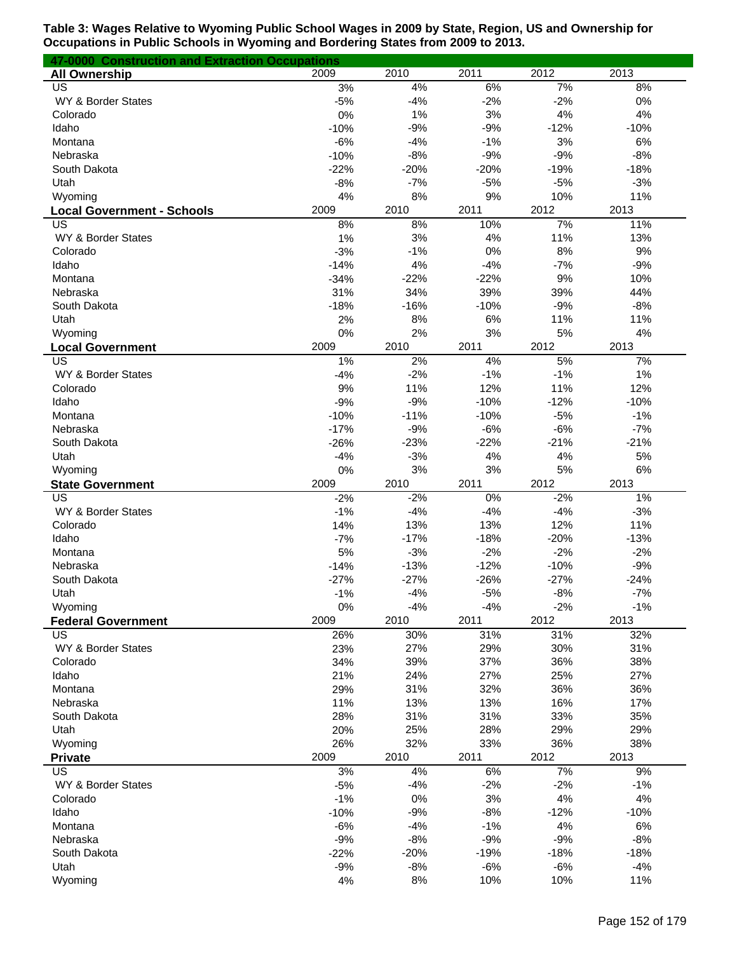| 47-0000 Construction and Extraction Occupations |             |                 |                 |                 |                 |
|-------------------------------------------------|-------------|-----------------|-----------------|-----------------|-----------------|
| <b>All Ownership</b>                            | 2009        | 2010            | 2011            | 2012            | 2013            |
| US                                              | 3%          | 4%              | 6%              | 7%              | 8%              |
| WY & Border States                              | $-5%$       | $-4%$           | $-2%$           | $-2%$           | 0%              |
| Colorado                                        | 0%          | 1%              | 3%              | 4%              | 4%              |
| Idaho                                           | $-10%$      | $-9%$           | $-9%$           | $-12%$          | $-10%$          |
| Montana                                         | $-6%$       | $-4%$           | $-1%$           | 3%              | 6%              |
| Nebraska                                        | $-10%$      | $-8%$           | $-9%$           | $-9%$           | $-8%$           |
| South Dakota                                    | $-22%$      | $-20%$          | $-20%$          | $-19%$          | $-18%$          |
| Utah                                            | $-8%$       | $-7%$           | $-5%$           | $-5%$           | $-3%$           |
| Wyoming                                         | 4%          | 8%              | 9%              | 10%             | 11%             |
| <b>Local Government - Schools</b>               | 2009        | 2010            | 2011            | 2012            | 2013            |
| US                                              | 8%          | 8%              | 10%             | 7%              | 11%             |
| WY & Border States                              | 1%          | 3%              | 4%              | 11%             | 13%             |
| Colorado                                        | $-3%$       | $-1%$           | 0%              | 8%              | 9%              |
| Idaho                                           | $-14%$      | 4%              | $-4%$           | $-7%$           | $-9%$           |
| Montana                                         | $-34%$      | $-22%$          | $-22%$          | 9%              | 10%             |
| Nebraska                                        | 31%         | 34%             | 39%             | 39%             | 44%             |
| South Dakota                                    | $-18%$      | $-16%$          | $-10%$          | $-9%$           | $-8%$           |
| Utah                                            | 2%          | 8%              | 6%              | 11%             | 11%             |
| Wyoming                                         | 0%          | 2%              | 3%              | 5%              | 4%              |
| <b>Local Government</b>                         | 2009        | 2010            | 2011            | 2012            | 2013            |
| US                                              | 1%          | 2%              | 4%              | 5%              | 7%              |
| WY & Border States                              | $-4%$       | $-2%$           | $-1%$           | $-1%$           | 1%              |
| Colorado                                        | 9%          | 11%             | 12%             | 11%             | 12%             |
| Idaho                                           | $-9%$       | $-9%$           | $-10%$          | $-12%$          | $-10%$          |
| Montana                                         | $-10%$      | $-11%$          | $-10%$          | $-5%$           | $-1%$           |
| Nebraska                                        | $-17%$      | $-9%$           | $-6%$           | $-6%$           | $-7%$           |
| South Dakota                                    | $-26%$      | $-23%$          | $-22%$          | $-21%$          | $-21%$          |
| Utah                                            | $-4%$       | $-3%$           | 4%              | 4%              | 5%              |
| Wyoming                                         | 0%          | 3%              | 3%              | 5%              | 6%              |
| <b>State Government</b>                         | 2009        | 2010            | 2011            | 2012            | 2013            |
| US                                              | $-2%$       | $-2%$           | 0%              | $-2%$           | 1%              |
| WY & Border States                              | $-1%$       | $-4%$           | $-4%$           | $-4%$           | $-3%$           |
| Colorado                                        | 14%         | 13%             | 13%             | 12%             | 11%             |
| Idaho                                           | $-7%$       | $-17%$          | $-18%$          | $-20%$          | $-13%$          |
| Montana                                         | 5%          | $-3%$           | $-2%$           | $-2%$           | $-2%$           |
| Nebraska                                        | $-14%$      | $-13%$          | $-12%$          | $-10%$          | $-9%$           |
| South Dakota                                    | $-27%$      | $-27%$          | $-26%$          | $-27%$          | $-24%$          |
| Utah                                            | $-1%$       | $-4%$           | $-5%$           | $-8%$           | $-7%$           |
| Wyoming                                         | 0%          | $-4%$           | $-4%$           | $-2%$           | $-1%$           |
| <b>Federal Government</b>                       | 2009        | 2010            | 2011            | 2012            | 2013            |
| US                                              | 26%         | 30%             | 31%             | 31%             | 32%             |
| WY & Border States                              | 23%         | 27%             | 29%             | 30%             | 31%             |
| Colorado                                        | 34%         | 39%             | 37%             | 36%             | 38%             |
| Idaho                                           | 21%         | 24%             | 27%             | 25%             | 27%             |
| Montana                                         | 29%         | 31%             | 32%             | 36%             | 36%             |
| Nebraska                                        | 11%         | 13%             | 13%             | 16%             | 17%             |
| South Dakota                                    | 28%         | 31%             | 31%             | 33%             | 35%             |
| Utah                                            | 20%         | 25%             | 28%             | 29%             | 29%             |
| Wyoming                                         | 26%         | 32%             | 33%             | 36%             | 38%             |
| <b>Private</b>                                  | 2009        | 2010            | 2011            | 2012<br>7%      | 2013            |
| US<br>WY & Border States                        | 3%          | 4%<br>$-4%$     | 6%<br>$-2%$     | $-2%$           | 9%<br>$-1%$     |
|                                                 | $-5%$       |                 | 3%              |                 |                 |
| Colorado                                        | $-1%$       | 0%              |                 | 4%              | 4%              |
| Idaho                                           | $-10%$      | $-9%$           | $-8%$           | $-12%$          | $-10%$          |
| Montana                                         | $-6%$       | $-4%$           | $-1%$           | 4%              | 6%              |
| Nebraska<br>South Dakota                        | $-9%$       | $-8%$<br>$-20%$ | $-9%$<br>$-19%$ | $-9%$<br>$-18%$ | $-8%$<br>$-18%$ |
| Utah                                            | $-22%$      | $-8%$           | $-6%$           | $-6%$           | $-4%$           |
| Wyoming                                         | $-9%$<br>4% | 8%              | 10%             | 10%             | 11%             |
|                                                 |             |                 |                 |                 |                 |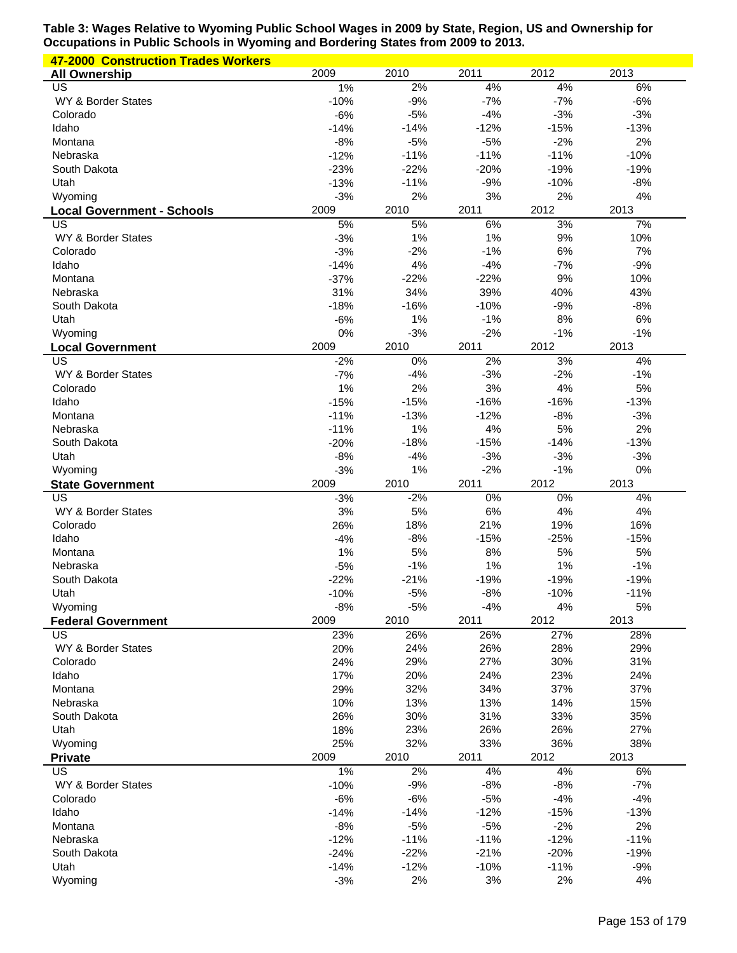| <b>47-2000 Construction Trades Workers</b> |        |        |        |        |        |
|--------------------------------------------|--------|--------|--------|--------|--------|
| <b>All Ownership</b>                       | 2009   | 2010   | 2011   | 2012   | 2013   |
| US                                         | $1\%$  | 2%     | 4%     | 4%     | 6%     |
| WY & Border States                         | $-10%$ | $-9%$  | $-7%$  | $-7%$  | $-6%$  |
| Colorado                                   | $-6%$  | $-5%$  | $-4%$  | $-3%$  | $-3%$  |
| Idaho                                      | $-14%$ | $-14%$ | $-12%$ | $-15%$ | $-13%$ |
| Montana                                    | $-8%$  | $-5%$  | $-5%$  | $-2%$  | 2%     |
| Nebraska                                   | $-12%$ | $-11%$ | $-11%$ | $-11%$ | $-10%$ |
| South Dakota                               | $-23%$ | $-22%$ | $-20%$ | $-19%$ | $-19%$ |
| Utah                                       | $-13%$ | $-11%$ | $-9%$  | $-10%$ | $-8%$  |
| Wyoming                                    | $-3%$  | 2%     | 3%     | 2%     | 4%     |
| <b>Local Government - Schools</b>          | 2009   | 2010   | 2011   | 2012   | 2013   |
| US                                         | 5%     | 5%     | 6%     | 3%     | 7%     |
| WY & Border States                         | $-3%$  | 1%     | 1%     | 9%     | 10%    |
| Colorado                                   | $-3%$  | $-2%$  | $-1%$  | 6%     | 7%     |
| Idaho                                      | $-14%$ | 4%     | $-4%$  | $-7%$  | $-9%$  |
| Montana                                    | $-37%$ | $-22%$ | $-22%$ | 9%     | 10%    |
| Nebraska                                   | 31%    | 34%    | 39%    | 40%    | 43%    |
|                                            |        | $-16%$ | $-10%$ | $-9%$  |        |
| South Dakota                               | $-18%$ |        |        |        | $-8%$  |
| Utah                                       | $-6%$  | 1%     | $-1%$  | 8%     | 6%     |
| Wyoming                                    | 0%     | $-3%$  | $-2%$  | $-1%$  | $-1%$  |
| <b>Local Government</b>                    | 2009   | 2010   | 2011   | 2012   | 2013   |
| US                                         | $-2%$  | 0%     | 2%     | 3%     | 4%     |
| WY & Border States                         | $-7%$  | $-4%$  | $-3%$  | $-2%$  | $-1%$  |
| Colorado                                   | 1%     | 2%     | 3%     | 4%     | 5%     |
| Idaho                                      | $-15%$ | $-15%$ | $-16%$ | $-16%$ | $-13%$ |
| Montana                                    | $-11%$ | $-13%$ | $-12%$ | $-8%$  | $-3%$  |
| Nebraska                                   | $-11%$ | 1%     | 4%     | 5%     | 2%     |
| South Dakota                               | $-20%$ | $-18%$ | $-15%$ | $-14%$ | $-13%$ |
| Utah                                       | $-8%$  | $-4%$  | $-3%$  | $-3%$  | $-3%$  |
| Wyoming                                    | $-3%$  | 1%     | $-2%$  | $-1%$  | 0%     |
|                                            | 2009   | 2010   | 2011   | 2012   | 2013   |
|                                            |        |        |        |        |        |
| <b>State Government</b><br>US              |        |        |        |        |        |
|                                            | $-3%$  | $-2%$  | $0\%$  | 0%     | 4%     |
| WY & Border States                         | 3%     | 5%     | 6%     | 4%     | 4%     |
| Colorado                                   | 26%    | 18%    | 21%    | 19%    | 16%    |
| Idaho                                      | $-4%$  | $-8%$  | $-15%$ | $-25%$ | $-15%$ |
| Montana                                    | 1%     | 5%     | 8%     | 5%     | 5%     |
| Nebraska                                   | $-5%$  | $-1%$  | 1%     | 1%     | $-1%$  |
| South Dakota                               | $-22%$ | $-21%$ | $-19%$ | $-19%$ | $-19%$ |
| Utah                                       | $-10%$ | $-5%$  | $-8%$  | $-10%$ | $-11%$ |
| Wyoming                                    | $-8%$  | $-5%$  | $-4%$  | 4%     | 5%     |
| <b>Federal Government</b>                  | 2009   | 2010   | 2011   | 2012   | 2013   |
| US                                         | 23%    | 26%    | 26%    | 27%    | 28%    |
| WY & Border States                         | 20%    | 24%    | 26%    | 28%    | 29%    |
| Colorado                                   | 24%    | 29%    | 27%    | 30%    | 31%    |
| Idaho                                      | 17%    | 20%    | 24%    | 23%    | 24%    |
| Montana                                    | 29%    | 32%    | 34%    | 37%    | 37%    |
| Nebraska                                   | 10%    | 13%    | 13%    | 14%    | 15%    |
| South Dakota                               | 26%    | 30%    | 31%    | 33%    | 35%    |
| Utah                                       | 18%    | 23%    | 26%    | 26%    | 27%    |
| Wyoming                                    | 25%    | 32%    | 33%    | 36%    | 38%    |
| <b>Private</b>                             | 2009   | 2010   | 2011   | 2012   | 2013   |
| US                                         | 1%     | 2%     | 4%     | 4%     | 6%     |
| WY & Border States                         | $-10%$ | $-9%$  | $-8%$  | $-8%$  | $-7%$  |
| Colorado                                   | $-6%$  | $-6%$  | $-5%$  | $-4%$  | $-4%$  |
| Idaho                                      | $-14%$ | $-14%$ | $-12%$ | $-15%$ | $-13%$ |
| Montana                                    | $-8%$  | $-5%$  | $-5%$  | $-2%$  | 2%     |
| Nebraska                                   | $-12%$ | $-11%$ | $-11%$ | $-12%$ | $-11%$ |
| South Dakota                               | $-24%$ | $-22%$ | $-21%$ | $-20%$ | $-19%$ |
| Utah                                       | $-14%$ | $-12%$ | $-10%$ | $-11%$ | $-9%$  |
| Wyoming                                    | $-3%$  | 2%     | 3%     | 2%     | 4%     |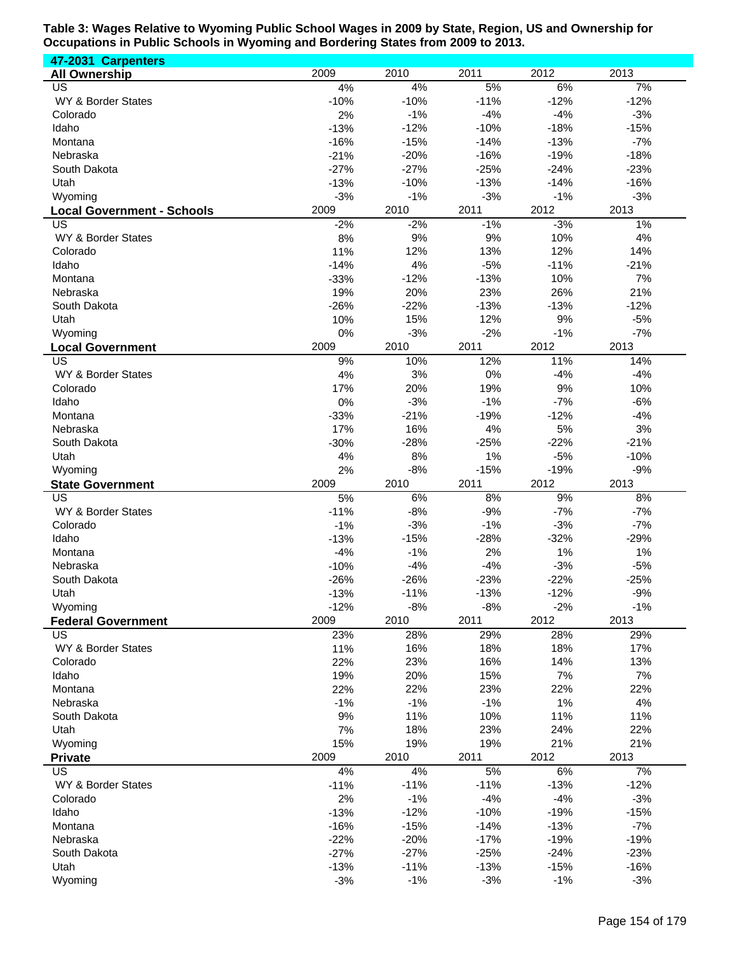**47-2031 Carpenters All Ownership** 2009 2010 2011 2012 2013 US 4% 4% 5% 6% 7% WY & Border States -10% -10% -10% -11% -12% -12% -12% Colorado 2% -1% -4% -4% -3% Idaho -13% -12% -10% -18% -15% Montana -16% -15% -14% -13% -7% Nebraska -21% -20% -16% -19% -18% South Dakota -27% -27% -25% -24% -23% Utah -13% -10% -13% -14% -16% Wyoming -3% -1% -3% -1% -3% **Local Government - Schools** 2009 2010 2011 2012 2013 US -2% -2% -1% -3% 1% WY & Border States **8%** 9% 9% 9% 9% 9% 9% 9% 4% Colorado 11% 12% 13% 12% 14% Idaho -14% 4% -5% -11% -21% Montana -33% -12% -13% 10% 7% Nebraska 19% 20% 23% 26% 21% South Dakota -26% -22% -13% -13% -12% Utah 10% 15% 12% 9% -5% Wyoming 0% -3% -2% -1% -7% **Local Government** 2009 2010 2011 2012 2013 US 9% 10% 12% 11% 14% WY & Border States **4%** 3% 0% -4% -4% -4% Colorado 17% 20% 19% 9% 10% Idaho 0% -3% -1% -7% -6% Montana -33% -21% -19% -12% -4% Nebraska 17% 16% 4% 5% 3% South Dakota -30% -28% -25% -22% -21% Utah 4% 8% 1% -5% -10% Wyoming 2% -8% -15% -19% -9% **State Government** 2009 2010 2011 2012 2013 US 5% 6% 8% 9% 8% WY & Border States -11% -8% -9% -7% -7% -7% -7% Colorado -1% -3% -1% -3% -7% Idaho -13% -15% -28% -32% -29% Montana -4% -1% 2% 1% 1% Nebraska -10% -4% -4% -3% -5% South Dakota -26% -26% -23% -22% -25% Utah -13% -11% -13% -12% -9% Wyoming -12% -8% -8% -2% -1% **Federal Government** 2009 2010 2011 2012 2013 US 23% 28% 29% 28% 29% WY & Border States 19% 19% 16% 16% 18% 18% 18% 17% Colorado 22% 23% 16% 14% 13% Idaho 19% 20% 15% 7% 7% Montana 22% 22% 23% 22% 22% Nebraska -1% -1% -1% 1% 4% South Dakota 9% 11% 10% 11% 11% Utah 7% 18% 23% 24% 22% Wyoming 15% 19% 19% 21% 21% **Private** 2009 2010 2011 2012 2013 US 4% 4% 5% 6% 7% WY & Border States -11% -11% -11% -11% -11% -11% -13% -12% Colorado 2% -1% -4% -4% -3% Idaho -13% -12% -10% -19% -15% Montana -16% -15% -14% -13% -7% Nebraska -22% -20% -17% -19% -19% South Dakota -27% -27% -25% -24% -23% Utah -13% -11% -13% -15% -16% Wyoming -3% -1% -3% -1% -3%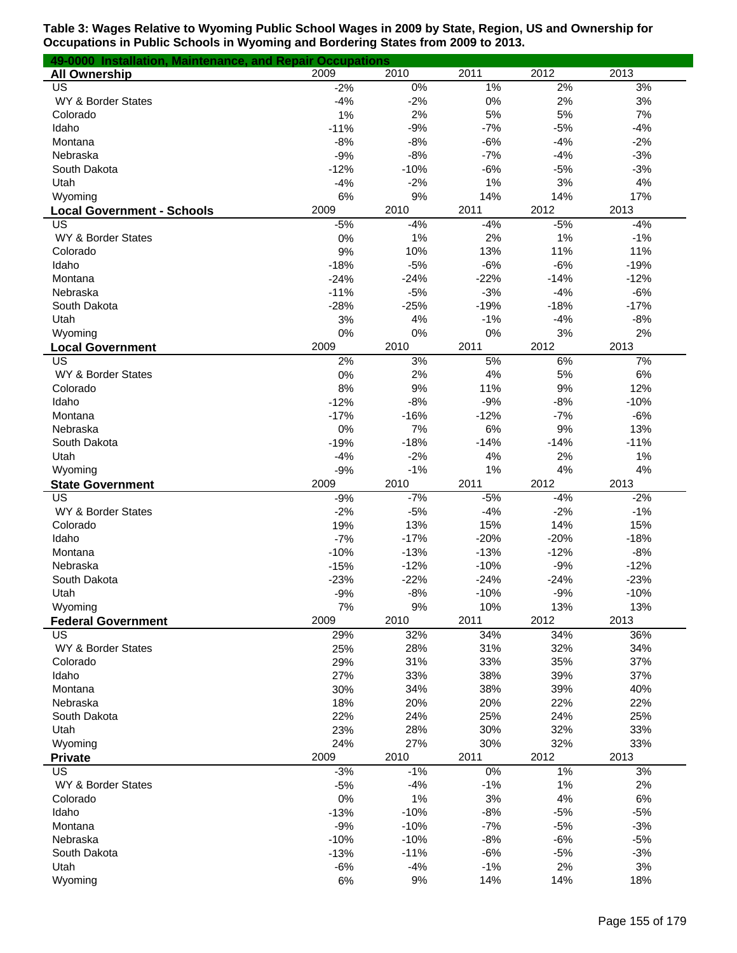| 49-0000 Installation, Maintenance, and Repair Occupations |             |             |              |           |           |
|-----------------------------------------------------------|-------------|-------------|--------------|-----------|-----------|
| <b>All Ownership</b>                                      | 2009        | 2010        | 2011         | 2012      | 2013      |
| US                                                        | $-2%$       | $0\%$       | 1%           | 2%        | 3%        |
| WY & Border States                                        | $-4%$       | $-2%$       | 0%           | 2%        | 3%        |
| Colorado                                                  | 1%          | 2%          | 5%           | 5%        | 7%        |
| Idaho                                                     | $-11%$      | $-9%$       | $-7%$        | $-5%$     | $-4%$     |
| Montana                                                   | $-8%$       | $-8%$       | $-6%$        | $-4%$     | $-2%$     |
| Nebraska                                                  | $-9%$       | $-8%$       | $-7%$        | $-4%$     | $-3%$     |
| South Dakota                                              | $-12%$      | $-10%$      | $-6%$        | $-5%$     | $-3%$     |
| Utah                                                      | $-4%$       | $-2%$       | 1%           | 3%        | 4%        |
| Wyoming                                                   | 6%          | 9%          | 14%          | 14%       | 17%       |
| <b>Local Government - Schools</b>                         | 2009        | 2010        | 2011         | 2012      | 2013      |
| US                                                        | $-5%$       | $-4%$       | $-4%$        | $-5%$     | $-4%$     |
| WY & Border States                                        | 0%          | 1%          | 2%           | 1%        | $-1%$     |
| Colorado                                                  | 9%          | 10%         | 13%          | 11%       | 11%       |
| Idaho                                                     | $-18%$      | $-5%$       | $-6%$        | $-6%$     | $-19%$    |
| Montana                                                   | $-24%$      | $-24%$      | $-22%$       | $-14%$    | $-12%$    |
| Nebraska                                                  | $-11%$      | $-5%$       | $-3%$        | $-4%$     | $-6%$     |
| South Dakota                                              | $-28%$      | $-25%$      | $-19%$       | $-18%$    | $-17%$    |
| Utah                                                      | 3%          | 4%          | $-1%$        | $-4%$     | $-8%$     |
| Wyoming                                                   | 0%          | 0%          | 0%           | 3%        | 2%        |
| <b>Local Government</b>                                   | 2009        | 2010        | 2011         | 2012      | 2013      |
| US                                                        | 2%          | 3%          | 5%           | 6%        | 7%        |
| WY & Border States                                        | 0%          | 2%          | 4%           | 5%        | 6%        |
| Colorado                                                  | 8%          | 9%          | 11%          | 9%        | 12%       |
| Idaho                                                     | $-12%$      | $-8%$       | $-9%$        | $-8%$     | $-10%$    |
| Montana                                                   | $-17%$      | $-16%$      | $-12%$       | $-7%$     | $-6%$     |
| Nebraska                                                  | 0%          | 7%          | 6%           | 9%        | 13%       |
| South Dakota                                              | $-19%$      | $-18%$      | $-14%$       | $-14%$    | $-11%$    |
| Utah                                                      | $-4%$       | $-2%$       | 4%           | 2%        | 1%        |
| Wyoming                                                   | $-9%$       | $-1%$       | 1%           | 4%        | 4%        |
| <b>State Government</b>                                   | 2009        | 2010        | 2011         | 2012      | 2013      |
| US                                                        | $-9%$       | $-7%$       | $-5%$        | $-4%$     | $-2%$     |
| WY & Border States                                        |             | $-5%$       | $-4%$        | $-2%$     | $-1%$     |
|                                                           | $-2%$       |             |              |           |           |
| Colorado                                                  | 19%         | 13%         | 15%          | 14%       | 15%       |
| Idaho                                                     | $-7%$       | $-17%$      | $-20%$       | $-20%$    | $-18%$    |
| Montana                                                   | $-10%$      | $-13%$      | $-13%$       | $-12%$    | $-8%$     |
| Nebraska                                                  | $-15%$      | $-12%$      | $-10%$       | $-9%$     | $-12%$    |
| South Dakota                                              | $-23%$      | $-22%$      | $-24%$       | $-24%$    | $-23%$    |
| Utah                                                      | $-9%$       | $-8%$       | $-10%$       | $-9%$     | $-10%$    |
| Wyoming                                                   | 7%          | 9%          | 10%          | 13%       | 13%       |
| <b>Federal Government</b>                                 | 2009        | 2010        | 2011         | 2012      | 2013      |
| US                                                        | 29%         | 32%         | 34%          | 34%       | 36%       |
| WY & Border States                                        | 25%         | 28%         | 31%          | 32%       | 34%       |
| Colorado                                                  | 29%         | 31%         | 33%          | 35%       | 37%       |
| Idaho                                                     | 27%         | 33%         | 38%          | 39%       | 37%       |
| Montana                                                   | 30%         | 34%         | 38%          | 39%       | 40%       |
| Nebraska                                                  | 18%         | 20%         | 20%          | 22%       | 22%       |
| South Dakota                                              | 22%         | 24%         | 25%          | 24%       | 25%       |
| Utah                                                      | 23%         | 28%         | 30%          | 32%       | 33%       |
| Wyoming                                                   | 24%         | 27%         | 30%          | 32%       | 33%       |
| <b>Private</b>                                            | 2009        | 2010        | 2011         | 2012      | 2013      |
| US                                                        | $-3%$       | $-1%$       | 0%           | 1%        | 3%        |
| WY & Border States                                        | $-5%$       | $-4%$       | $-1%$        | 1%        | 2%        |
| Colorado                                                  | 0%          | 1%          | 3%           | 4%        | 6%        |
| Idaho                                                     | $-13%$      | $-10%$      | $-8%$        | $-5%$     | $-5%$     |
| Montana                                                   | $-9%$       | $-10%$      | $-7%$        | $-5%$     | $-3%$     |
| Nebraska                                                  | $-10%$      | $-10%$      | $-8%$        | $-6%$     | $-5%$     |
| South Dakota                                              | $-13%$      | $-11%$      | $-6%$        | $-5%$     | $-3%$     |
| Utah                                                      | $-6%$<br>6% | $-4%$<br>9% | $-1%$<br>14% | 2%<br>14% | 3%<br>18% |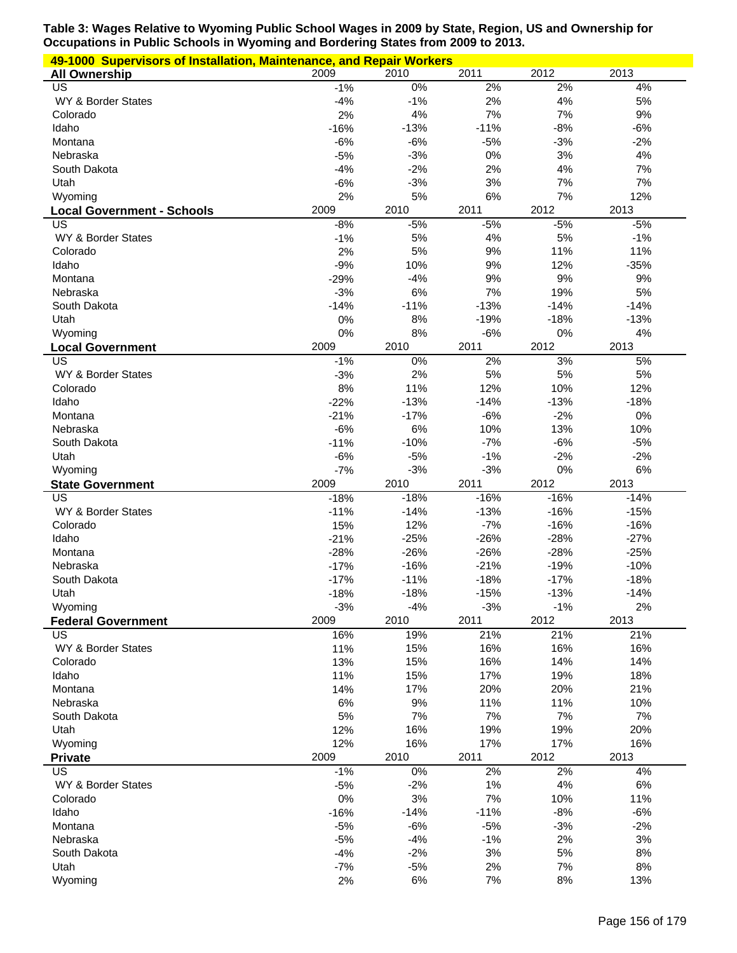| 49-1000 Supervisors of Installation, Maintenance, and Repair Workers |                  |                  |                  |                  |                  |  |  |
|----------------------------------------------------------------------|------------------|------------------|------------------|------------------|------------------|--|--|
| <b>All Ownership</b>                                                 | 2009             | 2010             | 2011             | 2012             | 2013             |  |  |
| US                                                                   | $-1%$            | $0\%$            | 2%               | 2%               | 4%               |  |  |
| WY & Border States                                                   | $-4%$            | $-1%$            | 2%               | 4%               | 5%               |  |  |
| Colorado                                                             | 2%               | 4%               | 7%               | 7%               | 9%               |  |  |
| Idaho                                                                | $-16%$           | $-13%$           | $-11%$           | $-8%$            | $-6%$            |  |  |
| Montana                                                              | $-6%$            | $-6%$            | $-5%$            | $-3%$            | $-2%$            |  |  |
| Nebraska                                                             | $-5%$            | $-3%$            | 0%               | 3%               | 4%               |  |  |
| South Dakota                                                         | $-4%$            | $-2%$            | 2%               | 4%               | 7%               |  |  |
| Utah                                                                 | $-6%$            | $-3%$            | 3%               | 7%               | 7%               |  |  |
| Wyoming                                                              | 2%               | 5%               | 6%               | 7%               | 12%              |  |  |
| <b>Local Government - Schools</b>                                    | 2009             | 2010             | 2011             | 2012             | 2013             |  |  |
| US<br>WY & Border States                                             | $-8%$<br>$-1%$   | $-5%$<br>5%      | $-5%$<br>4%      | $-5%$<br>5%      | $-5%$<br>$-1%$   |  |  |
| Colorado                                                             | 2%               | 5%               | 9%               | 11%              | 11%              |  |  |
| Idaho                                                                | $-9%$            | 10%              | 9%               | 12%              | $-35%$           |  |  |
| Montana                                                              | $-29%$           | $-4%$            | 9%               | 9%               | 9%               |  |  |
| Nebraska                                                             | $-3%$            | 6%               | 7%               | 19%              | 5%               |  |  |
| South Dakota                                                         | $-14%$           | $-11%$           | $-13%$           | $-14%$           | $-14%$           |  |  |
| Utah                                                                 | 0%               | 8%               | $-19%$           | $-18%$           | $-13%$           |  |  |
| Wyoming                                                              | 0%               | 8%               | $-6%$            | 0%               | 4%               |  |  |
| <b>Local Government</b>                                              | 2009             | 2010             | 2011             | 2012             | 2013             |  |  |
| <b>US</b>                                                            | $-1%$            | 0%               | 2%               | 3%               | 5%               |  |  |
| WY & Border States                                                   | $-3%$            | 2%               | 5%               | 5%               | 5%               |  |  |
| Colorado                                                             | 8%               | 11%              | 12%              | 10%              | 12%              |  |  |
| Idaho                                                                | $-22%$           | $-13%$           | $-14%$           | $-13%$           | $-18%$           |  |  |
| Montana                                                              | $-21%$           | $-17%$           | $-6%$            | $-2%$            | 0%               |  |  |
| Nebraska                                                             | $-6%$            | 6%               | 10%              | 13%              | 10%              |  |  |
| South Dakota                                                         | $-11%$           | $-10%$           | $-7%$            | $-6%$            | $-5%$            |  |  |
| Utah                                                                 | $-6%$            | $-5%$            | $-1%$            | $-2%$            | $-2%$            |  |  |
| Wyoming                                                              | $-7%$            | $-3%$            | $-3%$            | 0%               | 6%               |  |  |
| <b>State Government</b>                                              | 2009             | 2010             | 2011             | 2012             | 2013             |  |  |
| US                                                                   | $-18%$           | $-18%$           | $-16%$           | $-16%$           | $-14%$           |  |  |
| WY & Border States                                                   | $-11%$           | $-14%$           | $-13%$           | $-16%$           | $-15%$           |  |  |
| Colorado                                                             | 15%              | 12%              | $-7%$            | $-16%$           | $-16%$           |  |  |
| Idaho                                                                | $-21%$           | $-25%$           | $-26%$           | $-28%$           | $-27%$           |  |  |
| Montana                                                              | $-28%$           | $-26%$           | $-26%$           | $-28%$           | $-25%$           |  |  |
| Nebraska                                                             | $-17%$           | $-16%$           | $-21%$           | $-19%$           | $-10%$           |  |  |
| South Dakota<br>Utah                                                 | $-17%$<br>$-18%$ | $-11%$<br>$-18%$ | $-18%$<br>$-15%$ | $-17%$<br>$-13%$ | $-18%$<br>$-14%$ |  |  |
| Wyoming                                                              | $-3%$            | $-4%$            | $-3%$            | $-1%$            | 2%               |  |  |
| <b>Federal Government</b>                                            | 2009             | 2010             | 2011             | 2012             | 2013             |  |  |
| US                                                                   | 16%              | 19%              | 21%              | 21%              | 21%              |  |  |
| WY & Border States                                                   | 11%              | 15%              | 16%              | 16%              | 16%              |  |  |
| Colorado                                                             | 13%              | 15%              | 16%              | 14%              | 14%              |  |  |
| Idaho                                                                | 11%              | 15%              | 17%              | 19%              | 18%              |  |  |
| Montana                                                              | 14%              | 17%              | 20%              | 20%              | 21%              |  |  |
| Nebraska                                                             | 6%               | $9%$             | 11%              | 11%              | 10%              |  |  |
| South Dakota                                                         | 5%               | 7%               | 7%               | 7%               | 7%               |  |  |
| Utah                                                                 | 12%              | 16%              | 19%              | 19%              | 20%              |  |  |
| Wyoming                                                              | 12%              | 16%              | 17%              | 17%              | 16%              |  |  |
| <b>Private</b>                                                       | 2009             | 2010             | 2011             | 2012             | 2013             |  |  |
| US                                                                   | $-1%$            | $0\%$            | 2%               | 2%               | 4%               |  |  |
| WY & Border States                                                   | $-5%$            | $-2%$            | 1%               | 4%               | 6%               |  |  |
| Colorado                                                             | 0%               | 3%               | 7%               | 10%              | 11%              |  |  |
| Idaho                                                                | $-16%$           | $-14%$           | $-11%$           | $-8%$            | $-6%$            |  |  |
| Montana                                                              | $-5%$            | $-6%$            | $-5%$            | $-3%$            | $-2%$            |  |  |
| Nebraska                                                             | $-5%$            | $-4%$            | $-1%$            | 2%               | 3%               |  |  |
| South Dakota                                                         | $-4%$            | $-2%$            | 3%               | 5%               | 8%               |  |  |
| Utah                                                                 | $-7%$            | $-5%$            | 2%               | 7%               | 8%               |  |  |
| Wyoming                                                              | 2%               | $6\%$            | 7%               | $8%$             | 13%              |  |  |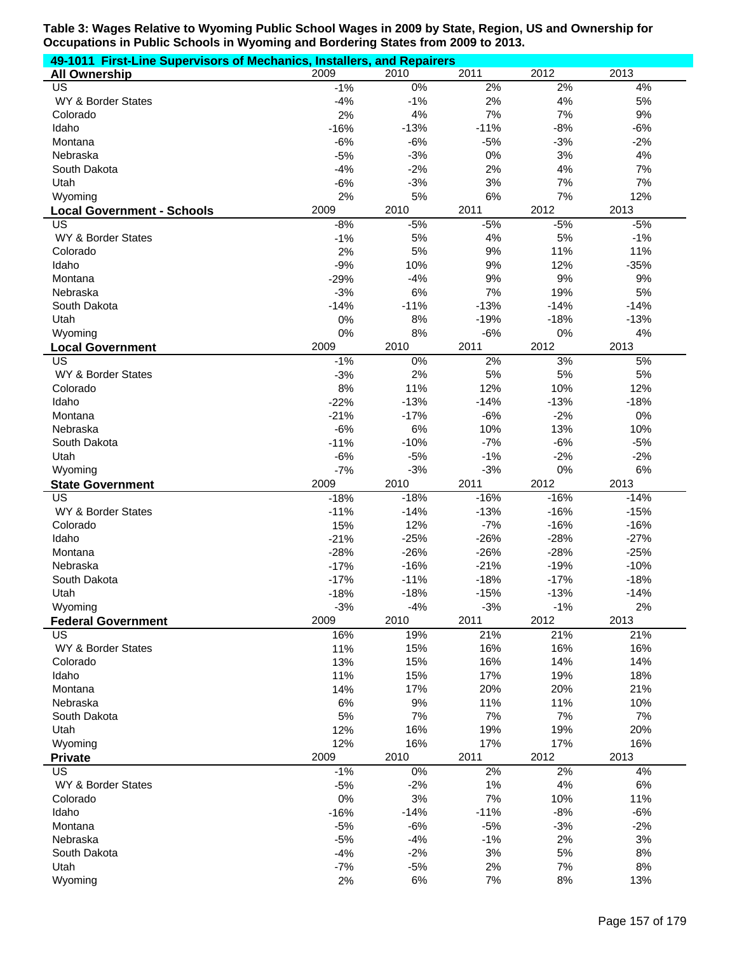| 49-1011 First-Line Supervisors of Mechanics, Installers, and Repairers |                 |             |          |           |          |
|------------------------------------------------------------------------|-----------------|-------------|----------|-----------|----------|
| <b>All Ownership</b>                                                   | 2009            | 2010        | 2011     | 2012      | 2013     |
| US                                                                     | $-1%$           | $0\%$       | 2%       | 2%        | 4%       |
| WY & Border States                                                     | $-4%$           | $-1%$       | 2%       | 4%        | 5%       |
| Colorado                                                               | 2%              | 4%          | 7%       | 7%        | 9%       |
| Idaho                                                                  | $-16%$          | $-13%$      | $-11%$   | $-8%$     | $-6%$    |
| Montana                                                                | $-6%$           | $-6%$       | $-5%$    | $-3%$     | $-2%$    |
| Nebraska                                                               | $-5%$           | $-3%$       | 0%       | 3%        | 4%       |
| South Dakota                                                           | $-4%$           | $-2%$       | 2%       | 4%        | 7%       |
| Utah                                                                   | $-6%$           | $-3%$       | 3%       | 7%        | 7%       |
| Wyoming                                                                | 2%              | 5%          | 6%       | 7%        | 12%      |
| <b>Local Government - Schools</b>                                      | 2009            | 2010        | 2011     | 2012      | 2013     |
| US                                                                     | $-8%$           | $-5%$       | $-5%$    | $-5%$     | $-5%$    |
| WY & Border States                                                     | $-1%$           | 5%          | 4%       | 5%        | $-1%$    |
| Colorado                                                               | 2%              | 5%          | 9%       | 11%       | 11%      |
| Idaho                                                                  | $-9%$           | 10%         | 9%       | 12%<br>9% | $-35%$   |
| Montana<br>Nebraska                                                    | $-29%$<br>$-3%$ | $-4%$<br>6% | 9%<br>7% | 19%       | 9%<br>5% |
| South Dakota                                                           |                 | $-11%$      | $-13%$   | $-14%$    | $-14%$   |
| Utah                                                                   | $-14%$<br>0%    | 8%          | $-19%$   | $-18%$    | $-13%$   |
| Wyoming                                                                | 0%              | 8%          | $-6%$    | $0\%$     | 4%       |
| <b>Local Government</b>                                                | 2009            | 2010        | 2011     | 2012      | 2013     |
| $\overline{\mathsf{US}}$                                               | $-1%$           | 0%          | 2%       | 3%        | 5%       |
| WY & Border States                                                     | $-3%$           | 2%          | 5%       | 5%        | 5%       |
| Colorado                                                               | 8%              | 11%         | 12%      | 10%       | 12%      |
| Idaho                                                                  | $-22%$          | $-13%$      | $-14%$   | $-13%$    | $-18%$   |
| Montana                                                                | $-21%$          | $-17%$      | $-6%$    | $-2%$     | 0%       |
| Nebraska                                                               | $-6%$           | 6%          | 10%      | 13%       | 10%      |
| South Dakota                                                           | $-11%$          | $-10%$      | $-7%$    | $-6%$     | $-5%$    |
| Utah                                                                   | $-6%$           | $-5%$       | $-1%$    | $-2%$     | $-2%$    |
| Wyoming                                                                | $-7%$           | $-3%$       | $-3%$    | 0%        | 6%       |
| <b>State Government</b>                                                | 2009            | 2010        | 2011     | 2012      | 2013     |
| $\overline{US}$                                                        | $-18%$          | $-18%$      | $-16%$   | $-16%$    | $-14%$   |
| WY & Border States                                                     | $-11%$          | $-14%$      | $-13%$   | $-16%$    | $-15%$   |
| Colorado                                                               | 15%             | 12%         | $-7%$    | $-16%$    | $-16%$   |
| Idaho                                                                  | $-21%$          | $-25%$      | $-26%$   | $-28%$    | $-27%$   |
| Montana                                                                | $-28%$          | $-26%$      | $-26%$   | $-28%$    | $-25%$   |
| Nebraska                                                               | $-17%$          | $-16%$      | $-21%$   | $-19%$    | $-10%$   |
| South Dakota                                                           | $-17%$          | $-11%$      | $-18%$   | $-17%$    | $-18%$   |
| Utah                                                                   | $-18%$          | $-18%$      | $-15%$   | $-13%$    | $-14%$   |
| Wyoming                                                                | $-3%$           | $-4%$       | $-3%$    | $-1%$     | 2%       |
| <b>Federal Government</b>                                              | 2009            | 2010        | 2011     | 2012      | 2013     |
| <b>US</b>                                                              | 16%             | 19%         | 21%      | 21%       | 21%      |
| WY & Border States                                                     | 11%             | 15%         | 16%      | 16%       | 16%      |
| Colorado                                                               | 13%             | 15%         | 16%      | 14%       | 14%      |
| Idaho                                                                  | 11%             | 15%         | 17%      | 19%       | 18%      |
| Montana                                                                | 14%             | 17%         | 20%      | 20%       | 21%      |
| Nebraska                                                               | 6%              | 9%          | 11%      | 11%       | 10%      |
| South Dakota                                                           | 5%              | 7%          | 7%       | 7%        | 7%       |
| Utah                                                                   | 12%             | 16%         | 19%      | 19%       | 20%      |
| Wyoming                                                                | 12%             | 16%         | 17%      | 17%       | 16%      |
| <b>Private</b>                                                         | 2009            | 2010        | 2011     | 2012      | 2013     |
| <b>US</b>                                                              | $-1%$           | 0%          | 2%       | 2%        | 4%       |
| WY & Border States                                                     | $-5%$           | $-2%$       | 1%       | 4%        | 6%       |
| Colorado                                                               | 0%              | 3%          | 7%       | 10%       | 11%      |
| Idaho                                                                  | $-16%$          | $-14%$      | $-11%$   | $-8%$     | $-6%$    |
| Montana                                                                | $-5%$           | $-6%$       | $-5%$    | $-3%$     | $-2%$    |
| Nebraska                                                               | $-5%$           | $-4%$       | $-1%$    | 2%        | 3%       |
| South Dakota                                                           | $-4%$           | $-2%$       | 3%       | 5%        | 8%       |
| Utah                                                                   | $-7%$           | $-5%$       | 2%       | 7%        | 8%       |
| Wyoming                                                                | 2%              | 6%          | 7%       | 8%        | 13%      |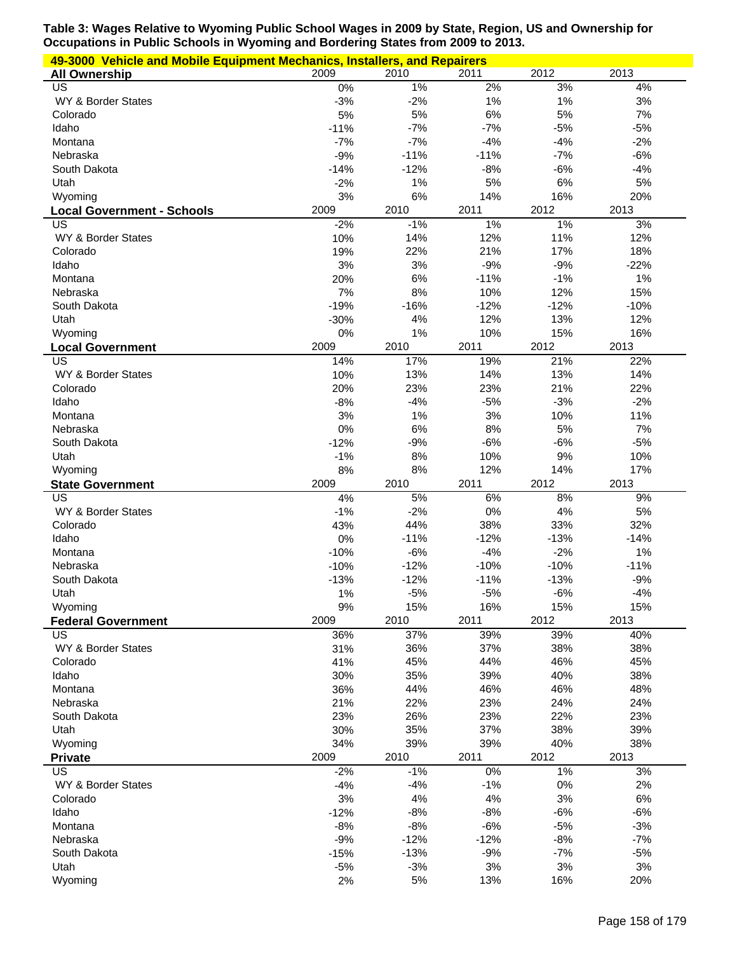| 49-3000 Vehicle and Mobile Equipment Mechanics, Installers, and Repairers |               |               |            |               |            |  |  |  |
|---------------------------------------------------------------------------|---------------|---------------|------------|---------------|------------|--|--|--|
| <b>All Ownership</b>                                                      | 2009          | 2010          | 2011       | 2012          | 2013       |  |  |  |
| US                                                                        | 0%            | 1%            | 2%         | 3%            | 4%         |  |  |  |
| WY & Border States                                                        | $-3%$         | $-2%$         | 1%         | 1%            | $3%$       |  |  |  |
| Colorado                                                                  | 5%            | 5%            | 6%         | 5%            | 7%         |  |  |  |
| Idaho                                                                     | $-11%$        | $-7%$         | $-7%$      | $-5%$         | $-5%$      |  |  |  |
| Montana                                                                   | $-7%$         | $-7%$         | $-4%$      | $-4%$         | $-2%$      |  |  |  |
| Nebraska                                                                  | $-9%$         | $-11%$        | $-11%$     | $-7%$         | $-6%$      |  |  |  |
| South Dakota                                                              | $-14%$        | $-12%$        | $-8%$      | $-6%$         | $-4%$      |  |  |  |
| Utah                                                                      | $-2%$         | 1%            | 5%         | 6%            | 5%         |  |  |  |
| Wyoming                                                                   | 3%            | 6%            | 14%        | 16%           | 20%        |  |  |  |
| <b>Local Government - Schools</b><br>US                                   | 2009<br>$-2%$ | 2010<br>$-1%$ | 2011<br>1% | 2012<br>$1\%$ | 2013<br>3% |  |  |  |
| WY & Border States                                                        | 10%           | 14%           | 12%        | 11%           | 12%        |  |  |  |
| Colorado                                                                  | 19%           | 22%           | 21%        | 17%           | 18%        |  |  |  |
| Idaho                                                                     | 3%            | 3%            | $-9%$      | $-9%$         | $-22%$     |  |  |  |
| Montana                                                                   | 20%           | 6%            | $-11%$     | $-1%$         | 1%         |  |  |  |
| Nebraska                                                                  | 7%            | 8%            | 10%        | 12%           | 15%        |  |  |  |
| South Dakota                                                              | $-19%$        | $-16%$        | $-12%$     | $-12%$        | $-10%$     |  |  |  |
| Utah                                                                      | $-30%$        | 4%            | 12%        | 13%           | 12%        |  |  |  |
| Wyoming                                                                   | 0%            | 1%            | 10%        | 15%           | 16%        |  |  |  |
| <b>Local Government</b>                                                   | 2009          | 2010          | 2011       | 2012          | 2013       |  |  |  |
| US                                                                        | 14%           | 17%           | 19%        | 21%           | 22%        |  |  |  |
| WY & Border States                                                        | 10%           | 13%           | 14%        | 13%           | 14%        |  |  |  |
| Colorado                                                                  | 20%           | 23%           | 23%        | 21%           | 22%        |  |  |  |
| Idaho                                                                     | $-8%$         | $-4%$         | $-5%$      | $-3%$         | $-2%$      |  |  |  |
| Montana                                                                   | 3%            | 1%            | 3%         | 10%           | 11%        |  |  |  |
| Nebraska                                                                  | 0%            | 6%            | 8%         | 5%            | 7%         |  |  |  |
| South Dakota                                                              | $-12%$        | $-9%$         | $-6%$      | $-6%$         | $-5%$      |  |  |  |
| Utah                                                                      | $-1%$         | 8%            | 10%        | 9%            | 10%        |  |  |  |
| Wyoming                                                                   | 8%            | 8%            | 12%        | 14%           | 17%        |  |  |  |
|                                                                           |               |               |            |               |            |  |  |  |
| <b>State Government</b>                                                   | 2009          | 2010          | 2011       | 2012          | 2013       |  |  |  |
| US                                                                        | 4%            | 5%            | 6%         | 8%            | 9%         |  |  |  |
| WY & Border States                                                        | $-1%$         | $-2%$         | 0%         | 4%            | 5%         |  |  |  |
| Colorado                                                                  | 43%           | 44%           | 38%        | 33%           | 32%        |  |  |  |
| Idaho                                                                     | 0%            | $-11%$        | $-12%$     | $-13%$        | $-14%$     |  |  |  |
| Montana                                                                   | $-10%$        | $-6%$         | $-4%$      | $-2%$         | 1%         |  |  |  |
| Nebraska                                                                  | $-10%$        | $-12%$        | $-10%$     | $-10%$        | $-11%$     |  |  |  |
| South Dakota                                                              | $-13%$        | $-12%$        | $-11%$     | $-13%$        | $-9%$      |  |  |  |
| Utah                                                                      | 1%            | $-5%$         | $-5%$      | $-6%$         | $-4%$      |  |  |  |
| Wyoming                                                                   | 9%<br>2009    | 15%           | 16%        | 15%           | 15%        |  |  |  |
| <b>Federal Government</b><br>US                                           |               | 2010          | 2011       | 2012          | 2013       |  |  |  |
|                                                                           | 36%           | 37%           | 39%        | 39%           | 40%        |  |  |  |
| WY & Border States<br>Colorado                                            | 31%<br>41%    | 36%<br>45%    | 37%<br>44% | 38%<br>46%    | 38%<br>45% |  |  |  |
| Idaho                                                                     | 30%           | 35%           | 39%        | 40%           | 38%        |  |  |  |
| Montana                                                                   | 36%           | 44%           | 46%        | 46%           | 48%        |  |  |  |
| Nebraska                                                                  | 21%           | 22%           | 23%        | 24%           | 24%        |  |  |  |
| South Dakota                                                              | 23%           | 26%           | 23%        | 22%           | 23%        |  |  |  |
| Utah                                                                      | 30%           | 35%           | 37%        | 38%           | 39%        |  |  |  |
| Wyoming                                                                   | 34%           | 39%           | 39%        | 40%           | 38%        |  |  |  |
| <b>Private</b>                                                            | 2009          | 2010          | 2011       | 2012          | 2013       |  |  |  |
| US                                                                        | $-2%$         | $-1%$         | $0\%$      | $1\%$         | 3%         |  |  |  |
| WY & Border States                                                        | $-4%$         | $-4%$         | $-1%$      | 0%            | 2%         |  |  |  |
| Colorado                                                                  | 3%            | 4%            | 4%         | 3%            | 6%         |  |  |  |
| Idaho                                                                     | $-12%$        | $-8%$         | $-8%$      | $-6%$         | $-6%$      |  |  |  |
| Montana                                                                   | $-8%$         | $-8%$         | $-6%$      | $-5%$         | $-3%$      |  |  |  |
| Nebraska                                                                  | $-9%$         | $-12%$        | $-12%$     | $-8%$         | $-7%$      |  |  |  |
| South Dakota                                                              | $-15%$        | $-13%$        | $-9%$      | $-7%$         | $-5%$      |  |  |  |
| Utah<br>Wyoming                                                           | $-5%$<br>2%   | $-3%$<br>5%   | 3%<br>13%  | 3%<br>16%     | 3%<br>20%  |  |  |  |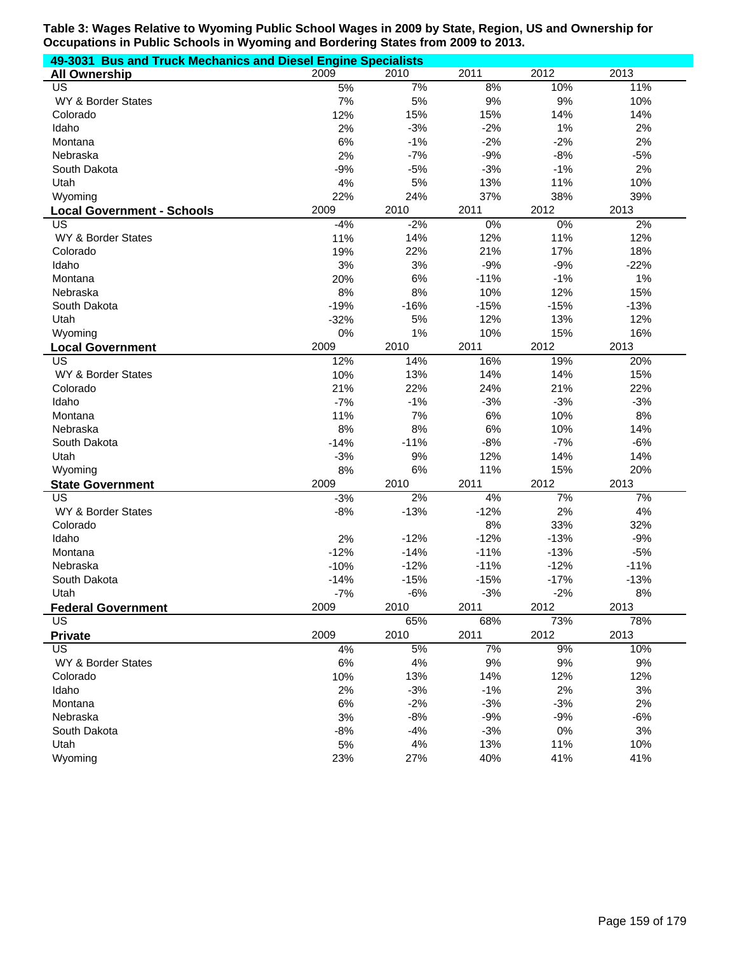| 49-3031 Bus and Truck Mechanics and Diesel Engine Specialists |        |        |        |        |        |  |  |  |
|---------------------------------------------------------------|--------|--------|--------|--------|--------|--|--|--|
| <b>All Ownership</b>                                          | 2009   | 2010   | 2011   | 2012   | 2013   |  |  |  |
| US                                                            | 5%     | 7%     | 8%     | 10%    | 11%    |  |  |  |
| WY & Border States                                            | 7%     | 5%     | 9%     | 9%     | 10%    |  |  |  |
| Colorado                                                      | 12%    | 15%    | 15%    | 14%    | 14%    |  |  |  |
| Idaho                                                         | 2%     | $-3%$  | $-2%$  | 1%     | 2%     |  |  |  |
| Montana                                                       | 6%     | $-1%$  | $-2%$  | $-2%$  | 2%     |  |  |  |
| Nebraska                                                      | 2%     | $-7%$  | $-9%$  | $-8%$  | $-5%$  |  |  |  |
| South Dakota                                                  | $-9%$  | $-5%$  | $-3%$  | $-1%$  | 2%     |  |  |  |
| Utah                                                          | 4%     | 5%     | 13%    | 11%    | 10%    |  |  |  |
| Wyoming                                                       | 22%    | 24%    | 37%    | 38%    | 39%    |  |  |  |
| <b>Local Government - Schools</b>                             | 2009   | 2010   | 2011   | 2012   | 2013   |  |  |  |
| US                                                            | $-4%$  | $-2%$  | 0%     | $0\%$  | 2%     |  |  |  |
| WY & Border States                                            | 11%    | 14%    | 12%    | 11%    | 12%    |  |  |  |
| Colorado                                                      | 19%    | 22%    | 21%    | 17%    | 18%    |  |  |  |
| Idaho                                                         | 3%     | 3%     | $-9%$  | $-9%$  | $-22%$ |  |  |  |
| Montana                                                       | 20%    | 6%     | $-11%$ | $-1%$  | 1%     |  |  |  |
| Nebraska                                                      | 8%     | 8%     | 10%    | 12%    | 15%    |  |  |  |
| South Dakota                                                  | $-19%$ | $-16%$ | $-15%$ | $-15%$ | $-13%$ |  |  |  |
| Utah                                                          | $-32%$ | 5%     | 12%    | 13%    | 12%    |  |  |  |
| Wyoming                                                       | 0%     | 1%     | 10%    | 15%    | 16%    |  |  |  |
| <b>Local Government</b>                                       | 2009   | 2010   | 2011   | 2012   | 2013   |  |  |  |
| US                                                            | 12%    | 14%    | 16%    | 19%    | 20%    |  |  |  |
| WY & Border States                                            | 10%    | 13%    | 14%    | 14%    | 15%    |  |  |  |
| Colorado                                                      | 21%    | 22%    | 24%    | 21%    | 22%    |  |  |  |
| Idaho                                                         | $-7%$  | $-1%$  | $-3%$  | $-3%$  | $-3%$  |  |  |  |
| Montana                                                       | 11%    | 7%     | 6%     | 10%    | 8%     |  |  |  |
| Nebraska                                                      | 8%     | 8%     | 6%     | 10%    | 14%    |  |  |  |
| South Dakota                                                  | $-14%$ | $-11%$ | $-8%$  | $-7%$  | $-6%$  |  |  |  |
| Utah                                                          | $-3%$  | 9%     | 12%    | 14%    | 14%    |  |  |  |
| Wyoming                                                       | 8%     | 6%     | 11%    | 15%    | 20%    |  |  |  |
| <b>State Government</b>                                       | 2009   | 2010   | 2011   | 2012   | 2013   |  |  |  |
| US                                                            | $-3%$  | 2%     | 4%     | 7%     | 7%     |  |  |  |
| WY & Border States                                            | $-8%$  | $-13%$ | $-12%$ | 2%     | 4%     |  |  |  |
| Colorado                                                      |        |        | 8%     | 33%    | 32%    |  |  |  |
| Idaho                                                         | 2%     | $-12%$ | $-12%$ | $-13%$ | $-9%$  |  |  |  |
| Montana                                                       | $-12%$ | $-14%$ | $-11%$ | $-13%$ | $-5%$  |  |  |  |
| Nebraska                                                      | $-10%$ | $-12%$ | $-11%$ | $-12%$ | $-11%$ |  |  |  |
| South Dakota                                                  | $-14%$ | $-15%$ | $-15%$ | $-17%$ | $-13%$ |  |  |  |
| Utah                                                          | $-7%$  | $-6%$  | $-3%$  | $-2%$  | 8%     |  |  |  |
| <b>Federal Government</b>                                     | 2009   | 2010   | 2011   | 2012   | 2013   |  |  |  |
| <b>US</b>                                                     |        | 65%    | 68%    | 73%    | 78%    |  |  |  |
| <b>Private</b>                                                | 2009   | 2010   | 2011   | 2012   | 2013   |  |  |  |
| <b>US</b>                                                     | 4%     | 5%     | 7%     | 9%     | 10%    |  |  |  |
| WY & Border States                                            | 6%     | 4%     | 9%     | 9%     | 9%     |  |  |  |
| Colorado                                                      | 10%    | 13%    | 14%    | 12%    | 12%    |  |  |  |
| Idaho                                                         | 2%     | $-3%$  | $-1%$  | 2%     | 3%     |  |  |  |
| Montana                                                       | 6%     | $-2%$  | $-3%$  | $-3%$  | 2%     |  |  |  |
| Nebraska                                                      | 3%     | $-8%$  | $-9%$  | $-9%$  | $-6%$  |  |  |  |
| South Dakota                                                  | $-8%$  | $-4%$  | $-3%$  | $0\%$  | 3%     |  |  |  |
| Utah                                                          | 5%     | 4%     | 13%    | 11%    | 10%    |  |  |  |
| Wyoming                                                       | 23%    | 27%    | 40%    | 41%    | 41%    |  |  |  |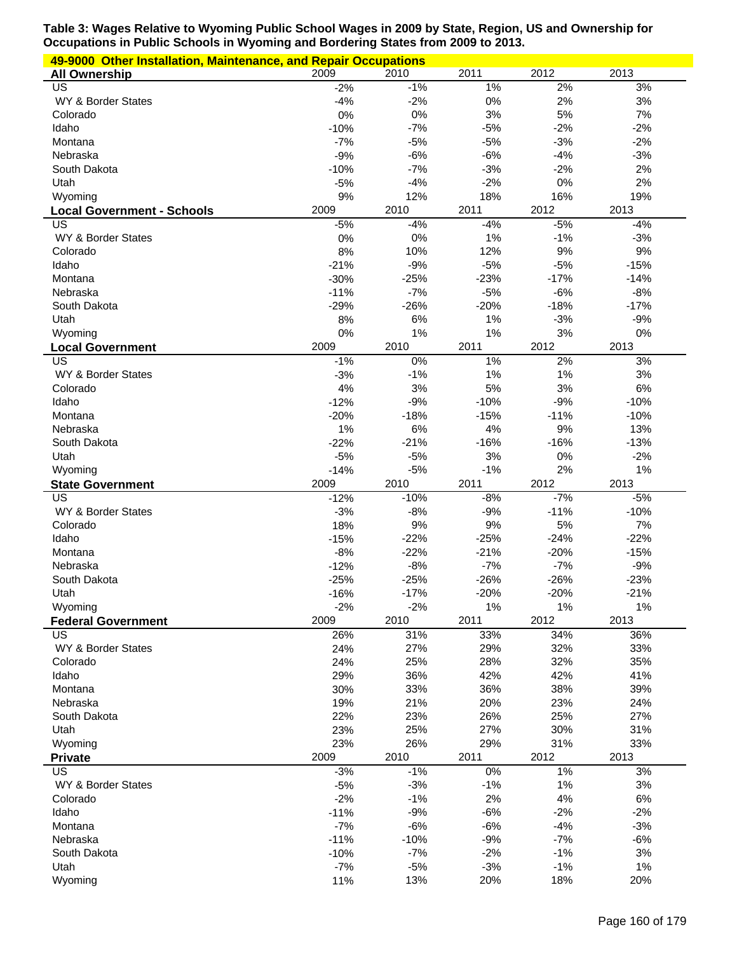| 49-9000 Other Installation, Maintenance, and Repair Occupations |              |              |              |              |            |  |  |  |
|-----------------------------------------------------------------|--------------|--------------|--------------|--------------|------------|--|--|--|
| <b>All Ownership</b>                                            | 2009         | 2010         | 2011         | 2012         | 2013       |  |  |  |
| US                                                              | $-2%$        | $-1%$        | 1%           | 2%           | 3%         |  |  |  |
| WY & Border States                                              | $-4%$        | $-2%$        | 0%           | 2%           | $3%$       |  |  |  |
| Colorado                                                        | 0%           | 0%           | 3%           | 5%           | 7%         |  |  |  |
| Idaho                                                           | $-10%$       | $-7%$        | $-5%$        | $-2%$        | $-2%$      |  |  |  |
| Montana                                                         | $-7%$        | $-5%$        | $-5%$        | $-3%$        | $-2%$      |  |  |  |
| Nebraska                                                        | $-9%$        | $-6%$        | $-6%$        | $-4%$        | $-3%$      |  |  |  |
| South Dakota                                                    | $-10%$       | $-7%$        | $-3%$        | $-2%$<br>0%  | 2%<br>2%   |  |  |  |
| Utah                                                            | $-5%$        | $-4%$        | $-2%$        | 16%          | 19%        |  |  |  |
| Wyoming                                                         | 9%<br>2009   | 12%<br>2010  | 18%<br>2011  | 2012         | 2013       |  |  |  |
| <b>Local Government - Schools</b><br>US                         | $-5%$        | $-4%$        | $-4%$        | $-5%$        | $-4%$      |  |  |  |
| WY & Border States                                              | 0%           | 0%           | 1%           | $-1%$        | $-3%$      |  |  |  |
| Colorado                                                        | 8%           | 10%          | 12%          | 9%           | 9%         |  |  |  |
| Idaho                                                           | $-21%$       | $-9%$        | $-5%$        | $-5%$        | $-15%$     |  |  |  |
| Montana                                                         | $-30%$       | $-25%$       | $-23%$       | $-17%$       | $-14%$     |  |  |  |
| Nebraska                                                        | $-11%$       | $-7%$        | $-5%$        | $-6%$        | $-8%$      |  |  |  |
| South Dakota                                                    | $-29%$       | $-26%$       | $-20%$       | $-18%$       | $-17%$     |  |  |  |
| Utah                                                            | 8%           | 6%           | 1%           | $-3%$        | $-9%$      |  |  |  |
| Wyoming                                                         | 0%           | 1%           | 1%           | 3%           | 0%         |  |  |  |
| <b>Local Government</b>                                         | 2009         | 2010         | 2011         | 2012         | 2013       |  |  |  |
| US                                                              | $-1%$        | 0%           | 1%           | 2%           | 3%         |  |  |  |
| WY & Border States                                              | $-3%$        | $-1%$        | 1%           | 1%           | $3%$       |  |  |  |
| Colorado                                                        | 4%           | 3%           | 5%           | 3%           | 6%         |  |  |  |
| Idaho                                                           | $-12%$       | $-9%$        | $-10%$       | $-9%$        | $-10%$     |  |  |  |
| Montana                                                         | $-20%$       | $-18%$       | $-15%$       | $-11%$       | $-10%$     |  |  |  |
| Nebraska                                                        | 1%           | 6%           | 4%           | 9%           | 13%        |  |  |  |
| South Dakota                                                    | $-22%$       | $-21%$       | $-16%$       | $-16%$       | $-13%$     |  |  |  |
| Utah                                                            | $-5%$        | $-5%$        | 3%           | 0%           | $-2%$      |  |  |  |
| Wyoming                                                         | $-14%$       | $-5%$        | $-1%$        | 2%           | 1%         |  |  |  |
|                                                                 |              |              |              | 2012         | 2013       |  |  |  |
| <b>State Government</b>                                         | 2009         | 2010         | 2011         |              |            |  |  |  |
| US                                                              | $-12%$       | $-10%$       | $-8%$        | $-7%$        | $-5%$      |  |  |  |
| WY & Border States                                              | $-3%$        | $-8%$        | $-9%$        | $-11%$       | $-10%$     |  |  |  |
| Colorado                                                        | 18%          | 9%           | 9%           | 5%           | 7%         |  |  |  |
| Idaho                                                           | $-15%$       | $-22%$       | $-25%$       | $-24%$       | $-22%$     |  |  |  |
| Montana                                                         | $-8%$        | $-22%$       | $-21%$       | $-20%$       | $-15%$     |  |  |  |
| Nebraska                                                        | $-12%$       | $-8%$        | $-7%$        | $-7%$        | $-9%$      |  |  |  |
| South Dakota                                                    | $-25%$       | $-25%$       | $-26%$       | $-26%$       | $-23%$     |  |  |  |
| Utah                                                            | $-16%$       | $-17%$       | $-20%$       | $-20%$       | $-21%$     |  |  |  |
| Wyoming                                                         | $-2%$        | $-2%$        | 1%           | $1\%$        | 1%         |  |  |  |
| <b>Federal Government</b><br>US                                 | 2009         | 2010         | 2011         | 2012         | 2013       |  |  |  |
|                                                                 | 26%          | 31%          | 33%          | 34%          | 36%        |  |  |  |
| WY & Border States<br>Colorado                                  | 24%<br>24%   | 27%<br>25%   | 29%<br>28%   | 32%<br>32%   | 33%<br>35% |  |  |  |
| Idaho                                                           | 29%          | 36%          | 42%          | 42%          | 41%        |  |  |  |
| Montana                                                         | 30%          | 33%          | 36%          | 38%          | 39%        |  |  |  |
| Nebraska                                                        | 19%          | 21%          | 20%          | 23%          | 24%        |  |  |  |
| South Dakota                                                    | 22%          | 23%          | 26%          | 25%          | 27%        |  |  |  |
| Utah                                                            | 23%          | 25%          | 27%          | 30%          | 31%        |  |  |  |
| Wyoming                                                         | 23%          | 26%          | 29%          | 31%          | 33%        |  |  |  |
| <b>Private</b>                                                  | 2009         | 2010         | 2011         | 2012         | 2013       |  |  |  |
| US                                                              | $-3%$        | $-1%$        | $0\%$        | $1\%$        | 3%         |  |  |  |
| WY & Border States                                              | $-5%$        | $-3%$        | $-1%$        | 1%           | 3%         |  |  |  |
| Colorado                                                        | $-2%$        | $-1%$        | 2%           | 4%           | 6%         |  |  |  |
| Idaho                                                           | $-11%$       | $-9%$        | $-6%$        | $-2%$        | $-2%$      |  |  |  |
| Montana                                                         | $-7%$        | $-6%$        | $-6%$        | $-4%$        | $-3%$      |  |  |  |
| Nebraska                                                        | $-11%$       | $-10%$       | $-9%$        | $-7%$        | $-6%$      |  |  |  |
| South Dakota                                                    | $-10%$       | $-7%$        | $-2%$        | $-1%$        | 3%         |  |  |  |
| Utah<br>Wyoming                                                 | $-7%$<br>11% | $-5%$<br>13% | $-3%$<br>20% | $-1%$<br>18% | 1%<br>20%  |  |  |  |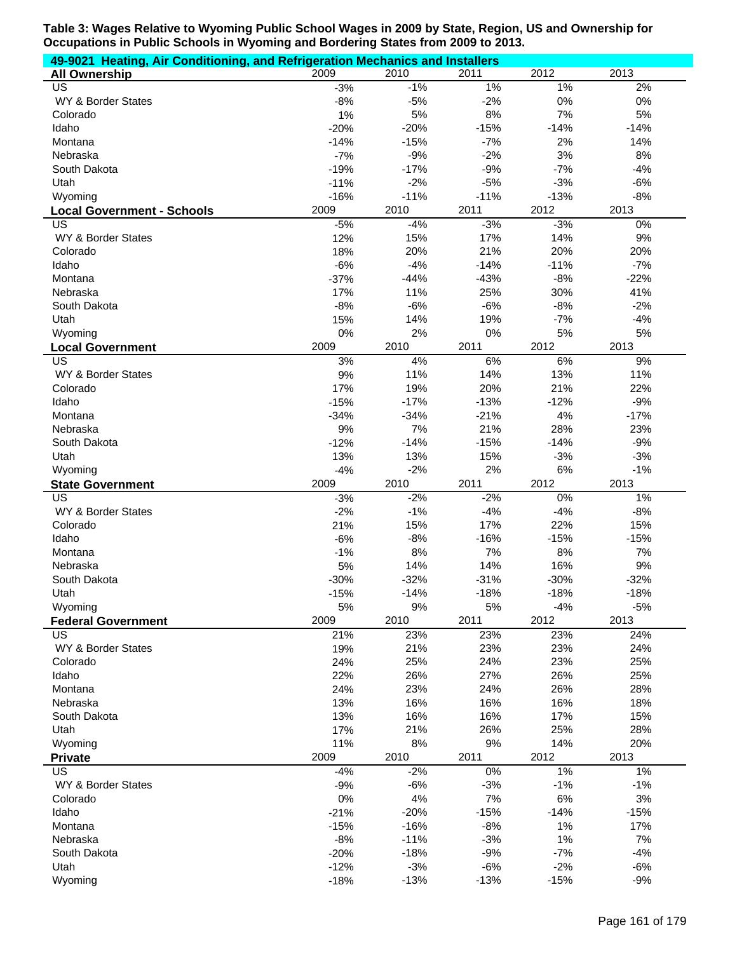| 49-9021 Heating, Air Conditioning, and Refrigeration Mechanics and Installers |                  |                 |                 |                 |                |
|-------------------------------------------------------------------------------|------------------|-----------------|-----------------|-----------------|----------------|
| <b>All Ownership</b>                                                          | 2009             | 2010            | 2011            | 2012            | 2013           |
| US                                                                            | $-3%$            | $-1%$           | $1\%$           | 1%              | 2%             |
| WY & Border States                                                            | $-8%$            | $-5%$           | $-2%$           | 0%              | 0%             |
| Colorado                                                                      | 1%               | 5%              | 8%              | 7%              | 5%             |
| Idaho                                                                         | $-20%$           | $-20%$          | $-15%$          | $-14%$          | $-14%$         |
| Montana                                                                       | $-14%$           | $-15%$          | $-7%$           | 2%              | 14%            |
| Nebraska                                                                      | $-7%$            | $-9%$           | $-2%$           | 3%              | 8%             |
| South Dakota                                                                  | $-19%$           | $-17%$<br>$-2%$ | $-9%$           | $-7%$<br>$-3%$  | $-4%$          |
| Utah                                                                          | $-11%$<br>$-16%$ | $-11%$          | $-5%$<br>$-11%$ |                 | $-6%$<br>$-8%$ |
| Wyoming                                                                       | 2009             | 2010            | 2011            | $-13%$<br>2012  | 2013           |
| <b>Local Government - Schools</b><br>US                                       | $-5%$            | $-4%$           | $-3%$           | $-3%$           | 0%             |
| WY & Border States                                                            | 12%              | 15%             | 17%             | 14%             | $9%$           |
| Colorado                                                                      | 18%              | 20%             | 21%             | 20%             | 20%            |
| Idaho                                                                         | $-6%$            | $-4%$           | $-14%$          | $-11%$          | $-7%$          |
| Montana                                                                       | $-37%$           | $-44%$          | $-43%$          | $-8%$           | $-22%$         |
| Nebraska                                                                      | 17%              | 11%             | 25%             | 30%             | 41%            |
| South Dakota                                                                  | $-8%$            | $-6%$           | $-6%$           | $-8%$           | $-2%$          |
| Utah                                                                          | 15%              | 14%             | 19%             | $-7%$           | $-4%$          |
| Wyoming                                                                       | 0%               | 2%              | 0%              | 5%              | 5%             |
| <b>Local Government</b>                                                       | 2009             | 2010            | 2011            | 2012            | 2013           |
| $\overline{\mathsf{US}}$                                                      | 3%               | 4%              | 6%              | 6%              | 9%             |
| WY & Border States                                                            | 9%               | 11%             | 14%             | 13%             | 11%            |
| Colorado                                                                      | 17%              | 19%             | 20%             | 21%             | 22%            |
| Idaho                                                                         | $-15%$           | $-17%$          | $-13%$          | $-12%$          | $-9%$          |
| Montana                                                                       | $-34%$           | $-34%$          | $-21%$          | 4%              | $-17%$         |
| Nebraska                                                                      | 9%               | 7%              | 21%             | 28%             | 23%            |
| South Dakota                                                                  | $-12%$           | $-14%$          | $-15%$          | $-14%$          | $-9%$          |
| Utah                                                                          | 13%              | 13%             | 15%             | $-3%$           | $-3%$          |
|                                                                               | $-4%$            | $-2%$           | 2%              | 6%              | $-1%$          |
| Wyoming                                                                       |                  |                 |                 |                 |                |
| <b>State Government</b>                                                       | 2009             | 2010            | 2011            | 2012            | 2013           |
| $\overline{US}$                                                               | $-3%$            | $-2%$           | $-2%$           | 0%              | 1%             |
| WY & Border States                                                            | $-2%$            | $-1%$           | $-4%$           | $-4%$           | $-8%$          |
| Colorado                                                                      | 21%              | 15%             | 17%             | 22%             | 15%            |
| Idaho                                                                         | $-6%$            | $-8%$           | $-16%$          | $-15%$          | $-15%$         |
| Montana                                                                       | $-1%$            | 8%              | 7%              | 8%              | 7%             |
| Nebraska                                                                      | 5%               | 14%             | 14%             | 16%             | 9%             |
| South Dakota                                                                  | $-30%$           | $-32%$          | $-31%$          | $-30%$          | $-32%$         |
| Utah                                                                          | $-15%$           | $-14%$          | $-18%$          | $-18%$          | $-18%$         |
| Wyoming                                                                       | 5%               | 9%              | 5%              | $-4%$           | $-5%$          |
| <b>Federal Government</b><br><b>US</b>                                        | 2009             | 2010            | 2011            | 2012            | 2013           |
|                                                                               | 21%              | 23%             | 23%             | 23%             | 24%            |
| WY & Border States<br>Colorado                                                | 19%<br>24%       | 21%<br>25%      | 23%<br>24%      | 23%<br>23%      | 24%<br>25%     |
| Idaho                                                                         | 22%              | 26%             | 27%             | 26%             | 25%            |
| Montana                                                                       | 24%              | 23%             | 24%             | 26%             | 28%            |
| Nebraska                                                                      | 13%              | 16%             | 16%             | 16%             | 18%            |
| South Dakota                                                                  | 13%              | 16%             | 16%             | 17%             | 15%            |
| Utah                                                                          | 17%              | 21%             | 26%             | 25%             | 28%            |
| Wyoming                                                                       | 11%              | 8%              | 9%              | 14%             | 20%            |
| <b>Private</b>                                                                | 2009             | 2010            | 2011            | 2012            | 2013           |
| <b>US</b>                                                                     | $-4%$            | $-2%$           | $0\%$           | $1\%$           | $1\%$          |
| WY & Border States                                                            | $-9%$            | $-6%$           | $-3%$           | $-1%$           | $-1%$          |
| Colorado                                                                      | 0%               | 4%              | 7%              | 6%              | 3%             |
| Idaho                                                                         | $-21%$           | $-20%$          | $-15%$          | $-14%$          | $-15%$         |
| Montana                                                                       | $-15%$           | $-16%$          | $-8%$           | 1%              | 17%            |
| Nebraska                                                                      | $-8%$            | $-11%$          | $-3%$           | 1%              | 7%             |
| South Dakota                                                                  | $-20%$           | $-18%$          | $-9%$           | $-7%$           | $-4%$          |
| Utah<br>Wyoming                                                               | $-12%$<br>$-18%$ | $-3%$<br>$-13%$ | $-6%$<br>$-13%$ | $-2%$<br>$-15%$ | $-6%$<br>$-9%$ |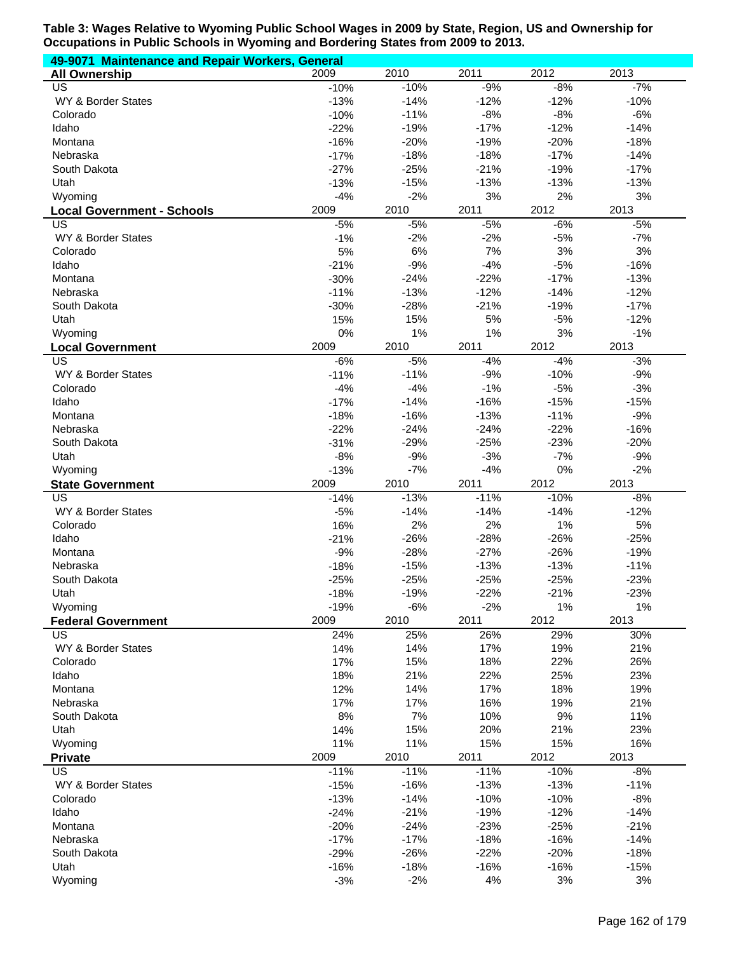| 49-9071 Maintenance and Repair Workers, General     |            |            |            |            |               |  |  |  |
|-----------------------------------------------------|------------|------------|------------|------------|---------------|--|--|--|
| <b>All Ownership</b>                                | 2009       | 2010       | 2011       | 2012       | 2013          |  |  |  |
| US                                                  | $-10%$     | $-10%$     | $-9%$      | $-8%$      | $-7%$         |  |  |  |
| WY & Border States                                  | $-13%$     | $-14%$     | $-12%$     | $-12%$     | $-10%$        |  |  |  |
| Colorado                                            | $-10%$     | $-11%$     | $-8%$      | $-8%$      | $-6%$         |  |  |  |
| Idaho                                               | $-22%$     | $-19%$     | $-17%$     | $-12%$     | $-14%$        |  |  |  |
| Montana                                             | $-16%$     | $-20%$     | $-19%$     | $-20%$     | $-18%$        |  |  |  |
| Nebraska                                            | $-17%$     | $-18%$     | $-18%$     | $-17%$     | $-14%$        |  |  |  |
| South Dakota                                        | $-27%$     | $-25%$     | $-21%$     | $-19%$     | $-17%$        |  |  |  |
| Utah                                                | $-13%$     | $-15%$     | $-13%$     | $-13%$     | $-13%$        |  |  |  |
| Wyoming                                             | $-4%$      | $-2%$      | 3%         | 2%         | 3%            |  |  |  |
| <b>Local Government - Schools</b>                   | 2009       | 2010       | 2011       | 2012       | 2013          |  |  |  |
| US                                                  | $-5%$      | $-5%$      | $-5%$      | $-6%$      | $-5%$         |  |  |  |
| WY & Border States                                  | $-1%$      | $-2%$      | $-2%$      | $-5%$      | $-7%$         |  |  |  |
| Colorado                                            | 5%         | 6%         | 7%         | 3%         | 3%            |  |  |  |
| Idaho                                               | $-21%$     | $-9%$      | $-4%$      | $-5%$      | $-16%$        |  |  |  |
| Montana                                             | $-30%$     | $-24%$     | $-22%$     | $-17%$     | $-13%$        |  |  |  |
| Nebraska                                            | $-11%$     | $-13%$     | $-12%$     | $-14%$     | $-12%$        |  |  |  |
| South Dakota                                        | $-30%$     | $-28%$     | $-21%$     | $-19%$     | $-17%$        |  |  |  |
| Utah                                                | 15%        | 15%        | 5%         | $-5%$      | $-12%$        |  |  |  |
| Wyoming                                             | 0%<br>2009 | 1%<br>2010 | 1%<br>2011 | 3%<br>2012 | $-1%$<br>2013 |  |  |  |
| <b>Local Government</b><br>$\overline{\mathsf{US}}$ | $-6%$      | $-5%$      | $-4%$      | $-4%$      | $-3%$         |  |  |  |
| WY & Border States                                  | $-11%$     | $-11%$     | $-9%$      | $-10%$     | $-9%$         |  |  |  |
| Colorado                                            | $-4%$      | $-4%$      | $-1%$      | $-5%$      | $-3%$         |  |  |  |
| Idaho                                               | $-17%$     | $-14%$     | $-16%$     | $-15%$     | $-15%$        |  |  |  |
| Montana                                             | $-18%$     | $-16%$     | $-13%$     | $-11%$     | $-9%$         |  |  |  |
| Nebraska                                            | $-22%$     | $-24%$     | $-24%$     | $-22%$     | $-16%$        |  |  |  |
| South Dakota                                        | $-31%$     | $-29%$     | $-25%$     | $-23%$     | $-20%$        |  |  |  |
| Utah                                                | $-8%$      | $-9%$      | $-3%$      | $-7%$      | $-9%$         |  |  |  |
| Wyoming                                             | $-13%$     | $-7%$      | $-4%$      | $0\%$      | $-2%$         |  |  |  |
| <b>State Government</b>                             | 2009       | 2010       | 2011       | 2012       | 2013          |  |  |  |
| $\overline{US}$                                     | $-14%$     | $-13%$     | $-11%$     | $-10%$     | $-8%$         |  |  |  |
| WY & Border States                                  | $-5%$      | $-14%$     | $-14%$     | $-14%$     | $-12%$        |  |  |  |
| Colorado                                            | 16%        | 2%         | 2%         | 1%         | 5%            |  |  |  |
| Idaho                                               | $-21%$     | $-26%$     | $-28%$     | $-26%$     | $-25%$        |  |  |  |
| Montana                                             | $-9%$      | $-28%$     | $-27%$     | $-26%$     | $-19%$        |  |  |  |
| Nebraska                                            | $-18%$     | $-15%$     | $-13%$     | $-13%$     | $-11%$        |  |  |  |
| South Dakota                                        | $-25%$     | $-25%$     | $-25%$     | $-25%$     | $-23%$        |  |  |  |
| Utah                                                | $-18%$     | $-19%$     | $-22%$     | $-21%$     | $-23%$        |  |  |  |
| Wyoming                                             | $-19%$     | $-6%$      | $-2%$      | 1%         | 1%            |  |  |  |
| <b>Federal Government</b>                           | 2009       | 2010       | 2011       | 2012       | 2013          |  |  |  |
| US                                                  | 24%        | 25%        | 26%        | 29%        | 30%           |  |  |  |
| WY & Border States                                  | 14%        | 14%        | 17%        | 19%        | 21%           |  |  |  |
| Colorado                                            | 17%        | 15%        | 18%        | 22%        | 26%           |  |  |  |
| Idaho                                               | 18%        | 21%        | 22%        | 25%        | 23%           |  |  |  |
| Montana                                             | 12%        | 14%        | 17%        | 18%        | 19%           |  |  |  |
| Nebraska                                            | 17%        | 17%        | 16%        | 19%        | 21%           |  |  |  |
| South Dakota                                        | 8%         | 7%         | 10%        | $9%$       | 11%           |  |  |  |
| Utah                                                | 14%        | 15%        | 20%        | 21%        | 23%           |  |  |  |
| Wyoming                                             | 11%        | 11%        | 15%        | 15%        | 16%           |  |  |  |
| <b>Private</b>                                      | 2009       | 2010       | 2011       | 2012       | 2013          |  |  |  |
| US                                                  | $-11%$     | $-11%$     | $-11%$     | $-10%$     | $-8%$         |  |  |  |
| WY & Border States                                  | $-15%$     | $-16%$     | $-13%$     | $-13%$     | $-11%$        |  |  |  |
| Colorado                                            | $-13%$     | $-14%$     | $-10%$     | $-10%$     | $-8%$         |  |  |  |
| Idaho                                               | $-24%$     | $-21%$     | $-19%$     | $-12%$     | $-14%$        |  |  |  |
| Montana                                             | $-20%$     | $-24%$     | $-23%$     | $-25%$     | $-21%$        |  |  |  |
| Nebraska                                            | $-17%$     | $-17%$     | $-18%$     | $-16%$     | $-14%$        |  |  |  |
| South Dakota                                        | $-29%$     | $-26%$     | $-22%$     | $-20%$     | $-18%$        |  |  |  |
| Utah                                                | $-16%$     | $-18%$     | $-16%$     | $-16%$     | $-15%$        |  |  |  |
| Wyoming                                             | $-3%$      | $-2%$      | 4%         | 3%         | 3%            |  |  |  |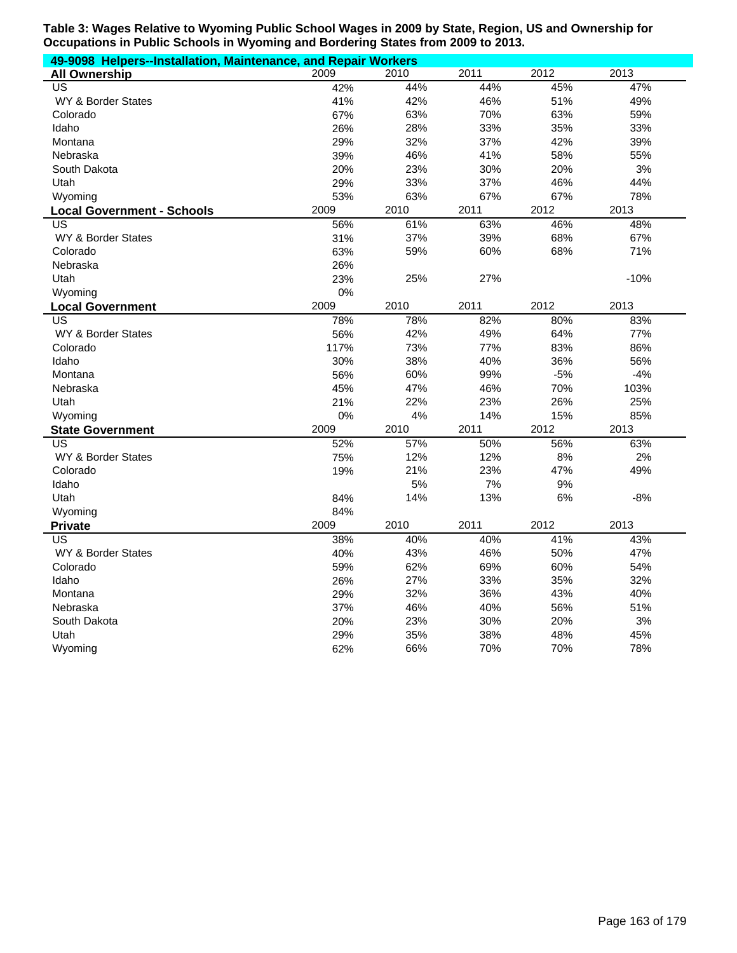| 49-9098 Helpers--Installation, Maintenance, and Repair Workers |      |      |      |       |        |  |  |  |
|----------------------------------------------------------------|------|------|------|-------|--------|--|--|--|
| <b>All Ownership</b>                                           | 2009 | 2010 | 2011 | 2012  | 2013   |  |  |  |
| <b>US</b>                                                      | 42%  | 44%  | 44%  | 45%   | 47%    |  |  |  |
| <b>WY &amp; Border States</b>                                  | 41%  | 42%  | 46%  | 51%   | 49%    |  |  |  |
| Colorado                                                       | 67%  | 63%  | 70%  | 63%   | 59%    |  |  |  |
| Idaho                                                          | 26%  | 28%  | 33%  | 35%   | 33%    |  |  |  |
| Montana                                                        | 29%  | 32%  | 37%  | 42%   | 39%    |  |  |  |
| Nebraska                                                       | 39%  | 46%  | 41%  | 58%   | 55%    |  |  |  |
| South Dakota                                                   | 20%  | 23%  | 30%  | 20%   | 3%     |  |  |  |
| Utah                                                           | 29%  | 33%  | 37%  | 46%   | 44%    |  |  |  |
| Wyoming                                                        | 53%  | 63%  | 67%  | 67%   | 78%    |  |  |  |
| <b>Local Government - Schools</b>                              | 2009 | 2010 | 2011 | 2012  | 2013   |  |  |  |
| US                                                             | 56%  | 61%  | 63%  | 46%   | 48%    |  |  |  |
| WY & Border States                                             | 31%  | 37%  | 39%  | 68%   | 67%    |  |  |  |
| Colorado                                                       | 63%  | 59%  | 60%  | 68%   | 71%    |  |  |  |
| Nebraska                                                       | 26%  |      |      |       |        |  |  |  |
| Utah                                                           | 23%  | 25%  | 27%  |       | $-10%$ |  |  |  |
| Wyoming                                                        | 0%   |      |      |       |        |  |  |  |
| <b>Local Government</b>                                        | 2009 | 2010 | 2011 | 2012  | 2013   |  |  |  |
| US                                                             | 78%  | 78%  | 82%  | 80%   | 83%    |  |  |  |
| WY & Border States                                             | 56%  | 42%  | 49%  | 64%   | 77%    |  |  |  |
| Colorado                                                       | 117% | 73%  | 77%  | 83%   | 86%    |  |  |  |
| Idaho                                                          | 30%  | 38%  | 40%  | 36%   | 56%    |  |  |  |
| Montana                                                        | 56%  | 60%  | 99%  | $-5%$ | $-4%$  |  |  |  |
| Nebraska                                                       | 45%  | 47%  | 46%  | 70%   | 103%   |  |  |  |
| Utah                                                           | 21%  | 22%  | 23%  | 26%   | 25%    |  |  |  |
| Wyoming                                                        | 0%   | 4%   | 14%  | 15%   | 85%    |  |  |  |
| <b>State Government</b>                                        | 2009 | 2010 | 2011 | 2012  | 2013   |  |  |  |
| <b>US</b>                                                      | 52%  | 57%  | 50%  | 56%   | 63%    |  |  |  |
| <b>WY &amp; Border States</b>                                  | 75%  | 12%  | 12%  | 8%    | 2%     |  |  |  |
| Colorado                                                       | 19%  | 21%  | 23%  | 47%   | 49%    |  |  |  |
| Idaho                                                          |      | 5%   | 7%   | 9%    |        |  |  |  |
| Utah                                                           | 84%  | 14%  | 13%  | 6%    | $-8%$  |  |  |  |
| Wyoming                                                        | 84%  |      |      |       |        |  |  |  |
| <b>Private</b>                                                 | 2009 | 2010 | 2011 | 2012  | 2013   |  |  |  |
| US                                                             | 38%  | 40%  | 40%  | 41%   | 43%    |  |  |  |
| WY & Border States                                             | 40%  | 43%  | 46%  | 50%   | 47%    |  |  |  |
| Colorado                                                       | 59%  | 62%  | 69%  | 60%   | 54%    |  |  |  |
| Idaho                                                          | 26%  | 27%  | 33%  | 35%   | 32%    |  |  |  |
| Montana                                                        | 29%  | 32%  | 36%  | 43%   | 40%    |  |  |  |
| Nebraska                                                       | 37%  | 46%  | 40%  | 56%   | 51%    |  |  |  |
| South Dakota                                                   | 20%  | 23%  | 30%  | 20%   | 3%     |  |  |  |
| Utah                                                           | 29%  | 35%  | 38%  | 48%   | 45%    |  |  |  |
| Wyoming                                                        | 62%  | 66%  | 70%  | 70%   | 78%    |  |  |  |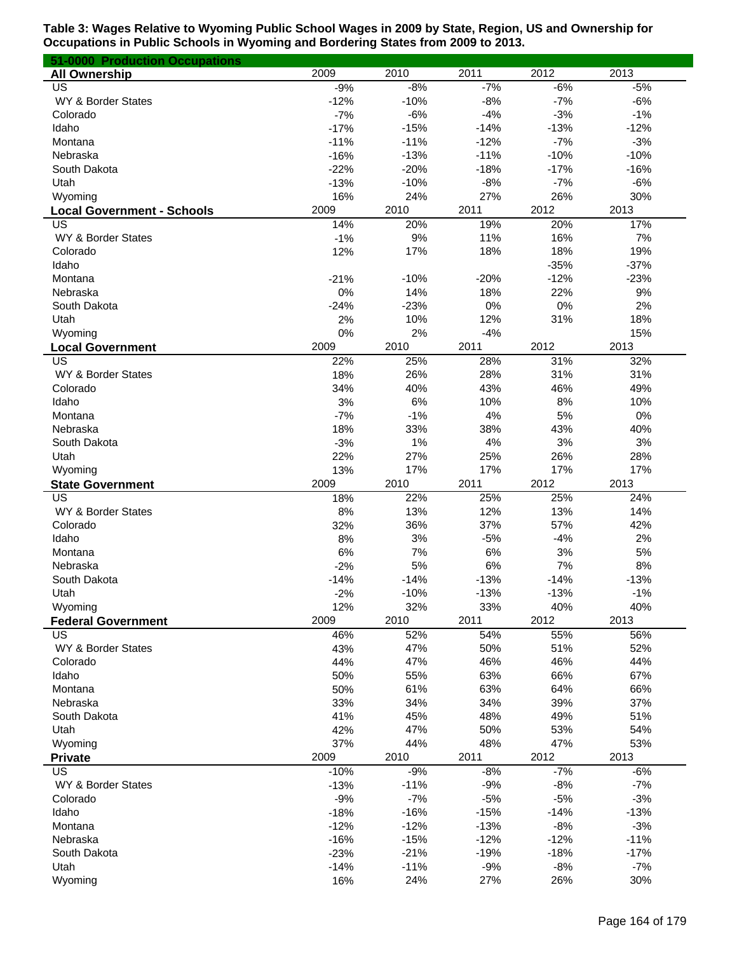| 51-0000 Production Occupations    |             |             |             |             |        |
|-----------------------------------|-------------|-------------|-------------|-------------|--------|
| <b>All Ownership</b>              | 2009        | 2010        | 2011        | 2012        | 2013   |
| US                                | $-9%$       | $-8%$       | $-7%$       | $-6%$       | $-5%$  |
| WY & Border States                | $-12%$      | $-10%$      | $-8%$       | $-7%$       | $-6%$  |
| Colorado                          | $-7%$       | $-6%$       | $-4%$       | $-3%$       | $-1%$  |
| Idaho                             | $-17%$      | $-15%$      | $-14%$      | $-13%$      | $-12%$ |
| Montana                           | $-11%$      | $-11%$      | $-12%$      | $-7%$       | $-3%$  |
| Nebraska                          | $-16%$      | $-13%$      | $-11%$      | $-10%$      | $-10%$ |
| South Dakota                      | $-22%$      | $-20%$      | $-18%$      | $-17%$      | $-16%$ |
| Utah                              | $-13%$      | $-10%$      | $-8%$       | $-7%$       | $-6%$  |
| Wyoming                           | 16%         | 24%         | 27%         | 26%         | 30%    |
| <b>Local Government - Schools</b> | 2009        | 2010        | 2011        | 2012        | 2013   |
| US                                | 14%         | 20%         | 19%         | 20%         | 17%    |
| WY & Border States                | $-1%$       | 9%          | 11%         | 16%         | 7%     |
| Colorado                          | 12%         | 17%         | 18%         | 18%         | 19%    |
| Idaho                             |             |             |             | $-35%$      | $-37%$ |
| Montana                           | $-21%$      | $-10%$      | $-20%$      | $-12%$      | $-23%$ |
| Nebraska                          | 0%          | 14%         | 18%         | 22%         | 9%     |
| South Dakota                      | $-24%$      | $-23%$      | 0%          | 0%          | 2%     |
| Utah                              | 2%          | 10%         | 12%         | 31%         | 18%    |
| Wyoming                           | 0%          | 2%          | $-4%$       |             | 15%    |
| <b>Local Government</b>           | 2009        | 2010        | 2011        | 2012        | 2013   |
| US                                | 22%         | 25%         | 28%         | 31%         | 32%    |
| WY & Border States                | 18%         | 26%         | 28%         | 31%         | 31%    |
| Colorado                          | 34%         | 40%         | 43%         | 46%         | 49%    |
| Idaho                             | 3%          | 6%          | 10%         | 8%          | 10%    |
| Montana                           | $-7%$       | $-1%$       | 4%          | 5%          | 0%     |
| Nebraska                          | 18%         | 33%         | 38%         | 43%         | 40%    |
| South Dakota                      | $-3%$       | 1%          | 4%          | 3%          | 3%     |
| Utah                              | 22%         | 27%         | 25%         | 26%         | 28%    |
| Wyoming                           | 13%         | 17%         | 17%         | 17%         | 17%    |
| <b>State Government</b>           | 2009        | 2010        | 2011        | 2012        | 2013   |
| US                                | 18%         | 22%         | 25%         | 25%         | 24%    |
| WY & Border States                | 8%          | 13%         | 12%         | 13%         | 14%    |
| Colorado                          | 32%         | 36%         | 37%         | 57%         | 42%    |
| Idaho                             | 8%          | 3%          | $-5%$       | $-4%$       | 2%     |
| Montana                           | 6%          | 7%          | 6%          | 3%          | 5%     |
| Nebraska                          | $-2%$       | 5%          | 6%          | 7%          | 8%     |
| South Dakota                      | $-14%$      | $-14%$      | $-13%$      | $-14%$      | $-13%$ |
|                                   |             | $-10%$      | $-13%$      | $-13%$      | $-1%$  |
| Utah                              | $-2%$       |             |             |             | 40%    |
| Wyoming                           | 12%<br>2009 | 32%<br>2010 | 33%<br>2011 | 40%<br>2012 | 2013   |
| <b>Federal Government</b>         |             |             |             |             |        |
| US                                | 46%         | 52%         | 54%         | 55%         | 56%    |
| WY & Border States                | 43%         | 47%         | 50%         | 51%         | 52%    |
| Colorado                          | 44%         | 47%         | 46%         | 46%         | 44%    |
| Idaho                             | 50%         | 55%         | 63%         | 66%         | 67%    |
| Montana                           | 50%         | 61%         | 63%         | 64%         | 66%    |
| Nebraska                          | 33%         | 34%         | 34%         | 39%         | 37%    |
| South Dakota                      | 41%         | 45%         | 48%         | 49%         | 51%    |
| Utah                              | 42%         | 47%         | 50%         | 53%         | 54%    |
| Wyoming                           | 37%         | 44%         | 48%         | 47%         | 53%    |
| <b>Private</b>                    | 2009        | 2010        | 2011        | 2012        | 2013   |
| $\overline{US}$                   | $-10%$      | $-9%$       | $-8%$       | $-7%$       | $-6%$  |
| WY & Border States                | $-13%$      | $-11%$      | $-9%$       | $-8%$       | $-7%$  |
| Colorado                          | $-9%$       | $-7%$       | $-5%$       | $-5%$       | $-3%$  |
| Idaho                             | $-18%$      | $-16%$      | $-15%$      | $-14%$      | $-13%$ |
| Montana                           | $-12%$      | $-12%$      | $-13%$      | $-8%$       | $-3%$  |
| Nebraska                          | $-16%$      | $-15%$      | $-12%$      | $-12%$      | $-11%$ |
| South Dakota                      | $-23%$      | $-21%$      | $-19%$      | $-18%$      | $-17%$ |
| Utah                              | $-14%$      | $-11%$      | $-9%$       | $-8%$       | $-7%$  |
| Wyoming                           | 16%         | 24%         | 27%         | 26%         | 30%    |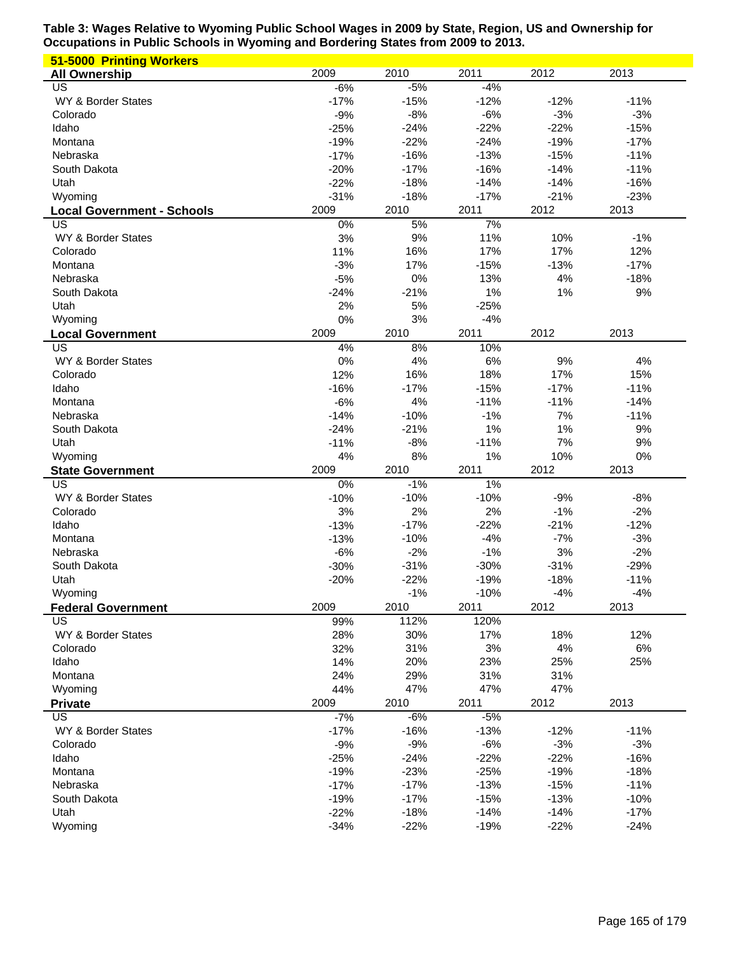| 51-5000 Printing Workers          |        |        |        |        |        |
|-----------------------------------|--------|--------|--------|--------|--------|
| <b>All Ownership</b>              | 2009   | 2010   | 2011   | 2012   | 2013   |
| US                                | $-6%$  | $-5%$  | $-4%$  |        |        |
| WY & Border States                | $-17%$ | $-15%$ | $-12%$ | $-12%$ | $-11%$ |
| Colorado                          | $-9%$  | $-8%$  | $-6%$  | $-3%$  | $-3%$  |
| Idaho                             | $-25%$ | $-24%$ | $-22%$ | $-22%$ | $-15%$ |
| Montana                           | $-19%$ | $-22%$ | $-24%$ | $-19%$ | $-17%$ |
| Nebraska                          | $-17%$ | $-16%$ | $-13%$ | $-15%$ | $-11%$ |
| South Dakota                      | $-20%$ | $-17%$ | $-16%$ | $-14%$ | $-11%$ |
| Utah                              | $-22%$ | $-18%$ | $-14%$ | $-14%$ | $-16%$ |
| Wyoming                           | $-31%$ | $-18%$ | $-17%$ | $-21%$ | $-23%$ |
| <b>Local Government - Schools</b> | 2009   | 2010   | 2011   | 2012   | 2013   |
| US                                | 0%     | 5%     | 7%     |        |        |
| WY & Border States                | 3%     | 9%     | 11%    | 10%    | $-1%$  |
| Colorado                          | 11%    | 16%    | 17%    | 17%    | 12%    |
| Montana                           | $-3%$  | 17%    | $-15%$ | $-13%$ | $-17%$ |
| Nebraska                          | $-5%$  | 0%     | 13%    | 4%     | $-18%$ |
| South Dakota                      | $-24%$ | $-21%$ | 1%     | 1%     | 9%     |
| Utah                              | 2%     | 5%     | $-25%$ |        |        |
| Wyoming                           | 0%     | 3%     | $-4%$  |        |        |
| <b>Local Government</b>           | 2009   | 2010   | 2011   | 2012   | 2013   |
| US                                | 4%     | 8%     | 10%    |        |        |
| WY & Border States                | 0%     | 4%     | 6%     | 9%     | 4%     |
| Colorado                          | 12%    | 16%    | 18%    | 17%    | 15%    |
| Idaho                             | $-16%$ | $-17%$ | $-15%$ | $-17%$ | $-11%$ |
| Montana                           | $-6%$  | 4%     | $-11%$ | $-11%$ | $-14%$ |
| Nebraska                          | $-14%$ | $-10%$ | $-1%$  | 7%     | $-11%$ |
| South Dakota                      | $-24%$ | $-21%$ | 1%     | 1%     | 9%     |
| Utah                              | $-11%$ | $-8%$  | $-11%$ | 7%     | 9%     |
| Wyoming                           | 4%     | 8%     | 1%     | 10%    | 0%     |
| <b>State Government</b>           | 2009   | 2010   | 2011   | 2012   | 2013   |
| US                                | 0%     | $-1%$  | 1%     |        |        |
| WY & Border States                | $-10%$ | $-10%$ | $-10%$ | $-9%$  | $-8%$  |
| Colorado                          | 3%     | 2%     | 2%     | $-1%$  | $-2%$  |
| Idaho                             | $-13%$ | $-17%$ | $-22%$ | $-21%$ | $-12%$ |
| Montana                           | $-13%$ | $-10%$ | $-4%$  | $-7%$  | $-3%$  |
| Nebraska                          | $-6%$  | $-2%$  | $-1%$  | 3%     | $-2%$  |
| South Dakota                      | $-30%$ | $-31%$ | $-30%$ | $-31%$ | $-29%$ |
| Utah                              | $-20%$ | $-22%$ | $-19%$ | $-18%$ | $-11%$ |
| Wyoming                           |        | $-1%$  | $-10%$ | $-4%$  | $-4%$  |
| <b>Federal Government</b>         | 2009   | 2010   | 2011   | 2012   | 2013   |
| US                                | 99%    | 112%   | 120%   |        |        |
| WY & Border States                | 28%    | 30%    | 17%    | 18%    | 12%    |
| Colorado                          | 32%    | 31%    | 3%     | 4%     | 6%     |
| Idaho                             | 14%    | 20%    | 23%    | 25%    | 25%    |
| Montana                           | 24%    | 29%    | 31%    | 31%    |        |
| Wyoming                           | 44%    | 47%    | 47%    | 47%    |        |
| <b>Private</b>                    | 2009   | 2010   | 2011   | 2012   | 2013   |
| US                                | $-7%$  | $-6%$  | $-5%$  |        |        |
| WY & Border States                | $-17%$ | $-16%$ | $-13%$ | $-12%$ | $-11%$ |
| Colorado                          | $-9%$  | $-9%$  | $-6%$  | $-3%$  | $-3%$  |
| Idaho                             | $-25%$ | $-24%$ | $-22%$ | $-22%$ | $-16%$ |
| Montana                           | $-19%$ | $-23%$ | $-25%$ | $-19%$ | $-18%$ |
| Nebraska                          | $-17%$ | $-17%$ | $-13%$ | $-15%$ | $-11%$ |
| South Dakota                      | $-19%$ | $-17%$ | $-15%$ | $-13%$ | $-10%$ |
| Utah                              | $-22%$ | $-18%$ | $-14%$ | $-14%$ | $-17%$ |
| Wyoming                           | $-34%$ | $-22%$ | $-19%$ | $-22%$ | $-24%$ |
|                                   |        |        |        |        |        |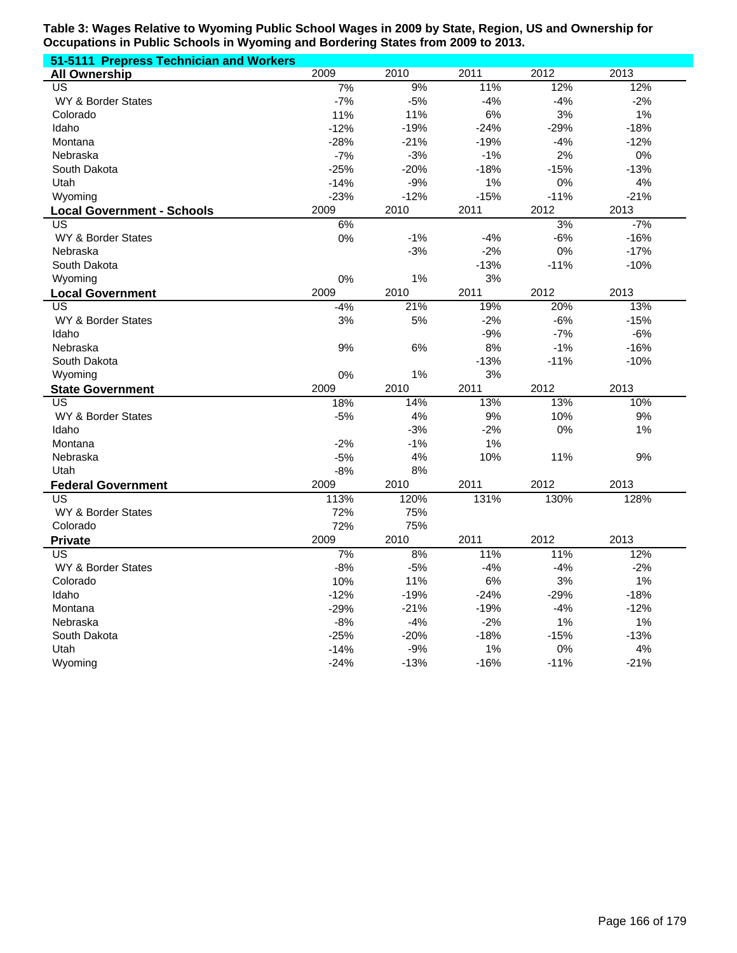| 51-5111 Prepress Technician and Workers |        |        |        |        |        |
|-----------------------------------------|--------|--------|--------|--------|--------|
| <b>All Ownership</b>                    | 2009   | 2010   | 2011   | 2012   | 2013   |
| US                                      | 7%     | 9%     | 11%    | 12%    | 12%    |
| WY & Border States                      | $-7%$  | $-5%$  | $-4%$  | $-4%$  | $-2%$  |
| Colorado                                | 11%    | 11%    | 6%     | 3%     | 1%     |
| Idaho                                   | $-12%$ | $-19%$ | $-24%$ | $-29%$ | $-18%$ |
| Montana                                 | $-28%$ | $-21%$ | $-19%$ | $-4%$  | $-12%$ |
| Nebraska                                | $-7%$  | $-3%$  | $-1%$  | 2%     | 0%     |
| South Dakota                            | $-25%$ | $-20%$ | $-18%$ | $-15%$ | $-13%$ |
| Utah                                    | $-14%$ | $-9%$  | 1%     | 0%     | 4%     |
| Wyoming                                 | $-23%$ | $-12%$ | $-15%$ | $-11%$ | $-21%$ |
| <b>Local Government - Schools</b>       | 2009   | 2010   | 2011   | 2012   | 2013   |
| $\overline{US}$                         | 6%     |        |        | 3%     | $-7%$  |
| WY & Border States                      | 0%     | $-1%$  | $-4%$  | $-6%$  | $-16%$ |
| Nebraska                                |        | $-3%$  | $-2%$  | 0%     | $-17%$ |
| South Dakota                            |        |        | $-13%$ | $-11%$ | $-10%$ |
| Wyoming                                 | 0%     | 1%     | 3%     |        |        |
| <b>Local Government</b>                 | 2009   | 2010   | 2011   | 2012   | 2013   |
| US                                      | $-4%$  | 21%    | 19%    | 20%    | 13%    |
| WY & Border States                      | 3%     | 5%     | $-2%$  | $-6%$  | $-15%$ |
| Idaho                                   |        |        | $-9%$  | $-7%$  | $-6%$  |
| Nebraska                                | 9%     | 6%     | 8%     | $-1%$  | $-16%$ |
| South Dakota                            |        |        | $-13%$ | $-11%$ | $-10%$ |
| Wyoming                                 | 0%     | 1%     | 3%     |        |        |
| <b>State Government</b>                 | 2009   | 2010   | 2011   | 2012   | 2013   |
| US                                      | 18%    | 14%    | 13%    | 13%    | 10%    |
| WY & Border States                      | $-5%$  | 4%     | 9%     | 10%    | 9%     |
| Idaho                                   |        | $-3%$  | $-2%$  | 0%     | 1%     |
| Montana                                 | $-2%$  | $-1%$  | 1%     |        |        |
| Nebraska                                | $-5%$  | 4%     | 10%    | 11%    | 9%     |
| Utah                                    | $-8%$  | 8%     |        |        |        |
| <b>Federal Government</b>               | 2009   | 2010   | 2011   | 2012   | 2013   |
| US                                      | 113%   | 120%   | 131%   | 130%   | 128%   |
| WY & Border States                      | 72%    | 75%    |        |        |        |
| Colorado                                | 72%    | 75%    |        |        |        |
| <b>Private</b>                          | 2009   | 2010   | 2011   | 2012   | 2013   |
| US                                      | 7%     | 8%     | 11%    | 11%    | 12%    |
| WY & Border States                      | $-8%$  | $-5%$  | $-4%$  | $-4%$  | $-2%$  |
| Colorado                                | 10%    | 11%    | 6%     | 3%     | 1%     |
| Idaho                                   | $-12%$ | $-19%$ | $-24%$ | $-29%$ | $-18%$ |
| Montana                                 | $-29%$ | $-21%$ | $-19%$ | $-4%$  | $-12%$ |
| Nebraska                                | $-8%$  | $-4%$  | $-2%$  | 1%     | 1%     |
| South Dakota                            | $-25%$ | $-20%$ | $-18%$ | $-15%$ | $-13%$ |
| Utah                                    | $-14%$ | $-9%$  | 1%     | 0%     | 4%     |
| Wyoming                                 | $-24%$ | $-13%$ | $-16%$ | $-11%$ | $-21%$ |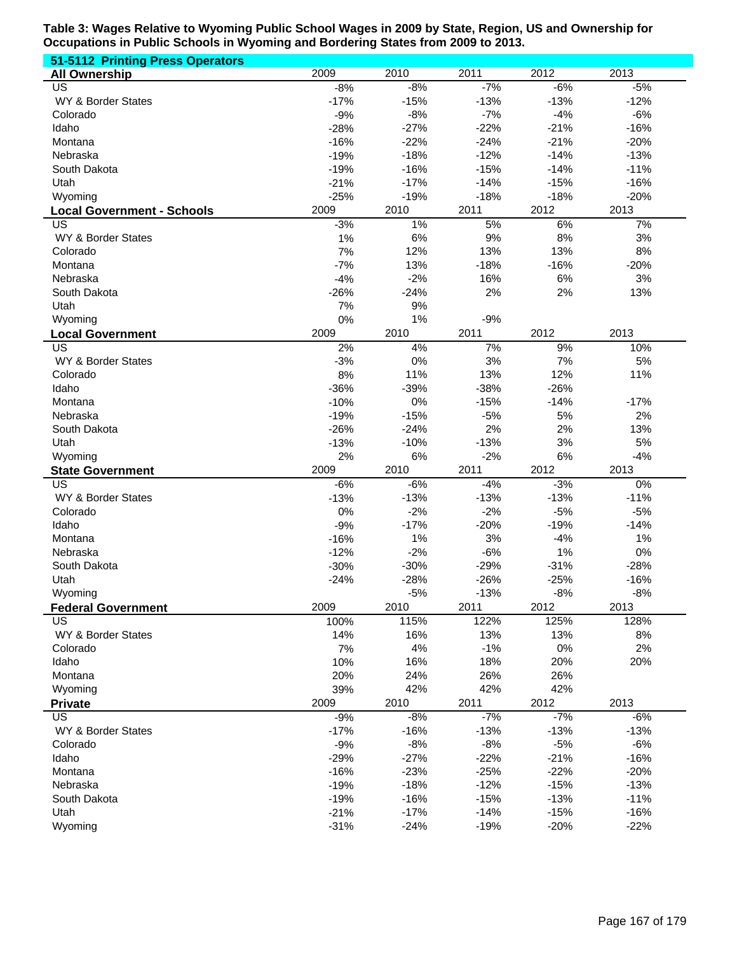| 51-5112 Printing Press Operators  |        |        |        |        |        |
|-----------------------------------|--------|--------|--------|--------|--------|
| <b>All Ownership</b>              | 2009   | 2010   | 2011   | 2012   | 2013   |
| US                                | $-8%$  | $-8%$  | $-7%$  | $-6%$  | $-5%$  |
| WY & Border States                | $-17%$ | $-15%$ | $-13%$ | $-13%$ | $-12%$ |
| Colorado                          | $-9%$  | $-8%$  | $-7%$  | $-4%$  | $-6%$  |
| Idaho                             | $-28%$ | $-27%$ | $-22%$ | $-21%$ | $-16%$ |
| Montana                           | $-16%$ | $-22%$ | $-24%$ | $-21%$ | $-20%$ |
| Nebraska                          | $-19%$ | $-18%$ | $-12%$ | $-14%$ | $-13%$ |
| South Dakota                      | $-19%$ | $-16%$ | $-15%$ | $-14%$ | $-11%$ |
| Utah                              | $-21%$ | $-17%$ | $-14%$ | $-15%$ | $-16%$ |
| Wyoming                           | $-25%$ | $-19%$ | $-18%$ | $-18%$ | $-20%$ |
| <b>Local Government - Schools</b> | 2009   | 2010   | 2011   | 2012   | 2013   |
| US                                | $-3%$  | $1\%$  | 5%     | 6%     | 7%     |
| WY & Border States                | 1%     | 6%     | 9%     | 8%     | 3%     |
| Colorado                          | 7%     | 12%    | 13%    | 13%    | 8%     |
| Montana                           | $-7%$  | 13%    | $-18%$ | $-16%$ | $-20%$ |
| Nebraska                          | $-4%$  | $-2%$  | 16%    | 6%     | 3%     |
| South Dakota                      | $-26%$ | $-24%$ | 2%     | 2%     | 13%    |
| Utah                              | 7%     | 9%     |        |        |        |
| Wyoming                           | 0%     | 1%     | $-9%$  |        |        |
| <b>Local Government</b>           | 2009   | 2010   | 2011   | 2012   | 2013   |
| US                                | 2%     | 4%     | 7%     | 9%     | 10%    |
| WY & Border States                | $-3%$  | 0%     | 3%     | 7%     | 5%     |
| Colorado                          | 8%     | 11%    | 13%    | 12%    | 11%    |
| Idaho                             | $-36%$ | $-39%$ | $-38%$ | $-26%$ |        |
| Montana                           | $-10%$ | 0%     | $-15%$ | $-14%$ | $-17%$ |
| Nebraska                          | $-19%$ | $-15%$ | $-5%$  | 5%     | 2%     |
| South Dakota                      | $-26%$ | $-24%$ | 2%     | 2%     | 13%    |
| Utah                              | $-13%$ | $-10%$ | $-13%$ | 3%     | 5%     |
| Wyoming                           | 2%     | 6%     | $-2%$  | 6%     | $-4%$  |
| <b>State Government</b>           | 2009   | 2010   | 2011   | 2012   | 2013   |
| US                                | $-6%$  | $-6%$  | $-4%$  | $-3%$  | 0%     |
| WY & Border States                | $-13%$ | $-13%$ | $-13%$ | $-13%$ | $-11%$ |
| Colorado                          | 0%     | $-2%$  | $-2%$  | $-5%$  | $-5%$  |
| Idaho                             | $-9%$  | $-17%$ | $-20%$ | $-19%$ | $-14%$ |
| Montana                           | $-16%$ | 1%     | 3%     | $-4%$  | 1%     |
| Nebraska                          | $-12%$ | $-2%$  | $-6%$  | 1%     | 0%     |
| South Dakota                      | $-30%$ | $-30%$ | $-29%$ | $-31%$ | $-28%$ |
| Utah                              | $-24%$ | $-28%$ | $-26%$ | $-25%$ | $-16%$ |
| Wyoming                           |        | $-5%$  | $-13%$ | $-8%$  | $-8%$  |
| <b>Federal Government</b>         | 2009   | 2010   | 2011   | 2012   | 2013   |
| US                                | 100%   | 115%   | 122%   | 125%   | 128%   |
| WY & Border States                | 14%    | 16%    | 13%    | 13%    | 8%     |
| Colorado                          | 7%     | 4%     | $-1%$  | $0\%$  | 2%     |
| Idaho                             | 10%    | 16%    | 18%    | 20%    | 20%    |
| Montana                           | 20%    | 24%    | 26%    | 26%    |        |
| Wyoming                           | 39%    | 42%    | 42%    | 42%    | 2013   |
| <b>Private</b>                    | 2009   | 2010   | 2011   | 2012   |        |
| US                                | $-9%$  | $-8%$  | $-7%$  | $-7%$  | $-6%$  |
| WY & Border States                | $-17%$ | $-16%$ | $-13%$ | $-13%$ | $-13%$ |
| Colorado                          | $-9%$  | $-8%$  | $-8%$  | $-5%$  | $-6%$  |
| Idaho                             | $-29%$ | $-27%$ | $-22%$ | $-21%$ | $-16%$ |
| Montana                           | $-16%$ | $-23%$ | $-25%$ | $-22%$ | $-20%$ |
| Nebraska                          | $-19%$ | $-18%$ | $-12%$ | $-15%$ | $-13%$ |
| South Dakota                      | $-19%$ | $-16%$ | $-15%$ | $-13%$ | $-11%$ |
| Utah                              | $-21%$ | $-17%$ | $-14%$ | $-15%$ | $-16%$ |
| Wyoming                           | $-31%$ | $-24%$ | $-19%$ | $-20%$ | $-22%$ |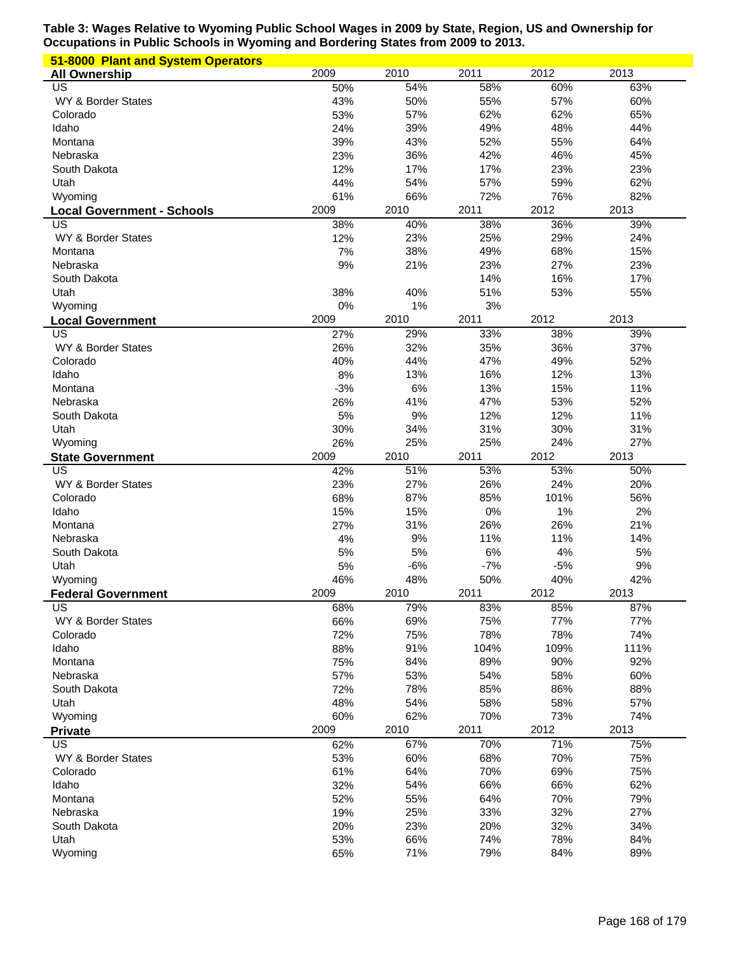| 51-8000 Plant and System Operators |             |             |              |             |             |
|------------------------------------|-------------|-------------|--------------|-------------|-------------|
| <b>All Ownership</b>               | 2009        | 2010        | 2011         | 2012        | 2013        |
| US                                 | 50%         | 54%         | 58%          | 60%         | 63%         |
| WY & Border States                 | 43%         | 50%         | 55%          | 57%         | 60%         |
| Colorado                           | 53%         | 57%         | 62%          | 62%         | 65%         |
| Idaho                              | 24%         | 39%         | 49%          | 48%         | 44%         |
| Montana                            | 39%         | 43%         | 52%          | 55%         | 64%         |
| Nebraska                           | 23%         | 36%         | 42%          | 46%         | 45%         |
| South Dakota                       | 12%         | 17%         | 17%          | 23%         | 23%         |
| Utah                               | 44%         | 54%         | 57%          | 59%         | 62%         |
| Wyoming                            | 61%         | 66%         | 72%          | 76%         | 82%         |
| <b>Local Government - Schools</b>  | 2009        | 2010        | 2011         | 2012        | 2013        |
| US                                 | 38%         | 40%         | 38%          | 36%         | 39%         |
| WY & Border States                 | 12%         | 23%         | 25%          | 29%         | 24%         |
| Montana                            | 7%          | 38%         | 49%          | 68%         | 15%         |
| Nebraska                           | 9%          | 21%         | 23%          | 27%         | 23%         |
| South Dakota                       |             |             | 14%          | 16%         | 17%         |
| Utah                               | 38%         | 40%         | 51%          | 53%         | 55%         |
| Wyoming                            | 0%          | 1%          | 3%           |             |             |
| <b>Local Government</b>            | 2009        | 2010        | 2011         | 2012        | 2013        |
| US                                 | 27%         | 29%         | 33%          | 38%         | 39%         |
| WY & Border States                 | 26%         | 32%         | 35%          | 36%         | 37%         |
| Colorado                           | 40%         | 44%         | 47%          | 49%         | 52%         |
| Idaho                              | 8%          | 13%         | 16%          | 12%         | 13%         |
| Montana                            | $-3%$       | 6%          | 13%          | 15%         | 11%         |
| Nebraska                           | 26%         | 41%         | 47%          | 53%         | 52%         |
| South Dakota                       | 5%          | 9%          | 12%          | 12%         | 11%         |
| Utah                               | 30%         | 34%         | 31%          | 30%         | 31%         |
| Wyoming                            | 26%         | 25%         | 25%          | 24%         | 27%         |
| <b>State Government</b>            | 2009        | 2010        | 2011         | 2012        | 2013        |
| <b>US</b>                          | 42%         | 51%         | 53%          | 53%         | 50%         |
| WY & Border States                 | 23%         | 27%         | 26%          | 24%         | 20%         |
| Colorado                           | 68%         | 87%         | 85%          | 101%        | 56%         |
| Idaho                              | 15%         | 15%         | 0%           | 1%          | 2%          |
| Montana                            | 27%         | 31%         | 26%          | 26%         | 21%         |
| Nebraska                           | 4%          | 9%          | 11%          | 11%<br>4%   | 14%         |
| South Dakota                       | 5%          | 5%          | 6%           |             | 5%          |
| Utah                               | 5%          | $-6%$       | $-7%$<br>50% | $-5%$       | 9%          |
| Wyoming                            | 46%<br>2009 | 48%<br>2010 | 2011         | 40%<br>2012 | 42%<br>2013 |
| <b>Federal Government</b><br>US    | 68%         | 79%         | 83%          | 85%         | 87%         |
| WY & Border States                 | 66%         | 69%         | 75%          | 77%         | 77%         |
| Colorado                           | 72%         | 75%         | 78%          | 78%         | 74%         |
| Idaho                              | 88%         | 91%         | 104%         | 109%        | 111%        |
| Montana                            | 75%         | 84%         | 89%          | 90%         | 92%         |
| Nebraska                           | 57%         | 53%         | 54%          | 58%         | 60%         |
| South Dakota                       | 72%         | 78%         | 85%          | 86%         | 88%         |
| Utah                               | 48%         | 54%         | 58%          | 58%         | 57%         |
| Wyoming                            | 60%         | 62%         | 70%          | 73%         | 74%         |
| <b>Private</b>                     | 2009        | 2010        | 2011         | 2012        | 2013        |
| US                                 | 62%         | 67%         | 70%          | 71%         | 75%         |
| WY & Border States                 | 53%         | 60%         | 68%          | 70%         | 75%         |
| Colorado                           | 61%         | 64%         | 70%          | 69%         | 75%         |
| Idaho                              | 32%         | 54%         | 66%          | 66%         | 62%         |
| Montana                            | 52%         | 55%         | 64%          | 70%         | 79%         |
| Nebraska                           | 19%         | 25%         | 33%          | 32%         | 27%         |
| South Dakota                       | 20%         | 23%         | 20%          | 32%         | 34%         |
| Utah                               | 53%         | 66%         | 74%          | 78%         | 84%         |
| Wyoming                            | 65%         | 71%         | 79%          | 84%         | 89%         |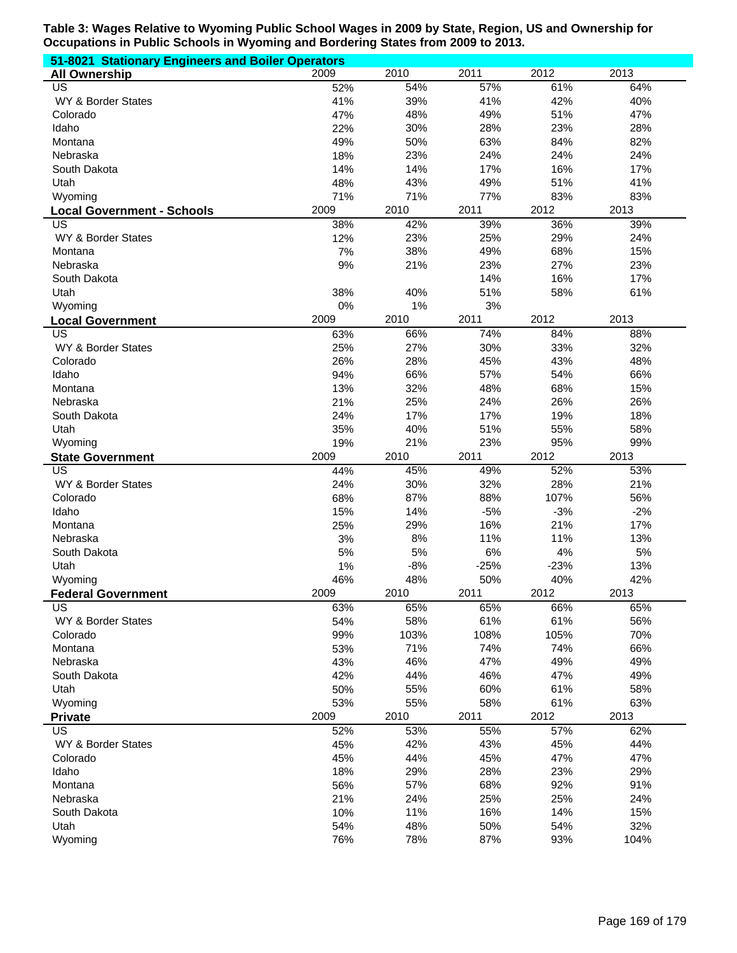| 51-8021 Stationary Engineers and Boiler Operators |            |            |            |            |             |  |  |  |
|---------------------------------------------------|------------|------------|------------|------------|-------------|--|--|--|
| <b>All Ownership</b>                              | 2009       | 2010       | 2011       | 2012       | 2013        |  |  |  |
| US                                                | 52%        | 54%        | 57%        | 61%        | 64%         |  |  |  |
| WY & Border States                                | 41%        | 39%        | 41%        | 42%        | 40%         |  |  |  |
| Colorado                                          | 47%        | 48%        | 49%        | 51%        | 47%         |  |  |  |
| Idaho                                             | 22%        | 30%        | 28%        | 23%        | 28%         |  |  |  |
| Montana                                           | 49%        | 50%        | 63%        | 84%        | 82%         |  |  |  |
| Nebraska                                          | 18%        | 23%        | 24%        | 24%        | 24%         |  |  |  |
| South Dakota                                      | 14%        | 14%        | 17%        | 16%        | 17%         |  |  |  |
| Utah                                              | 48%        | 43%        | 49%        | 51%        | 41%         |  |  |  |
| Wyoming                                           | 71%        | 71%        | 77%        | 83%        | 83%         |  |  |  |
| <b>Local Government - Schools</b>                 | 2009       | 2010       | 2011       | 2012       | 2013        |  |  |  |
| US                                                | 38%        | 42%        | 39%        | 36%        | 39%         |  |  |  |
| WY & Border States                                | 12%        | 23%        | 25%        | 29%        | 24%         |  |  |  |
| Montana                                           | 7%         | 38%        | 49%        | 68%        | 15%         |  |  |  |
| Nebraska                                          | 9%         | 21%        | 23%        | 27%        | 23%         |  |  |  |
| South Dakota                                      |            |            | 14%        | 16%        | 17%         |  |  |  |
| Utah                                              | 38%        | 40%        | 51%        | 58%        | 61%         |  |  |  |
| Wyoming                                           | 0%         | 1%         | 3%         |            |             |  |  |  |
| <b>Local Government</b>                           | 2009       | 2010       | 2011       | 2012       | 2013        |  |  |  |
| US                                                | 63%        | 66%        | 74%        | 84%        | 88%         |  |  |  |
| WY & Border States                                | 25%        | 27%        | 30%        | 33%        | 32%         |  |  |  |
| Colorado                                          | 26%        | 28%        | 45%        | 43%        | 48%         |  |  |  |
| Idaho                                             | 94%        | 66%        | 57%        | 54%        | 66%         |  |  |  |
| Montana                                           | 13%        | 32%        | 48%        | 68%        | 15%         |  |  |  |
| Nebraska                                          | 21%        | 25%        | 24%        | 26%        | 26%         |  |  |  |
| South Dakota                                      | 24%        | 17%        | 17%        | 19%        | 18%         |  |  |  |
| Utah                                              | 35%        | 40%        | 51%        | 55%        | 58%         |  |  |  |
| Wyoming                                           | 19%        | 21%        | 23%        | 95%        | 99%         |  |  |  |
| <b>State Government</b>                           | 2009       | 2010       | 2011       | 2012       | 2013        |  |  |  |
| US                                                | 44%        | 45%        | 49%        | 52%        | 53%         |  |  |  |
| WY & Border States                                | 24%        | 30%        | 32%        | 28%        | 21%         |  |  |  |
| Colorado                                          | 68%        | 87%        | 88%        | 107%       | 56%         |  |  |  |
| Idaho                                             | 15%        | 14%        | $-5%$      | $-3%$      | $-2%$       |  |  |  |
| Montana                                           | 25%        | 29%        | 16%        | 21%        | 17%         |  |  |  |
| Nebraska                                          | 3%         | 8%         | 11%        | 11%        | 13%         |  |  |  |
| South Dakota                                      | 5%         | 5%         | 6%         | 4%         | 5%          |  |  |  |
| Utah                                              | 1%         | $-8%$      | $-25%$     | $-23%$     | 13%         |  |  |  |
| Wyoming                                           | 46%        | 48%        | 50%        | 40%        | 42%         |  |  |  |
| <b>Federal Government</b>                         | 2009       | 2010       | 2011       | 2012       | 2013        |  |  |  |
| US                                                | 63%        | 65%        | 65%        | 66%        | 65%         |  |  |  |
| WY & Border States                                | 54%        | 58%        | 61%        | 61%        | 56%         |  |  |  |
| Colorado                                          | 99%        | 103%       | 108%       | 105%       | 70%         |  |  |  |
| Montana                                           | 53%        | 71%        | 74%        | 74%        | 66%         |  |  |  |
| Nebraska                                          | 43%        | 46%        | 47%        | 49%        | 49%         |  |  |  |
| South Dakota                                      |            |            |            |            |             |  |  |  |
|                                                   | 42%        | 44%        | 46%        | 47%        | 49%         |  |  |  |
| Utah                                              | 50%        | 55%        | 60%        | 61%        | 58%         |  |  |  |
| Wyoming                                           | 53%        | 55%        | 58%        | 61%        | 63%         |  |  |  |
| <b>Private</b>                                    | 2009       | 2010       | 2011       | 2012       | 2013        |  |  |  |
| US                                                | 52%        | 53%        | 55%        | 57%        | 62%         |  |  |  |
| WY & Border States                                | 45%        | 42%        | 43%        | 45%        | 44%         |  |  |  |
| Colorado                                          | 45%        | 44%        | 45%        | 47%        | 47%         |  |  |  |
| Idaho                                             | 18%        | 29%        | 28%        | 23%        | 29%         |  |  |  |
| Montana                                           | 56%        | 57%        | 68%        | 92%        | 91%         |  |  |  |
| Nebraska                                          | 21%        | 24%        | 25%        | 25%        | 24%         |  |  |  |
| South Dakota                                      | 10%        | 11%        | 16%        | 14%        | 15%         |  |  |  |
| Utah<br>Wyoming                                   | 54%<br>76% | 48%<br>78% | 50%<br>87% | 54%<br>93% | 32%<br>104% |  |  |  |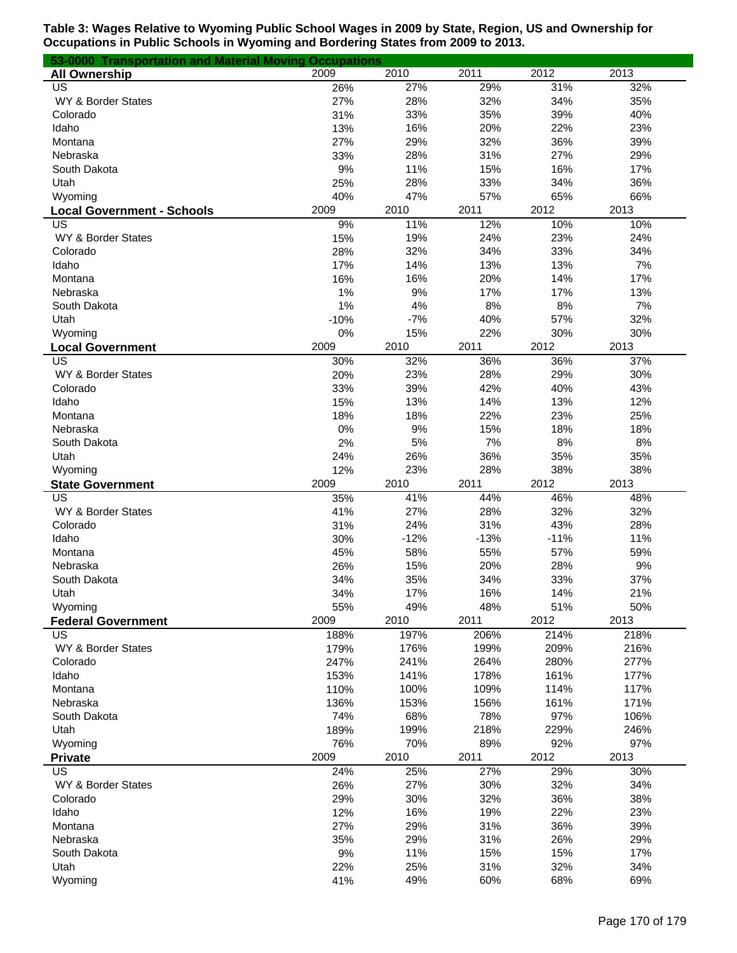| 53-0000 Transportation and Material Moving Occupations |           |           |            |            |            |
|--------------------------------------------------------|-----------|-----------|------------|------------|------------|
| <b>All Ownership</b>                                   | 2009      | 2010      | 2011       | 2012       | 2013       |
| US                                                     | 26%       | 27%       | 29%        | 31%        | 32%        |
| WY & Border States                                     | 27%       | 28%       | 32%        | 34%        | 35%        |
| Colorado                                               | 31%       | 33%       | 35%        | 39%        | 40%        |
| Idaho                                                  | 13%       | 16%       | 20%        | 22%        | 23%        |
| Montana                                                | 27%       | 29%       | 32%        | 36%        | 39%        |
| Nebraska                                               | 33%       | 28%       | 31%        | 27%        | 29%        |
| South Dakota                                           | 9%        | 11%       | 15%        | 16%        | 17%        |
| Utah                                                   | 25%       | 28%       | 33%        | 34%        | 36%        |
| Wyoming                                                | 40%       | 47%       | 57%        | 65%        | 66%        |
| <b>Local Government - Schools</b>                      | 2009      | 2010      | 2011       | 2012       | 2013       |
| US                                                     | 9%        | 11%       | 12%        | 10%        | 10%        |
| WY & Border States                                     | 15%       | 19%       | 24%        | 23%        | 24%        |
| Colorado                                               | 28%       | 32%       | 34%        | 33%        | 34%        |
| Idaho                                                  | 17%       | 14%       | 13%        | 13%        | 7%         |
| Montana<br>Nebraska                                    | 16%<br>1% | 16%<br>9% | 20%<br>17% | 14%<br>17% | 17%<br>13% |
| South Dakota                                           | 1%        | 4%        | 8%         | 8%         | 7%         |
| Utah                                                   | $-10%$    | $-7%$     | 40%        | 57%        | 32%        |
| Wyoming                                                | 0%        | 15%       | 22%        | 30%        | 30%        |
|                                                        | 2009      | 2010      | 2011       | 2012       | 2013       |
| <b>Local Government</b><br>US                          | 30%       | 32%       | 36%        | 36%        | 37%        |
| WY & Border States                                     | 20%       | 23%       | 28%        | 29%        | 30%        |
| Colorado                                               | 33%       | 39%       | 42%        | 40%        | 43%        |
| Idaho                                                  | 15%       | 13%       | 14%        | 13%        | 12%        |
| Montana                                                | 18%       | 18%       | 22%        | 23%        | 25%        |
| Nebraska                                               | 0%        | 9%        | 15%        | 18%        | 18%        |
| South Dakota                                           | 2%        | 5%        | 7%         | 8%         | 8%         |
| Utah                                                   | 24%       | 26%       | 36%        | 35%        | 35%        |
| Wyoming                                                | 12%       | 23%       | 28%        | 38%        | 38%        |
| <b>State Government</b>                                | 2009      | 2010      | 2011       | 2012       | 2013       |
| US                                                     | 35%       | 41%       | 44%        | 46%        | 48%        |
| WY & Border States                                     | 41%       | 27%       | 28%        | 32%        | 32%        |
| Colorado                                               | 31%       | 24%       | 31%        | 43%        | 28%        |
| Idaho                                                  | 30%       | $-12%$    | $-13%$     | $-11%$     | 11%        |
| Montana                                                | 45%       | 58%       | 55%        | 57%        | 59%        |
| Nebraska                                               | 26%       | 15%       | 20%        | 28%        | 9%         |
| South Dakota                                           | 34%       | 35%       | 34%        | 33%        | 37%        |
| Utah                                                   | 34%       | 17%       | 16%        | 14%        | 21%        |
| Wyoming                                                | 55%       | 49%       | 48%        | 51%        | 50%        |
| <b>Federal Government</b>                              | 2009      | 2010      | 2011       | 2012       | 2013       |
| US                                                     | 188%      | 197%      | 206%       | 214%       | 218%       |
| WY & Border States                                     | 179%      | 176%      | 199%       | 209%       | 216%       |
| Colorado                                               | 247%      | 241%      | 264%       | 280%       | 277%       |
| Idaho                                                  | 153%      | 141%      | 178%       | 161%       | 177%       |
| Montana                                                | 110%      | 100%      | 109%       | 114%       | 117%       |
| Nebraska                                               | 136%      | 153%      | 156%       | 161%       | 171%       |
| South Dakota                                           | 74%       | 68%       | 78%        | 97%        | 106%       |
| Utah                                                   | 189%      | 199%      | 218%       | 229%       | 246%       |
| Wyoming                                                | 76%       | 70%       | 89%        | 92%        | 97%        |
| <b>Private</b>                                         | 2009      | 2010      | 2011       | 2012       | 2013       |
| US                                                     | 24%       | 25%       | 27%        | 29%        | 30%        |
| WY & Border States                                     | 26%       | 27%       | 30%        | 32%        | 34%        |
| Colorado                                               | 29%       | 30%       | 32%        | 36%        | 38%        |
| Idaho                                                  | 12%       | 16%       | 19%        | 22%        | 23%        |
| Montana                                                | 27%       | 29%       | 31%        | 36%        | 39%        |
| Nebraska                                               | 35%       | 29%       | 31%        | 26%        | 29%        |
| South Dakota                                           | 9%        | 11%       | 15%        | 15%        | 17%        |
| Utah                                                   | 22%       | 25%       | 31%        | 32%        | 34%        |
| Wyoming                                                | 41%       | 49%       | 60%        | 68%        | 69%        |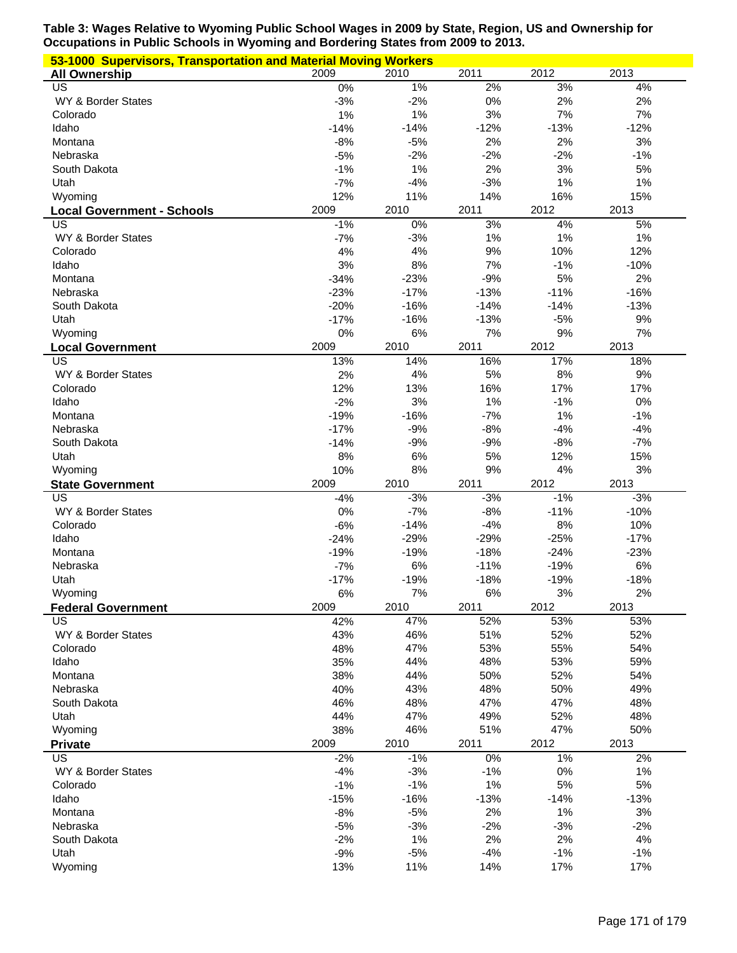| 53-1000 Supervisors, Transportation and Material Moving Workers |        |        |        |        |        |
|-----------------------------------------------------------------|--------|--------|--------|--------|--------|
| <b>All Ownership</b>                                            | 2009   | 2010   | 2011   | 2012   | 2013   |
| $\overline{US}$                                                 | $0\%$  | 1%     | 2%     | 3%     | 4%     |
| WY & Border States                                              | $-3%$  | $-2%$  | 0%     | 2%     | 2%     |
| Colorado                                                        | 1%     | 1%     | 3%     | 7%     | 7%     |
| Idaho                                                           | $-14%$ | $-14%$ | $-12%$ | $-13%$ | $-12%$ |
| Montana                                                         | $-8%$  | $-5%$  | 2%     | 2%     | 3%     |
| Nebraska                                                        | $-5%$  | $-2%$  | $-2%$  | $-2%$  | $-1%$  |
| South Dakota                                                    | $-1%$  | 1%     | 2%     | 3%     | 5%     |
| Utah                                                            | $-7%$  | $-4%$  | $-3%$  | 1%     | 1%     |
| Wyoming                                                         | 12%    | 11%    | 14%    | 16%    | 15%    |
| <b>Local Government - Schools</b>                               | 2009   | 2010   | 2011   | 2012   | 2013   |
| $\overline{\mathsf{US}}$                                        | $-1%$  | $0\%$  | 3%     | 4%     | 5%     |
| WY & Border States                                              | $-7%$  | $-3%$  | 1%     | 1%     | 1%     |
|                                                                 |        |        | 9%     | 10%    | 12%    |
| Colorado                                                        | 4%     | 4%     |        |        |        |
| Idaho                                                           | 3%     | 8%     | 7%     | $-1%$  | $-10%$ |
| Montana                                                         | $-34%$ | $-23%$ | $-9%$  | 5%     | 2%     |
| Nebraska                                                        | $-23%$ | $-17%$ | $-13%$ | $-11%$ | $-16%$ |
| South Dakota                                                    | $-20%$ | $-16%$ | $-14%$ | $-14%$ | $-13%$ |
| Utah                                                            | $-17%$ | $-16%$ | $-13%$ | $-5%$  | 9%     |
| Wyoming                                                         | 0%     | 6%     | 7%     | $9%$   | 7%     |
| <b>Local Government</b>                                         | 2009   | 2010   | 2011   | 2012   | 2013   |
| US                                                              | 13%    | 14%    | 16%    | 17%    | 18%    |
| WY & Border States                                              | 2%     | 4%     | 5%     | 8%     | $9%$   |
| Colorado                                                        | 12%    | 13%    | 16%    | 17%    | 17%    |
| Idaho                                                           | $-2%$  | 3%     | 1%     | $-1%$  | $0\%$  |
| Montana                                                         | $-19%$ | $-16%$ | $-7%$  | 1%     | $-1%$  |
| Nebraska                                                        | $-17%$ | $-9%$  | $-8%$  | $-4%$  | $-4%$  |
| South Dakota                                                    | $-14%$ | $-9%$  | $-9%$  | $-8%$  | $-7%$  |
| Utah                                                            | 8%     | 6%     | 5%     | 12%    | 15%    |
| Wyoming                                                         | 10%    | 8%     | 9%     | 4%     | 3%     |
| <b>State Government</b>                                         | 2009   | 2010   | 2011   | 2012   | 2013   |
| $\overline{US}$                                                 | $-4%$  | $-3%$  | $-3%$  | $-1%$  | $-3%$  |
| WY & Border States                                              | 0%     | $-7%$  | $-8%$  | $-11%$ | $-10%$ |
| Colorado                                                        | $-6%$  | $-14%$ | $-4%$  | 8%     | 10%    |
| Idaho                                                           | $-24%$ | $-29%$ | $-29%$ | $-25%$ | $-17%$ |
| Montana                                                         | $-19%$ | $-19%$ | $-18%$ | $-24%$ | $-23%$ |
| Nebraska                                                        | $-7%$  | 6%     | $-11%$ | $-19%$ | 6%     |
| Utah                                                            | $-17%$ | $-19%$ | $-18%$ | $-19%$ | $-18%$ |
|                                                                 |        |        |        |        |        |
| Wyoming                                                         | 6%     | $7\%$  | $6\%$  | $3%$   | 2%     |
| <b>Federal Government</b>                                       | 2009   | 2010   | 2011   | 2012   | 2013   |
| US                                                              | 42%    | 47%    | 52%    | 53%    | 53%    |
| WY & Border States                                              | 43%    | 46%    | 51%    | 52%    | 52%    |
| Colorado                                                        | 48%    | 47%    | 53%    | 55%    | 54%    |
| Idaho                                                           | 35%    | 44%    | 48%    | 53%    | 59%    |
| Montana                                                         | 38%    | 44%    | 50%    | 52%    | 54%    |
| Nebraska                                                        | 40%    | 43%    | 48%    | 50%    | 49%    |
| South Dakota                                                    | 46%    | 48%    | 47%    | 47%    | 48%    |
| Utah                                                            | 44%    | 47%    | 49%    | 52%    | 48%    |
| Wyoming                                                         | 38%    | 46%    | 51%    | 47%    | 50%    |
| <b>Private</b>                                                  | 2009   | 2010   | 2011   | 2012   | 2013   |
| US                                                              | $-2%$  | $-1%$  | 0%     | 1%     | 2%     |
| WY & Border States                                              | $-4%$  | $-3%$  | $-1%$  | 0%     | 1%     |
| Colorado                                                        | $-1%$  | $-1%$  | 1%     | 5%     | 5%     |
| Idaho                                                           | $-15%$ | $-16%$ | $-13%$ | $-14%$ | $-13%$ |
| Montana                                                         | $-8%$  | $-5%$  | 2%     | 1%     | 3%     |
| Nebraska                                                        | $-5%$  | $-3%$  | $-2%$  | $-3%$  | $-2%$  |
| South Dakota                                                    | $-2%$  | 1%     | 2%     | 2%     | 4%     |
| Utah                                                            | $-9%$  | $-5%$  | $-4%$  | $-1%$  | $-1%$  |
| Wyoming                                                         | 13%    | 11%    | 14%    | 17%    | 17%    |
|                                                                 |        |        |        |        |        |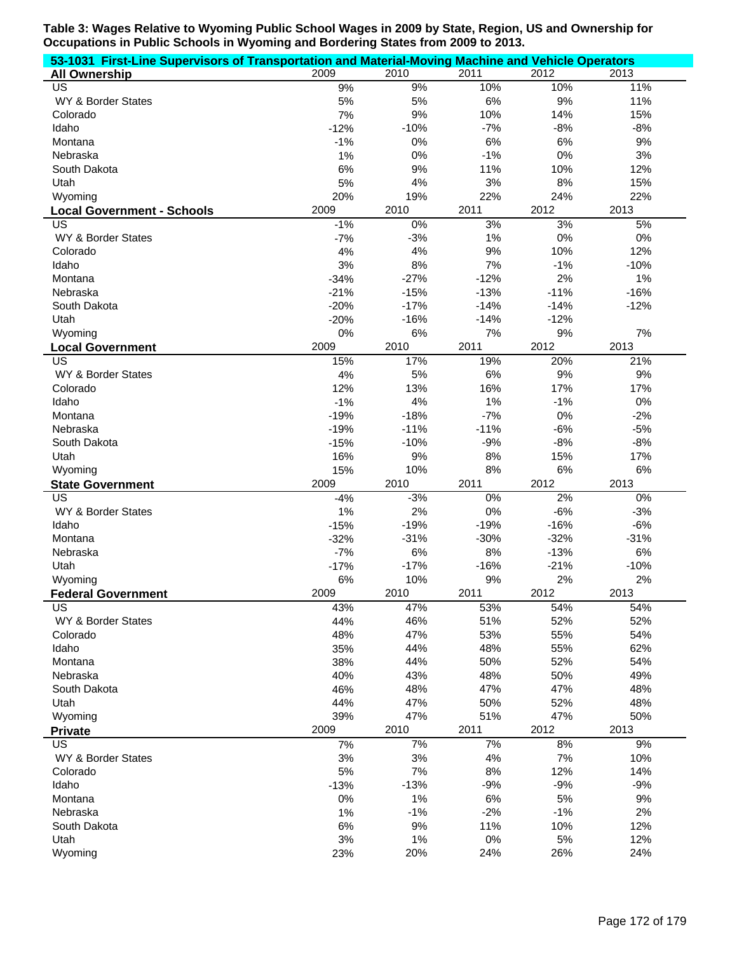| 53-1031 First-Line Supervisors of Transportation and Material-Moving Machine and Vehicle Operators |        |        |        |        |        |
|----------------------------------------------------------------------------------------------------|--------|--------|--------|--------|--------|
| <b>All Ownership</b>                                                                               | 2009   | 2010   | 2011   | 2012   | 2013   |
| US                                                                                                 | 9%     | 9%     | 10%    | 10%    | 11%    |
| WY & Border States                                                                                 | 5%     | 5%     | 6%     | 9%     | 11%    |
| Colorado                                                                                           | 7%     | 9%     | 10%    | 14%    | 15%    |
| Idaho                                                                                              | $-12%$ | $-10%$ | $-7%$  | $-8%$  | $-8%$  |
| Montana                                                                                            | $-1%$  | 0%     | 6%     | 6%     | 9%     |
| Nebraska                                                                                           | 1%     | 0%     | $-1%$  | 0%     | 3%     |
| South Dakota                                                                                       | 6%     | 9%     | 11%    | 10%    | 12%    |
| Utah                                                                                               | 5%     | 4%     | 3%     | 8%     | 15%    |
| Wyoming                                                                                            | 20%    | 19%    | 22%    | 24%    | 22%    |
| <b>Local Government - Schools</b>                                                                  | 2009   | 2010   | 2011   | 2012   | 2013   |
| US                                                                                                 | $-1%$  | 0%     | 3%     | 3%     | 5%     |
| WY & Border States                                                                                 | $-7%$  | $-3%$  | 1%     | 0%     | 0%     |
| Colorado                                                                                           | 4%     | 4%     | 9%     | 10%    | 12%    |
| Idaho                                                                                              | 3%     | 8%     | 7%     | $-1%$  | $-10%$ |
| Montana                                                                                            | $-34%$ | $-27%$ | $-12%$ | 2%     | 1%     |
| Nebraska                                                                                           | $-21%$ | $-15%$ | $-13%$ | $-11%$ | $-16%$ |
| South Dakota                                                                                       | $-20%$ | $-17%$ | $-14%$ | $-14%$ | $-12%$ |
| Utah                                                                                               | $-20%$ | $-16%$ | $-14%$ | $-12%$ |        |
| Wyoming                                                                                            | 0%     | 6%     | 7%     | 9%     | 7%     |
| <b>Local Government</b>                                                                            | 2009   | 2010   | 2011   | 2012   | 2013   |
| US                                                                                                 | 15%    | 17%    | 19%    | 20%    | 21%    |
| WY & Border States                                                                                 | 4%     | 5%     | 6%     | 9%     | 9%     |
| Colorado                                                                                           | 12%    | 13%    | 16%    | 17%    | 17%    |
| Idaho                                                                                              | $-1%$  | 4%     | 1%     | $-1%$  | 0%     |
| Montana                                                                                            | $-19%$ | $-18%$ | $-7%$  | 0%     | $-2%$  |
| Nebraska                                                                                           | $-19%$ | $-11%$ | $-11%$ | $-6%$  | $-5%$  |
| South Dakota                                                                                       | $-15%$ | $-10%$ | $-9%$  | $-8%$  | $-8%$  |
| Utah                                                                                               | 16%    | 9%     | 8%     | 15%    | 17%    |
| Wyoming                                                                                            | 15%    | 10%    | 8%     | 6%     | 6%     |
| <b>State Government</b>                                                                            | 2009   | 2010   | 2011   | 2012   | 2013   |
| US                                                                                                 | $-4%$  | $-3%$  | $0\%$  | 2%     | $0\%$  |
| WY & Border States                                                                                 | 1%     | 2%     | 0%     | $-6%$  | $-3%$  |
| Idaho                                                                                              | $-15%$ | $-19%$ | $-19%$ | $-16%$ | $-6%$  |
| Montana                                                                                            | $-32%$ | $-31%$ | $-30%$ | $-32%$ | $-31%$ |
| Nebraska                                                                                           | $-7%$  | 6%     | 8%     | $-13%$ | 6%     |
| Utah                                                                                               | $-17%$ | $-17%$ | $-16%$ | $-21%$ | $-10%$ |
| Wyoming                                                                                            | 6%     | 10%    | 9%     | 2%     | 2%     |
| <b>Federal Government</b>                                                                          | 2009   | 2010   | 2011   | 2012   | 2013   |
| US                                                                                                 | 43%    | 47%    | 53%    | 54%    | 54%    |
| WY & Border States                                                                                 | 44%    | 46%    | 51%    | 52%    | 52%    |
| Colorado                                                                                           | 48%    | 47%    | 53%    | 55%    | 54%    |
| Idaho                                                                                              | 35%    | 44%    | 48%    | 55%    | 62%    |
| Montana                                                                                            | 38%    | 44%    | 50%    | 52%    | 54%    |
| Nebraska                                                                                           | 40%    | 43%    | 48%    | 50%    | 49%    |
| South Dakota                                                                                       | 46%    | 48%    | 47%    | 47%    | 48%    |
| Utah                                                                                               | 44%    | 47%    | 50%    | 52%    | 48%    |
| Wyoming                                                                                            | 39%    | 47%    | 51%    | 47%    | 50%    |
| <b>Private</b>                                                                                     | 2009   | 2010   | 2011   | 2012   | 2013   |
| US                                                                                                 | 7%     | 7%     | 7%     | 8%     | 9%     |
| WY & Border States                                                                                 | 3%     | $3%$   | 4%     | 7%     | 10%    |
| Colorado                                                                                           | 5%     | 7%     | 8%     | 12%    | 14%    |
| Idaho                                                                                              | $-13%$ | $-13%$ | $-9%$  | $-9%$  | $-9%$  |
| Montana                                                                                            | 0%     | 1%     | 6%     | 5%     | 9%     |
| Nebraska                                                                                           | $1\%$  | $-1%$  | $-2%$  | $-1%$  | 2%     |
| South Dakota                                                                                       | 6%     | 9%     | 11%    | 10%    | 12%    |
| Utah                                                                                               | 3%     | 1%     | 0%     | 5%     | 12%    |
| Wyoming                                                                                            | 23%    | 20%    | 24%    | 26%    | 24%    |
|                                                                                                    |        |        |        |        |        |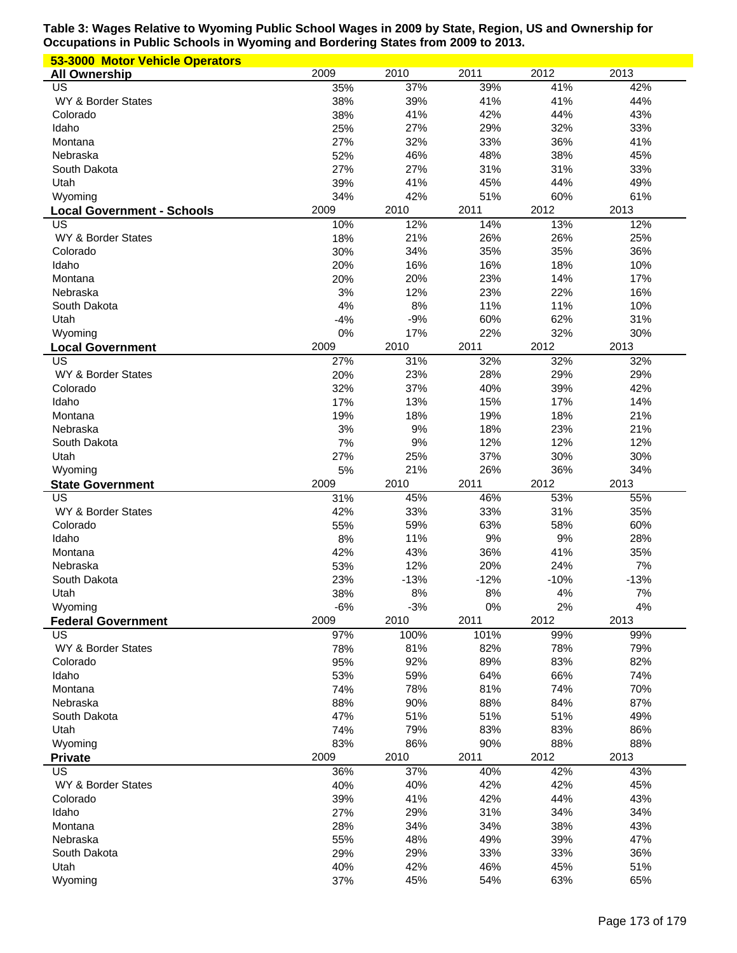| 53-3000 Motor Vehicle Operators         |            |               |               |               |              |
|-----------------------------------------|------------|---------------|---------------|---------------|--------------|
| <b>All Ownership</b>                    | 2009       | 2010          | 2011          | 2012          | 2013         |
| US                                      | 35%        | 37%           | 39%           | 41%           | 42%          |
| WY & Border States                      | 38%        | 39%           | 41%           | 41%           | 44%          |
| Colorado                                | 38%        | 41%           | 42%           | 44%           | 43%          |
| Idaho                                   | 25%        | 27%           | 29%           | 32%           | 33%          |
| Montana                                 | 27%        | 32%           | 33%           | 36%           | 41%          |
| Nebraska                                | 52%        | 46%           | 48%           | 38%           | 45%          |
| South Dakota                            | 27%        | 27%           | 31%           | 31%           | 33%          |
| Utah                                    | 39%<br>34% | 41%<br>42%    | 45%<br>51%    | 44%           | 49%<br>61%   |
| Wyoming                                 | 2009       | 2010          | 2011          | 60%<br>2012   | 2013         |
| <b>Local Government - Schools</b><br>US | 10%        | 12%           | 14%           | 13%           | 12%          |
| WY & Border States                      | 18%        | 21%           | 26%           | 26%           | 25%          |
| Colorado                                | 30%        | 34%           | 35%           | 35%           | 36%          |
| Idaho                                   | 20%        | 16%           | 16%           | 18%           | 10%          |
| Montana                                 | 20%        | 20%           | 23%           | 14%           | 17%          |
| Nebraska                                | 3%         | 12%           | 23%           | 22%           | 16%          |
| South Dakota                            | 4%         | 8%            | 11%           | 11%           | 10%          |
| Utah                                    | $-4%$      | $-9%$         | 60%           | 62%           | 31%          |
| Wyoming                                 | 0%         | 17%           | 22%           | 32%           | 30%          |
| <b>Local Government</b>                 | 2009       | 2010          | 2011          | 2012          | 2013         |
| US                                      | 27%        | 31%           | 32%           | 32%           | 32%          |
| WY & Border States                      | 20%        | 23%           | 28%           | 29%           | 29%          |
| Colorado                                | 32%        | 37%           | 40%           | 39%           | 42%          |
| Idaho                                   | 17%        | 13%           | 15%           | 17%           | 14%          |
| Montana                                 | 19%        | 18%           | 19%           | 18%           | 21%          |
| Nebraska                                | 3%         | 9%            | 18%           | 23%           | 21%          |
| South Dakota                            | 7%         | 9%            | 12%           | 12%           | 12%          |
|                                         | 27%        | 25%           | 37%           | 30%           | 30%          |
| Utah                                    |            |               |               |               |              |
| Wyoming                                 | 5%         | 21%           | 26%           | 36%           | 34%          |
| <b>State Government</b>                 | 2009       | 2010          | 2011          | 2012          | 2013         |
| US                                      | 31%        | 45%           | 46%           | 53%           | 55%          |
| WY & Border States                      | 42%        | 33%           | 33%           | 31%           | 35%          |
| Colorado                                | 55%        | 59%           | 63%           | 58%           | 60%          |
| Idaho                                   | 8%         | 11%           | 9%            | 9%            | 28%          |
| Montana<br>Nebraska                     | 42%        | 43%           | 36%           | 41%           | 35%          |
| South Dakota                            | 53%<br>23% | 12%<br>$-13%$ | 20%<br>$-12%$ | 24%<br>$-10%$ | 7%<br>$-13%$ |
| Utah                                    | 38%        | 8%            | $8%$          | 4%            | $7\%$        |
| Wyoming                                 | $-6%$      | $-3%$         | 0%            | 2%            | 4%           |
| <b>Federal Government</b>               | 2009       | 2010          | 2011          | 2012          | 2013         |
| US                                      | 97%        | 100%          | 101%          | 99%           | 99%          |
| WY & Border States                      | 78%        | 81%           | 82%           | 78%           | 79%          |
| Colorado                                | 95%        | 92%           | 89%           | 83%           | 82%          |
| Idaho                                   | 53%        | 59%           | 64%           | 66%           | 74%          |
| Montana                                 | 74%        | 78%           | 81%           | 74%           | 70%          |
| Nebraska                                | 88%        | 90%           | 88%           | 84%           | 87%          |
| South Dakota                            | 47%        | 51%           | 51%           | 51%           | 49%          |
| Utah                                    | 74%        | 79%           | 83%           | 83%           | 86%          |
| Wyoming                                 | 83%        | 86%           | 90%           | 88%           | 88%          |
| <b>Private</b>                          | 2009       | 2010          | 2011          | 2012          | 2013         |
| US                                      | 36%        | 37%           | 40%           | 42%           | 43%          |
| WY & Border States                      | 40%        | 40%           | 42%           | 42%           | 45%          |
| Colorado                                | 39%        | 41%           | 42%           | 44%           | 43%          |
| Idaho                                   | 27%        | 29%           | 31%           | 34%           | 34%          |
| Montana<br>Nebraska                     | 28%        | 34%           | 34%           | 38%           | 43%          |
|                                         | 55%        | 48%           | 49%           | 39%           | 47%          |
| South Dakota<br>Utah                    | 29%<br>40% | 29%<br>42%    | 33%<br>46%    | 33%<br>45%    | 36%<br>51%   |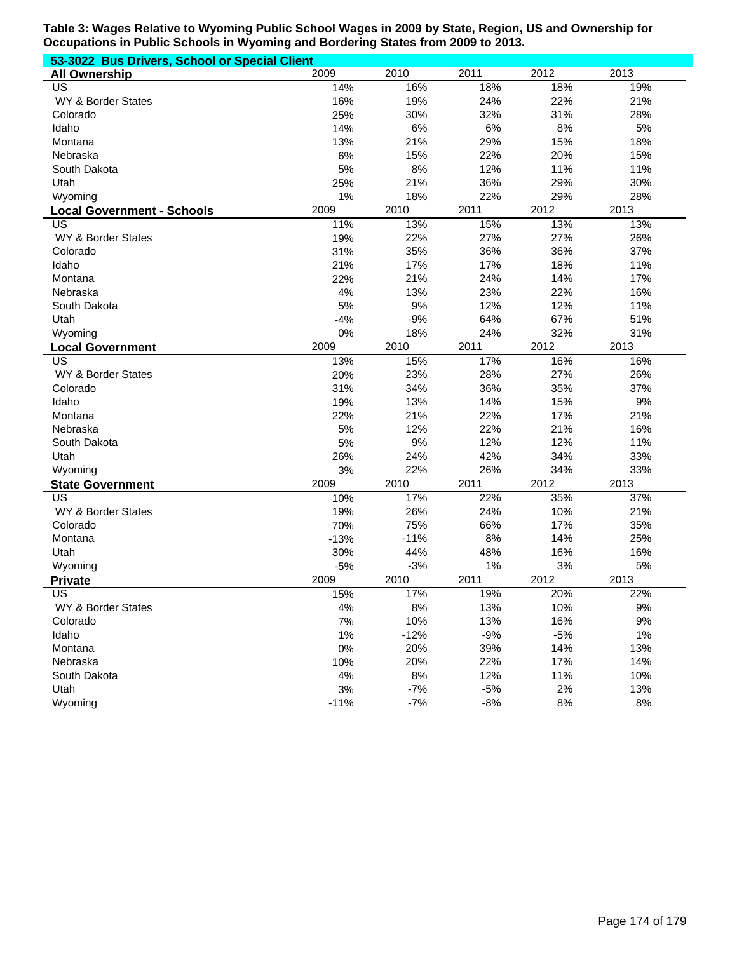| 53-3022 Bus Drivers, School or Special Client |        |        |       |       |       |  |
|-----------------------------------------------|--------|--------|-------|-------|-------|--|
| <b>All Ownership</b>                          | 2009   | 2010   | 2011  | 2012  | 2013  |  |
| US                                            | 14%    | 16%    | 18%   | 18%   | 19%   |  |
| WY & Border States                            | 16%    | 19%    | 24%   | 22%   | 21%   |  |
| Colorado                                      | 25%    | 30%    | 32%   | 31%   | 28%   |  |
| Idaho                                         | 14%    | 6%     | 6%    | 8%    | 5%    |  |
| Montana                                       | 13%    | 21%    | 29%   | 15%   | 18%   |  |
| Nebraska                                      | 6%     | 15%    | 22%   | 20%   | 15%   |  |
| South Dakota                                  | 5%     | 8%     | 12%   | 11%   | 11%   |  |
| Utah                                          | 25%    | 21%    | 36%   | 29%   | 30%   |  |
| Wyoming                                       | 1%     | 18%    | 22%   | 29%   | 28%   |  |
| <b>Local Government - Schools</b>             | 2009   | 2010   | 2011  | 2012  | 2013  |  |
| US                                            | 11%    | 13%    | 15%   | 13%   | 13%   |  |
| WY & Border States                            | 19%    | 22%    | 27%   | 27%   | 26%   |  |
| Colorado                                      | 31%    | 35%    | 36%   | 36%   | 37%   |  |
| Idaho                                         | 21%    | 17%    | 17%   | 18%   | 11%   |  |
| Montana                                       | 22%    | 21%    | 24%   | 14%   | 17%   |  |
| Nebraska                                      | 4%     | 13%    | 23%   | 22%   | 16%   |  |
| South Dakota                                  | 5%     | 9%     | 12%   | 12%   | 11%   |  |
| Utah                                          | $-4%$  | $-9%$  | 64%   | 67%   | 51%   |  |
| Wyoming                                       | 0%     | 18%    | 24%   | 32%   | 31%   |  |
| <b>Local Government</b>                       | 2009   | 2010   | 2011  | 2012  | 2013  |  |
| $\overline{\mathsf{US}}$                      | 13%    | 15%    | 17%   | 16%   | 16%   |  |
| WY & Border States                            | 20%    | 23%    | 28%   | 27%   | 26%   |  |
| Colorado                                      | 31%    | 34%    | 36%   | 35%   | 37%   |  |
| Idaho                                         | 19%    | 13%    | 14%   | 15%   | 9%    |  |
| Montana                                       | 22%    | 21%    | 22%   | 17%   | 21%   |  |
| Nebraska                                      | 5%     | 12%    | 22%   | 21%   | 16%   |  |
| South Dakota                                  | 5%     | 9%     | 12%   | 12%   | 11%   |  |
| Utah                                          | 26%    | 24%    | 42%   | 34%   | 33%   |  |
| Wyoming                                       | 3%     | 22%    | 26%   | 34%   | 33%   |  |
| <b>State Government</b>                       | 2009   | 2010   | 2011  | 2012  | 2013  |  |
| $\overline{\mathsf{US}}$                      | 10%    | 17%    | 22%   | 35%   | 37%   |  |
| WY & Border States                            | 19%    | 26%    | 24%   | 10%   | 21%   |  |
| Colorado                                      | 70%    | 75%    | 66%   | 17%   | 35%   |  |
| Montana                                       | $-13%$ | $-11%$ | 8%    | 14%   | 25%   |  |
| Utah                                          | 30%    | 44%    | 48%   | 16%   | 16%   |  |
| Wyoming                                       | $-5%$  | $-3%$  | 1%    | 3%    | 5%    |  |
| <b>Private</b>                                | 2009   | 2010   | 2011  | 2012  | 2013  |  |
| US                                            | 15%    | 17%    | 19%   | 20%   | 22%   |  |
| WY & Border States                            | 4%     | 8%     | 13%   | 10%   | 9%    |  |
| Colorado                                      | 7%     | 10%    | 13%   | 16%   | 9%    |  |
| Idaho                                         | 1%     | $-12%$ | $-9%$ | $-5%$ | $1\%$ |  |
| Montana                                       | 0%     | 20%    | 39%   | 14%   | 13%   |  |
| Nebraska                                      | 10%    | 20%    | 22%   | 17%   | 14%   |  |
| South Dakota                                  | 4%     | 8%     | 12%   | 11%   | 10%   |  |
| Utah                                          | 3%     | $-7%$  | $-5%$ | 2%    | 13%   |  |
| Wyoming                                       | $-11%$ | $-7%$  | $-8%$ | 8%    | 8%    |  |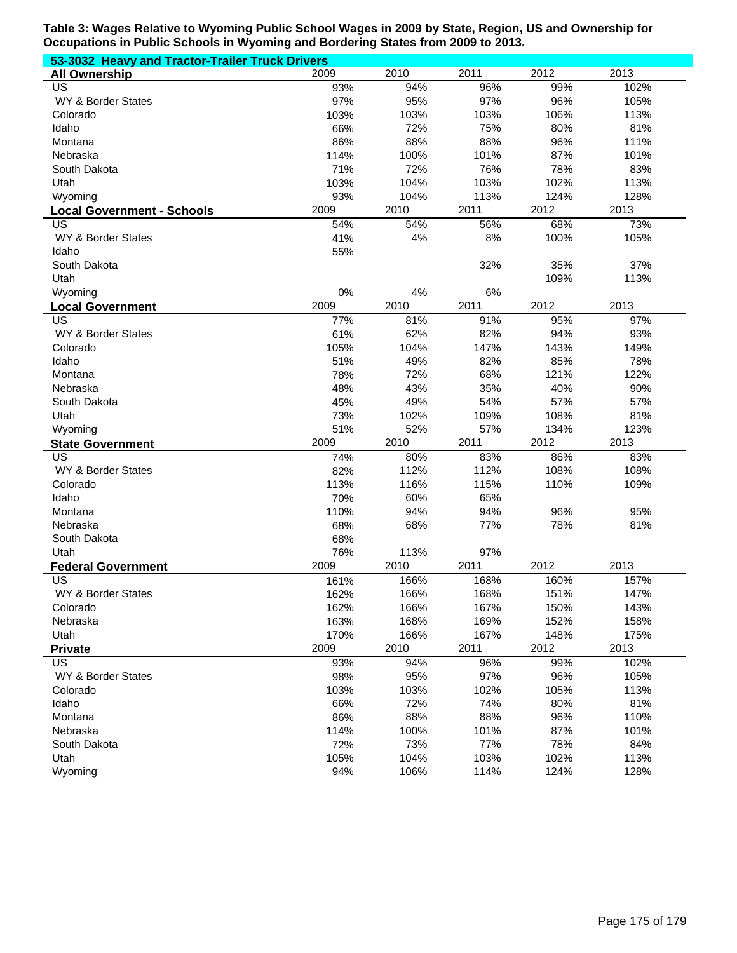| 53-3032 Heavy and Tractor-Trailer Truck Drivers |      |      |      |      |      |  |
|-------------------------------------------------|------|------|------|------|------|--|
| <b>All Ownership</b>                            | 2009 | 2010 | 2011 | 2012 | 2013 |  |
| US                                              | 93%  | 94%  | 96%  | 99%  | 102% |  |
| WY & Border States                              | 97%  | 95%  | 97%  | 96%  | 105% |  |
| Colorado                                        | 103% | 103% | 103% | 106% | 113% |  |
| Idaho                                           | 66%  | 72%  | 75%  | 80%  | 81%  |  |
| Montana                                         | 86%  | 88%  | 88%  | 96%  | 111% |  |
| Nebraska                                        | 114% | 100% | 101% | 87%  | 101% |  |
| South Dakota                                    | 71%  | 72%  | 76%  | 78%  | 83%  |  |
| Utah                                            | 103% | 104% | 103% | 102% | 113% |  |
| Wyoming                                         | 93%  | 104% | 113% | 124% | 128% |  |
| <b>Local Government - Schools</b>               | 2009 | 2010 | 2011 | 2012 | 2013 |  |
| US                                              | 54%  | 54%  | 56%  | 68%  | 73%  |  |
| WY & Border States                              | 41%  | 4%   | 8%   | 100% | 105% |  |
| Idaho                                           | 55%  |      |      |      |      |  |
| South Dakota                                    |      |      | 32%  | 35%  | 37%  |  |
| Utah                                            |      |      |      | 109% | 113% |  |
| Wyoming                                         | 0%   | 4%   | 6%   |      |      |  |
| <b>Local Government</b>                         | 2009 | 2010 | 2011 | 2012 | 2013 |  |
| <b>US</b>                                       | 77%  | 81%  | 91%  | 95%  | 97%  |  |
| WY & Border States                              | 61%  | 62%  | 82%  | 94%  | 93%  |  |
| Colorado                                        | 105% | 104% | 147% | 143% | 149% |  |
| Idaho                                           | 51%  | 49%  | 82%  | 85%  | 78%  |  |
| Montana                                         | 78%  | 72%  | 68%  | 121% | 122% |  |
| Nebraska                                        | 48%  | 43%  | 35%  | 40%  | 90%  |  |
| South Dakota                                    | 45%  | 49%  | 54%  | 57%  | 57%  |  |
| Utah                                            | 73%  | 102% | 109% | 108% | 81%  |  |
| Wyoming                                         | 51%  | 52%  | 57%  | 134% | 123% |  |
| <b>State Government</b>                         | 2009 | 2010 | 2011 | 2012 | 2013 |  |
| US                                              | 74%  | 80%  | 83%  | 86%  | 83%  |  |
| WY & Border States                              | 82%  | 112% | 112% | 108% | 108% |  |
| Colorado                                        | 113% | 116% | 115% | 110% | 109% |  |
| Idaho                                           | 70%  | 60%  | 65%  |      |      |  |
| Montana                                         | 110% | 94%  | 94%  | 96%  | 95%  |  |
| Nebraska                                        | 68%  | 68%  | 77%  | 78%  | 81%  |  |
| South Dakota                                    | 68%  |      |      |      |      |  |
| Utah                                            | 76%  | 113% | 97%  |      |      |  |
| <b>Federal Government</b>                       | 2009 | 2010 | 2011 | 2012 | 2013 |  |
| US                                              | 161% | 166% | 168% | 160% | 157% |  |
| WY & Border States                              | 162% | 166% | 168% | 151% | 147% |  |
| Colorado                                        | 162% | 166% | 167% | 150% | 143% |  |
| Nebraska                                        | 163% | 168% | 169% | 152% | 158% |  |
| Utah                                            | 170% | 166% | 167% | 148% | 175% |  |
| <b>Private</b>                                  | 2009 | 2010 | 2011 | 2012 | 2013 |  |
| US                                              | 93%  | 94%  | 96%  | 99%  | 102% |  |
| WY & Border States                              | 98%  | 95%  | 97%  | 96%  | 105% |  |
| Colorado                                        | 103% | 103% | 102% | 105% | 113% |  |
| Idaho                                           | 66%  | 72%  | 74%  | 80%  | 81%  |  |
| Montana                                         | 86%  | 88%  | 88%  | 96%  | 110% |  |
| Nebraska                                        | 114% | 100% | 101% | 87%  | 101% |  |
| South Dakota                                    | 72%  | 73%  | 77%  | 78%  | 84%  |  |
| Utah                                            | 105% | 104% | 103% | 102% | 113% |  |
| Wyoming                                         | 94%  | 106% | 114% | 124% | 128% |  |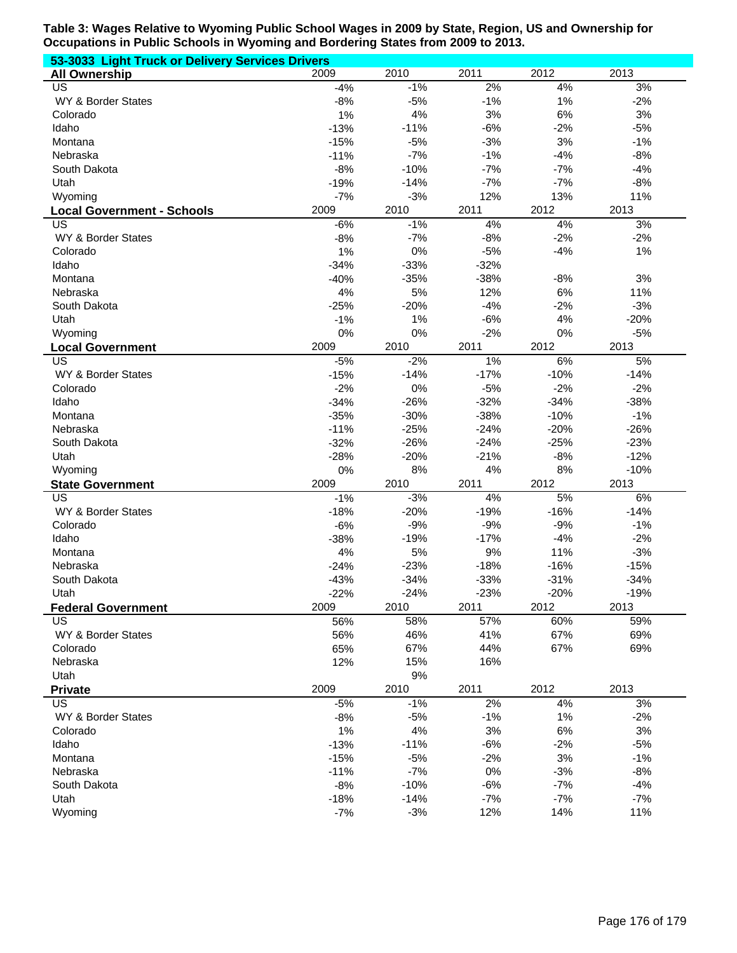| 53-3033 Light Truck or Delivery Services Drivers |                  |                  |                  |                 |                  |  |
|--------------------------------------------------|------------------|------------------|------------------|-----------------|------------------|--|
| <b>All Ownership</b>                             | 2009             | 2010             | 2011             | 2012            | 2013             |  |
| US                                               | $-4%$            | $-1%$            | 2%               | 4%              | 3%               |  |
| WY & Border States                               | $-8%$            | $-5%$            | $-1%$            | 1%              | $-2%$            |  |
| Colorado                                         | 1%               | 4%               | 3%               | 6%              | 3%               |  |
| Idaho                                            | $-13%$           | $-11%$           | $-6%$            | $-2%$           | $-5%$            |  |
| Montana                                          | $-15%$           | $-5%$            | $-3%$            | 3%              | $-1%$            |  |
| Nebraska                                         | $-11%$           | $-7%$            | $-1%$            | $-4%$           | $-8%$            |  |
| South Dakota                                     | $-8%$            | $-10%$           | $-7%$            | $-7%$           | $-4%$            |  |
| Utah                                             | $-19%$           | $-14%$           | $-7%$            | $-7%$           | $-8%$            |  |
| Wyoming                                          | $-7%$            | $-3%$            | 12%              | 13%             | 11%              |  |
| <b>Local Government - Schools</b>                | 2009             | 2010             | 2011             | 2012            | 2013             |  |
| US                                               | $-6%$            | $-1%$            | 4%               | 4%              | 3%               |  |
| WY & Border States                               | $-8%$            | $-7%$            | $-8%$            | $-2%$           | $-2%$            |  |
| Colorado                                         | 1%               | 0%               | $-5%$            | $-4%$           | 1%               |  |
| Idaho                                            | $-34%$           | $-33%$           | $-32%$           |                 |                  |  |
| Montana                                          | $-40%$           | $-35%$           | $-38%$           | $-8%$           | 3%               |  |
| Nebraska                                         | 4%               | 5%               | 12%              | 6%              | 11%              |  |
| South Dakota                                     | $-25%$           | $-20%$           | $-4%$            | $-2%$           | $-3%$            |  |
| Utah                                             | $-1%$            | 1%               | $-6%$            | 4%              | $-20%$           |  |
| Wyoming                                          | 0%               | 0%               | $-2%$            | $0\%$           | $-5%$            |  |
| <b>Local Government</b>                          | 2009             | 2010             | 2011             | 2012            | 2013             |  |
| US                                               | $-5%$            | $-2%$            | 1%               | 6%              | 5%               |  |
| WY & Border States                               | $-15%$           | $-14%$           | $-17%$           | $-10%$          | $-14%$           |  |
| Colorado                                         | $-2%$            | 0%               | $-5%$            | $-2%$           | $-2%$            |  |
| Idaho                                            | $-34%$           | $-26%$           | $-32%$           | $-34%$          | $-38%$           |  |
| Montana                                          | $-35%$           | $-30%$           | $-38%$           | $-10%$          | $-1%$            |  |
| Nebraska                                         | $-11%$           | $-25%$           | $-24%$           | $-20%$          | $-26%$           |  |
| South Dakota                                     | $-32%$<br>$-28%$ | $-26%$<br>$-20%$ | $-24%$<br>$-21%$ | $-25%$<br>$-8%$ | $-23%$<br>$-12%$ |  |
| Utah<br>Wyoming                                  | 0%               | 8%               | 4%               | 8%              | $-10%$           |  |
| <b>State Government</b>                          | 2009             | 2010             | 2011             | 2012            | 2013             |  |
| US                                               | $-1%$            | $-3%$            | 4%               | 5%              | 6%               |  |
| WY & Border States                               | $-18%$           | $-20%$           | $-19%$           | $-16%$          | $-14%$           |  |
| Colorado                                         | $-6%$            | $-9%$            | $-9%$            | $-9%$           | $-1%$            |  |
| Idaho                                            | $-38%$           | $-19%$           | $-17%$           | $-4%$           | $-2%$            |  |
| Montana                                          | 4%               | 5%               | 9%               | 11%             | $-3%$            |  |
| Nebraska                                         | $-24%$           | $-23%$           | $-18%$           | $-16%$          | $-15%$           |  |
| South Dakota                                     | $-43%$           | $-34%$           | $-33%$           | $-31%$          | $-34%$           |  |
| Utah                                             | $-22%$           | $-24%$           | $-23%$           | $-20%$          | $-19%$           |  |
| <b>Federal Government</b>                        | 2009             | 2010             | 2011             | 2012            | 2013             |  |
| US                                               | 56%              | 58%              | 57%              | 60%             | 59%              |  |
| WY & Border States                               | 56%              | 46%              | 41%              | 67%             | 69%              |  |
| Colorado                                         | 65%              | 67%              | 44%              | 67%             | 69%              |  |
| Nebraska                                         | 12%              | 15%              | 16%              |                 |                  |  |
| Utah                                             |                  | 9%               |                  |                 |                  |  |
| <b>Private</b>                                   | 2009             | 2010             | 2011             | 2012            | 2013             |  |
| <b>US</b>                                        | $-5%$            | $-1%$            | 2%               | 4%              | 3%               |  |
| WY & Border States                               | $-8%$            | $-5%$            | $-1%$            | 1%              | $-2%$            |  |
| Colorado                                         | 1%               | 4%               | 3%               | 6%              | 3%               |  |
| Idaho                                            | $-13%$           | $-11%$           | $-6%$            | $-2%$           | $-5%$            |  |
| Montana                                          | $-15%$           | $-5%$            | $-2%$            | 3%              | $-1%$            |  |
| Nebraska                                         | $-11%$           | $-7%$            | 0%               | $-3%$           | $-8%$            |  |
| South Dakota                                     | $-8%$            | $-10%$           | $-6%$            | $-7%$           | $-4%$            |  |
| Utah                                             | $-18%$           | $-14%$           | $-7%$            | $-7%$           | $-7%$            |  |
| Wyoming                                          | -7%              | $-3%$            | 12%              | 14%             | 11%              |  |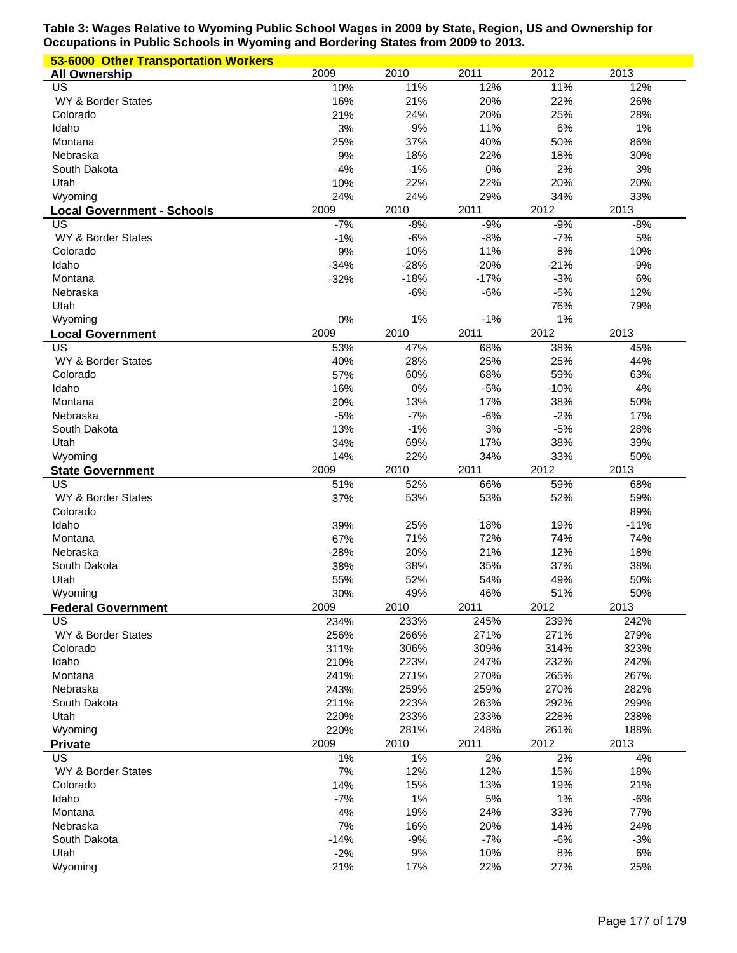| 53-6000 Other Transportation Workers |                 |             |              |            |            |
|--------------------------------------|-----------------|-------------|--------------|------------|------------|
| <b>All Ownership</b>                 | 2009            | 2010        | 2011         | 2012       | 2013       |
| US                                   | 10%             | 11%         | 12%          | 11%        | 12%        |
| WY & Border States                   | 16%             | 21%         | 20%          | 22%        | 26%        |
| Colorado                             | 21%             | 24%         | 20%          | 25%        | 28%        |
| Idaho                                | 3%              | 9%          | 11%          | 6%         | 1%         |
| Montana                              | 25%             | 37%         | 40%          | 50%        | 86%        |
| Nebraska                             | 9%              | 18%         | 22%          | 18%        | 30%        |
| South Dakota                         | $-4%$           | $-1%$       | 0%           | 2%         | 3%         |
| Utah                                 | 10%             | 22%         | 22%          | 20%        | 20%        |
| Wyoming                              | 24%             | 24%         | 29%          | 34%        | 33%        |
| <b>Local Government - Schools</b>    | 2009            | 2010        | 2011         | 2012       | 2013       |
| US                                   | $-7%$           | $-8%$       | $-9%$        | $-9%$      | $-8%$      |
| WY & Border States                   | $-1%$           | $-6%$       | $-8%$        | $-7%$      | 5%         |
| Colorado                             | 9%              | 10%         | 11%          | 8%         | 10%        |
| Idaho                                | $-34%$          | $-28%$      | $-20%$       | $-21%$     | $-9%$      |
| Montana                              | $-32%$          | $-18%$      | $-17%$       | $-3%$      | 6%         |
| Nebraska                             |                 | $-6%$       | $-6%$        | $-5%$      | 12%        |
| Utah                                 |                 |             |              | 76%        | 79%        |
| Wyoming                              | 0%              | 1%          | $-1%$        | 1%         |            |
| <b>Local Government</b>              | 2009            | 2010        | 2011         | 2012       | 2013       |
| US                                   | 53%             | 47%         | 68%          | 38%        | 45%        |
| WY & Border States                   | 40%             | 28%         | 25%          | 25%        | 44%        |
| Colorado                             | 57%             | 60%         | 68%          | 59%        | 63%        |
| Idaho                                | 16%             | 0%          | $-5%$        | $-10%$     | 4%         |
| Montana                              | 20%             | 13%         | 17%          | 38%        | 50%        |
| Nebraska                             | $-5%$           | $-7%$       | $-6%$        | $-2%$      | 17%        |
| South Dakota                         | 13%             | $-1%$       | 3%           | $-5%$      | 28%        |
| Utah                                 | 34%             | 69%         | 17%          | 38%        | 39%        |
| Wyoming                              | 14%             | 22%         | 34%          | 33%        | 50%        |
| <b>State Government</b>              | 2009            | 2010        | 2011         | 2012       | 2013       |
| US                                   | 51%             | 52%         | 66%          | 59%        | 68%        |
| WY & Border States                   | 37%             | 53%         | 53%          | 52%        | 59%        |
| Colorado                             |                 |             |              | 19%        | 89%        |
|                                      |                 |             | 18%          |            |            |
| Idaho                                | 39%             | 25%         |              |            | $-11%$     |
| Montana                              | 67%             | 71%         | 72%          | 74%        | 74%        |
| Nebraska                             | $-28%$          | 20%         | 21%          | 12%        | 18%        |
| South Dakota                         | 38%             | 38%         | 35%          | 37%        | 38%        |
| Utah                                 | 55%             | 52%         | 54%          | 49%        | 50%        |
| Wyoming                              | 30%             | 49%         | 46%          | 51%        | 50%        |
| <b>Federal Government</b>            | 2009            | 2010        | 2011         | 2012       | 2013       |
| US                                   | 234%            | 233%        | 245%         | 239%       | 242%       |
| WY & Border States                   | 256%            | 266%        | 271%         | 271%       | 279%       |
| Colorado                             | 311%            | 306%        | 309%         | 314%       | 323%       |
| Idaho                                | 210%            | 223%        | 247%         | 232%       | 242%       |
| Montana                              | 241%            | 271%        | 270%         | 265%       | 267%       |
| Nebraska                             | 243%            | 259%        | 259%         | 270%       | 282%       |
| South Dakota                         | 211%            | 223%        | 263%         | 292%       | 299%       |
| Utah                                 | 220%            | 233%        | 233%         | 228%       | 238%       |
| Wyoming                              | 220%            | 281%        | 248%         | 261%       | 188%       |
| <b>Private</b><br>US                 | 2009            | 2010        | 2011         | 2012       | 2013       |
|                                      | $-1%$           | $1\%$       | 2%           | 2%         | 4%         |
| WY & Border States<br>Colorado       | 7%<br>14%       | 12%<br>15%  | 12%<br>13%   | 15%<br>19% | 18%<br>21% |
| Idaho                                | $-7%$           |             |              | 1%         | $-6%$      |
| Montana                              |                 | 1%          | 5%           |            |            |
| Nebraska                             | 4%              | 19%<br>16%  | 24%          | 33%<br>14% | 77%<br>24% |
| South Dakota                         | 7%              |             | 20%<br>$-7%$ | $-6%$      | $-3%$      |
| Utah                                 | $-14%$<br>$-2%$ | $-9%$<br>9% | 10%          | 8%         | 6%         |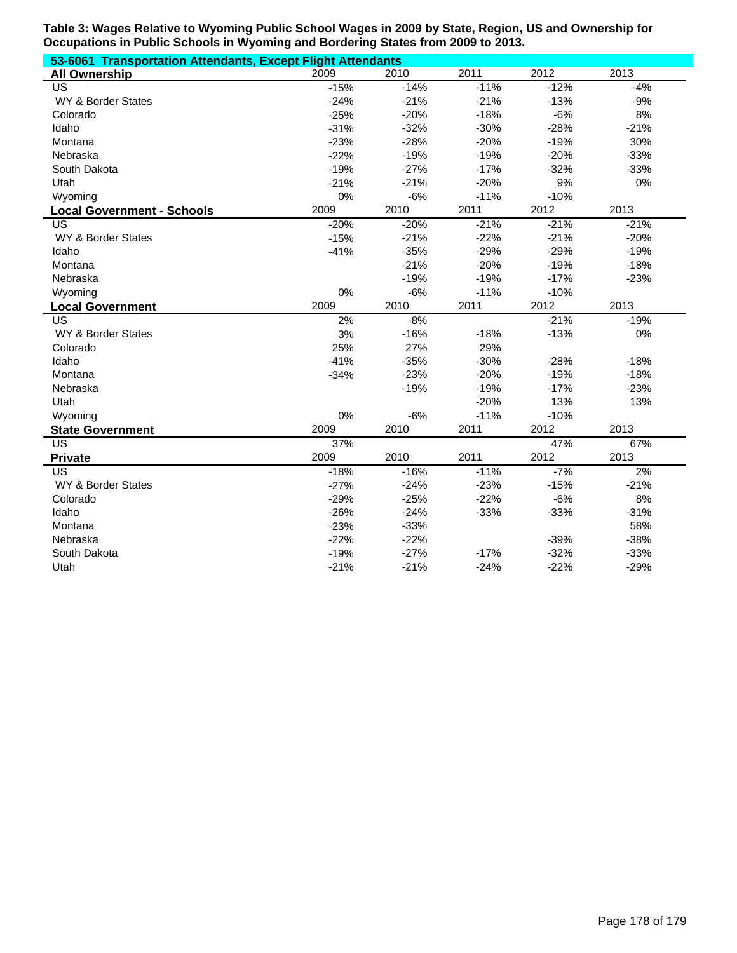| 53-6061 Transportation Attendants, Except Flight Attendants |        |        |        |        |        |
|-------------------------------------------------------------|--------|--------|--------|--------|--------|
| <b>All Ownership</b>                                        | 2009   | 2010   | 2011   | 2012   | 2013   |
| US                                                          | $-15%$ | $-14%$ | $-11%$ | $-12%$ | $-4%$  |
| WY & Border States                                          | $-24%$ | $-21%$ | $-21%$ | $-13%$ | $-9%$  |
| Colorado                                                    | $-25%$ | $-20%$ | $-18%$ | $-6%$  | 8%     |
| Idaho                                                       | $-31%$ | $-32%$ | $-30%$ | $-28%$ | $-21%$ |
| Montana                                                     | $-23%$ | $-28%$ | $-20%$ | $-19%$ | 30%    |
| Nebraska                                                    | $-22%$ | $-19%$ | $-19%$ | $-20%$ | $-33%$ |
| South Dakota                                                | $-19%$ | $-27%$ | $-17%$ | $-32%$ | $-33%$ |
| Utah                                                        | $-21%$ | $-21%$ | $-20%$ | 9%     | 0%     |
| Wyoming                                                     | 0%     | $-6%$  | $-11%$ | $-10%$ |        |
| <b>Local Government - Schools</b>                           | 2009   | 2010   | 2011   | 2012   | 2013   |
| US                                                          | $-20%$ | $-20%$ | $-21%$ | $-21%$ | $-21%$ |
| WY & Border States                                          | $-15%$ | $-21%$ | $-22%$ | $-21%$ | $-20%$ |
| Idaho                                                       | $-41%$ | $-35%$ | $-29%$ | $-29%$ | $-19%$ |
| Montana                                                     |        | $-21%$ | $-20%$ | $-19%$ | $-18%$ |
| Nebraska                                                    |        | $-19%$ | $-19%$ | $-17%$ | $-23%$ |
| Wyoming                                                     | 0%     | $-6%$  | $-11%$ | $-10%$ |        |
| <b>Local Government</b>                                     | 2009   | 2010   | 2011   | 2012   | 2013   |
| US                                                          | 2%     | $-8%$  |        | $-21%$ | $-19%$ |
| WY & Border States                                          | 3%     | $-16%$ | $-18%$ | $-13%$ | 0%     |
| Colorado                                                    | 25%    | 27%    | 29%    |        |        |
| Idaho                                                       | $-41%$ | $-35%$ | $-30%$ | $-28%$ | $-18%$ |
| Montana                                                     | $-34%$ | $-23%$ | $-20%$ | $-19%$ | $-18%$ |
| Nebraska                                                    |        | $-19%$ | $-19%$ | $-17%$ | $-23%$ |
| Utah                                                        |        |        | $-20%$ | 13%    | 13%    |
| Wyoming                                                     | 0%     | $-6%$  | $-11%$ | $-10%$ |        |
| <b>State Government</b>                                     | 2009   | 2010   | 2011   | 2012   | 2013   |
| $\overline{US}$                                             | 37%    |        |        | 47%    | 67%    |
| <b>Private</b>                                              | 2009   | 2010   | 2011   | 2012   | 2013   |
| US                                                          | $-18%$ | $-16%$ | $-11%$ | $-7%$  | 2%     |
| WY & Border States                                          | $-27%$ | $-24%$ | $-23%$ | $-15%$ | $-21%$ |
| Colorado                                                    | $-29%$ | $-25%$ | $-22%$ | $-6%$  | 8%     |
| Idaho                                                       | $-26%$ | $-24%$ | $-33%$ | $-33%$ | $-31%$ |
| Montana                                                     | $-23%$ | $-33%$ |        |        | 58%    |
| Nebraska                                                    | $-22%$ | $-22%$ |        | $-39%$ | $-38%$ |
| South Dakota                                                | $-19%$ | $-27%$ | $-17%$ | $-32%$ | $-33%$ |
| Utah                                                        | $-21%$ | $-21%$ | $-24%$ | $-22%$ | $-29%$ |